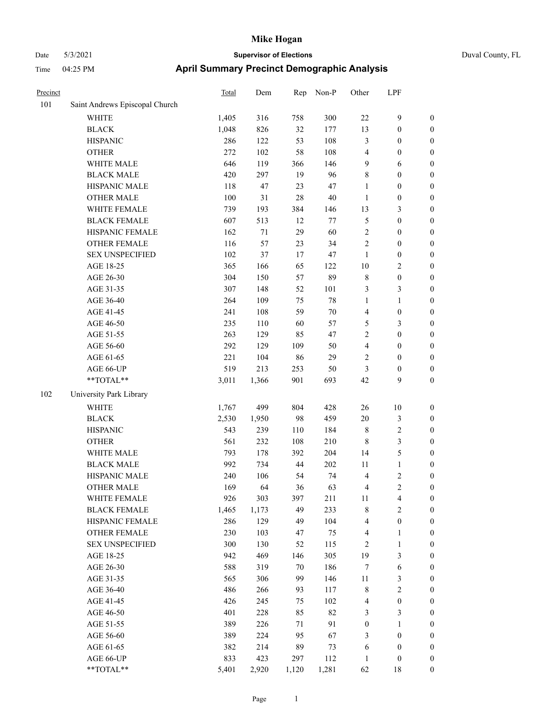| Duval County, FL |  |
|------------------|--|
|                  |  |

| Precinct |                                | <b>Total</b> | Dem    | Rep    | Non-P  | Other            | LPF              |                  |
|----------|--------------------------------|--------------|--------|--------|--------|------------------|------------------|------------------|
| 101      | Saint Andrews Episcopal Church |              |        |        |        |                  |                  |                  |
|          | WHITE                          | 1,405        | 316    | 758    | 300    | $22\,$           | $\mathbf{9}$     | $\boldsymbol{0}$ |
|          | <b>BLACK</b>                   | 1,048        | 826    | 32     | 177    | 13               | $\boldsymbol{0}$ | $\boldsymbol{0}$ |
|          | <b>HISPANIC</b>                | 286          | 122    | 53     | 108    | 3                | $\boldsymbol{0}$ | $\boldsymbol{0}$ |
|          | <b>OTHER</b>                   | 272          | 102    | 58     | 108    | 4                | $\boldsymbol{0}$ | $\boldsymbol{0}$ |
|          | WHITE MALE                     | 646          | 119    | 366    | 146    | 9                | 6                | $\boldsymbol{0}$ |
|          | <b>BLACK MALE</b>              | 420          | 297    | 19     | 96     | 8                | $\boldsymbol{0}$ | $\boldsymbol{0}$ |
|          | HISPANIC MALE                  | 118          | 47     | 23     | 47     | $\mathbf{1}$     | $\boldsymbol{0}$ | $\boldsymbol{0}$ |
|          | <b>OTHER MALE</b>              | 100          | 31     | $28\,$ | 40     | $\mathbf{1}$     | $\boldsymbol{0}$ | $\boldsymbol{0}$ |
|          | WHITE FEMALE                   | 739          | 193    | 384    | 146    | 13               | $\mathfrak{Z}$   | $\boldsymbol{0}$ |
|          | <b>BLACK FEMALE</b>            | 607          | 513    | 12     | 77     | 5                | $\boldsymbol{0}$ | $\boldsymbol{0}$ |
|          | HISPANIC FEMALE                | 162          | $71\,$ | 29     | 60     | $\sqrt{2}$       | $\boldsymbol{0}$ | $\boldsymbol{0}$ |
|          | OTHER FEMALE                   | 116          | 57     | 23     | 34     | $\sqrt{2}$       | $\boldsymbol{0}$ | $\boldsymbol{0}$ |
|          | <b>SEX UNSPECIFIED</b>         | 102          | 37     | 17     | 47     | $\mathbf{1}$     | $\boldsymbol{0}$ | $\boldsymbol{0}$ |
|          | AGE 18-25                      | 365          | 166    | 65     | 122    | $10\,$           | $\sqrt{2}$       | $\boldsymbol{0}$ |
|          | AGE 26-30                      | 304          | 150    | 57     | 89     | $\,$ 8 $\,$      | $\boldsymbol{0}$ | $\boldsymbol{0}$ |
|          | AGE 31-35                      | 307          | 148    | 52     | 101    | 3                | $\mathfrak{Z}$   | 0                |
|          | AGE 36-40                      | 264          | 109    | 75     | $78\,$ | $\mathbf{1}$     | $\mathbf{1}$     | $\boldsymbol{0}$ |
|          | AGE 41-45                      | 241          | 108    | 59     | 70     | 4                | $\boldsymbol{0}$ | $\boldsymbol{0}$ |
|          | AGE 46-50                      | 235          | 110    | 60     | 57     | 5                | $\mathfrak{Z}$   | $\boldsymbol{0}$ |
|          | AGE 51-55                      | 263          | 129    | 85     | 47     | 2                | $\boldsymbol{0}$ | $\boldsymbol{0}$ |
|          | AGE 56-60                      | 292          | 129    | 109    | 50     | 4                | $\boldsymbol{0}$ | $\boldsymbol{0}$ |
|          | AGE 61-65                      | 221          | 104    | 86     | 29     | 2                | $\boldsymbol{0}$ | $\boldsymbol{0}$ |
|          | AGE 66-UP                      | 519          | 213    | 253    | 50     | 3                | $\boldsymbol{0}$ | $\boldsymbol{0}$ |
|          | $**TOTAL**$                    | 3,011        | 1,366  | 901    | 693    | 42               | $\mathbf{9}$     | $\boldsymbol{0}$ |
| 102      | University Park Library        |              |        |        |        |                  |                  |                  |
|          | WHITE                          | 1,767        | 499    | 804    | 428    | 26               | $10\,$           | $\boldsymbol{0}$ |
|          | <b>BLACK</b>                   | 2,530        | 1,950  | 98     | 459    | $20\,$           | $\mathfrak{Z}$   | $\boldsymbol{0}$ |
|          | <b>HISPANIC</b>                | 543          | 239    | 110    | 184    | $\,$ 8 $\,$      | $\sqrt{2}$       | 0                |
|          | <b>OTHER</b>                   | 561          | 232    | 108    | 210    | 8                | $\mathfrak{Z}$   | $\boldsymbol{0}$ |
|          | WHITE MALE                     | 793          | 178    | 392    | 204    | 14               | $\mathfrak{S}$   | $\boldsymbol{0}$ |
|          | <b>BLACK MALE</b>              | 992          | 734    | 44     | 202    | 11               | $\mathbf{1}$     | $\boldsymbol{0}$ |
|          | HISPANIC MALE                  | 240          | 106    | 54     | 74     | 4                | $\sqrt{2}$       | $\boldsymbol{0}$ |
|          | <b>OTHER MALE</b>              | 169          | 64     | 36     | 63     | 4                | $\overline{c}$   | $\boldsymbol{0}$ |
|          | WHITE FEMALE                   | 926          | 303    | 397    | 211    | 11               | $\overline{4}$   | $\overline{0}$   |
|          | <b>BLACK FEMALE</b>            | 1,465        | 1,173  | 49     | 233    | 8                | $\sqrt{2}$       | 0                |
|          | HISPANIC FEMALE                | 286          | 129    | 49     | 104    | 4                | $\boldsymbol{0}$ | 0                |
|          | <b>OTHER FEMALE</b>            | 230          | 103    | 47     | 75     | 4                | $\mathbf{1}$     | 0                |
|          | <b>SEX UNSPECIFIED</b>         | 300          | 130    | 52     | 115    | $\overline{c}$   | $\mathbf{1}$     | 0                |
|          | AGE 18-25                      | 942          | 469    | 146    | 305    | 19               | $\mathfrak{Z}$   | 0                |
|          | AGE 26-30                      | 588          | 319    | 70     | 186    | $\boldsymbol{7}$ | 6                | $\boldsymbol{0}$ |
|          | AGE 31-35                      | 565          | 306    | 99     | 146    | 11               | $\mathfrak{Z}$   | $\boldsymbol{0}$ |
|          | AGE 36-40                      | 486          | 266    | 93     | 117    | 8                | $\sqrt{2}$       | $\boldsymbol{0}$ |
|          | AGE 41-45                      | 426          | 245    | 75     | 102    | $\overline{4}$   | $\boldsymbol{0}$ | $\boldsymbol{0}$ |
|          | AGE 46-50                      | 401          | 228    | 85     | 82     | 3                | $\mathfrak{Z}$   | $\overline{0}$   |
|          | AGE 51-55                      | 389          | 226    | 71     | 91     | $\boldsymbol{0}$ | $\mathbf{1}$     | $\overline{0}$   |
|          | AGE 56-60                      | 389          | 224    | 95     | 67     | 3                | $\boldsymbol{0}$ | $\overline{0}$   |
|          | AGE 61-65                      | 382          | 214    | 89     | 73     | 6                | $\boldsymbol{0}$ | 0                |
|          | AGE 66-UP                      | 833          | 423    | 297    | 112    | 1                | $\boldsymbol{0}$ | 0                |
|          | **TOTAL**                      | 5,401        | 2,920  | 1,120  | 1,281  | 62               | 18               | $\boldsymbol{0}$ |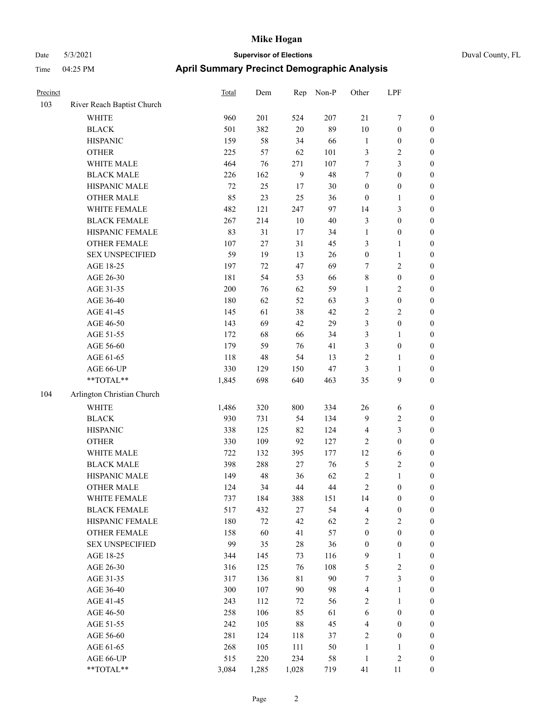|  | Duval County, FL |  |
|--|------------------|--|
|--|------------------|--|

| Precinct |                                                             | <b>Total</b> | Dem   | Rep            | Non-P | Other            | LPF              |                  |
|----------|-------------------------------------------------------------|--------------|-------|----------------|-------|------------------|------------------|------------------|
| 103      | River Reach Baptist Church                                  |              |       |                |       |                  |                  |                  |
|          | <b>WHITE</b>                                                | 960          | 201   | 524            | 207   | $21\,$           | $\boldsymbol{7}$ | $\boldsymbol{0}$ |
|          | <b>BLACK</b>                                                | 501          | 382   | $20\,$         | 89    | 10               | $\boldsymbol{0}$ | $\boldsymbol{0}$ |
|          | <b>HISPANIC</b>                                             | 159          | 58    | 34             | 66    | $\mathbf{1}$     | $\boldsymbol{0}$ | $\boldsymbol{0}$ |
|          | <b>OTHER</b>                                                | 225          | 57    | 62             | 101   | 3                | $\sqrt{2}$       | $\boldsymbol{0}$ |
|          | WHITE MALE                                                  | 464          | 76    | 271            | 107   | 7                | $\mathfrak{Z}$   | $\boldsymbol{0}$ |
|          | <b>BLACK MALE</b>                                           | 226          | 162   | $\overline{9}$ | 48    | 7                | $\boldsymbol{0}$ | $\boldsymbol{0}$ |
|          | HISPANIC MALE                                               | 72           | 25    | 17             | 30    | $\boldsymbol{0}$ | $\boldsymbol{0}$ | 0                |
|          | <b>OTHER MALE</b>                                           | 85           | 23    | 25             | 36    | $\boldsymbol{0}$ | $\mathbf{1}$     | 0                |
|          | WHITE FEMALE                                                | 482          | 121   | 247            | 97    | 14               | $\mathfrak{Z}$   | $\boldsymbol{0}$ |
|          | <b>BLACK FEMALE</b>                                         | 267          | 214   | $10\,$         | 40    | 3                | $\boldsymbol{0}$ | $\boldsymbol{0}$ |
|          | HISPANIC FEMALE                                             | 83           | 31    | 17             | 34    | $\mathbf{1}$     | $\boldsymbol{0}$ | $\boldsymbol{0}$ |
|          | <b>OTHER FEMALE</b>                                         | 107          | 27    | 31             | 45    | 3                | $\mathbf{1}$     | $\boldsymbol{0}$ |
|          | <b>SEX UNSPECIFIED</b>                                      | 59           | 19    | 13             | 26    | $\boldsymbol{0}$ | $\mathbf{1}$     | $\boldsymbol{0}$ |
|          | AGE 18-25                                                   | 197          | 72    | 47             | 69    | 7                | $\sqrt{2}$       | $\boldsymbol{0}$ |
|          | AGE 26-30                                                   | 181          | 54    | 53             | 66    | $\,$ $\,$        | $\boldsymbol{0}$ | $\boldsymbol{0}$ |
|          | AGE 31-35                                                   | 200          | 76    | 62             | 59    | $\mathbf{1}$     | $\sqrt{2}$       | $\boldsymbol{0}$ |
|          | AGE 36-40                                                   | 180          | 62    | 52             | 63    | 3                | $\boldsymbol{0}$ | 0                |
|          | AGE 41-45                                                   | 145          | 61    | 38             | 42    | 2                | $\sqrt{2}$       | 0                |
|          | AGE 46-50                                                   | 143          | 69    | 42             | 29    | 3                | $\boldsymbol{0}$ | $\boldsymbol{0}$ |
|          | AGE 51-55                                                   | 172          | 68    | 66             | 34    | 3                | $\mathbf{1}$     | $\boldsymbol{0}$ |
|          | AGE 56-60                                                   | 179          | 59    | 76             | 41    | 3                | $\boldsymbol{0}$ | $\boldsymbol{0}$ |
|          | AGE 61-65                                                   | 118          | 48    | 54             | 13    | 2                | $\mathbf{1}$     | $\boldsymbol{0}$ |
|          | AGE 66-UP                                                   | 330          | 129   | 150            | 47    | $\mathfrak{Z}$   | $\mathbf{1}$     | $\boldsymbol{0}$ |
|          | $\mathrm{*}\mathrm{*} \mathrm{TOTAL} \mathrm{*} \mathrm{*}$ | 1,845        | 698   | 640            | 463   | 35               | 9                | $\boldsymbol{0}$ |
| 104      | Arlington Christian Church                                  |              |       |                |       |                  |                  |                  |
|          | WHITE                                                       | 1,486        | 320   | 800            | 334   | $26\,$           | 6                | $\boldsymbol{0}$ |
|          | <b>BLACK</b>                                                | 930          | 731   | 54             | 134   | $\overline{9}$   | $\sqrt{2}$       | $\boldsymbol{0}$ |
|          | <b>HISPANIC</b>                                             | 338          | 125   | 82             | 124   | $\overline{4}$   | $\mathfrak{Z}$   | $\boldsymbol{0}$ |
|          | <b>OTHER</b>                                                | 330          | 109   | 92             | 127   | $\overline{c}$   | $\boldsymbol{0}$ | 0                |
|          | WHITE MALE                                                  | 722          | 132   | 395            | 177   | 12               | 6                | 0                |
|          | <b>BLACK MALE</b>                                           | 398          | 288   | 27             | 76    | 5                | $\sqrt{2}$       | $\boldsymbol{0}$ |
|          | HISPANIC MALE                                               | 149          | 48    | 36             | 62    | 2                | $\mathbf{1}$     | $\boldsymbol{0}$ |
|          | <b>OTHER MALE</b>                                           | 124          | 34    | 44             | 44    | $\mathfrak{D}$   | $\Omega$         | $\theta$         |
|          | WHITE FEMALE                                                | 737          | 184   | 388            | 151   | 14               | $\boldsymbol{0}$ | 0                |
|          | <b>BLACK FEMALE</b>                                         | 517          | 432   | 27             | 54    | 4                | $\boldsymbol{0}$ | 0                |
|          | HISPANIC FEMALE                                             | 180          | 72    | 42             | 62    | 2                | $\sqrt{2}$       | 0                |
|          | <b>OTHER FEMALE</b>                                         | 158          | 60    | 41             | 57    | $\boldsymbol{0}$ | $\boldsymbol{0}$ | 0                |
|          | <b>SEX UNSPECIFIED</b>                                      | 99           | 35    | $28\,$         | 36    | $\boldsymbol{0}$ | $\boldsymbol{0}$ | 0                |
|          | AGE 18-25                                                   | 344          | 145   | 73             | 116   | 9                | $\mathbf{1}$     | 0                |
|          | AGE 26-30                                                   | 316          | 125   | 76             | 108   | 5                | $\sqrt{2}$       | 0                |
|          | AGE 31-35                                                   | 317          | 136   | $8\sqrt{1}$    | 90    | 7                | $\mathfrak{Z}$   | 0                |
|          | AGE 36-40                                                   | 300          | 107   | $90\,$         | 98    | 4                | 1                | 0                |
|          | AGE 41-45                                                   | 243          | 112   | 72             | 56    | 2                | $\mathbf{1}$     | $\boldsymbol{0}$ |
|          | AGE 46-50                                                   | 258          | 106   | 85             | 61    | 6                | $\boldsymbol{0}$ | 0                |
|          | AGE 51-55                                                   | 242          | 105   | $88\,$         | 45    | 4                | $\boldsymbol{0}$ | 0                |
|          | AGE 56-60                                                   | 281          | 124   | 118            | 37    | $\boldsymbol{2}$ | $\boldsymbol{0}$ | 0                |
|          | AGE 61-65                                                   | 268          | 105   | 111            | 50    | $\mathbf{1}$     | 1                | 0                |
|          | AGE 66-UP                                                   | 515          | 220   | 234            | 58    | $\mathbf{1}$     | $\sqrt{2}$       | 0                |
|          | $\mathrm{*}\mathrm{*} \mathrm{TOTAL} \mathrm{*} \mathrm{*}$ | 3,084        | 1,285 | 1,028          | 719   | 41               | 11               | 0                |
|          |                                                             |              |       |                |       |                  |                  |                  |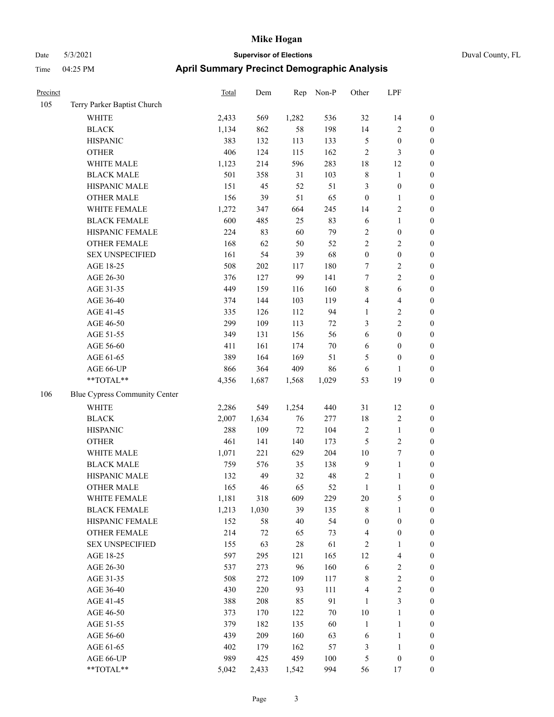| Precinct |                                                           | Total | Dem   | Rep    | Non-P  | Other            | LPF                     |                  |
|----------|-----------------------------------------------------------|-------|-------|--------|--------|------------------|-------------------------|------------------|
| 105      | Terry Parker Baptist Church                               |       |       |        |        |                  |                         |                  |
|          | WHITE                                                     | 2,433 | 569   | 1,282  | 536    | 32               | 14                      | $\boldsymbol{0}$ |
|          | <b>BLACK</b>                                              | 1,134 | 862   | 58     | 198    | 14               | $\overline{c}$          | $\boldsymbol{0}$ |
|          | <b>HISPANIC</b>                                           | 383   | 132   | 113    | 133    | $\mathfrak{S}$   | $\boldsymbol{0}$        | $\boldsymbol{0}$ |
|          | <b>OTHER</b>                                              | 406   | 124   | 115    | 162    | $\sqrt{2}$       | 3                       | $\boldsymbol{0}$ |
|          | WHITE MALE                                                | 1,123 | 214   | 596    | 283    | 18               | 12                      | $\boldsymbol{0}$ |
|          | <b>BLACK MALE</b>                                         | 501   | 358   | 31     | 103    | $\,$ 8 $\,$      | $\mathbf{1}$            | $\boldsymbol{0}$ |
|          | HISPANIC MALE                                             | 151   | 45    | 52     | 51     | $\mathfrak{Z}$   | $\boldsymbol{0}$        | $\boldsymbol{0}$ |
|          | <b>OTHER MALE</b>                                         | 156   | 39    | 51     | 65     | $\boldsymbol{0}$ | $\mathbf{1}$            | $\boldsymbol{0}$ |
|          | WHITE FEMALE                                              | 1,272 | 347   | 664    | 245    | 14               | $\overline{\mathbf{c}}$ | $\boldsymbol{0}$ |
|          | <b>BLACK FEMALE</b>                                       | 600   | 485   | 25     | 83     | 6                | $\mathbf{1}$            | $\boldsymbol{0}$ |
|          | HISPANIC FEMALE                                           | 224   | 83    | 60     | 79     | $\boldsymbol{2}$ | $\boldsymbol{0}$        | $\boldsymbol{0}$ |
|          | OTHER FEMALE                                              | 168   | 62    | 50     | 52     | $\sqrt{2}$       | $\overline{c}$          | $\boldsymbol{0}$ |
|          | <b>SEX UNSPECIFIED</b>                                    | 161   | 54    | 39     | 68     | $\boldsymbol{0}$ | $\boldsymbol{0}$        | $\boldsymbol{0}$ |
|          | AGE 18-25                                                 | 508   | 202   | 117    | 180    | 7                | $\overline{c}$          | $\boldsymbol{0}$ |
|          | AGE 26-30                                                 | 376   | 127   | 99     | 141    | $\boldsymbol{7}$ | $\overline{c}$          | $\boldsymbol{0}$ |
|          | AGE 31-35                                                 | 449   | 159   | 116    | 160    | 8                | $\sqrt{6}$              | $\boldsymbol{0}$ |
|          | AGE 36-40                                                 | 374   | 144   | 103    | 119    | $\overline{4}$   | $\overline{4}$          | $\boldsymbol{0}$ |
|          | AGE 41-45                                                 | 335   | 126   | 112    | 94     | $\mathbf{1}$     | 2                       | $\boldsymbol{0}$ |
|          | AGE 46-50                                                 | 299   | 109   | 113    | $72\,$ | 3                | 2                       | $\boldsymbol{0}$ |
|          | AGE 51-55                                                 | 349   | 131   | 156    | 56     | 6                | $\boldsymbol{0}$        | $\boldsymbol{0}$ |
|          | AGE 56-60                                                 | 411   | 161   | 174    | $70\,$ | 6                | $\boldsymbol{0}$        | $\boldsymbol{0}$ |
|          | AGE 61-65                                                 | 389   | 164   | 169    | 51     | 5                | $\boldsymbol{0}$        | $\boldsymbol{0}$ |
|          | AGE 66-UP                                                 | 866   | 364   | 409    | 86     | 6                | 1                       | $\boldsymbol{0}$ |
|          | **TOTAL**                                                 | 4,356 | 1,687 | 1,568  | 1,029  | 53               | 19                      | $\boldsymbol{0}$ |
| 106      | Blue Cypress Community Center                             |       |       |        |        |                  |                         |                  |
|          | WHITE                                                     | 2,286 | 549   | 1,254  | 440    | 31               | 12                      | $\boldsymbol{0}$ |
|          | <b>BLACK</b>                                              | 2,007 | 1,634 | 76     | 277    | 18               | $\sqrt{2}$              | $\boldsymbol{0}$ |
|          | <b>HISPANIC</b>                                           | 288   | 109   | $72\,$ | 104    | $\sqrt{2}$       | $\mathbf{1}$            | $\boldsymbol{0}$ |
|          | <b>OTHER</b>                                              | 461   | 141   | 140    | 173    | 5                | $\overline{c}$          | $\boldsymbol{0}$ |
|          | WHITE MALE                                                | 1,071 | 221   | 629    | 204    | 10               | 7                       | $\boldsymbol{0}$ |
|          | <b>BLACK MALE</b>                                         | 759   | 576   | 35     | 138    | $\overline{9}$   | $\mathbf{1}$            | $\boldsymbol{0}$ |
|          | HISPANIC MALE                                             | 132   | 49    | 32     | 48     | $\boldsymbol{2}$ | 1                       | $\boldsymbol{0}$ |
|          | <b>OTHER MALE</b>                                         | 165   | 46    | 65     | 52     | $\mathbf{1}$     | $\mathbf{1}$            | $\boldsymbol{0}$ |
|          | WHITE FEMALE                                              | 1,181 | 318   | 609    | 229    | $20\,$           | 5                       | $\boldsymbol{0}$ |
|          | <b>BLACK FEMALE</b>                                       | 1,213 | 1,030 | 39     | 135    | $\,$ 8 $\,$      | $\mathbf{1}$            | $\boldsymbol{0}$ |
|          | HISPANIC FEMALE                                           | 152   | 58    | 40     | 54     | $\boldsymbol{0}$ | $\boldsymbol{0}$        | $\boldsymbol{0}$ |
|          | <b>OTHER FEMALE</b>                                       | 214   | 72    | 65     | 73     | $\overline{4}$   | $\boldsymbol{0}$        | $\boldsymbol{0}$ |
|          | <b>SEX UNSPECIFIED</b>                                    | 155   | 63    | $28\,$ | 61     | $\overline{2}$   | 1                       | $\boldsymbol{0}$ |
|          | AGE 18-25                                                 | 597   | 295   | 121    | 165    | 12               | $\overline{4}$          | $\boldsymbol{0}$ |
|          | AGE 26-30                                                 | 537   | 273   | 96     | 160    | 6                | $\overline{\mathbf{c}}$ | $\boldsymbol{0}$ |
|          | AGE 31-35                                                 | 508   | 272   | 109    | 117    | $\,$ 8 $\,$      | $\overline{c}$          | 0                |
|          | AGE 36-40                                                 | 430   | 220   | 93     | 111    | $\overline{4}$   | $\overline{c}$          | $\boldsymbol{0}$ |
|          | AGE 41-45                                                 | 388   | 208   | 85     | 91     | $\mathbf{1}$     | 3                       | $\boldsymbol{0}$ |
|          | AGE 46-50                                                 | 373   | 170   | 122    | 70     | 10               | $\mathbf{1}$            | $\boldsymbol{0}$ |
|          | AGE 51-55                                                 | 379   | 182   | 135    | 60     | $\mathbf{1}$     | $\mathbf{1}$            | $\boldsymbol{0}$ |
|          | AGE 56-60                                                 | 439   | 209   | 160    | 63     | 6                | $\mathbf{1}$            | $\boldsymbol{0}$ |
|          | AGE 61-65                                                 | 402   | 179   | 162    | 57     | 3                | $\mathbf{1}$            | $\boldsymbol{0}$ |
|          | AGE 66-UP                                                 | 989   | 425   | 459    | 100    | 5                | $\boldsymbol{0}$        | $\boldsymbol{0}$ |
|          | $\mathrm{*}\mathrm{*}\mathrm{TOTAL} \mathrm{*}\mathrm{*}$ | 5,042 | 2,433 | 1,542  | 994    | 56               | 17                      | $\boldsymbol{0}$ |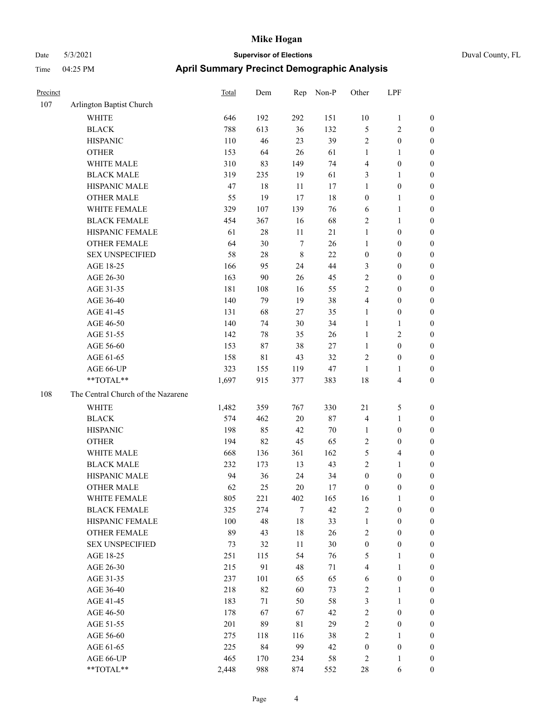| Duval County, FL |  |
|------------------|--|

| Precinct |                                    | <b>Total</b> | Dem | Rep         | Non-P  | Other            | LPF                     |                  |
|----------|------------------------------------|--------------|-----|-------------|--------|------------------|-------------------------|------------------|
| 107      | Arlington Baptist Church           |              |     |             |        |                  |                         |                  |
|          | <b>WHITE</b>                       | 646          | 192 | 292         | 151    | 10               | $\mathbf{1}$            | $\boldsymbol{0}$ |
|          | <b>BLACK</b>                       | 788          | 613 | 36          | 132    | 5                | $\sqrt{2}$              | $\boldsymbol{0}$ |
|          | <b>HISPANIC</b>                    | 110          | 46  | 23          | 39     | $\overline{c}$   | $\boldsymbol{0}$        | $\boldsymbol{0}$ |
|          | <b>OTHER</b>                       | 153          | 64  | 26          | 61     | $\mathbf{1}$     | $\mathbf{1}$            | $\boldsymbol{0}$ |
|          | WHITE MALE                         | 310          | 83  | 149         | 74     | 4                | $\boldsymbol{0}$        | $\boldsymbol{0}$ |
|          | <b>BLACK MALE</b>                  | 319          | 235 | 19          | 61     | 3                | $\mathbf{1}$            | $\boldsymbol{0}$ |
|          | HISPANIC MALE                      | 47           | 18  | 11          | 17     | $\mathbf{1}$     | $\boldsymbol{0}$        | $\overline{0}$   |
|          | <b>OTHER MALE</b>                  | 55           | 19  | 17          | 18     | $\boldsymbol{0}$ | $\mathbf{1}$            | $\boldsymbol{0}$ |
|          | WHITE FEMALE                       | 329          | 107 | 139         | 76     | 6                | $\mathbf{1}$            | 0                |
|          | <b>BLACK FEMALE</b>                | 454          | 367 | 16          | 68     | $\overline{2}$   | $\mathbf{1}$            | 0                |
|          | HISPANIC FEMALE                    | 61           | 28  | 11          | 21     | $\mathbf{1}$     | $\boldsymbol{0}$        | 0                |
|          | OTHER FEMALE                       | 64           | 30  | $\tau$      | 26     | $\mathbf{1}$     | $\boldsymbol{0}$        | 0                |
|          | <b>SEX UNSPECIFIED</b>             | 58           | 28  | $\,8\,$     | 22     | $\boldsymbol{0}$ | $\boldsymbol{0}$        | $\boldsymbol{0}$ |
|          | AGE 18-25                          | 166          | 95  | 24          | 44     | 3                | $\boldsymbol{0}$        | $\boldsymbol{0}$ |
|          | AGE 26-30                          | 163          | 90  | 26          | 45     | $\overline{c}$   | $\boldsymbol{0}$        | $\boldsymbol{0}$ |
|          | AGE 31-35                          | 181          | 108 | 16          | 55     | 2                | $\boldsymbol{0}$        | $\boldsymbol{0}$ |
|          | AGE 36-40                          | 140          | 79  | 19          | 38     | 4                | $\boldsymbol{0}$        | $\boldsymbol{0}$ |
|          | AGE 41-45                          | 131          | 68  | 27          | 35     | $\mathbf{1}$     | $\boldsymbol{0}$        | $\boldsymbol{0}$ |
|          | AGE 46-50                          | 140          | 74  | $30\,$      | 34     | $\mathbf{1}$     | $\mathbf{1}$            | 0                |
|          | AGE 51-55                          | 142          | 78  | 35          | 26     | $\mathbf{1}$     | $\mathbf{2}$            | 0                |
|          | AGE 56-60                          | 153          | 87  | 38          | 27     | $\mathbf{1}$     | $\boldsymbol{0}$        | 0                |
|          | AGE 61-65                          | 158          | 81  | 43          | 32     | $\overline{c}$   | $\boldsymbol{0}$        | 0                |
|          | AGE 66-UP                          | 323          | 155 | 119         | 47     | $\mathbf{1}$     | $\mathbf{1}$            | $\boldsymbol{0}$ |
|          | **TOTAL**                          | 1,697        | 915 | 377         | 383    | 18               | $\overline{4}$          | $\boldsymbol{0}$ |
| 108      | The Central Church of the Nazarene |              |     |             |        |                  |                         |                  |
|          | <b>WHITE</b>                       | 1,482        | 359 | 767         | 330    | 21               | 5                       | $\boldsymbol{0}$ |
|          | <b>BLACK</b>                       | 574          | 462 | 20          | $87\,$ | $\overline{4}$   | $\mathbf{1}$            | $\boldsymbol{0}$ |
|          | <b>HISPANIC</b>                    | 198          | 85  | 42          | 70     | $\mathbf{1}$     | $\boldsymbol{0}$        | $\boldsymbol{0}$ |
|          | <b>OTHER</b>                       | 194          | 82  | 45          | 65     | $\overline{c}$   | $\boldsymbol{0}$        | $\boldsymbol{0}$ |
|          | WHITE MALE                         | 668          | 136 | 361         | 162    | 5                | $\overline{\mathbf{4}}$ | $\boldsymbol{0}$ |
|          | <b>BLACK MALE</b>                  | 232          | 173 | 13          | 43     | $\mathbf{2}$     | $\mathbf{1}$            | $\boldsymbol{0}$ |
|          | HISPANIC MALE                      | 94           | 36  | 24          | 34     | $\boldsymbol{0}$ | 0                       | 0                |
|          | <b>OTHER MALE</b>                  | 62           | 25  | 20          | 17     | $\boldsymbol{0}$ | $\boldsymbol{0}$        | $\overline{0}$   |
|          | WHITE FEMALE                       | 805          | 221 | 402         | 165    | 16               | $\mathbf{1}$            | $\boldsymbol{0}$ |
|          | <b>BLACK FEMALE</b>                | 325          | 274 | 7           | 42     | $\sqrt{2}$       | $\boldsymbol{0}$        | $\boldsymbol{0}$ |
|          | HISPANIC FEMALE                    | 100          | 48  | 18          | 33     | $\mathbf{1}$     | $\boldsymbol{0}$        | $\boldsymbol{0}$ |
|          | <b>OTHER FEMALE</b>                | 89           | 43  | $18\,$      | 26     | $\overline{c}$   | $\boldsymbol{0}$        | 0                |
|          | <b>SEX UNSPECIFIED</b>             | 73           | 32  | 11          | 30     | $\boldsymbol{0}$ | $\boldsymbol{0}$        | 0                |
|          | AGE 18-25                          | 251          | 115 | 54          | 76     | 5                | $\mathbf{1}$            | 0                |
|          | AGE 26-30                          | 215          | 91  | 48          | 71     | 4                | $\mathbf{1}$            | 0                |
|          | AGE 31-35                          | 237          | 101 | 65          | 65     | 6                | $\boldsymbol{0}$        | 0                |
|          | AGE 36-40                          | 218          | 82  | 60          | 73     | $\sqrt{2}$       | $\mathbf{1}$            | 0                |
|          | AGE 41-45                          | 183          | 71  | 50          | 58     | 3                | $\mathbf{1}$            | 0                |
|          | AGE 46-50                          | 178          | 67  | 67          | 42     | $\sqrt{2}$       | $\boldsymbol{0}$        | $\boldsymbol{0}$ |
|          | AGE 51-55                          | 201          | 89  | $8\sqrt{1}$ | 29     | $\sqrt{2}$       | $\boldsymbol{0}$        | $\boldsymbol{0}$ |
|          | AGE 56-60                          | 275          | 118 | 116         | 38     | $\sqrt{2}$       | $\mathbf{1}$            | $\boldsymbol{0}$ |
|          | AGE 61-65                          | 225          | 84  | 99          | 42     | $\boldsymbol{0}$ | $\boldsymbol{0}$        | $\boldsymbol{0}$ |
|          | AGE 66-UP                          | 465          | 170 | 234         | 58     | $\sqrt{2}$       | $\mathbf{1}$            | 0                |
|          | $**TOTAL**$                        | 2,448        | 988 | 874         | 552    | $28\,$           | 6                       | $\overline{0}$   |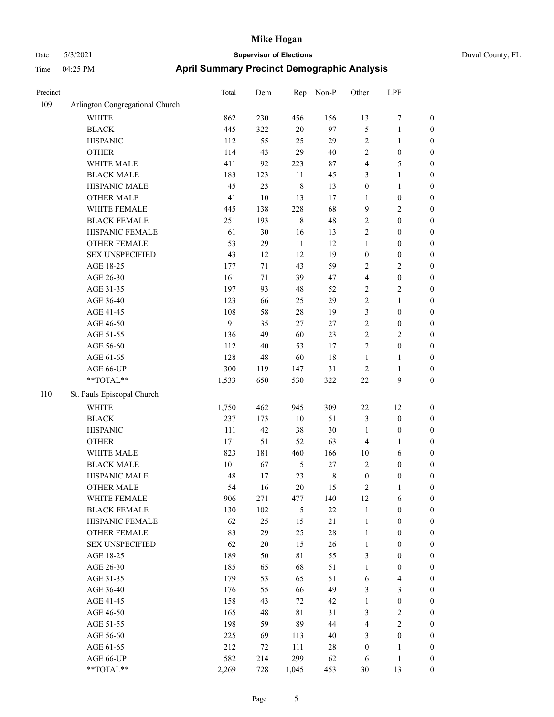|  | Duval County, FL |  |
|--|------------------|--|
|--|------------------|--|

| Precinct |                                                             | Total | Dem    | Rep            | Non-P     | Other            | LPF                     |                  |
|----------|-------------------------------------------------------------|-------|--------|----------------|-----------|------------------|-------------------------|------------------|
| 109      | Arlington Congregational Church                             |       |        |                |           |                  |                         |                  |
|          | <b>WHITE</b>                                                | 862   | 230    | 456            | 156       | 13               | 7                       | $\boldsymbol{0}$ |
|          | <b>BLACK</b>                                                | 445   | 322    | $20\,$         | 97        | 5                | $\mathbf{1}$            | $\boldsymbol{0}$ |
|          | <b>HISPANIC</b>                                             | 112   | 55     | 25             | 29        | $\overline{c}$   | $\mathbf{1}$            | $\boldsymbol{0}$ |
|          | <b>OTHER</b>                                                | 114   | 43     | 29             | 40        | $\overline{c}$   | $\boldsymbol{0}$        | $\boldsymbol{0}$ |
|          | WHITE MALE                                                  | 411   | 92     | 223            | 87        | 4                | $\mathfrak{S}$          | $\boldsymbol{0}$ |
|          | <b>BLACK MALE</b>                                           | 183   | 123    | $11\,$         | 45        | 3                | $\mathbf{1}$            | $\boldsymbol{0}$ |
|          | HISPANIC MALE                                               | 45    | 23     | $\,$ 8 $\,$    | 13        | $\boldsymbol{0}$ | $\mathbf{1}$            | $\boldsymbol{0}$ |
|          | <b>OTHER MALE</b>                                           | 41    | $10\,$ | 13             | 17        | $\mathbf{1}$     | $\boldsymbol{0}$        | $\boldsymbol{0}$ |
|          | WHITE FEMALE                                                | 445   | 138    | 228            | 68        | $\overline{9}$   | $\sqrt{2}$              | $\boldsymbol{0}$ |
|          | <b>BLACK FEMALE</b>                                         | 251   | 193    | $\,8\,$        | 48        | $\sqrt{2}$       | $\boldsymbol{0}$        | 0                |
|          | HISPANIC FEMALE                                             | 61    | 30     | 16             | 13        | $\overline{c}$   | $\boldsymbol{0}$        | $\boldsymbol{0}$ |
|          | OTHER FEMALE                                                | 53    | 29     | 11             | 12        | $\mathbf{1}$     | $\boldsymbol{0}$        | $\boldsymbol{0}$ |
|          | <b>SEX UNSPECIFIED</b>                                      | 43    | 12     | 12             | 19        | $\boldsymbol{0}$ | $\boldsymbol{0}$        | $\boldsymbol{0}$ |
|          | AGE 18-25                                                   | 177   | 71     | 43             | 59        | $\overline{c}$   | $\sqrt{2}$              | $\boldsymbol{0}$ |
|          | AGE 26-30                                                   | 161   | 71     | 39             | 47        | 4                | $\boldsymbol{0}$        | $\boldsymbol{0}$ |
|          | AGE 31-35                                                   | 197   | 93     | 48             | 52        | $\overline{c}$   | $\sqrt{2}$              | $\boldsymbol{0}$ |
|          | AGE 36-40                                                   | 123   | 66     | 25             | 29        | $\overline{c}$   | $\mathbf{1}$            | $\boldsymbol{0}$ |
|          | AGE 41-45                                                   | 108   | 58     | 28             | 19        | 3                | $\boldsymbol{0}$        | $\boldsymbol{0}$ |
|          | AGE 46-50                                                   | 91    | 35     | $27\,$         | $27\,$    | $\sqrt{2}$       | $\boldsymbol{0}$        | 0                |
|          | AGE 51-55                                                   | 136   | 49     | 60             | 23        | $\sqrt{2}$       | $\sqrt{2}$              | 0                |
|          | AGE 56-60                                                   | 112   | 40     | 53             | 17        | $\sqrt{2}$       | $\boldsymbol{0}$        | $\boldsymbol{0}$ |
|          | AGE 61-65                                                   | 128   | 48     | 60             | 18        | $\mathbf{1}$     | $\mathbf{1}$            | $\boldsymbol{0}$ |
|          | AGE 66-UP                                                   | 300   | 119    | 147            | 31        | $\overline{c}$   | $\mathbf{1}$            | $\boldsymbol{0}$ |
|          | **TOTAL**                                                   | 1,533 | 650    | 530            | 322       | $22\,$           | 9                       | $\boldsymbol{0}$ |
| 110      | St. Pauls Episcopal Church                                  |       |        |                |           |                  |                         |                  |
|          | WHITE                                                       | 1,750 | 462    | 945            | 309       | $22\,$           | 12                      | $\boldsymbol{0}$ |
|          | <b>BLACK</b>                                                | 237   | 173    | 10             | 51        | 3                | $\boldsymbol{0}$        | $\boldsymbol{0}$ |
|          | <b>HISPANIC</b>                                             | 111   | 42     | 38             | 30        | $\mathbf{1}$     | $\boldsymbol{0}$        | $\boldsymbol{0}$ |
|          | <b>OTHER</b>                                                | 171   | 51     | 52             | 63        | 4                | $\mathbf{1}$            | $\boldsymbol{0}$ |
|          | WHITE MALE                                                  | 823   | 181    | 460            | 166       | 10               | 6                       | $\boldsymbol{0}$ |
|          | <b>BLACK MALE</b>                                           | 101   | 67     | 5              | $27\,$    | $\overline{c}$   | $\boldsymbol{0}$        | $\boldsymbol{0}$ |
|          | HISPANIC MALE                                               | 48    | 17     | 23             | $\,$ $\,$ | $\boldsymbol{0}$ | $\boldsymbol{0}$        | 0                |
|          | <b>OTHER MALE</b>                                           | 54    | 16     | 20             | 15        | 2                | 1                       | $\boldsymbol{0}$ |
|          | WHITE FEMALE                                                | 906   | 271    | 477            | 140       | 12               | 6                       | $\boldsymbol{0}$ |
|          | <b>BLACK FEMALE</b>                                         | 130   | 102    | $\mathfrak{H}$ | $22\,$    | $\mathbf{1}$     | $\boldsymbol{0}$        | $\boldsymbol{0}$ |
|          | HISPANIC FEMALE                                             | 62    | 25     | 15             | 21        | $\mathbf{1}$     | $\boldsymbol{0}$        | $\boldsymbol{0}$ |
|          | <b>OTHER FEMALE</b>                                         | 83    | 29     | 25             | $28\,$    | $\mathbf{1}$     | $\boldsymbol{0}$        | 0                |
|          | <b>SEX UNSPECIFIED</b>                                      | 62    | 20     | 15             | 26        | $\mathbf{1}$     | $\boldsymbol{0}$        | $\overline{0}$   |
|          | AGE 18-25                                                   | 189   | 50     | $8\sqrt{1}$    | 55        | 3                | $\boldsymbol{0}$        | $\boldsymbol{0}$ |
|          | AGE 26-30                                                   | 185   | 65     | 68             | 51        | $\mathbf{1}$     | $\boldsymbol{0}$        | 0                |
|          | AGE 31-35                                                   | 179   | 53     | 65             | 51        | 6                | $\overline{\mathbf{4}}$ | 0                |
|          | AGE 36-40                                                   | 176   | 55     | 66             | 49        | 3                | $\mathfrak{Z}$          | 0                |
|          | AGE 41-45                                                   | 158   | 43     | 72             | 42        | $\mathbf{1}$     | $\boldsymbol{0}$        | $\boldsymbol{0}$ |
|          | AGE 46-50                                                   | 165   | 48     | $8\sqrt{1}$    | 31        | 3                | $\sqrt{2}$              | $\boldsymbol{0}$ |
|          | AGE 51-55                                                   | 198   | 59     | 89             | 44        | 4                | $\sqrt{2}$              | $\boldsymbol{0}$ |
|          | AGE 56-60                                                   | 225   | 69     | 113            | 40        | 3                | $\boldsymbol{0}$        | $\overline{0}$   |
|          | AGE 61-65                                                   | 212   | 72     | 111            | $28\,$    | $\boldsymbol{0}$ | $\mathbf{1}$            | $\boldsymbol{0}$ |
|          | AGE 66-UP                                                   | 582   | 214    | 299            | 62        | 6                | $\mathbf{1}$            | $\boldsymbol{0}$ |
|          | $\mathrm{*}\mathrm{*} \mathrm{TOTAL} \mathrm{*} \mathrm{*}$ | 2,269 | 728    | 1,045          | 453       | $30\,$           | 13                      | $\boldsymbol{0}$ |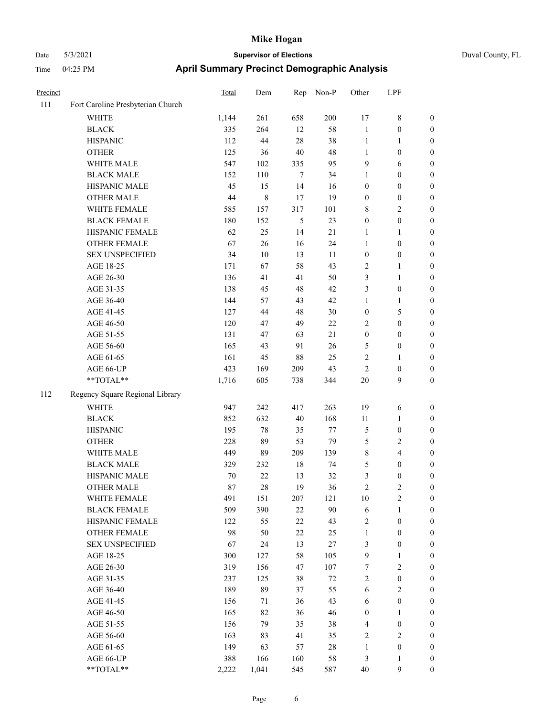| Duval County, FL |  |
|------------------|--|
|                  |  |

| Precinct |                                   | Total | Dem   | Rep        | Non-P   | Other            | LPF                     |                  |
|----------|-----------------------------------|-------|-------|------------|---------|------------------|-------------------------|------------------|
| 111      | Fort Caroline Presbyterian Church |       |       |            |         |                  |                         |                  |
|          | WHITE                             | 1,144 | 261   | 658        | $200\,$ | 17               | 8                       | $\boldsymbol{0}$ |
|          | <b>BLACK</b>                      | 335   | 264   | 12         | 58      | $\mathbf{1}$     | $\boldsymbol{0}$        | $\boldsymbol{0}$ |
|          | <b>HISPANIC</b>                   | 112   | 44    | $28\,$     | 38      | $\mathbf{1}$     | $\mathbf{1}$            | 0                |
|          | <b>OTHER</b>                      | 125   | 36    | $40\,$     | 48      | $\mathbf{1}$     | $\boldsymbol{0}$        | 0                |
|          | WHITE MALE                        | 547   | 102   | 335        | 95      | 9                | 6                       | $\boldsymbol{0}$ |
|          | <b>BLACK MALE</b>                 | 152   | 110   | 7          | 34      | $\mathbf{1}$     | $\boldsymbol{0}$        | $\boldsymbol{0}$ |
|          | HISPANIC MALE                     | 45    | 15    | 14         | 16      | $\boldsymbol{0}$ | $\boldsymbol{0}$        | $\boldsymbol{0}$ |
|          | <b>OTHER MALE</b>                 | 44    | 8     | 17         | 19      | $\boldsymbol{0}$ | $\boldsymbol{0}$        | $\boldsymbol{0}$ |
|          | WHITE FEMALE                      | 585   | 157   | 317        | 101     | 8                | $\sqrt{2}$              | $\boldsymbol{0}$ |
|          | <b>BLACK FEMALE</b>               | 180   | 152   | $\sqrt{5}$ | 23      | $\boldsymbol{0}$ | $\boldsymbol{0}$        | $\boldsymbol{0}$ |
|          | HISPANIC FEMALE                   | 62    | 25    | 14         | 21      | $\mathbf{1}$     | $\mathbf{1}$            | $\boldsymbol{0}$ |
|          | OTHER FEMALE                      | 67    | 26    | 16         | 24      | $\mathbf{1}$     | $\boldsymbol{0}$        | 0                |
|          | <b>SEX UNSPECIFIED</b>            | 34    | 10    | 13         | 11      | $\boldsymbol{0}$ | $\boldsymbol{0}$        | 0                |
|          | AGE 18-25                         | 171   | 67    | 58         | 43      | 2                | $\mathbf{1}$            | 0                |
|          | AGE 26-30                         | 136   | 41    | 41         | 50      | 3                | $\mathbf{1}$            | $\boldsymbol{0}$ |
|          | AGE 31-35                         | 138   | 45    | 48         | 42      | 3                | $\boldsymbol{0}$        | $\boldsymbol{0}$ |
|          | AGE 36-40                         | 144   | 57    | 43         | 42      | $\mathbf{1}$     | $\mathbf{1}$            | $\boldsymbol{0}$ |
|          | AGE 41-45                         | 127   | 44    | $48\,$     | 30      | $\boldsymbol{0}$ | $\mathfrak{S}$          | $\boldsymbol{0}$ |
|          | AGE 46-50                         | 120   | 47    | 49         | 22      | $\overline{c}$   | $\boldsymbol{0}$        | $\boldsymbol{0}$ |
|          | AGE 51-55                         | 131   | 47    | 63         | 21      | $\boldsymbol{0}$ | $\boldsymbol{0}$        | $\boldsymbol{0}$ |
|          | AGE 56-60                         | 165   | 43    | 91         | 26      | 5                | $\boldsymbol{0}$        | 0                |
|          | AGE 61-65                         | 161   | 45    | $88\,$     | 25      | 2                | $\mathbf{1}$            | 0                |
|          | AGE 66-UP                         | 423   | 169   | 209        | 43      | $\overline{c}$   | $\boldsymbol{0}$        | 0                |
|          | **TOTAL**                         | 1,716 | 605   | 738        | 344     | 20               | 9                       | $\boldsymbol{0}$ |
| 112      | Regency Square Regional Library   |       |       |            |         |                  |                         |                  |
|          | <b>WHITE</b>                      | 947   | 242   | 417        | 263     | 19               | 6                       | 0                |
|          | <b>BLACK</b>                      | 852   | 632   | $40\,$     | 168     | 11               | $\mathbf{1}$            | $\boldsymbol{0}$ |
|          | <b>HISPANIC</b>                   | 195   | 78    | 35         | $77\,$  | 5                | $\boldsymbol{0}$        | $\boldsymbol{0}$ |
|          | <b>OTHER</b>                      | 228   | 89    | 53         | 79      | 5                | $\sqrt{2}$              | $\boldsymbol{0}$ |
|          | WHITE MALE                        | 449   | 89    | 209        | 139     | 8                | $\overline{\mathbf{4}}$ | $\boldsymbol{0}$ |
|          | <b>BLACK MALE</b>                 | 329   | 232   | 18         | 74      | 5                | $\boldsymbol{0}$        | $\boldsymbol{0}$ |
|          | HISPANIC MALE                     | 70    | 22    | 13         | 32      | 3                | $\boldsymbol{0}$        | $\boldsymbol{0}$ |
|          | <b>OTHER MALE</b>                 | 87    | 28    | 19         | 36      | $\overline{c}$   | $\mathfrak{2}$          | $\boldsymbol{0}$ |
|          | WHITE FEMALE                      | 491   | 151   | 207        | 121     | 10               | $\sqrt{2}$              | 0                |
|          | <b>BLACK FEMALE</b>               | 509   | 390   | $22\,$     | 90      | 6                | $\mathbf{1}$            | 0                |
|          | HISPANIC FEMALE                   | 122   | 55    | $22\,$     | 43      | 2                | $\boldsymbol{0}$        | 0                |
|          | OTHER FEMALE                      | 98    | 50    | $22\,$     | 25      | $\mathbf{1}$     | $\boldsymbol{0}$        | 0                |
|          | <b>SEX UNSPECIFIED</b>            | 67    | 24    | 13         | $27\,$  | 3                | $\boldsymbol{0}$        | $\overline{0}$   |
|          | AGE 18-25                         | 300   | 127   | 58         | 105     | $\overline{9}$   | $\mathbf{1}$            | $\overline{0}$   |
|          | AGE 26-30                         | 319   | 156   | $47\,$     | 107     | 7                | $\sqrt{2}$              | 0                |
|          | AGE 31-35                         | 237   | 125   | 38         | 72      | $\sqrt{2}$       | $\boldsymbol{0}$        | 0                |
|          | AGE 36-40                         | 189   | 89    | 37         | 55      | $\sqrt{6}$       | $\overline{2}$          | 0                |
|          | AGE 41-45                         | 156   | 71    | 36         | 43      | 6                | $\boldsymbol{0}$        | 0                |
|          | AGE 46-50                         | 165   | 82    | 36         | 46      | $\boldsymbol{0}$ | $\mathbf{1}$            | 0                |
|          | AGE 51-55                         | 156   | 79    | 35         | 38      | $\overline{4}$   | $\boldsymbol{0}$        | 0                |
|          | AGE 56-60                         | 163   | 83    | 41         | 35      | $\overline{c}$   | $\sqrt{2}$              | 0                |
|          | AGE 61-65                         | 149   | 63    | 57         | 28      | $\mathbf{1}$     | $\boldsymbol{0}$        | $\overline{0}$   |
|          | AGE 66-UP                         | 388   | 166   | 160        | 58      | 3                | $\mathbf{1}$            | 0                |
|          | $**TOTAL**$                       | 2,222 | 1,041 | 545        | 587     | $40\,$           | 9                       | $\boldsymbol{0}$ |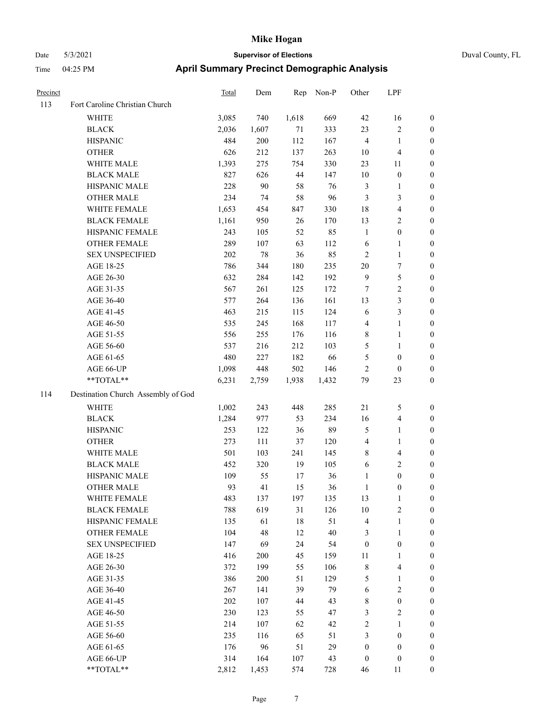| <b>Time</b> | 04:25 PM                       | <b>April Summary Precinct Demographic Analysis</b> |     |  |           |       |     |  |
|-------------|--------------------------------|----------------------------------------------------|-----|--|-----------|-------|-----|--|
| Precinct    |                                | <b>Total</b>                                       | Dem |  | Rep Non-P | Other | LPF |  |
| 113         | Fort Caroline Christian Church |                                                    |     |  |           |       |     |  |

| 113 | Fort Caroline Christian Church                            |            |            |           |       |                  |                                       |                  |
|-----|-----------------------------------------------------------|------------|------------|-----------|-------|------------------|---------------------------------------|------------------|
|     | <b>WHITE</b>                                              | 3,085      | 740        | 1,618     | 669   | 42               | 16                                    | $\boldsymbol{0}$ |
|     | <b>BLACK</b>                                              | 2,036      | 1,607      | 71        | 333   | 23               | $\sqrt{2}$                            | $\boldsymbol{0}$ |
|     | <b>HISPANIC</b>                                           | 484        | 200        | 112       | 167   | $\overline{4}$   | $\mathbf{1}$                          | $\boldsymbol{0}$ |
|     | <b>OTHER</b>                                              | 626        | 212        | 137       | 263   | 10               | $\overline{\mathbf{4}}$               | $\boldsymbol{0}$ |
|     | WHITE MALE                                                | 1,393      | 275        | 754       | 330   | 23               | 11                                    | $\boldsymbol{0}$ |
|     | <b>BLACK MALE</b>                                         | 827        | 626        | 44        | 147   | 10               | $\boldsymbol{0}$                      | $\boldsymbol{0}$ |
|     | HISPANIC MALE                                             | 228        | 90         | 58        | 76    | $\mathfrak{Z}$   | $\mathbf{1}$                          | 0                |
|     | <b>OTHER MALE</b>                                         | 234        | 74         | 58        | 96    | 3                | $\mathfrak{Z}$                        | 0                |
|     | WHITE FEMALE                                              | 1,653      | 454        | 847       | 330   | 18               | $\overline{\mathbf{4}}$               | 0                |
|     | <b>BLACK FEMALE</b>                                       | 1,161      | 950        | 26        | 170   | 13               | $\sqrt{2}$                            | 0                |
|     | HISPANIC FEMALE                                           | 243        | 105        | 52        | 85    | $\mathbf{1}$     | $\boldsymbol{0}$                      | $\boldsymbol{0}$ |
|     | OTHER FEMALE                                              | 289        | 107        | 63        | 112   | 6                | $\mathbf{1}$                          | $\boldsymbol{0}$ |
|     | <b>SEX UNSPECIFIED</b>                                    | 202        | 78         | 36        | 85    | $\mathfrak{2}$   | $\mathbf{1}$                          | $\boldsymbol{0}$ |
|     | AGE 18-25                                                 | 786        | 344        | 180       | 235   | 20               | $\boldsymbol{7}$                      | $\boldsymbol{0}$ |
|     | AGE 26-30                                                 | 632        | 284        | 142       | 192   | $\mathbf{9}$     | 5                                     | $\boldsymbol{0}$ |
|     | AGE 31-35                                                 | 567        | 261        | 125       | 172   | $\tau$           | $\sqrt{2}$                            | $\boldsymbol{0}$ |
|     | AGE 36-40                                                 | 577        | 264        | 136       | 161   | 13               | $\mathfrak{Z}$                        | 0                |
|     | AGE 41-45                                                 | 463        | 215        | 115       | 124   | 6                | $\mathfrak{Z}$                        | 0                |
|     | AGE 46-50                                                 | 535        | 245        | 168       | 117   | $\overline{4}$   | $\mathbf{1}$                          | 0                |
|     | AGE 51-55                                                 | 556        | 255        | 176       | 116   | 8                | $\mathbf{1}$                          | 0                |
|     | AGE 56-60                                                 | 537        | 216        | 212       | 103   | 5                | $\mathbf{1}$                          | $\boldsymbol{0}$ |
|     | AGE 61-65                                                 | 480        | 227        | 182       | 66    | 5                | $\boldsymbol{0}$                      | $\boldsymbol{0}$ |
|     | AGE 66-UP                                                 | 1,098      | 448        | 502       | 146   | $\mathfrak{2}$   | $\boldsymbol{0}$                      | $\boldsymbol{0}$ |
|     | $\mathrm{*}\mathrm{*}\mathrm{TOTAL} \mathrm{*}\mathrm{*}$ | 6,231      | 2,759      | 1,938     | 1,432 | 79               | 23                                    | $\boldsymbol{0}$ |
| 114 | Destination Church Assembly of God                        |            |            |           |       |                  |                                       |                  |
|     | <b>WHITE</b>                                              | 1,002      | 243        | 448       | 285   | $21\,$           | $\mathfrak{S}$                        | $\boldsymbol{0}$ |
|     | <b>BLACK</b>                                              | 1,284      | 977        | 53        | 234   | 16               | $\overline{\mathbf{4}}$               | $\boldsymbol{0}$ |
|     | <b>HISPANIC</b>                                           | 253        | 122        | 36        | 89    | $\mathfrak s$    | $\mathbf{1}$                          | $\boldsymbol{0}$ |
|     |                                                           |            |            |           | 120   | $\overline{4}$   | $\mathbf{1}$                          | $\boldsymbol{0}$ |
|     | <b>OTHER</b><br>WHITE MALE                                | 273<br>501 | 111<br>103 | 37        | 145   | $\,$ 8 $\,$      |                                       |                  |
|     | <b>BLACK MALE</b>                                         | 452        |            | 241<br>19 | 105   | 6                | $\overline{\mathbf{4}}$<br>$\sqrt{2}$ | 0                |
|     |                                                           |            | 320        |           |       |                  |                                       | 0                |
|     | HISPANIC MALE<br><b>OTHER MALE</b>                        | 109        | 55         | 17        | 36    | $\mathbf{1}$     | $\boldsymbol{0}$                      | 0                |
|     |                                                           | 93         | 41         | 15        | 36    | $\mathbf{1}$     | $\boldsymbol{0}$                      | 0                |
|     | WHITE FEMALE                                              | 483        | 137        | 197       | 135   | 13               | $\mathbf{1}$                          | $\boldsymbol{0}$ |
|     | <b>BLACK FEMALE</b>                                       | 788        | 619        | 31        | 126   | 10               | $\sqrt{2}$                            | $\boldsymbol{0}$ |
|     | HISPANIC FEMALE                                           | 135        | 61         | 18        | 51    | 4                | $\mathbf{1}$                          | $\overline{0}$   |
|     | <b>OTHER FEMALE</b>                                       | 104        | 48         | 12        | 40    | 3                | $\mathbf{1}$                          | $\theta$         |
|     | <b>SEX UNSPECIFIED</b>                                    | 147        | 69         | 24        | 54    | $\boldsymbol{0}$ | $\boldsymbol{0}$                      | 0                |
|     | AGE 18-25                                                 | 416        | 200        | 45        | 159   | 11               | $\mathbf{1}$                          | 0                |
|     | AGE 26-30                                                 | 372        | 199        | 55        | 106   | $\,$ 8 $\,$      | $\overline{\mathbf{4}}$               | 0                |
|     | AGE 31-35                                                 | 386        | 200        | 51        | 129   | 5                | $\mathbf{1}$                          | 0                |
|     | AGE 36-40                                                 | 267        | 141        | 39        | 79    | 6                | $\sqrt{2}$                            | 0                |
|     | AGE 41-45                                                 | 202        | 107        | 44        | 43    | $\,$ 8 $\,$      | $\boldsymbol{0}$                      | $\overline{0}$   |
|     | AGE 46-50                                                 | 230        | 123        | 55        | 47    | 3                | $\sqrt{2}$                            | $\boldsymbol{0}$ |
|     | AGE 51-55                                                 | 214        | 107        | 62        | 42    | $\sqrt{2}$       | $\mathbf{1}$                          | $\overline{0}$   |
|     | AGE 56-60                                                 | 235        | 116        | 65        | 51    | 3                | $\boldsymbol{0}$                      | $\boldsymbol{0}$ |
|     | AGE 61-65                                                 | 176        | 96         | 51        | 29    | $\boldsymbol{0}$ | $\boldsymbol{0}$                      | $\overline{0}$   |
|     | AGE 66-UP                                                 | 314        | 164        | 107       | 43    | $\boldsymbol{0}$ | $\boldsymbol{0}$                      | $\overline{0}$   |
|     | **TOTAL**                                                 | 2,812      | 1,453      | 574       | 728   | 46               | 11                                    | $\boldsymbol{0}$ |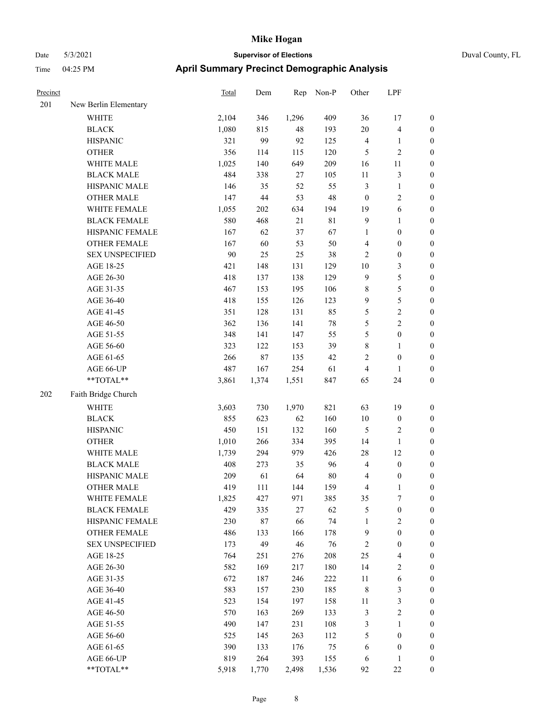| Duval County, FL |  |
|------------------|--|

| Precinct |                                                           | <b>Total</b> | Dem    | Rep    | Non-P       | Other            | LPF                     |                  |
|----------|-----------------------------------------------------------|--------------|--------|--------|-------------|------------------|-------------------------|------------------|
| 201      | New Berlin Elementary                                     |              |        |        |             |                  |                         |                  |
|          | <b>WHITE</b>                                              | 2,104        | 346    | 1,296  | 409         | 36               | 17                      | $\boldsymbol{0}$ |
|          | <b>BLACK</b>                                              | 1,080        | 815    | 48     | 193         | $20\,$           | $\overline{\mathbf{4}}$ | $\boldsymbol{0}$ |
|          | <b>HISPANIC</b>                                           | 321          | 99     | 92     | 125         | $\overline{4}$   | $\mathbf{1}$            | $\boldsymbol{0}$ |
|          | <b>OTHER</b>                                              | 356          | 114    | 115    | 120         | 5                | $\overline{c}$          | $\boldsymbol{0}$ |
|          | WHITE MALE                                                | 1,025        | 140    | 649    | 209         | 16               | 11                      | 0                |
|          | <b>BLACK MALE</b>                                         | 484          | 338    | $27\,$ | 105         | 11               | $\mathfrak{Z}$          | $\boldsymbol{0}$ |
|          | HISPANIC MALE                                             | 146          | 35     | 52     | 55          | 3                | $\mathbf{1}$            | $\boldsymbol{0}$ |
|          | <b>OTHER MALE</b>                                         | 147          | 44     | 53     | 48          | $\boldsymbol{0}$ | $\sqrt{2}$              | $\boldsymbol{0}$ |
|          | WHITE FEMALE                                              | 1,055        | 202    | 634    | 194         | 19               | 6                       | $\boldsymbol{0}$ |
|          | <b>BLACK FEMALE</b>                                       | 580          | 468    | 21     | $8\sqrt{1}$ | 9                | $\mathbf{1}$            | $\boldsymbol{0}$ |
|          | HISPANIC FEMALE                                           | 167          | 62     | 37     | 67          | $\mathbf{1}$     | $\boldsymbol{0}$        | $\boldsymbol{0}$ |
|          | OTHER FEMALE                                              | 167          | 60     | 53     | 50          | 4                | $\boldsymbol{0}$        | $\boldsymbol{0}$ |
|          | <b>SEX UNSPECIFIED</b>                                    | 90           | 25     | 25     | 38          | $\sqrt{2}$       | $\boldsymbol{0}$        | $\boldsymbol{0}$ |
|          | AGE 18-25                                                 | 421          | 148    | 131    | 129         | $10\,$           | $\mathfrak{Z}$          | $\boldsymbol{0}$ |
|          | AGE 26-30                                                 | 418          | 137    | 138    | 129         | $\overline{9}$   | 5                       | 0                |
|          | AGE 31-35                                                 | 467          | 153    | 195    | 106         | $\,$ 8 $\,$      | $\mathfrak s$           | $\boldsymbol{0}$ |
|          | AGE 36-40                                                 | 418          | 155    | 126    | 123         | $\overline{9}$   | $\mathfrak s$           | $\boldsymbol{0}$ |
|          | AGE 41-45                                                 | 351          | 128    | 131    | 85          | 5                | $\sqrt{2}$              | $\boldsymbol{0}$ |
|          | AGE 46-50                                                 | 362          | 136    | 141    | $78\,$      | 5                | $\sqrt{2}$              | $\boldsymbol{0}$ |
|          | AGE 51-55                                                 | 348          | 141    | 147    | 55          | 5                | $\boldsymbol{0}$        | $\boldsymbol{0}$ |
|          | AGE 56-60                                                 | 323          | 122    | 153    | 39          | $\,$ 8 $\,$      | $\mathbf{1}$            | $\boldsymbol{0}$ |
|          | AGE 61-65                                                 | 266          | $87\,$ | 135    | 42          | 2                | $\boldsymbol{0}$        | $\boldsymbol{0}$ |
|          | AGE 66-UP                                                 | 487          | 167    | 254    | 61          | 4                | $\mathbf{1}$            | $\boldsymbol{0}$ |
|          | $\mathrm{*}\mathrm{*}\mathrm{TOTAL} \mathrm{*}\mathrm{*}$ | 3,861        | 1,374  | 1,551  | 847         | 65               | 24                      | $\boldsymbol{0}$ |
| 202      | Faith Bridge Church                                       |              |        |        |             |                  |                         |                  |
|          | WHITE                                                     | 3,603        | 730    | 1,970  | 821         | 63               | 19                      | $\boldsymbol{0}$ |
|          | <b>BLACK</b>                                              | 855          | 623    | 62     | 160         | 10               | $\boldsymbol{0}$        | 0                |
|          | <b>HISPANIC</b>                                           | 450          | 151    | 132    | 160         | 5                | $\overline{c}$          | 0                |
|          | <b>OTHER</b>                                              | 1,010        | 266    | 334    | 395         | 14               | $\mathbf{1}$            | $\boldsymbol{0}$ |
|          | WHITE MALE                                                | 1,739        | 294    | 979    | 426         | 28               | 12                      | $\boldsymbol{0}$ |
|          | <b>BLACK MALE</b>                                         | 408          | 273    | 35     | 96          | 4                | $\boldsymbol{0}$        | $\boldsymbol{0}$ |
|          | HISPANIC MALE                                             | 209          | 61     | 64     | 80          | 4                | $\boldsymbol{0}$        | $\boldsymbol{0}$ |
|          | <b>OTHER MALE</b>                                         | 419          | 111    | 144    | 159         | 4                | $\mathbf{1}$            | $\boldsymbol{0}$ |
|          | WHITE FEMALE                                              | 1,825        | 427    | 971    | 385         | 35               | $\boldsymbol{7}$        | $\overline{0}$   |
|          | <b>BLACK FEMALE</b>                                       | 429          | 335    | $27\,$ | 62          | 5                | $\boldsymbol{0}$        | 0                |
|          | HISPANIC FEMALE                                           | 230          | 87     | 66     | 74          | $\mathbf{1}$     | $\sqrt{2}$              | 0                |
|          | <b>OTHER FEMALE</b>                                       | 486          | 133    | 166    | 178         | $\overline{9}$   | $\boldsymbol{0}$        | 0                |
|          | <b>SEX UNSPECIFIED</b>                                    | 173          | 49     | 46     | 76          | $\sqrt{2}$       | $\boldsymbol{0}$        | 0                |
|          | AGE 18-25                                                 | 764          | 251    | 276    | 208         | 25               | $\overline{\mathbf{4}}$ | 0                |
|          | AGE 26-30                                                 | 582          | 169    | 217    | 180         | 14               | $\sqrt{2}$              | $\boldsymbol{0}$ |
|          | AGE 31-35                                                 | 672          | 187    | 246    | 222         | 11               | 6                       | $\boldsymbol{0}$ |
|          | AGE 36-40                                                 | 583          | 157    | 230    | 185         | 8                | $\mathfrak{Z}$          | $\boldsymbol{0}$ |
|          | AGE 41-45                                                 | 523          | 154    | 197    | 158         | 11               | $\mathfrak{Z}$          | 0                |
|          | AGE 46-50                                                 | 570          | 163    | 269    | 133         | 3                | $\sqrt{2}$              | $\overline{0}$   |
|          | AGE 51-55                                                 | 490          | 147    | 231    | 108         | 3                | $\mathbf{1}$            | $\boldsymbol{0}$ |
|          | AGE 56-60                                                 | 525          | 145    | 263    | 112         | $\mathfrak s$    | $\boldsymbol{0}$        | $\boldsymbol{0}$ |
|          | AGE 61-65                                                 | 390          | 133    | 176    | 75          | 6                | $\boldsymbol{0}$        | 0                |
|          | AGE 66-UP                                                 | 819          | 264    | 393    | 155         | 6                | $\mathbf{1}$            | 0                |
|          | **TOTAL**                                                 | 5,918        | 1,770  | 2,498  | 1,536       | 92               | $22\,$                  | $\boldsymbol{0}$ |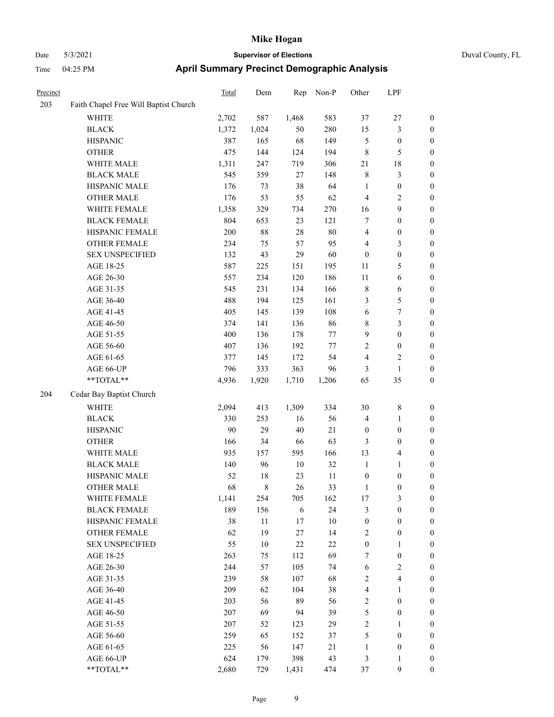|  | Duval County, |
|--|---------------|

| Precinct |                                       | <b>Total</b> | Dem   | Rep        | Non-P   | Other            | LPF                     |                  |
|----------|---------------------------------------|--------------|-------|------------|---------|------------------|-------------------------|------------------|
| 203      | Faith Chapel Free Will Baptist Church |              |       |            |         |                  |                         |                  |
|          | WHITE                                 | 2,702        | 587   | 1,468      | 583     | 37               | $27\,$                  | 0                |
|          | <b>BLACK</b>                          | 1,372        | 1,024 | 50         | 280     | 15               | $\mathfrak{Z}$          | 0                |
|          | <b>HISPANIC</b>                       | 387          | 165   | 68         | 149     | 5                | $\boldsymbol{0}$        | $\boldsymbol{0}$ |
|          | <b>OTHER</b>                          | 475          | 144   | 124        | 194     | $\,$ 8 $\,$      | $\mathfrak{S}$          | $\boldsymbol{0}$ |
|          | WHITE MALE                            | 1,311        | 247   | 719        | 306     | 21               | $18\,$                  | $\boldsymbol{0}$ |
|          | <b>BLACK MALE</b>                     | 545          | 359   | $27\,$     | 148     | $\,$ $\,$        | $\mathfrak{Z}$          | $\boldsymbol{0}$ |
|          | HISPANIC MALE                         | 176          | 73    | 38         | 64      | $\mathbf{1}$     | $\boldsymbol{0}$        | $\boldsymbol{0}$ |
|          | <b>OTHER MALE</b>                     | 176          | 53    | 55         | 62      | $\overline{4}$   | $\sqrt{2}$              | $\boldsymbol{0}$ |
|          | WHITE FEMALE                          | 1,358        | 329   | 734        | 270     | 16               | $\boldsymbol{9}$        | $\boldsymbol{0}$ |
|          | <b>BLACK FEMALE</b>                   | 804          | 653   | 23         | 121     | 7                | $\boldsymbol{0}$        | $\boldsymbol{0}$ |
|          | HISPANIC FEMALE                       | 200          | 88    | $28\,$     | $80\,$  | $\overline{4}$   | $\boldsymbol{0}$        | 0                |
|          | OTHER FEMALE                          | 234          | 75    | 57         | 95      | 4                | 3                       | 0                |
|          | <b>SEX UNSPECIFIED</b>                | 132          | 43    | 29         | 60      | $\boldsymbol{0}$ | $\boldsymbol{0}$        | $\boldsymbol{0}$ |
|          | AGE 18-25                             | 587          | 225   | 151        | 195     | 11               | 5                       | $\boldsymbol{0}$ |
|          | AGE 26-30                             | 557          | 234   | 120        | 186     | 11               | 6                       | $\boldsymbol{0}$ |
|          | AGE 31-35                             | 545          | 231   | 134        | 166     | $\,$ 8 $\,$      | 6                       | $\boldsymbol{0}$ |
|          | AGE 36-40                             | 488          | 194   | 125        | 161     | 3                | $\mathfrak{S}$          | $\boldsymbol{0}$ |
|          | AGE 41-45                             | 405          | 145   | 139        | 108     | 6                | $\boldsymbol{7}$        | $\boldsymbol{0}$ |
|          | AGE 46-50                             | 374          | 141   | 136        | 86      | 8                | $\mathfrak{Z}$          | $\boldsymbol{0}$ |
|          | AGE 51-55                             | 400          | 136   | 178        | 77      | 9                | $\boldsymbol{0}$        | 0                |
|          | AGE 56-60                             | 407          | 136   | 192        | $77 \,$ | $\overline{c}$   | $\boldsymbol{0}$        | 0                |
|          | AGE 61-65                             | 377          | 145   | 172        | 54      | 4                | $\overline{c}$          | 0                |
|          | AGE 66-UP                             | 796          | 333   | 363        | 96      | 3                | $\mathbf{1}$            | 0                |
|          | **TOTAL**                             | 4,936        | 1,920 | 1,710      | 1,206   | 65               | 35                      | $\boldsymbol{0}$ |
| 204      | Cedar Bay Baptist Church              |              |       |            |         |                  |                         |                  |
|          | <b>WHITE</b>                          | 2,094        | 413   | 1,309      | 334     | 30               | $\,8\,$                 | $\boldsymbol{0}$ |
|          | <b>BLACK</b>                          | 330          | 253   | 16         | 56      | 4                | $\mathbf{1}$            | $\boldsymbol{0}$ |
|          | <b>HISPANIC</b>                       | 90           | 29    | $40\,$     | 21      | $\boldsymbol{0}$ | $\boldsymbol{0}$        | $\boldsymbol{0}$ |
|          | <b>OTHER</b>                          | 166          | 34    | 66         | 63      | 3                | $\boldsymbol{0}$        | $\boldsymbol{0}$ |
|          | WHITE MALE                            | 935          | 157   | 595        | 166     | 13               | $\overline{\mathbf{4}}$ | $\boldsymbol{0}$ |
|          | <b>BLACK MALE</b>                     | 140          | 96    | 10         | 32      | $\mathbf{1}$     | $\mathbf{1}$            | $\boldsymbol{0}$ |
|          | HISPANIC MALE                         | 52           | 18    | 23         | 11      | $\boldsymbol{0}$ | $\boldsymbol{0}$        | $\boldsymbol{0}$ |
|          | <b>OTHER MALE</b>                     | 68           | 8     | 26         | 33      | 1                | $\boldsymbol{0}$        | $\boldsymbol{0}$ |
|          | WHITE FEMALE                          | 1,141        | 254   | 705        | 162     | 17               | 3                       | 0                |
|          | <b>BLACK FEMALE</b>                   | 189          | 156   | $\sqrt{6}$ | 24      | 3                | $\boldsymbol{0}$        | $\boldsymbol{0}$ |
|          | HISPANIC FEMALE                       | 38           | 11    | 17         | $10\,$  | $\boldsymbol{0}$ | $\boldsymbol{0}$        | $\boldsymbol{0}$ |
|          | <b>OTHER FEMALE</b>                   | 62           | 19    | 27         | 14      | 2                | $\boldsymbol{0}$        | 0                |
|          | SEX UNSPECIFIED                       | 55           | 10    | $22\,$     | 22      | $\boldsymbol{0}$ | $\mathbf{1}$            | 0                |
|          | AGE 18-25                             | 263          | 75    | 112        | 69      | 7                | $\boldsymbol{0}$        | 0                |
|          | AGE 26-30                             | 244          | 57    | 105        | 74      | 6                | $\overline{2}$          | 0                |
|          | AGE 31-35                             | 239          | 58    | 107        | 68      | $\sqrt{2}$       | $\overline{\mathbf{4}}$ | 0                |
|          | AGE 36-40                             | 209          | 62    | 104        | 38      | 4                | $\mathbf{1}$            | 0                |
|          | AGE 41-45                             | 203          | 56    | 89         | 56      | $\sqrt{2}$       | $\boldsymbol{0}$        | 0                |
|          | AGE 46-50                             | 207          | 69    | 94         | 39      | $\mathfrak s$    | $\boldsymbol{0}$        | 0                |
|          | AGE 51-55                             | 207          | 52    | 123        | 29      | $\sqrt{2}$       | $\mathbf{1}$            | $\boldsymbol{0}$ |
|          | AGE 56-60                             | 259          | 65    | 152        | 37      | 5                | $\boldsymbol{0}$        | $\boldsymbol{0}$ |
|          | AGE 61-65                             | 225          | 56    | 147        | 21      | $\mathbf{1}$     | $\boldsymbol{0}$        | $\overline{0}$   |
|          | AGE 66-UP                             | 624          | 179   | 398        | 43      | 3                | $\mathbf{1}$            | $\boldsymbol{0}$ |
|          | **TOTAL**                             | 2,680        | 729   | 1,431      | 474     | 37               | 9                       | $\overline{0}$   |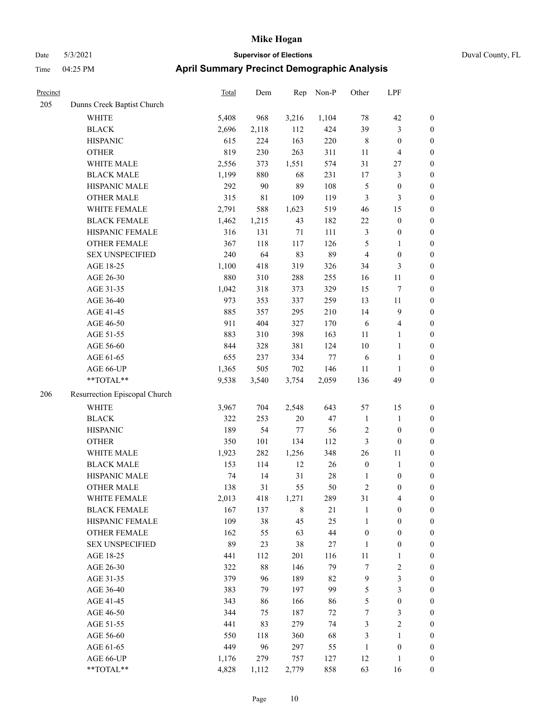## Date 5/3/2021 **Supervisor of Elections** Duval County, FL Time 04:25 PM **April Summary Precinct Demographic Analysis**

| 205 | Dunns Creek Baptist Church    |       |             |        |       |                  |                         |                  |
|-----|-------------------------------|-------|-------------|--------|-------|------------------|-------------------------|------------------|
|     | <b>WHITE</b>                  | 5,408 | 968         | 3,216  | 1,104 | 78               | 42                      | 0                |
|     | <b>BLACK</b>                  | 2,696 | 2,118       | 112    | 424   | 39               | 3                       | $\boldsymbol{0}$ |
|     | <b>HISPANIC</b>               | 615   | 224         | 163    | 220   | $\,$ 8 $\,$      | $\boldsymbol{0}$        | $\boldsymbol{0}$ |
|     | <b>OTHER</b>                  | 819   | 230         | 263    | 311   | 11               | 4                       | $\boldsymbol{0}$ |
|     | WHITE MALE                    | 2,556 | 373         | 1,551  | 574   | 31               | 27                      | $\boldsymbol{0}$ |
|     | <b>BLACK MALE</b>             | 1,199 | 880         | 68     | 231   | 17               | 3                       | $\boldsymbol{0}$ |
|     | HISPANIC MALE                 | 292   | 90          | 89     | 108   | 5                | $\boldsymbol{0}$        | $\boldsymbol{0}$ |
|     | <b>OTHER MALE</b>             | 315   | $8\sqrt{1}$ | 109    | 119   | 3                | 3                       | $\boldsymbol{0}$ |
|     | WHITE FEMALE                  | 2,791 | 588         | 1,623  | 519   | 46               | 15                      | $\boldsymbol{0}$ |
|     | <b>BLACK FEMALE</b>           | 1,462 | 1,215       | 43     | 182   | 22               | $\boldsymbol{0}$        | $\boldsymbol{0}$ |
|     | HISPANIC FEMALE               | 316   | 131         | $71\,$ | 111   | 3                | $\boldsymbol{0}$        | $\boldsymbol{0}$ |
|     | OTHER FEMALE                  | 367   | 118         | 117    | 126   | 5                | $\mathbf{1}$            | $\boldsymbol{0}$ |
|     | <b>SEX UNSPECIFIED</b>        | 240   | 64          | 83     | 89    | $\overline{4}$   | $\boldsymbol{0}$        | $\boldsymbol{0}$ |
|     | AGE 18-25                     | 1,100 | 418         | 319    | 326   | 34               | 3                       | $\boldsymbol{0}$ |
|     | AGE 26-30                     | 880   | 310         | 288    | 255   | 16               | 11                      | $\boldsymbol{0}$ |
|     | AGE 31-35                     | 1,042 | 318         | 373    | 329   | 15               | 7                       | $\boldsymbol{0}$ |
|     | AGE 36-40                     | 973   | 353         | 337    | 259   | 13               | 11                      | $\boldsymbol{0}$ |
|     | AGE 41-45                     | 885   | 357         | 295    | 210   | 14               | $\overline{9}$          | $\boldsymbol{0}$ |
|     | AGE 46-50                     | 911   | 404         | 327    | 170   | $\sqrt{6}$       | $\overline{\mathbf{4}}$ | $\boldsymbol{0}$ |
|     | AGE 51-55                     | 883   | 310         | 398    | 163   | 11               | 1                       | $\boldsymbol{0}$ |
|     | AGE 56-60                     | 844   | 328         | 381    | 124   | $10\,$           | 1                       | $\boldsymbol{0}$ |
|     | AGE 61-65                     | 655   | 237         | 334    | 77    | 6                | $\mathbf{1}$            | $\boldsymbol{0}$ |
|     | AGE 66-UP                     | 1,365 | 505         | 702    | 146   | 11               | 1                       | 0                |
|     | **TOTAL**                     | 9,538 | 3,540       | 3,754  | 2,059 | 136              | 49                      | $\boldsymbol{0}$ |
| 206 | Resurrection Episcopal Church |       |             |        |       |                  |                         |                  |
|     | <b>WHITE</b>                  | 3,967 | 704         | 2,548  | 643   | 57               | 15                      | $\boldsymbol{0}$ |
|     | <b>BLACK</b>                  | 322   | 253         | $20\,$ | 47    | $\mathbf{1}$     | $\mathbf{1}$            | $\boldsymbol{0}$ |
|     | <b>HISPANIC</b>               | 189   | 54          | $77\,$ | 56    | 2                | $\boldsymbol{0}$        | $\boldsymbol{0}$ |
|     | <b>OTHER</b>                  | 350   | 101         | 134    | 112   | 3                | $\boldsymbol{0}$        | $\boldsymbol{0}$ |
|     | WHITE MALE                    |       |             |        |       |                  |                         |                  |
|     |                               | 1,923 | 282         | 1,256  | 348   | 26               | $11\,$                  | $\boldsymbol{0}$ |
|     | <b>BLACK MALE</b>             | 153   | 114         | 12     | 26    | $\boldsymbol{0}$ | $\mathbf{1}$            | $\boldsymbol{0}$ |
|     | HISPANIC MALE                 | 74    | 14          | 31     | 28    | $\mathbf{1}$     | $\boldsymbol{0}$        | $\boldsymbol{0}$ |
|     | <b>OTHER MALE</b>             | 138   | $31\,$      | 55     | 50    | $\overline{c}$   | $\boldsymbol{0}$        | $\boldsymbol{0}$ |
|     | WHITE FEMALE                  | 2,013 | 418         | 1,271  | 289   | 31               | 4                       | $\boldsymbol{0}$ |
|     | <b>BLACK FEMALE</b>           | 167   | 137         | 8      | 21    | 1                | 0                       | 0                |
|     | HISPANIC FEMALE               | 109   | 38          | 45     | 25    | 1                | $\theta$                | 0                |
|     | OTHER FEMALE                  | 162   | 55          | 63     | 44    | $\boldsymbol{0}$ | $\boldsymbol{0}$        | 0                |
|     | <b>SEX UNSPECIFIED</b>        | 89    | 23          | 38     | 27    | 1                | $\boldsymbol{0}$        | $\overline{0}$   |
|     | AGE 18-25                     | 441   | 112         | 201    | 116   | 11               | 1                       | 0                |
|     | AGE 26-30                     | 322   | $88\,$      | 146    | 79    | 7                | $\sqrt{2}$              | 0                |
|     | AGE 31-35                     | 379   | 96          | 189    | 82    | 9                | 3                       | 0                |
|     | AGE 36-40                     | 383   | 79          | 197    | 99    | 5                | 3                       | 0                |
|     | AGE 41-45                     | 343   | 86          | 166    | 86    | 5                | $\boldsymbol{0}$        | 0                |
|     | AGE 46-50                     | 344   | 75          | 187    | 72    | 7                | 3                       | 0                |
|     | AGE 51-55                     | 441   | 83          | 279    | 74    | 3                | $\mathfrak{2}$          | 0                |
|     | AGE 56-60                     | 550   | 118         | 360    | 68    | 3                | $\mathbf{1}$            | 0                |
|     | AGE 61-65                     | 449   | 96          | 297    | 55    | 1                | $\boldsymbol{0}$        | $\boldsymbol{0}$ |
|     | AGE 66-UP                     | 1,176 | 279         | 757    | 127   | 12               | 1                       | $\overline{0}$   |

Precinct Total Dem Rep Non-P Other LPF

\*\*TOTAL\*\* 4,828 1,112 2,779 858 63 16 0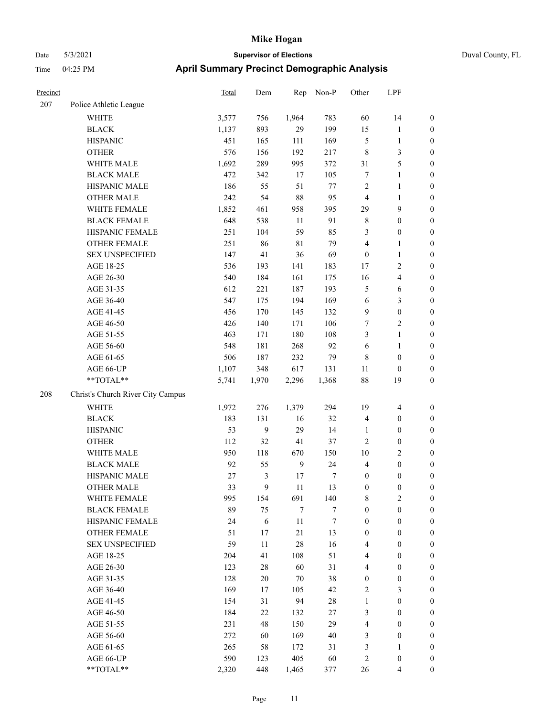| Duval County, FL |
|------------------|
|------------------|

| Precinct |                                   | Total  | Dem            | Rep         | Non-P            | Other            | LPF                     |                  |
|----------|-----------------------------------|--------|----------------|-------------|------------------|------------------|-------------------------|------------------|
| 207      | Police Athletic League            |        |                |             |                  |                  |                         |                  |
|          | WHITE                             | 3,577  | 756            | 1,964       | 783              | 60               | 14                      | $\boldsymbol{0}$ |
|          | <b>BLACK</b>                      | 1,137  | 893            | 29          | 199              | 15               | $\mathbf{1}$            | $\boldsymbol{0}$ |
|          | <b>HISPANIC</b>                   | 451    | 165            | 111         | 169              | 5                | $\mathbf{1}$            | $\boldsymbol{0}$ |
|          | <b>OTHER</b>                      | 576    | 156            | 192         | 217              | $\,$ 8 $\,$      | $\mathfrak{Z}$          | $\boldsymbol{0}$ |
|          | WHITE MALE                        | 1,692  | 289            | 995         | 372              | 31               | $\mathfrak{S}$          | $\boldsymbol{0}$ |
|          | <b>BLACK MALE</b>                 | 472    | 342            | 17          | 105              | 7                | $\mathbf{1}$            | $\boldsymbol{0}$ |
|          | HISPANIC MALE                     | 186    | 55             | 51          | 77               | $\overline{c}$   | $\mathbf{1}$            | $\boldsymbol{0}$ |
|          | <b>OTHER MALE</b>                 | 242    | 54             | $88\,$      | 95               | $\overline{4}$   | $\mathbf{1}$            | $\boldsymbol{0}$ |
|          | WHITE FEMALE                      | 1,852  | 461            | 958         | 395              | 29               | 9                       | $\boldsymbol{0}$ |
|          | <b>BLACK FEMALE</b>               | 648    | 538            | 11          | 91               | $\,$ 8 $\,$      | $\boldsymbol{0}$        | $\boldsymbol{0}$ |
|          | HISPANIC FEMALE                   | 251    | 104            | 59          | 85               | 3                | $\boldsymbol{0}$        | $\boldsymbol{0}$ |
|          | OTHER FEMALE                      | 251    | 86             | $8\sqrt{1}$ | 79               | $\overline{4}$   | $\mathbf{1}$            | 0                |
|          | <b>SEX UNSPECIFIED</b>            | 147    | 41             | 36          | 69               | $\boldsymbol{0}$ | $\mathbf{1}$            | $\boldsymbol{0}$ |
|          | AGE 18-25                         | 536    | 193            | 141         | 183              | 17               | $\sqrt{2}$              | $\boldsymbol{0}$ |
|          | AGE 26-30                         | 540    | 184            | 161         | 175              | 16               | $\overline{\mathbf{4}}$ | $\boldsymbol{0}$ |
|          | AGE 31-35                         | 612    | 221            | 187         | 193              | 5                | 6                       | $\boldsymbol{0}$ |
|          | AGE 36-40                         | 547    | 175            | 194         | 169              | 6                | $\mathfrak{Z}$          | $\boldsymbol{0}$ |
|          | AGE 41-45                         | 456    | 170            | 145         | 132              | 9                | $\boldsymbol{0}$        | $\boldsymbol{0}$ |
|          | AGE 46-50                         | 426    | 140            | 171         | 106              | 7                | $\sqrt{2}$              | $\boldsymbol{0}$ |
|          | AGE 51-55                         | 463    | 171            | 180         | 108              | 3                | $\mathbf{1}$            | $\boldsymbol{0}$ |
|          | AGE 56-60                         | 548    | 181            | 268         | 92               | 6                | $\mathbf{1}$            | $\boldsymbol{0}$ |
|          | AGE 61-65                         | 506    | 187            | 232         | 79               | $\,$ 8 $\,$      | $\boldsymbol{0}$        | 0                |
|          | AGE 66-UP                         | 1,107  | 348            | 617         | 131              | 11               | $\boldsymbol{0}$        | 0                |
|          | $**TOTAL**$                       | 5,741  | 1,970          | 2,296       | 1,368            | 88               | 19                      | $\boldsymbol{0}$ |
| 208      | Christ's Church River City Campus |        |                |             |                  |                  |                         |                  |
|          | <b>WHITE</b>                      | 1,972  | 276            | 1,379       | 294              | 19               | 4                       | $\boldsymbol{0}$ |
|          | <b>BLACK</b>                      | 183    | 131            | 16          | 32               | $\overline{4}$   | $\boldsymbol{0}$        | $\boldsymbol{0}$ |
|          | <b>HISPANIC</b>                   | 53     | 9              | 29          | 14               | 1                | $\boldsymbol{0}$        | $\boldsymbol{0}$ |
|          | <b>OTHER</b>                      | 112    | 32             | 41          | 37               | $\overline{c}$   | $\boldsymbol{0}$        | $\boldsymbol{0}$ |
|          | WHITE MALE                        | 950    | 118            | 670         | 150              | 10               | $\sqrt{2}$              | $\boldsymbol{0}$ |
|          | <b>BLACK MALE</b>                 | 92     | 55             | 9           | 24               | 4                | $\boldsymbol{0}$        | $\boldsymbol{0}$ |
|          | HISPANIC MALE                     | $27\,$ | $\mathfrak{Z}$ | 17          | 7                | $\boldsymbol{0}$ | $\boldsymbol{0}$        | $\boldsymbol{0}$ |
|          | <b>OTHER MALE</b>                 | 33     | 9              | 11          | 13               | $\boldsymbol{0}$ | $\boldsymbol{0}$        | $\boldsymbol{0}$ |
|          | WHITE FEMALE                      | 995    | 154            | 691         | 140              | 8                | $\mathbf{2}$            | 0                |
|          | <b>BLACK FEMALE</b>               | 89     | 75             | 7           | 7                | $\boldsymbol{0}$ | $\boldsymbol{0}$        | 0                |
|          | HISPANIC FEMALE                   | 24     | $\sqrt{6}$     | 11          | $\boldsymbol{7}$ | $\boldsymbol{0}$ | $\boldsymbol{0}$        | $\overline{0}$   |
|          | OTHER FEMALE                      | 51     | 17             | 21          | 13               | $\boldsymbol{0}$ | $\boldsymbol{0}$        | $\overline{0}$   |
|          | <b>SEX UNSPECIFIED</b>            | 59     | 11             | 28          | 16               | 4                | $\boldsymbol{0}$        | $\overline{0}$   |
|          | AGE 18-25                         | 204    | 41             | 108         | 51               | 4                | $\boldsymbol{0}$        | $\overline{0}$   |
|          | AGE 26-30                         | 123    | 28             | 60          | 31               | 4                | $\boldsymbol{0}$        | $\overline{0}$   |
|          | AGE 31-35                         | 128    | $20\,$         | 70          | 38               | $\boldsymbol{0}$ | $\boldsymbol{0}$        | $\overline{0}$   |
|          | AGE 36-40                         | 169    | 17             | 105         | 42               | $\mathbf{2}$     | $\mathfrak{Z}$          | $\overline{0}$   |
|          | AGE 41-45                         | 154    | 31             | 94          | $28\,$           | $\mathbf{1}$     | $\boldsymbol{0}$        | $\overline{0}$   |
|          | AGE 46-50                         | 184    | 22             | 132         | 27               | 3                | $\boldsymbol{0}$        | 0                |
|          | AGE 51-55                         | 231    | 48             | 150         | 29               | 4                | $\boldsymbol{0}$        | $\boldsymbol{0}$ |
|          | AGE 56-60                         | 272    | 60             | 169         | $40\,$           | 3                | $\boldsymbol{0}$        | $\boldsymbol{0}$ |
|          | AGE 61-65                         | 265    | 58             | 172         | 31               | 3                | $\mathbf{1}$            | $\boldsymbol{0}$ |
|          | AGE 66-UP                         | 590    | 123            | 405         | 60               | $\overline{c}$   | $\boldsymbol{0}$        | $\boldsymbol{0}$ |
|          | $**TOTAL**$                       | 2,320  | 448            | 1,465       | 377              | $26\,$           | $\overline{4}$          | $\boldsymbol{0}$ |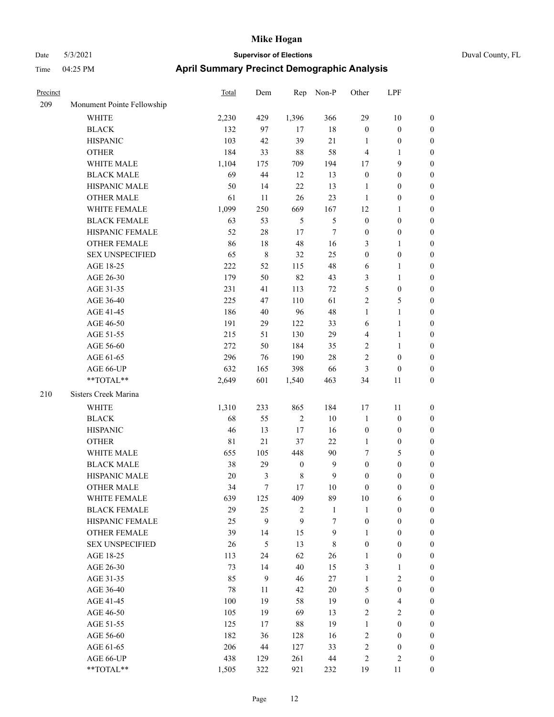| Precinct |                            | <b>Total</b> | Dem         | Rep              | Non-P  | Other            | LPF              |                  |
|----------|----------------------------|--------------|-------------|------------------|--------|------------------|------------------|------------------|
| 209      | Monument Pointe Fellowship |              |             |                  |        |                  |                  |                  |
|          | <b>WHITE</b>               | 2,230        | 429         | 1,396            | 366    | 29               | 10               | $\mathbf{0}$     |
|          | <b>BLACK</b>               | 132          | 97          | 17               | $18\,$ | $\boldsymbol{0}$ | $\boldsymbol{0}$ | $\boldsymbol{0}$ |
|          | <b>HISPANIC</b>            | 103          | 42          | 39               | $21\,$ | 1                | $\boldsymbol{0}$ | $\boldsymbol{0}$ |
|          | <b>OTHER</b>               | 184          | 33          | 88               | 58     | $\overline{4}$   | 1                | $\boldsymbol{0}$ |
|          | WHITE MALE                 | 1,104        | 175         | 709              | 194    | 17               | 9                | $\boldsymbol{0}$ |
|          | <b>BLACK MALE</b>          | 69           | 44          | 12               | 13     | $\boldsymbol{0}$ | $\boldsymbol{0}$ | $\boldsymbol{0}$ |
|          | HISPANIC MALE              | 50           | 14          | $22\,$           | 13     | 1                | $\boldsymbol{0}$ | $\boldsymbol{0}$ |
|          | <b>OTHER MALE</b>          | 61           | 11          | $26\,$           | 23     | $\mathbf{1}$     | $\boldsymbol{0}$ | $\boldsymbol{0}$ |
|          | WHITE FEMALE               | 1,099        | 250         | 669              | 167    | 12               | 1                | $\boldsymbol{0}$ |
|          | <b>BLACK FEMALE</b>        | 63           | 53          | $\mathfrak{H}$   | 5      | $\boldsymbol{0}$ | $\boldsymbol{0}$ | $\boldsymbol{0}$ |
|          | HISPANIC FEMALE            | 52           | $28\,$      | 17               | 7      | $\boldsymbol{0}$ | $\boldsymbol{0}$ | $\boldsymbol{0}$ |
|          | <b>OTHER FEMALE</b>        | 86           | 18          | $48\,$           | 16     | $\mathfrak{Z}$   | 1                | $\boldsymbol{0}$ |
|          | <b>SEX UNSPECIFIED</b>     | 65           | $\,$ 8 $\,$ | 32               | 25     | $\boldsymbol{0}$ | $\boldsymbol{0}$ | $\boldsymbol{0}$ |
|          | AGE 18-25                  | 222          | 52          | 115              | 48     | 6                | 1                | $\boldsymbol{0}$ |
|          | AGE 26-30                  | 179          | 50          | 82               | 43     | 3                | $\mathbf{1}$     | $\boldsymbol{0}$ |
|          | AGE 31-35                  | 231          | 41          | 113              | 72     | $\mathfrak{S}$   | $\boldsymbol{0}$ | $\boldsymbol{0}$ |
|          | AGE 36-40                  | 225          | 47          | 110              | 61     | $\sqrt{2}$       | 5                | $\boldsymbol{0}$ |
|          | AGE 41-45                  | 186          | 40          | 96               | 48     | $\mathbf{1}$     | 1                | $\boldsymbol{0}$ |
|          | AGE 46-50                  | 191          | 29          | 122              | 33     | 6                | 1                | $\boldsymbol{0}$ |
|          | AGE 51-55                  | 215          | 51          | 130              | 29     | $\overline{4}$   | 1                | $\boldsymbol{0}$ |
|          | AGE 56-60                  | 272          | 50          | 184              | 35     | $\overline{2}$   | 1                | $\boldsymbol{0}$ |
|          | AGE 61-65                  | 296          | 76          | 190              | 28     | $\overline{c}$   | $\boldsymbol{0}$ | $\boldsymbol{0}$ |
|          | AGE 66-UP                  | 632          | 165         | 398              | 66     | $\mathfrak{Z}$   | $\boldsymbol{0}$ | $\boldsymbol{0}$ |
|          | **TOTAL**                  | 2,649        | 601         | 1,540            | 463    | 34               | 11               | $\boldsymbol{0}$ |
| 210      | Sisters Creek Marina       |              |             |                  |        |                  |                  |                  |
|          | <b>WHITE</b>               | 1,310        | 233         | 865              | 184    | 17               | 11               | $\boldsymbol{0}$ |
|          | <b>BLACK</b>               | 68           | 55          | $\overline{2}$   | $10\,$ | $\mathbf{1}$     | $\boldsymbol{0}$ | $\boldsymbol{0}$ |
|          | <b>HISPANIC</b>            | 46           | 13          | 17               | 16     | $\boldsymbol{0}$ | $\boldsymbol{0}$ | $\boldsymbol{0}$ |
|          | <b>OTHER</b>               | 81           | 21          | 37               | 22     | 1                | $\boldsymbol{0}$ | $\boldsymbol{0}$ |
|          | WHITE MALE                 | 655          | 105         | 448              | 90     | $\tau$           | 5                | $\boldsymbol{0}$ |
|          | <b>BLACK MALE</b>          | 38           | 29          | $\boldsymbol{0}$ | 9      | $\boldsymbol{0}$ | $\boldsymbol{0}$ | $\boldsymbol{0}$ |
|          | HISPANIC MALE              | 20           | 3           | $\,$ 8 $\,$      | 9      | $\boldsymbol{0}$ | $\boldsymbol{0}$ | $\boldsymbol{0}$ |
|          | <b>OTHER MALE</b>          | 34           | 7           | 17               | 10     | $\boldsymbol{0}$ | 0                | $\boldsymbol{0}$ |
|          | WHITE FEMALE               | 639          | 125         | 409              | 89     | $10\,$           | 6                | $\mathbf{0}$     |
|          | <b>BLACK FEMALE</b>        | 29           | 25          | $\overline{c}$   | 1      | $\mathbf{1}$     | $\boldsymbol{0}$ | $\boldsymbol{0}$ |
|          | HISPANIC FEMALE            | 25           | 9           | $\mathbf{9}$     | $\tau$ | $\boldsymbol{0}$ | $\boldsymbol{0}$ | $\boldsymbol{0}$ |
|          | OTHER FEMALE               | 39           | 14          | 15               | 9      | 1                | $\boldsymbol{0}$ | $\boldsymbol{0}$ |
|          | <b>SEX UNSPECIFIED</b>     | 26           | 5           | 13               | 8      | $\boldsymbol{0}$ | $\boldsymbol{0}$ | $\boldsymbol{0}$ |
|          | AGE 18-25                  | 113          | 24          | 62               | 26     | 1                | $\boldsymbol{0}$ | $\boldsymbol{0}$ |
|          | AGE 26-30                  | 73           | 14          | 40               | 15     | $\mathfrak{Z}$   | 1                | $\boldsymbol{0}$ |
|          | AGE 31-35                  | 85           | 9           | 46               | 27     | $\mathbf{1}$     | 2                | $\boldsymbol{0}$ |
|          | AGE 36-40                  | 78           | 11          | 42               | $20\,$ | $\mathfrak{S}$   | $\boldsymbol{0}$ | $\boldsymbol{0}$ |
|          | AGE 41-45                  | 100          | 19          | 58               | 19     | $\boldsymbol{0}$ | 4                | $\boldsymbol{0}$ |
|          | AGE 46-50                  | 105          | 19          | 69               | 13     | $\sqrt{2}$       | $\mathbf{2}$     | $\boldsymbol{0}$ |
|          | AGE 51-55                  | 125          | 17          | $88\,$           | 19     | $\mathbf{1}$     | $\boldsymbol{0}$ | $\boldsymbol{0}$ |
|          | AGE 56-60                  | 182          | 36          | 128              | 16     | $\sqrt{2}$       | $\boldsymbol{0}$ | $\boldsymbol{0}$ |
|          | AGE 61-65                  | 206          | 44          | 127              | 33     | $\sqrt{2}$       | $\boldsymbol{0}$ | $\boldsymbol{0}$ |
|          | AGE 66-UP                  | 438          | 129         | 261              | $44\,$ | $\sqrt{2}$       | 2                | $\boldsymbol{0}$ |
|          | **TOTAL**                  | 1,505        | 322         | 921              | 232    | 19               | 11               | $\boldsymbol{0}$ |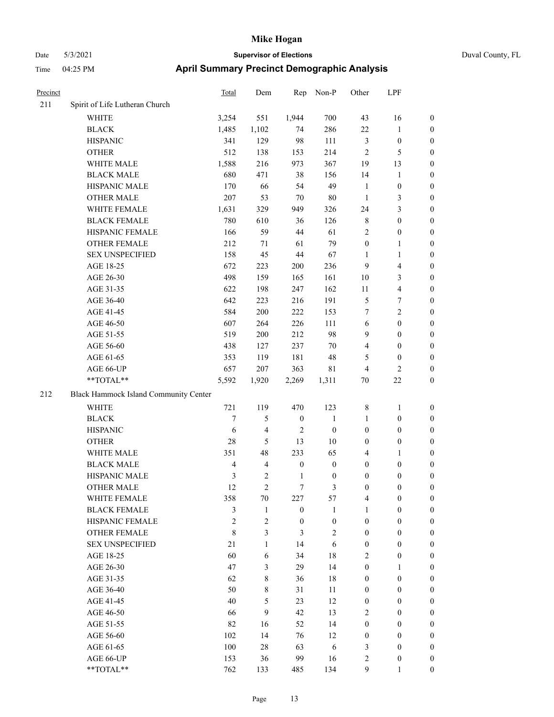|  | Duval County, FL |
|--|------------------|
|--|------------------|

| Precinct |                                                   | Total          | Dem                     |                  | Rep Non-P               | Other            | LPF                     |                  |
|----------|---------------------------------------------------|----------------|-------------------------|------------------|-------------------------|------------------|-------------------------|------------------|
| 211      | Spirit of Life Lutheran Church                    |                |                         |                  |                         |                  |                         |                  |
|          | WHITE                                             | 3,254          | 551                     | 1,944            | 700                     | 43               | 16                      | $\boldsymbol{0}$ |
|          | <b>BLACK</b>                                      | 1,485          | 1,102                   | 74               | 286                     | 22               | $\mathbf{1}$            | $\boldsymbol{0}$ |
|          | <b>HISPANIC</b>                                   | 341            | 129                     | 98               | 111                     | $\mathfrak{Z}$   | $\boldsymbol{0}$        | $\boldsymbol{0}$ |
|          | <b>OTHER</b>                                      | 512            | 138                     | 153              | 214                     | $\overline{2}$   | 5                       | $\boldsymbol{0}$ |
|          | WHITE MALE                                        | 1,588          | 216                     | 973              | 367                     | 19               | 13                      | 0                |
|          | <b>BLACK MALE</b>                                 | 680            | 471                     | 38               | 156                     | 14               | $\mathbf{1}$            | 0                |
|          | HISPANIC MALE                                     | 170            | 66                      | 54               | 49                      | $\mathbf{1}$     | $\boldsymbol{0}$        | 0                |
|          | <b>OTHER MALE</b>                                 | 207            | 53                      | 70               | $80\,$                  | $\mathbf{1}$     | 3                       | $\boldsymbol{0}$ |
|          | WHITE FEMALE                                      | 1,631          | 329                     | 949              | 326                     | 24               | 3                       | $\boldsymbol{0}$ |
|          | <b>BLACK FEMALE</b>                               | 780            | 610                     | 36               | 126                     | 8                | $\boldsymbol{0}$        | $\boldsymbol{0}$ |
|          | HISPANIC FEMALE                                   | 166            | 59                      | 44               | 61                      | $\overline{c}$   | $\boldsymbol{0}$        | $\boldsymbol{0}$ |
|          | <b>OTHER FEMALE</b>                               | 212            | 71                      | 61               | 79                      | $\boldsymbol{0}$ | $\mathbf{1}$            | $\boldsymbol{0}$ |
|          | <b>SEX UNSPECIFIED</b>                            | 158            | 45                      | $44\,$           | 67                      | $\mathbf{1}$     | $\mathbf{1}$            | $\boldsymbol{0}$ |
|          | AGE 18-25                                         | 672            | 223                     | 200              | 236                     | $\overline{9}$   | $\overline{4}$          | $\boldsymbol{0}$ |
|          | AGE 26-30                                         | 498            | 159                     | 165              | 161                     | 10               | $\mathfrak{Z}$          | 0                |
|          | AGE 31-35                                         | 622            | 198                     | 247              | 162                     | 11               | $\overline{\mathbf{4}}$ | 0                |
|          | AGE 36-40                                         | 642            | 223                     | 216              | 191                     | 5                | 7                       | 0                |
|          | AGE 41-45                                         | 584            | 200                     | 222              | 153                     | $\tau$           | $\overline{2}$          | $\boldsymbol{0}$ |
|          | AGE 46-50                                         | 607            | 264                     | 226              | 111                     | 6                | $\boldsymbol{0}$        | $\boldsymbol{0}$ |
|          | AGE 51-55                                         | 519            | 200                     | 212              | 98                      | 9                | $\boldsymbol{0}$        | $\boldsymbol{0}$ |
|          | AGE 56-60                                         | 438            | 127                     | 237              | $70\,$                  | 4                | $\boldsymbol{0}$        | $\boldsymbol{0}$ |
|          | AGE 61-65                                         | 353            | 119                     | 181              | 48                      | 5                | $\boldsymbol{0}$        | $\boldsymbol{0}$ |
|          | AGE 66-UP                                         | 657            | 207                     | 363              | 81                      | $\overline{4}$   | $\mathfrak{2}$          | $\boldsymbol{0}$ |
|          | **TOTAL**                                         | 5,592          | 1,920                   | 2,269            | 1,311                   | 70               | $22\,$                  | $\boldsymbol{0}$ |
| 212      | Black Hammock Island Community Center             |                |                         |                  |                         |                  |                         |                  |
|          | WHITE                                             | 721            | 119                     | 470              | 123                     | 8                | $\mathbf{1}$            | $\boldsymbol{0}$ |
|          | <b>BLACK</b>                                      | $\tau$         | 5                       | $\boldsymbol{0}$ | $\mathbf{1}$            | $\mathbf{1}$     | $\boldsymbol{0}$        | $\boldsymbol{0}$ |
|          | <b>HISPANIC</b>                                   | 6              | $\overline{\mathbf{4}}$ | $\overline{2}$   | $\boldsymbol{0}$        | $\boldsymbol{0}$ | $\boldsymbol{0}$        | 0                |
|          | <b>OTHER</b>                                      | 28             | 5                       | 13               | $10\,$                  | $\boldsymbol{0}$ | $\boldsymbol{0}$        | 0                |
|          | WHITE MALE                                        | 351            | 48                      | 233              | 65                      | 4                | $\mathbf{1}$            | $\boldsymbol{0}$ |
|          | <b>BLACK MALE</b>                                 | $\overline{4}$ | 4                       | $\boldsymbol{0}$ | $\boldsymbol{0}$        | $\boldsymbol{0}$ | $\boldsymbol{0}$        | $\boldsymbol{0}$ |
|          | HISPANIC MALE                                     | 3              | $\overline{c}$          | 1                | $\boldsymbol{0}$        | 0                | $\boldsymbol{0}$        | $\boldsymbol{0}$ |
|          | <b>OTHER MALE</b>                                 | 12             | 2                       | 7                | 3                       | $\boldsymbol{0}$ | $\boldsymbol{0}$        | $\Omega$         |
|          | WHITE FEMALE                                      | 358            | 70                      | 227              | 57                      | 4                | $\boldsymbol{0}$        | $\boldsymbol{0}$ |
|          | <b>BLACK FEMALE</b>                               | 3              | $\mathbf{1}$            | $\boldsymbol{0}$ | $\mathbf{1}$            | $\mathbf{1}$     | $\boldsymbol{0}$        | $\boldsymbol{0}$ |
|          | HISPANIC FEMALE                                   | $\sqrt{2}$     | 2                       | $\boldsymbol{0}$ | $\boldsymbol{0}$        | $\boldsymbol{0}$ | $\boldsymbol{0}$        | $\boldsymbol{0}$ |
|          | OTHER FEMALE                                      | $\,$ $\,$      | 3                       | 3                | $\overline{\mathbf{c}}$ | $\boldsymbol{0}$ | $\boldsymbol{0}$        | 0                |
|          | <b>SEX UNSPECIFIED</b>                            | 21             | $\mathbf{1}$            | 14               | 6                       | $\boldsymbol{0}$ | $\boldsymbol{0}$        | 0                |
|          | AGE 18-25                                         | 60             | 6                       | 34               | $18\,$                  | 2                | $\boldsymbol{0}$        | 0                |
|          | AGE 26-30                                         | 47             | 3                       | 29               | 14                      | $\boldsymbol{0}$ | $\mathbf{1}$            | $\boldsymbol{0}$ |
|          | AGE 31-35                                         | 62             | 8                       | 36               | $18\,$                  | $\boldsymbol{0}$ | $\boldsymbol{0}$        | $\boldsymbol{0}$ |
|          | AGE 36-40                                         | 50             | 8                       | 31               | 11                      | $\boldsymbol{0}$ | $\boldsymbol{0}$        | $\overline{0}$   |
|          | AGE 41-45                                         | 40             | 5                       | 23               | 12                      | $\boldsymbol{0}$ | $\boldsymbol{0}$        | $\overline{0}$   |
|          | AGE 46-50                                         | 66             | 9                       | 42               | 13                      | 2                | $\boldsymbol{0}$        | $\overline{0}$   |
|          | AGE 51-55                                         | 82             | 16                      | 52               | 14                      | $\boldsymbol{0}$ | $\boldsymbol{0}$        | 0                |
|          | AGE 56-60                                         | 102            | 14                      | 76               | 12                      | $\boldsymbol{0}$ | $\boldsymbol{0}$        | 0                |
|          | AGE 61-65                                         | 100            | 28                      | 63               | 6                       | 3                | $\boldsymbol{0}$        | 0                |
|          | AGE 66-UP                                         | 153            | 36                      | 99               | 16                      | 2                | $\boldsymbol{0}$        | 0                |
|          | $\mathrm{*}\mathrm{*} \mathrm{TOTAL} \mathrm{**}$ | 762            | 133                     | 485              | 134                     | 9                | 1                       | $\boldsymbol{0}$ |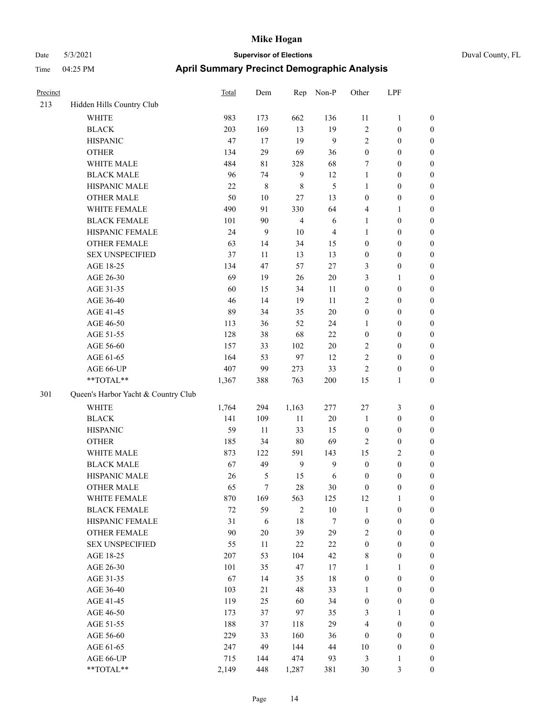| Precinct |                                     | Total | Dem    | Rep            | Non-P  | Other            | LPF              |                  |
|----------|-------------------------------------|-------|--------|----------------|--------|------------------|------------------|------------------|
| 213      | Hidden Hills Country Club           |       |        |                |        |                  |                  |                  |
|          | <b>WHITE</b>                        | 983   | 173    | 662            | 136    | 11               | $\mathbf{1}$     | $\boldsymbol{0}$ |
|          | <b>BLACK</b>                        | 203   | 169    | 13             | 19     | $\overline{2}$   | $\boldsymbol{0}$ | $\boldsymbol{0}$ |
|          | <b>HISPANIC</b>                     | 47    | 17     | 19             | 9      | $\overline{2}$   | $\boldsymbol{0}$ | $\boldsymbol{0}$ |
|          | <b>OTHER</b>                        | 134   | 29     | 69             | 36     | $\boldsymbol{0}$ | $\boldsymbol{0}$ | $\boldsymbol{0}$ |
|          | WHITE MALE                          | 484   | 81     | 328            | 68     | $\tau$           | $\boldsymbol{0}$ | $\boldsymbol{0}$ |
|          | <b>BLACK MALE</b>                   | 96    | 74     | 9              | 12     | $\mathbf{1}$     | $\boldsymbol{0}$ | $\boldsymbol{0}$ |
|          | HISPANIC MALE                       | 22    | 8      | $\,8\,$        | 5      | $\mathbf{1}$     | $\boldsymbol{0}$ | $\boldsymbol{0}$ |
|          | <b>OTHER MALE</b>                   | 50    | 10     | 27             | 13     | $\mathbf{0}$     | $\boldsymbol{0}$ | $\boldsymbol{0}$ |
|          | WHITE FEMALE                        | 490   | 91     | 330            | 64     | $\overline{4}$   | 1                | $\boldsymbol{0}$ |
|          | <b>BLACK FEMALE</b>                 | 101   | 90     | $\overline{4}$ | 6      | 1                | $\boldsymbol{0}$ | $\boldsymbol{0}$ |
|          | HISPANIC FEMALE                     | 24    | 9      | 10             | 4      | $\mathbf{1}$     | $\boldsymbol{0}$ | $\boldsymbol{0}$ |
|          | <b>OTHER FEMALE</b>                 | 63    | 14     | 34             | 15     | $\boldsymbol{0}$ | $\boldsymbol{0}$ | $\boldsymbol{0}$ |
|          | <b>SEX UNSPECIFIED</b>              | 37    | 11     | 13             | 13     | $\boldsymbol{0}$ | $\boldsymbol{0}$ | $\boldsymbol{0}$ |
|          | AGE 18-25                           | 134   | 47     | 57             | $27\,$ | 3                | $\boldsymbol{0}$ | $\boldsymbol{0}$ |
|          | AGE 26-30                           | 69    | 19     | 26             | $20\,$ | 3                | 1                | $\boldsymbol{0}$ |
|          | AGE 31-35                           | 60    | 15     | 34             | 11     | $\boldsymbol{0}$ | $\boldsymbol{0}$ | $\boldsymbol{0}$ |
|          | AGE 36-40                           | 46    | 14     | 19             | 11     | $\overline{2}$   | $\boldsymbol{0}$ | $\boldsymbol{0}$ |
|          | AGE 41-45                           | 89    | 34     | 35             | $20\,$ | $\boldsymbol{0}$ | $\boldsymbol{0}$ | $\boldsymbol{0}$ |
|          | AGE 46-50                           | 113   | 36     | 52             | 24     | 1                | $\boldsymbol{0}$ | $\boldsymbol{0}$ |
|          | AGE 51-55                           | 128   | 38     | 68             | 22     | $\boldsymbol{0}$ | $\boldsymbol{0}$ | $\boldsymbol{0}$ |
|          | AGE 56-60                           | 157   | 33     | 102            | $20\,$ | $\sqrt{2}$       | $\boldsymbol{0}$ | $\boldsymbol{0}$ |
|          | AGE 61-65                           | 164   | 53     | 97             | 12     | $\overline{2}$   | $\boldsymbol{0}$ | $\boldsymbol{0}$ |
|          | AGE 66-UP                           | 407   | 99     | 273            | 33     | $\overline{2}$   | $\boldsymbol{0}$ | $\boldsymbol{0}$ |
|          | **TOTAL**                           | 1,367 | 388    | 763            | 200    | 15               | 1                | $\boldsymbol{0}$ |
| 301      | Queen's Harbor Yacht & Country Club |       |        |                |        |                  |                  |                  |
|          | <b>WHITE</b>                        | 1,764 | 294    | 1,163          | 277    | $27\,$           | 3                | $\boldsymbol{0}$ |
|          | <b>BLACK</b>                        | 141   | 109    | $11\,$         | $20\,$ | $\mathbf{1}$     | $\boldsymbol{0}$ | $\boldsymbol{0}$ |
|          | <b>HISPANIC</b>                     | 59    | 11     | 33             | 15     | $\boldsymbol{0}$ | $\boldsymbol{0}$ | $\boldsymbol{0}$ |
|          | <b>OTHER</b>                        | 185   | 34     | 80             | 69     | $\overline{2}$   | $\boldsymbol{0}$ | $\boldsymbol{0}$ |
|          | WHITE MALE                          | 873   | 122    | 591            | 143    | 15               | 2                | $\boldsymbol{0}$ |
|          | <b>BLACK MALE</b>                   | 67    | 49     | 9              | 9      | $\boldsymbol{0}$ | $\boldsymbol{0}$ | $\boldsymbol{0}$ |
|          | HISPANIC MALE                       | 26    | 5      | 15             | 6      | $\boldsymbol{0}$ | $\boldsymbol{0}$ | $\boldsymbol{0}$ |
|          | <b>OTHER MALE</b>                   | 65    | 7      | 28             | 30     | $\boldsymbol{0}$ | $\boldsymbol{0}$ | $\boldsymbol{0}$ |
|          | WHITE FEMALE                        | 870   | 169    | 563            | 125    | 12               | $\mathbf{1}$     | $\boldsymbol{0}$ |
|          | <b>BLACK FEMALE</b>                 | 72    | 59     | $\overline{2}$ | $10\,$ | $\mathbf{1}$     | $\boldsymbol{0}$ | $\boldsymbol{0}$ |
|          | HISPANIC FEMALE                     | 31    | 6      | $18\,$         | $\tau$ | $\boldsymbol{0}$ | $\boldsymbol{0}$ | $\boldsymbol{0}$ |
|          | <b>OTHER FEMALE</b>                 | 90    | $20\,$ | 39             | 29     | $\sqrt{2}$       | $\boldsymbol{0}$ | $\boldsymbol{0}$ |
|          | <b>SEX UNSPECIFIED</b>              | 55    | 11     | 22             | 22     | $\boldsymbol{0}$ | $\boldsymbol{0}$ | $\boldsymbol{0}$ |
|          | AGE 18-25                           | 207   | 53     | 104            | 42     | $\,$ 8 $\,$      | $\boldsymbol{0}$ | $\boldsymbol{0}$ |
|          | AGE 26-30                           | 101   | 35     | $47\,$         | 17     | $\mathbf{1}$     | 1                | $\boldsymbol{0}$ |
|          | AGE 31-35                           | 67    | 14     | 35             | $18\,$ | $\boldsymbol{0}$ | $\boldsymbol{0}$ | $\boldsymbol{0}$ |
|          | AGE 36-40                           | 103   | 21     | 48             | 33     | 1                | $\boldsymbol{0}$ | $\boldsymbol{0}$ |
|          | AGE 41-45                           | 119   | 25     | 60             | 34     | $\boldsymbol{0}$ | $\boldsymbol{0}$ | $\boldsymbol{0}$ |
|          | AGE 46-50                           | 173   | 37     | 97             | 35     | 3                | 1                | $\boldsymbol{0}$ |
|          | AGE 51-55                           | 188   | 37     | 118            | 29     | $\overline{4}$   | $\boldsymbol{0}$ | $\boldsymbol{0}$ |
|          | AGE 56-60                           | 229   | 33     | 160            | 36     | $\boldsymbol{0}$ | $\boldsymbol{0}$ | $\boldsymbol{0}$ |
|          | AGE 61-65                           | 247   | 49     | 144            | 44     | 10               | $\boldsymbol{0}$ | $\mathbf{0}$     |
|          | AGE 66-UP                           | 715   | 144    | 474            | 93     | $\mathfrak{Z}$   | 1                | $\mathbf{0}$     |
|          | **TOTAL**                           | 2,149 | 448    | 1,287          | 381    | 30               | $\mathfrak{Z}$   | $\boldsymbol{0}$ |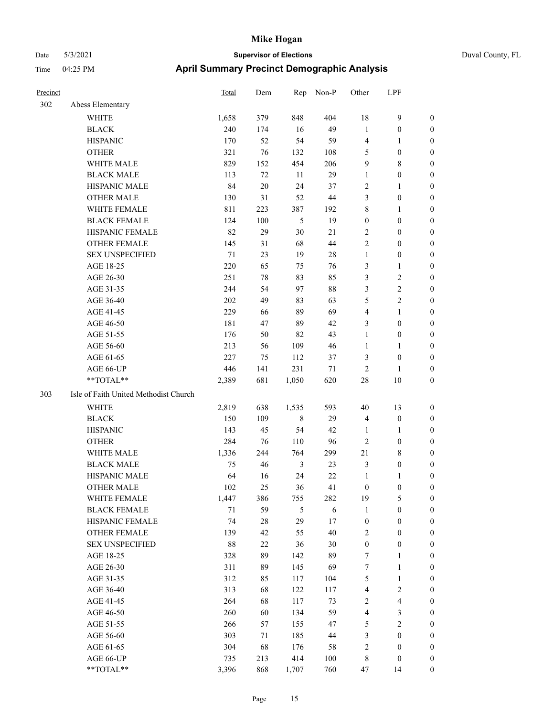| Precinct |                                                           | <b>Total</b> | Dem | Rep            | Non-P      | Other            | LPF                     |                  |
|----------|-----------------------------------------------------------|--------------|-----|----------------|------------|------------------|-------------------------|------------------|
| 302      | Abess Elementary                                          |              |     |                |            |                  |                         |                  |
|          | <b>WHITE</b>                                              | 1,658        | 379 | 848            | 404        | 18               | $\mathbf{9}$            | $\boldsymbol{0}$ |
|          | <b>BLACK</b>                                              | 240          | 174 | 16             | 49         | $\mathbf{1}$     | $\boldsymbol{0}$        | $\boldsymbol{0}$ |
|          | <b>HISPANIC</b>                                           | 170          | 52  | 54             | 59         | 4                | $\mathbf{1}$            | $\overline{0}$   |
|          | <b>OTHER</b>                                              | 321          | 76  | 132            | 108        | 5                | $\boldsymbol{0}$        | $\overline{0}$   |
|          | WHITE MALE                                                | 829          | 152 | 454            | 206        | 9                | $\,$ 8 $\,$             | $\boldsymbol{0}$ |
|          | <b>BLACK MALE</b>                                         | 113          | 72  | 11             | 29         | $\mathbf{1}$     | $\boldsymbol{0}$        | 0                |
|          | HISPANIC MALE                                             | 84           | 20  | 24             | 37         | $\overline{c}$   | $\mathbf{1}$            | 0                |
|          | <b>OTHER MALE</b>                                         | 130          | 31  | 52             | 44         | 3                | $\boldsymbol{0}$        | $\boldsymbol{0}$ |
|          | WHITE FEMALE                                              | 811          | 223 | 387            | 192        | 8                | $\mathbf{1}$            | $\boldsymbol{0}$ |
|          | <b>BLACK FEMALE</b>                                       | 124          | 100 | $\mathfrak{H}$ | 19         | $\boldsymbol{0}$ | $\boldsymbol{0}$        | $\boldsymbol{0}$ |
|          | HISPANIC FEMALE                                           | 82           | 29  | 30             | 21         | $\overline{c}$   | $\boldsymbol{0}$        | $\boldsymbol{0}$ |
|          | <b>OTHER FEMALE</b>                                       | 145          | 31  | 68             | 44         | $\mathfrak{2}$   | $\boldsymbol{0}$        | $\boldsymbol{0}$ |
|          | <b>SEX UNSPECIFIED</b>                                    | 71           | 23  | 19             | 28         | $\mathbf{1}$     | $\boldsymbol{0}$        | $\boldsymbol{0}$ |
|          | AGE 18-25                                                 | 220          | 65  | 75             | 76         | 3                | $\mathbf{1}$            | $\boldsymbol{0}$ |
|          | AGE 26-30                                                 | 251          | 78  | 83             | 85         | 3                | $\sqrt{2}$              | 0                |
|          | AGE 31-35                                                 | 244          | 54  | 97             | 88         | 3                | $\overline{2}$          | 0                |
|          | AGE 36-40                                                 | 202          | 49  | 83             | 63         | 5                | $\sqrt{2}$              | 0                |
|          | AGE 41-45                                                 | 229          | 66  | 89             | 69         | 4                | $\mathbf{1}$            | $\boldsymbol{0}$ |
|          | AGE 46-50                                                 | 181          | 47  | 89             | 42         | 3                | $\boldsymbol{0}$        | $\boldsymbol{0}$ |
|          | AGE 51-55                                                 | 176          | 50  | 82             | 43         | $\mathbf{1}$     | $\boldsymbol{0}$        | $\boldsymbol{0}$ |
|          | AGE 56-60                                                 | 213          | 56  | 109            | 46         | $\mathbf{1}$     | $\mathbf{1}$            | $\boldsymbol{0}$ |
|          | AGE 61-65                                                 | 227          | 75  | 112            | 37         | 3                | $\boldsymbol{0}$        | $\boldsymbol{0}$ |
|          | AGE 66-UP                                                 | 446          | 141 | 231            | 71         | $\sqrt{2}$       | $\mathbf{1}$            | $\overline{0}$   |
|          | **TOTAL**                                                 | 2,389        | 681 | 1,050          | 620        | 28               | $10\,$                  | $\boldsymbol{0}$ |
| 303      | Isle of Faith United Methodist Church                     |              |     |                |            |                  |                         |                  |
|          | WHITE                                                     | 2,819        | 638 | 1,535          | 593        | 40               | 13                      | $\boldsymbol{0}$ |
|          | <b>BLACK</b>                                              | 150          | 109 | $\,$ 8 $\,$    | 29         | $\overline{4}$   | $\boldsymbol{0}$        | $\boldsymbol{0}$ |
|          | <b>HISPANIC</b>                                           | 143          | 45  | 54             | 42         | 1                | $\mathbf{1}$            | 0                |
|          | <b>OTHER</b>                                              | 284          | 76  | 110            | 96         | $\overline{c}$   | $\boldsymbol{0}$        | 0                |
|          | WHITE MALE                                                | 1,336        | 244 | 764            | 299        | 21               | $\,$ 8 $\,$             | 0                |
|          | <b>BLACK MALE</b>                                         | 75           | 46  | 3              | 23         | 3                | $\boldsymbol{0}$        | 0                |
|          | HISPANIC MALE                                             | 64           | 16  | 24             | $22\,$     | $\mathbf{1}$     | 1                       | $\boldsymbol{0}$ |
|          | OTHER MALE                                                | 102          | 25  | 36             | 41         | $\boldsymbol{0}$ | 0                       | $\Omega$         |
|          | WHITE FEMALE                                              | 1,447        | 386 | 755            | 282        | 19               | 5                       | 0                |
|          | <b>BLACK FEMALE</b>                                       | $71\,$       | 59  | 5              | $\sqrt{6}$ | $\mathbf{1}$     | $\boldsymbol{0}$        | 0                |
|          | HISPANIC FEMALE                                           | 74           | 28  | 29             | 17         | $\boldsymbol{0}$ | $\boldsymbol{0}$        | 0                |
|          | <b>OTHER FEMALE</b>                                       | 139          | 42  | 55             | 40         | 2                | $\boldsymbol{0}$        | 0                |
|          | <b>SEX UNSPECIFIED</b>                                    | $88\,$       | 22  | 36             | 30         | $\boldsymbol{0}$ | $\boldsymbol{0}$        | 0                |
|          | AGE 18-25                                                 | 328          | 89  | 142            | 89         | 7                | $\mathbf{1}$            | 0                |
|          | AGE 26-30                                                 | 311          | 89  | 145            | 69         | 7                | $\mathbf{1}$            | 0                |
|          | AGE 31-35                                                 | 312          | 85  | 117            | 104        | 5                | $\mathbf{1}$            | 0                |
|          | AGE 36-40                                                 | 313          | 68  | 122            | 117        | 4                | $\sqrt{2}$              | $\boldsymbol{0}$ |
|          | AGE 41-45                                                 | 264          | 68  | 117            | 73         | $\boldsymbol{2}$ | $\overline{\mathbf{4}}$ | 0                |
|          | AGE 46-50                                                 | 260          | 60  | 134            | 59         | 4                | $\mathfrak{Z}$          | 0                |
|          | AGE 51-55                                                 | 266          | 57  | 155            | 47         | 5                | $\sqrt{2}$              | 0                |
|          | AGE 56-60                                                 | 303          | 71  | 185            | 44         | 3                | $\boldsymbol{0}$        | 0                |
|          | AGE 61-65                                                 | 304          | 68  | 176            | 58         | $\sqrt{2}$       | $\boldsymbol{0}$        | 0                |
|          | AGE 66-UP                                                 | 735          | 213 | 414            | $100\,$    | $\,$ 8 $\,$      | $\boldsymbol{0}$        | 0                |
|          | $\mathrm{*}\mathrm{*}\mathrm{TOTAL} \mathrm{*}\mathrm{*}$ | 3,396        | 868 | 1,707          | 760        | 47               | 14                      | 0                |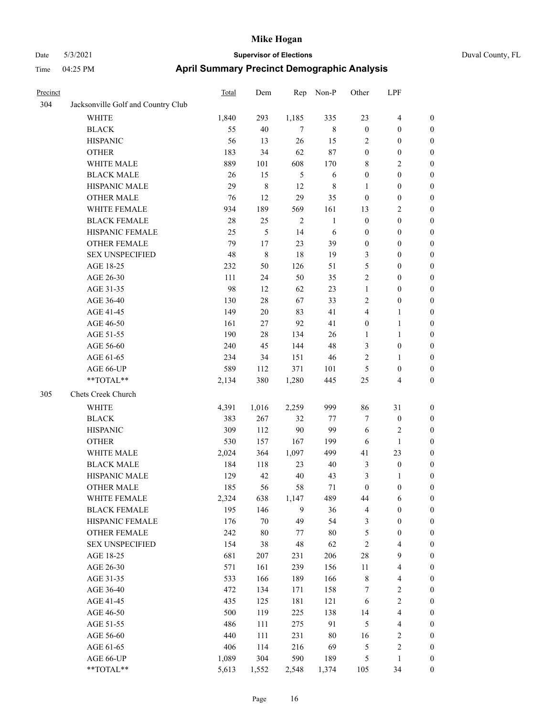|  | Duval County, FL |  |
|--|------------------|--|
|--|------------------|--|

| Precinct |                                    | Total | Dem       | Rep            | Non-P        | Other            | LPF                     |                  |
|----------|------------------------------------|-------|-----------|----------------|--------------|------------------|-------------------------|------------------|
| 304      | Jacksonville Golf and Country Club |       |           |                |              |                  |                         |                  |
|          | WHITE                              | 1,840 | 293       | 1,185          | 335          | 23               | $\overline{\mathbf{4}}$ | $\boldsymbol{0}$ |
|          | <b>BLACK</b>                       | 55    | 40        | $\tau$         | $8\,$        | $\boldsymbol{0}$ | $\boldsymbol{0}$        | $\boldsymbol{0}$ |
|          | <b>HISPANIC</b>                    | 56    | 13        | 26             | 15           | 2                | $\boldsymbol{0}$        | 0                |
|          | <b>OTHER</b>                       | 183   | 34        | 62             | 87           | $\boldsymbol{0}$ | $\boldsymbol{0}$        | 0                |
|          | WHITE MALE                         | 889   | 101       | 608            | 170          | 8                | $\mathbf{2}$            | $\boldsymbol{0}$ |
|          | <b>BLACK MALE</b>                  | 26    | 15        | $\sqrt{5}$     | 6            | $\boldsymbol{0}$ | $\boldsymbol{0}$        | $\boldsymbol{0}$ |
|          | HISPANIC MALE                      | 29    | $\,$ $\,$ | 12             | 8            | $\mathbf{1}$     | $\boldsymbol{0}$        | $\boldsymbol{0}$ |
|          | <b>OTHER MALE</b>                  | 76    | 12        | 29             | 35           | $\boldsymbol{0}$ | $\boldsymbol{0}$        | $\boldsymbol{0}$ |
|          | WHITE FEMALE                       | 934   | 189       | 569            | 161          | 13               | $\sqrt{2}$              | $\boldsymbol{0}$ |
|          | <b>BLACK FEMALE</b>                | 28    | 25        | $\overline{2}$ | $\mathbf{1}$ | $\boldsymbol{0}$ | $\boldsymbol{0}$        | $\boldsymbol{0}$ |
|          | HISPANIC FEMALE                    | 25    | 5         | 14             | 6            | $\boldsymbol{0}$ | $\boldsymbol{0}$        | $\boldsymbol{0}$ |
|          | OTHER FEMALE                       | 79    | 17        | 23             | 39           | $\boldsymbol{0}$ | $\boldsymbol{0}$        | $\boldsymbol{0}$ |
|          | <b>SEX UNSPECIFIED</b>             | 48    | 8         | 18             | 19           | 3                | $\boldsymbol{0}$        | 0                |
|          | AGE 18-25                          | 232   | 50        | 126            | 51           | 5                | $\boldsymbol{0}$        | 0                |
|          | AGE 26-30                          | 111   | 24        | 50             | 35           | $\sqrt{2}$       | $\boldsymbol{0}$        | $\boldsymbol{0}$ |
|          | AGE 31-35                          | 98    | 12        | 62             | 23           | $\mathbf{1}$     | $\boldsymbol{0}$        | $\boldsymbol{0}$ |
|          | AGE 36-40                          | 130   | 28        | 67             | 33           | 2                | $\boldsymbol{0}$        | $\boldsymbol{0}$ |
|          | AGE 41-45                          | 149   | $20\,$    | 83             | 41           | 4                | $\mathbf{1}$            | 0                |
|          | AGE 46-50                          | 161   | 27        | 92             | 41           | $\boldsymbol{0}$ | $\mathbf{1}$            | 0                |
|          | AGE 51-55                          | 190   | 28        | 134            | 26           | $\mathbf{1}$     | $\mathbf{1}$            | $\boldsymbol{0}$ |
|          | AGE 56-60                          | 240   | 45        | 144            | 48           | 3                | $\boldsymbol{0}$        | 0                |
|          | AGE 61-65                          | 234   | 34        | 151            | 46           | 2                | $\mathbf{1}$            | 0                |
|          | AGE 66-UP                          | 589   | 112       | 371            | 101          | 5                | $\boldsymbol{0}$        | 0                |
|          | $**TOTAL**$                        | 2,134 | 380       | 1,280          | 445          | 25               | $\overline{4}$          | 0                |
| 305      | Chets Creek Church                 |       |           |                |              |                  |                         |                  |
|          | <b>WHITE</b>                       | 4,391 | 1,016     | 2,259          | 999          | 86               | 31                      | 0                |
|          | <b>BLACK</b>                       | 383   | 267       | 32             | 77           | $\tau$           | $\boldsymbol{0}$        | $\boldsymbol{0}$ |
|          | <b>HISPANIC</b>                    | 309   | 112       | $90\,$         | 99           | 6                | $\sqrt{2}$              | 0                |
|          | <b>OTHER</b>                       | 530   | 157       | 167            | 199          | 6                | $\mathbf{1}$            | $\boldsymbol{0}$ |
|          | WHITE MALE                         | 2,024 | 364       | 1,097          | 499          | 41               | 23                      | $\boldsymbol{0}$ |
|          | <b>BLACK MALE</b>                  | 184   | 118       | 23             | 40           | $\mathfrak{Z}$   | $\boldsymbol{0}$        | $\boldsymbol{0}$ |
|          | HISPANIC MALE                      | 129   | 42        | $40\,$         | 43           | 3                | $\mathbf{1}$            | $\boldsymbol{0}$ |
|          | <b>OTHER MALE</b>                  | 185   | 56        | 58             | 71           | $\boldsymbol{0}$ | $\boldsymbol{0}$        | $\boldsymbol{0}$ |
|          | WHITE FEMALE                       | 2,324 | 638       | 1,147          | 489          | 44               | 6                       | 0                |
|          | <b>BLACK FEMALE</b>                | 195   | 146       | 9              | 36           | $\overline{4}$   | $\boldsymbol{0}$        | 0                |
|          | HISPANIC FEMALE                    | 176   | 70        | 49             | 54           | 3                | $\boldsymbol{0}$        | 0                |
|          | OTHER FEMALE                       | 242   | $80\,$    | 77             | $80\,$       | 5                | $\boldsymbol{0}$        | 0                |
|          | <b>SEX UNSPECIFIED</b>             | 154   | 38        | 48             | 62           | $\sqrt{2}$       | $\overline{\mathbf{4}}$ | 0                |
|          | AGE 18-25                          | 681   | 207       | 231            | 206          | $28\,$           | $\mathbf{9}$            | 0                |
|          | AGE 26-30                          | 571   | 161       | 239            | 156          | 11               | $\overline{\mathbf{4}}$ | 0                |
|          | AGE 31-35                          | 533   | 166       | 189            | 166          | $\,$ 8 $\,$      | $\overline{\mathbf{4}}$ | 0                |
|          | AGE 36-40                          | 472   | 134       | 171            | 158          | 7                | $\sqrt{2}$              | 0                |
|          | AGE 41-45                          | 435   | 125       | 181            | 121          | 6                | $\sqrt{2}$              | 0                |
|          | AGE 46-50                          | 500   | 119       | 225            | 138          | 14               | $\overline{\mathbf{4}}$ | 0                |
|          | AGE 51-55                          | 486   | 111       | 275            | 91           | 5                | $\overline{\mathbf{4}}$ | 0                |
|          | AGE 56-60                          | 440   | 111       | 231            | $80\,$       | 16               | $\sqrt{2}$              | 0                |
|          | AGE 61-65                          | 406   | 114       | 216            | 69           | 5                | $\sqrt{2}$              | $\boldsymbol{0}$ |
|          | AGE 66-UP                          | 1,089 | 304       | 590            | 189          | 5                | 1                       | $\boldsymbol{0}$ |
|          | $**TOTAL**$                        | 5,613 | 1,552     | 2,548          | 1,374        | 105              | 34                      | $\boldsymbol{0}$ |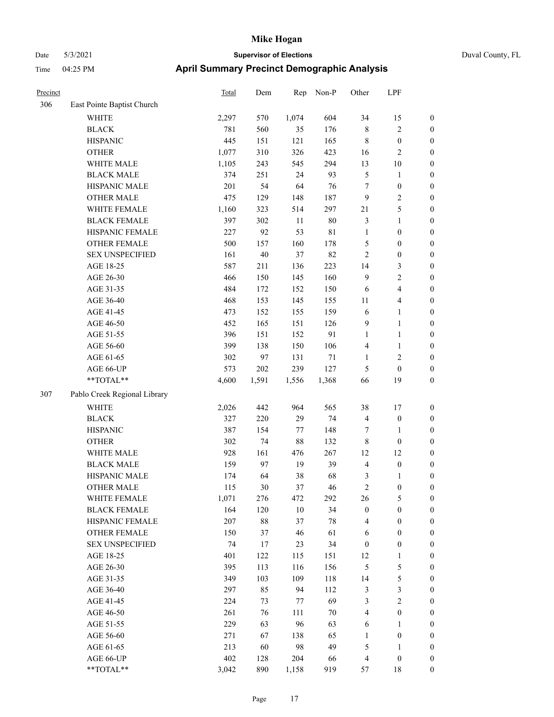|  | Duva |
|--|------|
|  |      |

| Precinct |                              | <b>Total</b> | Dem    | Rep    | Non-P  | Other            | LPF                     |                  |
|----------|------------------------------|--------------|--------|--------|--------|------------------|-------------------------|------------------|
| 306      | East Pointe Baptist Church   |              |        |        |        |                  |                         |                  |
|          | WHITE                        | 2,297        | 570    | 1,074  | 604    | 34               | 15                      | $\boldsymbol{0}$ |
|          | <b>BLACK</b>                 | 781          | 560    | 35     | 176    | $\,$ 8 $\,$      | $\sqrt{2}$              | $\boldsymbol{0}$ |
|          | <b>HISPANIC</b>              | 445          | 151    | 121    | 165    | $\,$ 8 $\,$      | $\boldsymbol{0}$        | $\boldsymbol{0}$ |
|          | <b>OTHER</b>                 | 1,077        | 310    | 326    | 423    | 16               | $\mathbf{2}$            | $\boldsymbol{0}$ |
|          | WHITE MALE                   | 1,105        | 243    | 545    | 294    | 13               | $10\,$                  | 0                |
|          | <b>BLACK MALE</b>            | 374          | 251    | 24     | 93     | 5                | $\mathbf{1}$            | 0                |
|          | HISPANIC MALE                | 201          | 54     | 64     | 76     | $\tau$           | $\boldsymbol{0}$        | $\boldsymbol{0}$ |
|          | OTHER MALE                   | 475          | 129    | 148    | 187    | 9                | $\sqrt{2}$              | $\boldsymbol{0}$ |
|          | WHITE FEMALE                 | 1,160        | 323    | 514    | 297    | 21               | $\mathfrak{S}$          | $\boldsymbol{0}$ |
|          | <b>BLACK FEMALE</b>          | 397          | 302    | $11\,$ | 80     | 3                | $\mathbf{1}$            | $\boldsymbol{0}$ |
|          | HISPANIC FEMALE              | 227          | 92     | 53     | 81     | $\mathbf{1}$     | $\boldsymbol{0}$        | $\boldsymbol{0}$ |
|          | OTHER FEMALE                 | 500          | 157    | 160    | 178    | 5                | $\boldsymbol{0}$        | $\boldsymbol{0}$ |
|          | <b>SEX UNSPECIFIED</b>       | 161          | $40\,$ | 37     | 82     | $\mathbf{2}$     | $\boldsymbol{0}$        | $\boldsymbol{0}$ |
|          | AGE 18-25                    | 587          | 211    | 136    | 223    | 14               | $\mathfrak{Z}$          | $\boldsymbol{0}$ |
|          | AGE 26-30                    | 466          | 150    | 145    | 160    | $\overline{9}$   | $\sqrt{2}$              | $\boldsymbol{0}$ |
|          | AGE 31-35                    | 484          | 172    | 152    | 150    | 6                | $\overline{\mathbf{4}}$ | 0                |
|          | AGE 36-40                    | 468          | 153    | 145    | 155    | 11               | $\overline{\mathbf{4}}$ | 0                |
|          | AGE 41-45                    | 473          | 152    | 155    | 159    | 6                | $\mathbf{1}$            | $\boldsymbol{0}$ |
|          | AGE 46-50                    | 452          | 165    | 151    | 126    | 9                | $\mathbf{1}$            | $\boldsymbol{0}$ |
|          | AGE 51-55                    | 396          | 151    | 152    | 91     | $\mathbf{1}$     | $\mathbf{1}$            | $\boldsymbol{0}$ |
|          | AGE 56-60                    | 399          | 138    | 150    | 106    | 4                | $\mathbf{1}$            | $\boldsymbol{0}$ |
|          | AGE 61-65                    | 302          | 97     | 131    | 71     | $\mathbf{1}$     | $\sqrt{2}$              | $\boldsymbol{0}$ |
|          | AGE 66-UP                    | 573          | 202    | 239    | 127    | 5                | $\boldsymbol{0}$        | $\boldsymbol{0}$ |
|          | **TOTAL**                    | 4,600        | 1,591  | 1,556  | 1,368  | 66               | 19                      | $\boldsymbol{0}$ |
| 307      | Pablo Creek Regional Library |              |        |        |        |                  |                         |                  |
|          | <b>WHITE</b>                 | 2,026        | 442    | 964    | 565    | 38               | 17                      | $\boldsymbol{0}$ |
|          | <b>BLACK</b>                 | 327          | 220    | 29     | 74     | $\overline{4}$   | $\boldsymbol{0}$        | $\boldsymbol{0}$ |
|          | <b>HISPANIC</b>              | 387          | 154    | 77     | 148    | 7                | $\mathbf{1}$            | 0                |
|          | <b>OTHER</b>                 | 302          | 74     | $88\,$ | 132    | $\,$ 8 $\,$      | $\boldsymbol{0}$        | 0                |
|          | WHITE MALE                   | 928          | 161    | 476    | 267    | 12               | 12                      | $\boldsymbol{0}$ |
|          | <b>BLACK MALE</b>            | 159          | 97     | 19     | 39     | 4                | $\boldsymbol{0}$        | $\boldsymbol{0}$ |
|          | HISPANIC MALE                | 174          | 64     | 38     | 68     | 3                | 1                       | $\boldsymbol{0}$ |
|          | <b>OTHER MALE</b>            | 115          | 30     | 37     | 46     | $\overline{c}$   | $\boldsymbol{0}$        | $\boldsymbol{0}$ |
|          | WHITE FEMALE                 | 1,071        | 276    | 472    | 292    | 26               | $\mathfrak{S}$          | $\overline{0}$   |
|          | <b>BLACK FEMALE</b>          | 164          | 120    | $10\,$ | 34     | $\boldsymbol{0}$ | $\boldsymbol{0}$        | 0                |
|          | HISPANIC FEMALE              | 207          | $88\,$ | 37     | $78\,$ | 4                | $\boldsymbol{0}$        | 0                |
|          | <b>OTHER FEMALE</b>          | 150          | 37     | $46\,$ | 61     | 6                | $\boldsymbol{0}$        | 0                |
|          | <b>SEX UNSPECIFIED</b>       | 74           | 17     | 23     | 34     | $\boldsymbol{0}$ | $\boldsymbol{0}$        | 0                |
|          | AGE 18-25                    | 401          | 122    | 115    | 151    | 12               | $\mathbf{1}$            | 0                |
|          | AGE 26-30                    | 395          | 113    | 116    | 156    | $\mathfrak{S}$   | $\mathfrak s$           | 0                |
|          | AGE 31-35                    | 349          | 103    | 109    | 118    | 14               | $\mathfrak s$           | $\boldsymbol{0}$ |
|          | AGE 36-40                    | 297          | 85     | 94     | 112    | 3                | $\mathfrak{Z}$          | $\overline{0}$   |
|          | AGE 41-45                    | 224          | 73     | 77     | 69     | 3                | $\mathbf{2}$            | 0                |
|          | AGE 46-50                    | 261          | 76     | 111    | $70\,$ | 4                | $\boldsymbol{0}$        | $\overline{0}$   |
|          | AGE 51-55                    | 229          | 63     | 96     | 63     | 6                | $\mathbf{1}$            | $\overline{0}$   |
|          | AGE 56-60                    | 271          | 67     | 138    | 65     | $\mathbf{1}$     | $\boldsymbol{0}$        | $\overline{0}$   |
|          | AGE 61-65                    | 213          | 60     | 98     | 49     | 5                | $\mathbf{1}$            | 0                |
|          | AGE 66-UP                    | 402          | 128    | 204    | 66     | $\overline{4}$   | $\boldsymbol{0}$        | 0                |
|          | **TOTAL**                    | 3,042        | 890    | 1,158  | 919    | 57               | 18                      | $\boldsymbol{0}$ |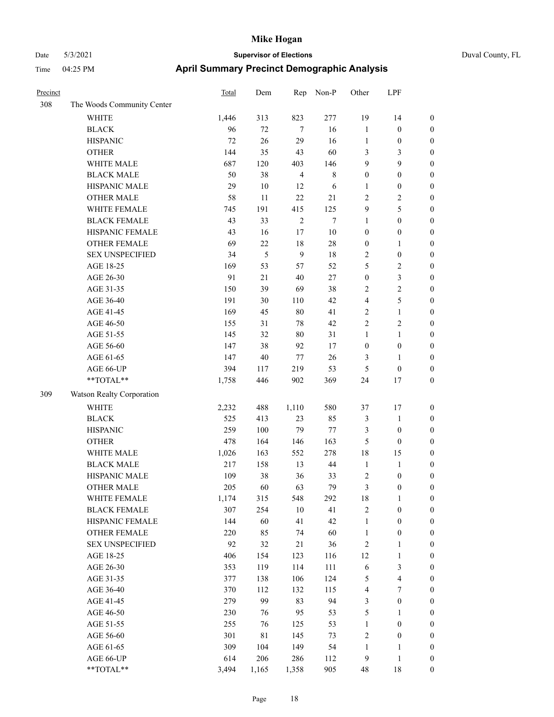| Precinct |                            | Total | Dem     | Rep            | Non-P       | Other            | LPF                     |                  |
|----------|----------------------------|-------|---------|----------------|-------------|------------------|-------------------------|------------------|
| 308      | The Woods Community Center |       |         |                |             |                  |                         |                  |
|          | <b>WHITE</b>               | 1,446 | 313     | 823            | 277         | 19               | 14                      | $\boldsymbol{0}$ |
|          | <b>BLACK</b>               | 96    | $72\,$  | 7              | 16          | $\mathbf{1}$     | $\boldsymbol{0}$        | $\boldsymbol{0}$ |
|          | <b>HISPANIC</b>            | 72    | 26      | 29             | 16          | $\mathbf{1}$     | $\boldsymbol{0}$        | $\boldsymbol{0}$ |
|          | <b>OTHER</b>               | 144   | 35      | 43             | 60          | 3                | 3                       | $\boldsymbol{0}$ |
|          | WHITE MALE                 | 687   | 120     | 403            | 146         | 9                | 9                       | $\boldsymbol{0}$ |
|          | <b>BLACK MALE</b>          | 50    | 38      | $\overline{4}$ | $\,$ 8 $\,$ | $\boldsymbol{0}$ | $\boldsymbol{0}$        | $\boldsymbol{0}$ |
|          | HISPANIC MALE              | 29    | $10\,$  | 12             | 6           | 1                | $\boldsymbol{0}$        | $\boldsymbol{0}$ |
|          | <b>OTHER MALE</b>          | 58    | 11      | 22             | 21          | $\overline{2}$   | 2                       | $\boldsymbol{0}$ |
|          | WHITE FEMALE               | 745   | 191     | 415            | 125         | 9                | 5                       | $\boldsymbol{0}$ |
|          | <b>BLACK FEMALE</b>        | 43    | 33      | $\overline{2}$ | $\tau$      | $\mathbf{1}$     | $\boldsymbol{0}$        | $\boldsymbol{0}$ |
|          | HISPANIC FEMALE            | 43    | 16      | 17             | $10\,$      | $\boldsymbol{0}$ | $\boldsymbol{0}$        | $\boldsymbol{0}$ |
|          | <b>OTHER FEMALE</b>        | 69    | $22\,$  | 18             | $28\,$      | $\boldsymbol{0}$ | 1                       | $\boldsymbol{0}$ |
|          | <b>SEX UNSPECIFIED</b>     | 34    | 5       | $\overline{9}$ | 18          | $\sqrt{2}$       | $\boldsymbol{0}$        | $\boldsymbol{0}$ |
|          | AGE 18-25                  | 169   | 53      | 57             | 52          | 5                | $\overline{\mathbf{c}}$ | $\boldsymbol{0}$ |
|          | AGE 26-30                  | 91    | $21\,$  | 40             | 27          | $\boldsymbol{0}$ | 3                       | $\boldsymbol{0}$ |
|          | AGE 31-35                  | 150   | 39      | 69             | 38          | $\sqrt{2}$       | 2                       | $\boldsymbol{0}$ |
|          | AGE 36-40                  | 191   | 30      | 110            | 42          | $\overline{4}$   | 5                       | $\boldsymbol{0}$ |
|          | AGE 41-45                  | 169   | 45      | 80             | 41          | $\overline{2}$   | $\mathbf{1}$            | $\boldsymbol{0}$ |
|          | AGE 46-50                  | 155   | 31      | $78\,$         | 42          | $\overline{2}$   | 2                       | $\boldsymbol{0}$ |
|          | AGE 51-55                  | 145   | 32      | 80             | 31          | 1                | 1                       | $\boldsymbol{0}$ |
|          | AGE 56-60                  | 147   | 38      | 92             | 17          | $\boldsymbol{0}$ | $\boldsymbol{0}$        | $\boldsymbol{0}$ |
|          | AGE 61-65                  | 147   | $40\,$  | 77             | 26          | 3                | 1                       | $\boldsymbol{0}$ |
|          | AGE 66-UP                  | 394   | 117     | 219            | 53          | 5                | $\theta$                | $\boldsymbol{0}$ |
|          | **TOTAL**                  | 1,758 | 446     | 902            | 369         | 24               | 17                      | $\boldsymbol{0}$ |
| 309      | Watson Realty Corporation  |       |         |                |             |                  |                         |                  |
|          | <b>WHITE</b>               | 2,232 | 488     | 1,110          | 580         | 37               | 17                      | $\boldsymbol{0}$ |
|          | <b>BLACK</b>               | 525   | 413     | 23             | 85          | $\mathfrak{Z}$   | $\mathbf{1}$            | $\boldsymbol{0}$ |
|          | <b>HISPANIC</b>            | 259   | $100\,$ | 79             | 77          | $\mathfrak{Z}$   | $\boldsymbol{0}$        | $\boldsymbol{0}$ |
|          | <b>OTHER</b>               | 478   | 164     | 146            | 163         | 5                | $\boldsymbol{0}$        | $\boldsymbol{0}$ |
|          | WHITE MALE                 | 1,026 | 163     | 552            | 278         | 18               | 15                      | $\boldsymbol{0}$ |
|          | <b>BLACK MALE</b>          | 217   | 158     | 13             | 44          | $\mathbf{1}$     | $\mathbf{1}$            | $\boldsymbol{0}$ |
|          | HISPANIC MALE              | 109   | 38      | 36             | 33          | $\sqrt{2}$       | $\boldsymbol{0}$        | $\boldsymbol{0}$ |
|          | <b>OTHER MALE</b>          | 205   | 60      | 63             | 79          | 3                | $\boldsymbol{0}$        | $\boldsymbol{0}$ |
|          | WHITE FEMALE               | 1,174 | 315     | 548            | 292         | 18               | $\mathbf{1}$            | $\boldsymbol{0}$ |
|          | <b>BLACK FEMALE</b>        | 307   | 254     | $10\,$         | 41          | $\sqrt{2}$       | $\boldsymbol{0}$        | $\boldsymbol{0}$ |
|          | HISPANIC FEMALE            | 144   | 60      | 41             | 42          | $\mathbf{1}$     | $\boldsymbol{0}$        | $\boldsymbol{0}$ |
|          | <b>OTHER FEMALE</b>        | 220   | 85      | 74             | 60          | $\mathbf{1}$     | $\boldsymbol{0}$        | $\boldsymbol{0}$ |
|          | <b>SEX UNSPECIFIED</b>     | 92    | 32      | 21             | 36          | $\sqrt{2}$       | 1                       | $\boldsymbol{0}$ |
|          | AGE 18-25                  | 406   | 154     | 123            | 116         | 12               | $\mathbf{1}$            | $\boldsymbol{0}$ |
|          | AGE 26-30                  | 353   | 119     | 114            | 111         | $\sqrt{6}$       | 3                       | $\boldsymbol{0}$ |
|          | AGE 31-35                  | 377   | 138     | 106            | 124         | 5                | $\overline{\mathbf{4}}$ | $\boldsymbol{0}$ |
|          | AGE 36-40                  | 370   | 112     | 132            | 115         | $\overline{4}$   | $\boldsymbol{7}$        | $\boldsymbol{0}$ |
|          | AGE 41-45                  | 279   | 99      | 83             | 94          | $\mathfrak{Z}$   | $\boldsymbol{0}$        | $\boldsymbol{0}$ |
|          | AGE 46-50                  | 230   | 76      | 95             | 53          | $\sqrt{5}$       | 1                       | $\boldsymbol{0}$ |
|          | AGE 51-55                  | 255   | 76      | 125            | 53          | $\mathbf{1}$     | $\boldsymbol{0}$        | $\boldsymbol{0}$ |
|          | AGE 56-60                  | 301   | $81\,$  | 145            | 73          | $\sqrt{2}$       | $\boldsymbol{0}$        | $\boldsymbol{0}$ |
|          | AGE 61-65                  | 309   | 104     | 149            | 54          | $\mathbf{1}$     | $\mathbf{1}$            | $\boldsymbol{0}$ |
|          | AGE 66-UP                  | 614   | 206     | 286            | 112         | $\overline{9}$   | $\mathbf{1}$            | $\boldsymbol{0}$ |
|          | **TOTAL**                  | 3,494 | 1,165   | 1,358          | 905         | 48               | 18                      | $\boldsymbol{0}$ |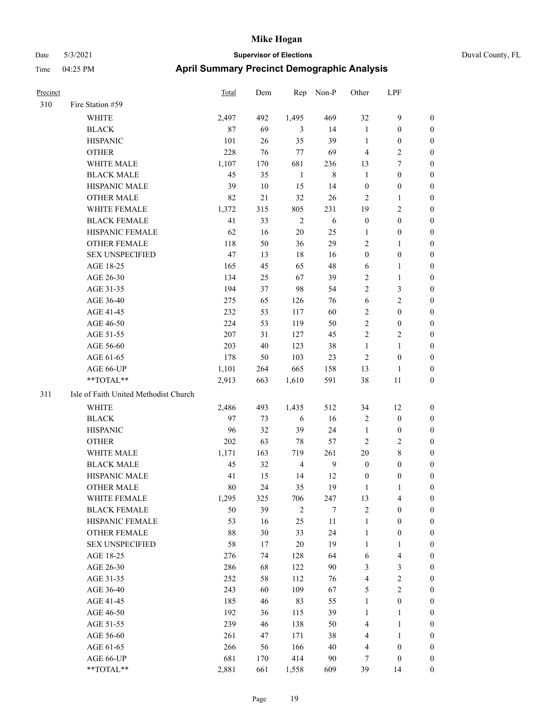| Precinct |                                       | <b>Total</b> | Dem    | Rep            | Non-P      | Other            | LPF                     |                  |
|----------|---------------------------------------|--------------|--------|----------------|------------|------------------|-------------------------|------------------|
| 310      | Fire Station #59                      |              |        |                |            |                  |                         |                  |
|          | WHITE                                 | 2,497        | 492    | 1,495          | 469        | 32               | 9                       | $\boldsymbol{0}$ |
|          | <b>BLACK</b>                          | 87           | 69     | 3              | 14         | $\mathbf{1}$     | $\boldsymbol{0}$        | $\boldsymbol{0}$ |
|          | <b>HISPANIC</b>                       | 101          | 26     | 35             | 39         | $\mathbf{1}$     | $\boldsymbol{0}$        | $\boldsymbol{0}$ |
|          | <b>OTHER</b>                          | 228          | 76     | 77             | 69         | $\overline{4}$   | 2                       | $\boldsymbol{0}$ |
|          | WHITE MALE                            | 1,107        | 170    | 681            | 236        | 13               | 7                       | $\boldsymbol{0}$ |
|          | <b>BLACK MALE</b>                     | 45           | 35     | $\mathbf{1}$   | $\,8\,$    | $\mathbf{1}$     | $\boldsymbol{0}$        | $\boldsymbol{0}$ |
|          | HISPANIC MALE                         | 39           | $10\,$ | 15             | 14         | $\boldsymbol{0}$ | $\boldsymbol{0}$        | $\boldsymbol{0}$ |
|          | <b>OTHER MALE</b>                     | 82           | 21     | 32             | 26         | $\overline{2}$   | 1                       | $\boldsymbol{0}$ |
|          | WHITE FEMALE                          | 1,372        | 315    | 805            | 231        | 19               | 2                       | $\boldsymbol{0}$ |
|          | <b>BLACK FEMALE</b>                   | 41           | 33     | $\overline{2}$ | $\sqrt{6}$ | $\boldsymbol{0}$ | $\boldsymbol{0}$        | $\boldsymbol{0}$ |
|          | HISPANIC FEMALE                       | 62           | 16     | $20\,$         | 25         | $\mathbf{1}$     | $\boldsymbol{0}$        | $\boldsymbol{0}$ |
|          | <b>OTHER FEMALE</b>                   | 118          | 50     | 36             | 29         | $\overline{2}$   | 1                       | $\boldsymbol{0}$ |
|          | <b>SEX UNSPECIFIED</b>                | 47           | 13     | 18             | 16         | $\boldsymbol{0}$ | $\boldsymbol{0}$        | $\boldsymbol{0}$ |
|          | AGE 18-25                             | 165          | 45     | 65             | 48         | 6                | 1                       | $\boldsymbol{0}$ |
|          | AGE 26-30                             | 134          | 25     | 67             | 39         | $\sqrt{2}$       | $\mathbf{1}$            | $\boldsymbol{0}$ |
|          | AGE 31-35                             | 194          | 37     | 98             | 54         | $\overline{c}$   | 3                       | $\boldsymbol{0}$ |
|          | AGE 36-40                             | 275          | 65     | 126            | 76         | 6                | 2                       | $\boldsymbol{0}$ |
|          | AGE 41-45                             | 232          | 53     | 117            | 60         | $\overline{2}$   | $\boldsymbol{0}$        | $\boldsymbol{0}$ |
|          | AGE 46-50                             | 224          | 53     | 119            | 50         | $\sqrt{2}$       | $\boldsymbol{0}$        | $\boldsymbol{0}$ |
|          | AGE 51-55                             | 207          | 31     | 127            | 45         | $\sqrt{2}$       | $\overline{\mathbf{c}}$ | $\boldsymbol{0}$ |
|          | AGE 56-60                             | 203          | 40     | 123            | 38         | $\mathbf{1}$     | 1                       | $\boldsymbol{0}$ |
|          | AGE 61-65                             | 178          | 50     | 103            | 23         | $\overline{2}$   | $\boldsymbol{0}$        | $\boldsymbol{0}$ |
|          | AGE 66-UP                             | 1,101        | 264    | 665            | 158        | 13               | 1                       | $\boldsymbol{0}$ |
|          | **TOTAL**                             | 2,913        | 663    | 1,610          | 591        | 38               | 11                      | $\boldsymbol{0}$ |
| 311      | Isle of Faith United Methodist Church |              |        |                |            |                  |                         |                  |
|          | WHITE                                 | 2,486        | 493    | 1,435          | 512        | 34               | 12                      | $\boldsymbol{0}$ |
|          | <b>BLACK</b>                          | 97           | 73     | 6              | 16         | $\sqrt{2}$       | $\boldsymbol{0}$        | $\boldsymbol{0}$ |
|          | <b>HISPANIC</b>                       | 96           | 32     | 39             | 24         | $\mathbf{1}$     | $\boldsymbol{0}$        | $\boldsymbol{0}$ |
|          | <b>OTHER</b>                          | 202          | 63     | 78             | 57         | $\overline{2}$   | 2                       | $\boldsymbol{0}$ |
|          | WHITE MALE                            | 1,171        | 163    | 719            | 261        | 20               | 8                       | $\boldsymbol{0}$ |
|          | <b>BLACK MALE</b>                     | 45           | 32     | $\overline{4}$ | 9          | $\boldsymbol{0}$ | 0                       | $\boldsymbol{0}$ |
|          | HISPANIC MALE                         | 41           | 15     | 14             | 12         | $\boldsymbol{0}$ | $\boldsymbol{0}$        | $\boldsymbol{0}$ |
|          | <b>OTHER MALE</b>                     | 80           | 24     | 35             | 19         | 1                | 1                       | $\boldsymbol{0}$ |
|          | WHITE FEMALE                          | 1,295        | 325    | 706            | 247        | 13               | 4                       | $\boldsymbol{0}$ |
|          | <b>BLACK FEMALE</b>                   | 50           | 39     | $\sqrt{2}$     | 7          | $\overline{2}$   | $\boldsymbol{0}$        | $\boldsymbol{0}$ |
|          | HISPANIC FEMALE                       | 53           | 16     | 25             | 11         | $\mathbf{1}$     | $\boldsymbol{0}$        | $\boldsymbol{0}$ |
|          | OTHER FEMALE                          | 88           | 30     | 33             | 24         | $\mathbf{1}$     | $\boldsymbol{0}$        | $\boldsymbol{0}$ |
|          | <b>SEX UNSPECIFIED</b>                | 58           | 17     | $20\,$         | 19         | $\mathbf{1}$     | $\mathbf{1}$            | $\boldsymbol{0}$ |
|          | AGE 18-25                             | 276          | 74     | 128            | 64         | 6                | 4                       | $\boldsymbol{0}$ |
|          | AGE 26-30                             | 286          | 68     | 122            | 90         | $\mathfrak{Z}$   | 3                       | $\boldsymbol{0}$ |
|          | AGE 31-35                             | 252          | 58     | 112            | 76         | $\overline{4}$   | $\overline{\mathbf{c}}$ | $\boldsymbol{0}$ |
|          | AGE 36-40                             | 243          | 60     | 109            | 67         | $\mathfrak{S}$   | 2                       | $\boldsymbol{0}$ |
|          | AGE 41-45                             | 185          | 46     | 83             | 55         | $\mathbf{1}$     | $\boldsymbol{0}$        | $\boldsymbol{0}$ |
|          | AGE 46-50                             | 192          | 36     | 115            | 39         | $\mathbf{1}$     | 1                       | $\boldsymbol{0}$ |
|          | AGE 51-55                             | 239          | 46     | 138            | 50         | $\overline{4}$   | $\mathbf{1}$            | $\boldsymbol{0}$ |
|          | AGE 56-60                             | 261          | 47     | 171            | 38         | $\overline{4}$   | $\mathbf{1}$            | $\boldsymbol{0}$ |
|          | AGE 61-65                             | 266          | 56     | 166            | 40         | $\overline{4}$   | $\boldsymbol{0}$        | $\boldsymbol{0}$ |
|          | AGE 66-UP                             | 681          | 170    | 414            | 90         | 7                | $\boldsymbol{0}$        | $\mathbf{0}$     |
|          | **TOTAL**                             | 2,881        | 661    | 1,558          | 609        | 39               | 14                      | $\mathbf{0}$     |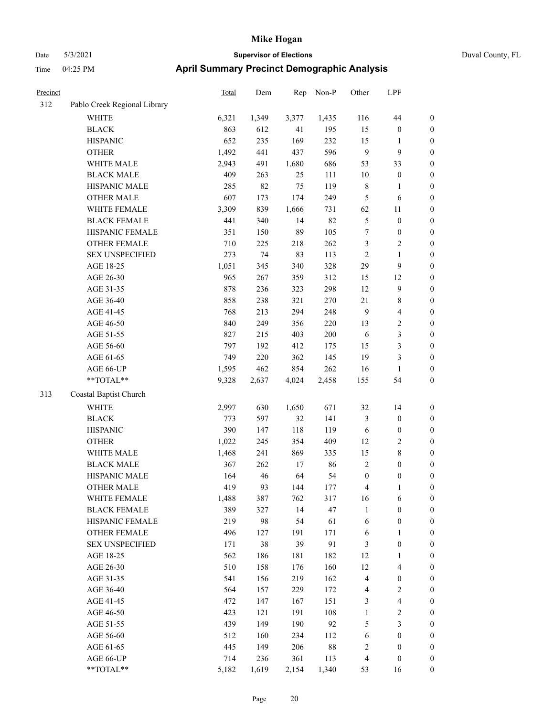|  | Duval County, FL |  |
|--|------------------|--|
|--|------------------|--|

| Precinct |                              | <b>Total</b> | Dem   | Rep   | Non-P  | Other            | LPF                     |                  |
|----------|------------------------------|--------------|-------|-------|--------|------------------|-------------------------|------------------|
| 312      | Pablo Creek Regional Library |              |       |       |        |                  |                         |                  |
|          | WHITE                        | 6,321        | 1,349 | 3,377 | 1,435  | 116              | $44\,$                  | $\boldsymbol{0}$ |
|          | <b>BLACK</b>                 | 863          | 612   | 41    | 195    | 15               | $\boldsymbol{0}$        | $\boldsymbol{0}$ |
|          | <b>HISPANIC</b>              | 652          | 235   | 169   | 232    | 15               | $\mathbf{1}$            | $\boldsymbol{0}$ |
|          | <b>OTHER</b>                 | 1,492        | 441   | 437   | 596    | $\overline{9}$   | $\mathbf{9}$            | 0                |
|          | WHITE MALE                   | 2,943        | 491   | 1,680 | 686    | 53               | 33                      | $\boldsymbol{0}$ |
|          | <b>BLACK MALE</b>            | 409          | 263   | 25    | 111    | 10               | $\boldsymbol{0}$        | $\boldsymbol{0}$ |
|          | HISPANIC MALE                | 285          | 82    | 75    | 119    | $\,$ 8 $\,$      | $\mathbf{1}$            | $\boldsymbol{0}$ |
|          | <b>OTHER MALE</b>            | 607          | 173   | 174   | 249    | 5                | 6                       | $\boldsymbol{0}$ |
|          | WHITE FEMALE                 | 3,309        | 839   | 1,666 | 731    | 62               | 11                      | $\boldsymbol{0}$ |
|          | <b>BLACK FEMALE</b>          | 441          | 340   | 14    | 82     | $\mathfrak s$    | $\boldsymbol{0}$        | $\boldsymbol{0}$ |
|          | HISPANIC FEMALE              | 351          | 150   | 89    | 105    | $\boldsymbol{7}$ | $\boldsymbol{0}$        | $\boldsymbol{0}$ |
|          | <b>OTHER FEMALE</b>          | 710          | 225   | 218   | 262    | 3                | $\overline{2}$          | $\boldsymbol{0}$ |
|          | <b>SEX UNSPECIFIED</b>       | 273          | 74    | 83    | 113    | $\sqrt{2}$       | $\mathbf{1}$            | $\boldsymbol{0}$ |
|          | AGE 18-25                    | 1,051        | 345   | 340   | 328    | 29               | $\mathbf{9}$            | 0                |
|          | AGE 26-30                    | 965          | 267   | 359   | 312    | 15               | 12                      | $\boldsymbol{0}$ |
|          | AGE 31-35                    | 878          | 236   | 323   | 298    | 12               | $\mathbf{9}$            | $\boldsymbol{0}$ |
|          | AGE 36-40                    | 858          | 238   | 321   | 270    | 21               | 8                       | $\boldsymbol{0}$ |
|          | AGE 41-45                    | 768          | 213   | 294   | 248    | $\mathbf{9}$     | $\overline{\mathbf{4}}$ | $\boldsymbol{0}$ |
|          | AGE 46-50                    | 840          | 249   | 356   | 220    | 13               | $\sqrt{2}$              | $\boldsymbol{0}$ |
|          | AGE 51-55                    | 827          | 215   | 403   | 200    | 6                | $\mathfrak{Z}$          | $\boldsymbol{0}$ |
|          | AGE 56-60                    | 797          | 192   | 412   | 175    | 15               | $\mathfrak{Z}$          | $\boldsymbol{0}$ |
|          | AGE 61-65                    | 749          | 220   | 362   | 145    | 19               | $\mathfrak{Z}$          | $\boldsymbol{0}$ |
|          | AGE 66-UP                    | 1,595        | 462   | 854   | 262    | 16               | $\mathbf{1}$            | 0                |
|          | **TOTAL**                    | 9,328        | 2,637 | 4,024 | 2,458  | 155              | 54                      | 0                |
| 313      | Coastal Baptist Church       |              |       |       |        |                  |                         |                  |
|          | <b>WHITE</b>                 | 2,997        | 630   | 1,650 | 671    | 32               | 14                      | 0                |
|          | <b>BLACK</b>                 | 773          | 597   | 32    | 141    | 3                | $\boldsymbol{0}$        | 0                |
|          | <b>HISPANIC</b>              | 390          | 147   | 118   | 119    | 6                | $\boldsymbol{0}$        | 0                |
|          | <b>OTHER</b>                 | 1,022        | 245   | 354   | 409    | 12               | $\overline{c}$          | $\boldsymbol{0}$ |
|          | WHITE MALE                   | 1,468        | 241   | 869   | 335    | 15               | $8\,$                   | $\boldsymbol{0}$ |
|          | <b>BLACK MALE</b>            | 367          | 262   | 17    | 86     | $\overline{c}$   | $\boldsymbol{0}$        | $\boldsymbol{0}$ |
|          | HISPANIC MALE                | 164          | 46    | 64    | 54     | $\boldsymbol{0}$ | $\boldsymbol{0}$        | $\boldsymbol{0}$ |
|          | <b>OTHER MALE</b>            | 419          | 93    | 144   | 177    | 4                | $\mathbf{1}$            | $\boldsymbol{0}$ |
|          | WHITE FEMALE                 | 1,488        | 387   | 762   | 317    | 16               | 6                       | 0                |
|          | <b>BLACK FEMALE</b>          | 389          | 327   | 14    | 47     | $\mathbf{1}$     | $\boldsymbol{0}$        | 0                |
|          | HISPANIC FEMALE              | 219          | 98    | 54    | 61     | 6                | $\boldsymbol{0}$        | 0                |
|          | <b>OTHER FEMALE</b>          | 496          | 127   | 191   | 171    | 6                | $\mathbf{1}$            | 0                |
|          | <b>SEX UNSPECIFIED</b>       | 171          | 38    | 39    | 91     | 3                | $\boldsymbol{0}$        | 0                |
|          | AGE 18-25                    | 562          | 186   | 181   | 182    | 12               | $\mathbf{1}$            | 0                |
|          | AGE 26-30                    | 510          | 158   | 176   | 160    | 12               | $\overline{4}$          | 0                |
|          | AGE 31-35                    | 541          | 156   | 219   | 162    | $\overline{4}$   | $\boldsymbol{0}$        | 0                |
|          | AGE 36-40                    | 564          | 157   | 229   | 172    | 4                | $\sqrt{2}$              | 0                |
|          | AGE 41-45                    | 472          | 147   | 167   | 151    | 3                | $\overline{\mathbf{4}}$ | 0                |
|          | AGE 46-50                    | 423          | 121   | 191   | 108    | $\mathbf{1}$     | $\sqrt{2}$              | 0                |
|          | AGE 51-55                    | 439          | 149   | 190   | 92     | 5                | $\mathfrak{Z}$          | 0                |
|          | AGE 56-60                    | 512          | 160   | 234   | 112    | 6                | $\boldsymbol{0}$        | 0                |
|          | AGE 61-65                    | 445          | 149   | 206   | $88\,$ | $\overline{c}$   | $\boldsymbol{0}$        | 0                |
|          | AGE 66-UP                    | 714          | 236   | 361   | 113    | 4                | $\boldsymbol{0}$        | 0                |
|          | $**TOTAL**$                  | 5,182        | 1,619 | 2,154 | 1,340  | 53               | 16                      | $\boldsymbol{0}$ |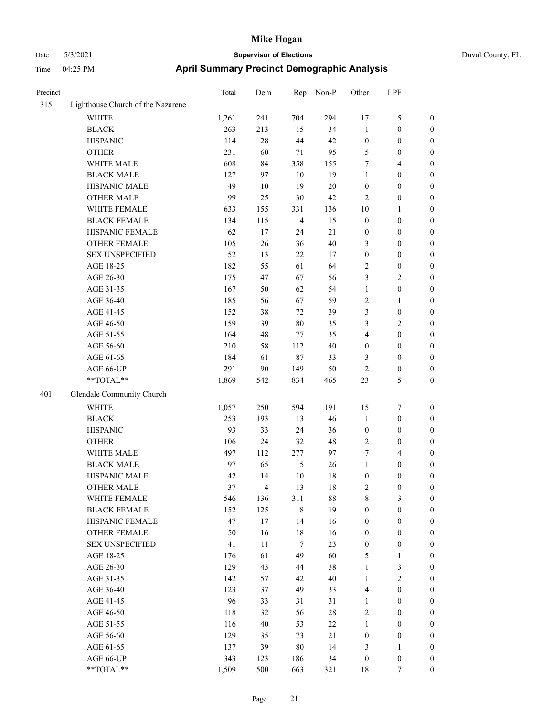| Precinct |                                   | <b>Total</b> | Dem | Rep            | Non-P  | Other                   | LPF              |                  |
|----------|-----------------------------------|--------------|-----|----------------|--------|-------------------------|------------------|------------------|
| 315      | Lighthouse Church of the Nazarene |              |     |                |        |                         |                  |                  |
|          | WHITE                             | 1,261        | 241 | 704            | 294    | 17                      | $\mathfrak{S}$   | 0                |
|          | <b>BLACK</b>                      | 263          | 213 | 15             | 34     | $\mathbf{1}$            | $\boldsymbol{0}$ | 0                |
|          | <b>HISPANIC</b>                   | 114          | 28  | 44             | 42     | $\boldsymbol{0}$        | $\boldsymbol{0}$ | $\boldsymbol{0}$ |
|          | <b>OTHER</b>                      | 231          | 60  | 71             | 95     | 5                       | $\boldsymbol{0}$ | $\boldsymbol{0}$ |
|          | WHITE MALE                        | 608          | 84  | 358            | 155    | 7                       | $\overline{4}$   | $\boldsymbol{0}$ |
|          | <b>BLACK MALE</b>                 | 127          | 97  | 10             | 19     | $\mathbf{1}$            | $\boldsymbol{0}$ | $\boldsymbol{0}$ |
|          | HISPANIC MALE                     | 49           | 10  | 19             | $20\,$ | $\boldsymbol{0}$        | $\boldsymbol{0}$ | $\boldsymbol{0}$ |
|          | <b>OTHER MALE</b>                 | 99           | 25  | $30\,$         | 42     | $\overline{c}$          | $\boldsymbol{0}$ | $\boldsymbol{0}$ |
|          | WHITE FEMALE                      | 633          | 155 | 331            | 136    | 10                      | $\mathbf{1}$     | 0                |
|          | <b>BLACK FEMALE</b>               | 134          | 115 | $\overline{4}$ | 15     | $\boldsymbol{0}$        | $\boldsymbol{0}$ | 0                |
|          | HISPANIC FEMALE                   | 62           | 17  | 24             | 21     | $\boldsymbol{0}$        | $\boldsymbol{0}$ | 0                |
|          | OTHER FEMALE                      | 105          | 26  | 36             | $40\,$ | 3                       | $\boldsymbol{0}$ | 0                |
|          | <b>SEX UNSPECIFIED</b>            | 52           | 13  | 22             | 17     | $\boldsymbol{0}$        | $\boldsymbol{0}$ | $\boldsymbol{0}$ |
|          | AGE 18-25                         | 182          | 55  | 61             | 64     | 2                       | $\boldsymbol{0}$ | $\boldsymbol{0}$ |
|          | AGE 26-30                         | 175          | 47  | 67             | 56     | 3                       | $\sqrt{2}$       | $\boldsymbol{0}$ |
|          | AGE 31-35                         | 167          | 50  | 62             | 54     | $\mathbf{1}$            | $\boldsymbol{0}$ | $\boldsymbol{0}$ |
|          | AGE 36-40                         | 185          | 56  | 67             | 59     | 2                       | $\mathbf{1}$     | $\boldsymbol{0}$ |
|          | AGE 41-45                         | 152          | 38  | 72             | 39     | 3                       | $\boldsymbol{0}$ | 0                |
|          | AGE 46-50                         | 159          | 39  | $80\,$         | 35     | 3                       | $\mathbf{2}$     | $\boldsymbol{0}$ |
|          | AGE 51-55                         | 164          | 48  | 77             | 35     | 4                       | $\boldsymbol{0}$ | 0                |
|          | AGE 56-60                         | 210          | 58  | 112            | 40     | $\boldsymbol{0}$        | $\boldsymbol{0}$ | 0                |
|          | AGE 61-65                         | 184          | 61  | $87\,$         | 33     | 3                       | $\boldsymbol{0}$ | 0                |
|          | AGE 66-UP                         | 291          | 90  | 149            | 50     | 2                       | $\boldsymbol{0}$ | 0                |
|          | $**TOTAL**$                       | 1,869        | 542 | 834            | 465    | 23                      | 5                | $\boldsymbol{0}$ |
| 401      | Glendale Community Church         |              |     |                |        |                         |                  |                  |
|          | <b>WHITE</b>                      | 1,057        | 250 | 594            | 191    | 15                      | 7                | $\boldsymbol{0}$ |
|          | <b>BLACK</b>                      | 253          | 193 | 13             | 46     | $\mathbf{1}$            | $\boldsymbol{0}$ | $\boldsymbol{0}$ |
|          | <b>HISPANIC</b>                   | 93           | 33  | 24             | 36     | $\boldsymbol{0}$        | $\boldsymbol{0}$ | $\boldsymbol{0}$ |
|          | <b>OTHER</b>                      | 106          | 24  | 32             | 48     | $\overline{c}$          | $\boldsymbol{0}$ | $\boldsymbol{0}$ |
|          | WHITE MALE                        | 497          | 112 | 277            | 97     | 7                       | $\overline{4}$   | $\boldsymbol{0}$ |
|          | <b>BLACK MALE</b>                 | 97           | 65  | $\mathfrak{S}$ | 26     | $\mathbf{1}$            | $\boldsymbol{0}$ | $\boldsymbol{0}$ |
|          | HISPANIC MALE                     | 42           | 14  | $10\,$         | 18     | $\boldsymbol{0}$        | $\boldsymbol{0}$ | $\boldsymbol{0}$ |
|          | <b>OTHER MALE</b>                 | 37           | 4   | 13             | 18     | $\overline{\mathbf{c}}$ | $\boldsymbol{0}$ | $\boldsymbol{0}$ |
|          | WHITE FEMALE                      | 546          | 136 | 311            | 88     | 8                       | 3                | 0                |
|          | <b>BLACK FEMALE</b>               | 152          | 125 | $\,$ 8 $\,$    | 19     | $\boldsymbol{0}$        | $\boldsymbol{0}$ | $\boldsymbol{0}$ |
|          | HISPANIC FEMALE                   | 47           | 17  | 14             | 16     | $\boldsymbol{0}$        | $\boldsymbol{0}$ | $\overline{0}$   |
|          | <b>OTHER FEMALE</b>               | 50           | 16  | $18\,$         | 16     | $\boldsymbol{0}$        | $\boldsymbol{0}$ | $\overline{0}$   |
|          | SEX UNSPECIFIED                   | 41           | 11  | $\tau$         | 23     | $\boldsymbol{0}$        | $\boldsymbol{0}$ | 0                |
|          | AGE 18-25                         | 176          | 61  | 49             | 60     | 5                       | $\mathbf{1}$     | 0                |
|          | AGE 26-30                         | 129          | 43  | 44             | 38     | $\mathbf{1}$            | $\mathfrak{Z}$   | 0                |
|          | AGE 31-35                         | 142          | 57  | 42             | $40\,$ | $\mathbf{1}$            | $\sqrt{2}$       | 0                |
|          | AGE 36-40                         | 123          | 37  | 49             | 33     | 4                       | $\boldsymbol{0}$ | 0                |
|          | AGE 41-45                         | 96           | 33  | 31             | 31     | $\mathbf{1}$            | $\boldsymbol{0}$ | 0                |
|          | AGE 46-50                         | 118          | 32  | 56             | $28\,$ | $\sqrt{2}$              | $\boldsymbol{0}$ | 0                |
|          | AGE 51-55                         | 116          | 40  | 53             | $22\,$ | $\mathbf{1}$            | $\boldsymbol{0}$ | $\boldsymbol{0}$ |
|          | AGE 56-60                         | 129          | 35  | 73             | 21     | $\boldsymbol{0}$        | $\boldsymbol{0}$ | $\boldsymbol{0}$ |
|          | AGE 61-65                         | 137          | 39  | $80\,$         | 14     | 3                       | $\mathbf{1}$     | $\overline{0}$   |
|          | AGE 66-UP                         | 343          | 123 | 186            | 34     | $\boldsymbol{0}$        | $\boldsymbol{0}$ | 0                |
|          | $**TOTAL**$                       | 1,509        | 500 | 663            | 321    | 18                      | $\tau$           | $\overline{0}$   |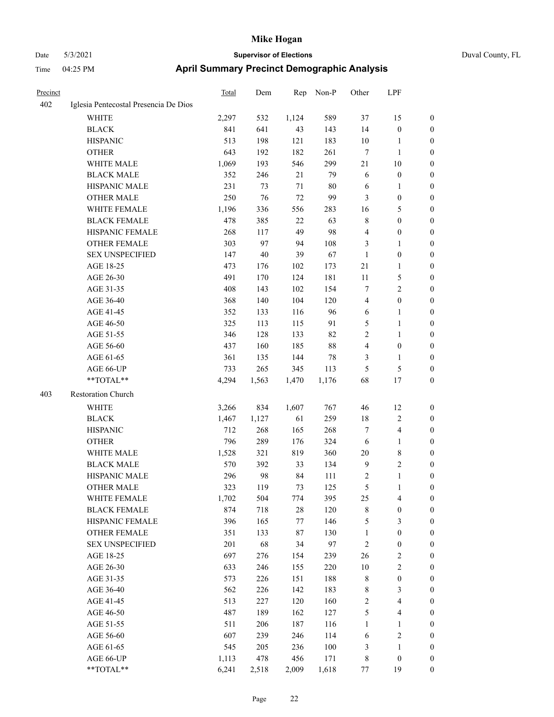| Duval County, FL |  |
|------------------|--|
|                  |  |

| Precinct |                                       | <b>Total</b> | Dem   | Rep    | Non-P  | Other          | LPF                     |                  |
|----------|---------------------------------------|--------------|-------|--------|--------|----------------|-------------------------|------------------|
| 402      | Iglesia Pentecostal Presencia De Dios |              |       |        |        |                |                         |                  |
|          | WHITE                                 | 2,297        | 532   | 1,124  | 589    | 37             | 15                      | 0                |
|          | <b>BLACK</b>                          | 841          | 641   | 43     | 143    | 14             | $\boldsymbol{0}$        | $\boldsymbol{0}$ |
|          | <b>HISPANIC</b>                       | 513          | 198   | 121    | 183    | $10\,$         | 1                       | $\boldsymbol{0}$ |
|          | <b>OTHER</b>                          | 643          | 192   | 182    | 261    | 7              | $\mathbf{1}$            | $\boldsymbol{0}$ |
|          | WHITE MALE                            | 1,069        | 193   | 546    | 299    | $21\,$         | $10\,$                  | $\boldsymbol{0}$ |
|          | <b>BLACK MALE</b>                     | 352          | 246   | 21     | 79     | 6              | $\boldsymbol{0}$        | $\boldsymbol{0}$ |
|          | HISPANIC MALE                         | 231          | 73    | $71\,$ | $80\,$ | 6              | $\mathbf{1}$            | $\boldsymbol{0}$ |
|          | <b>OTHER MALE</b>                     | 250          | 76    | 72     | 99     | 3              | $\boldsymbol{0}$        | $\boldsymbol{0}$ |
|          | WHITE FEMALE                          | 1,196        | 336   | 556    | 283    | 16             | $\mathfrak{S}$          | 0                |
|          | <b>BLACK FEMALE</b>                   | 478          | 385   | 22     | 63     | 8              | $\boldsymbol{0}$        | 0                |
|          | HISPANIC FEMALE                       | 268          | 117   | 49     | 98     | 4              | $\boldsymbol{0}$        | 0                |
|          | OTHER FEMALE                          | 303          | 97    | 94     | 108    | 3              | $\mathbf{1}$            | 0                |
|          | <b>SEX UNSPECIFIED</b>                | 147          | 40    | 39     | 67     | $\mathbf{1}$   | $\boldsymbol{0}$        | $\boldsymbol{0}$ |
|          | AGE 18-25                             | 473          | 176   | 102    | 173    | 21             | $\mathbf{1}$            | $\boldsymbol{0}$ |
|          | AGE 26-30                             | 491          | 170   | 124    | 181    | 11             | $\mathfrak{S}$          | $\boldsymbol{0}$ |
|          | AGE 31-35                             | 408          | 143   | 102    | 154    | 7              | $\sqrt{2}$              | $\boldsymbol{0}$ |
|          | AGE 36-40                             | 368          | 140   | 104    | 120    | 4              | $\boldsymbol{0}$        | $\boldsymbol{0}$ |
|          | AGE 41-45                             | 352          | 133   | 116    | 96     | 6              | $\mathbf{1}$            | 0                |
|          | AGE 46-50                             | 325          | 113   | 115    | 91     | 5              | $\mathbf{1}$            | 0                |
|          | AGE 51-55                             | 346          | 128   | 133    | 82     | $\sqrt{2}$     | $\mathbf{1}$            | 0                |
|          | AGE 56-60                             | 437          | 160   | 185    | 88     | 4              | $\boldsymbol{0}$        | 0                |
|          | AGE 61-65                             | 361          | 135   | 144    | 78     | 3              | $\mathbf{1}$            | 0                |
|          | AGE 66-UP                             | 733          | 265   | 345    | 113    | 5              | $\mathfrak{S}$          | 0                |
|          | **TOTAL**                             | 4,294        | 1,563 | 1,470  | 1,176  | 68             | 17                      | $\boldsymbol{0}$ |
| 403      | Restoration Church                    |              |       |        |        |                |                         |                  |
|          | <b>WHITE</b>                          | 3,266        | 834   | 1,607  | 767    | 46             | 12                      | $\boldsymbol{0}$ |
|          | <b>BLACK</b>                          | 1,467        | 1,127 | 61     | 259    | 18             | $\sqrt{2}$              | $\boldsymbol{0}$ |
|          | <b>HISPANIC</b>                       | 712          | 268   | 165    | 268    | 7              | $\overline{\mathbf{4}}$ | 0                |
|          | <b>OTHER</b>                          | 796          | 289   | 176    | 324    | 6              | $\mathbf{1}$            | $\boldsymbol{0}$ |
|          | WHITE MALE                            | 1,528        | 321   | 819    | 360    | $20\,$         | $\,$ 8 $\,$             | 0                |
|          | <b>BLACK MALE</b>                     | 570          | 392   | 33     | 134    | $\overline{9}$ | $\sqrt{2}$              | $\boldsymbol{0}$ |
|          | HISPANIC MALE                         | 296          | 98    | 84     | 111    | $\overline{c}$ | $\mathbf{1}$            | 0                |
|          | <b>OTHER MALE</b>                     | 323          | 119   | 73     | 125    | 5              | 1                       | $\boldsymbol{0}$ |
|          | WHITE FEMALE                          | 1,702        | 504   | 774    | 395    | 25             | $\overline{4}$          | 0                |
|          | <b>BLACK FEMALE</b>                   | 874          | 718   | $28\,$ | 120    | $\,$ 8 $\,$    | $\boldsymbol{0}$        | 0                |
|          | HISPANIC FEMALE                       | 396          | 165   | 77     | 146    | 5              | $\mathfrak{Z}$          | $\boldsymbol{0}$ |
|          | OTHER FEMALE                          | 351          | 133   | 87     | 130    | $\mathbf{1}$   | $\boldsymbol{0}$        | 0                |
|          | <b>SEX UNSPECIFIED</b>                | 201          | 68    | 34     | 97     | $\sqrt{2}$     | $\boldsymbol{0}$        | 0                |
|          | AGE 18-25                             | 697          | 276   | 154    | 239    | 26             | $\sqrt{2}$              | 0                |
|          | AGE 26-30                             | 633          | 246   | 155    | 220    | $10\,$         | $\sqrt{2}$              | 0                |
|          | AGE 31-35                             | 573          | 226   | 151    | 188    | $\,$ 8 $\,$    | $\boldsymbol{0}$        | 0                |
|          | AGE 36-40                             | 562          | 226   | 142    | 183    | 8              | 3                       | 0                |
|          | AGE 41-45                             | 513          | 227   | 120    | 160    | $\sqrt{2}$     | $\overline{\mathbf{4}}$ | 0                |
|          | AGE 46-50                             | 487          | 189   | 162    | 127    | 5              | $\overline{\mathbf{4}}$ | 0                |
|          | AGE 51-55                             | 511          | 206   | 187    | 116    | $\mathbf{1}$   | $\mathbf{1}$            | $\boldsymbol{0}$ |
|          | AGE 56-60                             | 607          | 239   | 246    | 114    | 6              | $\sqrt{2}$              | $\boldsymbol{0}$ |
|          | AGE 61-65                             | 545          | 205   | 236    | 100    | 3              | $\mathbf{1}$            | 0                |
|          | AGE 66-UP                             | 1,113        | 478   | 456    | 171    | $\,$ 8 $\,$    | $\boldsymbol{0}$        | $\boldsymbol{0}$ |
|          | **TOTAL**                             | 6,241        | 2,518 | 2,009  | 1,618  | 77             | 19                      | $\overline{0}$   |
|          |                                       |              |       |        |        |                |                         |                  |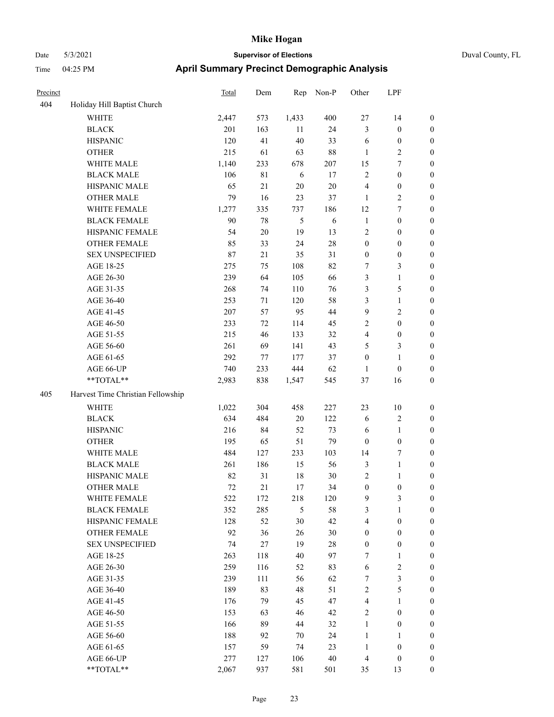| Precinct |                                   | <b>Total</b> | Dem         | Rep            | Non-P  | Other                      | LPF                     |                  |
|----------|-----------------------------------|--------------|-------------|----------------|--------|----------------------------|-------------------------|------------------|
| 404      | Holiday Hill Baptist Church       |              |             |                |        |                            |                         |                  |
|          | <b>WHITE</b>                      | 2,447        | 573         | 1,433          | 400    | $27\,$                     | 14                      | $\boldsymbol{0}$ |
|          | <b>BLACK</b>                      | 201          | 163         | 11             | 24     | $\mathfrak{Z}$             | $\boldsymbol{0}$        | $\boldsymbol{0}$ |
|          | <b>HISPANIC</b>                   | 120          | 41          | 40             | 33     | 6                          | $\boldsymbol{0}$        | $\boldsymbol{0}$ |
|          | <b>OTHER</b>                      | 215          | 61          | 63             | 88     | $\mathbf{1}$               | $\overline{c}$          | $\boldsymbol{0}$ |
|          | WHITE MALE                        | 1,140        | 233         | 678            | 207    | 15                         | 7                       | $\boldsymbol{0}$ |
|          | <b>BLACK MALE</b>                 | 106          | $8\sqrt{1}$ | 6              | 17     | $\overline{2}$             | $\boldsymbol{0}$        | $\boldsymbol{0}$ |
|          | HISPANIC MALE                     | 65           | 21          | $20\,$         | $20\,$ | $\overline{4}$             | $\boldsymbol{0}$        | $\boldsymbol{0}$ |
|          | <b>OTHER MALE</b>                 | 79           | 16          | 23             | 37     | $\mathbf{1}$               | 2                       | $\boldsymbol{0}$ |
|          | WHITE FEMALE                      | 1,277        | 335         | 737            | 186    | 12                         | 7                       | $\boldsymbol{0}$ |
|          | <b>BLACK FEMALE</b>               | 90           | 78          | $\mathfrak{H}$ | 6      | $\mathbf{1}$               | $\boldsymbol{0}$        | $\boldsymbol{0}$ |
|          | HISPANIC FEMALE                   | 54           | $20\,$      | 19             | 13     | $\sqrt{2}$                 | $\boldsymbol{0}$        | $\boldsymbol{0}$ |
|          | <b>OTHER FEMALE</b>               | 85           | 33          | 24             | $28\,$ | $\boldsymbol{0}$           | $\boldsymbol{0}$        | $\boldsymbol{0}$ |
|          | <b>SEX UNSPECIFIED</b>            | 87           | 21          | 35             | 31     | $\boldsymbol{0}$           | $\boldsymbol{0}$        | $\boldsymbol{0}$ |
|          | AGE 18-25                         | 275          | 75          | 108            | 82     | 7                          | 3                       | $\boldsymbol{0}$ |
|          | AGE 26-30                         | 239          | 64          | 105            | 66     | $\mathfrak{Z}$             | 1                       | $\boldsymbol{0}$ |
|          | AGE 31-35                         | 268          | 74          | 110            | 76     | 3                          | 5                       | $\boldsymbol{0}$ |
|          | AGE 36-40                         | 253          | 71          | 120            | 58     | 3                          | 1                       | $\boldsymbol{0}$ |
|          | AGE 41-45                         | 207          | 57          | 95             | 44     | 9                          | 2                       | $\boldsymbol{0}$ |
|          | AGE 46-50                         | 233          | 72          | 114            | 45     | $\overline{2}$             | $\boldsymbol{0}$        | $\boldsymbol{0}$ |
|          | AGE 51-55                         | 215          | 46          | 133            | 32     | $\overline{4}$             | $\boldsymbol{0}$        | $\boldsymbol{0}$ |
|          | AGE 56-60                         | 261          | 69          | 141            | 43     | 5                          | 3                       | $\boldsymbol{0}$ |
|          | AGE 61-65                         | 292          | 77          | 177            | 37     | $\boldsymbol{0}$           | 1                       | $\boldsymbol{0}$ |
|          | AGE 66-UP                         | 740          | 233         | 444            | 62     | $\mathbf{1}$               | $\boldsymbol{0}$        | $\boldsymbol{0}$ |
|          | **TOTAL**                         | 2,983        | 838         | 1,547          | 545    | 37                         | 16                      | $\boldsymbol{0}$ |
| 405      | Harvest Time Christian Fellowship |              |             |                |        |                            |                         |                  |
|          | <b>WHITE</b>                      | 1,022        | 304         | 458            | 227    | 23                         | 10                      | $\boldsymbol{0}$ |
|          | <b>BLACK</b>                      | 634          | 484         | $20\,$         | 122    | 6                          | 2                       | $\boldsymbol{0}$ |
|          | <b>HISPANIC</b>                   | 216          | 84          | 52             | 73     | 6                          | $\mathbf{1}$            | $\boldsymbol{0}$ |
|          | <b>OTHER</b>                      | 195          | 65          | 51             | 79     | $\mathbf{0}$               | $\boldsymbol{0}$        | $\boldsymbol{0}$ |
|          | WHITE MALE                        | 484          | 127         | 233            | 103    | 14                         | 7                       | $\boldsymbol{0}$ |
|          | <b>BLACK MALE</b>                 | 261          | 186         | 15             | 56     | $\mathfrak{Z}$             | 1                       | $\boldsymbol{0}$ |
|          | HISPANIC MALE                     | 82           | 31          | 18             | 30     | $\sqrt{2}$                 | 1                       | $\boldsymbol{0}$ |
|          | <b>OTHER MALE</b>                 | 72           | 21          | 17             | 34     | $\boldsymbol{0}$           | $\boldsymbol{0}$        | $\boldsymbol{0}$ |
|          | WHITE FEMALE                      | 522          | 172         | 218            | 120    | $\overline{9}$             | 3                       | $\boldsymbol{0}$ |
|          | <b>BLACK FEMALE</b>               | 352          | 285         | 5              | 58     | $\mathfrak{Z}$             | 1                       | $\boldsymbol{0}$ |
|          | HISPANIC FEMALE                   | 128          | 52          | $30\,$         | 42     | $\overline{4}$             | $\boldsymbol{0}$        | $\boldsymbol{0}$ |
|          | OTHER FEMALE                      | 92           | 36          | 26             | 30     | $\boldsymbol{0}$           | $\boldsymbol{0}$        | $\boldsymbol{0}$ |
|          | <b>SEX UNSPECIFIED</b>            | 74           | $27\,$      | 19             | $28\,$ | $\boldsymbol{0}$           | $\boldsymbol{0}$        | $\boldsymbol{0}$ |
|          | AGE 18-25                         | 263          | 118         | 40             | 97     | $\tau$                     | 1                       | $\boldsymbol{0}$ |
|          | AGE 26-30                         | 259          | 116         | 52             | 83     | 6                          | $\overline{\mathbf{c}}$ | $\boldsymbol{0}$ |
|          | AGE 31-35                         | 239          | 111         | 56             | 62     | $\tau$                     | 3                       | $\boldsymbol{0}$ |
|          | AGE 36-40                         | 189          | 83          | 48             | 51     | $\sqrt{2}$                 | 5                       | $\boldsymbol{0}$ |
|          | AGE 41-45                         | 176          | 79          | 45             | 47     | $\overline{4}$             | 1                       | $\boldsymbol{0}$ |
|          |                                   |              |             | 46             | 42     |                            |                         | $\boldsymbol{0}$ |
|          | AGE 46-50<br>AGE 51-55            | 153<br>166   | 63          | 44             | 32     | $\sqrt{2}$<br>$\mathbf{1}$ | $\boldsymbol{0}$        | $\boldsymbol{0}$ |
|          | AGE 56-60                         | 188          | 89<br>92    | 70             | 24     | $\mathbf{1}$               | $\boldsymbol{0}$<br>1   | $\boldsymbol{0}$ |
|          | AGE 61-65                         | 157          | 59          | 74             | 23     | $\mathbf{1}$               | $\boldsymbol{0}$        | $\boldsymbol{0}$ |
|          | AGE 66-UP                         | 277          | 127         | 106            | $40\,$ | $\overline{4}$             | $\boldsymbol{0}$        | $\boldsymbol{0}$ |
|          | **TOTAL**                         | 2,067        | 937         | 581            | 501    | 35                         | 13                      | $\boldsymbol{0}$ |
|          |                                   |              |             |                |        |                            |                         |                  |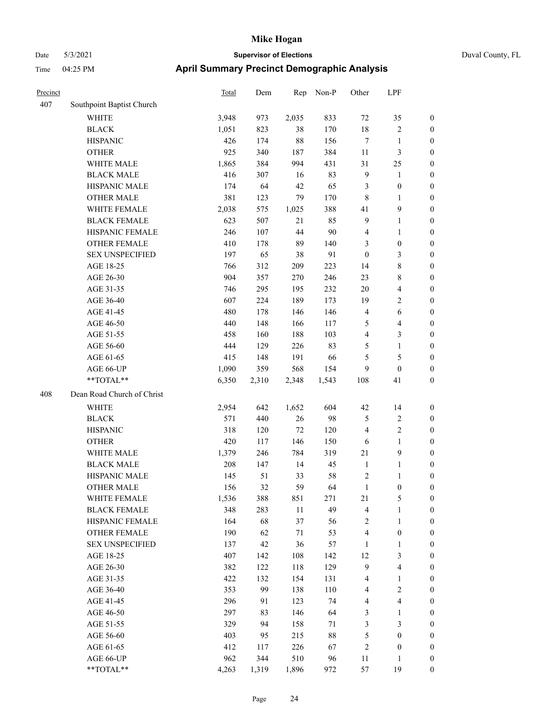|  | Duval County, |
|--|---------------|
|  |               |

| Precinct |                            | Total | Dem   | Rep    | Non-P  | Other            | LPF                     |                  |
|----------|----------------------------|-------|-------|--------|--------|------------------|-------------------------|------------------|
| 407      | Southpoint Baptist Church  |       |       |        |        |                  |                         |                  |
|          | <b>WHITE</b>               | 3,948 | 973   | 2,035  | 833    | 72               | 35                      | $\boldsymbol{0}$ |
|          | <b>BLACK</b>               | 1,051 | 823   | 38     | 170    | 18               | $\sqrt{2}$              | $\boldsymbol{0}$ |
|          | <b>HISPANIC</b>            | 426   | 174   | 88     | 156    | $\tau$           | $\mathbf{1}$            | $\boldsymbol{0}$ |
|          | <b>OTHER</b>               | 925   | 340   | 187    | 384    | $11\,$           | $\mathfrak{Z}$          | $\boldsymbol{0}$ |
|          | WHITE MALE                 | 1,865 | 384   | 994    | 431    | 31               | 25                      | 0                |
|          | <b>BLACK MALE</b>          | 416   | 307   | 16     | 83     | $\overline{9}$   | $\mathbf{1}$            | $\boldsymbol{0}$ |
|          | HISPANIC MALE              | 174   | 64    | $42\,$ | 65     | 3                | $\boldsymbol{0}$        | $\boldsymbol{0}$ |
|          | <b>OTHER MALE</b>          | 381   | 123   | 79     | 170    | 8                | $\mathbf{1}$            | $\boldsymbol{0}$ |
|          | WHITE FEMALE               | 2,038 | 575   | 1,025  | 388    | 41               | $\boldsymbol{9}$        | $\boldsymbol{0}$ |
|          | <b>BLACK FEMALE</b>        | 623   | 507   | 21     | 85     | $\overline{9}$   | $\mathbf{1}$            | $\boldsymbol{0}$ |
|          | HISPANIC FEMALE            | 246   | 107   | 44     | $90\,$ | 4                | $\mathbf{1}$            | $\boldsymbol{0}$ |
|          | <b>OTHER FEMALE</b>        | 410   | 178   | 89     | 140    | 3                | $\boldsymbol{0}$        | $\boldsymbol{0}$ |
|          | <b>SEX UNSPECIFIED</b>     | 197   | 65    | 38     | 91     | $\boldsymbol{0}$ | $\mathfrak{Z}$          | $\boldsymbol{0}$ |
|          | AGE 18-25                  | 766   | 312   | 209    | 223    | 14               | $8\,$                   | $\boldsymbol{0}$ |
|          | AGE 26-30                  | 904   | 357   | 270    | 246    | 23               | $8\,$                   | 0                |
|          | AGE 31-35                  | 746   | 295   | 195    | 232    | 20               | $\overline{\mathbf{4}}$ | 0                |
|          | AGE 36-40                  | 607   | 224   | 189    | 173    | 19               | $\sqrt{2}$              | 0                |
|          | AGE 41-45                  | 480   | 178   | 146    | 146    | $\overline{4}$   | 6                       | $\boldsymbol{0}$ |
|          | AGE 46-50                  | 440   | 148   | 166    | 117    | 5                | $\overline{\mathbf{4}}$ | $\boldsymbol{0}$ |
|          | AGE 51-55                  | 458   | 160   | 188    | 103    | 4                | $\mathfrak{Z}$          | $\boldsymbol{0}$ |
|          | AGE 56-60                  | 444   | 129   | 226    | 83     | 5                | $\mathbf{1}$            | $\boldsymbol{0}$ |
|          | AGE 61-65                  | 415   | 148   | 191    | 66     | 5                | $\mathfrak{S}$          | $\boldsymbol{0}$ |
|          | AGE 66-UP                  | 1,090 | 359   | 568    | 154    | 9                | $\boldsymbol{0}$        | $\boldsymbol{0}$ |
|          | **TOTAL**                  | 6,350 | 2,310 | 2,348  | 1,543  | 108              | 41                      | $\boldsymbol{0}$ |
| 408      | Dean Road Church of Christ |       |       |        |        |                  |                         |                  |
|          | WHITE                      | 2,954 | 642   | 1,652  | 604    | 42               | 14                      | $\boldsymbol{0}$ |
|          | <b>BLACK</b>               | 571   | 440   | 26     | 98     | $\sqrt{5}$       | $\sqrt{2}$              | 0                |
|          | <b>HISPANIC</b>            | 318   | 120   | 72     | 120    | $\overline{4}$   | $\sqrt{2}$              | 0                |
|          | <b>OTHER</b>               | 420   | 117   | 146    | 150    | 6                | $\mathbf{1}$            | 0                |
|          | WHITE MALE                 | 1,379 | 246   | 784    | 319    | 21               | $\mathbf{9}$            | $\boldsymbol{0}$ |
|          | <b>BLACK MALE</b>          | 208   | 147   | 14     | 45     | $\mathbf{1}$     | $\mathbf{1}$            | $\boldsymbol{0}$ |
|          | HISPANIC MALE              | 145   | 51    | 33     | 58     | 2                | $\mathbf{1}$            | $\boldsymbol{0}$ |
|          | <b>OTHER MALE</b>          | 156   | 32    | 59     | 64     | $\mathbf{1}$     | $\boldsymbol{0}$        | $\boldsymbol{0}$ |
|          | WHITE FEMALE               | 1,536 | 388   | 851    | 271    | $21\,$           | $\mathfrak{S}$          | $\overline{0}$   |
|          | <b>BLACK FEMALE</b>        | 348   | 283   | $11\,$ | 49     | 4                | $\mathbf{1}$            | 0                |
|          | HISPANIC FEMALE            | 164   | 68    | 37     | 56     | $\sqrt{2}$       | $\mathbf{1}$            | 0                |
|          | <b>OTHER FEMALE</b>        | 190   | 62    | 71     | 53     | $\overline{4}$   | $\boldsymbol{0}$        | 0                |
|          | <b>SEX UNSPECIFIED</b>     | 137   | 42    | 36     | 57     | $\mathbf{1}$     | $\mathbf{1}$            | 0                |
|          | AGE 18-25                  | 407   | 142   | 108    | 142    | 12               | $\mathfrak{Z}$          | 0                |
|          | AGE 26-30                  | 382   | 122   | 118    | 129    | 9                | $\overline{\mathbf{4}}$ | $\boldsymbol{0}$ |
|          | AGE 31-35                  | 422   | 132   | 154    | 131    | 4                | $\mathbf{1}$            | $\boldsymbol{0}$ |
|          | AGE 36-40                  | 353   | 99    | 138    | 110    | 4                | $\sqrt{2}$              | $\boldsymbol{0}$ |
|          | AGE 41-45                  | 296   | 91    | 123    | 74     | 4                | $\overline{\mathbf{4}}$ | 0                |
|          | AGE 46-50                  | 297   | 83    | 146    | 64     | 3                | $\mathbf{1}$            | $\boldsymbol{0}$ |
|          | AGE 51-55                  | 329   | 94    | 158    | 71     | $\mathfrak{Z}$   | $\mathfrak{Z}$          | $\overline{0}$   |
|          | AGE 56-60                  | 403   | 95    | 215    | $88\,$ | $\mathfrak s$    | $\boldsymbol{0}$        | $\boldsymbol{0}$ |
|          | AGE 61-65                  | 412   | 117   | 226    | 67     | $\overline{c}$   | $\boldsymbol{0}$        | 0                |
|          | AGE 66-UP                  | 962   | 344   | 510    | 96     | 11               | $\mathbf{1}$            | 0                |
|          | **TOTAL**                  | 4,263 | 1,319 | 1,896  | 972    | 57               | 19                      | $\boldsymbol{0}$ |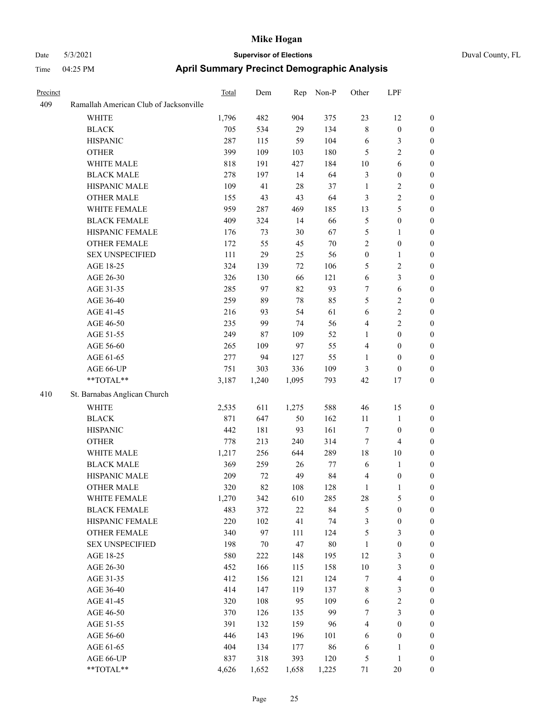| Duval County, FL |  |
|------------------|--|
|------------------|--|

| Precinct |                                        | Total | Dem   | Rep    | Non-P  | Other            | LPF                     |                  |
|----------|----------------------------------------|-------|-------|--------|--------|------------------|-------------------------|------------------|
| 409      | Ramallah American Club of Jacksonville |       |       |        |        |                  |                         |                  |
|          | <b>WHITE</b>                           | 1,796 | 482   | 904    | 375    | 23               | 12                      | $\boldsymbol{0}$ |
|          | <b>BLACK</b>                           | 705   | 534   | 29     | 134    | $\,$ $\,$        | $\boldsymbol{0}$        | $\bf{0}$         |
|          | <b>HISPANIC</b>                        | 287   | 115   | 59     | 104    | 6                | 3                       | $\boldsymbol{0}$ |
|          | <b>OTHER</b>                           | 399   | 109   | 103    | 180    | 5                | 2                       | $\boldsymbol{0}$ |
|          | WHITE MALE                             | 818   | 191   | 427    | 184    | 10               | 6                       | $\boldsymbol{0}$ |
|          | <b>BLACK MALE</b>                      | 278   | 197   | 14     | 64     | $\mathfrak{Z}$   | $\boldsymbol{0}$        | $\boldsymbol{0}$ |
|          | HISPANIC MALE                          | 109   | 41    | 28     | 37     | $\mathbf{1}$     | 2                       | $\boldsymbol{0}$ |
|          | <b>OTHER MALE</b>                      | 155   | 43    | 43     | 64     | 3                | 2                       | $\boldsymbol{0}$ |
|          | WHITE FEMALE                           | 959   | 287   | 469    | 185    | 13               | 5                       | $\boldsymbol{0}$ |
|          | <b>BLACK FEMALE</b>                    | 409   | 324   | 14     | 66     | 5                | $\boldsymbol{0}$        | $\boldsymbol{0}$ |
|          | HISPANIC FEMALE                        | 176   | 73    | 30     | 67     | 5                | $\mathbf{1}$            | $\boldsymbol{0}$ |
|          | <b>OTHER FEMALE</b>                    | 172   | 55    | 45     | 70     | $\sqrt{2}$       | $\boldsymbol{0}$        | $\boldsymbol{0}$ |
|          | <b>SEX UNSPECIFIED</b>                 | 111   | 29    | 25     | 56     | $\boldsymbol{0}$ | $\mathbf{1}$            | $\boldsymbol{0}$ |
|          | AGE 18-25                              | 324   | 139   | 72     | 106    | 5                | 2                       | $\boldsymbol{0}$ |
|          | AGE 26-30                              | 326   | 130   | 66     | 121    | 6                | 3                       | $\boldsymbol{0}$ |
|          | AGE 31-35                              | 285   | 97    | 82     | 93     | 7                | $\sqrt{6}$              | $\boldsymbol{0}$ |
|          | AGE 36-40                              | 259   | 89    | 78     | 85     | 5                | 2                       | $\boldsymbol{0}$ |
|          | AGE 41-45                              | 216   | 93    | 54     | 61     | 6                | 2                       | $\boldsymbol{0}$ |
|          | AGE 46-50                              | 235   | 99    | 74     | 56     | $\overline{4}$   | $\overline{c}$          | $\boldsymbol{0}$ |
|          | AGE 51-55                              | 249   | 87    | 109    | 52     | 1                | $\boldsymbol{0}$        | $\boldsymbol{0}$ |
|          | AGE 56-60                              | 265   | 109   | 97     | 55     | $\overline{4}$   | $\boldsymbol{0}$        | $\boldsymbol{0}$ |
|          | AGE 61-65                              | 277   | 94    | 127    | 55     | 1                | $\boldsymbol{0}$        | $\boldsymbol{0}$ |
|          | AGE 66-UP                              | 751   | 303   | 336    | 109    | 3                | $\boldsymbol{0}$        | $\boldsymbol{0}$ |
|          | **TOTAL**                              | 3,187 | 1,240 | 1,095  | 793    | 42               | 17                      | $\boldsymbol{0}$ |
| 410      | St. Barnabas Anglican Church           |       |       |        |        |                  |                         |                  |
|          | WHITE                                  | 2,535 | 611   | 1,275  | 588    | 46               | 15                      | $\boldsymbol{0}$ |
|          | <b>BLACK</b>                           | 871   | 647   | 50     | 162    | 11               | $\mathbf{1}$            | $\mathbf{0}$     |
|          | <b>HISPANIC</b>                        | 442   | 181   | 93     | 161    | $\tau$           | $\boldsymbol{0}$        | $\boldsymbol{0}$ |
|          | <b>OTHER</b>                           | 778   | 213   | 240    | 314    | $\tau$           | $\overline{4}$          | $\boldsymbol{0}$ |
|          | WHITE MALE                             | 1,217 | 256   | 644    | 289    | 18               | 10                      | $\boldsymbol{0}$ |
|          | <b>BLACK MALE</b>                      | 369   | 259   | 26     | 77     | 6                | $\mathbf{1}$            | $\boldsymbol{0}$ |
|          | HISPANIC MALE                          | 209   | 72    | 49     | 84     | $\overline{4}$   | $\boldsymbol{0}$        | $\boldsymbol{0}$ |
|          | <b>OTHER MALE</b>                      | 320   | 82    | 108    | 128    | 1                | $\mathbf{1}$            | $\boldsymbol{0}$ |
|          | WHITE FEMALE                           | 1,270 | 342   | 610    | 285    | 28               | 5                       | $\boldsymbol{0}$ |
|          | <b>BLACK FEMALE</b>                    | 483   | 372   | $22\,$ | 84     | 5                | $\boldsymbol{0}$        | $\boldsymbol{0}$ |
|          | HISPANIC FEMALE                        | 220   | 102   | 41     | 74     | 3                | $\boldsymbol{0}$        | $\boldsymbol{0}$ |
|          | <b>OTHER FEMALE</b>                    | 340   | 97    | 111    | 124    | 5                | 3                       | $\boldsymbol{0}$ |
|          | <b>SEX UNSPECIFIED</b>                 | 198   | 70    | 47     | $80\,$ | $\mathbf{1}$     | $\boldsymbol{0}$        | $\boldsymbol{0}$ |
|          | AGE 18-25                              | 580   | 222   | 148    | 195    | 12               | 3                       | $\boldsymbol{0}$ |
|          | AGE 26-30                              | 452   | 166   | 115    | 158    | 10               | 3                       | $\boldsymbol{0}$ |
|          | AGE 31-35                              | 412   | 156   | 121    | 124    | $\boldsymbol{7}$ | $\overline{\mathbf{4}}$ | 0                |
|          | AGE 36-40                              | 414   | 147   | 119    | 137    | $\,$ $\,$        | 3                       | 0                |
|          | AGE 41-45                              | 320   | 108   | 95     | 109    | 6                | $\overline{\mathbf{c}}$ | 0                |
|          | AGE 46-50                              | 370   | 126   | 135    | 99     | $\boldsymbol{7}$ | 3                       | $\boldsymbol{0}$ |
|          | AGE 51-55                              | 391   | 132   | 159    | 96     | $\overline{4}$   | $\boldsymbol{0}$        | $\boldsymbol{0}$ |
|          | AGE 56-60                              | 446   | 143   | 196    | 101    | 6                | $\boldsymbol{0}$        | $\boldsymbol{0}$ |
|          | AGE 61-65                              | 404   | 134   | 177    | 86     | 6                | 1                       | $\boldsymbol{0}$ |
|          | AGE 66-UP                              | 837   | 318   | 393    | 120    | $\mathfrak s$    | $\mathbf{1}$            | $\boldsymbol{0}$ |
|          | **TOTAL**                              | 4,626 | 1,652 | 1,658  | 1,225  | $71\,$           | $20\,$                  | $\boldsymbol{0}$ |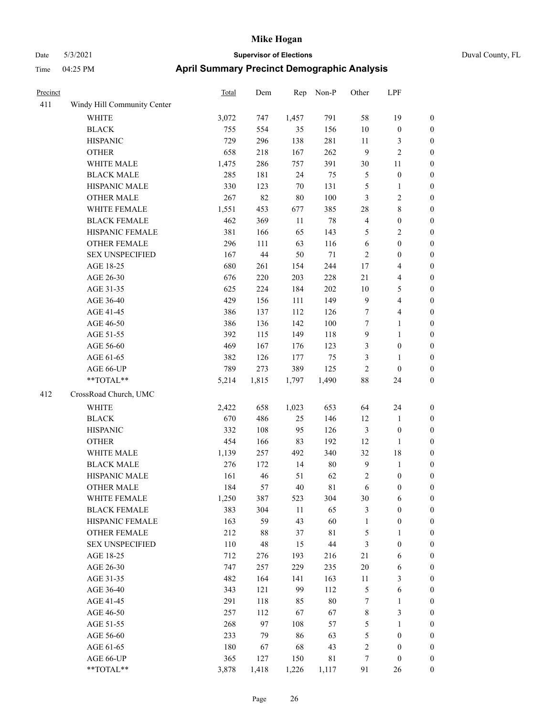## Date 5/3/2021 **Supervisor of Elections** Duval County, FL Time 04:25 PM **April Summary Precinct Demographic Analysis**

| Precinct |                             | Total   | Dem    | Rep    | Non-P       | Other            | LPF              |                  |
|----------|-----------------------------|---------|--------|--------|-------------|------------------|------------------|------------------|
| 411      | Windy Hill Community Center |         |        |        |             |                  |                  |                  |
|          | WHITE                       | 3,072   | 747    | 1,457  | 791         | 58               | 19               | $\boldsymbol{0}$ |
|          | <b>BLACK</b>                | 755     | 554    | 35     | 156         | 10               | $\boldsymbol{0}$ | $\boldsymbol{0}$ |
|          | <b>HISPANIC</b>             | 729     | 296    | 138    | 281         | 11               | 3                | $\boldsymbol{0}$ |
|          | <b>OTHER</b>                | 658     | 218    | 167    | 262         | 9                | $\overline{c}$   | $\boldsymbol{0}$ |
|          | WHITE MALE                  | 1,475   | 286    | 757    | 391         | 30               | 11               | $\boldsymbol{0}$ |
|          | <b>BLACK MALE</b>           | 285     | 181    | 24     | 75          | $\mathfrak s$    | $\boldsymbol{0}$ | $\boldsymbol{0}$ |
|          | HISPANIC MALE               | 330     | 123    | 70     | 131         | 5                | $\mathbf{1}$     | $\boldsymbol{0}$ |
|          | <b>OTHER MALE</b>           | 267     | 82     | 80     | 100         | 3                | $\overline{c}$   | $\boldsymbol{0}$ |
|          | WHITE FEMALE                | 1,551   | 453    | 677    | 385         | 28               | 8                | $\boldsymbol{0}$ |
|          | <b>BLACK FEMALE</b>         | 462     | 369    | 11     | 78          | $\overline{4}$   | $\boldsymbol{0}$ | $\boldsymbol{0}$ |
|          | HISPANIC FEMALE             | 381     | 166    | 65     | 143         | 5                | $\overline{2}$   | $\boldsymbol{0}$ |
|          | OTHER FEMALE                | 296     | 111    | 63     | 116         | 6                | $\boldsymbol{0}$ | $\mathbf{0}$     |
|          | <b>SEX UNSPECIFIED</b>      | 167     | $44\,$ | 50     | 71          | $\mathfrak{2}$   | $\boldsymbol{0}$ | $\boldsymbol{0}$ |
|          | AGE 18-25                   | 680     | 261    | 154    | 244         | 17               | 4                | $\boldsymbol{0}$ |
|          | AGE 26-30                   | 676     | 220    | 203    | 228         | 21               | 4                | $\boldsymbol{0}$ |
|          | AGE 31-35                   | 625     | 224    | 184    | 202         | 10               | 5                | $\boldsymbol{0}$ |
|          | AGE 36-40                   | 429     | 156    | 111    | 149         | $\mathbf{9}$     | 4                | $\boldsymbol{0}$ |
|          | AGE 41-45                   | 386     | 137    | 112    | 126         | $\boldsymbol{7}$ | 4                | $\boldsymbol{0}$ |
|          | AGE 46-50                   | 386     | 136    | 142    | 100         | $\tau$           | $\mathbf{1}$     | $\boldsymbol{0}$ |
|          | AGE 51-55                   | 392     | 115    | 149    | 118         | $\boldsymbol{9}$ | $\mathbf{1}$     | $\boldsymbol{0}$ |
|          | AGE 56-60                   | 469     | 167    | 176    | 123         | 3                | $\boldsymbol{0}$ | $\boldsymbol{0}$ |
|          | AGE 61-65                   | 382     | 126    | 177    | 75          | 3                | 1                | $\boldsymbol{0}$ |
|          | AGE 66-UP                   | 789     | 273    | 389    | 125         | $\sqrt{2}$       | $\boldsymbol{0}$ | $\boldsymbol{0}$ |
|          | $**TOTAL**$                 | 5,214   | 1,815  | 1,797  | 1,490       | 88               | 24               | $\boldsymbol{0}$ |
| 412      | CrossRoad Church, UMC       |         |        |        |             |                  |                  |                  |
|          | <b>WHITE</b>                | 2,422   | 658    | 1,023  | 653         | 64               | 24               | $\boldsymbol{0}$ |
|          | <b>BLACK</b>                | 670     | 486    | 25     | 146         | 12               | $\mathbf{1}$     | $\boldsymbol{0}$ |
|          | <b>HISPANIC</b>             | 332     | 108    | 95     | 126         | $\mathfrak{Z}$   | $\boldsymbol{0}$ | $\boldsymbol{0}$ |
|          | <b>OTHER</b>                | 454     | 166    | 83     | 192         | 12               | 1                | $\boldsymbol{0}$ |
|          | WHITE MALE                  | 1,139   | 257    | 492    | 340         | 32               | 18               | $\boldsymbol{0}$ |
|          | <b>BLACK MALE</b>           | 276     | 172    | 14     | 80          | $\mathbf{9}$     | $\mathbf{1}$     | $\boldsymbol{0}$ |
|          | HISPANIC MALE               | 161     | 46     | 51     | 62          | $\sqrt{2}$       | $\boldsymbol{0}$ | $\boldsymbol{0}$ |
|          | <b>OTHER MALE</b>           | 184     | 57     | 40     | 81          | 6                | $\boldsymbol{0}$ | $\boldsymbol{0}$ |
|          | WHITE FEMALE                | 1,250   | 387    | 523    | 304         | 30               | 6                | $\boldsymbol{0}$ |
|          | <b>BLACK FEMALE</b>         | 383     | 304    | $11\,$ | 65          | 3                | $\boldsymbol{0}$ | $\boldsymbol{0}$ |
|          | HISPANIC FEMALE             | 163     | 59     | 43     | 60          | $\mathbf{1}$     | $\boldsymbol{0}$ | $\boldsymbol{0}$ |
|          | <b>OTHER FEMALE</b>         | 212     | 88     | 37     | $8\sqrt{1}$ | $\mathfrak s$    | $\mathbf{1}$     | $\boldsymbol{0}$ |
|          | <b>SEX UNSPECIFIED</b>      | $110\,$ | 48     | 15     | $44\,$      | 3                | $\boldsymbol{0}$ | $\boldsymbol{0}$ |
|          | AGE 18-25                   | 712     |        |        |             | 21               | 6                | $\boldsymbol{0}$ |
|          |                             |         | 276    | 193    | 216         | 20               |                  |                  |
|          | AGE 26-30                   | 747     | 257    | 229    | 235         |                  | 6                | $\boldsymbol{0}$ |
|          | AGE 31-35                   | 482     | 164    | 141    | 163         | 11               | 3                | $\boldsymbol{0}$ |
|          | AGE 36-40                   | 343     | 121    | 99     | 112         | $\mathfrak s$    | 6                | $\boldsymbol{0}$ |
|          | AGE 41-45                   | 291     | 118    | 85     | $80\,$      | $\boldsymbol{7}$ | $\mathbf{1}$     | $\boldsymbol{0}$ |
|          | AGE 46-50                   | 257     | 112    | 67     | 67          | $\,$ $\,$        | 3                | $\boldsymbol{0}$ |
|          | AGE 51-55                   | 268     | 97     | 108    | 57          | 5                | 1                | $\boldsymbol{0}$ |

AGE 56-60 233 79 86 63 5 0 0 AGE 61-65 180 67 68 43 2 0 0 AGE 66-UP 365 127 150 81 7 0 0 \*\*TOTAL\*\* 3,878 1,418 1,226 1,117 91 26 0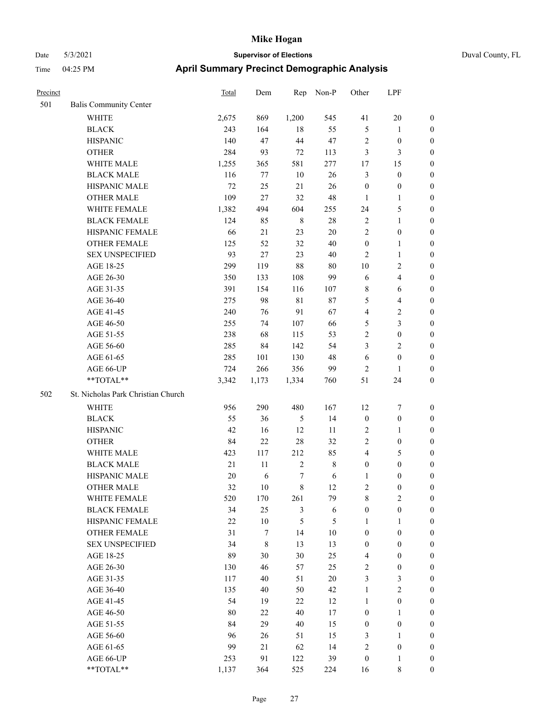# Date 5/3/2021 **Supervisor of Elections Supervisor of Elections** Duval County, Time 04:25 PM **April Summary Precinct Demographic Analysis**

| Duval County, FL |  |
|------------------|--|

| Precinct |                                    | <b>Total</b> | Dem   | Rep            | Non-P       | Other            | LPF                     |                  |
|----------|------------------------------------|--------------|-------|----------------|-------------|------------------|-------------------------|------------------|
| 501      | Balis Community Center             |              |       |                |             |                  |                         |                  |
|          | <b>WHITE</b>                       | 2,675        | 869   | 1,200          | 545         | 41               | $20\,$                  | $\boldsymbol{0}$ |
|          | <b>BLACK</b>                       | 243          | 164   | 18             | 55          | $\sqrt{5}$       | $\mathbf{1}$            | $\boldsymbol{0}$ |
|          | <b>HISPANIC</b>                    | 140          | 47    | $44\,$         | 47          | $\overline{c}$   | $\boldsymbol{0}$        | 0                |
|          | <b>OTHER</b>                       | 284          | 93    | $72\,$         | 113         | 3                | 3                       | 0                |
|          | WHITE MALE                         | 1,255        | 365   | 581            | 277         | 17               | 15                      | $\boldsymbol{0}$ |
|          | <b>BLACK MALE</b>                  | 116          | 77    | $10\,$         | 26          | 3                | $\boldsymbol{0}$        | $\boldsymbol{0}$ |
|          | HISPANIC MALE                      | 72           | 25    | 21             | 26          | $\boldsymbol{0}$ | $\boldsymbol{0}$        | $\boldsymbol{0}$ |
|          | <b>OTHER MALE</b>                  | 109          | 27    | 32             | 48          | $\mathbf{1}$     | $\mathbf{1}$            | $\boldsymbol{0}$ |
|          | WHITE FEMALE                       | 1,382        | 494   | 604            | 255         | 24               | $\mathfrak{S}$          | $\boldsymbol{0}$ |
|          | <b>BLACK FEMALE</b>                | 124          | 85    | $\,$ 8 $\,$    | $28\,$      | $\sqrt{2}$       | $\mathbf{1}$            | $\boldsymbol{0}$ |
|          | HISPANIC FEMALE                    | 66           | 21    | 23             | $20\,$      | $\overline{c}$   | $\boldsymbol{0}$        | $\boldsymbol{0}$ |
|          | OTHER FEMALE                       | 125          | 52    | 32             | $40\,$      | $\boldsymbol{0}$ | $\mathbf{1}$            | 0                |
|          | <b>SEX UNSPECIFIED</b>             | 93           | 27    | 23             | $40\,$      | 2                | $\mathbf{1}$            | 0                |
|          | AGE 18-25                          | 299          | 119   | 88             | 80          | 10               | $\sqrt{2}$              | 0                |
|          | AGE 26-30                          | 350          | 133   | 108            | 99          | 6                | $\overline{\mathbf{4}}$ | 0                |
|          | AGE 31-35                          | 391          | 154   | 116            | 107         | 8                | 6                       | $\boldsymbol{0}$ |
|          | AGE 36-40                          | 275          | 98    | $8\sqrt{1}$    | $87\,$      | 5                | $\overline{\mathbf{4}}$ | $\boldsymbol{0}$ |
|          | AGE 41-45                          | 240          | 76    | 91             | 67          | 4                | $\sqrt{2}$              | $\boldsymbol{0}$ |
|          | AGE 46-50                          | 255          | 74    | 107            | 66          | 5                | $\mathfrak{Z}$          | $\boldsymbol{0}$ |
|          | AGE 51-55                          | 238          | 68    | 115            | 53          | $\mathfrak{2}$   | $\boldsymbol{0}$        | $\boldsymbol{0}$ |
|          | AGE 56-60                          | 285          | 84    | 142            | 54          | 3                | $\sqrt{2}$              | 0                |
|          | AGE 61-65                          | 285          | 101   | 130            | 48          | 6                | $\boldsymbol{0}$        | 0                |
|          | AGE 66-UP                          | 724          | 266   | 356            | 99          | 2                | $\mathbf{1}$            | 0                |
|          | **TOTAL**                          | 3,342        | 1,173 | 1,334          | 760         | 51               | 24                      | $\boldsymbol{0}$ |
| 502      | St. Nicholas Park Christian Church |              |       |                |             |                  |                         |                  |
|          | WHITE                              | 956          | 290   | 480            | 167         | 12               | 7                       | $\boldsymbol{0}$ |
|          | <b>BLACK</b>                       | 55           | 36    | 5              | 14          | $\boldsymbol{0}$ | $\boldsymbol{0}$        | $\boldsymbol{0}$ |
|          | <b>HISPANIC</b>                    | 42           | 16    | 12             | 11          | 2                | $\mathbf{1}$            | $\boldsymbol{0}$ |
|          | <b>OTHER</b>                       | 84           | 22    | 28             | 32          | $\overline{c}$   | $\boldsymbol{0}$        | $\boldsymbol{0}$ |
|          | WHITE MALE                         | 423          | 117   | 212            | 85          | 4                | $\mathfrak{S}$          | $\boldsymbol{0}$ |
|          | <b>BLACK MALE</b>                  | $21\,$       | 11    | $\sqrt{2}$     | $\,$ 8 $\,$ | $\boldsymbol{0}$ | $\boldsymbol{0}$        | $\boldsymbol{0}$ |
|          | HISPANIC MALE                      | 20           | 6     | 7              | 6           | 1                | $\boldsymbol{0}$        | $\boldsymbol{0}$ |
|          | <b>OTHER MALE</b>                  | 32           | 10    | 8              | 12          | 2                | $\boldsymbol{0}$        | $\boldsymbol{0}$ |
|          | WHITE FEMALE                       | 520          | 170   | 261            | 79          | 8                | $\mathbf{2}$            | 0                |
|          | <b>BLACK FEMALE</b>                | 34           | 25    | $\mathfrak{Z}$ | $\sqrt{6}$  | $\boldsymbol{0}$ | $\boldsymbol{0}$        | 0                |
|          | HISPANIC FEMALE                    | $22\,$       | 10    | $\mathfrak{S}$ | 5           | $\mathbf{1}$     | $\mathbf{1}$            | 0                |
|          | OTHER FEMALE                       | 31           | 7     | 14             | $10\,$      | $\boldsymbol{0}$ | $\boldsymbol{0}$        | $\overline{0}$   |
|          | <b>SEX UNSPECIFIED</b>             | 34           | 8     | 13             | 13          | $\boldsymbol{0}$ | $\boldsymbol{0}$        | $\overline{0}$   |
|          | AGE 18-25                          | 89           | 30    | $30\,$         | 25          | $\overline{4}$   | $\boldsymbol{0}$        | 0                |
|          | AGE 26-30                          | 130          | 46    | 57             | 25          | $\overline{c}$   | $\boldsymbol{0}$        | 0                |
|          | AGE 31-35                          | 117          | 40    | 51             | $20\,$      | 3                | $\mathfrak{Z}$          | $\overline{0}$   |
|          | AGE 36-40                          | 135          | 40    | 50             | 42          | $\mathbf{1}$     | $\overline{2}$          | 0                |
|          | AGE 41-45                          | 54           | 19    | 22             | 12          | $\mathbf{1}$     | $\boldsymbol{0}$        | 0                |
|          | AGE 46-50                          | 80           | 22    | 40             | 17          | $\boldsymbol{0}$ | $\mathbf{1}$            | 0                |
|          | AGE 51-55                          | 84           | 29    | 40             | 15          | $\boldsymbol{0}$ | $\boldsymbol{0}$        | $\boldsymbol{0}$ |
|          | AGE 56-60                          | 96           | 26    | 51             | 15          | 3                | $\mathbf{1}$            | $\boldsymbol{0}$ |
|          | AGE 61-65                          | 99           | 21    | 62             | 14          | $\sqrt{2}$       | $\boldsymbol{0}$        | $\boldsymbol{0}$ |
|          | AGE 66-UP                          | 253          | 91    | 122            | 39          | $\boldsymbol{0}$ | $\mathbf{1}$            | $\boldsymbol{0}$ |
|          | $**TOTAL**$                        | 1,137        | 364   | 525            | 224         | 16               | $\,$ 8 $\,$             | $\boldsymbol{0}$ |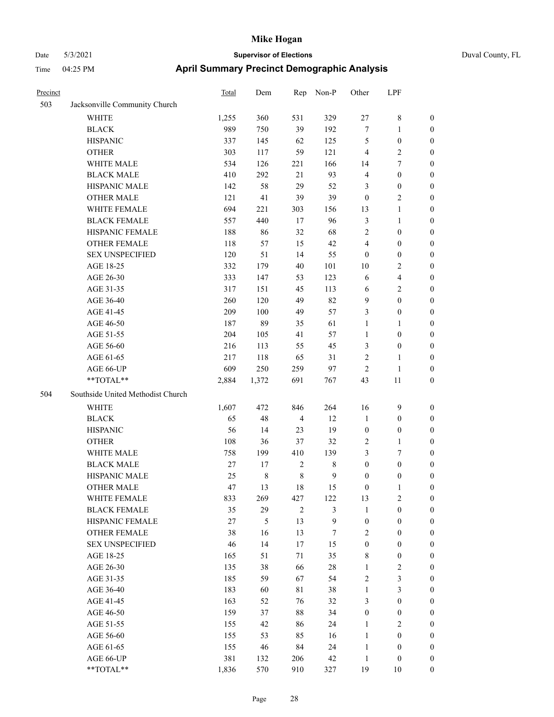| Duval |
|-------|
|       |
|       |
|       |

| Precinct |                                   | Total  | Dem         | Rep            | Non-P        | Other            | LPF                     |                  |
|----------|-----------------------------------|--------|-------------|----------------|--------------|------------------|-------------------------|------------------|
| 503      | Jacksonville Community Church     |        |             |                |              |                  |                         |                  |
|          | <b>WHITE</b>                      | 1,255  | 360         | 531            | 329          | $27\,$           | $\,$ 8 $\,$             | 0                |
|          | <b>BLACK</b>                      | 989    | 750         | 39             | 192          | $\boldsymbol{7}$ | $\mathbf{1}$            | 0                |
|          | <b>HISPANIC</b>                   | 337    | 145         | 62             | 125          | 5                | $\boldsymbol{0}$        | $\boldsymbol{0}$ |
|          | <b>OTHER</b>                      | 303    | 117         | 59             | 121          | $\overline{4}$   | $\sqrt{2}$              | $\boldsymbol{0}$ |
|          | WHITE MALE                        | 534    | 126         | 221            | 166          | 14               | $\tau$                  | $\boldsymbol{0}$ |
|          | <b>BLACK MALE</b>                 | 410    | 292         | 21             | 93           | 4                | $\boldsymbol{0}$        | $\boldsymbol{0}$ |
|          | HISPANIC MALE                     | 142    | 58          | 29             | 52           | 3                | $\boldsymbol{0}$        | $\boldsymbol{0}$ |
|          | <b>OTHER MALE</b>                 | 121    | 41          | 39             | 39           | $\boldsymbol{0}$ | $\overline{2}$          | $\boldsymbol{0}$ |
|          | WHITE FEMALE                      | 694    | 221         | 303            | 156          | 13               | $\mathbf{1}$            | $\boldsymbol{0}$ |
|          | <b>BLACK FEMALE</b>               | 557    | 440         | 17             | 96           | 3                | $\mathbf{1}$            | 0                |
|          | HISPANIC FEMALE                   | 188    | 86          | 32             | 68           | $\overline{c}$   | $\boldsymbol{0}$        | 0                |
|          | OTHER FEMALE                      | 118    | 57          | 15             | 42           | 4                | $\boldsymbol{0}$        | 0                |
|          | <b>SEX UNSPECIFIED</b>            | 120    | 51          | 14             | 55           | $\boldsymbol{0}$ | $\boldsymbol{0}$        | $\boldsymbol{0}$ |
|          | AGE 18-25                         | 332    | 179         | 40             | 101          | 10               | $\sqrt{2}$              | $\boldsymbol{0}$ |
|          | AGE 26-30                         | 333    | 147         | 53             | 123          | 6                | $\overline{\mathbf{4}}$ | $\boldsymbol{0}$ |
|          | AGE 31-35                         | 317    | 151         | 45             | 113          | 6                | $\sqrt{2}$              | $\boldsymbol{0}$ |
|          | AGE 36-40                         | 260    | 120         | 49             | 82           | 9                | $\boldsymbol{0}$        | $\boldsymbol{0}$ |
|          | AGE 41-45                         | 209    | 100         | 49             | 57           | 3                | $\boldsymbol{0}$        | $\boldsymbol{0}$ |
|          | AGE 46-50                         | 187    | 89          | 35             | 61           | $\mathbf{1}$     | $\mathbf{1}$            | $\boldsymbol{0}$ |
|          | AGE 51-55                         | 204    | 105         | 41             | 57           | $\mathbf{1}$     | $\boldsymbol{0}$        | 0                |
|          | AGE 56-60                         | 216    | 113         | 55             | 45           | 3                | $\boldsymbol{0}$        | 0                |
|          | AGE 61-65                         | 217    | 118         | 65             | 31           | $\mathbf{2}$     | $\mathbf{1}$            | 0                |
|          | AGE 66-UP                         | 609    | 250         | 259            | 97           | $\overline{2}$   | $\mathbf{1}$            | $\boldsymbol{0}$ |
|          | **TOTAL**                         | 2,884  | 1,372       | 691            | 767          | 43               | 11                      | $\boldsymbol{0}$ |
| 504      | Southside United Methodist Church |        |             |                |              |                  |                         |                  |
|          | <b>WHITE</b>                      | 1,607  | 472         | 846            | 264          | 16               | $\mathbf{9}$            | $\boldsymbol{0}$ |
|          | <b>BLACK</b>                      | 65     | 48          | $\overline{4}$ | 12           | $\mathbf{1}$     | $\boldsymbol{0}$        | $\boldsymbol{0}$ |
|          | <b>HISPANIC</b>                   | 56     | 14          | 23             | 19           | $\boldsymbol{0}$ | $\boldsymbol{0}$        | $\boldsymbol{0}$ |
|          | <b>OTHER</b>                      | 108    | 36          | 37             | 32           | $\overline{c}$   | $\mathbf{1}$            | $\boldsymbol{0}$ |
|          | WHITE MALE                        | 758    | 199         | 410            | 139          | 3                | $\tau$                  | $\overline{0}$   |
|          | <b>BLACK MALE</b>                 | $27\,$ | 17          | $\sqrt{2}$     | $\,$ 8 $\,$  | $\boldsymbol{0}$ | $\boldsymbol{0}$        | $\overline{0}$   |
|          | HISPANIC MALE                     | 25     | $\,$ 8 $\,$ | $\,$ 8 $\,$    | $\mathbf{9}$ | $\boldsymbol{0}$ | $\boldsymbol{0}$        | 0                |
|          | <b>OTHER MALE</b>                 | 47     | 13          | 18             | 15           | $\boldsymbol{0}$ | $\mathbf{1}$            | 0                |
|          | WHITE FEMALE                      | 833    | 269         | 427            | 122          | 13               | 2                       | 0                |
|          | <b>BLACK FEMALE</b>               | 35     | 29          | $\overline{2}$ | 3            | $\mathbf{1}$     | $\boldsymbol{0}$        | $\overline{0}$   |
|          | HISPANIC FEMALE                   | 27     | 5           | 13             | 9            | $\boldsymbol{0}$ | $\boldsymbol{0}$        | $\overline{0}$   |
|          | OTHER FEMALE                      | 38     | 16          | 13             | 7            | $\overline{c}$   | $\boldsymbol{0}$        | $\overline{0}$   |
|          | <b>SEX UNSPECIFIED</b>            | 46     | 14          | 17             | 15           | $\boldsymbol{0}$ | $\boldsymbol{0}$        | 0                |
|          | AGE 18-25                         | 165    | 51          | 71             | 35           | 8                | $\boldsymbol{0}$        | 0                |
|          | AGE 26-30                         | 135    | 38          | 66             | $28\,$       | $\mathbf{1}$     | $\sqrt{2}$              | 0                |
|          | AGE 31-35                         | 185    | 59          | 67             | 54           | $\overline{c}$   | $\mathfrak{Z}$          | 0                |
|          | AGE 36-40                         | 183    | 60          | $8\sqrt{1}$    | 38           | $\mathbf{1}$     | $\mathfrak{Z}$          | 0                |
|          | AGE 41-45                         | 163    | 52          | 76             | 32           | 3                | $\boldsymbol{0}$        | 0                |
|          | AGE 46-50                         | 159    | 37          | $88\,$         | 34           | $\boldsymbol{0}$ | $\boldsymbol{0}$        | 0                |
|          | AGE 51-55                         | 155    | 42          | 86             | 24           | $\mathbf{1}$     | $\overline{2}$          | 0                |
|          | AGE 56-60                         | 155    | 53          | 85             | 16           | $\mathbf{1}$     | $\boldsymbol{0}$        | $\overline{0}$   |
|          | AGE 61-65                         | 155    | 46          | 84             | 24           | $\mathbf{1}$     | $\boldsymbol{0}$        | $\overline{0}$   |
|          | AGE 66-UP                         | 381    | 132         | 206            | 42           | $\mathbf{1}$     | $\boldsymbol{0}$        | 0                |
|          | **TOTAL**                         | 1,836  | 570         | 910            | 327          | 19               | 10                      | $\boldsymbol{0}$ |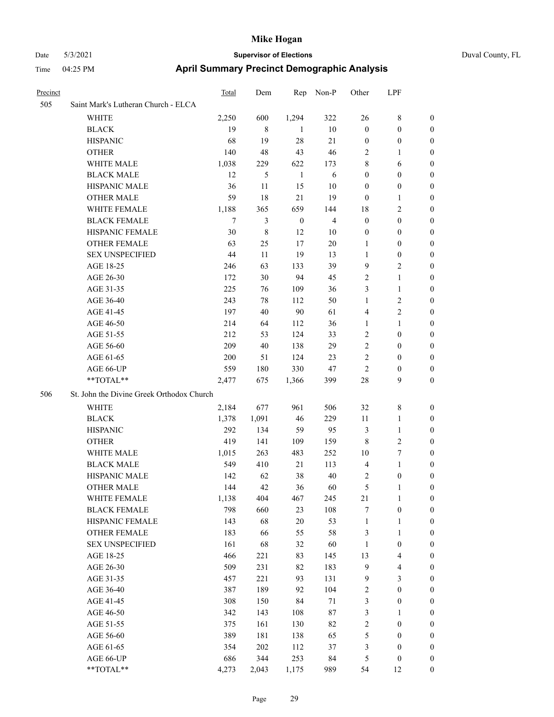# Date 5/3/2021 **Supervisor of Elections** Duval County, FL

## Time 04:25 PM **April Summary Precinct Demographic Analysis**

| Precinct |                                           | Total          | Dem         | Rep              | Non-P          | Other            | LPF                     |                  |  |
|----------|-------------------------------------------|----------------|-------------|------------------|----------------|------------------|-------------------------|------------------|--|
| 505      | Saint Mark's Lutheran Church - ELCA       |                |             |                  |                |                  |                         |                  |  |
|          | <b>WHITE</b>                              | 2,250          | 600         | 1,294            | 322            | 26               | $8\,$                   | $\boldsymbol{0}$ |  |
|          | <b>BLACK</b>                              | 19             | $\,$ 8 $\,$ | 1                | $10\,$         | $\boldsymbol{0}$ | $\boldsymbol{0}$        | $\boldsymbol{0}$ |  |
|          | <b>HISPANIC</b>                           | 68             | 19          | 28               | 21             | $\boldsymbol{0}$ | $\boldsymbol{0}$        | $\boldsymbol{0}$ |  |
|          | <b>OTHER</b>                              | 140            | 48          | 43               | 46             | 2                | $\mathbf{1}$            | $\boldsymbol{0}$ |  |
|          | WHITE MALE                                | 1,038          | 229         | 622              | 173            | 8                | 6                       | 0                |  |
|          | <b>BLACK MALE</b>                         | 12             | 5           | $\mathbf{1}$     | 6              | $\boldsymbol{0}$ | $\boldsymbol{0}$        | 0                |  |
|          | HISPANIC MALE                             | 36             | 11          | 15               | 10             | $\boldsymbol{0}$ | $\boldsymbol{0}$        | 0                |  |
|          | <b>OTHER MALE</b>                         | 59             | 18          | 21               | 19             | $\boldsymbol{0}$ | $\mathbf{1}$            | 0                |  |
|          | WHITE FEMALE                              | 1,188          | 365         | 659              | 144            | 18               | $\sqrt{2}$              | 0                |  |
|          | <b>BLACK FEMALE</b>                       | $\overline{7}$ | 3           | $\boldsymbol{0}$ | $\overline{4}$ | $\boldsymbol{0}$ | $\boldsymbol{0}$        | $\boldsymbol{0}$ |  |
|          | HISPANIC FEMALE                           | 30             | 8           | 12               | $10\,$         | $\boldsymbol{0}$ | $\boldsymbol{0}$        | $\boldsymbol{0}$ |  |
|          | <b>OTHER FEMALE</b>                       | 63             | 25          | 17               | $20\,$         | $\mathbf{1}$     | $\boldsymbol{0}$        | $\boldsymbol{0}$ |  |
|          | <b>SEX UNSPECIFIED</b>                    | 44             | 11          | 19               | 13             | $\mathbf{1}$     | $\boldsymbol{0}$        | $\overline{0}$   |  |
|          | AGE 18-25                                 | 246            | 63          | 133              | 39             | 9                | $\mathbf{2}$            | 0                |  |
|          | AGE 26-30                                 | 172            | 30          | 94               | 45             | $\mathbf{2}$     | $\mathbf{1}$            | 0                |  |
|          | AGE 31-35                                 | 225            | 76          | 109              | 36             | 3                | $\mathbf{1}$            | 0                |  |
|          | AGE 36-40                                 | 243            | 78          | 112              | 50             | 1                | $\sqrt{2}$              | 0                |  |
|          | AGE 41-45                                 | 197            | 40          | $90\,$           | 61             | 4                | $\sqrt{2}$              | 0                |  |
|          | AGE 46-50                                 | 214            | 64          | 112              | 36             | 1                | $\mathbf{1}$            | 0                |  |
|          | AGE 51-55                                 | 212            | 53          | 124              | 33             | $\overline{c}$   | $\boldsymbol{0}$        | $\boldsymbol{0}$ |  |
|          | AGE 56-60                                 | 209            | 40          | 138              | 29             | $\overline{c}$   | $\boldsymbol{0}$        | 0                |  |
|          | AGE 61-65                                 | 200            | 51          | 124              | 23             | $\sqrt{2}$       | $\boldsymbol{0}$        | 0                |  |
|          | AGE 66-UP                                 | 559            | 180         | 330              | 47             | $\overline{c}$   | $\boldsymbol{0}$        | 0                |  |
|          | **TOTAL**                                 | 2,477          | 675         | 1,366            | 399            | $28\,$           | 9                       | $\boldsymbol{0}$ |  |
| 506      | St. John the Divine Greek Orthodox Church |                |             |                  |                |                  |                         |                  |  |
|          | WHITE                                     | 2,184          | 677         | 961              | 506            | 32               | $\,$ 8 $\,$             | $\boldsymbol{0}$ |  |
|          | <b>BLACK</b>                              | 1,378          | 1,091       | 46               | 229            | 11               | $\mathbf{1}$            | 0                |  |
|          | <b>HISPANIC</b>                           | 292            | 134         | 59               | 95             | 3                | $\mathbf{1}$            | 0                |  |
|          | <b>OTHER</b>                              | 419            | 141         | 109              | 159            | $\,$ 8 $\,$      | $\sqrt{2}$              | 0                |  |
|          | WHITE MALE                                | 1,015          | 263         | 483              | 252            | 10               | $\boldsymbol{7}$        | 0                |  |
|          | <b>BLACK MALE</b>                         | 549            | 410         | 21               | 113            | $\overline{4}$   | $\mathbf{1}$            | 0                |  |
|          | HISPANIC MALE                             | 142            | 62          | 38               | 40             | 2                | $\boldsymbol{0}$        | $\boldsymbol{0}$ |  |
|          | <b>OTHER MALE</b>                         | 144            | 42          | 36               | 60             | 5                | $\mathbf{1}$            | $\boldsymbol{0}$ |  |
|          | WHITE FEMALE                              | 1,138          | 404         | 467              | 245            | $21\,$           | $\mathbf{1}$            | $\boldsymbol{0}$ |  |
|          | <b>BLACK FEMALE</b>                       | 798            | 660         | 23               | 108            | 7                | $\boldsymbol{0}$        | $\overline{0}$   |  |
|          | HISPANIC FEMALE                           | 143            | 68          | $20\,$           | 53             | $\mathbf{1}$     | $\mathbf{1}$            | $\overline{0}$   |  |
|          | <b>OTHER FEMALE</b>                       | 183            | 66          | 55               | 58             | 3                | $\mathbf{1}$            | 0                |  |
|          | <b>SEX UNSPECIFIED</b>                    | 161            | 68          | 32               | 60             | $\mathbf{1}$     | $\boldsymbol{0}$        | 0                |  |
|          | AGE 18-25                                 | 466            | 221         | 83               | 145            | 13               | $\overline{\mathbf{4}}$ | 0                |  |
|          | AGE 26-30                                 | 509            | 231         | 82               | 183            | $\mathbf{9}$     | $\overline{\mathbf{4}}$ | $\boldsymbol{0}$ |  |
|          | AGE 31-35                                 | 457            | 221         | 93               | 131            | $\overline{9}$   | 3                       | $\boldsymbol{0}$ |  |
|          | AGE 36-40                                 | 387            | 189         | 92               | 104            | 2                | $\boldsymbol{0}$        | $\boldsymbol{0}$ |  |
|          | AGE 41-45                                 | 308            | 150         | 84               | 71             | 3                | $\boldsymbol{0}$        | $\boldsymbol{0}$ |  |
|          | AGE 46-50                                 | 342            | 143         | 108              | $87\,$         | 3                | $\mathbf{1}$            | $\boldsymbol{0}$ |  |
|          | AGE 51-55                                 | 375            | 161         | 130              | 82             | $\overline{c}$   | $\boldsymbol{0}$        | $\overline{0}$   |  |
|          | AGE 56-60                                 | 389            | 181         | 138              | 65             | 5                | $\boldsymbol{0}$        | $\boldsymbol{0}$ |  |
|          | AGE 61-65                                 | 354            | 202         | 112              | 37             | $\mathfrak{Z}$   | $\boldsymbol{0}$        | $\overline{0}$   |  |
|          | AGE 66-UP                                 | 686            | 344         | 253              | 84             | 5                | $\boldsymbol{0}$        | $\boldsymbol{0}$ |  |
|          | $**TOTAL**$                               | 4,273          | 2,043       | 1,175            | 989            | 54               | 12                      | $\boldsymbol{0}$ |  |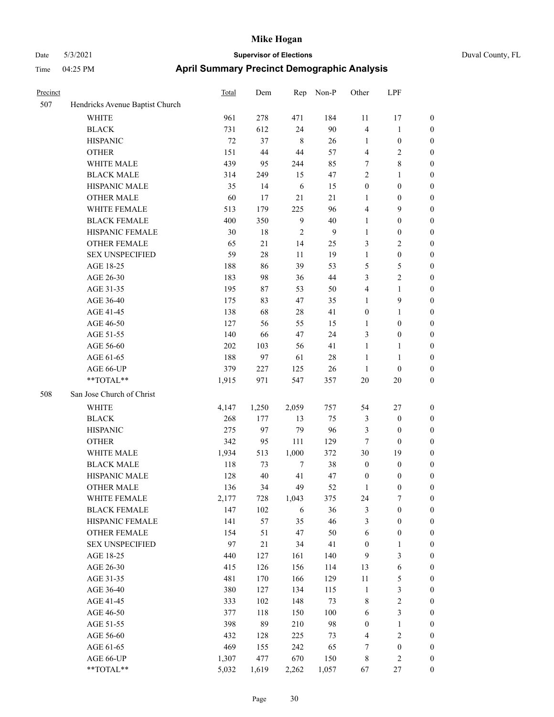|  | Duval County, FL |  |
|--|------------------|--|
|--|------------------|--|

| Precinct |                                 | <b>Total</b> | Dem   | Rep            | Non-P  | Other            | LPF              |                  |
|----------|---------------------------------|--------------|-------|----------------|--------|------------------|------------------|------------------|
| 507      | Hendricks Avenue Baptist Church |              |       |                |        |                  |                  |                  |
|          | <b>WHITE</b>                    | 961          | 278   | 471            | 184    | 11               | 17               | $\boldsymbol{0}$ |
|          | <b>BLACK</b>                    | 731          | 612   | 24             | 90     | 4                | $\mathbf{1}$     | $\boldsymbol{0}$ |
|          | <b>HISPANIC</b>                 | $72\,$       | 37    | $\,8\,$        | 26     | 1                | $\boldsymbol{0}$ | $\boldsymbol{0}$ |
|          | <b>OTHER</b>                    | 151          | 44    | 44             | 57     | 4                | $\sqrt{2}$       | $\boldsymbol{0}$ |
|          | WHITE MALE                      | 439          | 95    | 244            | 85     | 7                | $\,8\,$          | $\boldsymbol{0}$ |
|          | <b>BLACK MALE</b>               | 314          | 249   | 15             | 47     | $\overline{c}$   | $\mathbf{1}$     | $\boldsymbol{0}$ |
|          | HISPANIC MALE                   | 35           | 14    | 6              | 15     | $\boldsymbol{0}$ | $\boldsymbol{0}$ | $\boldsymbol{0}$ |
|          | <b>OTHER MALE</b>               | 60           | 17    | 21             | 21     | $\mathbf{1}$     | $\boldsymbol{0}$ | $\boldsymbol{0}$ |
|          | WHITE FEMALE                    | 513          | 179   | 225            | 96     | 4                | 9                | $\boldsymbol{0}$ |
|          | <b>BLACK FEMALE</b>             | 400          | 350   | 9              | 40     | $\mathbf{1}$     | $\boldsymbol{0}$ | 0                |
|          | HISPANIC FEMALE                 | 30           | 18    | $\overline{2}$ | 9      | $\mathbf{1}$     | $\boldsymbol{0}$ | 0                |
|          | OTHER FEMALE                    | 65           | 21    | 14             | 25     | 3                | $\sqrt{2}$       | 0                |
|          | <b>SEX UNSPECIFIED</b>          | 59           | 28    | 11             | 19     | $\mathbf{1}$     | $\boldsymbol{0}$ | $\boldsymbol{0}$ |
|          | AGE 18-25                       | 188          | 86    | 39             | 53     | 5                | $\mathfrak{S}$   | $\boldsymbol{0}$ |
|          | AGE 26-30                       | 183          | 98    | 36             | $44\,$ | 3                | $\mathbf{2}$     | $\boldsymbol{0}$ |
|          | AGE 31-35                       | 195          | 87    | 53             | 50     | 4                | $\mathbf{1}$     | $\boldsymbol{0}$ |
|          | AGE 36-40                       | 175          | 83    | 47             | 35     | $\mathbf{1}$     | 9                | $\boldsymbol{0}$ |
|          | AGE 41-45                       | 138          | 68    | 28             | 41     | $\boldsymbol{0}$ | $\mathbf{1}$     | $\boldsymbol{0}$ |
|          | AGE 46-50                       | 127          | 56    | 55             | 15     | 1                | $\boldsymbol{0}$ | 0                |
|          | AGE 51-55                       | 140          | 66    | 47             | 24     | 3                | $\boldsymbol{0}$ | 0                |
|          | AGE 56-60                       | 202          | 103   | 56             | 41     | 1                | $\mathbf{1}$     | 0                |
|          | AGE 61-65                       | 188          | 97    | 61             | $28\,$ | $\mathbf{1}$     | $\mathbf{1}$     | 0                |
|          | AGE 66-UP                       | 379          | 227   | 125            | 26     | $\mathbf{1}$     | $\boldsymbol{0}$ | 0                |
|          | **TOTAL**                       | 1,915        | 971   | 547            | 357    | 20               | $20\,$           | $\boldsymbol{0}$ |
| 508      | San Jose Church of Christ       |              |       |                |        |                  |                  |                  |
|          | <b>WHITE</b>                    | 4,147        | 1,250 | 2,059          | 757    | 54               | 27               | $\boldsymbol{0}$ |
|          | <b>BLACK</b>                    | 268          | 177   | 13             | 75     | 3                | $\boldsymbol{0}$ | $\boldsymbol{0}$ |
|          | <b>HISPANIC</b>                 | 275          | 97    | 79             | 96     | 3                | $\boldsymbol{0}$ | $\boldsymbol{0}$ |
|          | <b>OTHER</b>                    | 342          | 95    | 111            | 129    | 7                | $\boldsymbol{0}$ | $\boldsymbol{0}$ |
|          | WHITE MALE                      | 1,934        | 513   | 1,000          | 372    | 30               | 19               | $\boldsymbol{0}$ |
|          | <b>BLACK MALE</b>               | 118          | 73    | $\tau$         | 38     | $\boldsymbol{0}$ | $\boldsymbol{0}$ | $\boldsymbol{0}$ |
|          | HISPANIC MALE                   | 128          | 40    | 41             | 47     | $\boldsymbol{0}$ | 0                | 0                |
|          | <b>OTHER MALE</b>               | 136          | 34    | 49             | 52     | 1                | $\boldsymbol{0}$ | $\overline{0}$   |
|          | WHITE FEMALE                    | 2,177        | 728   | 1,043          | 375    | 24               | 7                | $\boldsymbol{0}$ |
|          | <b>BLACK FEMALE</b>             | 147          | 102   | 6              | 36     | 3                | $\boldsymbol{0}$ | $\boldsymbol{0}$ |
|          | HISPANIC FEMALE                 | 141          | 57    | 35             | 46     | 3                | $\boldsymbol{0}$ | $\boldsymbol{0}$ |
|          | OTHER FEMALE                    | 154          | 51    | 47             | 50     | 6                | $\boldsymbol{0}$ | 0                |
|          | <b>SEX UNSPECIFIED</b>          | 97           | 21    | 34             | 41     | $\boldsymbol{0}$ | $\mathbf{1}$     | 0                |
|          | AGE 18-25                       | 440          | 127   | 161            | 140    | $\overline{9}$   | $\mathfrak{Z}$   | $\overline{0}$   |
|          | AGE 26-30                       | 415          | 126   | 156            | 114    | 13               | $\sqrt{6}$       | 0                |
|          | AGE 31-35                       | 481          | 170   | 166            | 129    | $11\,$           | $\mathfrak s$    | 0                |
|          | AGE 36-40                       | 380          | 127   | 134            | 115    | $\mathbf{1}$     | $\mathfrak{Z}$   | 0                |
|          | AGE 41-45                       | 333          | 102   | 148            | 73     | 8                | $\sqrt{2}$       | 0                |
|          | AGE 46-50                       | 377          | 118   | 150            | 100    | 6                | $\mathfrak{Z}$   | $\boldsymbol{0}$ |
|          | AGE 51-55                       | 398          | 89    | 210            | 98     | $\boldsymbol{0}$ | $\mathbf{1}$     | $\boldsymbol{0}$ |
|          | AGE 56-60                       | 432          | 128   | 225            | 73     | 4                | $\sqrt{2}$       | $\boldsymbol{0}$ |
|          | AGE 61-65                       | 469          | 155   | 242            | 65     | 7                | $\boldsymbol{0}$ | 0                |
|          | AGE 66-UP                       | 1,307        | 477   | 670            | 150    | $\,$ 8 $\,$      | $\sqrt{2}$       | $\boldsymbol{0}$ |
|          | **TOTAL**                       | 5,032        | 1,619 | 2,262          | 1,057  | 67               | $27\,$           | $\boldsymbol{0}$ |
|          |                                 |              |       |                |        |                  |                  |                  |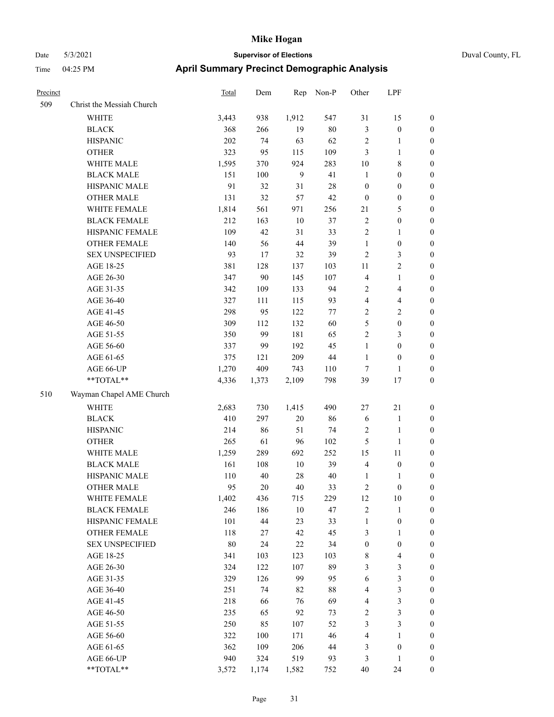| Precinct |                           | Total  | Dem    | Rep    | Non-P  | Other            | LPF              |                  |
|----------|---------------------------|--------|--------|--------|--------|------------------|------------------|------------------|
| 509      | Christ the Messiah Church |        |        |        |        |                  |                  |                  |
|          | <b>WHITE</b>              | 3,443  | 938    | 1,912  | 547    | 31               | 15               | $\boldsymbol{0}$ |
|          | <b>BLACK</b>              | 368    | 266    | 19     | 80     | $\mathfrak{Z}$   | $\boldsymbol{0}$ | $\boldsymbol{0}$ |
|          | <b>HISPANIC</b>           | 202    | 74     | 63     | 62     | $\sqrt{2}$       | 1                | $\boldsymbol{0}$ |
|          | <b>OTHER</b>              | 323    | 95     | 115    | 109    | 3                | 1                | $\boldsymbol{0}$ |
|          | WHITE MALE                | 1,595  | 370    | 924    | 283    | 10               | 8                | $\boldsymbol{0}$ |
|          | <b>BLACK MALE</b>         | 151    | 100    | 9      | 41     | $\mathbf{1}$     | $\boldsymbol{0}$ | $\boldsymbol{0}$ |
|          | HISPANIC MALE             | 91     | 32     | 31     | 28     | $\boldsymbol{0}$ | $\boldsymbol{0}$ | $\boldsymbol{0}$ |
|          | <b>OTHER MALE</b>         | 131    | 32     | 57     | 42     | $\mathbf{0}$     | $\boldsymbol{0}$ | $\boldsymbol{0}$ |
|          | WHITE FEMALE              | 1,814  | 561    | 971    | 256    | 21               | 5                | $\boldsymbol{0}$ |
|          | <b>BLACK FEMALE</b>       | 212    | 163    | $10\,$ | 37     | $\sqrt{2}$       | $\boldsymbol{0}$ | $\boldsymbol{0}$ |
|          | HISPANIC FEMALE           | 109    | 42     | 31     | 33     | $\overline{2}$   | $\mathbf{1}$     | $\boldsymbol{0}$ |
|          | <b>OTHER FEMALE</b>       | 140    | 56     | 44     | 39     | $\mathbf{1}$     | $\boldsymbol{0}$ | $\boldsymbol{0}$ |
|          | <b>SEX UNSPECIFIED</b>    | 93     | 17     | 32     | 39     | $\sqrt{2}$       | 3                | $\boldsymbol{0}$ |
|          | AGE 18-25                 | 381    | 128    | 137    | 103    | 11               | 2                | $\boldsymbol{0}$ |
|          | AGE 26-30                 | 347    | 90     | 145    | 107    | $\overline{4}$   | 1                | $\boldsymbol{0}$ |
|          | AGE 31-35                 | 342    | 109    | 133    | 94     | $\overline{2}$   | 4                | $\boldsymbol{0}$ |
|          | AGE 36-40                 | 327    | 111    | 115    | 93     | $\overline{4}$   | 4                | $\boldsymbol{0}$ |
|          | AGE 41-45                 | 298    | 95     | 122    | 77     | $\sqrt{2}$       | 2                | $\boldsymbol{0}$ |
|          | AGE 46-50                 | 309    | 112    | 132    | 60     | 5                | $\boldsymbol{0}$ | $\boldsymbol{0}$ |
|          | AGE 51-55                 | 350    | 99     | 181    | 65     | $\overline{2}$   | 3                | $\boldsymbol{0}$ |
|          | AGE 56-60                 | 337    | 99     | 192    | 45     | $\mathbf{1}$     | $\boldsymbol{0}$ | $\boldsymbol{0}$ |
|          | AGE 61-65                 | 375    | 121    | 209    | $44\,$ | 1                | $\boldsymbol{0}$ | $\boldsymbol{0}$ |
|          | AGE 66-UP                 | 1,270  | 409    | 743    | 110    | $\tau$           | 1                | $\boldsymbol{0}$ |
|          | **TOTAL**                 | 4,336  | 1,373  | 2,109  | 798    | 39               | 17               | $\boldsymbol{0}$ |
| 510      | Wayman Chapel AME Church  |        |        |        |        |                  |                  |                  |
|          | <b>WHITE</b>              | 2,683  | 730    | 1,415  | 490    | 27               | 21               | $\boldsymbol{0}$ |
|          | <b>BLACK</b>              | 410    | 297    | $20\,$ | 86     | 6                | $\mathbf{1}$     | $\mathbf{0}$     |
|          | <b>HISPANIC</b>           | 214    | 86     | 51     | 74     | $\sqrt{2}$       | 1                | $\boldsymbol{0}$ |
|          | <b>OTHER</b>              | 265    | 61     | 96     | 102    | $\mathfrak{H}$   | 1                | $\boldsymbol{0}$ |
|          | WHITE MALE                | 1,259  | 289    | 692    | 252    | 15               | 11               | $\boldsymbol{0}$ |
|          | <b>BLACK MALE</b>         | 161    | 108    | $10\,$ | 39     | $\overline{4}$   | $\boldsymbol{0}$ | $\boldsymbol{0}$ |
|          | HISPANIC MALE             | 110    | $40\,$ | $28\,$ | 40     | 1                | 1                | $\boldsymbol{0}$ |
|          | <b>OTHER MALE</b>         | 95     | 20     | 40     | 33     | $\overline{c}$   | $\boldsymbol{0}$ | $\boldsymbol{0}$ |
|          | WHITE FEMALE              | 1,402  | 436    | 715    | 229    | 12               | $10\,$           | $\boldsymbol{0}$ |
|          | <b>BLACK FEMALE</b>       | 246    | 186    | $10\,$ | 47     | $\sqrt{2}$       | $\mathbf{1}$     | $\boldsymbol{0}$ |
|          | HISPANIC FEMALE           | 101    | 44     | 23     | 33     | $\mathbf{1}$     | $\boldsymbol{0}$ | $\boldsymbol{0}$ |
|          | <b>OTHER FEMALE</b>       | 118    | 27     | 42     | 45     | $\mathfrak{Z}$   | 1                | $\boldsymbol{0}$ |
|          | <b>SEX UNSPECIFIED</b>    | $80\,$ | 24     | $22\,$ | 34     | $\boldsymbol{0}$ | $\boldsymbol{0}$ | $\boldsymbol{0}$ |
|          | AGE 18-25                 | 341    | 103    | 123    | 103    | $\,8\,$          | 4                | $\boldsymbol{0}$ |
|          | AGE 26-30                 | 324    | 122    | 107    | 89     | $\mathfrak{Z}$   | 3                | $\boldsymbol{0}$ |
|          | AGE 31-35                 | 329    | 126    | 99     | 95     | 6                | 3                | $\boldsymbol{0}$ |
|          | AGE 36-40                 | 251    | 74     | 82     | 88     | $\overline{4}$   | 3                | $\boldsymbol{0}$ |
|          | AGE 41-45                 | 218    | 66     | 76     | 69     | $\overline{4}$   | 3                | $\boldsymbol{0}$ |
|          | AGE 46-50                 | 235    | 65     | 92     | 73     | $\sqrt{2}$       | 3                | $\boldsymbol{0}$ |
|          | AGE 51-55                 | 250    | 85     | 107    | 52     | 3                | 3                | $\boldsymbol{0}$ |
|          | AGE 56-60                 | 322    | 100    | 171    | 46     | $\overline{4}$   | $\mathbf{1}$     | $\boldsymbol{0}$ |
|          | AGE 61-65                 | 362    | 109    | 206    | $44\,$ | $\mathfrak{Z}$   | $\boldsymbol{0}$ | $\boldsymbol{0}$ |
|          | AGE 66-UP                 | 940    | 324    | 519    | 93     | $\mathfrak{Z}$   | 1                | $\boldsymbol{0}$ |
|          | $**TOTAL**$               | 3,572  | 1,174  | 1,582  | 752    | $40\,$           | 24               | $\boldsymbol{0}$ |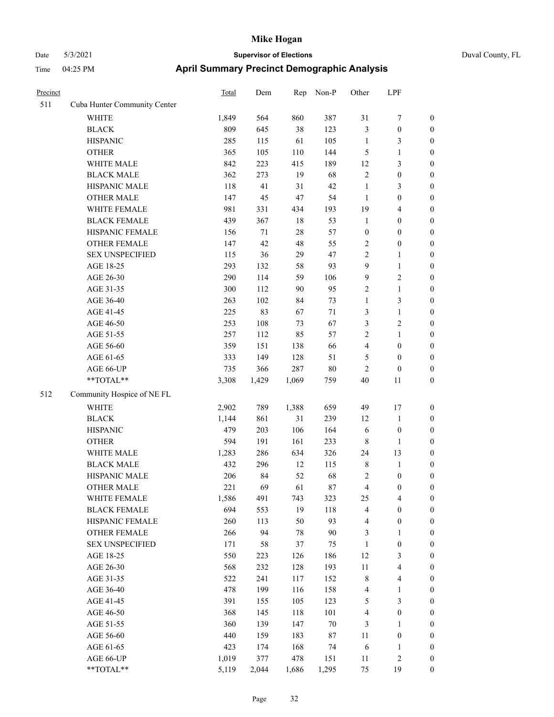| Precinct |                              | <b>Total</b> | Dem   | Rep    | Non-P  | Other            | LPF                     |                  |
|----------|------------------------------|--------------|-------|--------|--------|------------------|-------------------------|------------------|
| 511      | Cuba Hunter Community Center |              |       |        |        |                  |                         |                  |
|          | WHITE                        | 1,849        | 564   | 860    | 387    | 31               | 7                       | $\boldsymbol{0}$ |
|          | <b>BLACK</b>                 | 809          | 645   | 38     | 123    | 3                | $\boldsymbol{0}$        | $\boldsymbol{0}$ |
|          | <b>HISPANIC</b>              | 285          | 115   | 61     | 105    | $\mathbf{1}$     | 3                       | 0                |
|          | <b>OTHER</b>                 | 365          | 105   | 110    | 144    | 5                | $\mathbf{1}$            | $\boldsymbol{0}$ |
|          | WHITE MALE                   | 842          | 223   | 415    | 189    | 12               | $\mathfrak{Z}$          | $\boldsymbol{0}$ |
|          | <b>BLACK MALE</b>            | 362          | 273   | 19     | 68     | $\overline{c}$   | $\boldsymbol{0}$        | $\boldsymbol{0}$ |
|          | HISPANIC MALE                | 118          | 41    | 31     | 42     | $\mathbf{1}$     | $\mathfrak{Z}$          | $\boldsymbol{0}$ |
|          | <b>OTHER MALE</b>            | 147          | 45    | $47\,$ | 54     | $\mathbf{1}$     | $\boldsymbol{0}$        | $\boldsymbol{0}$ |
|          | WHITE FEMALE                 | 981          | 331   | 434    | 193    | 19               | $\overline{\mathbf{4}}$ | $\boldsymbol{0}$ |
|          | <b>BLACK FEMALE</b>          | 439          | 367   | 18     | 53     | $\mathbf{1}$     | $\boldsymbol{0}$        | $\boldsymbol{0}$ |
|          | HISPANIC FEMALE              | 156          | 71    | $28\,$ | 57     | $\boldsymbol{0}$ | $\boldsymbol{0}$        | $\boldsymbol{0}$ |
|          | OTHER FEMALE                 | 147          | 42    | 48     | 55     | $\overline{c}$   | $\boldsymbol{0}$        | 0                |
|          | <b>SEX UNSPECIFIED</b>       | 115          | 36    | 29     | 47     | $\mathfrak{2}$   | $\mathbf{1}$            | 0                |
|          | AGE 18-25                    | 293          | 132   | 58     | 93     | 9                | $\mathbf{1}$            | 0                |
|          | AGE 26-30                    | 290          | 114   | 59     | 106    | 9                | $\sqrt{2}$              | $\boldsymbol{0}$ |
|          | AGE 31-35                    | 300          | 112   | 90     | 95     | $\overline{c}$   | $\mathbf{1}$            | $\boldsymbol{0}$ |
|          | AGE 36-40                    | 263          | 102   | 84     | 73     | $\mathbf{1}$     | $\mathfrak{Z}$          | $\boldsymbol{0}$ |
|          | AGE 41-45                    | 225          | 83    | 67     | 71     | 3                | $\mathbf{1}$            | $\boldsymbol{0}$ |
|          | AGE 46-50                    | 253          | 108   | 73     | 67     | 3                | $\sqrt{2}$              | $\boldsymbol{0}$ |
|          | AGE 51-55                    | 257          | 112   | 85     | 57     | $\overline{c}$   | $\mathbf{1}$            | $\boldsymbol{0}$ |
|          | AGE 56-60                    | 359          | 151   | 138    | 66     | 4                | $\boldsymbol{0}$        | $\boldsymbol{0}$ |
|          | AGE 61-65                    | 333          | 149   | 128    | 51     | $\mathfrak{S}$   | $\boldsymbol{0}$        | 0                |
|          | AGE 66-UP                    | 735          | 366   | 287    | $80\,$ | $\overline{c}$   | $\boldsymbol{0}$        | 0                |
|          | **TOTAL**                    | 3,308        | 1,429 | 1,069  | 759    | 40               | 11                      | $\boldsymbol{0}$ |
| 512      | Community Hospice of NE FL   |              |       |        |        |                  |                         |                  |
|          | <b>WHITE</b>                 | 2,902        | 789   | 1,388  | 659    | 49               | 17                      | $\boldsymbol{0}$ |
|          | <b>BLACK</b>                 | 1,144        | 861   | 31     | 239    | 12               | $\mathbf{1}$            | $\boldsymbol{0}$ |
|          | <b>HISPANIC</b>              | 479          | 203   | 106    | 164    | 6                | $\boldsymbol{0}$        | $\boldsymbol{0}$ |
|          | <b>OTHER</b>                 | 594          | 191   | 161    | 233    | 8                | $\mathbf{1}$            | $\boldsymbol{0}$ |
|          | WHITE MALE                   | 1,283        | 286   | 634    | 326    | 24               | 13                      | $\boldsymbol{0}$ |
|          | <b>BLACK MALE</b>            | 432          | 296   | 12     | 115    | $\,$ 8 $\,$      | $\mathbf{1}$            | $\boldsymbol{0}$ |
|          | HISPANIC MALE                | 206          | 84    | 52     | 68     | $\overline{c}$   | $\boldsymbol{0}$        | $\boldsymbol{0}$ |
|          | <b>OTHER MALE</b>            | 221          | 69    | 61     | 87     | 4                | $\boldsymbol{0}$        | $\boldsymbol{0}$ |
|          | WHITE FEMALE                 | 1,586        | 491   | 743    | 323    | 25               | $\overline{4}$          | 0                |
|          | <b>BLACK FEMALE</b>          | 694          | 553   | 19     | 118    | 4                | $\boldsymbol{0}$        | 0                |
|          | HISPANIC FEMALE              | 260          | 113   | 50     | 93     | 4                | $\boldsymbol{0}$        | 0                |
|          | <b>OTHER FEMALE</b>          | 266          | 94    | $78\,$ | $90\,$ | 3                | $\mathbf{1}$            | 0                |
|          | <b>SEX UNSPECIFIED</b>       | 171          | 58    | 37     | 75     | $\mathbf{1}$     | $\boldsymbol{0}$        | $\boldsymbol{0}$ |
|          | AGE 18-25                    | 550          | 223   | 126    | 186    | 12               | $\mathfrak{Z}$          | 0                |
|          | AGE 26-30                    | 568          | 232   | 128    | 193    | 11               | $\overline{\mathbf{4}}$ | 0                |
|          | AGE 31-35                    | 522          | 241   | 117    | 152    | $\,$ 8 $\,$      | $\overline{\mathbf{4}}$ | 0                |
|          | AGE 36-40                    | 478          | 199   | 116    | 158    | 4                | $\mathbf{1}$            | 0                |
|          | AGE 41-45                    | 391          | 155   | 105    | 123    | $\mathfrak s$    | $\mathfrak{Z}$          | 0                |
|          | AGE 46-50                    | 368          | 145   | 118    | 101    | $\overline{4}$   | $\boldsymbol{0}$        | 0                |
|          | AGE 51-55                    | 360          | 139   | 147    | $70\,$ | 3                | $\mathbf{1}$            | 0                |
|          | AGE 56-60                    | 440          | 159   | 183    | 87     | 11               | $\boldsymbol{0}$        | 0                |
|          | AGE 61-65                    | 423          | 174   | 168    | 74     | 6                | $\mathbf{1}$            | $\boldsymbol{0}$ |
|          | AGE 66-UP                    | 1,019        | 377   | 478    | 151    | 11               | $\sqrt{2}$              | $\boldsymbol{0}$ |
|          | $**TOTAL**$                  | 5,119        | 2,044 | 1,686  | 1,295  | $75\,$           | 19                      | $\boldsymbol{0}$ |
|          |                              |              |       |        |        |                  |                         |                  |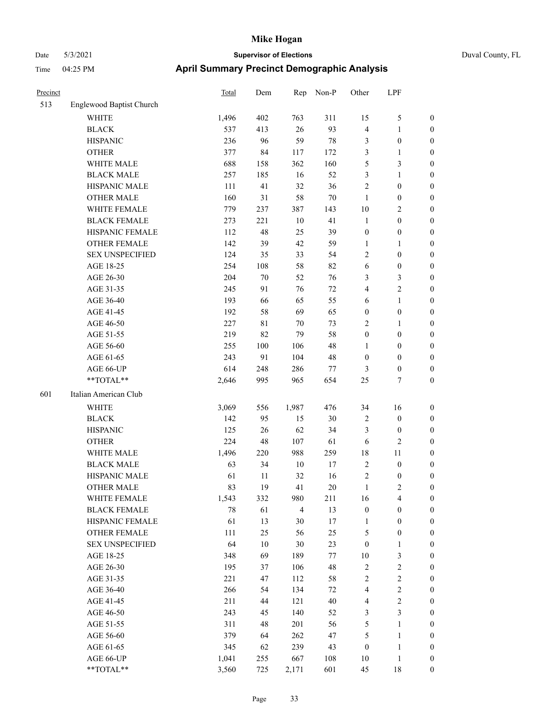| Duval County, FL |  |
|------------------|--|
|                  |  |

| Precinct |                                                             | <b>Total</b> | Dem | Rep            | Non-P  | Other            | LPF              |                  |
|----------|-------------------------------------------------------------|--------------|-----|----------------|--------|------------------|------------------|------------------|
| 513      | Englewood Baptist Church                                    |              |     |                |        |                  |                  |                  |
|          | <b>WHITE</b>                                                | 1,496        | 402 | 763            | 311    | 15               | $\mathfrak{S}$   | $\boldsymbol{0}$ |
|          | <b>BLACK</b>                                                | 537          | 413 | $26\,$         | 93     | 4                | $\mathbf{1}$     | $\boldsymbol{0}$ |
|          | <b>HISPANIC</b>                                             | 236          | 96  | 59             | 78     | 3                | $\boldsymbol{0}$ | $\boldsymbol{0}$ |
|          | <b>OTHER</b>                                                | 377          | 84  | 117            | 172    | 3                | $\mathbf{1}$     | $\boldsymbol{0}$ |
|          | WHITE MALE                                                  | 688          | 158 | 362            | 160    | 5                | $\mathfrak{Z}$   | $\boldsymbol{0}$ |
|          | <b>BLACK MALE</b>                                           | 257          | 185 | 16             | 52     | 3                | $\mathbf{1}$     | $\boldsymbol{0}$ |
|          | HISPANIC MALE                                               | 111          | 41  | 32             | 36     | $\sqrt{2}$       | $\boldsymbol{0}$ | $\boldsymbol{0}$ |
|          | <b>OTHER MALE</b>                                           | 160          | 31  | 58             | $70\,$ | $\mathbf{1}$     | $\boldsymbol{0}$ | $\boldsymbol{0}$ |
|          | WHITE FEMALE                                                | 779          | 237 | 387            | 143    | 10               | $\sqrt{2}$       | $\boldsymbol{0}$ |
|          | <b>BLACK FEMALE</b>                                         | 273          | 221 | 10             | 41     | $\mathbf{1}$     | $\boldsymbol{0}$ | 0                |
|          | HISPANIC FEMALE                                             | 112          | 48  | 25             | 39     | $\boldsymbol{0}$ | $\boldsymbol{0}$ | $\boldsymbol{0}$ |
|          | OTHER FEMALE                                                | 142          | 39  | 42             | 59     | 1                | $\mathbf{1}$     | $\boldsymbol{0}$ |
|          | <b>SEX UNSPECIFIED</b>                                      | 124          | 35  | 33             | 54     | $\overline{c}$   | $\boldsymbol{0}$ | $\boldsymbol{0}$ |
|          | AGE 18-25                                                   | 254          | 108 | 58             | 82     | 6                | $\boldsymbol{0}$ | $\boldsymbol{0}$ |
|          | AGE 26-30                                                   | 204          | 70  | 52             | 76     | 3                | $\mathfrak{Z}$   | $\boldsymbol{0}$ |
|          | AGE 31-35                                                   | 245          | 91  | 76             | 72     | 4                | $\sqrt{2}$       | $\boldsymbol{0}$ |
|          | AGE 36-40                                                   | 193          | 66  | 65             | 55     | 6                | $\mathbf{1}$     | $\boldsymbol{0}$ |
|          | AGE 41-45                                                   | 192          | 58  | 69             | 65     | $\boldsymbol{0}$ | $\boldsymbol{0}$ | 0                |
|          | AGE 46-50                                                   | 227          | 81  | 70             | 73     | $\overline{c}$   | $\mathbf{1}$     | $\boldsymbol{0}$ |
|          | AGE 51-55                                                   | 219          | 82  | 79             | 58     | $\boldsymbol{0}$ | $\boldsymbol{0}$ | 0                |
|          | AGE 56-60                                                   | 255          | 100 | 106            | 48     | $\mathbf{1}$     | $\boldsymbol{0}$ | $\boldsymbol{0}$ |
|          | AGE 61-65                                                   | 243          | 91  | 104            | 48     | $\boldsymbol{0}$ | $\boldsymbol{0}$ | $\boldsymbol{0}$ |
|          | AGE 66-UP                                                   | 614          | 248 | 286            | 77     | 3                | $\boldsymbol{0}$ | $\boldsymbol{0}$ |
|          | **TOTAL**                                                   | 2,646        | 995 | 965            | 654    | 25               | $\tau$           | $\boldsymbol{0}$ |
| 601      | Italian American Club                                       |              |     |                |        |                  |                  |                  |
|          | WHITE                                                       | 3,069        | 556 | 1,987          | 476    | 34               | 16               | $\boldsymbol{0}$ |
|          | <b>BLACK</b>                                                | 142          | 95  | 15             | 30     | $\overline{c}$   | $\boldsymbol{0}$ | $\boldsymbol{0}$ |
|          | <b>HISPANIC</b>                                             | 125          | 26  | 62             | 34     | 3                | $\boldsymbol{0}$ | $\boldsymbol{0}$ |
|          | <b>OTHER</b>                                                | 224          | 48  | 107            | 61     | 6                | $\mathbf{2}$     | $\boldsymbol{0}$ |
|          | WHITE MALE                                                  | 1,496        | 220 | 988            | 259    | 18               | 11               | $\boldsymbol{0}$ |
|          | <b>BLACK MALE</b>                                           | 63           | 34  | 10             | 17     | $\sqrt{2}$       | $\boldsymbol{0}$ | $\boldsymbol{0}$ |
|          | HISPANIC MALE                                               | 61           | 11  | 32             | 16     | $\sqrt{2}$       | $\boldsymbol{0}$ | 0                |
|          | <b>OTHER MALE</b>                                           | 83           | 19  | 41             | 20     | 1                | 2                | $\boldsymbol{0}$ |
|          | WHITE FEMALE                                                | 1,543        | 332 | 980            | 211    | 16               | $\overline{4}$   | $\boldsymbol{0}$ |
|          | <b>BLACK FEMALE</b>                                         | 78           | 61  | $\overline{4}$ | 13     | $\boldsymbol{0}$ | $\boldsymbol{0}$ | $\boldsymbol{0}$ |
|          | HISPANIC FEMALE                                             | 61           | 13  | 30             | 17     | $\mathbf{1}$     | $\boldsymbol{0}$ | $\boldsymbol{0}$ |
|          | <b>OTHER FEMALE</b>                                         | 111          | 25  | 56             | 25     | 5                | $\boldsymbol{0}$ | 0                |
|          | <b>SEX UNSPECIFIED</b>                                      | 64           | 10  | $30\,$         | 23     | $\boldsymbol{0}$ | $\mathbf{1}$     | 0                |
|          | AGE 18-25                                                   | 348          | 69  | 189            | 77     | 10               | $\mathfrak{Z}$   | 0                |
|          | AGE 26-30                                                   | 195          | 37  | 106            | 48     | $\sqrt{2}$       | $\sqrt{2}$       | 0                |
|          | AGE 31-35                                                   | 221          | 47  | 112            | 58     | $\sqrt{2}$       | $\boldsymbol{2}$ | 0                |
|          | AGE 36-40                                                   | 266          | 54  | 134            | $72\,$ | $\overline{4}$   | $\boldsymbol{2}$ | 0                |
|          | AGE 41-45                                                   | 211          | 44  | 121            | 40     | 4                | $\sqrt{2}$       | 0                |
|          | AGE 46-50                                                   | 243          | 45  | 140            | 52     | 3                | $\mathfrak{Z}$   | $\boldsymbol{0}$ |
|          | AGE 51-55                                                   | 311          | 48  | 201            | 56     | 5                | $\mathbf{1}$     | $\boldsymbol{0}$ |
|          | AGE 56-60                                                   | 379          | 64  | 262            | 47     | 5                | $\mathbf{1}$     | $\boldsymbol{0}$ |
|          | AGE 61-65                                                   | 345          | 62  | 239            | 43     | $\boldsymbol{0}$ | $\mathbf{1}$     | 0                |
|          | AGE 66-UP                                                   | 1,041        | 255 | 667            | 108    | $10\,$           | $\mathbf{1}$     | $\boldsymbol{0}$ |
|          | $\mathrm{*}\mathrm{*} \mathrm{TOTAL} \mathrm{*} \mathrm{*}$ | 3,560        | 725 | 2,171          | 601    | 45               | $18\,$           | $\boldsymbol{0}$ |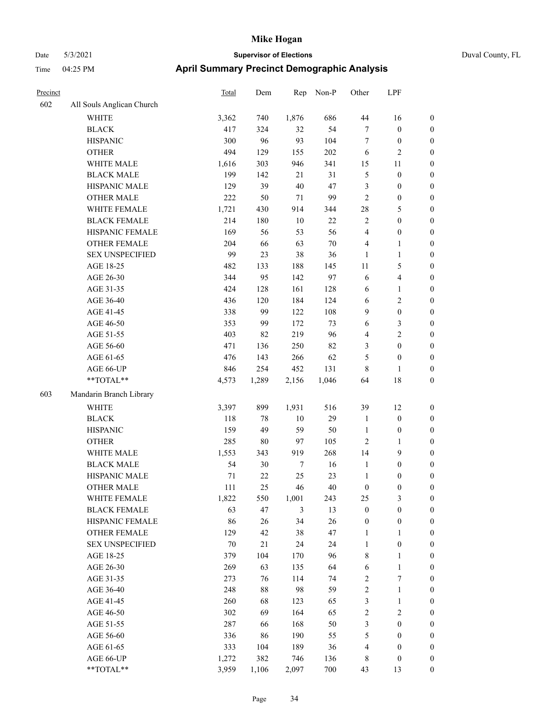# Date 5/3/2021 **Supervisor of Elections** Duval County, FL Time 04:25 PM **April Summary Precinct Demographic Analysis**

| Precinct |                           | Total | Dem    | Rep            | Non-P  | Other            | LPF              |                  |
|----------|---------------------------|-------|--------|----------------|--------|------------------|------------------|------------------|
| 602      | All Souls Anglican Church |       |        |                |        |                  |                  |                  |
|          | WHITE                     | 3,362 | 740    | 1,876          | 686    | 44               | 16               | $\boldsymbol{0}$ |
|          | <b>BLACK</b>              | 417   | 324    | 32             | 54     | $\boldsymbol{7}$ | $\boldsymbol{0}$ | $\boldsymbol{0}$ |
|          | <b>HISPANIC</b>           | 300   | 96     | 93             | 104    | $\boldsymbol{7}$ | $\boldsymbol{0}$ | $\boldsymbol{0}$ |
|          | <b>OTHER</b>              | 494   | 129    | 155            | 202    | 6                | $\sqrt{2}$       | 0                |
|          | WHITE MALE                | 1,616 | 303    | 946            | 341    | 15               | 11               | $\boldsymbol{0}$ |
|          | <b>BLACK MALE</b>         | 199   | 142    | 21             | 31     | 5                | $\boldsymbol{0}$ | $\boldsymbol{0}$ |
|          | HISPANIC MALE             | 129   | 39     | $40\,$         | $47\,$ | 3                | $\boldsymbol{0}$ | $\boldsymbol{0}$ |
|          | <b>OTHER MALE</b>         | 222   | 50     | $71\,$         | 99     | $\sqrt{2}$       | $\boldsymbol{0}$ | $\boldsymbol{0}$ |
|          | WHITE FEMALE              | 1,721 | 430    | 914            | 344    | 28               | 5                | $\boldsymbol{0}$ |
|          | <b>BLACK FEMALE</b>       | 214   | 180    | $10\,$         | $22\,$ | $\sqrt{2}$       | $\boldsymbol{0}$ | $\boldsymbol{0}$ |
|          | HISPANIC FEMALE           | 169   | 56     | 53             | 56     | 4                | $\boldsymbol{0}$ | $\boldsymbol{0}$ |
|          | OTHER FEMALE              | 204   | 66     | 63             | $70\,$ | 4                | $\mathbf{1}$     | $\boldsymbol{0}$ |
|          | <b>SEX UNSPECIFIED</b>    | 99    | 23     | 38             | 36     | $\mathbf{1}$     | $\mathbf{1}$     | $\boldsymbol{0}$ |
|          | AGE 18-25                 | 482   | 133    | 188            | 145    | 11               | 5                | 0                |
|          | AGE 26-30                 | 344   | 95     | 142            | 97     | 6                | $\overline{4}$   | 0                |
|          | AGE 31-35                 | 424   | 128    | 161            | 128    | 6                | $\mathbf{1}$     | $\boldsymbol{0}$ |
|          | AGE 36-40                 | 436   | 120    | 184            | 124    | $\sqrt{6}$       | $\mathbf{2}$     | $\boldsymbol{0}$ |
|          | AGE 41-45                 | 338   | 99     | 122            | 108    | 9                | $\boldsymbol{0}$ | $\boldsymbol{0}$ |
|          | AGE 46-50                 | 353   | 99     | 172            | 73     | 6                | $\mathfrak{Z}$   | $\boldsymbol{0}$ |
|          | AGE 51-55                 | 403   | 82     | 219            | 96     | 4                | $\sqrt{2}$       | $\boldsymbol{0}$ |
|          | AGE 56-60                 | 471   | 136    | 250            | 82     | 3                | $\boldsymbol{0}$ | $\boldsymbol{0}$ |
|          | AGE 61-65                 | 476   | 143    | 266            | 62     | 5                | $\boldsymbol{0}$ | $\boldsymbol{0}$ |
|          | AGE 66-UP                 | 846   | 254    | 452            | 131    | 8                | $\mathbf{1}$     | 0                |
|          | **TOTAL**                 | 4,573 | 1,289  | 2,156          | 1,046  | 64               | 18               | $\boldsymbol{0}$ |
| 603      | Mandarin Branch Library   |       |        |                |        |                  |                  |                  |
|          | <b>WHITE</b>              | 3,397 | 899    | 1,931          | 516    | 39               | 12               | 0                |
|          | <b>BLACK</b>              | 118   | 78     | 10             | 29     | $\mathbf{1}$     | $\boldsymbol{0}$ | 0                |
|          | <b>HISPANIC</b>           | 159   | 49     | 59             | 50     | $\mathbf{1}$     | $\boldsymbol{0}$ | 0                |
|          | <b>OTHER</b>              | 285   | $80\,$ | 97             | 105    | $\sqrt{2}$       | $\mathbf{1}$     | $\boldsymbol{0}$ |
|          | WHITE MALE                | 1,553 | 343    | 919            | 268    | 14               | $\boldsymbol{9}$ | $\boldsymbol{0}$ |
|          | <b>BLACK MALE</b>         | 54    | $30\,$ | $\tau$         | 16     | $\mathbf{1}$     | $\boldsymbol{0}$ | $\boldsymbol{0}$ |
|          | HISPANIC MALE             | 71    | $22\,$ | 25             | 23     | $\mathbf{1}$     | $\boldsymbol{0}$ | $\boldsymbol{0}$ |
|          | <b>OTHER MALE</b>         | 111   | 25     | 46             | 40     | $\boldsymbol{0}$ | $\boldsymbol{0}$ | $\boldsymbol{0}$ |
|          | WHITE FEMALE              | 1,822 | 550    | 1,001          | 243    | 25               | $\mathfrak{Z}$   | 0                |
|          | <b>BLACK FEMALE</b>       | 63    | 47     | $\mathfrak{Z}$ | 13     | $\boldsymbol{0}$ | $\boldsymbol{0}$ | 0                |
|          | HISPANIC FEMALE           | 86    | 26     | 34             | 26     | $\boldsymbol{0}$ | $\boldsymbol{0}$ | 0                |
|          | OTHER FEMALE              | 129   | 42     | 38             | $47\,$ | 1                | 1                | 0                |
|          | <b>SEX UNSPECIFIED</b>    | 70    | 21     | 24             | 24     | $\mathbf{1}$     | $\boldsymbol{0}$ | 0                |
|          | AGE 18-25                 | 379   | 104    | 170            | 96     | $\,$ $\,$        | $\mathbf{1}$     | 0                |
|          | AGE 26-30                 | 269   | 63     | 135            | 64     | 6                | $\mathbf{1}$     | $\boldsymbol{0}$ |
|          | AGE 31-35                 | 273   | 76     | 114            | 74     | $\boldsymbol{2}$ | $\boldsymbol{7}$ | 0                |
|          | AGE 36-40                 | 248   | $88\,$ | 98             | 59     | $\boldsymbol{2}$ | $\mathbf{1}$     | 0                |
|          | AGE 41-45                 | 260   | 68     | 123            | 65     | 3                | $\mathbf{1}$     | 0                |
|          | AGE 46-50                 | 302   | 69     | 164            | 65     | $\sqrt{2}$       | $\sqrt{2}$       | 0                |
|          | AGE 51-55                 | 287   | 66     | 168            | $50\,$ | $\mathfrak{Z}$   | $\boldsymbol{0}$ | 0                |
|          | AGE 56-60                 | 336   | 86     | 190            | 55     | 5                | $\boldsymbol{0}$ | 0                |
|          | AGE 61-65                 | 333   | 104    | 189            | 36     | 4                | $\boldsymbol{0}$ | 0                |
|          | AGE 66-UP                 | 1,272 | 382    | 746            | 136    | $\,$ 8 $\,$      | $\boldsymbol{0}$ | $\boldsymbol{0}$ |

\*\*TOTAL\*\* 3,959 1,106 2,097 700 43 13 0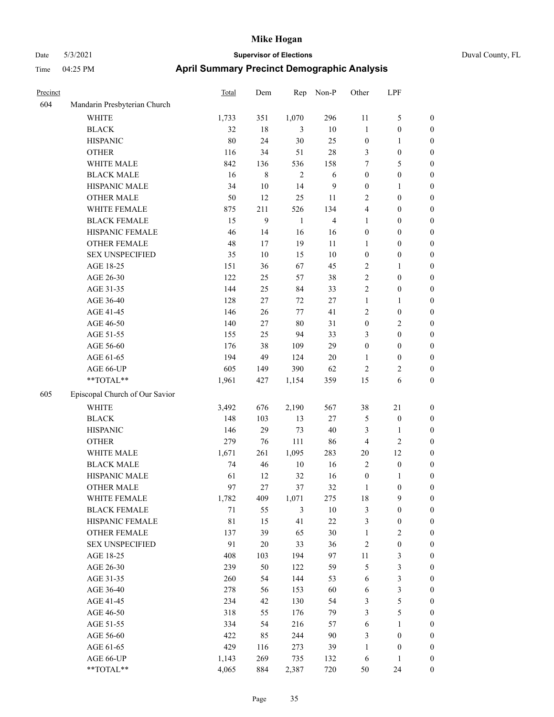| Precinct |                                | <b>Total</b> | Dem         | Rep            | Non-P  | Other            | LPF              |                  |
|----------|--------------------------------|--------------|-------------|----------------|--------|------------------|------------------|------------------|
| 604      | Mandarin Presbyterian Church   |              |             |                |        |                  |                  |                  |
|          | <b>WHITE</b>                   | 1,733        | 351         | 1,070          | 296    | 11               | 5                | $\boldsymbol{0}$ |
|          | <b>BLACK</b>                   | 32           | $18\,$      | 3              | $10\,$ | $\mathbf{1}$     | $\boldsymbol{0}$ | $\boldsymbol{0}$ |
|          | <b>HISPANIC</b>                | 80           | 24          | 30             | 25     | $\boldsymbol{0}$ | 1                | $\boldsymbol{0}$ |
|          | <b>OTHER</b>                   | 116          | 34          | 51             | 28     | 3                | $\boldsymbol{0}$ | $\boldsymbol{0}$ |
|          | WHITE MALE                     | 842          | 136         | 536            | 158    | 7                | 5                | $\boldsymbol{0}$ |
|          | <b>BLACK MALE</b>              | 16           | $\,$ 8 $\,$ | $\overline{2}$ | 6      | $\boldsymbol{0}$ | $\boldsymbol{0}$ | $\boldsymbol{0}$ |
|          | HISPANIC MALE                  | 34           | $10\,$      | 14             | 9      | $\boldsymbol{0}$ | 1                | $\boldsymbol{0}$ |
|          | <b>OTHER MALE</b>              | 50           | 12          | 25             | 11     | $\sqrt{2}$       | $\boldsymbol{0}$ | $\boldsymbol{0}$ |
|          | WHITE FEMALE                   | 875          | 211         | 526            | 134    | $\overline{4}$   | $\boldsymbol{0}$ | $\boldsymbol{0}$ |
|          | <b>BLACK FEMALE</b>            | 15           | 9           | 1              | 4      | 1                | $\boldsymbol{0}$ | $\boldsymbol{0}$ |
|          | HISPANIC FEMALE                | 46           | 14          | 16             | 16     | $\boldsymbol{0}$ | $\boldsymbol{0}$ | $\boldsymbol{0}$ |
|          | <b>OTHER FEMALE</b>            | 48           | 17          | 19             | 11     | 1                | $\boldsymbol{0}$ | $\boldsymbol{0}$ |
|          | <b>SEX UNSPECIFIED</b>         | 35           | 10          | 15             | $10\,$ | $\boldsymbol{0}$ | $\boldsymbol{0}$ | $\boldsymbol{0}$ |
|          | AGE 18-25                      | 151          | 36          | 67             | 45     | $\overline{2}$   | 1                | $\boldsymbol{0}$ |
|          | AGE 26-30                      | 122          | 25          | 57             | 38     | $\sqrt{2}$       | $\boldsymbol{0}$ | $\boldsymbol{0}$ |
|          | AGE 31-35                      | 144          | 25          | 84             | 33     | $\overline{2}$   | $\boldsymbol{0}$ | $\boldsymbol{0}$ |
|          | AGE 36-40                      | 128          | $27\,$      | 72             | $27\,$ | $\mathbf{1}$     | 1                | $\boldsymbol{0}$ |
|          | AGE 41-45                      | 146          | 26          | 77             | 41     | $\sqrt{2}$       | $\boldsymbol{0}$ | $\boldsymbol{0}$ |
|          | AGE 46-50                      | 140          | 27          | $80\,$         | 31     | $\boldsymbol{0}$ | 2                | $\boldsymbol{0}$ |
|          | AGE 51-55                      | 155          | 25          | 94             | 33     | 3                | 0                | $\boldsymbol{0}$ |
|          | AGE 56-60                      | 176          | 38          | 109            | 29     | $\boldsymbol{0}$ | $\boldsymbol{0}$ | $\boldsymbol{0}$ |
|          | AGE 61-65                      | 194          | 49          | 124            | $20\,$ | 1                | $\boldsymbol{0}$ | $\boldsymbol{0}$ |
|          | AGE 66-UP                      | 605          | 149         | 390            | 62     | $\sqrt{2}$       | 2                | $\boldsymbol{0}$ |
|          | **TOTAL**                      | 1,961        | 427         | 1,154          | 359    | 15               | 6                | $\boldsymbol{0}$ |
| 605      | Episcopal Church of Our Savior |              |             |                |        |                  |                  |                  |
|          | WHITE                          | 3,492        | 676         | 2,190          | 567    | 38               | 21               | $\boldsymbol{0}$ |
|          | <b>BLACK</b>                   | 148          | 103         | 13             | $27\,$ | $\mathfrak{S}$   | $\boldsymbol{0}$ | $\boldsymbol{0}$ |
|          | <b>HISPANIC</b>                | 146          | 29          | 73             | 40     | 3                | 1                | $\boldsymbol{0}$ |
|          | <b>OTHER</b>                   | 279          | 76          | 111            | 86     | $\overline{4}$   | 2                | $\boldsymbol{0}$ |
|          | WHITE MALE                     | 1,671        | 261         | 1,095          | 283    | 20               | 12               | $\boldsymbol{0}$ |
|          | <b>BLACK MALE</b>              | 74           | 46          | 10             | 16     | $\sqrt{2}$       | $\boldsymbol{0}$ | $\boldsymbol{0}$ |
|          | HISPANIC MALE                  | 61           | 12          | 32             | 16     | $\boldsymbol{0}$ | 1                | $\boldsymbol{0}$ |
|          | <b>OTHER MALE</b>              | 97           | 27          | 37             | 32     | 1                | $\boldsymbol{0}$ | $\boldsymbol{0}$ |
|          | WHITE FEMALE                   | 1,782        | 409         | 1,071          | 275    | 18               | 9                | $\mathbf{0}$     |
|          | <b>BLACK FEMALE</b>            | $71\,$       | 55          | $\mathfrak{Z}$ | $10\,$ | $\mathfrak{Z}$   | $\boldsymbol{0}$ | $\boldsymbol{0}$ |
|          | HISPANIC FEMALE                | $8\sqrt{1}$  | 15          | 41             | $22\,$ | $\mathfrak{Z}$   | $\boldsymbol{0}$ | $\boldsymbol{0}$ |
|          | OTHER FEMALE                   | 137          | 39          | 65             | 30     | $\mathbf{1}$     | 2                | $\boldsymbol{0}$ |
|          | <b>SEX UNSPECIFIED</b>         | 91           | $20\,$      | 33             | 36     | $\sqrt{2}$       | $\boldsymbol{0}$ | $\boldsymbol{0}$ |
|          | AGE 18-25                      | 408          | 103         | 194            | 97     | $11\,$           | 3                | $\boldsymbol{0}$ |
|          | AGE 26-30                      | 239          | 50          | 122            | 59     | $\sqrt{5}$       | 3                | $\boldsymbol{0}$ |
|          | AGE 31-35                      | 260          | 54          | 144            | 53     | 6                | 3                | $\boldsymbol{0}$ |
|          | AGE 36-40                      | 278          | 56          | 153            | 60     | 6                | 3                | $\boldsymbol{0}$ |
|          | AGE 41-45                      | 234          | 42          | 130            | 54     | 3                | 5                | $\boldsymbol{0}$ |
|          | AGE 46-50                      | 318          | 55          | 176            | 79     | $\mathfrak{Z}$   | 5                | $\boldsymbol{0}$ |
|          | AGE 51-55                      | 334          | 54          | 216            | 57     | 6                | 1                | $\boldsymbol{0}$ |
|          | AGE 56-60                      | 422          | 85          | 244            | 90     | $\mathfrak{Z}$   | $\boldsymbol{0}$ | $\boldsymbol{0}$ |
|          | AGE 61-65                      | 429          | 116         | 273            | 39     | $\mathbf{1}$     | $\boldsymbol{0}$ | $\boldsymbol{0}$ |
|          | AGE 66-UP                      | 1,143        | 269         | 735            | 132    | 6                | 1                | $\boldsymbol{0}$ |
|          | **TOTAL**                      | 4,065        | 884         | 2,387          | 720    | 50               | 24               | $\boldsymbol{0}$ |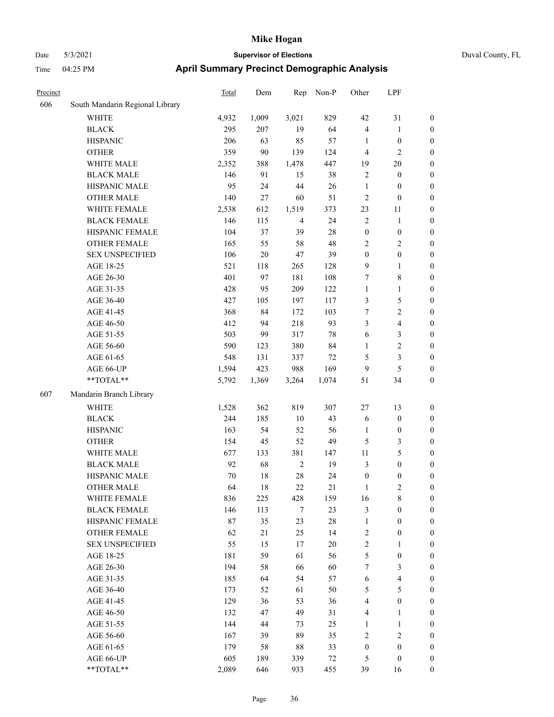| Duval County, FL |  |
|------------------|--|
|                  |  |

| Precinct |                                 | <b>Total</b> | Dem    | Rep            | Non-P  | Other            | LPF                     |                  |
|----------|---------------------------------|--------------|--------|----------------|--------|------------------|-------------------------|------------------|
| 606      | South Mandarin Regional Library |              |        |                |        |                  |                         |                  |
|          | WHITE                           | 4,932        | 1,009  | 3,021          | 829    | 42               | 31                      | $\boldsymbol{0}$ |
|          | <b>BLACK</b>                    | 295          | 207    | 19             | 64     | $\overline{4}$   | $\mathbf{1}$            | $\boldsymbol{0}$ |
|          | <b>HISPANIC</b>                 | 206          | 63     | 85             | 57     | 1                | $\boldsymbol{0}$        | $\boldsymbol{0}$ |
|          | <b>OTHER</b>                    | 359          | 90     | 139            | 124    | $\overline{4}$   | $\mathbf{2}$            | $\boldsymbol{0}$ |
|          | WHITE MALE                      | 2,352        | 388    | 1,478          | 447    | 19               | $20\,$                  | 0                |
|          | <b>BLACK MALE</b>               | 146          | 91     | 15             | 38     | $\overline{c}$   | $\boldsymbol{0}$        | $\boldsymbol{0}$ |
|          | HISPANIC MALE                   | 95           | 24     | 44             | 26     | $\mathbf{1}$     | $\boldsymbol{0}$        | $\boldsymbol{0}$ |
|          | <b>OTHER MALE</b>               | 140          | 27     | 60             | 51     | $\overline{c}$   | $\boldsymbol{0}$        | $\boldsymbol{0}$ |
|          | WHITE FEMALE                    | 2,538        | 612    | 1,519          | 373    | 23               | 11                      | $\boldsymbol{0}$ |
|          | <b>BLACK FEMALE</b>             | 146          | 115    | $\overline{4}$ | 24     | $\sqrt{2}$       | $\mathbf{1}$            | $\boldsymbol{0}$ |
|          | HISPANIC FEMALE                 | 104          | 37     | 39             | $28\,$ | $\boldsymbol{0}$ | $\boldsymbol{0}$        | $\boldsymbol{0}$ |
|          | OTHER FEMALE                    | 165          | 55     | 58             | 48     | $\mathbf{2}$     | $\overline{2}$          | $\boldsymbol{0}$ |
|          | <b>SEX UNSPECIFIED</b>          | 106          | $20\,$ | $47\,$         | 39     | $\boldsymbol{0}$ | $\boldsymbol{0}$        | $\boldsymbol{0}$ |
|          | AGE 18-25                       | 521          | 118    | 265            | 128    | $\overline{9}$   | $\mathbf{1}$            | $\boldsymbol{0}$ |
|          | AGE 26-30                       | 401          | 97     | 181            | 108    | 7                | $\,$ 8 $\,$             | 0                |
|          | AGE 31-35                       | 428          | 95     | 209            | 122    | $\mathbf{1}$     | $\mathbf{1}$            | $\boldsymbol{0}$ |
|          | AGE 36-40                       | 427          | 105    | 197            | 117    | 3                | $\mathfrak{S}$          | $\boldsymbol{0}$ |
|          | AGE 41-45                       | 368          | 84     | 172            | 103    | 7                | $\sqrt{2}$              | $\boldsymbol{0}$ |
|          | AGE 46-50                       | 412          | 94     | 218            | 93     | 3                | $\overline{\mathbf{4}}$ | $\boldsymbol{0}$ |
|          | AGE 51-55                       | 503          | 99     | 317            | $78\,$ | 6                | $\mathfrak{Z}$          | $\boldsymbol{0}$ |
|          | AGE 56-60                       | 590          | 123    | 380            | 84     | $\mathbf{1}$     | $\sqrt{2}$              | $\boldsymbol{0}$ |
|          | AGE 61-65                       | 548          | 131    | 337            | $72\,$ | 5                | $\mathfrak{Z}$          | $\boldsymbol{0}$ |
|          | AGE 66-UP                       | 1,594        | 423    | 988            | 169    | $\overline{9}$   | $\mathfrak s$           | 0                |
|          | **TOTAL**                       | 5,792        | 1,369  | 3,264          | 1,074  | 51               | 34                      | $\boldsymbol{0}$ |
| 607      | Mandarin Branch Library         |              |        |                |        |                  |                         |                  |
|          | WHITE                           | 1,528        | 362    | 819            | 307    | 27               | 13                      | $\boldsymbol{0}$ |
|          | <b>BLACK</b>                    | 244          | 185    | 10             | 43     | 6                | $\boldsymbol{0}$        | 0                |
|          | <b>HISPANIC</b>                 | 163          | 54     | 52             | 56     | $\mathbf{1}$     | $\boldsymbol{0}$        | 0                |
|          | <b>OTHER</b>                    | 154          | 45     | 52             | 49     | $\mathfrak{S}$   | 3                       | $\boldsymbol{0}$ |
|          | WHITE MALE                      | 677          | 133    | 381            | 147    | 11               | $\mathfrak{S}$          | $\boldsymbol{0}$ |
|          | <b>BLACK MALE</b>               | 92           | 68     | $\sqrt{2}$     | 19     | 3                | $\boldsymbol{0}$        | $\boldsymbol{0}$ |
|          | HISPANIC MALE                   | 70           | 18     | $28\,$         | 24     | $\boldsymbol{0}$ | $\boldsymbol{0}$        | $\boldsymbol{0}$ |
|          | <b>OTHER MALE</b>               | 64           | 18     | 22             | 21     | $\mathbf{1}$     | $\overline{c}$          | $\boldsymbol{0}$ |
|          | WHITE FEMALE                    | 836          | 225    | 428            | 159    | 16               | $8\,$                   | $\boldsymbol{0}$ |
|          | <b>BLACK FEMALE</b>             | 146          | 113    | $\tau$         | 23     | $\mathfrak{Z}$   | $\boldsymbol{0}$        | 0                |
|          | HISPANIC FEMALE                 | 87           | 35     | 23             | $28\,$ | $\mathbf{1}$     | $\boldsymbol{0}$        | 0                |
|          | <b>OTHER FEMALE</b>             | 62           | 21     | 25             | 14     | $\boldsymbol{2}$ | $\boldsymbol{0}$        | 0                |
|          | <b>SEX UNSPECIFIED</b>          | 55           | 15     | 17             | $20\,$ | $\sqrt{2}$       | $\mathbf{1}$            | 0                |
|          | AGE 18-25                       | 181          | 59     | 61             | 56     | $\mathfrak{S}$   | $\boldsymbol{0}$        | 0                |
|          | AGE 26-30                       | 194          | 58     | 66             | 60     | 7                | $\mathfrak{Z}$          | $\overline{0}$   |
|          | AGE 31-35                       | 185          | 64     | 54             | 57     | 6                | $\overline{\mathbf{4}}$ | $\overline{0}$   |
|          | AGE 36-40                       | 173          | 52     | 61             | 50     | 5                | $\mathfrak{S}$          | 0                |
|          | AGE 41-45                       | 129          | 36     | 53             | 36     | 4                | $\boldsymbol{0}$        | $\overline{0}$   |
|          | AGE 46-50                       | 132          | 47     | 49             | 31     | 4                | $\mathbf{1}$            | 0                |
|          | AGE 51-55                       | 144          | 44     | 73             | 25     | $\mathbf{1}$     | $\mathbf{1}$            | 0                |
|          | AGE 56-60                       | 167          | 39     | 89             | 35     | $\sqrt{2}$       | $\sqrt{2}$              | 0                |
|          | AGE 61-65                       | 179          | 58     | $88\,$         | 33     | $\boldsymbol{0}$ | $\boldsymbol{0}$        | 0                |
|          | AGE 66-UP                       | 605          | 189    | 339            | 72     | 5                | $\boldsymbol{0}$        | 0                |
|          | $**TOTAL**$                     | 2,089        | 646    | 933            | 455    | 39               | 16                      | $\boldsymbol{0}$ |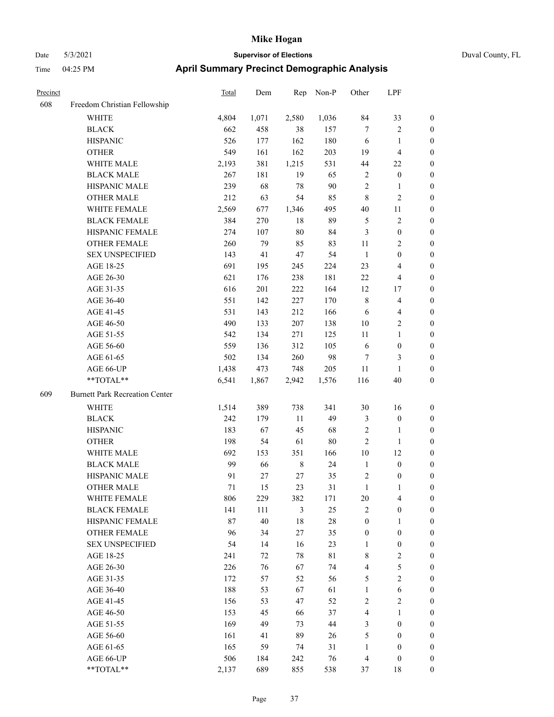## Date 5/3/2021 **Supervisor of Elections** Time 04:25 PM **April Summary Precinct Demographic Analysis**

| Precinct |                                       | <b>Total</b> | Dem   | Rep    | Non-P | Other        | LPF              |                  |
|----------|---------------------------------------|--------------|-------|--------|-------|--------------|------------------|------------------|
| 608      | Freedom Christian Fellowship          |              |       |        |       |              |                  |                  |
|          | WHITE                                 | 4,804        | 1,071 | 2,580  | 1,036 | 84           | 33               | 0                |
|          | <b>BLACK</b>                          | 662          | 458   | 38     | 157   | 7            | 2                | 0                |
|          | <b>HISPANIC</b>                       | 526          | 177   | 162    | 180   | 6            | $\mathbf{1}$     | 0                |
|          | <b>OTHER</b>                          | 549          | 161   | 162    | 203   | 19           | 4                | 0                |
|          | WHITE MALE                            | 2,193        | 381   | 1,215  | 531   | 44           | 22               | $\boldsymbol{0}$ |
|          | <b>BLACK MALE</b>                     | 267          | 181   | 19     | 65    | 2            | $\boldsymbol{0}$ | $\boldsymbol{0}$ |
|          | HISPANIC MALE                         | 239          | 68    | 78     | 90    | 2            | 1                | $\boldsymbol{0}$ |
|          | <b>OTHER MALE</b>                     | 212          | 63    | 54     | 85    | 8            | 2                | $\boldsymbol{0}$ |
|          | WHITE FEMALE                          | 2,569        | 677   | 1,346  | 495   | 40           | 11               | $\boldsymbol{0}$ |
|          | <b>BLACK FEMALE</b>                   | 384          | 270   | $18\,$ | 89    | 5            | $\sqrt{2}$       | $\boldsymbol{0}$ |
|          | HISPANIC FEMALE                       | 274          | 107   | 80     | 84    | 3            | $\boldsymbol{0}$ | 0                |
|          | <b>OTHER FEMALE</b>                   | 260          | 79    | 85     | 83    | 11           | 2                | 0                |
|          | <b>SEX UNSPECIFIED</b>                | 143          | 41    | 47     | 54    | $\mathbf{1}$ | $\boldsymbol{0}$ | 0                |
|          | AGE 18-25                             | 691          | 195   | 245    | 224   | 23           | 4                | 0                |
|          | AGE 26-30                             | 621          | 176   | 238    | 181   | 22           | 4                | 0                |
|          | AGE 31-35                             | 616          | 201   | 222    | 164   | 12           | 17               | $\boldsymbol{0}$ |
|          | AGE 36-40                             | 551          | 142   | 227    | 170   | 8            | 4                | 0                |
|          | AGE 41-45                             | 531          | 143   | 212    | 166   | 6            | 4                | 0                |
|          | AGE 46-50                             | 490          | 133   | 207    | 138   | 10           | 2                | $\boldsymbol{0}$ |
|          | AGE 51-55                             | 542          | 134   | 271    | 125   | 11           | $\mathbf{1}$     | 0                |
|          | AGE 56-60                             | 559          | 136   | 312    | 105   | 6            | $\boldsymbol{0}$ | 0                |
|          | AGE 61-65                             | 502          | 134   | 260    | 98    | 7            | 3                | 0                |
|          | AGE 66-UP                             | 1,438        | 473   | 748    | 205   | 11           | 1                | 0                |
|          | **TOTAL**                             | 6,541        | 1,867 | 2,942  | 1,576 | 116          | 40               | $\boldsymbol{0}$ |
| 609      | <b>Burnett Park Recreation Center</b> |              |       |        |       |              |                  |                  |
|          | <b>WHITE</b>                          | 1,514        | 389   | 738    | 341   | 30           | 16               | 0                |
|          | <b>BLACK</b>                          | 242          | 179   | 11     | 49    | 3            | $\boldsymbol{0}$ | 0                |
|          | <b>HISPANIC</b>                       | 183          | 67    | 45     | 68    | 2            | 1                | $\boldsymbol{0}$ |
|          | <b>OTHER</b>                          | 198          | 54    | 61     | 80    | 2            | $\mathbf{1}$     | $\boldsymbol{0}$ |
|          | <b>WHITE MALE</b>                     | 692          | 153   | 351    | 166   | 10           | 12               | $\boldsymbol{0}$ |
|          | <b>BLACK MALE</b>                     | 99           | 66    | 8      | 24    | $\mathbf{1}$ | $\boldsymbol{0}$ | $\boldsymbol{0}$ |
|          | HISPANIC MALE                         | 91           | 27    | 27     | 35    | 2            | $\boldsymbol{0}$ | $\boldsymbol{0}$ |
|          | <b>OTHER MALE</b>                     | 71           | 15    | 23     | 31    | $\mathbf{1}$ | $\mathbf{1}$     | 0                |
|          | WHITE FEMALE                          | 806          | 229   | 382    | 171   | $20\,$       | 4                | $\theta$         |
|          | <b>BLACK FEMALE</b>                   | 141          | 111   | 3      | 25    | 2            | $\boldsymbol{0}$ | 0                |
|          | HISPANIC FEMALE                       | 87           | 40    | 18     | 28    | $\theta$     | 1                | 0                |
|          | OTHER FEMALE                          | 96           | 34    | 27     | 35    | 0            | $\boldsymbol{0}$ | 0                |
|          | <b>SEX UNSPECIFIED</b>                | 54           | 14    | 16     | 23    | 1            | 0                | 0                |
|          | AGE 18-25                             | 241          | 72    | 78     | 81    | 8            | 2                | 0                |
|          | AGE 26-30                             | 226          | 76    | 67     | 74    | 4            | 5                | 0                |
|          | AGE 31-35                             | 172          | 57    | 52     | 56    | 5            | $\mathbf{2}$     | 0                |
|          | AGE 36-40                             | 188          | 53    | 67     | 61    | $\mathbf{1}$ | 6                | 0                |
|          | AGE 41-45                             | 156          | 53    | 47     | 52    | 2            | 2                | 0                |
|          | AGE 46-50                             | 153          | 45    | 66     | 37    | 4            | $\mathbf{1}$     | 0                |
|          | AGE 51-55                             | 169          | 49    | 73     | 44    | 3            | $\boldsymbol{0}$ | 0                |
|          | AGE 56-60                             | 161          | 41    | 89     | 26    | 5            | $\theta$         | 0                |
|          | AGE 61-65                             | 165          | 59    | 74     | 31    | 1            | 0                | 0                |
|          | AGE 66-UP                             | 506          | 184   | 242    | 76    | 4            | $\boldsymbol{0}$ | $\overline{0}$   |

\*\*TOTAL\*\* 2,137 689 855 538 37 18 0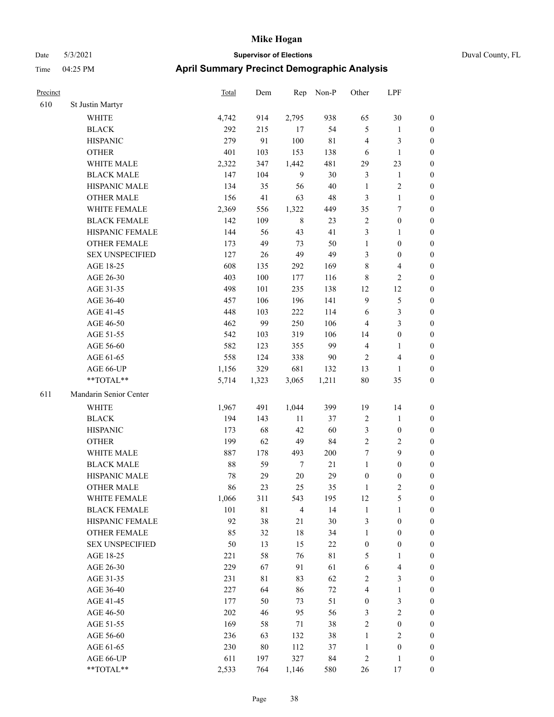|  | Duval County, FL |  |
|--|------------------|--|
|--|------------------|--|

| Precinct |                                                           | <b>Total</b> | Dem   | Rep            | Non-P       | Other            | LPF                     |                  |
|----------|-----------------------------------------------------------|--------------|-------|----------------|-------------|------------------|-------------------------|------------------|
| 610      | St Justin Martyr                                          |              |       |                |             |                  |                         |                  |
|          | WHITE                                                     | 4,742        | 914   | 2,795          | 938         | 65               | $30\,$                  | $\boldsymbol{0}$ |
|          | <b>BLACK</b>                                              | 292          | 215   | 17             | 54          | 5                | $\mathbf{1}$            | $\boldsymbol{0}$ |
|          | <b>HISPANIC</b>                                           | 279          | 91    | 100            | 81          | 4                | $\mathfrak{Z}$          | $\boldsymbol{0}$ |
|          | <b>OTHER</b>                                              | 401          | 103   | 153            | 138         | 6                | $\mathbf{1}$            | $\boldsymbol{0}$ |
|          | WHITE MALE                                                | 2,322        | 347   | 1,442          | 481         | 29               | 23                      | $\boldsymbol{0}$ |
|          | <b>BLACK MALE</b>                                         | 147          | 104   | 9              | 30          | 3                | $\mathbf{1}$            | $\boldsymbol{0}$ |
|          | HISPANIC MALE                                             | 134          | 35    | 56             | 40          | $\mathbf{1}$     | $\sqrt{2}$              | $\boldsymbol{0}$ |
|          | <b>OTHER MALE</b>                                         | 156          | 41    | 63             | 48          | 3                | $\mathbf{1}$            | $\boldsymbol{0}$ |
|          | WHITE FEMALE                                              | 2,369        | 556   | 1,322          | 449         | 35               | $\tau$                  | $\boldsymbol{0}$ |
|          | <b>BLACK FEMALE</b>                                       | 142          | 109   | $\,$ 8 $\,$    | 23          | $\sqrt{2}$       | $\boldsymbol{0}$        | $\boldsymbol{0}$ |
|          | HISPANIC FEMALE                                           | 144          | 56    | 43             | 41          | 3                | $\mathbf{1}$            | 0                |
|          | OTHER FEMALE                                              | 173          | 49    | 73             | 50          | $\mathbf{1}$     | $\boldsymbol{0}$        | 0                |
|          | <b>SEX UNSPECIFIED</b>                                    | 127          | 26    | 49             | 49          | 3                | $\boldsymbol{0}$        | 0                |
|          | AGE 18-25                                                 | 608          | 135   | 292            | 169         | 8                | $\overline{\mathbf{4}}$ | $\boldsymbol{0}$ |
|          | AGE 26-30                                                 | 403          | 100   | 177            | 116         | 8                | $\sqrt{2}$              | $\boldsymbol{0}$ |
|          | AGE 31-35                                                 | 498          | 101   | 235            | 138         | 12               | 12                      | $\boldsymbol{0}$ |
|          | AGE 36-40                                                 | 457          | 106   | 196            | 141         | $\overline{9}$   | $\mathfrak{S}$          | $\boldsymbol{0}$ |
|          | AGE 41-45                                                 | 448          | 103   | 222            | 114         | 6                | $\mathfrak{Z}$          | $\boldsymbol{0}$ |
|          | AGE 46-50                                                 | 462          | 99    | 250            | 106         | 4                | $\mathfrak{Z}$          | $\boldsymbol{0}$ |
|          | AGE 51-55                                                 | 542          | 103   | 319            | 106         | 14               | $\boldsymbol{0}$        | 0                |
|          | AGE 56-60                                                 | 582          | 123   | 355            | 99          | $\overline{4}$   | $\mathbf{1}$            | 0                |
|          | AGE 61-65                                                 | 558          | 124   | 338            | 90          | 2                | $\overline{4}$          | 0                |
|          | AGE 66-UP                                                 | 1,156        | 329   | 681            | 132         | 13               | $\mathbf{1}$            | 0                |
|          | **TOTAL**                                                 | 5,714        | 1,323 | 3,065          | 1,211       | 80               | 35                      | $\boldsymbol{0}$ |
| 611      | Mandarin Senior Center                                    |              |       |                |             |                  |                         |                  |
|          | <b>WHITE</b>                                              | 1,967        | 491   | 1,044          | 399         | 19               | 14                      | $\boldsymbol{0}$ |
|          | <b>BLACK</b>                                              | 194          | 143   | 11             | 37          | $\overline{c}$   | $\mathbf{1}$            | $\boldsymbol{0}$ |
|          | <b>HISPANIC</b>                                           | 173          | 68    | 42             | 60          | 3                | $\boldsymbol{0}$        | $\boldsymbol{0}$ |
|          | <b>OTHER</b>                                              | 199          | 62    | 49             | 84          | $\sqrt{2}$       | $\sqrt{2}$              | $\boldsymbol{0}$ |
|          | WHITE MALE                                                | 887          | 178   | 493            | 200         | 7                | $\mathbf{9}$            | $\boldsymbol{0}$ |
|          | <b>BLACK MALE</b>                                         | 88           | 59    | $\tau$         | 21          | $\mathbf{1}$     | $\boldsymbol{0}$        | $\boldsymbol{0}$ |
|          | HISPANIC MALE                                             | 78           | 29    | $20\,$         | 29          | $\boldsymbol{0}$ | $\boldsymbol{0}$        | $\boldsymbol{0}$ |
|          | <b>OTHER MALE</b>                                         | 86           | 23    | 25             | 35          | 1                | $\overline{c}$          | $\boldsymbol{0}$ |
|          | WHITE FEMALE                                              | 1,066        | 311   | 543            | 195         | 12               | $\mathfrak{S}$          | 0                |
|          | <b>BLACK FEMALE</b>                                       | 101          | 81    | $\overline{4}$ | 14          | $\mathbf{1}$     | $\mathbf{1}$            | 0                |
|          | HISPANIC FEMALE                                           | 92           | 38    | 21             | 30          | 3                | $\boldsymbol{0}$        | 0                |
|          | <b>OTHER FEMALE</b>                                       | 85           | 32    | $18\,$         | 34          | $\mathbf{1}$     | $\boldsymbol{0}$        | 0                |
|          | <b>SEX UNSPECIFIED</b>                                    | 50           | 13    | 15             | 22          | $\boldsymbol{0}$ | $\boldsymbol{0}$        | 0                |
|          | AGE 18-25                                                 | 221          | 58    | 76             | $8\sqrt{1}$ | 5                | $\mathbf{1}$            | 0                |
|          | AGE 26-30                                                 | 229          | 67    | 91             | 61          | 6                | $\overline{4}$          | 0                |
|          | AGE 31-35                                                 | 231          | 81    | 83             | 62          | 2                | $\mathfrak{Z}$          | 0                |
|          | AGE 36-40                                                 | 227          | 64    | 86             | 72          | 4                | $\mathbf{1}$            | 0                |
|          | AGE 41-45                                                 | 177          | 50    | 73             | 51          | $\boldsymbol{0}$ | $\mathfrak{Z}$          | 0                |
|          | AGE 46-50                                                 | 202          | 46    | 95             | 56          | 3                | $\sqrt{2}$              | 0                |
|          | AGE 51-55                                                 | 169          | 58    | 71             | 38          | $\sqrt{2}$       | $\boldsymbol{0}$        | 0                |
|          | AGE 56-60                                                 | 236          | 63    | 132            | 38          | $\mathbf{1}$     | $\sqrt{2}$              | 0                |
|          | AGE 61-65                                                 | 230          | 80    | 112            | 37          | $\mathbf{1}$     | $\boldsymbol{0}$        | 0                |
|          | AGE 66-UP                                                 | 611          | 197   | 327            | 84          | $\boldsymbol{2}$ | $\mathbf{1}$            | 0                |
|          | $\mathrm{*}\mathrm{*}\mathrm{TOTAL} \mathrm{*}\mathrm{*}$ | 2,533        | 764   | 1,146          | 580         | $26\,$           | $17\,$                  | $\overline{0}$   |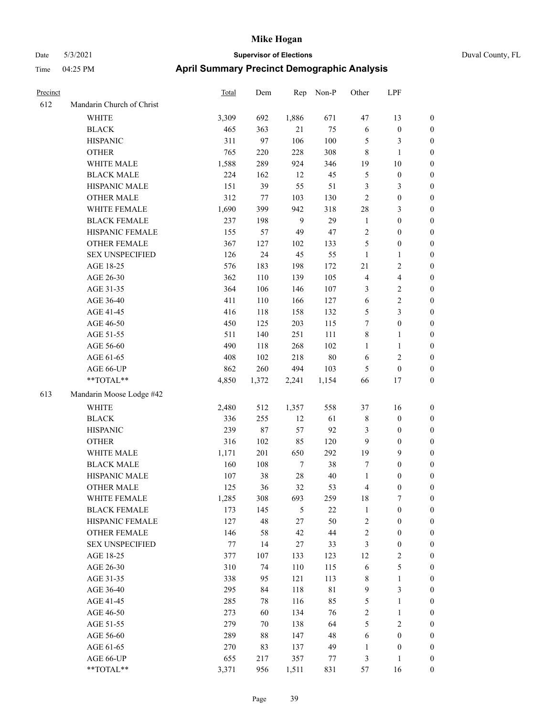| Duval County, FL |
|------------------|
|------------------|

| Precinct |                           | Total   | Dem   | Rep    | Non-P  | Other          | LPF                     |                  |
|----------|---------------------------|---------|-------|--------|--------|----------------|-------------------------|------------------|
| 612      | Mandarin Church of Christ |         |       |        |        |                |                         |                  |
|          | WHITE                     | 3,309   | 692   | 1,886  | 671    | 47             | 13                      | $\boldsymbol{0}$ |
|          | <b>BLACK</b>              | 465     | 363   | 21     | 75     | 6              | $\boldsymbol{0}$        | $\boldsymbol{0}$ |
|          | <b>HISPANIC</b>           | 311     | 97    | 106    | 100    | 5              | $\mathfrak{Z}$          | 0                |
|          | <b>OTHER</b>              | 765     | 220   | 228    | 308    | $\,$ 8 $\,$    | $\mathbf{1}$            | 0                |
|          | WHITE MALE                | 1,588   | 289   | 924    | 346    | 19             | $10\,$                  | $\boldsymbol{0}$ |
|          | <b>BLACK MALE</b>         | 224     | 162   | 12     | 45     | 5              | $\boldsymbol{0}$        | $\boldsymbol{0}$ |
|          | HISPANIC MALE             | 151     | 39    | 55     | 51     | 3              | $\mathfrak{Z}$          | $\boldsymbol{0}$ |
|          | <b>OTHER MALE</b>         | 312     | 77    | 103    | 130    | $\sqrt{2}$     | $\boldsymbol{0}$        | $\boldsymbol{0}$ |
|          | WHITE FEMALE              | 1,690   | 399   | 942    | 318    | $28\,$         | $\mathfrak{Z}$          | $\boldsymbol{0}$ |
|          | <b>BLACK FEMALE</b>       | 237     | 198   | 9      | 29     | $\mathbf{1}$   | $\boldsymbol{0}$        | $\boldsymbol{0}$ |
|          | HISPANIC FEMALE           | 155     | 57    | 49     | 47     | $\sqrt{2}$     | $\boldsymbol{0}$        | $\boldsymbol{0}$ |
|          | OTHER FEMALE              | 367     | 127   | 102    | 133    | 5              | $\boldsymbol{0}$        | $\boldsymbol{0}$ |
|          | <b>SEX UNSPECIFIED</b>    | 126     | 24    | 45     | 55     | $\mathbf{1}$   | $\mathbf{1}$            | 0                |
|          | AGE 18-25                 | 576     | 183   | 198    | 172    | 21             | $\sqrt{2}$              | 0                |
|          | AGE 26-30                 | 362     | 110   | 139    | 105    | $\overline{4}$ | $\overline{\mathbf{4}}$ | $\boldsymbol{0}$ |
|          | AGE 31-35                 | 364     | 106   | 146    | 107    | 3              | $\sqrt{2}$              | $\boldsymbol{0}$ |
|          | AGE 36-40                 | 411     | 110   | 166    | 127    | 6              | $\sqrt{2}$              | $\boldsymbol{0}$ |
|          | AGE 41-45                 | 416     | 118   | 158    | 132    | 5              | $\mathfrak{Z}$          | $\boldsymbol{0}$ |
|          | AGE 46-50                 | 450     | 125   | 203    | 115    | 7              | $\boldsymbol{0}$        | $\boldsymbol{0}$ |
|          | AGE 51-55                 | 511     | 140   | 251    | 111    | 8              | $\mathbf{1}$            | $\boldsymbol{0}$ |
|          | AGE 56-60                 | 490     | 118   | 268    | 102    | $\mathbf{1}$   | $\mathbf{1}$            | $\boldsymbol{0}$ |
|          | AGE 61-65                 | 408     | 102   | 218    | 80     | 6              | $\sqrt{2}$              | 0                |
|          | AGE 66-UP                 | 862     | 260   | 494    | 103    | 5              | $\boldsymbol{0}$        | 0                |
|          | **TOTAL**                 | 4,850   | 1,372 | 2,241  | 1,154  | 66             | 17                      | $\boldsymbol{0}$ |
| 613      | Mandarin Moose Lodge #42  |         |       |        |        |                |                         |                  |
|          | <b>WHITE</b>              | 2,480   | 512   | 1,357  | 558    | 37             | 16                      | 0                |
|          | <b>BLACK</b>              | 336     | 255   | 12     | 61     | 8              | $\boldsymbol{0}$        | $\boldsymbol{0}$ |
|          | <b>HISPANIC</b>           | 239     | 87    | 57     | 92     | 3              | $\boldsymbol{0}$        | $\boldsymbol{0}$ |
|          | <b>OTHER</b>              | 316     | 102   | 85     | 120    | 9              | $\boldsymbol{0}$        | $\boldsymbol{0}$ |
|          | WHITE MALE                | 1,171   | 201   | 650    | 292    | 19             | 9                       | $\boldsymbol{0}$ |
|          | <b>BLACK MALE</b>         | 160     | 108   | $\tau$ | 38     | 7              | $\boldsymbol{0}$        | $\boldsymbol{0}$ |
|          | HISPANIC MALE             | 107     | 38    | $28\,$ | 40     | $\mathbf{1}$   | $\boldsymbol{0}$        | $\boldsymbol{0}$ |
|          | <b>OTHER MALE</b>         | 125     | 36    | 32     | 53     | 4              | $\boldsymbol{0}$        | $\boldsymbol{0}$ |
|          | WHITE FEMALE              | 1,285   | 308   | 693    | 259    | 18             | 7                       | 0                |
|          | <b>BLACK FEMALE</b>       | 173     | 145   | 5      | $22\,$ | $\mathbf{1}$   | $\boldsymbol{0}$        | 0                |
|          | HISPANIC FEMALE           | 127     | 48    | 27     | 50     | $\overline{c}$ | $\boldsymbol{0}$        | 0                |
|          | OTHER FEMALE              | 146     | 58    | 42     | $44\,$ | $\sqrt{2}$     | $\boldsymbol{0}$        | 0                |
|          | <b>SEX UNSPECIFIED</b>    | $77 \,$ | 14    | 27     | 33     | 3              | $\boldsymbol{0}$        | 0                |
|          | AGE 18-25                 | 377     | 107   | 133    | 123    | 12             | $\sqrt{2}$              | 0                |
|          | AGE 26-30                 | 310     | 74    | 110    | 115    | 6              | $\mathfrak{S}$          | 0                |
|          | AGE 31-35                 | 338     | 95    | 121    | 113    | $\,$ 8 $\,$    | $\mathbf{1}$            | 0                |
|          | AGE 36-40                 | 295     | 84    | 118    | 81     | $\overline{9}$ | $\mathfrak{Z}$          | 0                |
|          | AGE 41-45                 | 285     | 78    | 116    | 85     | 5              | $\mathbf{1}$            | 0                |
|          | AGE 46-50                 | 273     | 60    | 134    | 76     | $\sqrt{2}$     | $\mathbf{1}$            | 0                |
|          | AGE 51-55                 | 279     | 70    | 138    | 64     | 5              | $\sqrt{2}$              | 0                |
|          | AGE 56-60                 | 289     | 88    | 147    | 48     | 6              | $\boldsymbol{0}$        | 0                |
|          | AGE 61-65                 | 270     | 83    | 137    | 49     | $\mathbf{1}$   | $\boldsymbol{0}$        | 0                |
|          | AGE 66-UP                 | 655     | 217   | 357    | 77     | 3              | 1                       | $\boldsymbol{0}$ |
|          | $**TOTAL**$               | 3,371   | 956   | 1,511  | 831    | 57             | 16                      | $\boldsymbol{0}$ |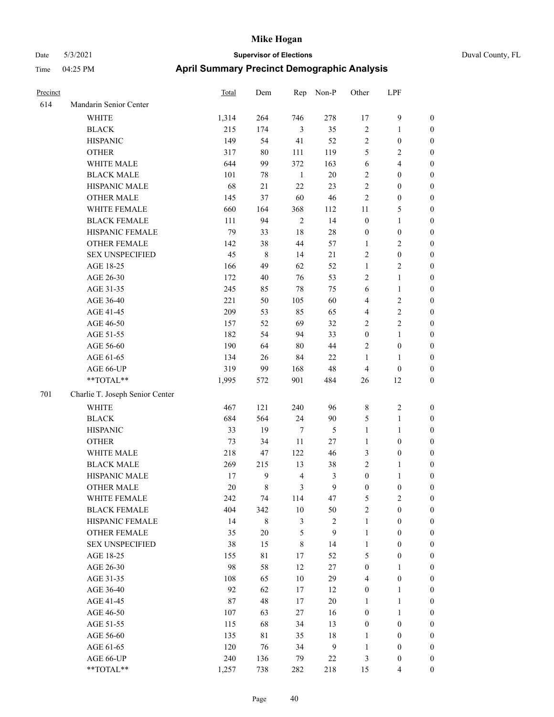| Precinct |                                 | Total | Dem         | Rep            | Non-P        | Other            | LPF                     |                  |
|----------|---------------------------------|-------|-------------|----------------|--------------|------------------|-------------------------|------------------|
| 614      | Mandarin Senior Center          |       |             |                |              |                  |                         |                  |
|          | WHITE                           | 1,314 | 264         | 746            | 278          | 17               | $\mathbf{9}$            | $\boldsymbol{0}$ |
|          | <b>BLACK</b>                    | 215   | 174         | $\mathfrak{Z}$ | 35           | $\sqrt{2}$       | $\mathbf{1}$            | $\boldsymbol{0}$ |
|          | <b>HISPANIC</b>                 | 149   | 54          | 41             | 52           | $\sqrt{2}$       | $\boldsymbol{0}$        | $\boldsymbol{0}$ |
|          | <b>OTHER</b>                    | 317   | $80\,$      | 111            | 119          | 5                | $\sqrt{2}$              | $\boldsymbol{0}$ |
|          | WHITE MALE                      | 644   | 99          | 372            | 163          | 6                | $\overline{\mathbf{4}}$ | 0                |
|          | <b>BLACK MALE</b>               | 101   | 78          | $\mathbf{1}$   | $20\,$       | $\sqrt{2}$       | $\boldsymbol{0}$        | $\boldsymbol{0}$ |
|          | HISPANIC MALE                   | 68    | 21          | $22\,$         | 23           | $\sqrt{2}$       | $\boldsymbol{0}$        | $\boldsymbol{0}$ |
|          | <b>OTHER MALE</b>               | 145   | 37          | 60             | 46           | $\overline{c}$   | $\boldsymbol{0}$        | $\boldsymbol{0}$ |
|          | WHITE FEMALE                    | 660   | 164         | 368            | 112          | 11               | 5                       | $\boldsymbol{0}$ |
|          | <b>BLACK FEMALE</b>             | 111   | 94          | $\sqrt{2}$     | 14           | $\boldsymbol{0}$ | $\mathbf{1}$            | $\boldsymbol{0}$ |
|          | HISPANIC FEMALE                 | 79    | 33          | $18\,$         | $28\,$       | $\boldsymbol{0}$ | $\boldsymbol{0}$        | $\boldsymbol{0}$ |
|          | OTHER FEMALE                    | 142   | 38          | 44             | 57           | $\mathbf{1}$     | $\overline{2}$          | $\boldsymbol{0}$ |
|          | <b>SEX UNSPECIFIED</b>          | 45    | $\,$ 8 $\,$ | 14             | $21\,$       | $\sqrt{2}$       | $\boldsymbol{0}$        | $\boldsymbol{0}$ |
|          | AGE 18-25                       | 166   | 49          | 62             | 52           | $\mathbf{1}$     | $\sqrt{2}$              | $\boldsymbol{0}$ |
|          | AGE 26-30                       | 172   | 40          | 76             | 53           | $\sqrt{2}$       | $\mathbf{1}$            | 0                |
|          | AGE 31-35                       | 245   | 85          | $78\,$         | 75           | 6                | $\mathbf{1}$            | $\boldsymbol{0}$ |
|          | AGE 36-40                       | 221   | 50          | 105            | 60           | 4                | $\sqrt{2}$              | $\boldsymbol{0}$ |
|          | AGE 41-45                       | 209   | 53          | 85             | 65           | 4                | $\sqrt{2}$              | $\boldsymbol{0}$ |
|          | AGE 46-50                       | 157   | 52          | 69             | 32           | 2                | $\sqrt{2}$              | $\boldsymbol{0}$ |
|          | AGE 51-55                       | 182   | 54          | 94             | 33           | $\boldsymbol{0}$ | $\mathbf{1}$            | $\boldsymbol{0}$ |
|          | AGE 56-60                       | 190   | 64          | $80\,$         | $44\,$       | 2                | $\boldsymbol{0}$        | $\boldsymbol{0}$ |
|          | AGE 61-65                       | 134   | 26          | 84             | $22\,$       | $\mathbf{1}$     | $\mathbf{1}$            | $\boldsymbol{0}$ |
|          | AGE 66-UP                       | 319   | 99          | 168            | 48           | $\overline{4}$   | $\boldsymbol{0}$        | 0                |
|          | **TOTAL**                       | 1,995 | 572         | 901            | 484          | 26               | 12                      | 0                |
| 701      | Charlie T. Joseph Senior Center |       |             |                |              |                  |                         |                  |
|          | WHITE                           | 467   | 121         | 240            | 96           | 8                | $\sqrt{2}$              | $\boldsymbol{0}$ |
|          | $\operatorname{BLACK}$          | 684   | 564         | 24             | $90\,$       | 5                | $\mathbf{1}$            | 0                |
|          | <b>HISPANIC</b>                 | 33    | 19          | $\tau$         | 5            | $\mathbf{1}$     | $\mathbf{1}$            | 0                |
|          | <b>OTHER</b>                    | 73    | 34          | $11\,$         | 27           | $\mathbf{1}$     | $\boldsymbol{0}$        | $\boldsymbol{0}$ |
|          | WHITE MALE                      | 218   | 47          | 122            | 46           | 3                | $\boldsymbol{0}$        | $\boldsymbol{0}$ |
|          | <b>BLACK MALE</b>               | 269   | 215         | 13             | $38\,$       | 2                | $\mathbf{1}$            | $\boldsymbol{0}$ |
|          | HISPANIC MALE                   | 17    | 9           | $\overline{4}$ | 3            | $\boldsymbol{0}$ | $\mathbf{1}$            | $\boldsymbol{0}$ |
|          | <b>OTHER MALE</b>               | 20    | 8           | 3              | 9            | $\boldsymbol{0}$ | $\boldsymbol{0}$        | $\boldsymbol{0}$ |
|          | WHITE FEMALE                    | 242   | 74          | 114            | 47           | $\mathfrak{S}$   | $\overline{2}$          | $\boldsymbol{0}$ |
|          | <b>BLACK FEMALE</b>             | 404   | 342         | $10\,$         | 50           | $\overline{c}$   | $\boldsymbol{0}$        | 0                |
|          | HISPANIC FEMALE                 | 14    | $\,$ 8 $\,$ | $\mathfrak{Z}$ | $\sqrt{2}$   | $\mathbf{1}$     | $\boldsymbol{0}$        | 0                |
|          | <b>OTHER FEMALE</b>             | 35    | $20\,$      | $\mathfrak s$  | $\mathbf{9}$ | $\mathbf{1}$     | $\boldsymbol{0}$        | 0                |
|          | <b>SEX UNSPECIFIED</b>          | 38    | 15          | $\,$ 8 $\,$    | 14           | $\mathbf{1}$     | $\boldsymbol{0}$        | 0                |
|          | AGE 18-25                       | 155   | 81          | 17             | 52           | 5                | $\boldsymbol{0}$        | $\overline{0}$   |
|          | AGE 26-30                       | 98    | 58          | 12             | $27\,$       | $\boldsymbol{0}$ | $\mathbf{1}$            | $\boldsymbol{0}$ |
|          | AGE 31-35                       | 108   | 65          | $10\,$         | 29           | 4                | $\boldsymbol{0}$        | $\overline{0}$   |
|          | AGE 36-40                       | 92    | 62          | 17             | 12           | $\boldsymbol{0}$ | $\mathbf{1}$            | 0                |
|          | AGE 41-45                       | 87    | 48          | 17             | $20\,$       | $\mathbf{1}$     | $\mathbf{1}$            | $\overline{0}$   |
|          | AGE 46-50                       | 107   | 63          | 27             | 16           | $\boldsymbol{0}$ | $\mathbf{1}$            | $\overline{0}$   |
|          | AGE 51-55                       | 115   | 68          | 34             | 13           | $\boldsymbol{0}$ | $\boldsymbol{0}$        | $\overline{0}$   |
|          | AGE 56-60                       | 135   | 81          | 35             | $18\,$       | $\mathbf{1}$     | $\boldsymbol{0}$        | 0                |
|          | AGE 61-65                       | 120   | 76          | 34             | $\mathbf{9}$ | $\mathbf{1}$     | $\boldsymbol{0}$        | 0                |
|          | AGE 66-UP                       | 240   | 136         | 79             | $22\,$       | 3                | $\boldsymbol{0}$        | 0                |
|          | $**TOTAL**$                     | 1,257 | 738         | 282            | 218          | 15               | $\overline{4}$          | $\boldsymbol{0}$ |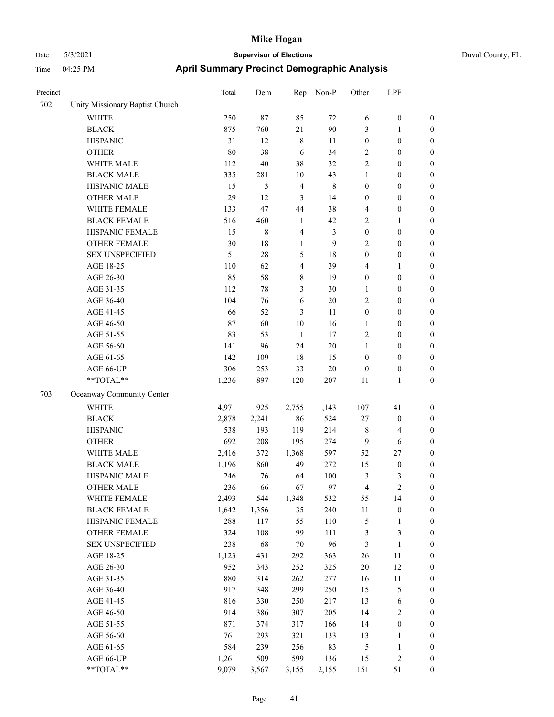| Duval Count |  |
|-------------|--|
|             |  |

| Precinct |                                 | Total | Dem    | Rep                     | Non-P       | Other            | LPF                     |                  |
|----------|---------------------------------|-------|--------|-------------------------|-------------|------------------|-------------------------|------------------|
| 702      | Unity Missionary Baptist Church |       |        |                         |             |                  |                         |                  |
|          | <b>WHITE</b>                    | 250   | 87     | 85                      | 72          | 6                | $\boldsymbol{0}$        | $\boldsymbol{0}$ |
|          | <b>BLACK</b>                    | 875   | 760    | 21                      | 90          | 3                | $\mathbf{1}$            | $\boldsymbol{0}$ |
|          | <b>HISPANIC</b>                 | 31    | 12     | $\,$ 8 $\,$             | 11          | $\boldsymbol{0}$ | $\boldsymbol{0}$        | $\boldsymbol{0}$ |
|          | <b>OTHER</b>                    | 80    | 38     | 6                       | 34          | 2                | $\boldsymbol{0}$        | $\boldsymbol{0}$ |
|          | WHITE MALE                      | 112   | 40     | 38                      | 32          | 2                | $\boldsymbol{0}$        | $\boldsymbol{0}$ |
|          | <b>BLACK MALE</b>               | 335   | 281    | 10                      | 43          | $\mathbf{1}$     | $\boldsymbol{0}$        | 0                |
|          | HISPANIC MALE                   | 15    | 3      | $\overline{4}$          | $\,$ 8 $\,$ | $\boldsymbol{0}$ | $\boldsymbol{0}$        | $\boldsymbol{0}$ |
|          | <b>OTHER MALE</b>               | 29    | 12     | $\mathfrak{Z}$          | 14          | $\boldsymbol{0}$ | $\boldsymbol{0}$        | $\boldsymbol{0}$ |
|          | WHITE FEMALE                    | 133   | 47     | 44                      | 38          | 4                | $\boldsymbol{0}$        | $\boldsymbol{0}$ |
|          | <b>BLACK FEMALE</b>             | 516   | 460    | 11                      | 42          | $\mathfrak{2}$   | $\mathbf{1}$            | $\boldsymbol{0}$ |
|          | HISPANIC FEMALE                 | 15    | 8      | $\overline{\mathbf{4}}$ | 3           | $\boldsymbol{0}$ | $\boldsymbol{0}$        | $\boldsymbol{0}$ |
|          | OTHER FEMALE                    | 30    | 18     | $\mathbf{1}$            | 9           | $\overline{c}$   | $\boldsymbol{0}$        | $\boldsymbol{0}$ |
|          | <b>SEX UNSPECIFIED</b>          | 51    | $28\,$ | $\mathfrak{S}$          | $18\,$      | $\boldsymbol{0}$ | $\boldsymbol{0}$        | $\boldsymbol{0}$ |
|          | AGE 18-25                       | 110   | 62     | $\overline{\mathbf{4}}$ | 39          | 4                | $\mathbf{1}$            | $\boldsymbol{0}$ |
|          | AGE 26-30                       | 85    | 58     | $\,$ 8 $\,$             | 19          | $\boldsymbol{0}$ | $\boldsymbol{0}$        | $\boldsymbol{0}$ |
|          | AGE 31-35                       | 112   | 78     | 3                       | 30          | 1                | $\boldsymbol{0}$        | 0                |
|          | AGE 36-40                       | 104   | 76     | 6                       | 20          | $\overline{c}$   | $\boldsymbol{0}$        | 0                |
|          | AGE 41-45                       | 66    | 52     | 3                       | 11          | $\boldsymbol{0}$ | $\boldsymbol{0}$        | $\boldsymbol{0}$ |
|          | AGE 46-50                       | 87    | 60     | $10\,$                  | 16          | $\mathbf{1}$     | $\boldsymbol{0}$        | $\boldsymbol{0}$ |
|          | AGE 51-55                       | 83    | 53     | 11                      | $17\,$      | $\overline{c}$   | $\boldsymbol{0}$        | $\boldsymbol{0}$ |
|          | AGE 56-60                       | 141   | 96     | 24                      | 20          | $\mathbf{1}$     | $\boldsymbol{0}$        | $\boldsymbol{0}$ |
|          | AGE 61-65                       | 142   | 109    | 18                      | 15          | $\boldsymbol{0}$ | $\boldsymbol{0}$        | $\boldsymbol{0}$ |
|          | AGE 66-UP                       | 306   | 253    | 33                      | 20          | $\boldsymbol{0}$ | $\boldsymbol{0}$        | $\boldsymbol{0}$ |
|          | **TOTAL**                       | 1,236 | 897    | 120                     | 207         | $11\,$           | $\mathbf{1}$            | $\boldsymbol{0}$ |
| 703      | Oceanway Community Center       |       |        |                         |             |                  |                         |                  |
|          | WHITE                           | 4,971 | 925    | 2,755                   | 1,143       | 107              | 41                      | $\boldsymbol{0}$ |
|          | <b>BLACK</b>                    | 2,878 | 2,241  | 86                      | 524         | 27               | $\boldsymbol{0}$        | $\boldsymbol{0}$ |
|          | <b>HISPANIC</b>                 | 538   | 193    | 119                     | 214         | 8                | $\overline{\mathbf{4}}$ | $\boldsymbol{0}$ |
|          | <b>OTHER</b>                    | 692   | 208    | 195                     | 274         | 9                | 6                       | 0                |
|          | WHITE MALE                      | 2,416 | 372    | 1,368                   | 597         | 52               | $27\,$                  | $\boldsymbol{0}$ |
|          | <b>BLACK MALE</b>               | 1,196 | 860    | 49                      | 272         | 15               | $\boldsymbol{0}$        | $\boldsymbol{0}$ |
|          | HISPANIC MALE                   | 246   | 76     | 64                      | 100         | 3                | 3                       | $\boldsymbol{0}$ |
|          | <b>OTHER MALE</b>               | 236   | 66     | 67                      | 97          | $\overline{4}$   | $\overline{c}$          | $\boldsymbol{0}$ |
|          | WHITE FEMALE                    | 2,493 | 544    | 1,348                   | 532         | 55               | 14                      | $\boldsymbol{0}$ |
|          | <b>BLACK FEMALE</b>             | 1,642 | 1,356  | 35                      | 240         | $11\,$           | $\boldsymbol{0}$        | $\overline{0}$   |
|          | HISPANIC FEMALE                 | 288   | 117    | 55                      | 110         | 5                | $\mathbf{1}$            | $\overline{0}$   |
|          | <b>OTHER FEMALE</b>             | 324   | 108    | 99                      | 111         | $\mathfrak{Z}$   | $\mathfrak{Z}$          | 0                |
|          | <b>SEX UNSPECIFIED</b>          | 238   | 68     | 70                      | 96          | $\mathfrak{Z}$   | $\mathbf{1}$            | 0                |
|          | AGE 18-25                       | 1,123 | 431    | 292                     | 363         | 26               | 11                      | 0                |
|          | AGE 26-30                       | 952   | 343    | 252                     | 325         | $20\,$           | 12                      | 0                |
|          | AGE 31-35                       | 880   | 314    | 262                     | 277         | 16               | 11                      | 0                |
|          | AGE 36-40                       | 917   | 348    | 299                     | 250         | 15               | $\mathfrak s$           | $\boldsymbol{0}$ |
|          | AGE 41-45                       | 816   | 330    | 250                     | 217         | 13               | 6                       | $\boldsymbol{0}$ |
|          | AGE 46-50                       | 914   | 386    | 307                     | 205         | 14               | $\sqrt{2}$              | 0                |
|          | AGE 51-55                       | 871   | 374    | 317                     | 166         | 14               | $\boldsymbol{0}$        | $\overline{0}$   |
|          | AGE 56-60                       | 761   | 293    | 321                     | 133         | 13               | $\mathbf{1}$            | $\boldsymbol{0}$ |
|          | AGE 61-65                       | 584   | 239    | 256                     | 83          | $\mathfrak s$    | $\mathbf{1}$            | 0                |
|          | AGE 66-UP                       | 1,261 | 509    | 599                     | 136         | 15               | $\sqrt{2}$              | $\boldsymbol{0}$ |
|          | $**TOTAL**$                     | 9,079 | 3,567  | 3,155                   | 2,155       | 151              | 51                      | $\boldsymbol{0}$ |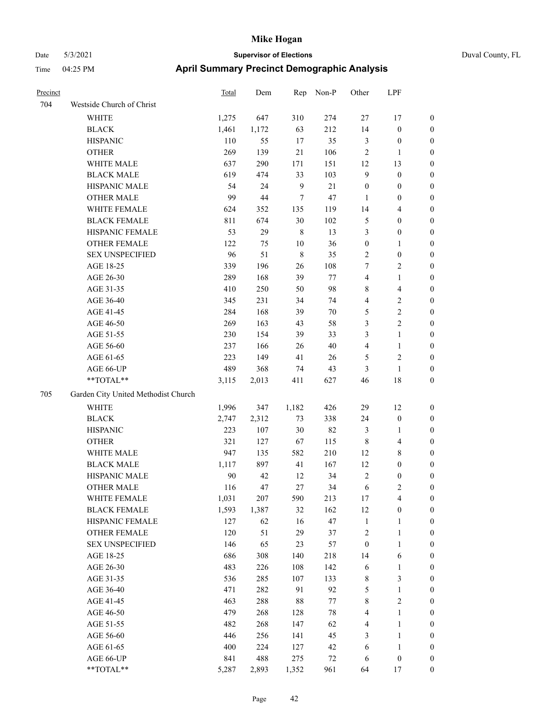| Duval County, FL |  |
|------------------|--|

| Precinct |                                     | <b>Total</b> | Dem    | Rep         | Non-P   | Other            | LPF                     |                  |
|----------|-------------------------------------|--------------|--------|-------------|---------|------------------|-------------------------|------------------|
| 704      | Westside Church of Christ           |              |        |             |         |                  |                         |                  |
|          | WHITE                               | 1,275        | 647    | 310         | 274     | 27               | 17                      | $\boldsymbol{0}$ |
|          | <b>BLACK</b>                        | 1,461        | 1,172  | 63          | 212     | 14               | $\boldsymbol{0}$        | $\boldsymbol{0}$ |
|          | <b>HISPANIC</b>                     | 110          | 55     | 17          | 35      | 3                | $\boldsymbol{0}$        | 0                |
|          | <b>OTHER</b>                        | 269          | 139    | 21          | 106     | 2                | $\mathbf{1}$            | 0                |
|          | WHITE MALE                          | 637          | 290    | 171         | 151     | 12               | 13                      | $\boldsymbol{0}$ |
|          | <b>BLACK MALE</b>                   | 619          | 474    | 33          | 103     | 9                | $\boldsymbol{0}$        | $\boldsymbol{0}$ |
|          | HISPANIC MALE                       | 54           | 24     | 9           | $21\,$  | $\boldsymbol{0}$ | $\boldsymbol{0}$        | $\boldsymbol{0}$ |
|          | <b>OTHER MALE</b>                   | 99           | $44\,$ | 7           | 47      | $\mathbf{1}$     | $\boldsymbol{0}$        | $\boldsymbol{0}$ |
|          | WHITE FEMALE                        | 624          | 352    | 135         | 119     | 14               | $\overline{\mathbf{4}}$ | $\boldsymbol{0}$ |
|          | <b>BLACK FEMALE</b>                 | 811          | 674    | $30\,$      | 102     | 5                | $\boldsymbol{0}$        | $\boldsymbol{0}$ |
|          | HISPANIC FEMALE                     | 53           | 29     | $\,$ 8 $\,$ | 13      | 3                | $\boldsymbol{0}$        | $\boldsymbol{0}$ |
|          | <b>OTHER FEMALE</b>                 | 122          | 75     | $10\,$      | 36      | $\boldsymbol{0}$ | $\mathbf{1}$            | 0                |
|          | <b>SEX UNSPECIFIED</b>              | 96           | 51     | $\,8\,$     | 35      | $\overline{c}$   | $\boldsymbol{0}$        | 0                |
|          | AGE 18-25                           | 339          | 196    | 26          | 108     | 7                | $\overline{c}$          | 0                |
|          | AGE 26-30                           | 289          | 168    | 39          | 77      | 4                | $\mathbf{1}$            | 0                |
|          | AGE 31-35                           | 410          | 250    | 50          | 98      | 8                | $\overline{\mathbf{4}}$ | $\boldsymbol{0}$ |
|          | AGE 36-40                           | 345          | 231    | 34          | 74      | 4                | $\sqrt{2}$              | $\boldsymbol{0}$ |
|          | AGE 41-45                           | 284          | 168    | 39          | $70\,$  | 5                | $\sqrt{2}$              | $\boldsymbol{0}$ |
|          | AGE 46-50                           | 269          | 163    | 43          | 58      | 3                | $\sqrt{2}$              | $\boldsymbol{0}$ |
|          | AGE 51-55                           | 230          | 154    | 39          | 33      | 3                | $\mathbf{1}$            | $\boldsymbol{0}$ |
|          | AGE 56-60                           | 237          | 166    | 26          | $40\,$  | 4                | $\mathbf{1}$            | $\boldsymbol{0}$ |
|          | AGE 61-65                           | 223          | 149    | 41          | 26      | 5                | $\sqrt{2}$              | 0                |
|          | AGE 66-UP                           | 489          | 368    | 74          | 43      | 3                | $\mathbf{1}$            | 0                |
|          | **TOTAL**                           | 3,115        | 2,013  | 411         | 627     | 46               | 18                      | 0                |
| 705      | Garden City United Methodist Church |              |        |             |         |                  |                         |                  |
|          | <b>WHITE</b>                        | 1,996        | 347    | 1,182       | 426     | 29               | 12                      | 0                |
|          | <b>BLACK</b>                        | 2,747        | 2,312  | 73          | 338     | 24               | $\boldsymbol{0}$        | 0                |
|          | <b>HISPANIC</b>                     | 223          | 107    | $30\,$      | 82      | 3                | $\mathbf{1}$            | 0                |
|          | <b>OTHER</b>                        | 321          | 127    | 67          | 115     | 8                | $\overline{\mathbf{4}}$ | $\boldsymbol{0}$ |
|          | WHITE MALE                          | 947          | 135    | 582         | 210     | 12               | 8                       | $\boldsymbol{0}$ |
|          | <b>BLACK MALE</b>                   | 1,117        | 897    | 41          | 167     | 12               | $\boldsymbol{0}$        | $\boldsymbol{0}$ |
|          | HISPANIC MALE                       | 90           | 42     | 12          | 34      | $\overline{c}$   | $\boldsymbol{0}$        | $\boldsymbol{0}$ |
|          | <b>OTHER MALE</b>                   | 116          | 47     | 27          | 34      | 6                | $\mathbf{2}$            | $\boldsymbol{0}$ |
|          | WHITE FEMALE                        | 1,031        | 207    | 590         | 213     | 17               | $\overline{4}$          | 0                |
|          | <b>BLACK FEMALE</b>                 | 1,593        | 1,387  | 32          | 162     | 12               | $\boldsymbol{0}$        | 0                |
|          | HISPANIC FEMALE                     | 127          | 62     | 16          | 47      | $\mathbf{1}$     | $\mathbf{1}$            | 0                |
|          | OTHER FEMALE                        | 120          | 51     | 29          | 37      | $\overline{c}$   | $\mathbf{1}$            | 0                |
|          | <b>SEX UNSPECIFIED</b>              | 146          | 65     | 23          | 57      | $\boldsymbol{0}$ | $\mathbf{1}$            | 0                |
|          | AGE 18-25                           | 686          | 308    | 140         | 218     | 14               | 6                       | $\boldsymbol{0}$ |
|          | AGE 26-30                           | 483          | 226    | 108         | 142     | 6                | $\mathbf{1}$            | 0                |
|          | AGE 31-35                           | 536          | 285    | 107         | 133     | $\,$ 8 $\,$      | $\mathfrak{Z}$          | 0                |
|          | AGE 36-40                           | 471          | 282    | 91          | 92      | 5                | $\mathbf{1}$            | 0                |
|          | AGE 41-45                           | 463          | 288    | $88\,$      | $77 \,$ | $\,$ 8 $\,$      | $\overline{2}$          | 0                |
|          | AGE 46-50                           | 479          | 268    | 128         | 78      | 4                | $\mathbf{1}$            | 0                |
|          | AGE 51-55                           | 482          | 268    | 147         | 62      | $\overline{4}$   | $\mathbf{1}$            | 0                |
|          | AGE 56-60                           | 446          | 256    | 141         | 45      | 3                | $\mathbf{1}$            | 0                |
|          | AGE 61-65                           | 400          | 224    | 127         | 42      | 6                | $\mathbf{1}$            | $\boldsymbol{0}$ |
|          | AGE 66-UP                           | 841          | 488    | 275         | $72\,$  | 6                | $\boldsymbol{0}$        | 0                |
|          | **TOTAL**                           | 5,287        | 2,893  | 1,352       | 961     | 64               | 17                      | $\boldsymbol{0}$ |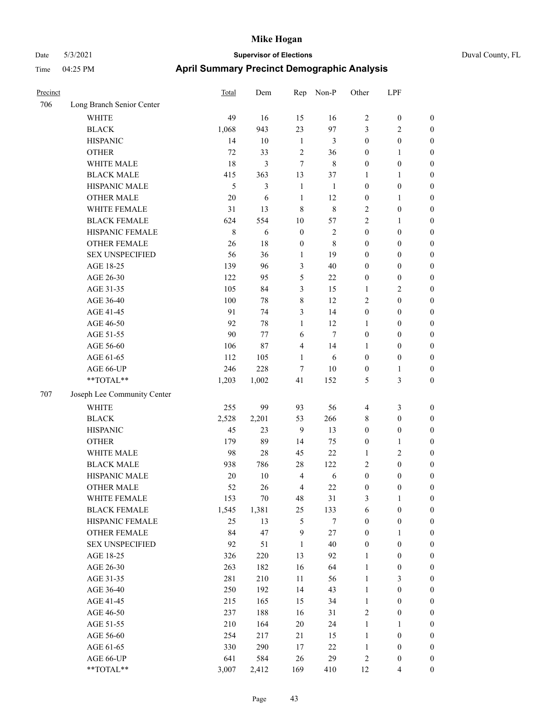| Precinct |                             | Total       | Dem    | Rep              | Non-P            | Other            | LPF              |                  |
|----------|-----------------------------|-------------|--------|------------------|------------------|------------------|------------------|------------------|
| 706      | Long Branch Senior Center   |             |        |                  |                  |                  |                  |                  |
|          | <b>WHITE</b>                | 49          | 16     | 15               | 16               | $\sqrt{2}$       | $\boldsymbol{0}$ | $\boldsymbol{0}$ |
|          | <b>BLACK</b>                | 1,068       | 943    | 23               | 97               | 3                | 2                | $\boldsymbol{0}$ |
|          | <b>HISPANIC</b>             | 14          | 10     | 1                | 3                | $\boldsymbol{0}$ | $\boldsymbol{0}$ | $\boldsymbol{0}$ |
|          | <b>OTHER</b>                | 72          | 33     | $\sqrt{2}$       | 36               | $\boldsymbol{0}$ | 1                | $\boldsymbol{0}$ |
|          | WHITE MALE                  | 18          | 3      | 7                | 8                | $\boldsymbol{0}$ | $\boldsymbol{0}$ | $\boldsymbol{0}$ |
|          | <b>BLACK MALE</b>           | 415         | 363    | 13               | 37               | 1                | 1                | $\boldsymbol{0}$ |
|          | HISPANIC MALE               | 5           | 3      | $\mathbf{1}$     | $\mathbf{1}$     | $\boldsymbol{0}$ | $\boldsymbol{0}$ | $\boldsymbol{0}$ |
|          | <b>OTHER MALE</b>           | 20          | 6      | $\mathbf{1}$     | 12               | $\boldsymbol{0}$ | 1                | $\boldsymbol{0}$ |
|          | WHITE FEMALE                | 31          | 13     | $\,8\,$          | 8                | $\sqrt{2}$       | $\boldsymbol{0}$ | $\boldsymbol{0}$ |
|          | <b>BLACK FEMALE</b>         | 624         | 554    | 10               | 57               | $\sqrt{2}$       | 1                | $\boldsymbol{0}$ |
|          | HISPANIC FEMALE             | $\,$ 8 $\,$ | 6      | $\boldsymbol{0}$ | $\sqrt{2}$       | $\boldsymbol{0}$ | $\boldsymbol{0}$ | $\boldsymbol{0}$ |
|          | <b>OTHER FEMALE</b>         | 26          | 18     | $\boldsymbol{0}$ | 8                | $\boldsymbol{0}$ | $\boldsymbol{0}$ | $\boldsymbol{0}$ |
|          | <b>SEX UNSPECIFIED</b>      | 56          | 36     | 1                | 19               | $\boldsymbol{0}$ | $\boldsymbol{0}$ | $\boldsymbol{0}$ |
|          | AGE 18-25                   | 139         | 96     | 3                | 40               | $\boldsymbol{0}$ | $\boldsymbol{0}$ | $\boldsymbol{0}$ |
|          | AGE 26-30                   | 122         | 95     | 5                | 22               | $\boldsymbol{0}$ | $\boldsymbol{0}$ | $\boldsymbol{0}$ |
|          | AGE 31-35                   | 105         | 84     | 3                | 15               | 1                | 2                | $\boldsymbol{0}$ |
|          | AGE 36-40                   | 100         | 78     | 8                | 12               | $\overline{2}$   | $\boldsymbol{0}$ | $\boldsymbol{0}$ |
|          | AGE 41-45                   | 91          | 74     | 3                | 14               | $\boldsymbol{0}$ | $\boldsymbol{0}$ | $\boldsymbol{0}$ |
|          | AGE 46-50                   | 92          | 78     | 1                | 12               | $\mathbf{1}$     | $\boldsymbol{0}$ | $\boldsymbol{0}$ |
|          | AGE 51-55                   | 90          | 77     | 6                | $\overline{7}$   | $\boldsymbol{0}$ | $\boldsymbol{0}$ | $\boldsymbol{0}$ |
|          | AGE 56-60                   | 106         | 87     | 4                | 14               | 1                | $\boldsymbol{0}$ | $\boldsymbol{0}$ |
|          | AGE 61-65                   | 112         | 105    | $\mathbf{1}$     | 6                | $\boldsymbol{0}$ | $\boldsymbol{0}$ | $\boldsymbol{0}$ |
|          | AGE 66-UP                   | 246         | 228    | $\tau$           | $10\,$           | $\boldsymbol{0}$ | 1                | $\boldsymbol{0}$ |
|          | **TOTAL**                   | 1,203       | 1,002  | 41               | 152              | 5                | 3                | $\boldsymbol{0}$ |
| 707      | Joseph Lee Community Center |             |        |                  |                  |                  |                  |                  |
|          | <b>WHITE</b>                | 255         | 99     | 93               | 56               | $\overline{4}$   | 3                | $\boldsymbol{0}$ |
|          | <b>BLACK</b>                | 2,528       | 2,201  | 53               | 266              | $\,$ 8 $\,$      | $\boldsymbol{0}$ | $\boldsymbol{0}$ |
|          | <b>HISPANIC</b>             | 45          | 23     | 9                | 13               | $\boldsymbol{0}$ | $\boldsymbol{0}$ | $\boldsymbol{0}$ |
|          | <b>OTHER</b>                | 179         | 89     | 14               | 75               | $\boldsymbol{0}$ | 1                | $\boldsymbol{0}$ |
|          | WHITE MALE                  | 98          | 28     | 45               | 22               | 1                | 2                | $\boldsymbol{0}$ |
|          | <b>BLACK MALE</b>           | 938         | 786    | $28\,$           | 122              | $\sqrt{2}$       | $\boldsymbol{0}$ | $\boldsymbol{0}$ |
|          | HISPANIC MALE               | 20          | 10     | $\overline{4}$   | 6                | $\boldsymbol{0}$ | 0                | $\boldsymbol{0}$ |
|          | <b>OTHER MALE</b>           | 52          | 26     | 4                | 22               | $\boldsymbol{0}$ | $\mathbf{0}$     | $\boldsymbol{0}$ |
|          | WHITE FEMALE                | 153         | $70\,$ | 48               | 31               | $\mathfrak{Z}$   | $\mathbf{1}$     | $\boldsymbol{0}$ |
|          | <b>BLACK FEMALE</b>         | 1,545       | 1,381  | 25               | 133              | 6                | $\boldsymbol{0}$ | $\boldsymbol{0}$ |
|          | HISPANIC FEMALE             | 25          | 13     | 5                | $\boldsymbol{7}$ | $\boldsymbol{0}$ | $\boldsymbol{0}$ | $\boldsymbol{0}$ |
|          | OTHER FEMALE                | 84          | 47     | 9                | $27\,$           | $\boldsymbol{0}$ | 1                | $\boldsymbol{0}$ |
|          | <b>SEX UNSPECIFIED</b>      | 92          | 51     | $\mathbf{1}$     | 40               | $\boldsymbol{0}$ | $\boldsymbol{0}$ | $\boldsymbol{0}$ |
|          | AGE 18-25                   | 326         | 220    | 13               | 92               | $\mathbf{1}$     | $\boldsymbol{0}$ | $\boldsymbol{0}$ |
|          | AGE 26-30                   | 263         | 182    | 16               | 64               | $\mathbf{1}$     | $\boldsymbol{0}$ | $\boldsymbol{0}$ |
|          | AGE 31-35                   | 281         | 210    | 11               | 56               | $\mathbf{1}$     | 3                | $\boldsymbol{0}$ |
|          | AGE 36-40                   | 250         | 192    | 14               | 43               | $\mathbf{1}$     | $\boldsymbol{0}$ | $\boldsymbol{0}$ |
|          | AGE 41-45                   | 215         | 165    | 15               | 34               | $\mathbf{1}$     | $\boldsymbol{0}$ | $\boldsymbol{0}$ |
|          | AGE 46-50                   | 237         | 188    | 16               | 31               | $\sqrt{2}$       | $\boldsymbol{0}$ | $\boldsymbol{0}$ |
|          | AGE 51-55                   | 210         | 164    | $20\,$           | 24               | $\mathbf{1}$     | 1                | $\boldsymbol{0}$ |
|          | AGE 56-60                   | 254         | 217    | 21               | 15               | $\mathbf{1}$     | $\boldsymbol{0}$ | $\boldsymbol{0}$ |
|          | AGE 61-65                   | 330         | 290    | 17               | $22\,$           | $\mathbf{1}$     | $\boldsymbol{0}$ | $\boldsymbol{0}$ |
|          | AGE 66-UP                   | 641         | 584    | $26\,$           | 29               | $\sqrt{2}$       | $\boldsymbol{0}$ | $\mathbf{0}$     |
|          | **TOTAL**                   | 3,007       | 2,412  | 169              | 410              | 12               | $\overline{4}$   | $\boldsymbol{0}$ |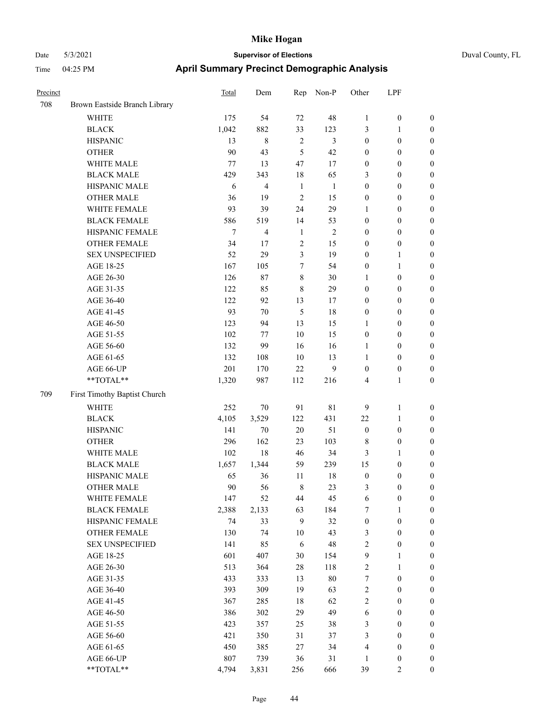| Precinct |                               | <b>Total</b>   | Dem            | Rep            | Non-P          | Other            | LPF              |                  |
|----------|-------------------------------|----------------|----------------|----------------|----------------|------------------|------------------|------------------|
| 708      | Brown Eastside Branch Library |                |                |                |                |                  |                  |                  |
|          | WHITE                         | 175            | 54             | 72             | 48             | $\mathbf{1}$     | $\boldsymbol{0}$ | $\mathbf{0}$     |
|          | <b>BLACK</b>                  | 1,042          | 882            | 33             | 123            | 3                | 1                | $\boldsymbol{0}$ |
|          | <b>HISPANIC</b>               | 13             | $\,8\,$        | $\overline{2}$ | 3              | $\boldsymbol{0}$ | $\boldsymbol{0}$ | $\boldsymbol{0}$ |
|          | <b>OTHER</b>                  | 90             | 43             | 5              | 42             | $\boldsymbol{0}$ | $\theta$         | $\boldsymbol{0}$ |
|          | WHITE MALE                    | $77 \,$        | 13             | 47             | 17             | $\boldsymbol{0}$ | $\boldsymbol{0}$ | $\boldsymbol{0}$ |
|          | <b>BLACK MALE</b>             | 429            | 343            | 18             | 65             | 3                | $\boldsymbol{0}$ | $\boldsymbol{0}$ |
|          | HISPANIC MALE                 | 6              | $\overline{4}$ | $\mathbf{1}$   | $\mathbf{1}$   | $\boldsymbol{0}$ | $\boldsymbol{0}$ | $\boldsymbol{0}$ |
|          | <b>OTHER MALE</b>             | 36             | 19             | $\overline{2}$ | 15             | $\boldsymbol{0}$ | $\boldsymbol{0}$ | $\boldsymbol{0}$ |
|          | WHITE FEMALE                  | 93             | 39             | 24             | 29             | 1                | $\theta$         | $\boldsymbol{0}$ |
|          | <b>BLACK FEMALE</b>           | 586            | 519            | 14             | 53             | $\boldsymbol{0}$ | $\boldsymbol{0}$ | $\boldsymbol{0}$ |
|          | HISPANIC FEMALE               | $\overline{7}$ | $\overline{4}$ | $\mathbf{1}$   | $\overline{2}$ | $\boldsymbol{0}$ | $\boldsymbol{0}$ | $\boldsymbol{0}$ |
|          | <b>OTHER FEMALE</b>           | 34             | 17             | $\overline{2}$ | 15             | $\boldsymbol{0}$ | $\boldsymbol{0}$ | $\boldsymbol{0}$ |
|          | <b>SEX UNSPECIFIED</b>        | 52             | 29             | 3              | 19             | $\boldsymbol{0}$ | 1                | $\boldsymbol{0}$ |
|          | AGE 18-25                     | 167            | 105            | $\overline{7}$ | 54             | $\boldsymbol{0}$ | 1                | $\boldsymbol{0}$ |
|          | AGE 26-30                     | 126            | $87\,$         | 8              | 30             | 1                | $\boldsymbol{0}$ | $\boldsymbol{0}$ |
|          | AGE 31-35                     | 122            | 85             | $\,8\,$        | 29             | $\boldsymbol{0}$ | $\boldsymbol{0}$ | $\boldsymbol{0}$ |
|          | AGE 36-40                     | 122            | 92             | 13             | 17             | $\boldsymbol{0}$ | $\boldsymbol{0}$ | $\boldsymbol{0}$ |
|          | AGE 41-45                     | 93             | 70             | 5              | 18             | $\boldsymbol{0}$ | $\boldsymbol{0}$ | $\boldsymbol{0}$ |
|          | AGE 46-50                     | 123            | 94             | 13             | 15             | 1                | $\boldsymbol{0}$ | $\boldsymbol{0}$ |
|          | AGE 51-55                     | 102            | 77             | 10             | 15             | $\boldsymbol{0}$ | $\boldsymbol{0}$ | $\boldsymbol{0}$ |
|          | AGE 56-60                     | 132            | 99             | 16             | 16             | 1                | $\boldsymbol{0}$ | $\boldsymbol{0}$ |
|          | AGE 61-65                     | 132            | 108            | 10             | 13             | 1                | $\boldsymbol{0}$ | $\boldsymbol{0}$ |
|          | AGE 66-UP                     | 201            | 170            | 22             | 9              | $\boldsymbol{0}$ | $\boldsymbol{0}$ | $\boldsymbol{0}$ |
|          | $**TOTAL**$                   | 1,320          | 987            | 112            | 216            | $\overline{4}$   | 1                | $\boldsymbol{0}$ |
| 709      | First Timothy Baptist Church  |                |                |                |                |                  |                  |                  |
|          | <b>WHITE</b>                  | 252            | 70             | 91             | 81             | 9                | 1                | $\boldsymbol{0}$ |
|          | <b>BLACK</b>                  | 4,105          | 3,529          | 122            | 431            | 22               | 1                | $\boldsymbol{0}$ |
|          | <b>HISPANIC</b>               | 141            | 70             | 20             | 51             | $\boldsymbol{0}$ | $\boldsymbol{0}$ | $\boldsymbol{0}$ |
|          | <b>OTHER</b>                  | 296            | 162            | 23             | 103            | 8                | $\boldsymbol{0}$ | $\boldsymbol{0}$ |
|          | WHITE MALE                    | 102            | 18             | 46             | 34             | $\mathfrak{Z}$   | 1                | $\boldsymbol{0}$ |
|          | <b>BLACK MALE</b>             | 1,657          | 1,344          | 59             | 239            | 15               | $\boldsymbol{0}$ | $\boldsymbol{0}$ |
|          | HISPANIC MALE                 | 65             | 36             | 11             | 18             | $\boldsymbol{0}$ | $\boldsymbol{0}$ | $\boldsymbol{0}$ |
|          | <b>OTHER MALE</b>             | 90             | 56             | $\,8\,$        | 23             | 3                | $\boldsymbol{0}$ | $\boldsymbol{0}$ |
|          | WHITE FEMALE                  | 147            | 52             | 44             | 45             | 6                | $\boldsymbol{0}$ | $\mathbf{0}$     |
|          | <b>BLACK FEMALE</b>           | 2,388          | 2,133          | 63             | 184            | 7                | 1                | $\boldsymbol{0}$ |
|          | HISPANIC FEMALE               | 74             | 33             | 9              | 32             | $\boldsymbol{0}$ | $\boldsymbol{0}$ | $\boldsymbol{0}$ |
|          | OTHER FEMALE                  | 130            | 74             | 10             | 43             | 3                | $\boldsymbol{0}$ | $\boldsymbol{0}$ |
|          | <b>SEX UNSPECIFIED</b>        | 141            | 85             | $\sqrt{6}$     | 48             | $\sqrt{2}$       | $\boldsymbol{0}$ | $\boldsymbol{0}$ |
|          | AGE 18-25                     | 601            | 407            | 30             | 154            | $\mathbf{9}$     | $\mathbf{1}$     | $\boldsymbol{0}$ |
|          | AGE 26-30                     | 513            | 364            | $28\,$         | 118            | $\sqrt{2}$       | $\mathbf{1}$     | $\boldsymbol{0}$ |
|          | AGE 31-35                     | 433            | 333            | 13             | 80             | $\boldsymbol{7}$ | $\boldsymbol{0}$ | $\boldsymbol{0}$ |
|          | AGE 36-40                     | 393            | 309            | 19             | 63             | $\sqrt{2}$       | $\boldsymbol{0}$ | $\boldsymbol{0}$ |
|          | AGE 41-45                     | 367            | 285            | 18             | 62             | $\sqrt{2}$       | $\boldsymbol{0}$ | $\boldsymbol{0}$ |
|          | AGE 46-50                     | 386            | 302            | 29             | 49             | 6                | $\boldsymbol{0}$ | $\boldsymbol{0}$ |
|          | AGE 51-55                     | 423            | 357            | 25             | 38             | $\mathfrak{Z}$   | $\boldsymbol{0}$ | $\boldsymbol{0}$ |
|          | AGE 56-60                     | 421            | 350            | 31             | 37             | $\mathfrak{Z}$   | $\boldsymbol{0}$ | $\boldsymbol{0}$ |
|          | AGE 61-65                     | 450            | 385            | $27\,$         | 34             | $\overline{4}$   | $\boldsymbol{0}$ | $\boldsymbol{0}$ |
|          | AGE 66-UP                     | 807            | 739            | 36             | 31             | 1                | $\boldsymbol{0}$ | $\boldsymbol{0}$ |
|          | **TOTAL**                     | 4,794          | 3,831          | 256            | 666            | 39               | $\overline{c}$   | $\mathbf{0}$     |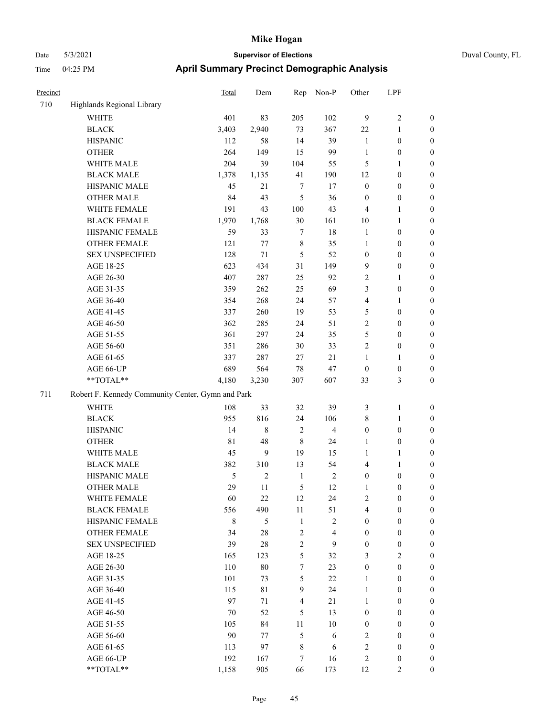| Precinct |                                                   | <b>Total</b>  | Dem     | Rep            | Non-P          | Other            | LPF              |                  |
|----------|---------------------------------------------------|---------------|---------|----------------|----------------|------------------|------------------|------------------|
| 710      | Highlands Regional Library                        |               |         |                |                |                  |                  |                  |
|          | <b>WHITE</b>                                      | 401           | 83      | 205            | 102            | 9                | 2                | $\mathbf{0}$     |
|          | <b>BLACK</b>                                      | 3,403         | 2,940   | 73             | 367            | 22               | 1                | $\boldsymbol{0}$ |
|          | <b>HISPANIC</b>                                   | 112           | 58      | 14             | 39             | 1                | $\boldsymbol{0}$ | $\boldsymbol{0}$ |
|          | <b>OTHER</b>                                      | 264           | 149     | 15             | 99             | $\mathbf{1}$     | $\boldsymbol{0}$ | $\boldsymbol{0}$ |
|          | WHITE MALE                                        | 204           | 39      | 104            | 55             | 5                | 1                | $\boldsymbol{0}$ |
|          | <b>BLACK MALE</b>                                 | 1,378         | 1,135   | 41             | 190            | 12               | $\boldsymbol{0}$ | $\boldsymbol{0}$ |
|          | HISPANIC MALE                                     | 45            | 21      | $\tau$         | 17             | $\boldsymbol{0}$ | $\boldsymbol{0}$ | $\boldsymbol{0}$ |
|          | <b>OTHER MALE</b>                                 | 84            | 43      | 5              | 36             | $\boldsymbol{0}$ | $\boldsymbol{0}$ | $\boldsymbol{0}$ |
|          | WHITE FEMALE                                      | 191           | 43      | 100            | 43             | $\overline{4}$   | 1                | $\boldsymbol{0}$ |
|          | <b>BLACK FEMALE</b>                               | 1,970         | 1,768   | $30\,$         | 161            | 10               | 1                | $\boldsymbol{0}$ |
|          | HISPANIC FEMALE                                   | 59            | 33      | $\tau$         | $18\,$         | $\mathbf{1}$     | $\boldsymbol{0}$ | $\boldsymbol{0}$ |
|          | <b>OTHER FEMALE</b>                               | 121           | $77 \,$ | $\,8\,$        | 35             | $\mathbf{1}$     | $\boldsymbol{0}$ | $\boldsymbol{0}$ |
|          | <b>SEX UNSPECIFIED</b>                            | 128           | $71\,$  | 5              | 52             | $\boldsymbol{0}$ | $\boldsymbol{0}$ | $\boldsymbol{0}$ |
|          | AGE 18-25                                         | 623           | 434     | 31             | 149            | 9                | $\boldsymbol{0}$ | $\boldsymbol{0}$ |
|          | AGE 26-30                                         | 407           | 287     | 25             | 92             | $\overline{2}$   | 1                | $\boldsymbol{0}$ |
|          | AGE 31-35                                         | 359           | 262     | 25             | 69             | 3                | $\boldsymbol{0}$ | $\boldsymbol{0}$ |
|          | AGE 36-40                                         | 354           | 268     | 24             | 57             | $\overline{4}$   | 1                | $\boldsymbol{0}$ |
|          | AGE 41-45                                         | 337           | 260     | 19             | 53             | 5                | $\boldsymbol{0}$ | $\boldsymbol{0}$ |
|          | AGE 46-50                                         | 362           | 285     | 24             | 51             | $\overline{2}$   | $\boldsymbol{0}$ | $\boldsymbol{0}$ |
|          | AGE 51-55                                         | 361           | 297     | 24             | 35             | 5                | $\boldsymbol{0}$ | $\boldsymbol{0}$ |
|          | AGE 56-60                                         | 351           | 286     | 30             | 33             | $\overline{c}$   | $\boldsymbol{0}$ | $\boldsymbol{0}$ |
|          | AGE 61-65                                         | 337           | 287     | 27             | $21\,$         | $\mathbf{1}$     | 1                | $\boldsymbol{0}$ |
|          | AGE 66-UP                                         | 689           | 564     | $78\,$         | 47             | $\boldsymbol{0}$ | $\boldsymbol{0}$ | $\boldsymbol{0}$ |
|          | **TOTAL**                                         | 4,180         | 3,230   | 307            | 607            | 33               | 3                | $\boldsymbol{0}$ |
| 711      | Robert F. Kennedy Community Center, Gymn and Park |               |         |                |                |                  |                  |                  |
|          | <b>WHITE</b>                                      | 108           | 33      | 32             | 39             | 3                | 1                | $\boldsymbol{0}$ |
|          | <b>BLACK</b>                                      | 955           | 816     | 24             | 106            | $\,$ 8 $\,$      | 1                | $\boldsymbol{0}$ |
|          | <b>HISPANIC</b>                                   | 14            | 8       | $\overline{2}$ | $\overline{4}$ | $\boldsymbol{0}$ | $\boldsymbol{0}$ | $\boldsymbol{0}$ |
|          | <b>OTHER</b>                                      | $8\sqrt{1}$   | 48      | $\,8\,$        | 24             | $\mathbf{1}$     | $\boldsymbol{0}$ | $\boldsymbol{0}$ |
|          | WHITE MALE                                        | 45            | 9       | 19             | 15             | $\mathbf{1}$     | 1                | $\boldsymbol{0}$ |
|          | <b>BLACK MALE</b>                                 | 382           | 310     | 13             | 54             | $\overline{4}$   | 1                | $\boldsymbol{0}$ |
|          | HISPANIC MALE                                     | $\mathfrak s$ | 2       | $\mathbf{1}$   | $\sqrt{2}$     | $\boldsymbol{0}$ | $\boldsymbol{0}$ | $\boldsymbol{0}$ |
|          | <b>OTHER MALE</b>                                 | 29            | 11      | 5              | 12             | 1                | $\boldsymbol{0}$ | $\boldsymbol{0}$ |
|          | WHITE FEMALE                                      | 60            | $22\,$  | 12             | 24             | $\sqrt{2}$       | $\boldsymbol{0}$ | $\mathbf{0}$     |
|          | <b>BLACK FEMALE</b>                               | 556           | 490     | $11\,$         | 51             | $\overline{4}$   | $\boldsymbol{0}$ | $\boldsymbol{0}$ |
|          | HISPANIC FEMALE                                   | $\,8\,$       | 5       | $\mathbf{1}$   | $\mathbf{2}$   | $\boldsymbol{0}$ | $\boldsymbol{0}$ | $\boldsymbol{0}$ |
|          | OTHER FEMALE                                      | 34            | $28\,$  | $\overline{2}$ | $\overline{4}$ | $\boldsymbol{0}$ | $\boldsymbol{0}$ | $\boldsymbol{0}$ |
|          | <b>SEX UNSPECIFIED</b>                            | 39            | $28\,$  | $\mathbf{2}$   | 9              | $\boldsymbol{0}$ | $\boldsymbol{0}$ | $\boldsymbol{0}$ |
|          | AGE 18-25                                         | 165           | 123     | 5              | 32             | $\mathfrak{Z}$   | $\mathbf{2}$     | $\boldsymbol{0}$ |
|          | AGE 26-30                                         | 110           | $80\,$  | 7              | 23             | $\boldsymbol{0}$ | $\boldsymbol{0}$ | $\boldsymbol{0}$ |
|          | AGE 31-35                                         | 101           | 73      | 5              | $22\,$         | $\mathbf{1}$     | $\boldsymbol{0}$ | $\boldsymbol{0}$ |
|          | AGE 36-40                                         | 115           | 81      | 9              | 24             | $\mathbf{1}$     | $\boldsymbol{0}$ | $\boldsymbol{0}$ |
|          | AGE 41-45                                         | 97            | 71      | $\overline{4}$ | 21             | $\mathbf{1}$     | $\boldsymbol{0}$ | $\boldsymbol{0}$ |
|          | AGE 46-50                                         | $70\,$        | 52      | 5              | 13             | $\boldsymbol{0}$ | $\boldsymbol{0}$ | $\boldsymbol{0}$ |
|          | AGE 51-55                                         | 105           | 84      | 11             | $10\,$         | $\boldsymbol{0}$ | $\boldsymbol{0}$ | $\boldsymbol{0}$ |
|          | AGE 56-60                                         | 90            | 77      | $\mathfrak{H}$ | 6              | $\overline{2}$   | $\boldsymbol{0}$ | $\boldsymbol{0}$ |
|          | AGE 61-65                                         | 113           | 97      | $\,$ 8 $\,$    | 6              | $\sqrt{2}$       | $\boldsymbol{0}$ | $\boldsymbol{0}$ |
|          | AGE 66-UP                                         | 192           | 167     | $\tau$         | 16             | $\sqrt{2}$       | $\boldsymbol{0}$ | $\boldsymbol{0}$ |
|          | **TOTAL**                                         | 1,158         | 905     | 66             | 173            | 12               | 2                | $\mathbf{0}$     |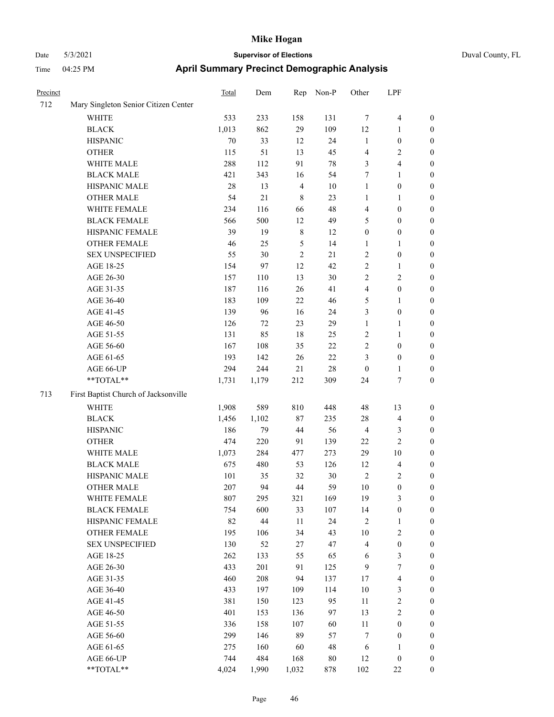| Precinct |                                      | <b>Total</b> | Dem    | Rep            | Non-P       | Other            | LPF                     |                  |
|----------|--------------------------------------|--------------|--------|----------------|-------------|------------------|-------------------------|------------------|
| 712      | Mary Singleton Senior Citizen Center |              |        |                |             |                  |                         |                  |
|          | <b>WHITE</b>                         | 533          | 233    | 158            | 131         | $\tau$           | $\overline{\mathbf{4}}$ | $\boldsymbol{0}$ |
|          | <b>BLACK</b>                         | 1,013        | 862    | 29             | 109         | 12               | $\mathbf{1}$            | $\boldsymbol{0}$ |
|          | <b>HISPANIC</b>                      | 70           | 33     | 12             | 24          | $\mathbf{1}$     | $\boldsymbol{0}$        | $\boldsymbol{0}$ |
|          | <b>OTHER</b>                         | 115          | 51     | 13             | 45          | 4                | $\sqrt{2}$              | $\boldsymbol{0}$ |
|          | WHITE MALE                           | 288          | 112    | 91             | $78\,$      | 3                | $\overline{\mathbf{4}}$ | $\boldsymbol{0}$ |
|          | <b>BLACK MALE</b>                    | 421          | 343    | 16             | 54          | 7                | $\mathbf{1}$            | $\boldsymbol{0}$ |
|          | HISPANIC MALE                        | 28           | 13     | $\overline{4}$ | 10          | $\mathbf{1}$     | $\boldsymbol{0}$        | $\boldsymbol{0}$ |
|          | <b>OTHER MALE</b>                    | 54           | 21     | 8              | 23          | 1                | $\mathbf{1}$            | 0                |
|          | WHITE FEMALE                         | 234          | 116    | 66             | 48          | $\overline{4}$   | $\boldsymbol{0}$        | 0                |
|          | <b>BLACK FEMALE</b>                  | 566          | 500    | 12             | 49          | 5                | $\boldsymbol{0}$        | 0                |
|          | HISPANIC FEMALE                      | 39           | 19     | $\,$ 8 $\,$    | 12          | $\boldsymbol{0}$ | $\boldsymbol{0}$        | $\boldsymbol{0}$ |
|          | OTHER FEMALE                         | 46           | 25     | $\mathfrak{S}$ | 14          | 1                | 1                       | $\boldsymbol{0}$ |
|          | <b>SEX UNSPECIFIED</b>               | 55           | 30     | $\overline{2}$ | 21          | $\overline{c}$   | $\boldsymbol{0}$        | $\boldsymbol{0}$ |
|          | AGE 18-25                            | 154          | 97     | 12             | 42          | $\sqrt{2}$       | $\mathbf{1}$            | $\boldsymbol{0}$ |
|          | AGE 26-30                            | 157          | 110    | 13             | 30          | $\overline{c}$   | $\sqrt{2}$              | $\boldsymbol{0}$ |
|          | AGE 31-35                            | 187          | 116    | 26             | 41          | 4                | $\boldsymbol{0}$        | $\boldsymbol{0}$ |
|          | AGE 36-40                            | 183          | 109    | 22             | 46          | 5                | $\mathbf{1}$            | 0                |
|          | AGE 41-45                            | 139          | 96     | 16             | 24          | 3                | $\boldsymbol{0}$        | 0                |
|          | AGE 46-50                            | 126          | 72     | 23             | 29          | $\mathbf{1}$     | $\mathbf{1}$            | 0                |
|          | AGE 51-55                            | 131          | 85     | 18             | 25          | $\overline{c}$   | $\mathbf{1}$            | 0                |
|          | AGE 56-60                            | 167          | 108    | 35             | $22\,$      | $\sqrt{2}$       | $\boldsymbol{0}$        | $\boldsymbol{0}$ |
|          | AGE 61-65                            | 193          | 142    | 26             | $22\,$      | 3                | $\boldsymbol{0}$        | $\boldsymbol{0}$ |
|          | AGE 66-UP                            | 294          | 244    | 21             | 28          | $\boldsymbol{0}$ | $\mathbf{1}$            | $\boldsymbol{0}$ |
|          | **TOTAL**                            | 1,731        | 1,179  | 212            | 309         | 24               | $\tau$                  | $\boldsymbol{0}$ |
| 713      | First Baptist Church of Jacksonville |              |        |                |             |                  |                         |                  |
|          | WHITE                                | 1,908        | 589    | 810            | 448         | 48               | 13                      | $\boldsymbol{0}$ |
|          | <b>BLACK</b>                         | 1,456        | 1,102  | 87             | 235         | 28               | $\overline{\mathbf{4}}$ | $\boldsymbol{0}$ |
|          | <b>HISPANIC</b>                      | 186          | 79     | 44             | 56          | $\overline{4}$   | 3                       | $\boldsymbol{0}$ |
|          | <b>OTHER</b>                         | 474          | 220    | 91             | 139         | 22               | $\overline{c}$          | $\boldsymbol{0}$ |
|          | WHITE MALE                           | 1,073        | 284    | 477            | 273         | 29               | $10\,$                  | 0                |
|          | <b>BLACK MALE</b>                    | 675          | 480    | 53             | 126         | 12               | $\overline{\mathbf{4}}$ | 0                |
|          | HISPANIC MALE                        | 101          | 35     | 32             | 30          | $\sqrt{2}$       | $\sqrt{2}$              | 0                |
|          | OTHER MALE                           | $207\,$      | 94     | 44             | 59          | 10               | $\overline{0}$          | $\boldsymbol{0}$ |
|          | WHITE FEMALE                         | 807          | 295    | 321            | 169         | 19               | 3                       | $\boldsymbol{0}$ |
|          | <b>BLACK FEMALE</b>                  | 754          | 600    | 33             | 107         | 14               | $\boldsymbol{0}$        | 0                |
|          | HISPANIC FEMALE                      | 82           | $44\,$ | 11             | 24          | $\sqrt{2}$       | $\mathbf{1}$            | 0                |
|          | <b>OTHER FEMALE</b>                  | 195          | 106    | 34             | 43          | 10               | $\sqrt{2}$              | 0                |
|          | <b>SEX UNSPECIFIED</b>               | 130          | 52     | 27             | 47          | $\overline{4}$   | $\boldsymbol{0}$        | 0                |
|          | AGE 18-25                            | 262          | 133    | 55             | 65          | 6                | $\mathfrak{Z}$          | 0                |
|          | AGE 26-30                            | 433          | 201    | 91             | 125         | $\overline{9}$   | $\boldsymbol{7}$        | 0                |
|          | AGE 31-35                            | 460          | 208    | 94             | 137         | 17               | $\overline{4}$          | 0                |
|          | AGE 36-40                            | 433          | 197    | 109            | 114         | $10\,$           | $\mathfrak{Z}$          | 0                |
|          | AGE 41-45                            | 381          | 150    | 123            | 95          | 11               | $\sqrt{2}$              | 0                |
|          | AGE 46-50                            | 401          | 153    | 136            | 97          | 13               | $\sqrt{2}$              | 0                |
|          | AGE 51-55                            | 336          | 158    | 107            | 60          | $11\,$           | $\boldsymbol{0}$        | 0                |
|          | AGE 56-60                            | 299          | 146    | 89             | 57          | 7                | $\boldsymbol{0}$        | 0                |
|          | AGE 61-65                            | 275          | 160    | 60             | $\sqrt{48}$ | 6                | $\mathbf{1}$            | 0                |
|          | AGE 66-UP                            | 744          | 484    | 168            | $80\,$      | 12               | $\boldsymbol{0}$        | 0                |
|          | $**TOTAL**$                          | 4,024        | 1,990  | 1,032          | 878         | 102              | $22\,$                  | $\boldsymbol{0}$ |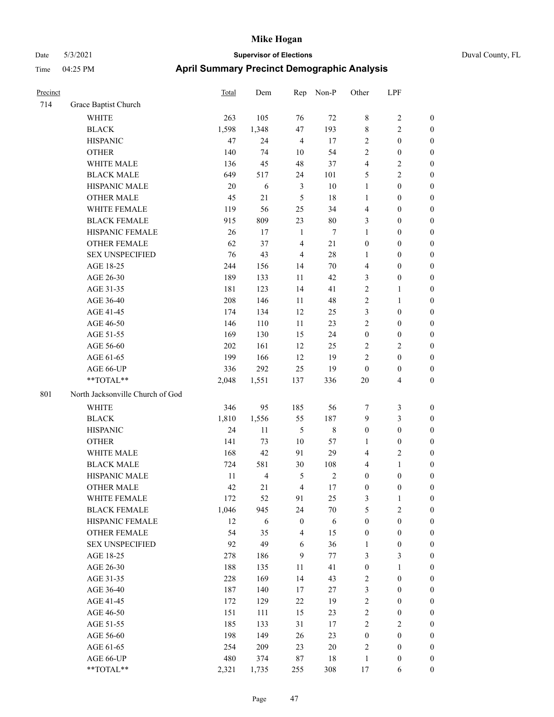# Date 5/3/2021 **Supervisor of Elections** Duval County, FL Time 04:25 PM **April Summary Precinct Demographic Analysis**

| Precinct |                                  | Total | Dem            | Rep              | Non-P      | Other            | LPF                     |                  |
|----------|----------------------------------|-------|----------------|------------------|------------|------------------|-------------------------|------------------|
| 714      | Grace Baptist Church             |       |                |                  |            |                  |                         |                  |
|          | <b>WHITE</b>                     | 263   | 105            | 76               | $72\,$     | 8                | $\sqrt{2}$              | $\boldsymbol{0}$ |
|          | <b>BLACK</b>                     | 1,598 | 1,348          | 47               | 193        | 8                | $\overline{2}$          | $\boldsymbol{0}$ |
|          | <b>HISPANIC</b>                  | 47    | 24             | $\overline{4}$   | 17         | 2                | $\boldsymbol{0}$        | $\boldsymbol{0}$ |
|          | <b>OTHER</b>                     | 140   | 74             | 10               | 54         | 2                | $\boldsymbol{0}$        | $\boldsymbol{0}$ |
|          | WHITE MALE                       | 136   | 45             | 48               | 37         | 4                | $\sqrt{2}$              | $\boldsymbol{0}$ |
|          | <b>BLACK MALE</b>                | 649   | 517            | 24               | 101        | 5                | $\sqrt{2}$              | $\boldsymbol{0}$ |
|          | HISPANIC MALE                    | 20    | 6              | 3                | $10\,$     | $\mathbf{1}$     | $\boldsymbol{0}$        | $\boldsymbol{0}$ |
|          | <b>OTHER MALE</b>                | 45    | 21             | $\mathfrak{H}$   | 18         | $\mathbf{1}$     | $\boldsymbol{0}$        | $\boldsymbol{0}$ |
|          | WHITE FEMALE                     | 119   | 56             | 25               | 34         | 4                | $\boldsymbol{0}$        | $\boldsymbol{0}$ |
|          | <b>BLACK FEMALE</b>              | 915   | 809            | 23               | $80\,$     | 3                | $\boldsymbol{0}$        | 0                |
|          | HISPANIC FEMALE                  | 26    | 17             | $\mathbf{1}$     | $\tau$     | $\mathbf{1}$     | $\boldsymbol{0}$        | $\boldsymbol{0}$ |
|          | OTHER FEMALE                     | 62    | 37             | $\overline{4}$   | $21\,$     | $\boldsymbol{0}$ | $\boldsymbol{0}$        | $\boldsymbol{0}$ |
|          | <b>SEX UNSPECIFIED</b>           | 76    | 43             | $\overline{4}$   | 28         | $\mathbf{1}$     | $\boldsymbol{0}$        | $\boldsymbol{0}$ |
|          | AGE 18-25                        | 244   | 156            | 14               | 70         | 4                | $\boldsymbol{0}$        | $\boldsymbol{0}$ |
|          | AGE 26-30                        | 189   | 133            | 11               | 42         | 3                | $\boldsymbol{0}$        | $\boldsymbol{0}$ |
|          | AGE 31-35                        | 181   | 123            | 14               | 41         | $\sqrt{2}$       | $\mathbf{1}$            | $\boldsymbol{0}$ |
|          | AGE 36-40                        | 208   | 146            | $11\,$           | 48         | $\overline{c}$   | $\mathbf{1}$            | $\boldsymbol{0}$ |
|          | AGE 41-45                        | 174   | 134            | 12               | 25         | $\mathfrak{Z}$   | $\boldsymbol{0}$        | $\boldsymbol{0}$ |
|          | AGE 46-50                        | 146   | 110            | 11               | 23         | $\overline{c}$   | $\boldsymbol{0}$        | $\boldsymbol{0}$ |
|          | AGE 51-55                        | 169   | 130            | 15               | 24         | $\boldsymbol{0}$ | $\boldsymbol{0}$        | 0                |
|          | AGE 56-60                        | 202   | 161            | 12               | 25         | $\overline{c}$   | $\sqrt{2}$              | $\boldsymbol{0}$ |
|          | AGE 61-65                        | 199   | 166            | 12               | 19         | $\mathbf{2}$     | $\boldsymbol{0}$        | $\boldsymbol{0}$ |
|          | AGE 66-UP                        | 336   | 292            | 25               | 19         | $\boldsymbol{0}$ | $\boldsymbol{0}$        | $\boldsymbol{0}$ |
|          | **TOTAL**                        | 2,048 | 1,551          | 137              | 336        | $20\,$           | $\overline{\mathbf{4}}$ | $\boldsymbol{0}$ |
| 801      | North Jacksonville Church of God |       |                |                  |            |                  |                         |                  |
|          | <b>WHITE</b>                     | 346   | 95             | 185              | 56         | 7                | $\mathfrak{Z}$          | $\boldsymbol{0}$ |
|          | <b>BLACK</b>                     | 1,810 | 1,556          | 55               | 187        | $\overline{9}$   | $\mathfrak{Z}$          | $\boldsymbol{0}$ |
|          | <b>HISPANIC</b>                  | 24    | 11             | $\sqrt{5}$       | $\,8\,$    | $\boldsymbol{0}$ | $\boldsymbol{0}$        | $\boldsymbol{0}$ |
|          | <b>OTHER</b>                     | 141   | 73             | $10\,$           | 57         | $\mathbf{1}$     | $\boldsymbol{0}$        | $\boldsymbol{0}$ |
|          | WHITE MALE                       | 168   | 42             | 91               | 29         | 4                | $\sqrt{2}$              | $\boldsymbol{0}$ |
|          | <b>BLACK MALE</b>                | 724   | 581            | $30\,$           | 108        | 4                | $\mathbf{1}$            | $\boldsymbol{0}$ |
|          | HISPANIC MALE                    | 11    | $\overline{4}$ | 5                | $\sqrt{2}$ | $\boldsymbol{0}$ | $\boldsymbol{0}$        | 0                |
|          | <b>OTHER MALE</b>                | 42    | 21             | $\overline{4}$   | $17\,$     | $\boldsymbol{0}$ | $\boldsymbol{0}$        | $\boldsymbol{0}$ |
|          | WHITE FEMALE                     | 172   | 52             | 91               | 25         | 3                | $\mathbf{1}$            | $\boldsymbol{0}$ |
|          | <b>BLACK FEMALE</b>              | 1,046 | 945            | 24               | $70\,$     | 5                | $\sqrt{2}$              | $\overline{0}$   |
|          | HISPANIC FEMALE                  | 12    | 6              | $\boldsymbol{0}$ | 6          | $\boldsymbol{0}$ | $\boldsymbol{0}$        | $\overline{0}$   |
|          | <b>OTHER FEMALE</b>              | 54    | 35             | $\overline{4}$   | 15         | $\boldsymbol{0}$ | $\boldsymbol{0}$        | $\overline{0}$   |
|          | <b>SEX UNSPECIFIED</b>           | 92    | 49             | 6                | 36         | $\mathbf{1}$     | $\boldsymbol{0}$        | $\theta$         |
|          | AGE 18-25                        | 278   | 186            | $\mathbf{9}$     | 77         | 3                | $\mathfrak{Z}$          | 0                |
|          | AGE 26-30                        | 188   | 135            | 11               | 41         | $\boldsymbol{0}$ | $\mathbf{1}$            | 0                |
|          | AGE 31-35                        | 228   | 169            | 14               | 43         | $\sqrt{2}$       | $\boldsymbol{0}$        | 0                |
|          | AGE 36-40                        | 187   | 140            | 17               | 27         | 3                | $\boldsymbol{0}$        | 0                |
|          | AGE 41-45                        | 172   | 129            | 22               | 19         | $\sqrt{2}$       | $\boldsymbol{0}$        | 0                |
|          | AGE 46-50                        | 151   | 111            | 15               | 23         | $\sqrt{2}$       | $\boldsymbol{0}$        | $\overline{0}$   |
|          | AGE 51-55                        | 185   | 133            | 31               | 17         | $\sqrt{2}$       | $\sqrt{2}$              | $\boldsymbol{0}$ |
|          | AGE 56-60                        | 198   | 149            | 26               | 23         | $\boldsymbol{0}$ | $\boldsymbol{0}$        | $\overline{0}$   |
|          | AGE 61-65                        | 254   | 209            | 23               | 20         | 2                | $\boldsymbol{0}$        | $\boldsymbol{0}$ |
|          | AGE 66-UP                        | 480   | 374            | 87               | 18         | $\mathbf{1}$     | $\boldsymbol{0}$        | $\boldsymbol{0}$ |
|          |                                  |       |                |                  |            |                  |                         |                  |

\*\*TOTAL\*\* 2,321 1,735 255 308 17 6 0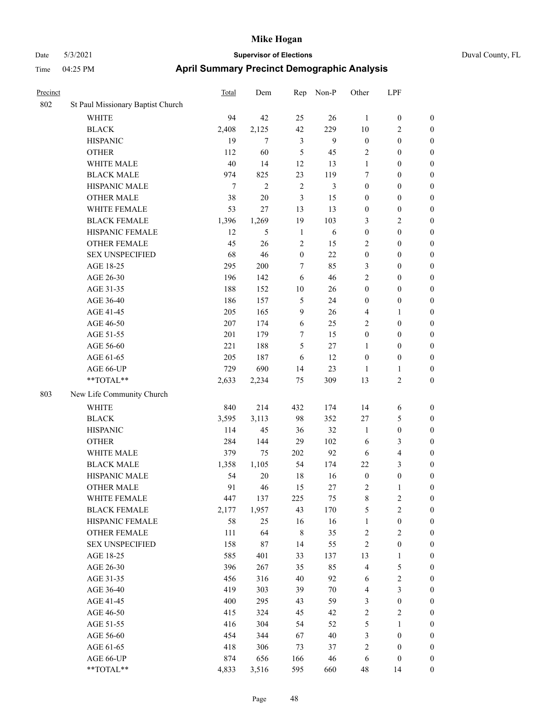| Duval County, FI |  |
|------------------|--|

| Precinct |                                                             | <b>Total</b> | Dem            | Rep              | Non-P      | Other                   | LPF                     |                  |
|----------|-------------------------------------------------------------|--------------|----------------|------------------|------------|-------------------------|-------------------------|------------------|
| 802      | St Paul Missionary Baptist Church                           |              |                |                  |            |                         |                         |                  |
|          | WHITE                                                       | 94           | 42             | 25               | 26         | 1                       | $\boldsymbol{0}$        | $\boldsymbol{0}$ |
|          | <b>BLACK</b>                                                | 2,408        | 2,125          | 42               | 229        | 10                      | $\overline{c}$          | $\boldsymbol{0}$ |
|          | <b>HISPANIC</b>                                             | 19           | 7              | 3                | 9          | $\boldsymbol{0}$        | $\boldsymbol{0}$        | $\boldsymbol{0}$ |
|          | <b>OTHER</b>                                                | 112          | 60             | 5                | 45         | 2                       | $\boldsymbol{0}$        | $\boldsymbol{0}$ |
|          | WHITE MALE                                                  | 40           | 14             | 12               | 13         | $\mathbf{1}$            | $\boldsymbol{0}$        | $\boldsymbol{0}$ |
|          | <b>BLACK MALE</b>                                           | 974          | 825            | 23               | 119        | 7                       | $\boldsymbol{0}$        | $\boldsymbol{0}$ |
|          | HISPANIC MALE                                               | $\tau$       | $\overline{c}$ | $\sqrt{2}$       | 3          | $\boldsymbol{0}$        | $\boldsymbol{0}$        | $\boldsymbol{0}$ |
|          | <b>OTHER MALE</b>                                           | 38           | $20\,$         | 3                | 15         | $\boldsymbol{0}$        | $\boldsymbol{0}$        | $\boldsymbol{0}$ |
|          | WHITE FEMALE                                                | 53           | 27             | 13               | 13         | $\boldsymbol{0}$        | $\boldsymbol{0}$        | $\boldsymbol{0}$ |
|          | <b>BLACK FEMALE</b>                                         | 1,396        | 1,269          | 19               | 103        | 3                       | $\sqrt{2}$              | $\boldsymbol{0}$ |
|          | HISPANIC FEMALE                                             | 12           | 5              | $\mathbf{1}$     | $\sqrt{6}$ | $\boldsymbol{0}$        | $\boldsymbol{0}$        | 0                |
|          | OTHER FEMALE                                                | 45           | 26             | $\overline{2}$   | 15         | 2                       | $\boldsymbol{0}$        | 0                |
|          | <b>SEX UNSPECIFIED</b>                                      | 68           | 46             | $\boldsymbol{0}$ | 22         | $\boldsymbol{0}$        | $\boldsymbol{0}$        | $\boldsymbol{0}$ |
|          | AGE 18-25                                                   | 295          | 200            | $\tau$           | 85         | 3                       | $\boldsymbol{0}$        | $\boldsymbol{0}$ |
|          | AGE 26-30                                                   | 196          | 142            | 6                | 46         | $\overline{c}$          | $\boldsymbol{0}$        | $\boldsymbol{0}$ |
|          | AGE 31-35                                                   | 188          | 152            | 10               | 26         | $\boldsymbol{0}$        | $\boldsymbol{0}$        | $\boldsymbol{0}$ |
|          | AGE 36-40                                                   | 186          | 157            | 5                | 24         | $\boldsymbol{0}$        | $\boldsymbol{0}$        | $\boldsymbol{0}$ |
|          | AGE 41-45                                                   | 205          | 165            | $\mathbf{9}$     | 26         | 4                       | $\mathbf{1}$            | $\boldsymbol{0}$ |
|          | AGE 46-50                                                   | 207          | 174            | 6                | 25         | $\overline{c}$          | $\boldsymbol{0}$        | $\boldsymbol{0}$ |
|          | AGE 51-55                                                   | 201          | 179            | 7                | 15         | $\boldsymbol{0}$        | $\boldsymbol{0}$        | 0                |
|          | AGE 56-60                                                   | 221          | 188            | 5                | 27         | 1                       | $\boldsymbol{0}$        | 0                |
|          | AGE 61-65                                                   | 205          | 187            | 6                | 12         | $\boldsymbol{0}$        | $\boldsymbol{0}$        | 0                |
|          | AGE 66-UP                                                   | 729          | 690            | 14               | 23         | $\mathbf{1}$            | $\mathbf{1}$            | $\boldsymbol{0}$ |
|          | $\mathrm{*}\mathrm{*} \mathrm{TOTAL} \mathrm{*} \mathrm{*}$ | 2,633        | 2,234          | 75               | 309        | 13                      | $\mathbf{2}$            | $\boldsymbol{0}$ |
| 803      | New Life Community Church                                   |              |                |                  |            |                         |                         |                  |
|          | <b>WHITE</b>                                                | 840          | 214            | 432              | 174        | 14                      | 6                       | $\boldsymbol{0}$ |
|          | <b>BLACK</b>                                                | 3,595        | 3,113          | 98               | 352        | 27                      | 5                       | $\boldsymbol{0}$ |
|          | <b>HISPANIC</b>                                             | 114          | 45             | 36               | 32         | $\mathbf{1}$            | $\boldsymbol{0}$        | $\boldsymbol{0}$ |
|          | <b>OTHER</b>                                                | 284          | 144            | 29               | 102        | 6                       | 3                       | $\boldsymbol{0}$ |
|          | WHITE MALE                                                  | 379          | 75             | 202              | 92         | 6                       | $\overline{\mathbf{4}}$ | $\boldsymbol{0}$ |
|          | <b>BLACK MALE</b>                                           | 1,358        | 1,105          | 54               | 174        | 22                      | $\mathfrak{Z}$          | $\boldsymbol{0}$ |
|          | HISPANIC MALE                                               | 54           | $20\,$         | 18               | 16         | $\boldsymbol{0}$        | $\boldsymbol{0}$        | $\boldsymbol{0}$ |
|          | <b>OTHER MALE</b>                                           | 91           | 46             | 15               | 27         | $\overline{\mathbf{c}}$ | 1                       | $\boldsymbol{0}$ |
|          | WHITE FEMALE                                                | 447          | 137            | 225              | 75         | 8                       | $\overline{c}$          | 0                |
|          | <b>BLACK FEMALE</b>                                         | 2,177        | 1,957          | 43               | 170        | 5                       | $\sqrt{2}$              | 0                |
|          | HISPANIC FEMALE                                             | 58           | 25             | 16               | 16         | $\mathbf{1}$            | $\boldsymbol{0}$        | $\boldsymbol{0}$ |
|          | <b>OTHER FEMALE</b>                                         | 111          | 64             | $\,$ 8 $\,$      | 35         | $\boldsymbol{2}$        | $\sqrt{2}$              | 0                |
|          | <b>SEX UNSPECIFIED</b>                                      | 158          | 87             | 14               | 55         | 2                       | $\boldsymbol{0}$        | 0                |
|          | AGE 18-25                                                   | 585          | 401            | 33               | 137        | 13                      | $\mathbf{1}$            | 0                |
|          | AGE 26-30                                                   | 396          | 267            | 35               | 85         | $\overline{4}$          | $\mathfrak{S}$          | 0                |
|          | AGE 31-35                                                   | 456          | 316            | 40               | 92         | 6                       | $\sqrt{2}$              | 0                |
|          | AGE 36-40                                                   | 419          | 303            | 39               | 70         | 4                       | $\mathfrak{Z}$          | 0                |
|          | AGE 41-45                                                   | 400          | 295            | 43               | 59         | 3                       | $\boldsymbol{0}$        | 0                |
|          | AGE 46-50                                                   | 415          | 324            | 45               | 42         | $\sqrt{2}$              | $\sqrt{2}$              | 0                |
|          | AGE 51-55                                                   | 416          | 304            | 54               | 52         | $\mathfrak s$           | $\mathbf{1}$            | $\boldsymbol{0}$ |
|          | AGE 56-60                                                   | 454          | 344            | 67               | $40\,$     | 3                       | $\boldsymbol{0}$        | $\boldsymbol{0}$ |
|          | AGE 61-65                                                   | 418          | 306            | 73               | 37         | 2                       | $\boldsymbol{0}$        | $\overline{0}$   |
|          | AGE 66-UP                                                   | 874          | 656            | 166              | 46         | 6                       | $\boldsymbol{0}$        | 0                |
|          | **TOTAL**                                                   | 4,833        | 3,516          | 595              | 660        | 48                      | 14                      | $\overline{0}$   |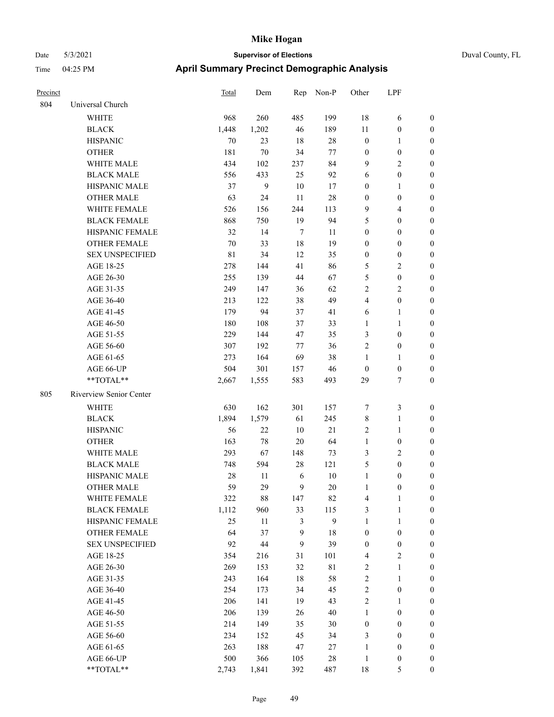| Duval County, FL |  |
|------------------|--|
|                  |  |

| Precinct |                                                             | <b>Total</b> | Dem            |                | Rep Non-P        | Other            | LPF              |                  |
|----------|-------------------------------------------------------------|--------------|----------------|----------------|------------------|------------------|------------------|------------------|
| 804      | Universal Church                                            |              |                |                |                  |                  |                  |                  |
|          | <b>WHITE</b>                                                | 968          | 260            | 485            | 199              | 18               | 6                | $\boldsymbol{0}$ |
|          | <b>BLACK</b>                                                | 1,448        | 1,202          | $46\,$         | 189              | $11\,$           | $\boldsymbol{0}$ | $\boldsymbol{0}$ |
|          | <b>HISPANIC</b>                                             | 70           | 23             | 18             | $28\,$           | $\boldsymbol{0}$ | $\mathbf{1}$     | $\boldsymbol{0}$ |
|          | <b>OTHER</b>                                                | 181          | $70\,$         | 34             | 77               | $\boldsymbol{0}$ | $\boldsymbol{0}$ | $\boldsymbol{0}$ |
|          | WHITE MALE                                                  | 434          | 102            | 237            | 84               | $\overline{9}$   | $\sqrt{2}$       | $\boldsymbol{0}$ |
|          | <b>BLACK MALE</b>                                           | 556          | 433            | 25             | 92               | 6                | $\boldsymbol{0}$ | $\boldsymbol{0}$ |
|          | HISPANIC MALE                                               | 37           | $\overline{9}$ | $10\,$         | 17               | $\boldsymbol{0}$ | $\mathbf{1}$     | $\boldsymbol{0}$ |
|          | <b>OTHER MALE</b>                                           | 63           | 24             | 11             | $28\,$           | $\boldsymbol{0}$ | $\boldsymbol{0}$ | $\boldsymbol{0}$ |
|          | WHITE FEMALE                                                | 526          | 156            | 244            | 113              | $\overline{9}$   | $\overline{4}$   | $\boldsymbol{0}$ |
|          | <b>BLACK FEMALE</b>                                         | 868          | 750            | 19             | 94               | 5                | $\boldsymbol{0}$ | 0                |
|          | HISPANIC FEMALE                                             | 32           | 14             | $\tau$         | 11               | $\boldsymbol{0}$ | $\boldsymbol{0}$ | 0                |
|          | OTHER FEMALE                                                | 70           | 33             | $18\,$         | 19               | $\boldsymbol{0}$ | $\boldsymbol{0}$ | $\boldsymbol{0}$ |
|          | <b>SEX UNSPECIFIED</b>                                      | $8\sqrt{1}$  | 34             | 12             | 35               | $\boldsymbol{0}$ | $\boldsymbol{0}$ | $\boldsymbol{0}$ |
|          | AGE 18-25                                                   | 278          | 144            | 41             | 86               | 5                | $\sqrt{2}$       | $\boldsymbol{0}$ |
|          | AGE 26-30                                                   | 255          | 139            | 44             | 67               | 5                | $\boldsymbol{0}$ | $\boldsymbol{0}$ |
|          | AGE 31-35                                                   | 249          | 147            | 36             | 62               | 2                | $\sqrt{2}$       | $\boldsymbol{0}$ |
|          | AGE 36-40                                                   | 213          | 122            | 38             | 49               | 4                | $\boldsymbol{0}$ | $\boldsymbol{0}$ |
|          | AGE 41-45                                                   | 179          | 94             | 37             | 41               | 6                | $\mathbf{1}$     | $\boldsymbol{0}$ |
|          | AGE 46-50                                                   | 180          | 108            | 37             | 33               | 1                | $\mathbf{1}$     | $\boldsymbol{0}$ |
|          | AGE 51-55                                                   | 229          | 144            | 47             | 35               | 3                | $\boldsymbol{0}$ | 0                |
|          | AGE 56-60                                                   | 307          | 192            | 77             | 36               | $\overline{c}$   | $\boldsymbol{0}$ | 0                |
|          | AGE 61-65                                                   | 273          | 164            | 69             | 38               | $\mathbf{1}$     | $\mathbf{1}$     | $\boldsymbol{0}$ |
|          | AGE 66-UP                                                   | 504          | 301            | 157            | 46               | $\boldsymbol{0}$ | $\boldsymbol{0}$ | $\boldsymbol{0}$ |
|          | **TOTAL**                                                   | 2,667        | 1,555          | 583            | 493              | 29               | $\tau$           | $\boldsymbol{0}$ |
| 805      | Riverview Senior Center                                     |              |                |                |                  |                  |                  |                  |
|          | WHITE                                                       | 630          | 162            | 301            | 157              | 7                | $\mathfrak{Z}$   | $\boldsymbol{0}$ |
|          | <b>BLACK</b>                                                | 1,894        | 1,579          | 61             | 245              | $\,$ 8 $\,$      | $\mathbf{1}$     | $\boldsymbol{0}$ |
|          | <b>HISPANIC</b>                                             | 56           | 22             | 10             | 21               | $\overline{c}$   | $\mathbf{1}$     | $\boldsymbol{0}$ |
|          | <b>OTHER</b>                                                | 163          | 78             | 20             | 64               | $\mathbf{1}$     | $\boldsymbol{0}$ | $\boldsymbol{0}$ |
|          | WHITE MALE                                                  | 293          | 67             | 148            | 73               | 3                | $\sqrt{2}$       | $\boldsymbol{0}$ |
|          | <b>BLACK MALE</b>                                           | 748          | 594            | 28             | 121              | 5                | $\boldsymbol{0}$ | $\boldsymbol{0}$ |
|          | HISPANIC MALE                                               | 28           | 11             | 6              | 10               | $\mathbf{1}$     | $\boldsymbol{0}$ | 0                |
|          | <b>OTHER MALE</b>                                           | 59           | 29             | 9              | 20               | 1                | $\boldsymbol{0}$ | $\boldsymbol{0}$ |
|          | WHITE FEMALE                                                | 322          | 88             | 147            | 82               | $\overline{4}$   | $\mathbf{1}$     | $\boldsymbol{0}$ |
|          | <b>BLACK FEMALE</b>                                         | 1,112        | 960            | 33             | 115              | 3                | $\mathbf{1}$     | $\boldsymbol{0}$ |
|          | HISPANIC FEMALE                                             | 25           | 11             | $\mathfrak{Z}$ | $\boldsymbol{9}$ | $\mathbf{1}$     | $\mathbf{1}$     | $\boldsymbol{0}$ |
|          | <b>OTHER FEMALE</b>                                         | 64           | 37             | 9              | 18               | $\boldsymbol{0}$ | $\boldsymbol{0}$ | 0                |
|          | <b>SEX UNSPECIFIED</b>                                      | 92           | $44\,$         | $\mathbf{9}$   | 39               | $\boldsymbol{0}$ | $\boldsymbol{0}$ | 0                |
|          | AGE 18-25                                                   | 354          | 216            | 31             | 101              | 4                | $\overline{2}$   | 0                |
|          | AGE 26-30                                                   | 269          | 153            | 32             | 81               | $\sqrt{2}$       | $\mathbf{1}$     | 0                |
|          | AGE 31-35                                                   | 243          | 164            | $18\,$         | 58               | $\sqrt{2}$       | $\mathbf{1}$     | 0                |
|          | AGE 36-40                                                   | 254          | 173            | 34             | 45               | $\sqrt{2}$       | $\boldsymbol{0}$ | 0                |
|          | AGE 41-45                                                   | 206          | 141            | 19             | 43               | $\sqrt{2}$       | $\mathbf{1}$     | 0                |
|          | AGE 46-50                                                   | 206          | 139            | 26             | $40\,$           | $\mathbf{1}$     | $\boldsymbol{0}$ | $\boldsymbol{0}$ |
|          | AGE 51-55                                                   | 214          | 149            | 35             | 30               | $\boldsymbol{0}$ | $\boldsymbol{0}$ | $\boldsymbol{0}$ |
|          | AGE 56-60                                                   | 234          | 152            | 45             | 34               | 3                | $\boldsymbol{0}$ | $\overline{0}$   |
|          | AGE 61-65                                                   | 263          | 188            | 47             | 27               | $\mathbf{1}$     | $\boldsymbol{0}$ | 0                |
|          | AGE 66-UP                                                   | 500          | 366            | 105            | $28\,$           | $\mathbf{1}$     | $\boldsymbol{0}$ | $\boldsymbol{0}$ |
|          | $\mathrm{*}\mathrm{*} \mathrm{TOTAL} \mathrm{*} \mathrm{*}$ | 2,743        | 1,841          | 392            | 487              | $18\,$           | $\mathfrak{S}$   | $\boldsymbol{0}$ |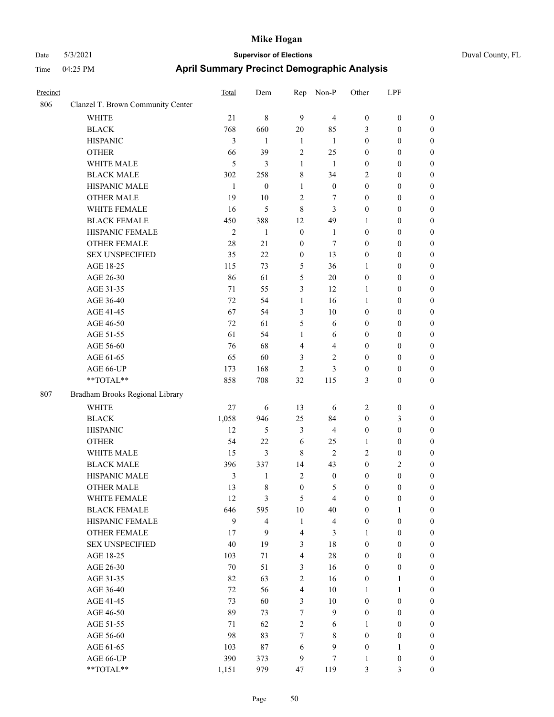# Date 5/3/2021 **Supervisor of Elections** Duval County, FL Time 04:25 PM **April Summary Precinct Demographic Analysis**

| Precinct |                                   | Total          | Dem              | Rep                     | Non-P            | Other            | LPF              |                  |
|----------|-----------------------------------|----------------|------------------|-------------------------|------------------|------------------|------------------|------------------|
| 806      | Clanzel T. Brown Community Center |                |                  |                         |                  |                  |                  |                  |
|          | <b>WHITE</b>                      | 21             | $\,$ 8 $\,$      | 9                       | $\overline{4}$   | $\boldsymbol{0}$ | $\boldsymbol{0}$ | $\boldsymbol{0}$ |
|          | <b>BLACK</b>                      | 768            | 660              | $20\,$                  | 85               | 3                | $\boldsymbol{0}$ | $\boldsymbol{0}$ |
|          | <b>HISPANIC</b>                   | 3              | $\mathbf{1}$     | $\mathbf{1}$            | -1               | $\boldsymbol{0}$ | $\boldsymbol{0}$ | $\boldsymbol{0}$ |
|          | <b>OTHER</b>                      | 66             | 39               | $\overline{c}$          | 25               | $\boldsymbol{0}$ | $\boldsymbol{0}$ | $\boldsymbol{0}$ |
|          | WHITE MALE                        | 5              | 3                | $\mathbf{1}$            | -1               | $\boldsymbol{0}$ | $\boldsymbol{0}$ | $\boldsymbol{0}$ |
|          | <b>BLACK MALE</b>                 | 302            | 258              | 8                       | 34               | $\mathfrak{2}$   | $\boldsymbol{0}$ | $\boldsymbol{0}$ |
|          | HISPANIC MALE                     | $\mathbf{1}$   | $\boldsymbol{0}$ | 1                       | $\boldsymbol{0}$ | $\boldsymbol{0}$ | $\boldsymbol{0}$ | $\boldsymbol{0}$ |
|          | <b>OTHER MALE</b>                 | 19             | 10               | $\overline{c}$          | $\tau$           | $\boldsymbol{0}$ | $\boldsymbol{0}$ | $\boldsymbol{0}$ |
|          | WHITE FEMALE                      | 16             | 5                | 8                       | 3                | $\boldsymbol{0}$ | $\boldsymbol{0}$ | $\boldsymbol{0}$ |
|          | <b>BLACK FEMALE</b>               | 450            | 388              | 12                      | 49               | 1                | $\boldsymbol{0}$ | $\boldsymbol{0}$ |
|          | HISPANIC FEMALE                   | $\mathfrak{2}$ | 1                | $\boldsymbol{0}$        | $\mathbf{1}$     | $\boldsymbol{0}$ | $\boldsymbol{0}$ | $\boldsymbol{0}$ |
|          | <b>OTHER FEMALE</b>               | 28             | 21               | $\boldsymbol{0}$        | $\tau$           | $\boldsymbol{0}$ | $\boldsymbol{0}$ | $\boldsymbol{0}$ |
|          | <b>SEX UNSPECIFIED</b>            | 35             | 22               | $\boldsymbol{0}$        | 13               | $\boldsymbol{0}$ | $\boldsymbol{0}$ | $\boldsymbol{0}$ |
|          | AGE 18-25                         | 115            | 73               | $\mathfrak{S}$          | 36               | $\mathbf{1}$     | $\boldsymbol{0}$ | $\boldsymbol{0}$ |
|          | AGE 26-30                         | 86             | 61               | 5                       | 20               | $\boldsymbol{0}$ | $\boldsymbol{0}$ | $\boldsymbol{0}$ |
|          | AGE 31-35                         | 71             | 55               | 3                       | 12               | 1                | $\boldsymbol{0}$ | $\boldsymbol{0}$ |
|          | AGE 36-40                         | 72             | 54               | 1                       | 16               | 1                | $\boldsymbol{0}$ | $\boldsymbol{0}$ |
|          | AGE 41-45                         | 67             | 54               | 3                       | 10               | $\boldsymbol{0}$ | $\boldsymbol{0}$ | $\boldsymbol{0}$ |
|          | AGE 46-50                         | 72             | 61               | 5                       | 6                | $\boldsymbol{0}$ | $\boldsymbol{0}$ | $\boldsymbol{0}$ |
|          | AGE 51-55                         | 61             | 54               | 1                       | 6                | $\boldsymbol{0}$ | $\boldsymbol{0}$ | $\boldsymbol{0}$ |
|          | AGE 56-60                         | 76             | 68               | $\overline{\mathbf{4}}$ | $\overline{4}$   | $\boldsymbol{0}$ | $\boldsymbol{0}$ | $\boldsymbol{0}$ |
|          | AGE 61-65                         | 65             | 60               | 3                       | $\overline{c}$   | $\boldsymbol{0}$ | $\boldsymbol{0}$ | $\boldsymbol{0}$ |
|          | AGE 66-UP                         | 173            | 168              | $\overline{2}$          | 3                | $\boldsymbol{0}$ | $\boldsymbol{0}$ | $\boldsymbol{0}$ |
|          | $**TOTAL**$                       | 858            | 708              | 32                      | 115              | 3                | $\boldsymbol{0}$ | $\boldsymbol{0}$ |
| 807      | Bradham Brooks Regional Library   |                |                  |                         |                  |                  |                  |                  |
|          | <b>WHITE</b>                      | 27             | 6                | 13                      | 6                | $\overline{c}$   | $\boldsymbol{0}$ | $\boldsymbol{0}$ |
|          | <b>BLACK</b>                      | 1,058          | 946              | 25                      | 84               | $\boldsymbol{0}$ | 3                | $\boldsymbol{0}$ |
|          | <b>HISPANIC</b>                   | 12             | 5                | 3                       | $\overline{4}$   | $\boldsymbol{0}$ | $\boldsymbol{0}$ | $\boldsymbol{0}$ |
|          | <b>OTHER</b>                      | 54             | 22               | 6                       | 25               | $\mathbf{1}$     | $\boldsymbol{0}$ | $\boldsymbol{0}$ |
|          | WHITE MALE                        | 15             | 3                | $\,8\,$                 | $\overline{2}$   | $\mathfrak{2}$   | $\boldsymbol{0}$ | $\boldsymbol{0}$ |
|          | <b>BLACK MALE</b>                 | 396            | 337              | 14                      | 43               | $\boldsymbol{0}$ | 2                | $\boldsymbol{0}$ |
|          | HISPANIC MALE                     | 3              | 1                | $\overline{2}$          | $\boldsymbol{0}$ | $\boldsymbol{0}$ | $\boldsymbol{0}$ | $\boldsymbol{0}$ |
|          | <b>OTHER MALE</b>                 | 13             | 8                | $\boldsymbol{0}$        | 5                | $\boldsymbol{0}$ | $\boldsymbol{0}$ | $\boldsymbol{0}$ |
|          | WHITE FEMALE                      | 12             | 3                | 5                       | $\overline{4}$   | $\boldsymbol{0}$ | $\boldsymbol{0}$ | $\boldsymbol{0}$ |
|          | <b>BLACK FEMALE</b>               | 646            | 595              | $10\,$                  | 40               | $\boldsymbol{0}$ | $\mathbf{1}$     | $\mathbf{0}$     |
|          | HISPANIC FEMALE                   | 9              | $\overline{4}$   | $\mathbf{1}$            | $\overline{4}$   | $\boldsymbol{0}$ | $\boldsymbol{0}$ | $\mathbf{0}$     |
|          | <b>OTHER FEMALE</b>               | 17             | 9                | $\overline{\mathbf{4}}$ | 3                | $\mathbf{1}$     | $\boldsymbol{0}$ | $\mathbf{0}$     |
|          | <b>SEX UNSPECIFIED</b>            | 40             | 19               | 3                       | 18               | $\boldsymbol{0}$ | $\boldsymbol{0}$ | $\mathbf{0}$     |
|          | AGE 18-25                         | 103            | 71               | $\overline{4}$          | $28\,$           | $\boldsymbol{0}$ | $\boldsymbol{0}$ | $\mathbf{0}$     |
|          | AGE 26-30                         | 70             | 51               | 3                       | 16               | $\boldsymbol{0}$ | $\boldsymbol{0}$ | $\boldsymbol{0}$ |
|          | AGE 31-35                         | 82             | 63               | $\overline{2}$          | 16               | $\boldsymbol{0}$ | 1                | $\mathbf{0}$     |
|          | AGE 36-40                         | 72             | 56               | $\overline{4}$          | 10               | $\mathbf{1}$     | $\mathbf{1}$     | $\boldsymbol{0}$ |
|          | AGE 41-45                         | 73             | 60               | 3                       | 10               | $\boldsymbol{0}$ | $\boldsymbol{0}$ | $\boldsymbol{0}$ |
|          | AGE 46-50                         | 89             | 73               | $\tau$                  | $\mathbf{9}$     | $\boldsymbol{0}$ | $\boldsymbol{0}$ | $\boldsymbol{0}$ |
|          | AGE 51-55                         | 71             | 62               | $\sqrt{2}$              | 6                | 1                | $\boldsymbol{0}$ | $\mathbf{0}$     |
|          | AGE 56-60                         | 98             | 83               | $\tau$                  | 8                | $\boldsymbol{0}$ | $\boldsymbol{0}$ | $\mathbf{0}$     |
|          | AGE 61-65                         | 103            | 87               | 6                       | $\mathbf{9}$     | $\boldsymbol{0}$ | $\mathbf{1}$     | $\boldsymbol{0}$ |
|          | AGE 66-UP                         | 390            | 373              | 9                       | $\tau$           | 1                | $\boldsymbol{0}$ | $\boldsymbol{0}$ |

\*\*TOTAL\*\* 1,151 979 47 119 3 3 0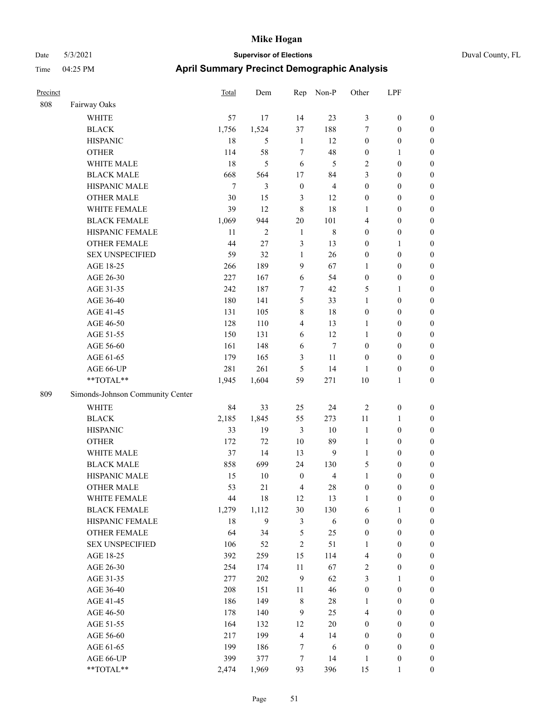|  | Duval County, FL |  |
|--|------------------|--|
|--|------------------|--|

| Precinct |                                                           | <b>Total</b> | Dem            | Rep              | Non-P          | Other            | LPF              |                  |
|----------|-----------------------------------------------------------|--------------|----------------|------------------|----------------|------------------|------------------|------------------|
| 808      | Fairway Oaks                                              |              |                |                  |                |                  |                  |                  |
|          | WHITE                                                     | 57           | 17             | 14               | 23             | 3                | $\boldsymbol{0}$ | $\boldsymbol{0}$ |
|          | <b>BLACK</b>                                              | 1,756        | 1,524          | 37               | 188            | 7                | $\boldsymbol{0}$ | $\boldsymbol{0}$ |
|          | <b>HISPANIC</b>                                           | 18           | 5              | $\mathbf{1}$     | 12             | $\boldsymbol{0}$ | $\boldsymbol{0}$ | $\boldsymbol{0}$ |
|          | <b>OTHER</b>                                              | 114          | 58             | 7                | 48             | $\boldsymbol{0}$ | $\mathbf{1}$     | $\boldsymbol{0}$ |
|          | WHITE MALE                                                | 18           | 5              | 6                | 5              | $\overline{c}$   | $\boldsymbol{0}$ | $\boldsymbol{0}$ |
|          | <b>BLACK MALE</b>                                         | 668          | 564            | 17               | 84             | 3                | $\boldsymbol{0}$ | 0                |
|          | HISPANIC MALE                                             | $\tau$       | 3              | $\boldsymbol{0}$ | $\overline{4}$ | $\boldsymbol{0}$ | $\boldsymbol{0}$ | 0                |
|          | <b>OTHER MALE</b>                                         | 30           | 15             | 3                | 12             | $\boldsymbol{0}$ | $\boldsymbol{0}$ | $\boldsymbol{0}$ |
|          | WHITE FEMALE                                              | 39           | 12             | $\,8\,$          | 18             | 1                | $\boldsymbol{0}$ | $\boldsymbol{0}$ |
|          | <b>BLACK FEMALE</b>                                       | 1,069        | 944            | 20               | 101            | 4                | $\boldsymbol{0}$ | $\boldsymbol{0}$ |
|          | HISPANIC FEMALE                                           | 11           | $\overline{c}$ | $\mathbf{1}$     | $\,$ 8 $\,$    | $\boldsymbol{0}$ | $\boldsymbol{0}$ | $\boldsymbol{0}$ |
|          | OTHER FEMALE                                              | 44           | 27             | 3                | 13             | $\boldsymbol{0}$ | $\mathbf{1}$     | $\boldsymbol{0}$ |
|          | <b>SEX UNSPECIFIED</b>                                    | 59           | 32             | $\mathbf{1}$     | 26             | $\boldsymbol{0}$ | $\boldsymbol{0}$ | $\boldsymbol{0}$ |
|          | AGE 18-25                                                 | 266          | 189            | 9                | 67             | $\mathbf{1}$     | $\boldsymbol{0}$ | $\boldsymbol{0}$ |
|          | AGE 26-30                                                 | 227          | 167            | 6                | 54             | $\boldsymbol{0}$ | $\boldsymbol{0}$ | $\boldsymbol{0}$ |
|          | AGE 31-35                                                 | 242          | 187            | 7                | 42             | 5                | $\mathbf{1}$     | 0                |
|          | AGE 36-40                                                 | 180          | 141            | 5                | 33             | 1                | $\boldsymbol{0}$ | 0                |
|          | AGE 41-45                                                 | 131          | 105            | $\,$ 8 $\,$      | $18\,$         | $\boldsymbol{0}$ | $\boldsymbol{0}$ | $\boldsymbol{0}$ |
|          | AGE 46-50                                                 | 128          | 110            | $\overline{4}$   | 13             | 1                | $\boldsymbol{0}$ | $\boldsymbol{0}$ |
|          | AGE 51-55                                                 | 150          | 131            | 6                | 12             | $\mathbf{1}$     | $\boldsymbol{0}$ | $\boldsymbol{0}$ |
|          | AGE 56-60                                                 | 161          | 148            | 6                | $\tau$         | $\boldsymbol{0}$ | $\boldsymbol{0}$ | $\boldsymbol{0}$ |
|          | AGE 61-65                                                 | 179          | 165            | $\mathfrak{Z}$   | 11             | $\boldsymbol{0}$ | $\boldsymbol{0}$ | $\boldsymbol{0}$ |
|          | AGE 66-UP                                                 | 281          | 261            | $\mathfrak{S}$   | 14             | $\mathbf{1}$     | $\boldsymbol{0}$ | $\boldsymbol{0}$ |
|          | **TOTAL**                                                 | 1,945        | 1,604          | 59               | 271            | 10               | $\mathbf{1}$     | $\boldsymbol{0}$ |
| 809      | Simonds-Johnson Community Center                          |              |                |                  |                |                  |                  |                  |
|          | <b>WHITE</b>                                              | 84           | 33             | 25               | 24             | $\overline{2}$   | $\boldsymbol{0}$ | $\boldsymbol{0}$ |
|          | <b>BLACK</b>                                              | 2,185        | 1,845          | 55               | 273            | $11\,$           | $\mathbf{1}$     | $\boldsymbol{0}$ |
|          | <b>HISPANIC</b>                                           | 33           | 19             | $\mathfrak{Z}$   | $10\,$         | $\mathbf{1}$     | $\boldsymbol{0}$ | $\boldsymbol{0}$ |
|          | <b>OTHER</b>                                              | 172          | 72             | 10               | 89             | $\mathbf{1}$     | $\boldsymbol{0}$ | 0                |
|          | WHITE MALE                                                | 37           | 14             | 13               | 9              | $\mathbf{1}$     | $\boldsymbol{0}$ | $\boldsymbol{0}$ |
|          | <b>BLACK MALE</b>                                         | 858          | 699            | 24               | 130            | 5                | $\boldsymbol{0}$ | $\boldsymbol{0}$ |
|          | HISPANIC MALE                                             | 15           | 10             | $\boldsymbol{0}$ | 4              | $\mathbf{1}$     | $\boldsymbol{0}$ | $\boldsymbol{0}$ |
|          | <b>OTHER MALE</b>                                         | 53           | 21             | $\overline{4}$   | 28             | $\boldsymbol{0}$ | $\overline{0}$   | $\Omega$         |
|          | WHITE FEMALE                                              | 44           | 18             | 12               | 13             | $\mathbf{1}$     | $\boldsymbol{0}$ | $\boldsymbol{0}$ |
|          | <b>BLACK FEMALE</b>                                       | 1,279        | 1,112          | 30               | 130            | 6                | $\mathbf{1}$     | $\boldsymbol{0}$ |
|          | HISPANIC FEMALE                                           | 18           | $\mathbf{9}$   | $\mathfrak{Z}$   | $\sqrt{6}$     | $\boldsymbol{0}$ | $\boldsymbol{0}$ | $\boldsymbol{0}$ |
|          | <b>OTHER FEMALE</b>                                       | 64           | 34             | $\mathfrak{S}$   | 25             | $\boldsymbol{0}$ | $\boldsymbol{0}$ | 0                |
|          | <b>SEX UNSPECIFIED</b>                                    | 106          | 52             | $\sqrt{2}$       | 51             | 1                | $\boldsymbol{0}$ | 0                |
|          | AGE 18-25                                                 | 392          | 259            | 15               | 114            | 4                | $\boldsymbol{0}$ | 0                |
|          | AGE 26-30                                                 | 254          | 174            | $11\,$           | 67             | 2                | $\boldsymbol{0}$ | $\boldsymbol{0}$ |
|          | AGE 31-35                                                 | 277          | 202            | 9                | 62             | 3                | $\mathbf{1}$     | $\boldsymbol{0}$ |
|          | AGE 36-40                                                 | 208          | 151            | 11               | 46             | $\boldsymbol{0}$ | $\boldsymbol{0}$ | $\boldsymbol{0}$ |
|          | AGE 41-45                                                 | 186          | 149            | 8                | $28\,$         | 1                | $\boldsymbol{0}$ | $\boldsymbol{0}$ |
|          | AGE 46-50                                                 | 178          | 140            | $\mathbf{9}$     | 25             | 4                | $\boldsymbol{0}$ | $\boldsymbol{0}$ |
|          | AGE 51-55                                                 | 164          | 132            | 12               | $20\,$         | $\boldsymbol{0}$ | $\boldsymbol{0}$ | $\overline{0}$   |
|          | AGE 56-60                                                 | 217          | 199            | $\overline{4}$   | 14             | $\boldsymbol{0}$ | $\boldsymbol{0}$ | 0                |
|          | AGE 61-65                                                 | 199          | 186            | 7                | 6              | $\boldsymbol{0}$ | $\boldsymbol{0}$ | 0                |
|          | AGE 66-UP                                                 | 399          | 377            | 7                | 14             | 1                | $\boldsymbol{0}$ | 0                |
|          | $\mathrm{*}\mathrm{*}\mathrm{TOTAL} \mathrm{*}\mathrm{*}$ | 2,474        | 1,969          | 93               | 396            | 15               | 1                | $\boldsymbol{0}$ |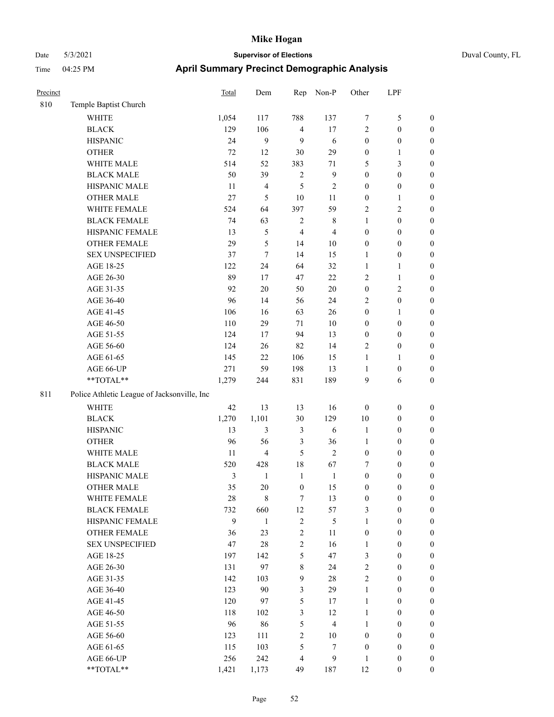| Precinct |                                             | Total | Dem            | Rep            | Non-P          | Other            | <b>LPF</b>       |                  |  |
|----------|---------------------------------------------|-------|----------------|----------------|----------------|------------------|------------------|------------------|--|
| 810      | Temple Baptist Church                       |       |                |                |                |                  |                  |                  |  |
|          | <b>WHITE</b>                                | 1,054 | 117            | 788            | 137            | 7                | $\mathfrak s$    | $\boldsymbol{0}$ |  |
|          | <b>BLACK</b>                                | 129   | 106            | 4              | $17\,$         | $\overline{c}$   | $\boldsymbol{0}$ | $\boldsymbol{0}$ |  |
|          | <b>HISPANIC</b>                             | 24    | 9              | 9              | 6              | $\boldsymbol{0}$ | $\boldsymbol{0}$ | $\boldsymbol{0}$ |  |
|          | <b>OTHER</b>                                | 72    | 12             | 30             | 29             | $\boldsymbol{0}$ | 1                | $\boldsymbol{0}$ |  |
|          | WHITE MALE                                  | 514   | 52             | 383            | 71             | 5                | 3                | $\theta$         |  |
|          | <b>BLACK MALE</b>                           | 50    | 39             | $\overline{c}$ | 9              | $\boldsymbol{0}$ | $\boldsymbol{0}$ | $\boldsymbol{0}$ |  |
|          | HISPANIC MALE                               | 11    | $\overline{4}$ | 5              | $\overline{c}$ | $\mathbf{0}$     | $\boldsymbol{0}$ | $\theta$         |  |
|          | <b>OTHER MALE</b>                           | 27    | 5              | 10             | 11             | $\boldsymbol{0}$ | $\mathbf{1}$     | $\boldsymbol{0}$ |  |
|          | WHITE FEMALE                                | 524   | 64             | 397            | 59             | 2                | $\sqrt{2}$       | $\boldsymbol{0}$ |  |
|          | <b>BLACK FEMALE</b>                         | 74    | 63             | $\overline{c}$ | 8              | 1                | $\mathbf{0}$     | $\boldsymbol{0}$ |  |
|          | HISPANIC FEMALE                             | 13    | 5              | 4              | $\overline{4}$ | $\theta$         | $\boldsymbol{0}$ | $\boldsymbol{0}$ |  |
|          | <b>OTHER FEMALE</b>                         | 29    | 5              | 14             | 10             | $\mathbf{0}$     | $\mathbf{0}$     | $\boldsymbol{0}$ |  |
|          | <b>SEX UNSPECIFIED</b>                      | 37    | 7              | 14             | 15             | $\mathbf{1}$     | $\boldsymbol{0}$ | $\boldsymbol{0}$ |  |
|          | AGE 18-25                                   | 122   | 24             | 64             | 32             | $\mathbf{1}$     | 1                | $\boldsymbol{0}$ |  |
|          | AGE 26-30                                   | 89    | 17             | 47             | 22             | 2                | 1                | $\boldsymbol{0}$ |  |
|          | AGE 31-35                                   | 92    | 20             | 50             | 20             | $\boldsymbol{0}$ | $\mathbf{2}$     | $\boldsymbol{0}$ |  |
|          | AGE 36-40                                   | 96    | 14             | 56             | 24             | 2                | $\boldsymbol{0}$ | $\boldsymbol{0}$ |  |
|          | AGE 41-45                                   | 106   | 16             | 63             | 26             | 0                | 1                | $\boldsymbol{0}$ |  |
|          | AGE 46-50                                   | 110   | 29             | 71             | 10             | $\mathbf{0}$     | $\boldsymbol{0}$ | $\boldsymbol{0}$ |  |
|          | AGE 51-55                                   | 124   | 17             | 94             | 13             | $\theta$         | $\boldsymbol{0}$ | $\boldsymbol{0}$ |  |
|          | AGE 56-60                                   | 124   | 26             | 82             | 14             | 2                | $\mathbf{0}$     | $\boldsymbol{0}$ |  |
|          | AGE 61-65                                   | 145   | 22             | 106            | 15             | $\mathbf{1}$     | 1                | $\boldsymbol{0}$ |  |
|          | AGE 66-UP                                   | 271   | 59             | 198            | 13             | $\mathbf{1}$     | $\boldsymbol{0}$ | $\boldsymbol{0}$ |  |
|          | **TOTAL**                                   | 1,279 | 244            | 831            | 189            | 9                | 6                | $\boldsymbol{0}$ |  |
| 811      | Police Athletic League of Jacksonville, Inc |       |                |                |                |                  |                  |                  |  |
|          | <b>WHITE</b>                                | 42    | 13             | 13             | 16             | $\boldsymbol{0}$ | $\boldsymbol{0}$ | $\boldsymbol{0}$ |  |
|          | <b>BLACK</b>                                | 1,270 | 1,101          | 30             | 129            | 10               | $\mathbf{0}$     | $\boldsymbol{0}$ |  |
|          | <b>HISPANIC</b>                             | 13    | 3              | 3              | 6              | $\mathbf{1}$     | $\boldsymbol{0}$ | $\boldsymbol{0}$ |  |
|          | <b>OTHER</b>                                | 96    | 56             | 3              | 36             | 1                | $\boldsymbol{0}$ | $\boldsymbol{0}$ |  |
|          | WHITE MALE                                  | 11    | $\overline{4}$ | 5              | $\mathfrak{2}$ | $\boldsymbol{0}$ | $\boldsymbol{0}$ | $\boldsymbol{0}$ |  |
|          | <b>BLACK MALE</b>                           | 520   | 428            | 18             | 67             | 7                | $\mathbf{0}$     | $\mathbf{0}$     |  |

|     | AGE 41-45                                   | 106   | 16             | 63               | 26             | $\boldsymbol{0}$ | $\mathbf{1}$     | $\boldsymbol{0}$ |
|-----|---------------------------------------------|-------|----------------|------------------|----------------|------------------|------------------|------------------|
|     | AGE 46-50                                   | 110   | 29             | 71               | 10             | $\boldsymbol{0}$ | $\boldsymbol{0}$ | $\overline{0}$   |
|     | AGE 51-55                                   | 124   | 17             | 94               | 13             | $\boldsymbol{0}$ | $\boldsymbol{0}$ | $\boldsymbol{0}$ |
|     | AGE 56-60                                   | 124   | 26             | 82               | 14             | $\overline{c}$   | $\boldsymbol{0}$ | $\boldsymbol{0}$ |
|     | AGE 61-65                                   | 145   | 22             | 106              | 15             | $\mathbf{1}$     | $\mathbf{1}$     | $\overline{0}$   |
|     | AGE 66-UP                                   | 271   | 59             | 198              | 13             | 1                | $\boldsymbol{0}$ | $\overline{0}$   |
|     | **TOTAL**                                   | 1,279 | 244            | 831              | 189            | 9                | 6                | $\overline{0}$   |
| 811 | Police Athletic League of Jacksonville, Inc |       |                |                  |                |                  |                  |                  |
|     | <b>WHITE</b>                                | 42    | 13             | 13               | 16             | $\mathbf{0}$     | $\mathbf{0}$     | $\boldsymbol{0}$ |
|     | $\operatorname{BLACK}$                      | 1,270 | 1,101          | 30               | 129            | 10               | $\boldsymbol{0}$ | $\boldsymbol{0}$ |
|     | <b>HISPANIC</b>                             | 13    | $\mathfrak{Z}$ | $\mathfrak{Z}$   | 6              | $\mathbf{1}$     | $\boldsymbol{0}$ | $\overline{0}$   |
|     | <b>OTHER</b>                                | 96    | 56             | 3                | 36             | 1                | $\boldsymbol{0}$ | $\boldsymbol{0}$ |
|     | WHITE MALE                                  | 11    | $\overline{4}$ | 5                | $\overline{2}$ | $\boldsymbol{0}$ | $\boldsymbol{0}$ | $\boldsymbol{0}$ |
|     | <b>BLACK MALE</b>                           | 520   | 428            | 18               | 67             | 7                | $\mathbf{0}$     | $\overline{0}$   |
|     | HISPANIC MALE                               | 3     | 1              | $\mathbf{1}$     | $\mathbf{1}$   | $\boldsymbol{0}$ | $\boldsymbol{0}$ | $\boldsymbol{0}$ |
|     | <b>OTHER MALE</b>                           | 35    | 20             | $\boldsymbol{0}$ | 15             | $\boldsymbol{0}$ | $\boldsymbol{0}$ | $\boldsymbol{0}$ |
|     | WHITE FEMALE                                | 28    | 8              | $\overline{7}$   | 13             | $\boldsymbol{0}$ | $\boldsymbol{0}$ | $\overline{0}$   |
|     | <b>BLACK FEMALE</b>                         | 732   | 660            | 12               | 57             | 3                | $\boldsymbol{0}$ | 0                |
|     | HISPANIC FEMALE                             | 9     | $\mathbf{1}$   | $\mathfrak{2}$   | 5              | $\mathbf{1}$     | $\mathbf{0}$     | $\boldsymbol{0}$ |
|     | <b>OTHER FEMALE</b>                         | 36    | 23             | $\mathfrak{2}$   | 11             | $\boldsymbol{0}$ | $\boldsymbol{0}$ | $\overline{0}$   |
|     | <b>SEX UNSPECIFIED</b>                      | 47    | 28             | $\sqrt{2}$       | 16             | $\mathbf{1}$     | $\boldsymbol{0}$ | 0                |
|     | AGE 18-25                                   | 197   | 142            | 5                | 47             | 3                | $\boldsymbol{0}$ | $\overline{0}$   |
|     | AGE 26-30                                   | 131   | 97             | $\,8\,$          | 24             | $\overline{c}$   | $\boldsymbol{0}$ | $\overline{0}$   |
|     | AGE 31-35                                   | 142   | 103            | 9                | 28             | $\overline{2}$   | $\mathbf{0}$     | $\boldsymbol{0}$ |
|     | AGE 36-40                                   | 123   | 90             | 3                | 29             | $\mathbf{1}$     | $\boldsymbol{0}$ | $\boldsymbol{0}$ |
|     | AGE 41-45                                   | 120   | 97             | 5                | 17             | $\mathbf{1}$     | $\boldsymbol{0}$ | $\overline{0}$   |
|     | AGE 46-50                                   | 118   | 102            | $\mathfrak{Z}$   | 12             | $\mathbf{1}$     | $\boldsymbol{0}$ | 0                |
|     | AGE 51-55                                   | 96    | 86             | 5                | $\overline{4}$ | $\mathbf{1}$     | $\boldsymbol{0}$ | $\boldsymbol{0}$ |
|     | AGE 56-60                                   | 123   | 111            | $\mathbf{2}$     | 10             | $\mathbf{0}$     | $\boldsymbol{0}$ | $\theta$         |
|     | AGE 61-65                                   | 115   | 103            | 5                | 7              | $\boldsymbol{0}$ | $\boldsymbol{0}$ | $\boldsymbol{0}$ |
|     | AGE 66-UP                                   | 256   | 242            | 4                | 9              | 1                | 0                | $\boldsymbol{0}$ |
|     | **TOTAL**                                   | 1,421 | 1,173          | 49               | 187            | 12               | $\overline{0}$   | $\overline{0}$   |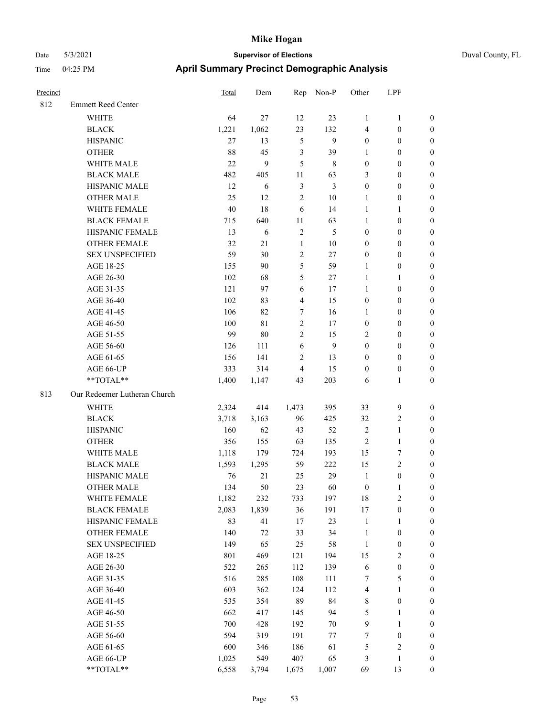| Precinct |                              | Total   | Dem        | Rep            | Non-P          | Other            | LPF                     |                  |
|----------|------------------------------|---------|------------|----------------|----------------|------------------|-------------------------|------------------|
| 812      | <b>Emmett Reed Center</b>    |         |            |                |                |                  |                         |                  |
|          | WHITE                        | 64      | 27         | 12             | 23             | $\mathbf{1}$     | $\mathbf{1}$            | $\mathbf{0}$     |
|          | <b>BLACK</b>                 | 1,221   | 1,062      | 23             | 132            | $\overline{4}$   | $\boldsymbol{0}$        | $\mathbf{0}$     |
|          | <b>HISPANIC</b>              | 27      | 13         | $\mathfrak{H}$ | 9              | $\boldsymbol{0}$ | $\boldsymbol{0}$        | $\boldsymbol{0}$ |
|          | <b>OTHER</b>                 | 88      | 45         | $\mathfrak{Z}$ | 39             | 1                | $\boldsymbol{0}$        | $\boldsymbol{0}$ |
|          | WHITE MALE                   | 22      | 9          | 5              | 8              | $\boldsymbol{0}$ | $\boldsymbol{0}$        | $\boldsymbol{0}$ |
|          | <b>BLACK MALE</b>            | 482     | 405        | 11             | 63             | 3                | $\boldsymbol{0}$        | $\boldsymbol{0}$ |
|          | HISPANIC MALE                | 12      | 6          | $\mathfrak{Z}$ | $\mathfrak{Z}$ | $\boldsymbol{0}$ | $\boldsymbol{0}$        | $\boldsymbol{0}$ |
|          | <b>OTHER MALE</b>            | 25      | 12         | $\overline{2}$ | $10\,$         | 1                | $\boldsymbol{0}$        | $\boldsymbol{0}$ |
|          | WHITE FEMALE                 | 40      | 18         | 6              | 14             | $\mathbf{1}$     | 1                       | $\boldsymbol{0}$ |
|          | <b>BLACK FEMALE</b>          | 715     | 640        | 11             | 63             | $\mathbf{1}$     | $\boldsymbol{0}$        | $\boldsymbol{0}$ |
|          | HISPANIC FEMALE              | 13      | $\sqrt{6}$ | $\sqrt{2}$     | $\mathfrak s$  | $\boldsymbol{0}$ | $\boldsymbol{0}$        | $\boldsymbol{0}$ |
|          | <b>OTHER FEMALE</b>          | 32      | 21         | $\mathbf{1}$   | $10\,$         | $\boldsymbol{0}$ | $\boldsymbol{0}$        | $\boldsymbol{0}$ |
|          | <b>SEX UNSPECIFIED</b>       | 59      | 30         | $\mathbf{2}$   | 27             | $\boldsymbol{0}$ | $\boldsymbol{0}$        | $\boldsymbol{0}$ |
|          | AGE 18-25                    | 155     | 90         | 5              | 59             | 1                | $\boldsymbol{0}$        | $\boldsymbol{0}$ |
|          | AGE 26-30                    | 102     | 68         | 5              | 27             | $\mathbf{1}$     | 1                       | $\boldsymbol{0}$ |
|          | AGE 31-35                    | 121     | 97         | 6              | 17             | 1                | $\boldsymbol{0}$        | $\boldsymbol{0}$ |
|          | AGE 36-40                    | 102     | 83         | $\overline{4}$ | 15             | $\boldsymbol{0}$ | $\boldsymbol{0}$        | $\boldsymbol{0}$ |
|          | AGE 41-45                    | 106     | 82         | 7              | 16             | 1                | $\boldsymbol{0}$        | $\boldsymbol{0}$ |
|          | AGE 46-50                    | 100     | 81         | $\mathbf{2}$   | 17             | $\boldsymbol{0}$ | $\boldsymbol{0}$        | $\boldsymbol{0}$ |
|          | AGE 51-55                    | 99      | 80         | $\overline{c}$ | 15             | $\overline{2}$   | $\boldsymbol{0}$        | $\boldsymbol{0}$ |
|          | AGE 56-60                    | 126     | 111        | 6              | 9              | $\boldsymbol{0}$ | $\boldsymbol{0}$        | $\boldsymbol{0}$ |
|          | AGE 61-65                    | 156     | 141        | $\mathbf{2}$   | 13             | $\boldsymbol{0}$ | $\boldsymbol{0}$        | $\boldsymbol{0}$ |
|          | AGE 66-UP                    | 333     | 314        | $\overline{4}$ | 15             | $\boldsymbol{0}$ | $\boldsymbol{0}$        | $\boldsymbol{0}$ |
|          | **TOTAL**                    | 1,400   | 1,147      | 43             | 203            | 6                | 1                       | $\boldsymbol{0}$ |
| 813      | Our Redeemer Lutheran Church |         |            |                |                |                  |                         |                  |
|          | WHITE                        | 2,324   | 414        | 1,473          | 395            | 33               | 9                       | $\boldsymbol{0}$ |
|          | <b>BLACK</b>                 | 3,718   | 3,163      | 96             | 425            | 32               | $\mathbf{2}$            | $\boldsymbol{0}$ |
|          | <b>HISPANIC</b>              | 160     | 62         | 43             | 52             | $\overline{2}$   | $\mathbf{1}$            | $\boldsymbol{0}$ |
|          | <b>OTHER</b>                 | 356     | 155        | 63             | 135            | $\overline{2}$   | $\mathbf{1}$            | $\boldsymbol{0}$ |
|          | WHITE MALE                   | 1,118   | 179        | 724            | 193            | 15               | 7                       | $\boldsymbol{0}$ |
|          | <b>BLACK MALE</b>            | 1,593   | 1,295      | 59             | 222            | 15               | 2                       | $\boldsymbol{0}$ |
|          | HISPANIC MALE                | 76      | 21         | 25             | 29             | $\mathbf{1}$     | $\boldsymbol{0}$        | $\boldsymbol{0}$ |
|          | <b>OTHER MALE</b>            | 134     | 50         | 23             | 60             | $\boldsymbol{0}$ | 1                       | $\boldsymbol{0}$ |
|          | WHITE FEMALE                 | 1,182   | 232        | 733            | 197            | $18\,$           | $\mathbf{2}$            | $\boldsymbol{0}$ |
|          | <b>BLACK FEMALE</b>          | 2,083   | 1,839      | 36             | 191            | $17\,$           | $\boldsymbol{0}$        | $\boldsymbol{0}$ |
|          | HISPANIC FEMALE              | 83      | 41         | 17             | 23             | $\mathbf{1}$     | 1                       | $\boldsymbol{0}$ |
|          | <b>OTHER FEMALE</b>          | 140     | $72\,$     | 33             | 34             | $\mathbf{1}$     | $\boldsymbol{0}$        | $\boldsymbol{0}$ |
|          | <b>SEX UNSPECIFIED</b>       | 149     | 65         | 25             | 58             | $\mathbf{1}$     | $\boldsymbol{0}$        | $\boldsymbol{0}$ |
|          | AGE 18-25                    | 801     | 469        | 121            | 194            | 15               | 2                       | $\boldsymbol{0}$ |
|          | AGE 26-30                    | 522     | 265        | 112            | 139            | 6                | $\boldsymbol{0}$        | $\boldsymbol{0}$ |
|          | AGE 31-35                    | 516     | 285        | 108            | 111            | $\boldsymbol{7}$ | 5                       | $\boldsymbol{0}$ |
|          | AGE 36-40                    | 603     | 362        | 124            | 112            | $\overline{4}$   | 1                       | $\boldsymbol{0}$ |
|          | AGE 41-45                    | 535     | 354        | 89             | 84             | $\,8\,$          | $\boldsymbol{0}$        | $\boldsymbol{0}$ |
|          | AGE 46-50                    | 662     | 417        | 145            | 94             | $\mathfrak s$    | 1                       | $\boldsymbol{0}$ |
|          | AGE 51-55                    | $700\,$ | 428        | 192            | 70             | $\boldsymbol{9}$ | 1                       | $\boldsymbol{0}$ |
|          | AGE 56-60                    | 594     | 319        | 191            | 77             | $\boldsymbol{7}$ | $\boldsymbol{0}$        | $\boldsymbol{0}$ |
|          | AGE 61-65                    | 600     | 346        | 186            | 61             | $\sqrt{5}$       | $\overline{\mathbf{c}}$ | $\boldsymbol{0}$ |
|          | AGE 66-UP                    | 1,025   | 549        | 407            | 65             | 3                | $\mathbf{1}$            | $\boldsymbol{0}$ |
|          | **TOTAL**                    | 6,558   | 3,794      | 1,675          | 1,007          | 69               | 13                      | $\boldsymbol{0}$ |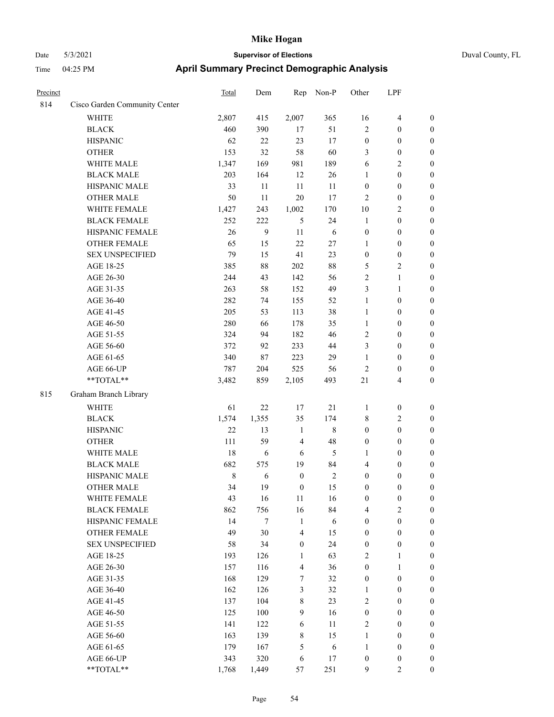# Date 5/3/2021 **Supervisor of Elections** Duval County, FL

## Time 04:25 PM **April Summary Precinct Demographic Analysis**

| Precinct |                               | Total       | Dem    | Rep              | Non-P      | Other            | LPF                                  |                  |
|----------|-------------------------------|-------------|--------|------------------|------------|------------------|--------------------------------------|------------------|
| 814      | Cisco Garden Community Center |             |        |                  |            |                  |                                      |                  |
|          | <b>WHITE</b>                  | 2,807       | 415    | 2,007            | 365        | 16               | $\overline{\mathbf{4}}$              | $\boldsymbol{0}$ |
|          | <b>BLACK</b>                  | 460         | 390    | 17               | 51         | $\mathbf{2}$     | $\boldsymbol{0}$                     | $\boldsymbol{0}$ |
|          | <b>HISPANIC</b>               | 62          | 22     | 23               | 17         | $\boldsymbol{0}$ | $\boldsymbol{0}$                     | $\boldsymbol{0}$ |
|          | <b>OTHER</b>                  | 153         | 32     | 58               | 60         | 3                | $\boldsymbol{0}$                     | $\boldsymbol{0}$ |
|          | WHITE MALE                    | 1,347       | 169    | 981              | 189        | 6                | $\mathbf{2}$                         | $\boldsymbol{0}$ |
|          | <b>BLACK MALE</b>             | 203         | 164    | 12               | 26         | 1                | $\boldsymbol{0}$                     | $\boldsymbol{0}$ |
|          | HISPANIC MALE                 | 33          | 11     | 11               | 11         | $\boldsymbol{0}$ | $\boldsymbol{0}$                     | $\boldsymbol{0}$ |
|          | <b>OTHER MALE</b>             | 50          | 11     | 20               | 17         | $\mathbf{2}$     | $\boldsymbol{0}$                     | $\boldsymbol{0}$ |
|          | WHITE FEMALE                  | 1,427       | 243    | 1,002            | 170        | $10\,$           | $\mathbf{2}$                         | $\boldsymbol{0}$ |
|          | <b>BLACK FEMALE</b>           | 252         | 222    | 5                | 24         | $\mathbf{1}$     | $\boldsymbol{0}$                     | 0                |
|          | HISPANIC FEMALE               | 26          | 9      | 11               | 6          | $\boldsymbol{0}$ | $\boldsymbol{0}$                     | $\boldsymbol{0}$ |
|          | OTHER FEMALE                  | 65          | 15     | 22               | $27\,$     | $\mathbf{1}$     | $\boldsymbol{0}$                     | $\boldsymbol{0}$ |
|          | <b>SEX UNSPECIFIED</b>        | 79          | 15     | 41               | 23         | $\boldsymbol{0}$ | $\boldsymbol{0}$                     | $\boldsymbol{0}$ |
|          | AGE 18-25                     | 385         | $88\,$ | 202              | $88\,$     | 5                | $\sqrt{2}$                           | $\boldsymbol{0}$ |
|          | AGE 26-30                     | 244         | 43     | 142              | 56         | 2                | $\mathbf{1}$                         | $\boldsymbol{0}$ |
|          | AGE 31-35                     | 263         | 58     | 152              | 49         | 3                | $\mathbf{1}$                         | $\boldsymbol{0}$ |
|          | AGE 36-40                     | 282         | 74     | 155              | 52         | $\mathbf{1}$     | $\boldsymbol{0}$                     | $\boldsymbol{0}$ |
|          | AGE 41-45                     | 205         | 53     | 113              | 38         | $\mathbf{1}$     | $\boldsymbol{0}$                     | $\boldsymbol{0}$ |
|          | AGE 46-50                     | 280         | 66     | 178              | 35         | $\mathbf{1}$     | $\boldsymbol{0}$                     | $\boldsymbol{0}$ |
|          | AGE 51-55                     | 324         | 94     | 182              | 46         | 2                | $\boldsymbol{0}$                     | 0                |
|          | AGE 56-60                     | 372         | 92     | 233              | 44         | 3                | $\boldsymbol{0}$                     | $\boldsymbol{0}$ |
|          | AGE 61-65                     | 340         | $87\,$ | 223              | 29         | $\mathbf{1}$     | $\boldsymbol{0}$                     | $\boldsymbol{0}$ |
|          | AGE 66-UP                     | 787         | 204    | 525              | 56         | $\mathfrak{2}$   | $\boldsymbol{0}$                     | $\boldsymbol{0}$ |
|          | **TOTAL**                     | 3,482       | 859    | 2,105            | 493        | 21               | $\overline{4}$                       | $\boldsymbol{0}$ |
| 815      | Graham Branch Library         |             |        |                  |            |                  |                                      |                  |
|          | <b>WHITE</b>                  | 61          | 22     | $17\,$           | 21         | $\mathbf{1}$     | $\boldsymbol{0}$                     | $\boldsymbol{0}$ |
|          | <b>BLACK</b>                  | 1,574       | 1,355  | 35               | 174        | 8                | $\mathfrak{2}$                       | $\boldsymbol{0}$ |
|          | <b>HISPANIC</b>               | 22          | 13     | $\mathbf{1}$     | $\,8\,$    | $\boldsymbol{0}$ | $\boldsymbol{0}$                     | $\boldsymbol{0}$ |
|          | <b>OTHER</b>                  | 111         | 59     | $\overline{4}$   | 48         | $\boldsymbol{0}$ | $\boldsymbol{0}$                     | $\boldsymbol{0}$ |
|          | WHITE MALE                    | 18          | 6      | 6                | 5          |                  |                                      | $\boldsymbol{0}$ |
|          | <b>BLACK MALE</b>             | 682         | 575    | 19               | 84         | 1<br>4           | $\boldsymbol{0}$<br>$\boldsymbol{0}$ | $\boldsymbol{0}$ |
|          | HISPANIC MALE                 | $\,$ 8 $\,$ | 6      | $\boldsymbol{0}$ | $\sqrt{2}$ | $\boldsymbol{0}$ | $\boldsymbol{0}$                     | 0                |
|          | <b>OTHER MALE</b>             | 34          | 19     | $\boldsymbol{0}$ | 15         | $\boldsymbol{0}$ | $\boldsymbol{0}$                     | $\boldsymbol{0}$ |
|          | WHITE FEMALE                  | 43          | 16     | 11               | 16         | $\boldsymbol{0}$ | $\boldsymbol{0}$                     | $\boldsymbol{0}$ |
|          | <b>BLACK FEMALE</b>           | 862         | 756    | 16               | 84         | 4                | $\sqrt{2}$                           | $\overline{0}$   |
|          | HISPANIC FEMALE               | 14          | $\tau$ | $\mathbf{1}$     | 6          | $\boldsymbol{0}$ | $\boldsymbol{0}$                     | $\overline{0}$   |
|          | <b>OTHER FEMALE</b>           | 49          | 30     | $\overline{4}$   | 15         | $\boldsymbol{0}$ | $\boldsymbol{0}$                     | $\overline{0}$   |
|          | <b>SEX UNSPECIFIED</b>        | 58          | 34     | $\boldsymbol{0}$ | 24         | $\boldsymbol{0}$ | $\boldsymbol{0}$                     | $\overline{0}$   |
|          | AGE 18-25                     | 193         | 126    | $\mathbf{1}$     | 63         | 2                | $\mathbf{1}$                         | $\theta$         |
|          | AGE 26-30                     | 157         | 116    | $\overline{4}$   | 36         | $\boldsymbol{0}$ | $\mathbf{1}$                         | 0                |
|          | AGE 31-35                     | 168         | 129    | 7                | 32         | $\boldsymbol{0}$ | $\boldsymbol{0}$                     | 0                |
|          | AGE 36-40                     | 162         | 126    | 3                | 32         | $\mathbf{1}$     | $\boldsymbol{0}$                     | 0                |
|          | AGE 41-45                     | 137         | 104    | $8\,$            | 23         | 2                | $\boldsymbol{0}$                     | 0                |
|          | AGE 46-50                     | 125         | 100    | 9                | 16         | $\boldsymbol{0}$ | $\boldsymbol{0}$                     | $\overline{0}$   |
|          | AGE 51-55                     | 141         | 122    | 6                | 11         | $\sqrt{2}$       | $\boldsymbol{0}$                     | $\boldsymbol{0}$ |
|          | AGE 56-60                     | 163         | 139    | 8                | 15         | $\mathbf{1}$     | $\boldsymbol{0}$                     | $\boldsymbol{0}$ |
|          | AGE 61-65                     | 179         | 167    | 5                | $\sqrt{6}$ | $\mathbf{1}$     | $\boldsymbol{0}$                     | $\overline{0}$   |
|          | AGE 66-UP                     | 343         | 320    | 6                | 17         | $\boldsymbol{0}$ | $\boldsymbol{0}$                     | 0                |
|          | **TOTAL**                     | 1,768       | 1,449  | 57               | 251        | 9                | $\overline{2}$                       | $\boldsymbol{0}$ |
|          |                               |             |        |                  |            |                  |                                      |                  |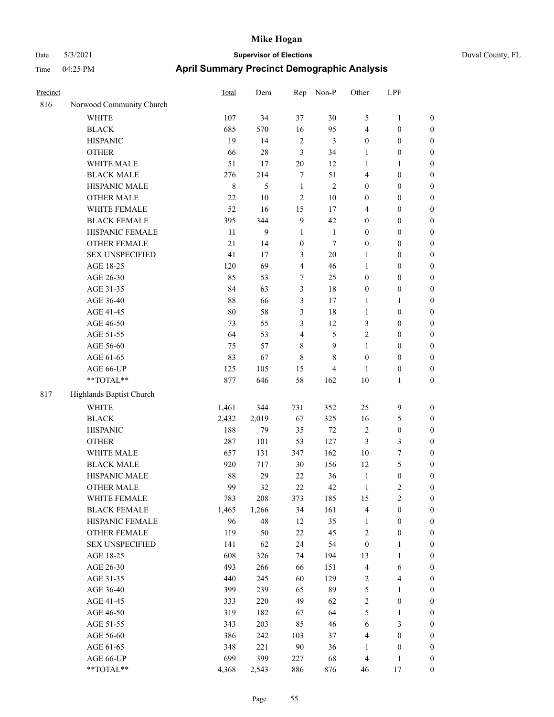## Date 5/3/2021 **Supervisor of Elections** Duval County, FL Time 04:25 PM **April Summary Precinct Demographic Analysis**

| Precinct |                          | Total | Dem   | Rep                     | Non-P          | Other                   | LPF                     |                  |
|----------|--------------------------|-------|-------|-------------------------|----------------|-------------------------|-------------------------|------------------|
| 816      | Norwood Community Church |       |       |                         |                |                         |                         |                  |
|          | <b>WHITE</b>             | 107   | 34    | 37                      | 30             | $\mathfrak{S}$          | 1                       | $\boldsymbol{0}$ |
|          | <b>BLACK</b>             | 685   | 570   | 16                      | 95             | $\overline{4}$          | $\boldsymbol{0}$        | $\boldsymbol{0}$ |
|          | <b>HISPANIC</b>          | 19    | 14    | $\sqrt{2}$              | 3              | $\boldsymbol{0}$        | $\boldsymbol{0}$        | $\boldsymbol{0}$ |
|          | <b>OTHER</b>             | 66    | 28    | 3                       | 34             | 1                       | $\boldsymbol{0}$        | $\boldsymbol{0}$ |
|          | WHITE MALE               | 51    | 17    | 20                      | 12             | $\mathbf{1}$            | $\mathbf{1}$            | $\boldsymbol{0}$ |
|          | <b>BLACK MALE</b>        | 276   | 214   | 7                       | 51             | $\overline{4}$          | $\boldsymbol{0}$        | $\boldsymbol{0}$ |
|          | HISPANIC MALE            | 8     | 5     | 1                       | $\overline{2}$ | $\boldsymbol{0}$        | $\boldsymbol{0}$        | $\boldsymbol{0}$ |
|          | <b>OTHER MALE</b>        | 22    | 10    | $\sqrt{2}$              | 10             | $\boldsymbol{0}$        | $\boldsymbol{0}$        | $\boldsymbol{0}$ |
|          | WHITE FEMALE             | 52    | 16    | 15                      | 17             | $\overline{\mathbf{4}}$ | $\boldsymbol{0}$        | $\boldsymbol{0}$ |
|          | <b>BLACK FEMALE</b>      | 395   | 344   | 9                       | 42             | $\boldsymbol{0}$        | $\boldsymbol{0}$        | $\boldsymbol{0}$ |
|          | HISPANIC FEMALE          | 11    | 9     | 1                       | $\mathbf{1}$   | $\boldsymbol{0}$        | $\boldsymbol{0}$        | $\boldsymbol{0}$ |
|          | OTHER FEMALE             | 21    | 14    | $\boldsymbol{0}$        | $\tau$         | $\boldsymbol{0}$        | $\boldsymbol{0}$        | $\boldsymbol{0}$ |
|          | <b>SEX UNSPECIFIED</b>   | 41    | 17    | 3                       | 20             | 1                       | $\boldsymbol{0}$        | $\boldsymbol{0}$ |
|          | AGE 18-25                | 120   | 69    | $\overline{4}$          | 46             | 1                       | $\boldsymbol{0}$        | $\boldsymbol{0}$ |
|          | AGE 26-30                | 85    | 53    | 7                       | 25             | $\boldsymbol{0}$        | $\boldsymbol{0}$        | $\boldsymbol{0}$ |
|          | AGE 31-35                | 84    | 63    | 3                       | 18             | $\boldsymbol{0}$        | $\boldsymbol{0}$        | $\boldsymbol{0}$ |
|          | AGE 36-40                | 88    | 66    | 3                       | 17             | $\mathbf{1}$            | 1                       | $\boldsymbol{0}$ |
|          | AGE 41-45                | 80    | 58    | 3                       | 18             | $\mathbf{1}$            | $\boldsymbol{0}$        | $\boldsymbol{0}$ |
|          | AGE 46-50                | 73    | 55    | 3                       | 12             | 3                       | $\boldsymbol{0}$        | $\boldsymbol{0}$ |
|          | AGE 51-55                | 64    | 53    | $\overline{\mathbf{4}}$ | $\mathfrak{S}$ | $\sqrt{2}$              | $\boldsymbol{0}$        | $\boldsymbol{0}$ |
|          | AGE 56-60                | 75    | 57    | 8                       | $\overline{9}$ | $\mathbf{1}$            | $\boldsymbol{0}$        | $\boldsymbol{0}$ |
|          | AGE 61-65                | 83    | 67    | $\,$ $\,$               | $\,$ 8 $\,$    | $\boldsymbol{0}$        | $\boldsymbol{0}$        | $\boldsymbol{0}$ |
|          | AGE 66-UP                | 125   | 105   | 15                      | 4              | $\mathbf{1}$            | $\boldsymbol{0}$        | $\boldsymbol{0}$ |
|          | **TOTAL**                | 877   | 646   | 58                      | 162            | 10                      | 1                       | $\mathbf{0}$     |
| 817      | Highlands Baptist Church |       |       |                         |                |                         |                         |                  |
|          | <b>WHITE</b>             | 1,461 | 344   | 731                     | 352            | 25                      | 9                       | $\boldsymbol{0}$ |
|          | <b>BLACK</b>             | 2,432 | 2,019 | 67                      | 325            | 16                      | 5                       | $\boldsymbol{0}$ |
|          | <b>HISPANIC</b>          | 188   | 79    | 35                      | $72\,$         | $\sqrt{2}$              | $\boldsymbol{0}$        | $\boldsymbol{0}$ |
|          | <b>OTHER</b>             | 287   | 101   | 53                      | 127            | 3                       | 3                       | $\boldsymbol{0}$ |
|          | WHITE MALE               | 657   | 131   | 347                     | 162            | 10                      | $\boldsymbol{7}$        | $\boldsymbol{0}$ |
|          | <b>BLACK MALE</b>        | 920   | 717   | 30                      | 156            | 12                      | $\mathfrak{S}$          | $\boldsymbol{0}$ |
|          | HISPANIC MALE            | 88    | 29    | $22\,$                  | 36             | $\mathbf{1}$            | $\boldsymbol{0}$        | $\boldsymbol{0}$ |
|          | <b>OTHER MALE</b>        | 99    | 32    | 22                      | 42             | $\mathbf{1}$            | $\mathbf{2}$            | $\boldsymbol{0}$ |
|          | WHITE FEMALE             | 783   | 208   | 373                     | 185            | 15                      | $\sqrt{2}$              | $\boldsymbol{0}$ |
|          | <b>BLACK FEMALE</b>      | 1,465 | 1,266 | 34                      | 161            | $\overline{\mathbf{4}}$ | $\boldsymbol{0}$        | $\boldsymbol{0}$ |
|          | HISPANIC FEMALE          | 96    | 48    | 12                      | 35             | 1                       | $\boldsymbol{0}$        | 0                |
|          | OTHER FEMALE             | 119   | 50    | $22\,$                  | 45             | 2                       | $\boldsymbol{0}$        | 0                |
|          | <b>SEX UNSPECIFIED</b>   | 141   | 62    | 24                      | 54             | $\boldsymbol{0}$        | 1                       | 0                |
|          | AGE 18-25                | 608   | 326   | 74                      | 194            | 13                      | 1                       | $\boldsymbol{0}$ |
|          | AGE 26-30                | 493   | 266   | 66                      | 151            | $\overline{\mathbf{4}}$ | 6                       | 0                |
|          | AGE 31-35                | 440   | 245   | 60                      | 129            | $\sqrt{2}$              | $\overline{\mathbf{4}}$ | 0                |
|          | AGE 36-40                | 399   | 239   | 65                      | 89             | 5                       | 1                       | $\boldsymbol{0}$ |
|          | AGE 41-45                | 333   | 220   | 49                      | 62             | $\overline{\mathbf{c}}$ | $\boldsymbol{0}$        | $\boldsymbol{0}$ |
|          | AGE 46-50                | 319   | 182   | 67                      | 64             | 5                       | 1                       | $\boldsymbol{0}$ |
|          | AGE 51-55                | 343   | 203   | 85                      | 46             | 6                       | $\mathfrak{Z}$          | $\boldsymbol{0}$ |

AGE 56-60 386 242 103 37 4 0 0 AGE 61-65 348 221 90 36 1 0 0 AGE 66-UP 699 399 227 68 4 1 0 \*\*TOTAL\*\* 4,368 2,543 886 876 46 17 0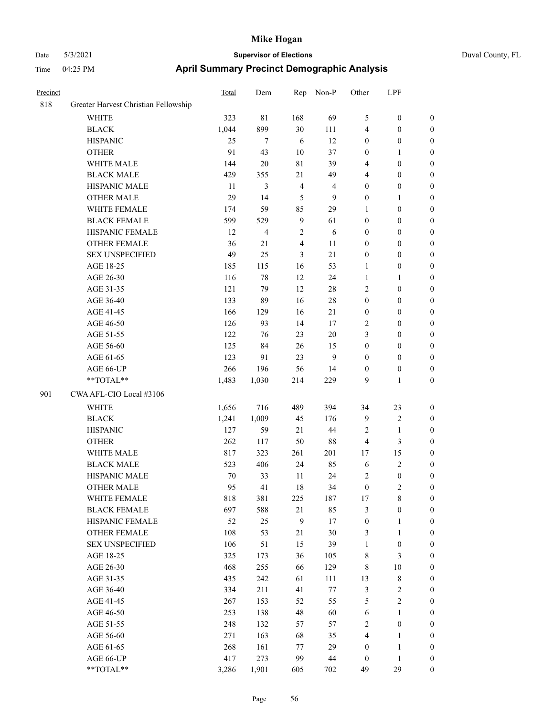| <b>Time</b> | 04:25 PM                             | April Summary Precinct Demographic Analysis |     |     |       |        |     |  |  |
|-------------|--------------------------------------|---------------------------------------------|-----|-----|-------|--------|-----|--|--|
| Precinct    |                                      | <b>Total</b>                                | Dem | Rep | Non-P | Other  | LPF |  |  |
| 818         | Greater Harvest Christian Fellowship |                                             |     |     |       |        |     |  |  |
|             | <b>WHITE</b>                         | 323                                         | 81  | 168 | 69    | $\sim$ |     |  |  |

| 818 | Greater Harvest Christian Fellowship                        |        |                |                |                |                  |                  |                  |
|-----|-------------------------------------------------------------|--------|----------------|----------------|----------------|------------------|------------------|------------------|
|     | WHITE                                                       | 323    | $8\sqrt{1}$    | 168            | 69             | 5                | $\boldsymbol{0}$ | $\boldsymbol{0}$ |
|     | <b>BLACK</b>                                                | 1,044  | 899            | 30             | 111            | 4                | $\boldsymbol{0}$ | $\boldsymbol{0}$ |
|     | <b>HISPANIC</b>                                             | 25     | $\tau$         | 6              | 12             | $\boldsymbol{0}$ | $\boldsymbol{0}$ | $\boldsymbol{0}$ |
|     | <b>OTHER</b>                                                | 91     | 43             | 10             | 37             | $\boldsymbol{0}$ | $\mathbf{1}$     | $\boldsymbol{0}$ |
|     | WHITE MALE                                                  | 144    | 20             | $8\sqrt{1}$    | 39             | $\overline{4}$   | $\boldsymbol{0}$ | $\boldsymbol{0}$ |
|     | <b>BLACK MALE</b>                                           | 429    | 355            | 21             | 49             | $\overline{4}$   | $\boldsymbol{0}$ | $\boldsymbol{0}$ |
|     | HISPANIC MALE                                               | 11     | $\mathfrak{Z}$ | $\overline{4}$ | $\overline{4}$ | $\boldsymbol{0}$ | $\boldsymbol{0}$ | $\boldsymbol{0}$ |
|     | <b>OTHER MALE</b>                                           | 29     | 14             | 5              | 9              | $\boldsymbol{0}$ | $\mathbf{1}$     | 0                |
|     | WHITE FEMALE                                                | 174    | 59             | 85             | 29             | 1                | $\boldsymbol{0}$ | 0                |
|     | <b>BLACK FEMALE</b>                                         | 599    | 529            | 9              | 61             | $\boldsymbol{0}$ | $\boldsymbol{0}$ | $\boldsymbol{0}$ |
|     | HISPANIC FEMALE                                             | 12     | 4              | $\sqrt{2}$     | 6              | $\boldsymbol{0}$ | $\boldsymbol{0}$ | $\boldsymbol{0}$ |
|     | OTHER FEMALE                                                | 36     | 21             | $\overline{4}$ | 11             | $\boldsymbol{0}$ | $\boldsymbol{0}$ | $\boldsymbol{0}$ |
|     | <b>SEX UNSPECIFIED</b>                                      | 49     | 25             | 3              | 21             | $\boldsymbol{0}$ | $\boldsymbol{0}$ | $\boldsymbol{0}$ |
|     | AGE 18-25                                                   | 185    | 115            | 16             | 53             | 1                | $\boldsymbol{0}$ | $\boldsymbol{0}$ |
|     | AGE 26-30                                                   | 116    | 78             | 12             | 24             | 1                | $\mathbf{1}$     | $\boldsymbol{0}$ |
|     | AGE 31-35                                                   | 121    | 79             | 12             | $28\,$         | 2                | $\boldsymbol{0}$ | $\boldsymbol{0}$ |
|     | AGE 36-40                                                   | 133    | 89             | 16             | $28\,$         | $\boldsymbol{0}$ | $\boldsymbol{0}$ | $\boldsymbol{0}$ |
|     | AGE 41-45                                                   | 166    | 129            | 16             | 21             | $\boldsymbol{0}$ | $\boldsymbol{0}$ | 0                |
|     | AGE 46-50                                                   | 126    | 93             | 14             | 17             | 2                | $\boldsymbol{0}$ | 0                |
|     | AGE 51-55                                                   | 122    | 76             | 23             | $20\,$         | 3                | $\boldsymbol{0}$ | $\boldsymbol{0}$ |
|     | AGE 56-60                                                   | 125    | 84             | 26             | 15             | $\boldsymbol{0}$ | $\boldsymbol{0}$ | $\boldsymbol{0}$ |
|     | AGE 61-65                                                   | 123    | 91             | 23             | 9              | $\boldsymbol{0}$ | $\boldsymbol{0}$ | $\boldsymbol{0}$ |
|     | AGE 66-UP                                                   | 266    | 196            | 56             | 14             | $\boldsymbol{0}$ | $\boldsymbol{0}$ | $\boldsymbol{0}$ |
|     | $\mathrm{*}\mathrm{*} \mathrm{TOTAL} \mathrm{*} \mathrm{*}$ | 1,483  | 1,030          | 214            | 229            | 9                | $\mathbf{1}$     | $\boldsymbol{0}$ |
| 901 | CWA AFL-CIO Local #3106                                     |        |                |                |                |                  |                  |                  |
|     | <b>WHITE</b>                                                | 1,656  | 716            | 489            | 394            | 34               | 23               | $\boldsymbol{0}$ |
|     | <b>BLACK</b>                                                | 1,241  | 1,009          | 45             | 176            | $\mathbf{9}$     | $\sqrt{2}$       | $\boldsymbol{0}$ |
|     | <b>HISPANIC</b>                                             | 127    | 59             | 21             | 44             | $\mathfrak{2}$   | $\mathbf{1}$     | $\boldsymbol{0}$ |
|     | <b>OTHER</b>                                                | 262    | 117            | 50             | 88             | $\overline{4}$   | $\mathfrak{Z}$   | $\boldsymbol{0}$ |
|     | WHITE MALE                                                  | 817    | 323            | 261            | 201            | 17               | 15               | 0                |
|     | <b>BLACK MALE</b>                                           | 523    | 406            | 24             | 85             | 6                | $\sqrt{2}$       | 0                |
|     | HISPANIC MALE                                               | $70\,$ | 33             | 11             | 24             | $\overline{c}$   | $\boldsymbol{0}$ | 0                |
|     | <b>OTHER MALE</b>                                           | 95     | 41             | 18             | 34             | $\boldsymbol{0}$ | $\mathbf{2}$     | $\boldsymbol{0}$ |
|     | WHITE FEMALE                                                | 818    | 381            | 225            | 187            | 17               | 8                | $\boldsymbol{0}$ |
|     | <b>BLACK FEMALE</b>                                         | 697    | 588            | 21             | 85             | $\mathfrak{Z}$   | $\boldsymbol{0}$ | $\boldsymbol{0}$ |
|     | HISPANIC FEMALE                                             | 52     | 25             | $\mathbf{9}$   | 17             | $\boldsymbol{0}$ | $\mathbf{1}$     | $\overline{0}$   |
|     | <b>OTHER FEMALE</b>                                         | 108    | 53             | $21\,$         | 30             | 3                | $\mathbf{1}$     | $\theta$         |
|     | <b>SEX UNSPECIFIED</b>                                      | 106    | 51             | 15             | 39             | $\mathbf{1}$     | $\boldsymbol{0}$ | 0                |
|     | AGE 18-25                                                   | 325    | 173            | 36             | 105            | $\,$ 8 $\,$      | $\mathfrak{Z}$   | 0                |
|     | AGE 26-30                                                   | 468    | 255            | 66             | 129            | $\,$ 8 $\,$      | $10\,$           | 0                |
|     | AGE 31-35                                                   | 435    | 242            | 61             | 111            | 13               | $8\,$            | 0                |
|     | AGE 36-40                                                   | 334    | 211            | 41             | $77\,$         | $\mathfrak{Z}$   | $\sqrt{2}$       | 0                |
|     | AGE 41-45                                                   | 267    | 153            | 52             | 55             | $\mathfrak s$    | $\sqrt{2}$       | $\overline{0}$   |
|     | AGE 46-50                                                   | 253    | 138            | 48             | 60             | 6                | $\mathbf{1}$     | $\boldsymbol{0}$ |
|     | AGE 51-55                                                   | 248    | 132            | 57             | 57             | $\sqrt{2}$       | $\boldsymbol{0}$ | $\boldsymbol{0}$ |
|     | AGE 56-60                                                   | 271    | 163            | 68             | 35             | $\overline{4}$   | $\mathbf{1}$     | 0                |
|     | AGE 61-65                                                   | 268    | 161            | 77             | 29             | $\boldsymbol{0}$ | $\mathbf{1}$     | $\overline{0}$   |
|     | AGE 66-UP                                                   | 417    | 273            | 99             | 44             | $\boldsymbol{0}$ | $\mathbf{1}$     | $\boldsymbol{0}$ |
|     | **TOTAL**                                                   | 3,286  | 1,901          | 605            | 702            | 49               | 29               | $\boldsymbol{0}$ |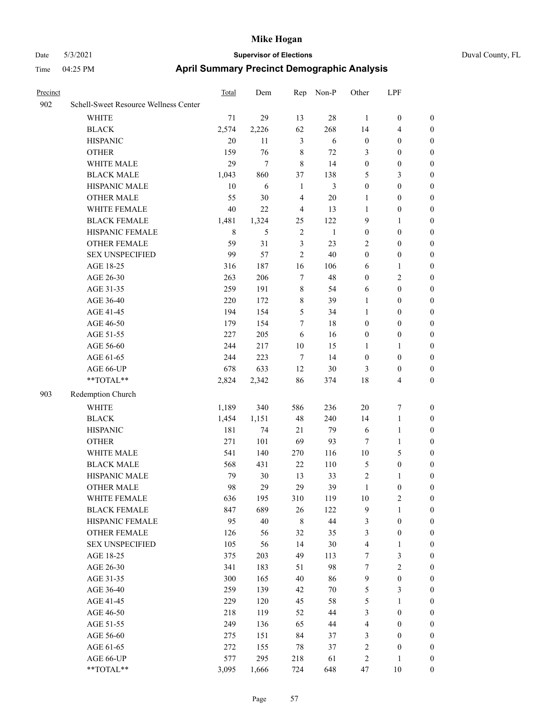| Duval Cou |
|-----------|
|           |

| Precinct |                                       | Total       | Dem   | Rep            | Non-P        | Other            | LPF                     |                  |
|----------|---------------------------------------|-------------|-------|----------------|--------------|------------------|-------------------------|------------------|
| 902      | Schell-Sweet Resource Wellness Center |             |       |                |              |                  |                         |                  |
|          | WHITE                                 | 71          | 29    | 13             | 28           | $\mathbf{1}$     | $\boldsymbol{0}$        | $\boldsymbol{0}$ |
|          | <b>BLACK</b>                          | 2,574       | 2,226 | 62             | 268          | 14               | $\overline{\mathbf{4}}$ | $\boldsymbol{0}$ |
|          | <b>HISPANIC</b>                       | 20          | 11    | $\mathfrak{Z}$ | 6            | $\boldsymbol{0}$ | $\boldsymbol{0}$        | $\boldsymbol{0}$ |
|          | <b>OTHER</b>                          | 159         | 76    | $\,$ 8 $\,$    | 72           | 3                | $\boldsymbol{0}$        | $\boldsymbol{0}$ |
|          | WHITE MALE                            | 29          | 7     | $\,8\,$        | 14           | $\boldsymbol{0}$ | $\boldsymbol{0}$        | $\boldsymbol{0}$ |
|          | <b>BLACK MALE</b>                     | 1,043       | 860   | 37             | 138          | 5                | $\mathfrak{Z}$          | $\boldsymbol{0}$ |
|          | HISPANIC MALE                         | 10          | 6     | $\mathbf{1}$   | 3            | $\boldsymbol{0}$ | $\boldsymbol{0}$        | $\boldsymbol{0}$ |
|          | <b>OTHER MALE</b>                     | 55          | 30    | $\overline{4}$ | $20\,$       | $\mathbf{1}$     | $\boldsymbol{0}$        | $\boldsymbol{0}$ |
|          | WHITE FEMALE                          | 40          | 22    | $\overline{4}$ | 13           | $\mathbf{1}$     | $\boldsymbol{0}$        | $\boldsymbol{0}$ |
|          | <b>BLACK FEMALE</b>                   | 1,481       | 1,324 | 25             | 122          | 9                | $\mathbf{1}$            | $\boldsymbol{0}$ |
|          | HISPANIC FEMALE                       | $\,$ 8 $\,$ | 5     | $\sqrt{2}$     | $\mathbf{1}$ | $\boldsymbol{0}$ | $\boldsymbol{0}$        | $\boldsymbol{0}$ |
|          | OTHER FEMALE                          | 59          | 31    | $\mathfrak{Z}$ | 23           | $\overline{c}$   | $\boldsymbol{0}$        | $\boldsymbol{0}$ |
|          | <b>SEX UNSPECIFIED</b>                | 99          | 57    | $\overline{c}$ | 40           | $\boldsymbol{0}$ | $\boldsymbol{0}$        | $\boldsymbol{0}$ |
|          | AGE 18-25                             | 316         | 187   | 16             | 106          | 6                | $\mathbf{1}$            | $\boldsymbol{0}$ |
|          | AGE 26-30                             | 263         | 206   | $\tau$         | 48           | $\boldsymbol{0}$ | $\sqrt{2}$              | $\boldsymbol{0}$ |
|          | AGE 31-35                             | 259         | 191   | $\,$ 8 $\,$    | 54           | 6                | $\boldsymbol{0}$        | 0                |
|          | AGE 36-40                             | 220         | 172   | $\,$ 8 $\,$    | 39           | 1                | $\boldsymbol{0}$        | $\boldsymbol{0}$ |
|          | AGE 41-45                             | 194         | 154   | 5              | 34           | $\mathbf{1}$     | $\boldsymbol{0}$        | $\boldsymbol{0}$ |
|          | AGE 46-50                             | 179         | 154   | 7              | 18           | $\boldsymbol{0}$ | $\boldsymbol{0}$        | $\boldsymbol{0}$ |
|          | AGE 51-55                             | 227         | 205   | 6              | 16           | $\boldsymbol{0}$ | $\boldsymbol{0}$        | $\boldsymbol{0}$ |
|          | AGE 56-60                             | 244         | 217   | 10             | 15           | $\mathbf{1}$     | $\mathbf{1}$            | $\boldsymbol{0}$ |
|          | AGE 61-65                             | 244         | 223   | $\tau$         | 14           | $\boldsymbol{0}$ | $\boldsymbol{0}$        | $\boldsymbol{0}$ |
|          | AGE 66-UP                             | 678         | 633   | 12             | 30           | 3                | $\boldsymbol{0}$        | $\boldsymbol{0}$ |
|          | $**TOTAL**$                           | 2,824       | 2,342 | 86             | 374          | 18               | $\overline{4}$          | $\boldsymbol{0}$ |
| 903      | Redemption Church                     |             |       |                |              |                  |                         |                  |
|          | <b>WHITE</b>                          | 1,189       | 340   | 586            | 236          | $20\,$           | $\boldsymbol{7}$        | $\boldsymbol{0}$ |
|          | <b>BLACK</b>                          | 1,454       | 1,151 | 48             | 240          | 14               | $\mathbf{1}$            | $\boldsymbol{0}$ |
|          | <b>HISPANIC</b>                       | 181         | 74    | 21             | 79           | 6                | $\mathbf{1}$            | 0                |
|          | <b>OTHER</b>                          | 271         | 101   | 69             | 93           | 7                | $\mathbf{1}$            | 0                |
|          | WHITE MALE                            | 541         | 140   | 270            | 116          | 10               | $\mathfrak{S}$          | $\boldsymbol{0}$ |
|          | <b>BLACK MALE</b>                     | 568         | 431   | 22             | 110          | 5                | $\boldsymbol{0}$        | $\boldsymbol{0}$ |
|          | HISPANIC MALE                         | 79          | 30    | 13             | 33           | $\overline{c}$   | 1                       | $\boldsymbol{0}$ |
|          | <b>OTHER MALE</b>                     | 98          | 29    | 29             | 39           | $\mathbf{1}$     | $\boldsymbol{0}$        | $\boldsymbol{0}$ |
|          | WHITE FEMALE                          | 636         | 195   | 310            | 119          | 10               | $\sqrt{2}$              | $\overline{0}$   |
|          | <b>BLACK FEMALE</b>                   | 847         | 689   | 26             | 122          | $\mathbf{9}$     | $\mathbf{1}$            | $\overline{0}$   |
|          | HISPANIC FEMALE                       | 95          | 40    | $\,$ 8 $\,$    | $44\,$       | 3                | $\boldsymbol{0}$        | 0                |
|          | <b>OTHER FEMALE</b>                   | 126         | 56    | 32             | 35           | 3                | $\boldsymbol{0}$        | 0                |
|          | <b>SEX UNSPECIFIED</b>                | 105         | 56    | 14             | 30           | $\overline{4}$   | $\mathbf{1}$            | 0                |
|          | AGE 18-25                             | 375         | 203   | 49             | 113          | 7                | $\mathfrak{Z}$          | 0                |
|          | AGE 26-30                             | 341         | 183   | 51             | 98           | 7                | $\sqrt{2}$              | $\overline{0}$   |
|          | AGE 31-35                             | 300         | 165   | 40             | 86           | 9                | $\boldsymbol{0}$        | $\boldsymbol{0}$ |
|          | AGE 36-40                             | 259         | 139   | 42             | $70\,$       | 5                | $\mathfrak{Z}$          | $\boldsymbol{0}$ |
|          | AGE 41-45                             | 229         | 120   | 45             | 58           | 5                | $\mathbf{1}$            | $\boldsymbol{0}$ |
|          | AGE 46-50                             | 218         | 119   | 52             | 44           | 3                | $\boldsymbol{0}$        | $\overline{0}$   |
|          | AGE 51-55                             | 249         | 136   | 65             | 44           | $\overline{4}$   | $\boldsymbol{0}$        | $\overline{0}$   |
|          | AGE 56-60                             | 275         | 151   | 84             | 37           | 3                | $\boldsymbol{0}$        | $\overline{0}$   |
|          | AGE 61-65                             | 272         | 155   | 78             | 37           | $\sqrt{2}$       | $\boldsymbol{0}$        | 0                |
|          | AGE 66-UP                             | 577         | 295   | 218            | 61           | $\sqrt{2}$       | $\mathbf{1}$            | 0                |
|          | **TOTAL**                             | 3,095       | 1,666 | 724            | 648          | $47\,$           | $10\,$                  | $\boldsymbol{0}$ |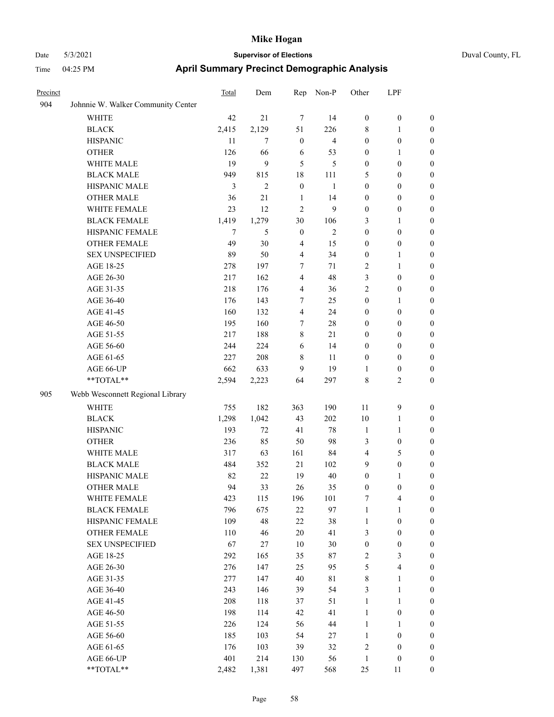|  | Duval County, FL |  |
|--|------------------|--|
|--|------------------|--|

| Precinct |                                    | <b>Total</b>   | Dem            | Rep              | Non-P                   | Other            | LPF              |                  |
|----------|------------------------------------|----------------|----------------|------------------|-------------------------|------------------|------------------|------------------|
| 904      | Johnnie W. Walker Community Center |                |                |                  |                         |                  |                  |                  |
|          | <b>WHITE</b>                       | 42             | 21             | $\tau$           | 14                      | $\boldsymbol{0}$ | $\boldsymbol{0}$ | $\boldsymbol{0}$ |
|          | <b>BLACK</b>                       | 2,415          | 2,129          | 51               | 226                     | $\,8\,$          | 1                | $\boldsymbol{0}$ |
|          | <b>HISPANIC</b>                    | 11             | $\overline{7}$ | $\boldsymbol{0}$ | $\overline{\mathbf{4}}$ | $\boldsymbol{0}$ | $\boldsymbol{0}$ | $\boldsymbol{0}$ |
|          | <b>OTHER</b>                       | 126            | 66             | 6                | 53                      | $\boldsymbol{0}$ | 1                | $\boldsymbol{0}$ |
|          | WHITE MALE                         | 19             | 9              | 5                | 5                       | $\boldsymbol{0}$ | $\boldsymbol{0}$ | $\boldsymbol{0}$ |
|          | <b>BLACK MALE</b>                  | 949            | 815            | 18               | 111                     | 5                | $\boldsymbol{0}$ | $\boldsymbol{0}$ |
|          | HISPANIC MALE                      | 3              | $\overline{2}$ | $\mathbf{0}$     | 1                       | $\boldsymbol{0}$ | $\boldsymbol{0}$ | $\boldsymbol{0}$ |
|          | <b>OTHER MALE</b>                  | 36             | 21             | 1                | 14                      | $\boldsymbol{0}$ | $\boldsymbol{0}$ | $\boldsymbol{0}$ |
|          | WHITE FEMALE                       | 23             | 12             | $\overline{2}$   | 9                       | $\mathbf{0}$     | $\boldsymbol{0}$ | $\boldsymbol{0}$ |
|          | <b>BLACK FEMALE</b>                | 1,419          | 1,279          | 30               | 106                     | 3                | 1                | $\boldsymbol{0}$ |
|          | HISPANIC FEMALE                    | $\overline{7}$ | 5              | $\boldsymbol{0}$ | $\overline{2}$          | $\boldsymbol{0}$ | $\boldsymbol{0}$ | $\boldsymbol{0}$ |
|          | <b>OTHER FEMALE</b>                | 49             | 30             | 4                | 15                      | $\boldsymbol{0}$ | $\boldsymbol{0}$ | $\boldsymbol{0}$ |
|          | <b>SEX UNSPECIFIED</b>             | 89             | 50             | 4                | 34                      | $\boldsymbol{0}$ | 1                | $\boldsymbol{0}$ |
|          | AGE 18-25                          | 278            | 197            | 7                | 71                      | $\overline{2}$   | 1                | $\boldsymbol{0}$ |
|          | AGE 26-30                          | 217            | 162            | 4                | 48                      | 3                | $\boldsymbol{0}$ | $\boldsymbol{0}$ |
|          | AGE 31-35                          | 218            | 176            | 4                | 36                      | $\overline{c}$   | $\boldsymbol{0}$ | $\boldsymbol{0}$ |
|          | AGE 36-40                          | 176            | 143            | 7                | 25                      | $\boldsymbol{0}$ | 1                | $\boldsymbol{0}$ |
|          | AGE 41-45                          | 160            | 132            | $\overline{4}$   | 24                      | $\boldsymbol{0}$ | $\boldsymbol{0}$ | $\boldsymbol{0}$ |
|          | AGE 46-50                          | 195            | 160            | 7                | 28                      | $\boldsymbol{0}$ | $\boldsymbol{0}$ | $\boldsymbol{0}$ |
|          | AGE 51-55                          | 217            | 188            | 8                | 21                      | $\boldsymbol{0}$ | $\boldsymbol{0}$ | $\boldsymbol{0}$ |
|          | AGE 56-60                          | 244            | 224            | 6                | 14                      | $\boldsymbol{0}$ | $\boldsymbol{0}$ | $\boldsymbol{0}$ |
|          | AGE 61-65                          | 227            | 208            | $\,8\,$          | 11                      | $\boldsymbol{0}$ | $\boldsymbol{0}$ | $\boldsymbol{0}$ |
|          | AGE 66-UP                          | 662            | 633            | 9                | 19                      | $\mathbf{1}$     | $\boldsymbol{0}$ | $\boldsymbol{0}$ |
|          | **TOTAL**                          | 2,594          | 2,223          | 64               | 297                     | $\,8\,$          | 2                | $\boldsymbol{0}$ |
| 905      | Webb Wesconnett Regional Library   |                |                |                  |                         |                  |                  |                  |
|          | WHITE                              | 755            | 182            | 363              | 190                     | 11               | 9                | $\boldsymbol{0}$ |
|          | <b>BLACK</b>                       | 1,298          | 1,042          | 43               | 202                     | 10               | 1                | $\boldsymbol{0}$ |
|          | <b>HISPANIC</b>                    | 193            | 72             | 41               | 78                      | $\mathbf{1}$     | 1                | $\boldsymbol{0}$ |
|          | <b>OTHER</b>                       | 236            | 85             | 50               | 98                      | $\mathfrak{Z}$   | $\boldsymbol{0}$ | $\boldsymbol{0}$ |
|          | WHITE MALE                         | 317            | 63             | 161              | 84                      | $\overline{4}$   | 5                | $\boldsymbol{0}$ |
|          | <b>BLACK MALE</b>                  | 484            | 352            | 21               | 102                     | 9                | $\boldsymbol{0}$ | $\boldsymbol{0}$ |
|          | HISPANIC MALE                      | 82             | 22             | 19               | 40                      | $\boldsymbol{0}$ | 1                | $\boldsymbol{0}$ |
|          | <b>OTHER MALE</b>                  | 94             | 33             | 26               | 35                      | $\mathbf{0}$     | $\mathbf{0}$     | $\overline{0}$   |
|          | WHITE FEMALE                       | 423            | 115            | 196              | 101                     | $\tau$           | 4                | $\boldsymbol{0}$ |
|          | <b>BLACK FEMALE</b>                | 796            | 675            | $22\,$           | 97                      | 1                | 1                | $\boldsymbol{0}$ |
|          | HISPANIC FEMALE                    | 109            | 48             | $22\,$           | 38                      | 1                | $\boldsymbol{0}$ | $\boldsymbol{0}$ |
|          | <b>OTHER FEMALE</b>                | 110            | 46             | 20               | 41                      | 3                | $\boldsymbol{0}$ | $\boldsymbol{0}$ |
|          | <b>SEX UNSPECIFIED</b>             | 67             | 27             | 10               | 30                      | $\boldsymbol{0}$ | $\boldsymbol{0}$ | $\boldsymbol{0}$ |
|          | AGE 18-25                          | 292            | 165            | 35               | $87\,$                  | $\overline{c}$   | 3                | $\boldsymbol{0}$ |
|          | AGE 26-30                          | 276            | 147            | 25               | 95                      | $\mathfrak{S}$   | 4                | $\boldsymbol{0}$ |
|          | AGE 31-35                          | 277            | 147            | $40\,$           | $8\sqrt{1}$             | $\,8\,$          | 1                | $\boldsymbol{0}$ |
|          | AGE 36-40                          | 243            | 146            | 39               | 54                      | $\mathfrak{Z}$   | 1                | $\boldsymbol{0}$ |
|          | AGE 41-45                          | 208            | 118            | 37               | 51                      | $\mathbf{1}$     | 1                | $\boldsymbol{0}$ |
|          | AGE 46-50                          | 198            | 114            | 42               | 41                      | $\mathbf{1}$     | $\boldsymbol{0}$ | $\boldsymbol{0}$ |
|          | AGE 51-55                          | 226            | 124            | 56               | $44\,$                  | $\mathbf{1}$     | 1                | $\boldsymbol{0}$ |
|          | AGE 56-60                          | 185            | 103            | 54               | 27                      | $\mathbf{1}$     | $\boldsymbol{0}$ | $\boldsymbol{0}$ |
|          | AGE 61-65                          | 176            | 103            | 39               | 32                      | $\sqrt{2}$       | $\boldsymbol{0}$ | $\boldsymbol{0}$ |
|          | AGE 66-UP                          | 401            | 214            | 130              | 56                      | $\mathbf{1}$     | $\boldsymbol{0}$ | $\boldsymbol{0}$ |
|          | $**TOTAL**$                        | 2,482          | 1,381          | 497              | 568                     | 25               | 11               | $\boldsymbol{0}$ |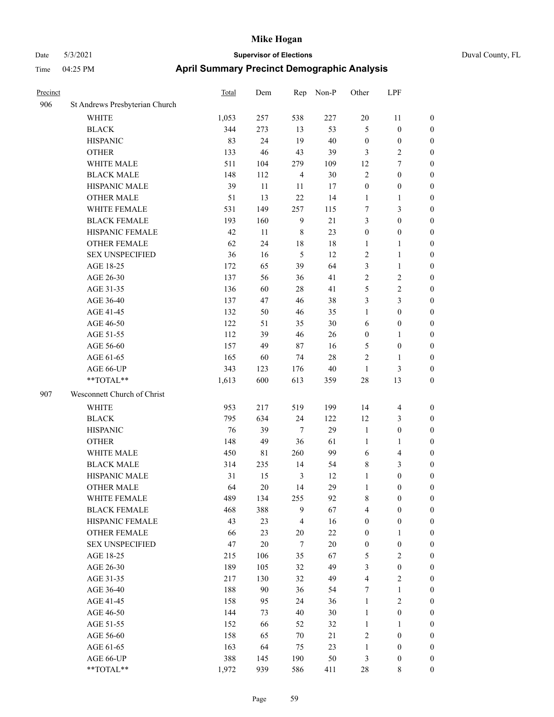# Date 5/3/2021 **Supervisor of Elections** Duval County, FL Time 04:25 PM **April Summary Precinct Demographic Analysis**

| Precinct |                                | <b>Total</b> | Dem    | Rep            | Non-P  | Other            | LPF              |                  |
|----------|--------------------------------|--------------|--------|----------------|--------|------------------|------------------|------------------|
| 906      | St Andrews Presbyterian Church |              |        |                |        |                  |                  |                  |
|          | <b>WHITE</b>                   | 1,053        | 257    | 538            | 227    | 20               | 11               | $\boldsymbol{0}$ |
|          | <b>BLACK</b>                   | 344          | 273    | 13             | 53     | $\mathfrak{H}$   | $\mathbf{0}$     | $\boldsymbol{0}$ |
|          | <b>HISPANIC</b>                | 83           | 24     | 19             | 40     | $\boldsymbol{0}$ | $\boldsymbol{0}$ | $\boldsymbol{0}$ |
|          | <b>OTHER</b>                   | 133          | 46     | 43             | 39     | $\mathfrak{Z}$   | 2                | $\boldsymbol{0}$ |
|          | WHITE MALE                     | 511          | 104    | 279            | 109    | 12               | 7                | $\boldsymbol{0}$ |
|          | <b>BLACK MALE</b>              | 148          | 112    | $\overline{4}$ | 30     | $\sqrt{2}$       | $\boldsymbol{0}$ | $\boldsymbol{0}$ |
|          | HISPANIC MALE                  | 39           | 11     | 11             | 17     | $\boldsymbol{0}$ | $\boldsymbol{0}$ | $\boldsymbol{0}$ |
|          | <b>OTHER MALE</b>              | 51           | 13     | 22             | 14     | 1                | 1                | $\boldsymbol{0}$ |
|          | WHITE FEMALE                   | 531          | 149    | 257            | 115    | 7                | 3                | $\boldsymbol{0}$ |
|          | <b>BLACK FEMALE</b>            | 193          | 160    | 9              | 21     | $\mathfrak{Z}$   | $\boldsymbol{0}$ | $\boldsymbol{0}$ |
|          | HISPANIC FEMALE                | 42           | 11     | $\,8\,$        | 23     | $\boldsymbol{0}$ | $\boldsymbol{0}$ | $\boldsymbol{0}$ |
|          | <b>OTHER FEMALE</b>            | 62           | 24     | 18             | 18     | 1                | 1                | $\boldsymbol{0}$ |
|          | <b>SEX UNSPECIFIED</b>         | 36           | 16     | 5              | 12     | $\overline{2}$   | 1                | $\boldsymbol{0}$ |
|          | AGE 18-25                      | 172          | 65     | 39             | 64     | 3                | 1                | $\boldsymbol{0}$ |
|          | AGE 26-30                      | 137          | 56     | 36             | 41     | $\sqrt{2}$       | 2                | $\boldsymbol{0}$ |
|          | AGE 31-35                      | 136          | 60     | $28\,$         | 41     | 5                | $\overline{c}$   | $\boldsymbol{0}$ |
|          | AGE 36-40                      | 137          | 47     | 46             | 38     | 3                | 3                | $\boldsymbol{0}$ |
|          | AGE 41-45                      | 132          | 50     | 46             | 35     | 1                | $\boldsymbol{0}$ | $\boldsymbol{0}$ |
|          | AGE 46-50                      | 122          | 51     | 35             | 30     | 6                | $\boldsymbol{0}$ | $\mathbf{0}$     |
|          | AGE 51-55                      | 112          | 39     | 46             | 26     | $\boldsymbol{0}$ | 1                | $\boldsymbol{0}$ |
|          | AGE 56-60                      | 157          | 49     | 87             | 16     | 5                | $\boldsymbol{0}$ | $\boldsymbol{0}$ |
|          | AGE 61-65                      | 165          | 60     | 74             | 28     | $\overline{2}$   | 1                | $\mathbf{0}$     |
|          | AGE 66-UP                      | 343          | 123    | 176            | 40     | 1                | 3                | $\mathbf{0}$     |
|          | **TOTAL**                      | 1,613        | 600    | 613            | 359    | 28               | 13               | $\boldsymbol{0}$ |
| 907      | Wesconnett Church of Christ    |              |        |                |        |                  |                  |                  |
|          | <b>WHITE</b>                   | 953          | 217    | 519            | 199    | 14               | $\overline{4}$   | $\boldsymbol{0}$ |
|          | <b>BLACK</b>                   | 795          | 634    | 24             | 122    | 12               | 3                | $\boldsymbol{0}$ |
|          | <b>HISPANIC</b>                | 76           | 39     | $\tau$         | 29     | $\mathbf{1}$     | $\boldsymbol{0}$ | $\boldsymbol{0}$ |
|          | <b>OTHER</b>                   | 148          | 49     | 36             | 61     | $\mathbf{1}$     | 1                | $\boldsymbol{0}$ |
|          | WHITE MALE                     | 450          | 81     | 260            | 99     | 6                | 4                | $\boldsymbol{0}$ |
|          | <b>BLACK MALE</b>              | 314          | 235    | 14             | 54     | $\,$ 8 $\,$      | 3                | $\boldsymbol{0}$ |
|          | HISPANIC MALE                  | 31           | 15     | 3              | 12     | $\mathbf{1}$     | $\boldsymbol{0}$ | $\boldsymbol{0}$ |
|          | <b>OTHER MALE</b>              | 64           | 20     | 14             | 29     | $\mathbf{1}$     | $\boldsymbol{0}$ | $\boldsymbol{0}$ |
|          | WHITE FEMALE                   | 489          | 134    | 255            | 92     | 8                | 0                | $\boldsymbol{0}$ |
|          | <b>BLACK FEMALE</b>            | 468          | 388    | 9              | 67     | $\overline{4}$   | $\boldsymbol{0}$ | $\boldsymbol{0}$ |
|          | HISPANIC FEMALE                | 43           | 23     | 4              | 16     | $\boldsymbol{0}$ | $\boldsymbol{0}$ | $\boldsymbol{0}$ |
|          | OTHER FEMALE                   | 66           | 23     | $20\,$         | $22\,$ | $\boldsymbol{0}$ | 1                | $\boldsymbol{0}$ |
|          | <b>SEX UNSPECIFIED</b>         | 47           | $20\,$ | 7              | $20\,$ | $\boldsymbol{0}$ | $\boldsymbol{0}$ | $\boldsymbol{0}$ |
|          | AGE 18-25                      | 215          | 106    | 35             | 67     | 5                | 2                | $\boldsymbol{0}$ |
|          | AGE 26-30                      | 189          | 105    | 32             | 49     | 3                | $\boldsymbol{0}$ | $\boldsymbol{0}$ |
|          | AGE 31-35                      | 217          | 130    | 32             | 49     | $\overline{4}$   | $\mathbf{2}$     | $\boldsymbol{0}$ |
|          | AGE 36-40                      | 188          | $90\,$ | 36             | 54     | $\tau$           | 1                | $\boldsymbol{0}$ |
|          | AGE 41-45                      | 158          | 95     | 24             | 36     | $\mathbf{1}$     | $\overline{c}$   | $\boldsymbol{0}$ |
|          | AGE 46-50                      | 144          | 73     | 40             | 30     | $\mathbf{1}$     | $\boldsymbol{0}$ | $\boldsymbol{0}$ |
|          | AGE 51-55                      | 152          | 66     | 52             | 32     | $\mathbf{1}$     | $\mathbf{1}$     | $\boldsymbol{0}$ |
|          | AGE 56-60                      | 158          | 65     | 70             | 21     | $\sqrt{2}$       | $\boldsymbol{0}$ | $\boldsymbol{0}$ |
|          | AGE 61-65                      | 163          | 64     | 75             | 23     | $\mathbf{1}$     | $\boldsymbol{0}$ | $\boldsymbol{0}$ |
|          | AGE 66-UP                      | 388          | 145    | 190            | 50     | $\mathfrak{Z}$   | $\boldsymbol{0}$ | $\boldsymbol{0}$ |

\*\*TOTAL\*\* 1,972 939 586 411 28 8 0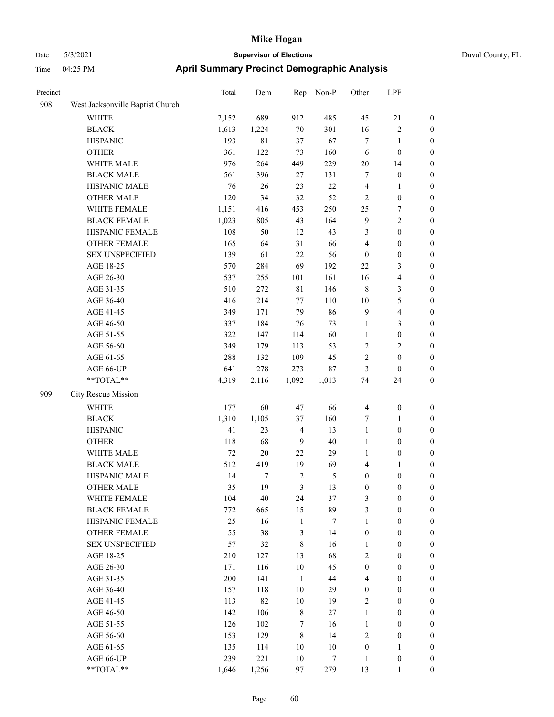|  | Duval |
|--|-------|
|  |       |
|  |       |
|  |       |

| Precinct |                                  | Total  | Dem    | Rep            | Non-P  | Other            | LPF                     |                  |
|----------|----------------------------------|--------|--------|----------------|--------|------------------|-------------------------|------------------|
| 908      | West Jacksonville Baptist Church |        |        |                |        |                  |                         |                  |
|          | <b>WHITE</b>                     | 2,152  | 689    | 912            | 485    | 45               | 21                      | $\boldsymbol{0}$ |
|          | <b>BLACK</b>                     | 1,613  | 1,224  | $70\,$         | 301    | 16               | $\sqrt{2}$              | $\boldsymbol{0}$ |
|          | <b>HISPANIC</b>                  | 193    | 81     | 37             | 67     | 7                | 1                       | $\boldsymbol{0}$ |
|          | <b>OTHER</b>                     | 361    | 122    | 73             | 160    | 6                | $\boldsymbol{0}$        | $\boldsymbol{0}$ |
|          | WHITE MALE                       | 976    | 264    | 449            | 229    | 20               | 14                      | $\boldsymbol{0}$ |
|          | <b>BLACK MALE</b>                | 561    | 396    | 27             | 131    | 7                | $\boldsymbol{0}$        | $\boldsymbol{0}$ |
|          | HISPANIC MALE                    | 76     | 26     | 23             | $22\,$ | $\overline{4}$   | $\mathbf{1}$            | $\boldsymbol{0}$ |
|          | <b>OTHER MALE</b>                | 120    | 34     | 32             | 52     | $\overline{2}$   | $\boldsymbol{0}$        | $\boldsymbol{0}$ |
|          | WHITE FEMALE                     | 1,151  | 416    | 453            | 250    | 25               | 7                       | $\boldsymbol{0}$ |
|          | <b>BLACK FEMALE</b>              | 1,023  | 805    | 43             | 164    | $\overline{9}$   | $\sqrt{2}$              | 0                |
|          | HISPANIC FEMALE                  | 108    | 50     | 12             | 43     | 3                | $\boldsymbol{0}$        | $\boldsymbol{0}$ |
|          | OTHER FEMALE                     | 165    | 64     | 31             | 66     | 4                | $\boldsymbol{0}$        | $\boldsymbol{0}$ |
|          | <b>SEX UNSPECIFIED</b>           | 139    | 61     | 22             | 56     | $\boldsymbol{0}$ | $\boldsymbol{0}$        | $\boldsymbol{0}$ |
|          | AGE 18-25                        | 570    | 284    | 69             | 192    | $22\,$           | $\mathfrak{Z}$          | $\boldsymbol{0}$ |
|          | AGE 26-30                        | 537    | 255    | 101            | 161    | 16               | $\overline{\mathbf{4}}$ | $\boldsymbol{0}$ |
|          | AGE 31-35                        | 510    | 272    | $8\sqrt{1}$    | 146    | $\,$ 8 $\,$      | $\mathfrak{Z}$          | $\boldsymbol{0}$ |
|          | AGE 36-40                        | 416    | 214    | 77             | 110    | 10               | $\mathfrak{S}$          | $\boldsymbol{0}$ |
|          | AGE 41-45                        | 349    | 171    | 79             | 86     | $\overline{9}$   | $\overline{\mathbf{4}}$ | $\boldsymbol{0}$ |
|          | AGE 46-50                        | 337    | 184    | 76             | 73     | $\mathbf{1}$     | $\mathfrak{Z}$          | $\boldsymbol{0}$ |
|          | AGE 51-55                        | 322    | 147    | 114            | 60     | $\mathbf{1}$     | $\boldsymbol{0}$        | 0                |
|          | AGE 56-60                        | 349    | 179    | 113            | 53     | 2                | $\sqrt{2}$              | 0                |
|          | AGE 61-65                        | 288    | 132    | 109            | 45     | $\overline{c}$   | $\boldsymbol{0}$        | $\boldsymbol{0}$ |
|          | AGE 66-UP                        | 641    | 278    | 273            | $87\,$ | 3                | $\boldsymbol{0}$        | $\boldsymbol{0}$ |
|          | $**TOTAL**$                      | 4,319  | 2,116  | 1,092          | 1,013  | 74               | 24                      | $\boldsymbol{0}$ |
| 909      | City Rescue Mission              |        |        |                |        |                  |                         |                  |
|          | <b>WHITE</b>                     | 177    | 60     | $47\,$         | 66     | $\overline{4}$   | $\boldsymbol{0}$        | $\boldsymbol{0}$ |
|          | <b>BLACK</b>                     | 1,310  | 1,105  | 37             | 160    | 7                | $\mathbf{1}$            | $\boldsymbol{0}$ |
|          | <b>HISPANIC</b>                  | 41     | 23     | $\overline{4}$ | 13     | $\mathbf{1}$     | $\boldsymbol{0}$        | $\boldsymbol{0}$ |
|          | <b>OTHER</b>                     | 118    | 68     | 9              | 40     | $\mathbf{1}$     | $\boldsymbol{0}$        | $\boldsymbol{0}$ |
|          | WHITE MALE                       | $72\,$ | $20\,$ | 22             | 29     | $\mathbf{1}$     | $\boldsymbol{0}$        | $\boldsymbol{0}$ |
|          | <b>BLACK MALE</b>                | 512    | 419    | 19             | 69     | 4                | $\mathbf{1}$            | $\boldsymbol{0}$ |
|          | HISPANIC MALE                    | 14     | 7      | $\overline{2}$ | 5      | $\boldsymbol{0}$ | $\boldsymbol{0}$        | 0                |
|          | <b>OTHER MALE</b>                | 35     | 19     | 3              | 13     | $\boldsymbol{0}$ | $\boldsymbol{0}$        | $\boldsymbol{0}$ |
|          | WHITE FEMALE                     | 104    | 40     | 24             | 37     | 3                | $\boldsymbol{0}$        | $\boldsymbol{0}$ |
|          | <b>BLACK FEMALE</b>              | 772    | 665    | 15             | 89     | 3                | $\boldsymbol{0}$        | $\overline{0}$   |
|          | HISPANIC FEMALE                  | 25     | 16     | $\mathbf{1}$   | $\tau$ | $\mathbf{1}$     | $\boldsymbol{0}$        | $\overline{0}$   |
|          | <b>OTHER FEMALE</b>              | 55     | 38     | $\mathfrak{Z}$ | 14     | $\boldsymbol{0}$ | $\boldsymbol{0}$        | $\overline{0}$   |
|          | <b>SEX UNSPECIFIED</b>           | 57     | 32     | $\,8\,$        | 16     | $\mathbf{1}$     | $\boldsymbol{0}$        | $\overline{0}$   |
|          | AGE 18-25                        | 210    | 127    | 13             | 68     | $\overline{c}$   | $\boldsymbol{0}$        | $\overline{0}$   |
|          | AGE 26-30                        | 171    | 116    | $10\,$         | 45     | $\boldsymbol{0}$ | $\boldsymbol{0}$        | 0                |
|          | AGE 31-35                        | 200    | 141    | 11             | 44     | 4                | $\boldsymbol{0}$        | 0                |
|          | AGE 36-40                        | 157    | 118    | 10             | 29     | $\boldsymbol{0}$ | $\boldsymbol{0}$        | 0                |
|          | AGE 41-45                        | 113    | 82     | 10             | 19     | $\sqrt{2}$       | $\boldsymbol{0}$        | 0                |
|          | AGE 46-50                        | 142    | 106    | $\,$ 8 $\,$    | 27     | $\mathbf{1}$     | $\boldsymbol{0}$        | $\overline{0}$   |
|          | AGE 51-55                        | 126    | 102    | $\tau$         | 16     | $\mathbf{1}$     | $\boldsymbol{0}$        | $\boldsymbol{0}$ |
|          | AGE 56-60                        | 153    | 129    | $\,8\,$        | 14     | $\sqrt{2}$       | $\boldsymbol{0}$        | $\boldsymbol{0}$ |
|          | AGE 61-65                        | 135    | 114    | 10             | $10\,$ | $\boldsymbol{0}$ | $\mathbf{1}$            | $\boldsymbol{0}$ |
|          | AGE 66-UP                        | 239    | 221    | 10             | 7      | $\mathbf{1}$     | $\boldsymbol{0}$        | $\boldsymbol{0}$ |
|          | **TOTAL**                        | 1,646  | 1,256  | 97             | 279    | 13               | $\mathbf{1}$            | $\boldsymbol{0}$ |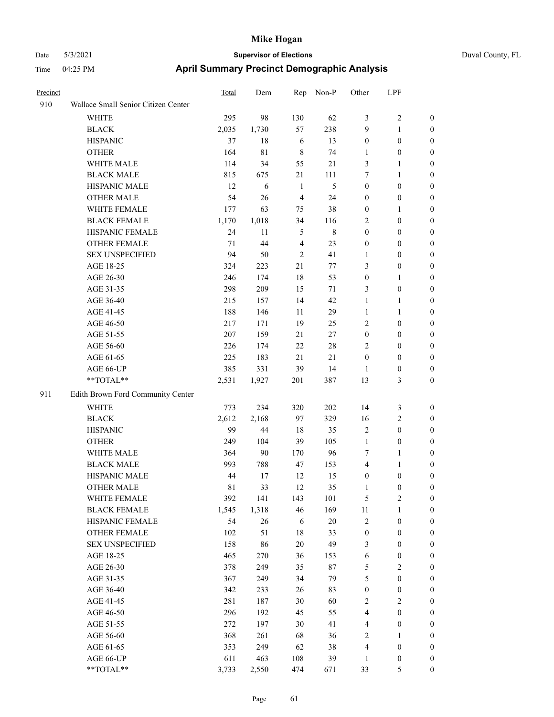| Precinct |                                     | Total       | Dem         | Rep                     | Non-P   | Other            | LPF                     |                  |
|----------|-------------------------------------|-------------|-------------|-------------------------|---------|------------------|-------------------------|------------------|
| 910      | Wallace Small Senior Citizen Center |             |             |                         |         |                  |                         |                  |
|          | <b>WHITE</b>                        | 295         | 98          | 130                     | 62      | $\mathfrak{Z}$   | 2                       | $\boldsymbol{0}$ |
|          | <b>BLACK</b>                        | 2,035       | 1,730       | 57                      | 238     | 9                | 1                       | $\boldsymbol{0}$ |
|          | <b>HISPANIC</b>                     | 37          | 18          | 6                       | 13      | $\boldsymbol{0}$ | $\boldsymbol{0}$        | $\boldsymbol{0}$ |
|          | <b>OTHER</b>                        | 164         | $8\sqrt{1}$ | $\,8\,$                 | 74      | 1                | $\boldsymbol{0}$        | $\boldsymbol{0}$ |
|          | WHITE MALE                          | 114         | 34          | 55                      | 21      | $\mathfrak{Z}$   | 1                       | $\boldsymbol{0}$ |
|          | <b>BLACK MALE</b>                   | 815         | 675         | 21                      | 111     | 7                | 1                       | $\boldsymbol{0}$ |
|          | HISPANIC MALE                       | 12          | 6           | 1                       | 5       | $\boldsymbol{0}$ | $\boldsymbol{0}$        | $\boldsymbol{0}$ |
|          | <b>OTHER MALE</b>                   | 54          | 26          | $\overline{4}$          | 24      | $\boldsymbol{0}$ | $\boldsymbol{0}$        | $\boldsymbol{0}$ |
|          | WHITE FEMALE                        | 177         | 63          | 75                      | 38      | $\boldsymbol{0}$ | 1                       | $\boldsymbol{0}$ |
|          | <b>BLACK FEMALE</b>                 | 1,170       | 1,018       | 34                      | 116     | $\overline{2}$   | $\boldsymbol{0}$        | $\boldsymbol{0}$ |
|          | HISPANIC FEMALE                     | 24          | 11          | $\mathfrak{H}$          | $\,8\,$ | $\boldsymbol{0}$ | $\boldsymbol{0}$        | $\boldsymbol{0}$ |
|          | <b>OTHER FEMALE</b>                 | 71          | 44          | $\overline{\mathbf{4}}$ | 23      | $\boldsymbol{0}$ | $\boldsymbol{0}$        | $\boldsymbol{0}$ |
|          | <b>SEX UNSPECIFIED</b>              | 94          | 50          | $\overline{2}$          | 41      | $\mathbf{1}$     | $\boldsymbol{0}$        | $\boldsymbol{0}$ |
|          | AGE 18-25                           | 324         | 223         | 21                      | 77      | $\mathfrak{Z}$   | $\boldsymbol{0}$        | $\boldsymbol{0}$ |
|          | AGE 26-30                           | 246         | 174         | 18                      | 53      | $\boldsymbol{0}$ | 1                       | $\boldsymbol{0}$ |
|          | AGE 31-35                           | 298         | 209         | 15                      | 71      | 3                | $\boldsymbol{0}$        | $\boldsymbol{0}$ |
|          | AGE 36-40                           | 215         | 157         | 14                      | 42      | 1                | 1                       | $\boldsymbol{0}$ |
|          | AGE 41-45                           | 188         | 146         | 11                      | 29      | 1                | 1                       | $\boldsymbol{0}$ |
|          | AGE 46-50                           | 217         | 171         | 19                      | 25      | $\overline{2}$   | $\boldsymbol{0}$        | $\boldsymbol{0}$ |
|          | AGE 51-55                           | 207         | 159         | 21                      | 27      | $\boldsymbol{0}$ | $\boldsymbol{0}$        | $\boldsymbol{0}$ |
|          | AGE 56-60                           | 226         | 174         | 22                      | 28      | $\overline{2}$   | $\boldsymbol{0}$        | $\boldsymbol{0}$ |
|          | AGE 61-65                           | 225         | 183         | 21                      | 21      | $\boldsymbol{0}$ | $\boldsymbol{0}$        | $\boldsymbol{0}$ |
|          | AGE 66-UP                           | 385         | 331         | 39                      | 14      | 1                | $\boldsymbol{0}$        | $\mathbf{0}$     |
|          | **TOTAL**                           | 2,531       | 1,927       | 201                     | 387     | 13               | 3                       | $\boldsymbol{0}$ |
| 911      | Edith Brown Ford Community Center   |             |             |                         |         |                  |                         |                  |
|          | <b>WHITE</b>                        | 773         | 234         | 320                     | 202     | 14               | 3                       | $\mathbf{0}$     |
|          | <b>BLACK</b>                        | 2,612       | 2,168       | 97                      | 329     | 16               | $\overline{c}$          | $\boldsymbol{0}$ |
|          | <b>HISPANIC</b>                     | 99          | 44          | 18                      | 35      | $\sqrt{2}$       | $\boldsymbol{0}$        | $\boldsymbol{0}$ |
|          | <b>OTHER</b>                        | 249         | 104         | 39                      | 105     | $\mathbf{1}$     | $\boldsymbol{0}$        | $\boldsymbol{0}$ |
|          | WHITE MALE                          | 364         | 90          | 170                     | 96      | $\tau$           | 1                       | $\boldsymbol{0}$ |
|          | <b>BLACK MALE</b>                   | 993         | 788         | 47                      | 153     | $\overline{4}$   | 1                       | $\boldsymbol{0}$ |
|          | HISPANIC MALE                       | 44          | 17          | 12                      | 15      | $\boldsymbol{0}$ | $\boldsymbol{0}$        | $\boldsymbol{0}$ |
|          | <b>OTHER MALE</b>                   | $8\sqrt{1}$ | 33          | 12                      | 35      | $\mathbf{1}$     | $\mathbf{0}$            | $\boldsymbol{0}$ |
|          | WHITE FEMALE                        | 392         | 141         | 143                     | 101     | $\sqrt{5}$       | $\overline{\mathbf{c}}$ | $\boldsymbol{0}$ |
|          | <b>BLACK FEMALE</b>                 | 1,545       | 1,318       | 46                      | 169     | $11\,$           | 1                       | $\boldsymbol{0}$ |
|          | HISPANIC FEMALE                     | 54          | 26          | 6                       | $20\,$  | $\sqrt{2}$       | $\boldsymbol{0}$        | $\boldsymbol{0}$ |
|          | OTHER FEMALE                        | 102         | 51          | $18\,$                  | 33      | $\boldsymbol{0}$ | $\boldsymbol{0}$        | $\boldsymbol{0}$ |
|          | <b>SEX UNSPECIFIED</b>              | 158         | 86          | $20\,$                  | 49      | $\mathfrak{Z}$   | $\boldsymbol{0}$        | $\boldsymbol{0}$ |
|          | AGE 18-25                           | 465         | 270         | 36                      | 153     | 6                | $\boldsymbol{0}$        | $\boldsymbol{0}$ |
|          | AGE 26-30                           | 378         | 249         | 35                      | $87\,$  | $\sqrt{5}$       | $\mathbf{2}$            | $\boldsymbol{0}$ |
|          | AGE 31-35                           | 367         | 249         | 34                      | 79      | $\mathfrak{S}$   | $\boldsymbol{0}$        | $\boldsymbol{0}$ |
|          | AGE 36-40                           | 342         | 233         | 26                      | 83      | $\boldsymbol{0}$ | $\boldsymbol{0}$        | $\boldsymbol{0}$ |
|          | AGE 41-45                           | 281         | 187         | 30                      | 60      | $\sqrt{2}$       | $\overline{\mathbf{c}}$ | $\boldsymbol{0}$ |
|          | AGE 46-50                           | 296         | 192         | 45                      | 55      | $\overline{4}$   | $\boldsymbol{0}$        | $\boldsymbol{0}$ |
|          | AGE 51-55                           | 272         | 197         | 30                      | 41      | $\overline{4}$   | $\boldsymbol{0}$        | $\boldsymbol{0}$ |
|          | AGE 56-60                           | 368         | 261         | 68                      | 36      | $\sqrt{2}$       | 1                       | $\boldsymbol{0}$ |
|          | AGE 61-65                           | 353         | 249         | 62                      | 38      | $\overline{4}$   | $\boldsymbol{0}$        | $\boldsymbol{0}$ |
|          | AGE 66-UP                           | 611         | 463         | 108                     | 39      | 1                | $\boldsymbol{0}$        | $\boldsymbol{0}$ |
|          | **TOTAL**                           | 3,733       | 2,550       | 474                     | 671     | 33               | 5                       | $\boldsymbol{0}$ |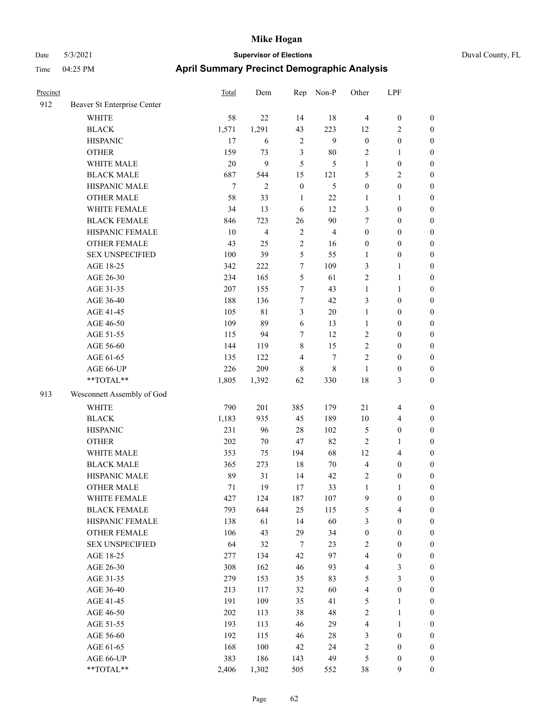| Time     | $04:25$ PM                  | <b>April Summary Precinct Demographic Analysis</b> |     |            |       |       |            |  |  |
|----------|-----------------------------|----------------------------------------------------|-----|------------|-------|-------|------------|--|--|
| Precinct |                             | Total                                              | Dem | Rep        | Non-P | Other | <b>LPF</b> |  |  |
| 912      | Beaver St Enterprise Center |                                                    |     |            |       |       |            |  |  |
|          | WUITE                       |                                                    |     | $1\Lambda$ | 10    |       |            |  |  |

|     | WHITE                      | 58     | 22             | 14               | 18             | $\overline{4}$   | $\boldsymbol{0}$        | $\boldsymbol{0}$ |
|-----|----------------------------|--------|----------------|------------------|----------------|------------------|-------------------------|------------------|
|     | <b>BLACK</b>               | 1,571  | 1,291          | 43               | 223            | 12               | $\mathfrak{2}$          | $\boldsymbol{0}$ |
|     | <b>HISPANIC</b>            | 17     | 6              | $\sqrt{2}$       | 9              | $\boldsymbol{0}$ | $\boldsymbol{0}$        | $\boldsymbol{0}$ |
|     | <b>OTHER</b>               | 159    | 73             | $\mathfrak{Z}$   | $80\,$         | 2                | $\mathbf{1}$            | $\boldsymbol{0}$ |
|     | WHITE MALE                 | 20     | 9              | 5                | 5              | $\mathbf{1}$     | $\boldsymbol{0}$        | $\boldsymbol{0}$ |
|     | <b>BLACK MALE</b>          | 687    | 544            | 15               | 121            | 5                | $\mathfrak{2}$          | 0                |
|     | HISPANIC MALE              | $\tau$ | $\mathfrak{2}$ | $\boldsymbol{0}$ | 5              | $\boldsymbol{0}$ | $\boldsymbol{0}$        | $\boldsymbol{0}$ |
|     | <b>OTHER MALE</b>          | 58     | 33             | 1                | $22\,$         | 1                | $\mathbf{1}$            | 0                |
|     | WHITE FEMALE               | 34     | 13             | 6                | 12             | 3                | $\boldsymbol{0}$        | 0                |
|     | <b>BLACK FEMALE</b>        | 846    | 723            | 26               | $90\,$         | 7                | $\boldsymbol{0}$        | 0                |
|     | HISPANIC FEMALE            | 10     | 4              | $\overline{2}$   | $\overline{4}$ | $\boldsymbol{0}$ | $\boldsymbol{0}$        | $\boldsymbol{0}$ |
|     | <b>OTHER FEMALE</b>        | 43     | 25             | $\sqrt{2}$       | 16             | $\boldsymbol{0}$ | $\boldsymbol{0}$        | $\boldsymbol{0}$ |
|     | <b>SEX UNSPECIFIED</b>     | 100    | 39             | $\mathfrak{S}$   | 55             | 1                | $\boldsymbol{0}$        | $\boldsymbol{0}$ |
|     | AGE 18-25                  | 342    | 222            | $\tau$           | 109            | 3                | $\mathbf{1}$            | $\boldsymbol{0}$ |
|     | AGE 26-30                  | 234    | 165            | $\mathfrak s$    | 61             | $\overline{c}$   | $\mathbf{1}$            | $\boldsymbol{0}$ |
|     | AGE 31-35                  | 207    | 155            | $\tau$           | 43             | $\mathbf{1}$     | $\mathbf{1}$            | $\boldsymbol{0}$ |
|     | AGE 36-40                  | 188    | 136            | $\tau$           | 42             | 3                | $\boldsymbol{0}$        | $\boldsymbol{0}$ |
|     | AGE 41-45                  | 105    | 81             | $\mathfrak{Z}$   | $20\,$         | 1                | $\boldsymbol{0}$        | 0                |
|     | AGE 46-50                  | 109    | 89             | 6                | 13             | $\mathbf{1}$     | $\boldsymbol{0}$        | 0                |
|     | AGE 51-55                  | 115    | 94             | $\tau$           | 12             | 2                | $\boldsymbol{0}$        | 0                |
|     | AGE 56-60                  | 144    | 119            | $\,$ 8 $\,$      | 15             | $\mathbf{2}$     | $\boldsymbol{0}$        | $\boldsymbol{0}$ |
|     | AGE 61-65                  | 135    | 122            | $\overline{4}$   | 7              | 2                | $\boldsymbol{0}$        | $\boldsymbol{0}$ |
|     | AGE 66-UP                  | 226    | 209            | $\,8\,$          | 8              | 1                | $\boldsymbol{0}$        | $\boldsymbol{0}$ |
|     | $**TOTAL**$                | 1,805  | 1,392          | 62               | 330            | 18               | $\mathfrak{Z}$          | $\boldsymbol{0}$ |
| 913 | Wesconnett Assembly of God |        |                |                  |                |                  |                         |                  |
|     | <b>WHITE</b>               | 790    | 201            | 385              | 179            | 21               | $\overline{\mathbf{4}}$ | $\boldsymbol{0}$ |
|     | <b>BLACK</b>               | 1,183  | 935            | 45               | 189            | 10               | $\overline{\mathbf{4}}$ | $\boldsymbol{0}$ |
|     | <b>HISPANIC</b>            | 231    | 96             | 28               | 102            | 5                | $\boldsymbol{0}$        | $\boldsymbol{0}$ |
|     | <b>OTHER</b>               | 202    | $70\,$         | 47               | 82             | $\mathfrak{2}$   | $\mathbf{1}$            | $\boldsymbol{0}$ |
|     | WHITE MALE                 | 353    | 75             | 194              | 68             | 12               | $\overline{\mathbf{4}}$ | 0                |
|     | <b>BLACK MALE</b>          | 365    | 273            | 18               | $70\,$         | $\overline{4}$   | $\boldsymbol{0}$        | 0                |
|     | HISPANIC MALE              | 89     | 31             | 14               | 42             | 2                | $\boldsymbol{0}$        | 0                |
|     | <b>OTHER MALE</b>          | 71     | 19             | $17\,$           | 33             | $\mathbf{1}$     | $\mathbf{1}$            | 0                |
|     | WHITE FEMALE               | 427    | 124            | 187              | 107            | $\mathbf{9}$     | $\boldsymbol{0}$        | $\boldsymbol{0}$ |
|     | <b>BLACK FEMALE</b>        | 793    | 644            | 25               | 115            | 5                | 4                       | $\boldsymbol{0}$ |
|     | HISPANIC FEMALE            | 138    | 61             | 14               | 60             | 3                | $\boldsymbol{0}$        | $\boldsymbol{0}$ |
|     | <b>OTHER FEMALE</b>        | 106    | 43             | 29               | 34             | $\boldsymbol{0}$ | $\boldsymbol{0}$        | $\overline{0}$   |
|     | <b>SEX UNSPECIFIED</b>     | 64     | 32             | $\tau$           | 23             | 2                | $\boldsymbol{0}$        | $\overline{0}$   |
|     | AGE 18-25                  | 277    | 134            | 42               | 97             | $\overline{4}$   | $\boldsymbol{0}$        | 0                |
|     | AGE 26-30                  | 308    | 162            | 46               | 93             | $\overline{4}$   | $\mathfrak{Z}$          | 0                |
|     | AGE 31-35                  | 279    | 153            | 35               | 83             | 5                | $\mathfrak{Z}$          | 0                |
|     | AGE 36-40                  | 213    | 117            | 32               | 60             | $\overline{4}$   | $\boldsymbol{0}$        | 0                |
|     | AGE 41-45                  | 191    | 109            | 35               | 41             | 5                | $\mathbf{1}$            | 0                |
|     | AGE 46-50                  | 202    | 113            | 38               | 48             | 2                | $\mathbf{1}$            | $\boldsymbol{0}$ |
|     | AGE 51-55                  | 193    | 113            | 46               | 29             | $\overline{4}$   | $\mathbf{1}$            | $\boldsymbol{0}$ |
|     | AGE 56-60                  | 192    | 115            | 46               | 28             | 3                | $\boldsymbol{0}$        | $\overline{0}$   |
|     | AGE 61-65                  | 168    | 100            | 42               | 24             | 2                | $\boldsymbol{0}$        | $\overline{0}$   |
|     | AGE 66-UP                  | 383    | 186            | 143              | 49             | 5                | $\boldsymbol{0}$        | $\overline{0}$   |
|     | **TOTAL**                  | 2,406  | 1,302          | 505              | 552            | 38               | $\mathbf{9}$            | $\boldsymbol{0}$ |
|     |                            |        |                |                  |                |                  |                         |                  |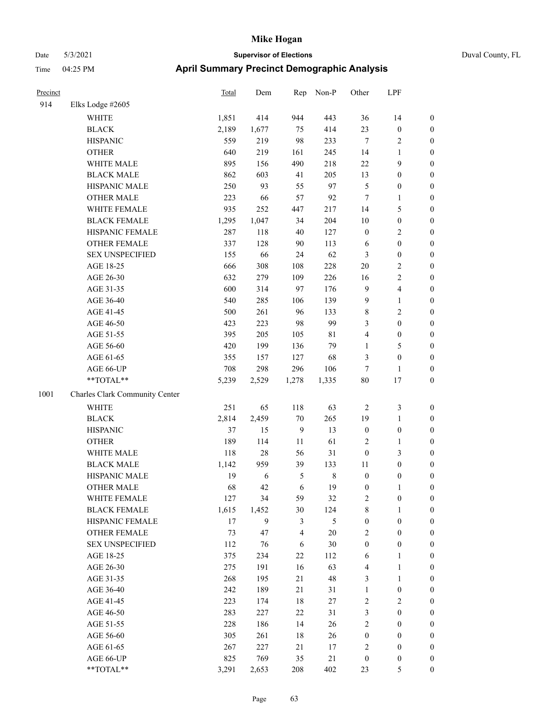| Precinct |                                | Total | Dem    | Rep            | Non-P   | Other            | LPF              |                  |
|----------|--------------------------------|-------|--------|----------------|---------|------------------|------------------|------------------|
| 914      | Elks Lodge #2605               |       |        |                |         |                  |                  |                  |
|          | WHITE                          | 1,851 | 414    | 944            | 443     | 36               | 14               | $\boldsymbol{0}$ |
|          | <b>BLACK</b>                   | 2,189 | 1,677  | 75             | 414     | 23               | $\boldsymbol{0}$ | $\boldsymbol{0}$ |
|          | <b>HISPANIC</b>                | 559   | 219    | 98             | 233     | $\overline{7}$   | 2                | $\boldsymbol{0}$ |
|          | <b>OTHER</b>                   | 640   | 219    | 161            | 245     | 14               | 1                | $\boldsymbol{0}$ |
|          | WHITE MALE                     | 895   | 156    | 490            | 218     | 22               | 9                | $\boldsymbol{0}$ |
|          | <b>BLACK MALE</b>              | 862   | 603    | 41             | 205     | 13               | $\boldsymbol{0}$ | $\boldsymbol{0}$ |
|          | HISPANIC MALE                  | 250   | 93     | 55             | 97      | $\mathfrak{S}$   | $\boldsymbol{0}$ | $\boldsymbol{0}$ |
|          | <b>OTHER MALE</b>              | 223   | 66     | 57             | 92      | $\tau$           | 1                | $\boldsymbol{0}$ |
|          | WHITE FEMALE                   | 935   | 252    | 447            | 217     | 14               | 5                | $\boldsymbol{0}$ |
|          | <b>BLACK FEMALE</b>            | 1,295 | 1,047  | 34             | 204     | 10               | $\boldsymbol{0}$ | $\boldsymbol{0}$ |
|          | HISPANIC FEMALE                | 287   | 118    | 40             | 127     | $\boldsymbol{0}$ | 2                | $\boldsymbol{0}$ |
|          | <b>OTHER FEMALE</b>            | 337   | 128    | 90             | 113     | 6                | $\boldsymbol{0}$ | $\boldsymbol{0}$ |
|          | <b>SEX UNSPECIFIED</b>         | 155   | 66     | 24             | 62      | $\mathfrak{Z}$   | $\boldsymbol{0}$ | $\boldsymbol{0}$ |
|          | AGE 18-25                      | 666   | 308    | 108            | 228     | 20               | 2                | $\boldsymbol{0}$ |
|          | AGE 26-30                      | 632   | 279    | 109            | 226     | 16               | 2                | $\boldsymbol{0}$ |
|          | AGE 31-35                      | 600   | 314    | 97             | 176     | 9                | 4                | $\boldsymbol{0}$ |
|          | AGE 36-40                      | 540   | 285    | 106            | 139     | 9                | 1                | $\boldsymbol{0}$ |
|          | AGE 41-45                      | 500   | 261    | 96             | 133     | $\,$ 8 $\,$      | 2                | $\boldsymbol{0}$ |
|          | AGE 46-50                      | 423   | 223    | 98             | 99      | 3                | $\boldsymbol{0}$ | $\boldsymbol{0}$ |
|          | AGE 51-55                      | 395   | 205    | 105            | 81      | $\overline{4}$   | $\boldsymbol{0}$ | $\boldsymbol{0}$ |
|          | AGE 56-60                      | 420   | 199    | 136            | 79      | 1                | 5                | $\boldsymbol{0}$ |
|          | AGE 61-65                      | 355   | 157    | 127            | 68      | 3                | $\boldsymbol{0}$ | $\boldsymbol{0}$ |
|          | AGE 66-UP                      | 708   | 298    | 296            | 106     | $\tau$           | 1                | $\boldsymbol{0}$ |
|          | **TOTAL**                      | 5,239 | 2,529  | 1,278          | 1,335   | 80               | 17               | $\boldsymbol{0}$ |
| 1001     | Charles Clark Community Center |       |        |                |         |                  |                  |                  |
|          | <b>WHITE</b>                   | 251   | 65     | 118            | 63      | $\overline{2}$   | 3                | $\boldsymbol{0}$ |
|          | <b>BLACK</b>                   | 2,814 | 2,459  | 70             | 265     | 19               | $\mathbf{1}$     | $\boldsymbol{0}$ |
|          | <b>HISPANIC</b>                | 37    | 15     | $\overline{9}$ | 13      | $\boldsymbol{0}$ | $\boldsymbol{0}$ | $\boldsymbol{0}$ |
|          | <b>OTHER</b>                   | 189   | 114    | 11             | 61      | $\sqrt{2}$       | 1                | $\boldsymbol{0}$ |
|          | WHITE MALE                     | 118   | $28\,$ | 56             | 31      | $\boldsymbol{0}$ | 3                | $\boldsymbol{0}$ |
|          | <b>BLACK MALE</b>              | 1,142 | 959    | 39             | 133     | 11               | $\boldsymbol{0}$ | $\boldsymbol{0}$ |
|          | HISPANIC MALE                  | 19    | 6      | 5              | $\,8\,$ | $\boldsymbol{0}$ | $\boldsymbol{0}$ | $\boldsymbol{0}$ |
|          | <b>OTHER MALE</b>              | 68    | 42     | 6              | 19      | $\boldsymbol{0}$ | 1                | $\boldsymbol{0}$ |
|          | WHITE FEMALE                   | 127   | 34     | 59             | 32      | $\overline{c}$   | $\boldsymbol{0}$ | $\boldsymbol{0}$ |
|          | <b>BLACK FEMALE</b>            | 1,615 | 1,452  | 30             | 124     | $\,$ 8 $\,$      | 1                | $\boldsymbol{0}$ |
|          | HISPANIC FEMALE                | 17    | 9      | 3              | 5       | $\boldsymbol{0}$ | $\boldsymbol{0}$ | $\boldsymbol{0}$ |
|          | <b>OTHER FEMALE</b>            | 73    | 47     | 4              | $20\,$  | $\overline{2}$   | $\boldsymbol{0}$ | $\boldsymbol{0}$ |
|          | <b>SEX UNSPECIFIED</b>         | 112   | 76     | 6              | 30      | $\boldsymbol{0}$ | $\boldsymbol{0}$ | $\boldsymbol{0}$ |
|          | AGE 18-25                      | 375   | 234    | $22\,$         | 112     | 6                | 1                | $\boldsymbol{0}$ |
|          | AGE 26-30                      | 275   | 191    | 16             | 63      | $\overline{4}$   | 1                | $\boldsymbol{0}$ |
|          | AGE 31-35                      | 268   | 195    | 21             | 48      | 3                | 1                | $\boldsymbol{0}$ |
|          | AGE 36-40                      | 242   | 189    | 21             | 31      | $\mathbf{1}$     | $\boldsymbol{0}$ | $\boldsymbol{0}$ |
|          | AGE 41-45                      | 223   | 174    | $18\,$         | $27\,$  | $\sqrt{2}$       | $\sqrt{2}$       | $\boldsymbol{0}$ |
|          | AGE 46-50                      | 283   | 227    | $22\,$         | 31      | $\mathfrak{Z}$   | $\boldsymbol{0}$ | $\boldsymbol{0}$ |
|          | AGE 51-55                      | 228   | 186    | 14             | $26\,$  | $\sqrt{2}$       | $\boldsymbol{0}$ | $\boldsymbol{0}$ |
|          | AGE 56-60                      | 305   | 261    | 18             | 26      | $\boldsymbol{0}$ | $\boldsymbol{0}$ | $\boldsymbol{0}$ |
|          | AGE 61-65                      | 267   | 227    | $21\,$         | 17      | $\overline{2}$   | $\boldsymbol{0}$ | $\boldsymbol{0}$ |
|          | AGE 66-UP                      | 825   | 769    | 35             | 21      | $\boldsymbol{0}$ | 0                | $\boldsymbol{0}$ |
|          | $**TOTAL**$                    | 3,291 | 2,653  | 208            | 402     | 23               | 5                | $\overline{0}$   |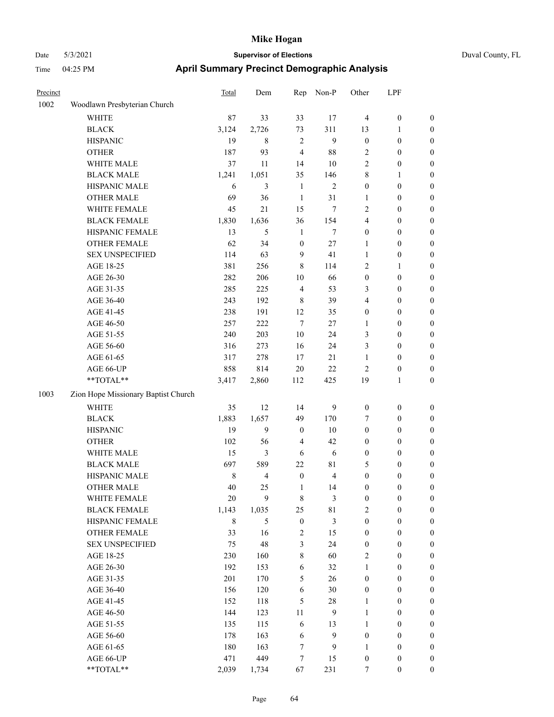| Duval Cou |  |
|-----------|--|
|           |  |

| Precinct |                                     | Total       | Dem            | Rep              | Non-P                   | Other            | LPF              |                  |
|----------|-------------------------------------|-------------|----------------|------------------|-------------------------|------------------|------------------|------------------|
| 1002     | Woodlawn Presbyterian Church        |             |                |                  |                         |                  |                  |                  |
|          | WHITE                               | 87          | 33             | 33               | 17                      | $\overline{4}$   | $\boldsymbol{0}$ | $\boldsymbol{0}$ |
|          | <b>BLACK</b>                        | 3,124       | 2,726          | 73               | 311                     | 13               | $\mathbf{1}$     | $\boldsymbol{0}$ |
|          | <b>HISPANIC</b>                     | 19          | 8              | $\sqrt{2}$       | $\overline{9}$          | $\boldsymbol{0}$ | $\boldsymbol{0}$ | 0                |
|          | <b>OTHER</b>                        | 187         | 93             | $\overline{4}$   | $88\,$                  | 2                | $\boldsymbol{0}$ | 0                |
|          | WHITE MALE                          | 37          | 11             | 14               | $10\,$                  | $\mathbf{2}$     | $\boldsymbol{0}$ | $\boldsymbol{0}$ |
|          | <b>BLACK MALE</b>                   | 1,241       | 1,051          | 35               | 146                     | 8                | 1                | $\boldsymbol{0}$ |
|          | HISPANIC MALE                       | 6           | 3              | $\mathbf{1}$     | $\sqrt{2}$              | $\boldsymbol{0}$ | $\boldsymbol{0}$ | $\boldsymbol{0}$ |
|          | <b>OTHER MALE</b>                   | 69          | 36             | $\mathbf{1}$     | 31                      | $\mathbf{1}$     | $\boldsymbol{0}$ | $\boldsymbol{0}$ |
|          | WHITE FEMALE                        | 45          | 21             | 15               | $\tau$                  | 2                | $\boldsymbol{0}$ | $\boldsymbol{0}$ |
|          | <b>BLACK FEMALE</b>                 | 1,830       | 1,636          | 36               | 154                     | 4                | $\boldsymbol{0}$ | $\boldsymbol{0}$ |
|          | HISPANIC FEMALE                     | 13          | 5              | $\mathbf{1}$     | $\tau$                  | $\boldsymbol{0}$ | $\boldsymbol{0}$ | $\boldsymbol{0}$ |
|          | OTHER FEMALE                        | 62          | 34             | $\boldsymbol{0}$ | 27                      | 1                | $\boldsymbol{0}$ | $\boldsymbol{0}$ |
|          | <b>SEX UNSPECIFIED</b>              | 114         | 63             | 9                | 41                      | 1                | $\boldsymbol{0}$ | 0                |
|          | AGE 18-25                           | 381         | 256            | 8                | 114                     | 2                | $\mathbf{1}$     | 0                |
|          | AGE 26-30                           | 282         | 206            | 10               | 66                      | $\boldsymbol{0}$ | $\boldsymbol{0}$ | $\boldsymbol{0}$ |
|          | AGE 31-35                           | 285         | 225            | $\overline{4}$   | 53                      | 3                | $\boldsymbol{0}$ | $\boldsymbol{0}$ |
|          | AGE 36-40                           | 243         | 192            | 8                | 39                      | 4                | $\boldsymbol{0}$ | $\boldsymbol{0}$ |
|          | AGE 41-45                           | 238         | 191            | 12               | 35                      | $\boldsymbol{0}$ | $\boldsymbol{0}$ | $\boldsymbol{0}$ |
|          | AGE 46-50                           | 257         | 222            | $\tau$           | 27                      | $\mathbf{1}$     | $\boldsymbol{0}$ | $\boldsymbol{0}$ |
|          | AGE 51-55                           | 240         | 203            | 10               | 24                      | 3                | $\boldsymbol{0}$ | $\boldsymbol{0}$ |
|          | AGE 56-60                           | 316         | 273            | 16               | 24                      | 3                | $\boldsymbol{0}$ | $\boldsymbol{0}$ |
|          | AGE 61-65                           | 317         | 278            | 17               | 21                      | $\mathbf{1}$     | $\boldsymbol{0}$ | 0                |
|          | AGE 66-UP                           | 858         | 814            | 20               | $22\,$                  | $\overline{c}$   | $\boldsymbol{0}$ | 0                |
|          | **TOTAL**                           | 3,417       | 2,860          | 112              | 425                     | 19               | $\mathbf{1}$     | $\boldsymbol{0}$ |
| 1003     | Zion Hope Missionary Baptist Church |             |                |                  |                         |                  |                  |                  |
|          | <b>WHITE</b>                        | 35          | 12             | 14               | 9                       | $\boldsymbol{0}$ | $\boldsymbol{0}$ | 0                |
|          | <b>BLACK</b>                        | 1,883       | 1,657          | 49               | 170                     | 7                | $\boldsymbol{0}$ | $\boldsymbol{0}$ |
|          | <b>HISPANIC</b>                     | 19          | 9              | $\boldsymbol{0}$ | 10                      | $\boldsymbol{0}$ | $\boldsymbol{0}$ | $\boldsymbol{0}$ |
|          | <b>OTHER</b>                        | 102         | 56             | $\overline{4}$   | 42                      | 0                | $\boldsymbol{0}$ | $\boldsymbol{0}$ |
|          | WHITE MALE                          | 15          | 3              | 6                | 6                       | $\boldsymbol{0}$ | $\boldsymbol{0}$ | $\boldsymbol{0}$ |
|          | <b>BLACK MALE</b>                   | 697         | 589            | 22               | 81                      | 5                | $\boldsymbol{0}$ | $\boldsymbol{0}$ |
|          | HISPANIC MALE                       | $\,$ 8 $\,$ | $\overline{4}$ | $\boldsymbol{0}$ | $\overline{\mathbf{4}}$ | $\boldsymbol{0}$ | $\boldsymbol{0}$ | $\boldsymbol{0}$ |
|          | <b>OTHER MALE</b>                   | 40          | 25             | 1                | 14                      | $\boldsymbol{0}$ | $\boldsymbol{0}$ | $\boldsymbol{0}$ |
|          | WHITE FEMALE                        | $20\,$      | 9              | $\,$ 8 $\,$      | $\mathfrak{Z}$          | $\boldsymbol{0}$ | $\boldsymbol{0}$ | 0                |
|          | <b>BLACK FEMALE</b>                 | 1,143       | 1,035          | 25               | 81                      | $\mathbf{2}$     | $\boldsymbol{0}$ | 0                |
|          | HISPANIC FEMALE                     | $\,8\,$     | 5              | $\boldsymbol{0}$ | $\mathfrak{Z}$          | $\boldsymbol{0}$ | $\boldsymbol{0}$ | 0                |
|          | OTHER FEMALE                        | 33          | 16             | $\sqrt{2}$       | 15                      | $\boldsymbol{0}$ | $\boldsymbol{0}$ | $\overline{0}$   |
|          | <b>SEX UNSPECIFIED</b>              | 75          | 48             | $\mathfrak{Z}$   | 24                      | $\boldsymbol{0}$ | $\boldsymbol{0}$ | $\overline{0}$   |
|          | AGE 18-25                           | 230         | 160            | 8                | 60                      | $\overline{c}$   | $\boldsymbol{0}$ | $\overline{0}$   |
|          | AGE 26-30                           | 192         | 153            | 6                | 32                      | $\mathbf{1}$     | $\boldsymbol{0}$ | $\overline{0}$   |
|          | AGE 31-35                           | 201         | 170            | 5                | 26                      | $\boldsymbol{0}$ | $\boldsymbol{0}$ | $\overline{0}$   |
|          | AGE 36-40                           | 156         | 120            | 6                | 30                      | $\boldsymbol{0}$ | $\boldsymbol{0}$ | $\overline{0}$   |
|          | AGE 41-45                           | 152         | 118            | 5                | $28\,$                  | $\mathbf{1}$     | $\boldsymbol{0}$ | $\overline{0}$   |
|          | AGE 46-50                           | 144         | 123            | 11               | $\boldsymbol{9}$        | $\mathbf{1}$     | $\boldsymbol{0}$ | 0                |
|          | AGE 51-55                           | 135         | 115            | 6                | 13                      | $\mathbf{1}$     | $\boldsymbol{0}$ | 0                |
|          | AGE 56-60                           | 178         | 163            | 6                | $\overline{9}$          | $\boldsymbol{0}$ | $\boldsymbol{0}$ | $\boldsymbol{0}$ |
|          | AGE 61-65                           | 180         | 163            | $\boldsymbol{7}$ | 9                       | $\mathbf{1}$     | $\boldsymbol{0}$ | $\overline{0}$   |
|          | AGE 66-UP                           | 471         | 449            | $\boldsymbol{7}$ | 15                      | $\boldsymbol{0}$ | $\boldsymbol{0}$ | $\boldsymbol{0}$ |
|          | **TOTAL**                           | 2,039       | 1,734          | 67               | 231                     | $\tau$           | $\boldsymbol{0}$ | $\overline{0}$   |
|          |                                     |             |                |                  |                         |                  |                  |                  |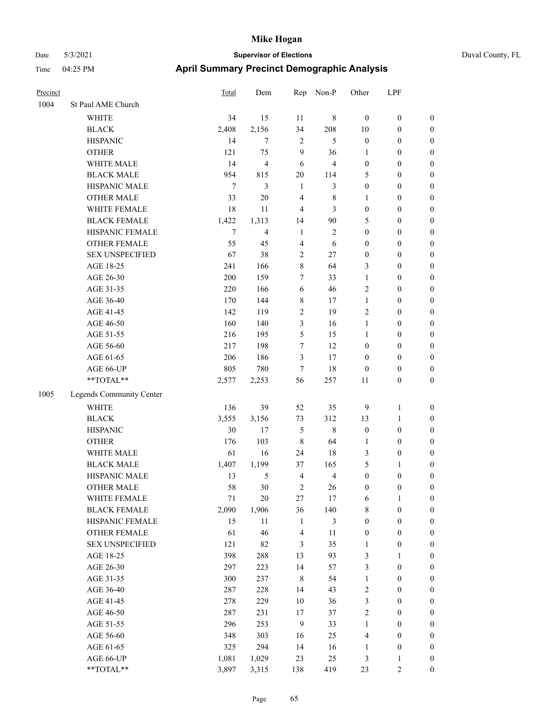| Duval County, FL |  |
|------------------|--|
|                  |  |

| Precinct |                          | Total  | Dem            | Rep            | Non-P          | Other            | LPF              |                  |
|----------|--------------------------|--------|----------------|----------------|----------------|------------------|------------------|------------------|
| 1004     | St Paul AME Church       |        |                |                |                |                  |                  |                  |
|          | WHITE                    | 34     | 15             | 11             | 8              | $\boldsymbol{0}$ | $\boldsymbol{0}$ | $\boldsymbol{0}$ |
|          | <b>BLACK</b>             | 2,408  | 2,156          | 34             | 208            | 10               | $\boldsymbol{0}$ | $\boldsymbol{0}$ |
|          | <b>HISPANIC</b>          | 14     | 7              | $\overline{2}$ | 5              | $\boldsymbol{0}$ | $\boldsymbol{0}$ | $\boldsymbol{0}$ |
|          | <b>OTHER</b>             | 121    | 75             | 9              | 36             | 1                | $\boldsymbol{0}$ | 0                |
|          | WHITE MALE               | 14     | $\overline{4}$ | 6              | $\overline{4}$ | $\boldsymbol{0}$ | $\boldsymbol{0}$ | $\boldsymbol{0}$ |
|          | <b>BLACK MALE</b>        | 954    | 815            | $20\,$         | 114            | 5                | $\boldsymbol{0}$ | $\boldsymbol{0}$ |
|          | HISPANIC MALE            | 7      | 3              | $\mathbf{1}$   | 3              | $\boldsymbol{0}$ | $\boldsymbol{0}$ | $\boldsymbol{0}$ |
|          | <b>OTHER MALE</b>        | 33     | $20\,$         | $\overline{4}$ | $\,$ 8 $\,$    | 1                | $\boldsymbol{0}$ | $\boldsymbol{0}$ |
|          | WHITE FEMALE             | 18     | 11             | $\overline{4}$ | 3              | $\boldsymbol{0}$ | $\boldsymbol{0}$ | $\boldsymbol{0}$ |
|          | <b>BLACK FEMALE</b>      | 1,422  | 1,313          | 14             | 90             | 5                | $\boldsymbol{0}$ | $\boldsymbol{0}$ |
|          | HISPANIC FEMALE          | $\tau$ | 4              | $\mathbf{1}$   | $\mathbf{2}$   | $\boldsymbol{0}$ | $\boldsymbol{0}$ | $\boldsymbol{0}$ |
|          | OTHER FEMALE             | 55     | 45             | $\overline{4}$ | 6              | $\boldsymbol{0}$ | $\boldsymbol{0}$ | $\boldsymbol{0}$ |
|          | <b>SEX UNSPECIFIED</b>   | 67     | 38             | $\sqrt{2}$     | 27             | $\boldsymbol{0}$ | $\boldsymbol{0}$ | $\boldsymbol{0}$ |
|          | AGE 18-25                | 241    | 166            | $\,8\,$        | 64             | 3                | $\boldsymbol{0}$ | 0                |
|          | AGE 26-30                | 200    | 159            | 7              | 33             | $\mathbf{1}$     | $\boldsymbol{0}$ | 0                |
|          | AGE 31-35                | 220    | 166            | 6              | 46             | $\mathfrak{2}$   | $\boldsymbol{0}$ | $\boldsymbol{0}$ |
|          | AGE 36-40                | 170    | 144            | $\,$ 8 $\,$    | 17             | 1                | $\boldsymbol{0}$ | $\boldsymbol{0}$ |
|          | AGE 41-45                | 142    | 119            | $\sqrt{2}$     | 19             | $\overline{c}$   | $\boldsymbol{0}$ | $\boldsymbol{0}$ |
|          | AGE 46-50                | 160    | 140            | 3              | 16             | $\mathbf{1}$     | $\boldsymbol{0}$ | $\boldsymbol{0}$ |
|          | AGE 51-55                | 216    | 195            | 5              | 15             | $\mathbf{1}$     | $\boldsymbol{0}$ | $\boldsymbol{0}$ |
|          | AGE 56-60                | 217    | 198            | $\tau$         | 12             | $\boldsymbol{0}$ | $\boldsymbol{0}$ | $\boldsymbol{0}$ |
|          | AGE 61-65                | 206    | 186            | $\mathfrak{Z}$ | 17             | $\boldsymbol{0}$ | $\boldsymbol{0}$ | $\boldsymbol{0}$ |
|          | AGE 66-UP                | 805    | 780            | 7              | 18             | $\boldsymbol{0}$ | $\boldsymbol{0}$ | $\boldsymbol{0}$ |
|          | $**TOTAL**$              | 2,577  | 2,253          | 56             | 257            | 11               | $\boldsymbol{0}$ | 0                |
| 1005     | Legends Community Center |        |                |                |                |                  |                  |                  |
|          | <b>WHITE</b>             | 136    | 39             | 52             | 35             | 9                | $\mathbf{1}$     | 0                |
|          | <b>BLACK</b>             | 3,555  | 3,156          | 73             | 312            | 13               | $\mathbf{1}$     | 0                |
|          | <b>HISPANIC</b>          | 30     | 17             | 5              | 8              | $\boldsymbol{0}$ | $\boldsymbol{0}$ | 0                |
|          | <b>OTHER</b>             | 176    | 103            | $\,8\,$        | 64             | 1                | $\boldsymbol{0}$ | $\boldsymbol{0}$ |
|          | WHITE MALE               | 61     | 16             | 24             | 18             | 3                | $\boldsymbol{0}$ | $\boldsymbol{0}$ |
|          | <b>BLACK MALE</b>        | 1,407  | 1,199          | 37             | 165            | 5                | $\mathbf{1}$     | $\boldsymbol{0}$ |
|          | HISPANIC MALE            | 13     | 5              | $\overline{4}$ | $\overline{4}$ | $\boldsymbol{0}$ | $\boldsymbol{0}$ | $\boldsymbol{0}$ |
|          | <b>OTHER MALE</b>        | 58     | 30             | $\overline{c}$ | 26             | $\boldsymbol{0}$ | $\boldsymbol{0}$ | $\boldsymbol{0}$ |
|          | WHITE FEMALE             | $71\,$ | $20\,$         | $27\,$         | 17             | 6                | $\mathbf{1}$     | $\boldsymbol{0}$ |
|          | <b>BLACK FEMALE</b>      | 2,090  | 1,906          | 36             | 140            | 8                | $\boldsymbol{0}$ | 0                |
|          | HISPANIC FEMALE          | 15     | 11             | $\mathbf{1}$   | $\mathfrak{Z}$ | $\boldsymbol{0}$ | $\boldsymbol{0}$ | 0                |
|          | OTHER FEMALE             | 61     | 46             | $\overline{4}$ | 11             | $\boldsymbol{0}$ | $\boldsymbol{0}$ | 0                |
|          | <b>SEX UNSPECIFIED</b>   | 121    | 82             | 3              | 35             | $\mathbf{1}$     | $\boldsymbol{0}$ | 0                |
|          | AGE 18-25                | 398    | 288            | 13             | 93             | 3                | $\mathbf{1}$     | $\boldsymbol{0}$ |
|          | AGE 26-30                | 297    | 223            | 14             | 57             | 3                | $\boldsymbol{0}$ | $\overline{0}$   |
|          | AGE 31-35                | 300    | 237            | $\,$ 8 $\,$    | 54             | $\mathbf{1}$     | $\boldsymbol{0}$ | 0                |
|          | AGE 36-40                | 287    | 228            | 14             | 43             | $\overline{c}$   | $\boldsymbol{0}$ | $\overline{0}$   |
|          | AGE 41-45                | 278    | 229            | 10             | 36             | 3                | $\boldsymbol{0}$ | $\overline{0}$   |
|          | AGE 46-50                | 287    | 231            | 17             | 37             | $\sqrt{2}$       | $\boldsymbol{0}$ | $\boldsymbol{0}$ |
|          | AGE 51-55                | 296    | 253            | $\mathbf{9}$   | 33             | $\mathbf{1}$     | $\boldsymbol{0}$ | 0                |
|          | AGE 56-60                | 348    | 303            | 16             | 25             | $\overline{4}$   | $\boldsymbol{0}$ | 0                |
|          | AGE 61-65                | 325    | 294            | 14             | 16             | $\mathbf{1}$     | $\boldsymbol{0}$ | 0                |
|          | AGE 66-UP                | 1,081  | 1,029          | 23             | 25             | 3                | $\mathbf{1}$     | 0                |
|          | $**TOTAL**$              | 3,897  | 3,315          | 138            | 419            | 23               | $\sqrt{2}$       | $\overline{0}$   |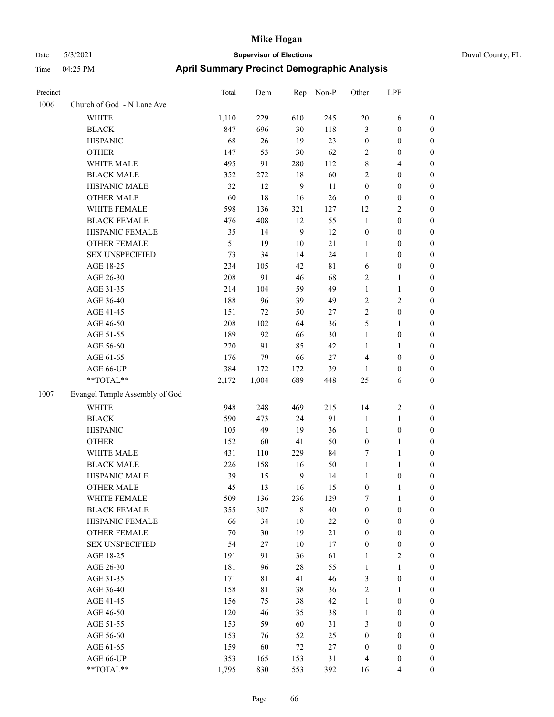| Precinct |                                | <b>Total</b> | Dem   | Rep            | Non-P  | Other            | LPF              |                  |
|----------|--------------------------------|--------------|-------|----------------|--------|------------------|------------------|------------------|
| 1006     | Church of God - N Lane Ave     |              |       |                |        |                  |                  |                  |
|          | WHITE                          | 1,110        | 229   | 610            | 245    | 20               | 6                | $\boldsymbol{0}$ |
|          | <b>BLACK</b>                   | 847          | 696   | $30\,$         | 118    | $\mathfrak{Z}$   | $\boldsymbol{0}$ | $\boldsymbol{0}$ |
|          | <b>HISPANIC</b>                | 68           | 26    | 19             | 23     | $\boldsymbol{0}$ | $\boldsymbol{0}$ | $\boldsymbol{0}$ |
|          | <b>OTHER</b>                   | 147          | 53    | 30             | 62     | $\sqrt{2}$       | $\boldsymbol{0}$ | $\boldsymbol{0}$ |
|          | WHITE MALE                     | 495          | 91    | 280            | 112    | $\,$ 8 $\,$      | 4                | $\boldsymbol{0}$ |
|          | <b>BLACK MALE</b>              | 352          | 272   | $18\,$         | 60     | $\overline{2}$   | $\boldsymbol{0}$ | $\boldsymbol{0}$ |
|          | HISPANIC MALE                  | 32           | 12    | 9              | 11     | $\boldsymbol{0}$ | $\boldsymbol{0}$ | $\boldsymbol{0}$ |
|          | <b>OTHER MALE</b>              | 60           | 18    | 16             | 26     | $\boldsymbol{0}$ | $\boldsymbol{0}$ | $\boldsymbol{0}$ |
|          | WHITE FEMALE                   | 598          | 136   | 321            | 127    | 12               | 2                | $\boldsymbol{0}$ |
|          | <b>BLACK FEMALE</b>            | 476          | 408   | 12             | 55     | $\mathbf{1}$     | $\boldsymbol{0}$ | $\boldsymbol{0}$ |
|          | HISPANIC FEMALE                | 35           | 14    | 9              | 12     | $\boldsymbol{0}$ | $\boldsymbol{0}$ | $\boldsymbol{0}$ |
|          | <b>OTHER FEMALE</b>            | 51           | 19    | $10\,$         | 21     | 1                | $\boldsymbol{0}$ | $\boldsymbol{0}$ |
|          | <b>SEX UNSPECIFIED</b>         | 73           | 34    | 14             | 24     | $\mathbf{1}$     | $\boldsymbol{0}$ | $\boldsymbol{0}$ |
|          | AGE 18-25                      | 234          | 105   | 42             | 81     | 6                | $\boldsymbol{0}$ | $\boldsymbol{0}$ |
|          | AGE 26-30                      | 208          | 91    | 46             | 68     | $\sqrt{2}$       | 1                | $\boldsymbol{0}$ |
|          | AGE 31-35                      | 214          | 104   | 59             | 49     | $\mathbf{1}$     | 1                | $\boldsymbol{0}$ |
|          | AGE 36-40                      | 188          | 96    | 39             | 49     | $\sqrt{2}$       | 2                | $\boldsymbol{0}$ |
|          | AGE 41-45                      | 151          | 72    | 50             | 27     | $\overline{2}$   | $\boldsymbol{0}$ | $\boldsymbol{0}$ |
|          | AGE 46-50                      | 208          | 102   | 64             | 36     | 5                | 1                | $\boldsymbol{0}$ |
|          | AGE 51-55                      | 189          | 92    | 66             | $30\,$ | $\mathbf{1}$     | $\boldsymbol{0}$ | $\boldsymbol{0}$ |
|          | AGE 56-60                      | 220          | 91    | 85             | 42     | 1                | 1                | $\boldsymbol{0}$ |
|          | AGE 61-65                      | 176          | 79    | 66             | 27     | $\overline{4}$   | $\boldsymbol{0}$ | $\boldsymbol{0}$ |
|          | AGE 66-UP                      | 384          | 172   | 172            | 39     | $\mathbf{1}$     | $\boldsymbol{0}$ | $\boldsymbol{0}$ |
|          | **TOTAL**                      | 2,172        | 1,004 | 689            | 448    | 25               | 6                | $\boldsymbol{0}$ |
| 1007     | Evangel Temple Assembly of God |              |       |                |        |                  |                  |                  |
|          | <b>WHITE</b>                   | 948          | 248   | 469            | 215    | 14               | 2                | $\boldsymbol{0}$ |
|          | <b>BLACK</b>                   | 590          | 473   | 24             | 91     | $\mathbf{1}$     | $\mathbf{1}$     | $\boldsymbol{0}$ |
|          | <b>HISPANIC</b>                | 105          | 49    | 19             | 36     | $\mathbf{1}$     | $\boldsymbol{0}$ | $\boldsymbol{0}$ |
|          | <b>OTHER</b>                   | 152          | 60    | 41             | 50     | $\boldsymbol{0}$ | 1                | $\boldsymbol{0}$ |
|          | WHITE MALE                     | 431          | 110   | 229            | 84     | $\tau$           | 1                | $\boldsymbol{0}$ |
|          | <b>BLACK MALE</b>              | 226          | 158   | 16             | 50     | $\mathbf{1}$     | 1                | $\boldsymbol{0}$ |
|          | HISPANIC MALE                  | 39           | 15    | $\overline{9}$ | 14     | $\mathbf{1}$     | $\boldsymbol{0}$ | $\boldsymbol{0}$ |
|          | <b>OTHER MALE</b>              | 45           | 13    | 16             | 15     | $\boldsymbol{0}$ | 1                | $\boldsymbol{0}$ |
|          | WHITE FEMALE                   | 509          | 136   | 236            | 129    | $\tau$           | $\mathbf{1}$     | $\mathbf{0}$     |
|          | <b>BLACK FEMALE</b>            | 355          | 307   | $\,$ 8 $\,$    | $40\,$ | $\boldsymbol{0}$ | $\boldsymbol{0}$ | $\boldsymbol{0}$ |
|          | HISPANIC FEMALE                | 66           | 34    | 10             | $22\,$ | $\boldsymbol{0}$ | $\boldsymbol{0}$ | $\boldsymbol{0}$ |
|          | OTHER FEMALE                   | $70\,$       | 30    | 19             | 21     | $\boldsymbol{0}$ | $\boldsymbol{0}$ | $\boldsymbol{0}$ |
|          | <b>SEX UNSPECIFIED</b>         | 54           | 27    | 10             | 17     | $\boldsymbol{0}$ | $\boldsymbol{0}$ | $\boldsymbol{0}$ |
|          | AGE 18-25                      | 191          | 91    | 36             | 61     | $\mathbf{1}$     | $\mathbf{2}$     | $\boldsymbol{0}$ |
|          | AGE 26-30                      | 181          | 96    | $28\,$         | 55     | $\mathbf{1}$     | $\mathbf{1}$     | $\boldsymbol{0}$ |
|          | AGE 31-35                      | 171          | 81    | 41             | 46     | $\mathfrak{Z}$   | $\boldsymbol{0}$ | $\boldsymbol{0}$ |
|          | AGE 36-40                      | 158          | 81    | 38             | 36     | $\sqrt{2}$       | 1                | $\boldsymbol{0}$ |
|          | AGE 41-45                      | 156          | 75    | 38             | 42     | $\mathbf{1}$     | $\boldsymbol{0}$ | $\boldsymbol{0}$ |
|          | AGE 46-50                      | 120          | 46    | 35             | 38     | $\mathbf{1}$     | $\boldsymbol{0}$ | $\boldsymbol{0}$ |
|          | AGE 51-55                      | 153          | 59    | 60             | 31     | $\mathfrak{Z}$   | $\boldsymbol{0}$ | $\boldsymbol{0}$ |
|          | AGE 56-60                      | 153          | 76    | 52             | $25\,$ | $\boldsymbol{0}$ | $\boldsymbol{0}$ | $\boldsymbol{0}$ |
|          | AGE 61-65                      | 159          | 60    | 72             | $27\,$ | $\boldsymbol{0}$ | $\boldsymbol{0}$ | $\boldsymbol{0}$ |
|          | AGE 66-UP                      | 353          | 165   | 153            | 31     | $\overline{4}$   | $\boldsymbol{0}$ | $\bf{0}$         |
|          | **TOTAL**                      | 1,795        | 830   | 553            | 392    | 16               | 4                | $\mathbf{0}$     |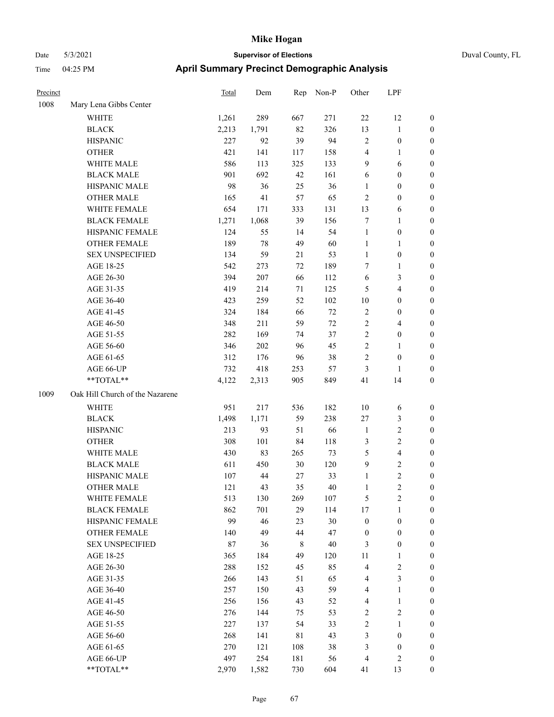| Duval County, FL |  |
|------------------|--|
|                  |  |

| Precinct |                                 | Total | Dem   | Rep         | Non-P  | Other            | LPF                     |                  |
|----------|---------------------------------|-------|-------|-------------|--------|------------------|-------------------------|------------------|
| 1008     | Mary Lena Gibbs Center          |       |       |             |        |                  |                         |                  |
|          | WHITE                           | 1,261 | 289   | 667         | 271    | 22               | 12                      | $\boldsymbol{0}$ |
|          | <b>BLACK</b>                    | 2,213 | 1,791 | 82          | 326    | 13               | $\mathbf{1}$            | $\boldsymbol{0}$ |
|          | <b>HISPANIC</b>                 | 227   | 92    | 39          | 94     | $\overline{c}$   | $\boldsymbol{0}$        | 0                |
|          | <b>OTHER</b>                    | 421   | 141   | 117         | 158    | 4                | $\mathbf{1}$            | 0                |
|          | WHITE MALE                      | 586   | 113   | 325         | 133    | 9                | 6                       | 0                |
|          | <b>BLACK MALE</b>               | 901   | 692   | 42          | 161    | 6                | $\boldsymbol{0}$        | $\boldsymbol{0}$ |
|          | HISPANIC MALE                   | 98    | 36    | 25          | 36     | 1                | $\boldsymbol{0}$        | $\boldsymbol{0}$ |
|          | <b>OTHER MALE</b>               | 165   | 41    | 57          | 65     | $\overline{c}$   | $\boldsymbol{0}$        | $\boldsymbol{0}$ |
|          | WHITE FEMALE                    | 654   | 171   | 333         | 131    | 13               | 6                       | $\boldsymbol{0}$ |
|          | <b>BLACK FEMALE</b>             | 1,271 | 1,068 | 39          | 156    | 7                | $\mathbf{1}$            | $\boldsymbol{0}$ |
|          | HISPANIC FEMALE                 | 124   | 55    | 14          | 54     | $\mathbf{1}$     | $\boldsymbol{0}$        | $\boldsymbol{0}$ |
|          | <b>OTHER FEMALE</b>             | 189   | 78    | 49          | 60     | $\mathbf{1}$     | $\mathbf{1}$            | $\boldsymbol{0}$ |
|          | <b>SEX UNSPECIFIED</b>          | 134   | 59    | 21          | 53     | $\mathbf{1}$     | $\boldsymbol{0}$        | 0                |
|          | AGE 18-25                       | 542   | 273   | 72          | 189    | 7                | $\mathbf{1}$            | 0                |
|          | AGE 26-30                       | 394   | 207   | 66          | 112    | 6                | $\mathfrak{Z}$          | 0                |
|          | AGE 31-35                       | 419   | 214   | 71          | 125    | 5                | $\overline{4}$          | $\boldsymbol{0}$ |
|          | AGE 36-40                       | 423   | 259   | 52          | 102    | 10               | $\boldsymbol{0}$        | $\boldsymbol{0}$ |
|          | AGE 41-45                       | 324   | 184   | 66          | $72\,$ | $\overline{c}$   | $\boldsymbol{0}$        | $\boldsymbol{0}$ |
|          | AGE 46-50                       | 348   | 211   | 59          | $72\,$ | $\overline{c}$   | $\overline{4}$          | $\boldsymbol{0}$ |
|          | AGE 51-55                       | 282   | 169   | 74          | 37     | $\overline{c}$   | $\boldsymbol{0}$        | $\boldsymbol{0}$ |
|          | AGE 56-60                       | 346   | 202   | 96          | 45     | $\mathfrak{2}$   | $\mathbf{1}$            | $\boldsymbol{0}$ |
|          | AGE 61-65                       | 312   | 176   | 96          | 38     | $\overline{c}$   | $\boldsymbol{0}$        | 0                |
|          | AGE 66-UP                       | 732   | 418   | 253         | 57     | 3                | 1                       | 0                |
|          | **TOTAL**                       | 4,122 | 2,313 | 905         | 849    | 41               | 14                      | 0                |
| 1009     | Oak Hill Church of the Nazarene |       |       |             |        |                  |                         |                  |
|          | WHITE                           | 951   | 217   | 536         | 182    | 10               | 6                       | 0                |
|          | <b>BLACK</b>                    | 1,498 | 1,171 | 59          | 238    | $27\,$           | $\mathfrak{Z}$          | 0                |
|          | <b>HISPANIC</b>                 | 213   | 93    | 51          | 66     | $\mathbf{1}$     | $\sqrt{2}$              | 0                |
|          | <b>OTHER</b>                    | 308   | 101   | 84          | 118    | 3                | $\sqrt{2}$              | $\boldsymbol{0}$ |
|          | WHITE MALE                      | 430   | 83    | 265         | 73     | 5                | $\overline{\mathbf{4}}$ | $\boldsymbol{0}$ |
|          | <b>BLACK MALE</b>               | 611   | 450   | 30          | 120    | 9                | $\mathfrak{2}$          | $\boldsymbol{0}$ |
|          | HISPANIC MALE                   | 107   | 44    | 27          | 33     | $\mathbf{1}$     | $\sqrt{2}$              | $\boldsymbol{0}$ |
|          | <b>OTHER MALE</b>               | 121   | 43    | 35          | 40     | $\mathbf{1}$     | $\overline{c}$          | $\boldsymbol{0}$ |
|          | WHITE FEMALE                    | 513   | 130   | 269         | 107    | 5                | $\sqrt{2}$              | 0                |
|          | <b>BLACK FEMALE</b>             | 862   | 701   | 29          | 114    | $17\,$           | $\mathbf{1}$            | 0                |
|          | HISPANIC FEMALE                 | 99    | 46    | 23          | 30     | $\boldsymbol{0}$ | $\boldsymbol{0}$        | 0                |
|          | <b>OTHER FEMALE</b>             | 140   | 49    | 44          | 47     | $\boldsymbol{0}$ | $\boldsymbol{0}$        | 0                |
|          | <b>SEX UNSPECIFIED</b>          | 87    | 36    | 8           | $40\,$ | 3                | $\boldsymbol{0}$        | 0                |
|          | AGE 18-25                       | 365   | 184   | 49          | 120    | 11               | $\mathbf{1}$            | 0                |
|          | AGE 26-30                       | 288   | 152   | 45          | 85     | 4                | $\sqrt{2}$              | 0                |
|          | AGE 31-35                       | 266   | 143   | 51          | 65     | 4                | $\mathfrak{Z}$          | 0                |
|          | AGE 36-40                       | 257   | 150   | 43          | 59     | 4                | $\mathbf{1}$            | 0                |
|          | AGE 41-45                       | 256   | 156   | 43          | 52     | 4                | $\mathbf{1}$            | 0                |
|          | AGE 46-50                       | 276   | 144   | 75          | 53     | $\sqrt{2}$       | $\sqrt{2}$              | 0                |
|          | AGE 51-55                       | 227   | 137   | 54          | 33     | $\sqrt{2}$       | $\mathbf{1}$            | 0                |
|          | AGE 56-60                       | 268   | 141   | $8\sqrt{1}$ | 43     | 3                | $\boldsymbol{0}$        | 0                |
|          | AGE 61-65                       | 270   | 121   | 108         | 38     | 3                | $\boldsymbol{0}$        | 0                |
|          | AGE 66-UP                       | 497   | 254   | 181         | 56     | $\overline{4}$   | $\overline{c}$          | 0                |
|          | $**TOTAL**$                     | 2,970 | 1,582 | 730         | 604    | 41               | 13                      | $\boldsymbol{0}$ |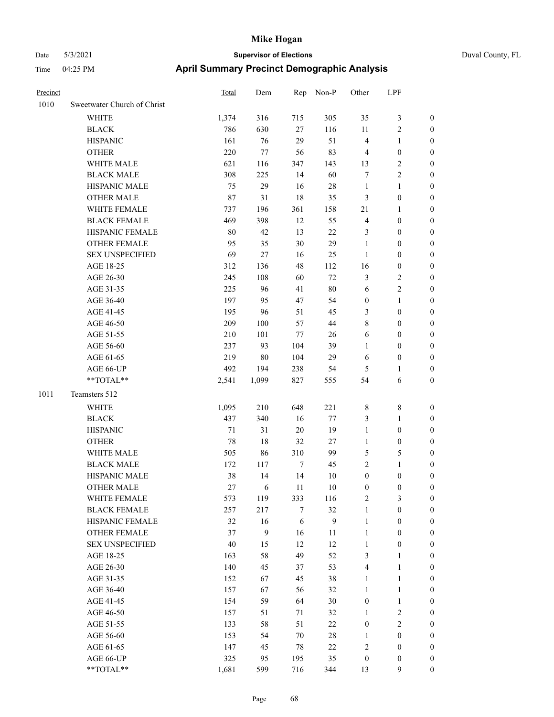| Precinct |                             | <b>Total</b> | Dem    | Rep    | Non-P        | Other            | LPF              |                  |
|----------|-----------------------------|--------------|--------|--------|--------------|------------------|------------------|------------------|
| 1010     | Sweetwater Church of Christ |              |        |        |              |                  |                  |                  |
|          | WHITE                       | 1,374        | 316    | 715    | 305          | 35               | $\mathfrak{Z}$   | $\boldsymbol{0}$ |
|          | <b>BLACK</b>                | 786          | 630    | 27     | 116          | 11               | $\sqrt{2}$       | $\boldsymbol{0}$ |
|          | <b>HISPANIC</b>             | 161          | 76     | 29     | 51           | $\overline{4}$   | $\mathbf{1}$     | 0                |
|          | <b>OTHER</b>                | 220          | 77     | 56     | 83           | $\overline{4}$   | $\boldsymbol{0}$ | 0                |
|          | WHITE MALE                  | 621          | 116    | 347    | 143          | 13               | $\sqrt{2}$       | 0                |
|          | <b>BLACK MALE</b>           | 308          | 225    | 14     | 60           | 7                | $\sqrt{2}$       | $\boldsymbol{0}$ |
|          | HISPANIC MALE               | 75           | 29     | 16     | $28\,$       | $\mathbf{1}$     | $\mathbf{1}$     | $\boldsymbol{0}$ |
|          | <b>OTHER MALE</b>           | 87           | 31     | 18     | 35           | 3                | $\boldsymbol{0}$ | $\boldsymbol{0}$ |
|          | WHITE FEMALE                | 737          | 196    | 361    | 158          | 21               | $\mathbf{1}$     | $\boldsymbol{0}$ |
|          | <b>BLACK FEMALE</b>         | 469          | 398    | 12     | 55           | $\overline{4}$   | $\boldsymbol{0}$ | $\boldsymbol{0}$ |
|          | HISPANIC FEMALE             | 80           | 42     | 13     | $22\,$       | 3                | $\boldsymbol{0}$ | $\boldsymbol{0}$ |
|          | <b>OTHER FEMALE</b>         | 95           | 35     | $30\,$ | 29           | $\mathbf{1}$     | $\boldsymbol{0}$ | $\boldsymbol{0}$ |
|          | <b>SEX UNSPECIFIED</b>      | 69           | 27     | 16     | 25           | $\mathbf{1}$     | $\boldsymbol{0}$ | 0                |
|          | AGE 18-25                   | 312          | 136    | 48     | 112          | 16               | $\boldsymbol{0}$ | 0                |
|          | AGE 26-30                   | 245          | 108    | 60     | $72\,$       | 3                | $\sqrt{2}$       | 0                |
|          | AGE 31-35                   | 225          | 96     | 41     | $80\,$       | 6                | $\sqrt{2}$       | 0                |
|          | AGE 36-40                   | 197          | 95     | $47\,$ | 54           | $\boldsymbol{0}$ | $\mathbf{1}$     | $\boldsymbol{0}$ |
|          | AGE 41-45                   | 195          | 96     | 51     | 45           | 3                | $\boldsymbol{0}$ | $\boldsymbol{0}$ |
|          | AGE 46-50                   | 209          | 100    | 57     | 44           | 8                | $\boldsymbol{0}$ | $\boldsymbol{0}$ |
|          | AGE 51-55                   | 210          | 101    | 77     | 26           | 6                | $\boldsymbol{0}$ | $\boldsymbol{0}$ |
|          | AGE 56-60                   | 237          | 93     | 104    | 39           | $\mathbf{1}$     | $\boldsymbol{0}$ | $\boldsymbol{0}$ |
|          | AGE 61-65                   | 219          | $80\,$ | 104    | 29           | 6                | $\boldsymbol{0}$ | 0                |
|          | AGE 66-UP                   | 492          | 194    | 238    | 54           | 5                | $\mathbf{1}$     | 0                |
|          | **TOTAL**                   | 2,541        | 1,099  | 827    | 555          | 54               | 6                | 0                |
| 1011     | Teamsters 512               |              |        |        |              |                  |                  |                  |
|          | WHITE                       | 1,095        | 210    | 648    | 221          | 8                | $\,$ 8 $\,$      | 0                |
|          | <b>BLACK</b>                | 437          | 340    | 16     | $77\,$       | 3                | $\mathbf{1}$     | $\boldsymbol{0}$ |
|          | <b>HISPANIC</b>             | 71           | 31     | $20\,$ | 19           | $\mathbf{1}$     | $\boldsymbol{0}$ | 0                |
|          | <b>OTHER</b>                | 78           | 18     | 32     | 27           | $\mathbf{1}$     | $\boldsymbol{0}$ | $\boldsymbol{0}$ |
|          | WHITE MALE                  | 505          | 86     | 310    | 99           | 5                | 5                | $\boldsymbol{0}$ |
|          | <b>BLACK MALE</b>           | 172          | 117    | $\tau$ | 45           | $\sqrt{2}$       | $\mathbf{1}$     | $\boldsymbol{0}$ |
|          | HISPANIC MALE               | 38           | 14     | 14     | 10           | $\boldsymbol{0}$ | $\boldsymbol{0}$ | 0                |
|          | <b>OTHER MALE</b>           | 27           | 6      | 11     | 10           | $\boldsymbol{0}$ | $\boldsymbol{0}$ | $\boldsymbol{0}$ |
|          | WHITE FEMALE                | 573          | 119    | 333    | 116          | $\mathfrak{2}$   | $\mathfrak{Z}$   | 0                |
|          | <b>BLACK FEMALE</b>         | 257          | 217    | 7      | 32           | $\mathbf{1}$     | $\boldsymbol{0}$ | 0                |
|          | HISPANIC FEMALE             | 32           | 16     | 6      | $\mathbf{9}$ | $\mathbf{1}$     | $\boldsymbol{0}$ | 0                |
|          | OTHER FEMALE                | 37           | 9      | 16     | 11           | $\mathbf{1}$     | $\boldsymbol{0}$ | 0                |
|          | <b>SEX UNSPECIFIED</b>      | 40           | 15     | 12     | 12           | $\mathbf{1}$     | $\boldsymbol{0}$ | $\overline{0}$   |
|          | AGE 18-25                   | 163          | 58     | 49     | 52           | 3                | $\mathbf{1}$     | $\boldsymbol{0}$ |
|          | AGE 26-30                   | 140          | 45     | 37     | 53           | $\overline{4}$   | $\mathbf{1}$     | 0                |
|          | AGE 31-35                   | 152          | 67     | 45     | 38           | $\mathbf{1}$     | $\mathbf{1}$     | 0                |
|          | AGE 36-40                   | 157          | 67     | 56     | 32           | $\mathbf{1}$     | $\mathbf{1}$     | $\overline{0}$   |
|          | AGE 41-45                   | 154          | 59     | 64     | $30\,$       | $\boldsymbol{0}$ | $\mathbf{1}$     | $\overline{0}$   |
|          | AGE 46-50                   | 157          | 51     | 71     | 32           | $\mathbf{1}$     | $\sqrt{2}$       | 0                |
|          | AGE 51-55                   | 133          | 58     | 51     | $22\,$       | $\boldsymbol{0}$ | $\sqrt{2}$       | 0                |
|          | AGE 56-60                   | 153          | 54     | $70\,$ | $28\,$       | $\mathbf{1}$     | $\boldsymbol{0}$ | 0                |
|          | AGE 61-65                   | 147          | 45     | $78\,$ | $22\,$       | $\sqrt{2}$       | $\boldsymbol{0}$ | $\boldsymbol{0}$ |
|          | AGE 66-UP                   | 325          | 95     | 195    | 35           | $\boldsymbol{0}$ | $\boldsymbol{0}$ | 0                |
|          | **TOTAL**                   | 1,681        | 599    | 716    | 344          | 13               | 9                | $\boldsymbol{0}$ |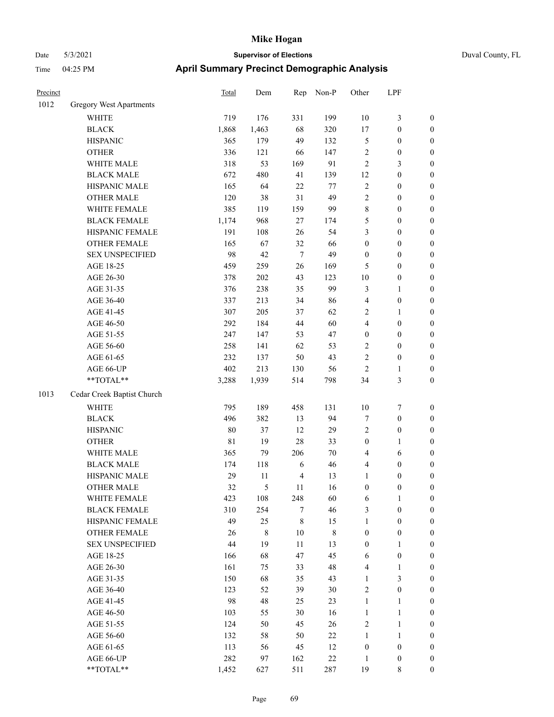Precinct Total Dem Rep Non-P Other LPF

# Date 5/3/2021 **Supervisor of Elections** Duval County, FL Time 04:25 PM **April Summary Precinct Demographic Analysis**

| 1012 | <b>Gregory West Apartments</b> |             |             |                  |             |                         |                  |                  |
|------|--------------------------------|-------------|-------------|------------------|-------------|-------------------------|------------------|------------------|
|      | <b>WHITE</b>                   | 719         | 176         | 331              | 199         | $10\,$                  | $\mathfrak{Z}$   | $\boldsymbol{0}$ |
|      | <b>BLACK</b>                   | 1,868       | 1,463       | 68               | 320         | 17                      | $\boldsymbol{0}$ | $\boldsymbol{0}$ |
|      | <b>HISPANIC</b>                | 365         | 179         | 49               | 132         | $\mathfrak s$           | $\boldsymbol{0}$ | $\boldsymbol{0}$ |
|      | <b>OTHER</b>                   | 336         | 121         | 66               | 147         | $\sqrt{2}$              | $\boldsymbol{0}$ | $\boldsymbol{0}$ |
|      | WHITE MALE                     | 318         | 53          | 169              | 91          | $\sqrt{2}$              | $\mathfrak{Z}$   | $\boldsymbol{0}$ |
|      | <b>BLACK MALE</b>              | 672         | 480         | 41               | 139         | 12                      | $\boldsymbol{0}$ | $\boldsymbol{0}$ |
|      | HISPANIC MALE                  | 165         | 64          | $22\,$           | 77          | $\sqrt{2}$              | $\boldsymbol{0}$ | $\boldsymbol{0}$ |
|      | <b>OTHER MALE</b>              | 120         | 38          | 31               | 49          | $\sqrt{2}$              | $\boldsymbol{0}$ | $\boldsymbol{0}$ |
|      | WHITE FEMALE                   | 385         | 119         | 159              | 99          | 8                       | $\boldsymbol{0}$ | $\boldsymbol{0}$ |
|      | <b>BLACK FEMALE</b>            | 1,174       | 968         | 27               | 174         | 5                       | $\boldsymbol{0}$ | $\boldsymbol{0}$ |
|      | HISPANIC FEMALE                | 191         | 108         | 26               | 54          | 3                       | $\boldsymbol{0}$ | $\boldsymbol{0}$ |
|      | OTHER FEMALE                   | 165         | 67          | 32               | 66          | $\boldsymbol{0}$        | $\boldsymbol{0}$ | $\boldsymbol{0}$ |
|      | <b>SEX UNSPECIFIED</b>         | 98          | 42          | $\tau$           | 49          | $\boldsymbol{0}$        | $\boldsymbol{0}$ | $\boldsymbol{0}$ |
|      | AGE 18-25                      | 459         | 259         | 26               | 169         | 5                       | $\boldsymbol{0}$ | $\boldsymbol{0}$ |
|      | AGE 26-30                      | 378         | $202\,$     | 43               | 123         | $10\,$                  | $\boldsymbol{0}$ | $\boldsymbol{0}$ |
|      | AGE 31-35                      | 376         | 238         | 35               | 99          | $\mathfrak{Z}$          | 1                | 0                |
|      | AGE 36-40                      | 337         | 213         | 34               | 86          | $\overline{4}$          | $\boldsymbol{0}$ | 0                |
|      | AGE 41-45                      | 307         | 205         | 37               | 62          | $\overline{2}$          | $\mathbf{1}$     | $\boldsymbol{0}$ |
|      | AGE 46-50                      | 292         | 184         | 44               | 60          | $\overline{\mathbf{4}}$ | $\boldsymbol{0}$ | $\boldsymbol{0}$ |
|      | AGE 51-55                      | 247         | 147         | 53               | 47          | $\boldsymbol{0}$        | $\boldsymbol{0}$ | $\boldsymbol{0}$ |
|      | AGE 56-60                      | 258         | 141         | 62               | 53          | 2                       | $\boldsymbol{0}$ | $\boldsymbol{0}$ |
|      | AGE 61-65                      | 232         | 137         | 50               | 43          | $\sqrt{2}$              | $\boldsymbol{0}$ | $\boldsymbol{0}$ |
|      | AGE 66-UP                      | 402         | 213         | 130              | 56          | $\mathfrak{2}$          | $\mathbf{1}$     | $\boldsymbol{0}$ |
|      | **TOTAL**                      | 3,288       | 1,939       | 514              | 798         | 34                      | $\mathfrak{Z}$   | $\boldsymbol{0}$ |
| 1013 | Cedar Creek Baptist Church     |             |             |                  |             |                         |                  |                  |
|      | <b>WHITE</b>                   | 795         | 189         | 458              | 131         | $10\,$                  | $\boldsymbol{7}$ | $\boldsymbol{0}$ |
|      | <b>BLACK</b>                   | 496         | 382         | 13               | 94          | 7                       | $\boldsymbol{0}$ | $\boldsymbol{0}$ |
|      | <b>HISPANIC</b>                | 80          | 37          | 12               | 29          | $\sqrt{2}$              | $\boldsymbol{0}$ | 0                |
|      | <b>OTHER</b>                   | $8\sqrt{1}$ | 19          | $28\,$           | 33          | $\boldsymbol{0}$        | 1                | 0                |
|      | WHITE MALE                     | 365         | 79          | 206              | 70          | $\overline{4}$          | 6                | $\boldsymbol{0}$ |
|      | <b>BLACK MALE</b>              | 174         | 118         | 6                | 46          | 4                       | $\boldsymbol{0}$ | $\boldsymbol{0}$ |
|      | HISPANIC MALE                  | 29          | 11          | $\overline{4}$   | 13          | $\mathbf{1}$            | $\boldsymbol{0}$ | $\boldsymbol{0}$ |
|      | <b>OTHER MALE</b>              | 32          | 5           | 11               | 16          | $\boldsymbol{0}$        | 0                | $\boldsymbol{0}$ |
|      | WHITE FEMALE                   | 423         | 108         | 248              | 60          | 6                       | $\mathbf{1}$     | $\boldsymbol{0}$ |
|      | <b>BLACK FEMALE</b>            | 310         | 254         | $\boldsymbol{7}$ | 46          | $\mathfrak{Z}$          | $\boldsymbol{0}$ | 0                |
|      | HISPANIC FEMALE                | 49          | 25          | $\,8\,$          | 15          | $\mathbf{1}$            | $\boldsymbol{0}$ | 0                |
|      | OTHER FEMALE                   | 26          | $\,8\,$     | $10\,$           | $\,$ 8 $\,$ | $\boldsymbol{0}$        | $\boldsymbol{0}$ | 0                |
|      | <b>SEX UNSPECIFIED</b>         | 44          | 19          | $11\,$           | 13          | $\boldsymbol{0}$        | $\mathbf{1}$     | 0                |
|      | AGE 18-25                      | 166         | 68          | 47               | 45          | 6                       | $\boldsymbol{0}$ | 0                |
|      | AGE 26-30                      | 161         | 75          | 33               | 48          | $\overline{4}$          | $\mathbf{1}$     | 0                |
|      | AGE 31-35                      | 150         | 68          | 35               | 43          | $\mathbf{1}$            | 3                | 0                |
|      | AGE 36-40                      | 123         | 52          | 39               | 30          | $\sqrt{2}$              | $\boldsymbol{0}$ | 0                |
|      | AGE 41-45                      | 98          | $\sqrt{48}$ | 25               | 23          | $\mathbf{1}$            | $\mathbf{1}$     | 0                |
|      | AGE 46-50                      | 103         | 55          | 30               | 16          | $\mathbf{1}$            | $\mathbf{1}$     | 0                |
|      | AGE 51-55                      | 124         | 50          | 45               | 26          | $\sqrt{2}$              | $\mathbf{1}$     | 0                |
|      | AGE 56-60                      | 132         | 58          | 50               | 22          | $\mathbf{1}$            | $\mathbf{1}$     | $\overline{0}$   |
|      | AGE 61-65                      | 113         | 56          | 45               | 12          | $\boldsymbol{0}$        | $\boldsymbol{0}$ | 0                |
|      | AGE 66-UP                      | 282         | 97          | 162              | $22\,$      | 1                       | $\boldsymbol{0}$ | $\boldsymbol{0}$ |
|      |                                |             |             |                  |             |                         |                  |                  |

\*\*TOTAL\*\* 1,452 627 511 287 19 8 0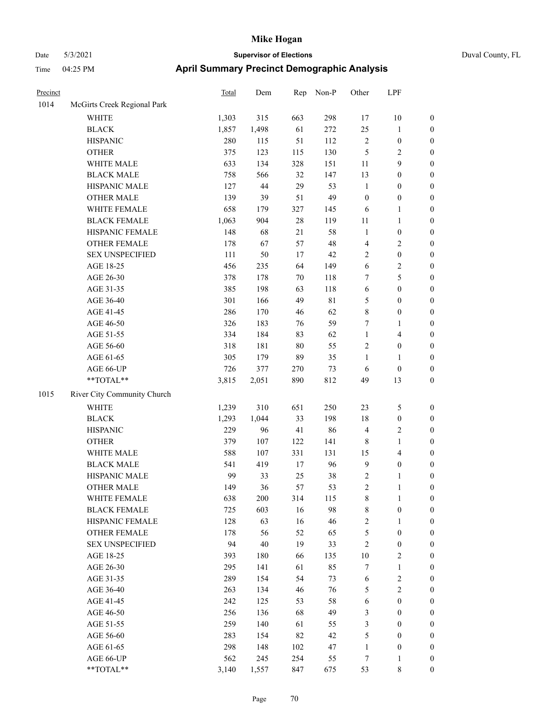| Precinct |                             | <b>Total</b> | Dem    | Rep    | Non-P       | Other                   | LPF                     |                  |
|----------|-----------------------------|--------------|--------|--------|-------------|-------------------------|-------------------------|------------------|
| 1014     | McGirts Creek Regional Park |              |        |        |             |                         |                         |                  |
|          | WHITE                       | 1,303        | 315    | 663    | 298         | 17                      | $10\,$                  | $\boldsymbol{0}$ |
|          | <b>BLACK</b>                | 1,857        | 1,498  | 61     | 272         | 25                      | $\mathbf{1}$            | $\boldsymbol{0}$ |
|          | <b>HISPANIC</b>             | 280          | 115    | 51     | 112         | 2                       | $\boldsymbol{0}$        | $\boldsymbol{0}$ |
|          | <b>OTHER</b>                | 375          | 123    | 115    | 130         | 5                       | $\sqrt{2}$              | $\boldsymbol{0}$ |
|          | WHITE MALE                  | 633          | 134    | 328    | 151         | 11                      | 9                       | $\boldsymbol{0}$ |
|          | <b>BLACK MALE</b>           | 758          | 566    | 32     | 147         | 13                      | $\boldsymbol{0}$        | $\boldsymbol{0}$ |
|          | HISPANIC MALE               | 127          | 44     | 29     | 53          | $\mathbf{1}$            | $\boldsymbol{0}$        | $\boldsymbol{0}$ |
|          | <b>OTHER MALE</b>           | 139          | 39     | 51     | 49          | $\boldsymbol{0}$        | $\boldsymbol{0}$        | $\boldsymbol{0}$ |
|          | WHITE FEMALE                | 658          | 179    | 327    | 145         | 6                       | 1                       | $\boldsymbol{0}$ |
|          | <b>BLACK FEMALE</b>         | 1,063        | 904    | $28\,$ | 119         | 11                      | $\mathbf{1}$            | 0                |
|          | HISPANIC FEMALE             | 148          | 68     | 21     | 58          | $\mathbf{1}$            | $\boldsymbol{0}$        | 0                |
|          | OTHER FEMALE                | 178          | 67     | 57     | 48          | $\overline{4}$          | $\sqrt{2}$              | $\boldsymbol{0}$ |
|          | <b>SEX UNSPECIFIED</b>      | 111          | 50     | 17     | 42          | 2                       | $\boldsymbol{0}$        | $\boldsymbol{0}$ |
|          | AGE 18-25                   | 456          | 235    | 64     | 149         | 6                       | $\sqrt{2}$              | $\boldsymbol{0}$ |
|          | AGE 26-30                   | 378          | 178    | 70     | 118         | 7                       | 5                       | $\boldsymbol{0}$ |
|          | AGE 31-35                   | 385          | 198    | 63     | 118         | 6                       | $\boldsymbol{0}$        | $\boldsymbol{0}$ |
|          | AGE 36-40                   | 301          | 166    | 49     | $8\sqrt{1}$ | 5                       | $\boldsymbol{0}$        | $\boldsymbol{0}$ |
|          | AGE 41-45                   | 286          | 170    | 46     | 62          | $\,$ $\,$               | $\boldsymbol{0}$        | $\boldsymbol{0}$ |
|          | AGE 46-50                   | 326          | 183    | 76     | 59          | 7                       | $\mathbf{1}$            | $\boldsymbol{0}$ |
|          | AGE 51-55                   | 334          | 184    | 83     | 62          | $\mathbf{1}$            | $\overline{\mathbf{4}}$ | 0                |
|          | AGE 56-60                   | 318          | 181    | $80\,$ | 55          | $\sqrt{2}$              | $\boldsymbol{0}$        | 0                |
|          | AGE 61-65                   | 305          | 179    | 89     | 35          | $\mathbf{1}$            | $\mathbf{1}$            | $\boldsymbol{0}$ |
|          | AGE 66-UP                   | 726          | 377    | 270    | 73          | 6                       | $\boldsymbol{0}$        | $\boldsymbol{0}$ |
|          | **TOTAL**                   | 3,815        | 2,051  | 890    | 812         | 49                      | 13                      | $\boldsymbol{0}$ |
| 1015     | River City Community Church |              |        |        |             |                         |                         |                  |
|          | <b>WHITE</b>                | 1,239        | 310    | 651    | 250         | 23                      | 5                       | $\boldsymbol{0}$ |
|          | <b>BLACK</b>                | 1,293        | 1,044  | 33     | 198         | 18                      | $\boldsymbol{0}$        | $\boldsymbol{0}$ |
|          | <b>HISPANIC</b>             | 229          | 96     | 41     | 86          | $\overline{4}$          | $\sqrt{2}$              | $\boldsymbol{0}$ |
|          | <b>OTHER</b>                | 379          | 107    | 122    | 141         | $\,$ 8 $\,$             | $\mathbf{1}$            | $\boldsymbol{0}$ |
|          | WHITE MALE                  | 588          | 107    | 331    | 131         | 15                      | $\overline{\mathbf{4}}$ | $\boldsymbol{0}$ |
|          | <b>BLACK MALE</b>           | 541          | 419    | 17     | 96          | $\overline{9}$          | $\boldsymbol{0}$        | $\boldsymbol{0}$ |
|          | HISPANIC MALE               | 99           | 33     | 25     | 38          | $\overline{c}$          | 1                       | $\boldsymbol{0}$ |
|          | <b>OTHER MALE</b>           | 149          | 36     | 57     | 53          | $\overline{\mathbf{c}}$ | 1                       | $\overline{0}$   |
|          | WHITE FEMALE                | 638          | 200    | 314    | 115         | 8                       | $\mathbf{1}$            | 0                |
|          | <b>BLACK FEMALE</b>         | 725          | 603    | 16     | 98          | $\,$ 8 $\,$             | $\boldsymbol{0}$        | $\boldsymbol{0}$ |
|          | HISPANIC FEMALE             | 128          | 63     | 16     | 46          | $\overline{c}$          | $\mathbf{1}$            | $\boldsymbol{0}$ |
|          | <b>OTHER FEMALE</b>         | 178          | 56     | 52     | 65          | 5                       | $\boldsymbol{0}$        | 0                |
|          | <b>SEX UNSPECIFIED</b>      | 94           | $40\,$ | 19     | 33          | $\overline{c}$          | $\boldsymbol{0}$        | 0                |
|          | AGE 18-25                   | 393          | 180    | 66     | 135         | 10                      | $\sqrt{2}$              | 0                |
|          | AGE 26-30                   | 295          | 141    | 61     | 85          | 7                       | $\mathbf{1}$            | 0                |
|          | AGE 31-35                   | 289          | 154    | 54     | 73          | 6                       | $\sqrt{2}$              | 0                |
|          | AGE 36-40                   | 263          | 134    | 46     | 76          | 5                       | $\sqrt{2}$              | 0                |
|          | AGE 41-45                   | 242          | 125    | 53     | 58          | 6                       | $\boldsymbol{0}$        | 0                |
|          | AGE 46-50                   | 256          | 136    | 68     | 49          | 3                       | $\boldsymbol{0}$        | $\boldsymbol{0}$ |
|          | AGE 51-55                   | 259          | 140    | 61     | 55          | 3                       | $\boldsymbol{0}$        | $\boldsymbol{0}$ |
|          | AGE 56-60                   | 283          | 154    | 82     | 42          | 5                       | $\boldsymbol{0}$        | $\boldsymbol{0}$ |
|          | AGE 61-65                   | 298          | 148    | 102    | 47          | $\mathbf{1}$            | $\boldsymbol{0}$        | $\boldsymbol{0}$ |
|          | AGE 66-UP                   | 562          | 245    | 254    | 55          | 7                       | $\mathbf{1}$            | $\boldsymbol{0}$ |
|          | **TOTAL**                   | 3,140        | 1,557  | 847    | 675         | 53                      | $\,$ 8 $\,$             | $\overline{0}$   |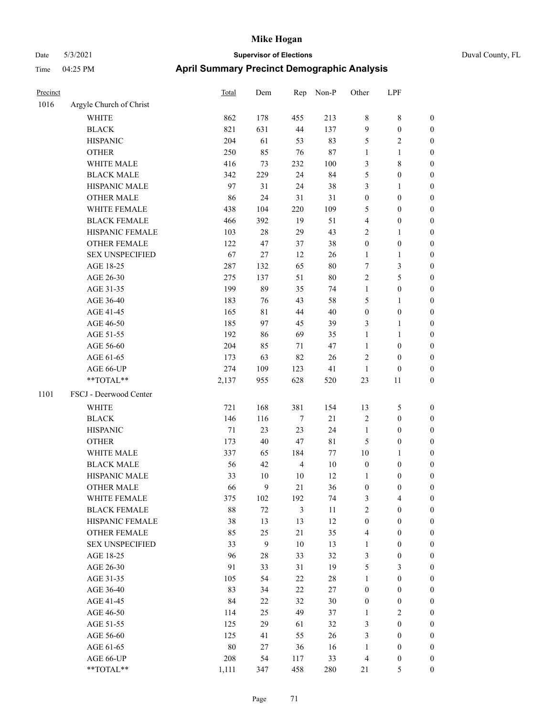| Duval County, FL |
|------------------|
|------------------|

| Precinct |                         | Total  | Dem              | Rep            | Non-P       | Other            | LPF                     |                  |
|----------|-------------------------|--------|------------------|----------------|-------------|------------------|-------------------------|------------------|
| 1016     | Argyle Church of Christ |        |                  |                |             |                  |                         |                  |
|          | WHITE                   | 862    | 178              | 455            | 213         | 8                | $\,$ 8 $\,$             | $\boldsymbol{0}$ |
|          | <b>BLACK</b>            | 821    | 631              | $44\,$         | 137         | $\overline{9}$   | $\boldsymbol{0}$        | $\boldsymbol{0}$ |
|          | <b>HISPANIC</b>         | 204    | 61               | 53             | 83          | 5                | $\mathfrak{2}$          | $\boldsymbol{0}$ |
|          | <b>OTHER</b>            | 250    | 85               | 76             | 87          | $\mathbf{1}$     | $\mathbf{1}$            | $\boldsymbol{0}$ |
|          | WHITE MALE              | 416    | 73               | 232            | 100         | 3                | $\,$ 8 $\,$             | 0                |
|          | <b>BLACK MALE</b>       | 342    | 229              | 24             | 84          | 5                | $\boldsymbol{0}$        | 0                |
|          | HISPANIC MALE           | 97     | 31               | 24             | 38          | 3                | $\mathbf{1}$            | $\boldsymbol{0}$ |
|          | <b>OTHER MALE</b>       | 86     | 24               | 31             | 31          | $\boldsymbol{0}$ | $\boldsymbol{0}$        | $\boldsymbol{0}$ |
|          | WHITE FEMALE            | 438    | 104              | 220            | 109         | 5                | $\boldsymbol{0}$        | $\boldsymbol{0}$ |
|          | <b>BLACK FEMALE</b>     | 466    | 392              | 19             | 51          | 4                | $\boldsymbol{0}$        | $\boldsymbol{0}$ |
|          | HISPANIC FEMALE         | 103    | 28               | 29             | 43          | $\overline{c}$   | $\mathbf{1}$            | $\boldsymbol{0}$ |
|          | OTHER FEMALE            | 122    | 47               | 37             | 38          | $\boldsymbol{0}$ | $\boldsymbol{0}$        | $\boldsymbol{0}$ |
|          | <b>SEX UNSPECIFIED</b>  | 67     | 27               | 12             | 26          | $\mathbf{1}$     | $\mathbf{1}$            | $\boldsymbol{0}$ |
|          | AGE 18-25               | 287    | 132              | 65             | $80\,$      | 7                | $\mathfrak{Z}$          | $\boldsymbol{0}$ |
|          | AGE 26-30               | 275    | 137              | 51             | $80\,$      | $\sqrt{2}$       | 5                       | 0                |
|          | AGE 31-35               | 199    | 89               | 35             | 74          | $\mathbf{1}$     | $\boldsymbol{0}$        | 0                |
|          | AGE 36-40               | 183    | 76               | 43             | 58          | 5                | $\mathbf{1}$            | 0                |
|          | AGE 41-45               | 165    | 81               | 44             | 40          | $\boldsymbol{0}$ | $\boldsymbol{0}$        | $\boldsymbol{0}$ |
|          | AGE 46-50               | 185    | 97               | 45             | 39          | 3                | $\mathbf{1}$            | $\boldsymbol{0}$ |
|          | AGE 51-55               | 192    | 86               | 69             | 35          | $\mathbf{1}$     | $\mathbf{1}$            | $\boldsymbol{0}$ |
|          | AGE 56-60               | 204    | 85               | 71             | 47          | $\mathbf{1}$     | $\boldsymbol{0}$        | $\boldsymbol{0}$ |
|          | AGE 61-65               | 173    | 63               | 82             | 26          | $\overline{c}$   | $\boldsymbol{0}$        | $\boldsymbol{0}$ |
|          | AGE 66-UP               | 274    | 109              | 123            | 41          | $\mathbf{1}$     | $\boldsymbol{0}$        | 0                |
|          | **TOTAL**               | 2,137  | 955              | 628            | 520         | 23               | 11                      | $\boldsymbol{0}$ |
| 1101     | FSCJ - Deerwood Center  |        |                  |                |             |                  |                         |                  |
|          | WHITE                   | 721    | 168              | 381            | 154         | 13               | $\mathfrak{S}$          | $\boldsymbol{0}$ |
|          | <b>BLACK</b>            | 146    | 116              | $\tau$         | 21          | $\overline{2}$   | $\boldsymbol{0}$        | 0                |
|          | <b>HISPANIC</b>         | $71\,$ | 23               | 23             | 24          | $\mathbf{1}$     | $\boldsymbol{0}$        | 0                |
|          | <b>OTHER</b>            | 173    | 40               | 47             | $8\sqrt{1}$ | 5                | $\boldsymbol{0}$        | 0                |
|          | WHITE MALE              | 337    | 65               | 184            | $77\,$      | 10               | $\mathbf{1}$            | $\boldsymbol{0}$ |
|          | <b>BLACK MALE</b>       | 56     | 42               | $\overline{4}$ | 10          | $\boldsymbol{0}$ | $\boldsymbol{0}$        | $\boldsymbol{0}$ |
|          | HISPANIC MALE           | 33     | 10               | 10             | 12          | $\mathbf{1}$     | $\boldsymbol{0}$        | $\boldsymbol{0}$ |
|          | <b>OTHER MALE</b>       | 66     | 9                | 21             | 36          | $\boldsymbol{0}$ | $\boldsymbol{0}$        | $\boldsymbol{0}$ |
|          | WHITE FEMALE            | 375    | 102              | 192            | 74          | 3                | $\overline{\mathbf{4}}$ | $\boldsymbol{0}$ |
|          | <b>BLACK FEMALE</b>     | 88     | $72\,$           | $\mathfrak{Z}$ | 11          | $\overline{c}$   | $\boldsymbol{0}$        | 0                |
|          | HISPANIC FEMALE         | 38     | 13               | 13             | 12          | $\boldsymbol{0}$ | $\boldsymbol{0}$        | 0                |
|          | <b>OTHER FEMALE</b>     | 85     | 25               | 21             | 35          | $\overline{4}$   | $\boldsymbol{0}$        | 0                |
|          | <b>SEX UNSPECIFIED</b>  | 33     | $\boldsymbol{9}$ | 10             | 13          | $\mathbf{1}$     | $\boldsymbol{0}$        | 0                |
|          | AGE 18-25               | 96     | 28               | 33             | 32          | 3                | $\boldsymbol{0}$        | $\boldsymbol{0}$ |
|          | AGE 26-30               | 91     | 33               | 31             | 19          | 5                | $\mathfrak{Z}$          | $\boldsymbol{0}$ |
|          | AGE 31-35               | 105    | 54               | 22             | 28          | $\mathbf{1}$     | $\boldsymbol{0}$        | $\boldsymbol{0}$ |
|          | AGE 36-40               | 83     | 34               | $22\,$         | 27          | $\boldsymbol{0}$ | $\boldsymbol{0}$        | $\boldsymbol{0}$ |
|          | AGE 41-45               | 84     | 22               | 32             | 30          | $\boldsymbol{0}$ | $\boldsymbol{0}$        | $\boldsymbol{0}$ |
|          | AGE 46-50               | 114    | 25               | 49             | 37          | $\mathbf{1}$     | $\sqrt{2}$              | $\overline{0}$   |
|          | AGE 51-55               | 125    | 29               | 61             | 32          | 3                | $\boldsymbol{0}$        | $\boldsymbol{0}$ |
|          | AGE 56-60               | 125    | 41               | 55             | 26          | $\mathfrak{Z}$   | $\boldsymbol{0}$        | $\boldsymbol{0}$ |
|          | AGE 61-65               | 80     | 27               | 36             | 16          | $\mathbf{1}$     | $\boldsymbol{0}$        | 0                |
|          | AGE 66-UP               | 208    | 54               | 117            | 33          | $\overline{4}$   | $\boldsymbol{0}$        | 0                |
|          | $**TOTAL**$             | 1,111  | 347              | 458            | 280         | 21               | $\mathfrak s$           | $\boldsymbol{0}$ |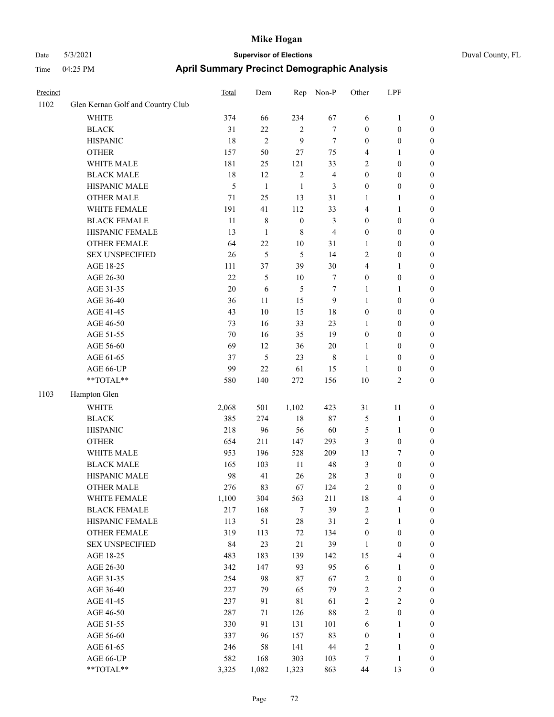| Precinct |                                   | <b>Total</b> | Dem          | Rep              | Non-P          | Other            | LPF                     |                  |
|----------|-----------------------------------|--------------|--------------|------------------|----------------|------------------|-------------------------|------------------|
| 1102     | Glen Kernan Golf and Country Club |              |              |                  |                |                  |                         |                  |
|          | <b>WHITE</b>                      | 374          | 66           | 234              | 67             | 6                | $\mathbf{1}$            | $\boldsymbol{0}$ |
|          | <b>BLACK</b>                      | 31           | 22           | $\overline{2}$   | $\tau$         | $\boldsymbol{0}$ | $\boldsymbol{0}$        | $\boldsymbol{0}$ |
|          | <b>HISPANIC</b>                   | 18           | $\mathbf{2}$ | 9                | $\tau$         | $\boldsymbol{0}$ | $\boldsymbol{0}$        | $\boldsymbol{0}$ |
|          | <b>OTHER</b>                      | 157          | 50           | 27               | 75             | $\overline{4}$   | 1                       | $\boldsymbol{0}$ |
|          | WHITE MALE                        | 181          | 25           | 121              | 33             | $\overline{2}$   | $\boldsymbol{0}$        | $\boldsymbol{0}$ |
|          | <b>BLACK MALE</b>                 | 18           | 12           | $\overline{2}$   | $\overline{4}$ | $\boldsymbol{0}$ | $\boldsymbol{0}$        | $\boldsymbol{0}$ |
|          | HISPANIC MALE                     | 5            | $\mathbf{1}$ | $\mathbf{1}$     | 3              | $\boldsymbol{0}$ | $\boldsymbol{0}$        | $\boldsymbol{0}$ |
|          | <b>OTHER MALE</b>                 | 71           | 25           | 13               | 31             | $\mathbf{1}$     | 1                       | $\boldsymbol{0}$ |
|          | WHITE FEMALE                      | 191          | 41           | 112              | 33             | $\overline{4}$   | 1                       | $\boldsymbol{0}$ |
|          | <b>BLACK FEMALE</b>               | 11           | 8            | $\boldsymbol{0}$ | 3              | $\boldsymbol{0}$ | $\boldsymbol{0}$        | $\boldsymbol{0}$ |
|          | HISPANIC FEMALE                   | 13           | $\mathbf{1}$ | $\,8\,$          | $\overline{4}$ | $\boldsymbol{0}$ | $\boldsymbol{0}$        | $\boldsymbol{0}$ |
|          | <b>OTHER FEMALE</b>               | 64           | 22           | $10\,$           | 31             | 1                | $\boldsymbol{0}$        | $\boldsymbol{0}$ |
|          | <b>SEX UNSPECIFIED</b>            | 26           | 5            | 5                | 14             | $\sqrt{2}$       | $\boldsymbol{0}$        | $\boldsymbol{0}$ |
|          | AGE 18-25                         | 111          | 37           | 39               | 30             | $\overline{4}$   | 1                       | $\boldsymbol{0}$ |
|          | AGE 26-30                         | 22           | 5            | 10               | $\tau$         | $\boldsymbol{0}$ | $\boldsymbol{0}$        | $\boldsymbol{0}$ |
|          | AGE 31-35                         | 20           | 6            | 5                | 7              | 1                | 1                       | $\boldsymbol{0}$ |
|          | AGE 36-40                         | 36           | 11           | 15               | 9              | 1                | $\boldsymbol{0}$        | $\boldsymbol{0}$ |
|          | AGE 41-45                         | 43           | 10           | 15               | 18             | $\boldsymbol{0}$ | $\boldsymbol{0}$        | $\boldsymbol{0}$ |
|          | AGE 46-50                         | 73           | 16           | 33               | 23             | $\mathbf{1}$     | $\boldsymbol{0}$        | $\boldsymbol{0}$ |
|          | AGE 51-55                         | 70           | 16           | 35               | 19             | $\boldsymbol{0}$ | $\boldsymbol{0}$        | $\boldsymbol{0}$ |
|          | AGE 56-60                         | 69           | 12           | 36               | $20\,$         | 1                | $\boldsymbol{0}$        | $\boldsymbol{0}$ |
|          | AGE 61-65                         | 37           | 5            | 23               | 8              | 1                | $\boldsymbol{0}$        | $\boldsymbol{0}$ |
|          | AGE 66-UP                         | 99           | 22           | 61               | 15             | $\mathbf{1}$     | $\boldsymbol{0}$        | $\boldsymbol{0}$ |
|          | **TOTAL**                         | 580          | 140          | 272              | 156            | 10               | 2                       | $\boldsymbol{0}$ |
| 1103     | Hampton Glen                      |              |              |                  |                |                  |                         |                  |
|          | <b>WHITE</b>                      | 2,068        | 501          | 1,102            | 423            | 31               | 11                      | $\boldsymbol{0}$ |
|          | <b>BLACK</b>                      | 385          | 274          | 18               | $87\,$         | $\mathfrak{S}$   | $\mathbf{1}$            | $\boldsymbol{0}$ |
|          | <b>HISPANIC</b>                   | 218          | 96           | 56               | 60             | 5                | 1                       | $\boldsymbol{0}$ |
|          | <b>OTHER</b>                      | 654          | 211          | 147              | 293            | $\mathfrak{Z}$   | $\boldsymbol{0}$        | $\boldsymbol{0}$ |
|          | WHITE MALE                        | 953          | 196          | 528              | 209            | 13               | 7                       | $\boldsymbol{0}$ |
|          | <b>BLACK MALE</b>                 | 165          | 103          | 11               | 48             | $\mathfrak{Z}$   | $\boldsymbol{0}$        | $\boldsymbol{0}$ |
|          | HISPANIC MALE                     | 98           | 41           | 26               | 28             | 3                | 0                       | $\boldsymbol{0}$ |
|          | <b>OTHER MALE</b>                 | 276          | 83           | 67               | 124            | $\overline{c}$   | 0                       | $\boldsymbol{0}$ |
|          | WHITE FEMALE                      | 1,100        | 304          | 563              | 211            | 18               | 4                       | $\boldsymbol{0}$ |
|          | <b>BLACK FEMALE</b>               | 217          | 168          | $\tau$           | 39             | $\sqrt{2}$       | 1                       | $\boldsymbol{0}$ |
|          | HISPANIC FEMALE                   | 113          | 51           | $28\,$           | 31             | $\sqrt{2}$       | $\mathbf{1}$            | $\boldsymbol{0}$ |
|          | OTHER FEMALE                      | 319          | 113          | 72               | 134            | $\boldsymbol{0}$ | $\boldsymbol{0}$        | $\boldsymbol{0}$ |
|          | <b>SEX UNSPECIFIED</b>            | 84           | 23           | 21               | 39             | $\mathbf{1}$     | $\boldsymbol{0}$        | $\boldsymbol{0}$ |
|          | AGE 18-25                         | 483          | 183          | 139              | 142            | 15               | 4                       | $\boldsymbol{0}$ |
|          | AGE 26-30                         | 342          | 147          | 93               | 95             | $\sqrt{6}$       | 1                       | $\boldsymbol{0}$ |
|          | AGE 31-35                         | 254          | 98           | 87               | 67             | $\sqrt{2}$       | $\boldsymbol{0}$        | $\boldsymbol{0}$ |
|          | AGE 36-40                         | 227          | 79           | 65               | 79             | $\sqrt{2}$       | $\overline{\mathbf{c}}$ | $\boldsymbol{0}$ |
|          | AGE 41-45                         | 237          | 91           | $8\sqrt{1}$      | 61             | $\sqrt{2}$       | $\overline{\mathbf{c}}$ | $\boldsymbol{0}$ |
|          | AGE 46-50                         | 287          | 71           | 126              | $88\,$         | $\sqrt{2}$       | $\boldsymbol{0}$        | $\boldsymbol{0}$ |
|          | AGE 51-55                         | 330          | 91           | 131              | 101            | $\sqrt{6}$       | 1                       | $\boldsymbol{0}$ |
|          | AGE 56-60                         | 337          | 96           | 157              | 83             | $\boldsymbol{0}$ | $\mathbf{1}$            | $\boldsymbol{0}$ |
|          | AGE 61-65                         | 246          | 58           | 141              | $44\,$         | $\sqrt{2}$       | $\mathbf{1}$            | $\boldsymbol{0}$ |
|          | AGE 66-UP                         | 582          | 168          | 303              | 103            | 7                | $\mathbf{1}$            | $\bf{0}$         |
|          | $**TOTAL**$                       | 3,325        | 1,082        | 1,323            | 863            | $44\,$           | 13                      | $\mathbf{0}$     |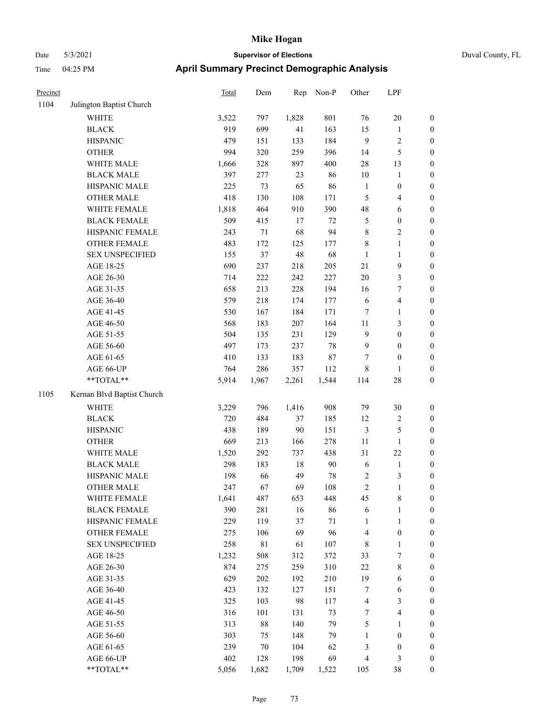|  | Duval County |
|--|--------------|

| Precinct |                            | <b>Total</b> | Dem     | Rep    | Non-P  | Other            | LPF                     |                  |
|----------|----------------------------|--------------|---------|--------|--------|------------------|-------------------------|------------------|
| 1104     | Julington Baptist Church   |              |         |        |        |                  |                         |                  |
|          | <b>WHITE</b>               | 3,522        | 797     | 1,828  | 801    | 76               | $20\,$                  | $\boldsymbol{0}$ |
|          | <b>BLACK</b>               | 919          | 699     | 41     | 163    | 15               | $\mathbf{1}$            | $\boldsymbol{0}$ |
|          | <b>HISPANIC</b>            | 479          | 151     | 133    | 184    | $\overline{9}$   | $\sqrt{2}$              | $\boldsymbol{0}$ |
|          | <b>OTHER</b>               | 994          | 320     | 259    | 396    | 14               | $\mathfrak s$           | $\boldsymbol{0}$ |
|          | WHITE MALE                 | 1,666        | 328     | 897    | 400    | $28\,$           | 13                      | 0                |
|          | <b>BLACK MALE</b>          | 397          | 277     | 23     | 86     | 10               | $\mathbf{1}$            | 0                |
|          | HISPANIC MALE              | 225          | 73      | 65     | 86     | $\mathbf{1}$     | $\boldsymbol{0}$        | $\boldsymbol{0}$ |
|          | <b>OTHER MALE</b>          | 418          | 130     | 108    | 171    | 5                | $\overline{\mathbf{4}}$ | $\boldsymbol{0}$ |
|          | WHITE FEMALE               | 1,818        | 464     | 910    | 390    | 48               | 6                       | $\boldsymbol{0}$ |
|          | <b>BLACK FEMALE</b>        | 509          | 415     | $17\,$ | $72\,$ | 5                | $\boldsymbol{0}$        | $\boldsymbol{0}$ |
|          | HISPANIC FEMALE            | 243          | $71\,$  | 68     | 94     | $\,$ 8 $\,$      | $\sqrt{2}$              | $\boldsymbol{0}$ |
|          | OTHER FEMALE               | 483          | 172     | 125    | 177    | $\,$ 8 $\,$      | $\mathbf{1}$            | $\boldsymbol{0}$ |
|          | <b>SEX UNSPECIFIED</b>     | 155          | 37      | 48     | 68     | $\mathbf{1}$     | $\mathbf{1}$            | $\boldsymbol{0}$ |
|          | AGE 18-25                  | 690          | 237     | 218    | 205    | 21               | $\mathbf{9}$            | $\boldsymbol{0}$ |
|          | AGE 26-30                  | 714          | $222\,$ | 242    | 227    | $20\,$           | $\mathfrak{Z}$          | $\boldsymbol{0}$ |
|          | AGE 31-35                  | 658          | 213     | 228    | 194    | 16               | $\boldsymbol{7}$        | 0                |
|          | AGE 36-40                  | 579          | 218     | 174    | 177    | 6                | $\overline{\mathbf{4}}$ | 0                |
|          | AGE 41-45                  | 530          | 167     | 184    | 171    | $\tau$           | $\mathbf{1}$            | $\boldsymbol{0}$ |
|          | AGE 46-50                  | 568          | 183     | 207    | 164    | 11               | $\mathfrak{Z}$          | $\boldsymbol{0}$ |
|          | AGE 51-55                  | 504          | 135     | 231    | 129    | 9                | $\boldsymbol{0}$        | $\boldsymbol{0}$ |
|          | AGE 56-60                  | 497          | 173     | 237    | $78\,$ | $\overline{9}$   | $\boldsymbol{0}$        | $\boldsymbol{0}$ |
|          | AGE 61-65                  | 410          | 133     | 183    | $87\,$ | 7                | $\boldsymbol{0}$        | $\boldsymbol{0}$ |
|          | AGE 66-UP                  | 764          | 286     | 357    | 112    | 8                | $\mathbf{1}$            | $\boldsymbol{0}$ |
|          | $**TOTAL**$                | 5,914        | 1,967   | 2,261  | 1,544  | 114              | $28\,$                  | $\boldsymbol{0}$ |
| 1105     | Kernan Blvd Baptist Church |              |         |        |        |                  |                         |                  |
|          | <b>WHITE</b>               | 3,229        | 796     | 1,416  | 908    | 79               | $30\,$                  | $\boldsymbol{0}$ |
|          | <b>BLACK</b>               | 720          | 484     | 37     | 185    | 12               | $\sqrt{2}$              | $\boldsymbol{0}$ |
|          | <b>HISPANIC</b>            | 438          | 189     | $90\,$ | 151    | $\mathfrak{Z}$   | $\mathfrak{S}$          | 0                |
|          | <b>OTHER</b>               | 669          | 213     | 166    | 278    | 11               | $\mathbf{1}$            | 0                |
|          | WHITE MALE                 | 1,520        | 292     | 737    | 438    | 31               | $22\,$                  | $\boldsymbol{0}$ |
|          | <b>BLACK MALE</b>          | 298          | 183     | 18     | 90     | 6                | $\mathbf{1}$            | $\boldsymbol{0}$ |
|          | HISPANIC MALE              | 198          | 66      | 49     | 78     | $\boldsymbol{2}$ | 3                       | $\boldsymbol{0}$ |
|          | <b>OTHER MALE</b>          | 247          | 67      | 69     | 108    | $\overline{c}$   | $\mathbf{1}$            | $\boldsymbol{0}$ |
|          | WHITE FEMALE               | 1,641        | 487     | 653    | 448    | 45               | $8\,$                   | $\overline{0}$   |
|          | <b>BLACK FEMALE</b>        | 390          | 281     | 16     | 86     | 6                | $\mathbf{1}$            | 0                |
|          | HISPANIC FEMALE            | 229          | 119     | 37     | $71\,$ | $\mathbf{1}$     | $\mathbf{1}$            | 0                |
|          | <b>OTHER FEMALE</b>        | 275          | 106     | 69     | 96     | $\overline{4}$   | $\boldsymbol{0}$        | 0                |
|          | <b>SEX UNSPECIFIED</b>     | 258          | 81      | 61     | 107    | $\,$ 8 $\,$      | $\mathbf{1}$            | 0                |
|          | AGE 18-25                  | 1,232        | 508     | 312    | 372    | 33               | 7                       | 0                |
|          | AGE 26-30                  | 874          | 275     | 259    | 310    | $22\,$           | 8                       | 0                |
|          | AGE 31-35                  | 629          | 202     | 192    | 210    | 19               | 6                       | $\boldsymbol{0}$ |
|          | AGE 36-40                  | 423          | 132     | 127    | 151    | 7                | 6                       | $\boldsymbol{0}$ |
|          | AGE 41-45                  | 325          | 103     | 98     | 117    | $\overline{4}$   | $\mathfrak{Z}$          | 0                |
|          | AGE 46-50                  | 316          | 101     | 131    | 73     | 7                | $\overline{\mathbf{4}}$ | $\overline{0}$   |
|          | AGE 51-55                  | 313          | 88      | 140    | 79     | 5                | $\mathbf{1}$            | $\boldsymbol{0}$ |
|          | AGE 56-60                  | 303          | 75      | 148    | 79     | $\mathbf{1}$     | $\boldsymbol{0}$        | $\overline{0}$   |
|          | AGE 61-65                  | 239          | $70\,$  | 104    | 62     | 3                | $\boldsymbol{0}$        | 0                |
|          | AGE 66-UP                  | 402          | 128     | 198    | 69     | $\overline{4}$   | $\mathfrak{Z}$          | 0                |
|          | **TOTAL**                  | 5,056        | 1,682   | 1,709  | 1,522  | 105              | $38\,$                  | $\boldsymbol{0}$ |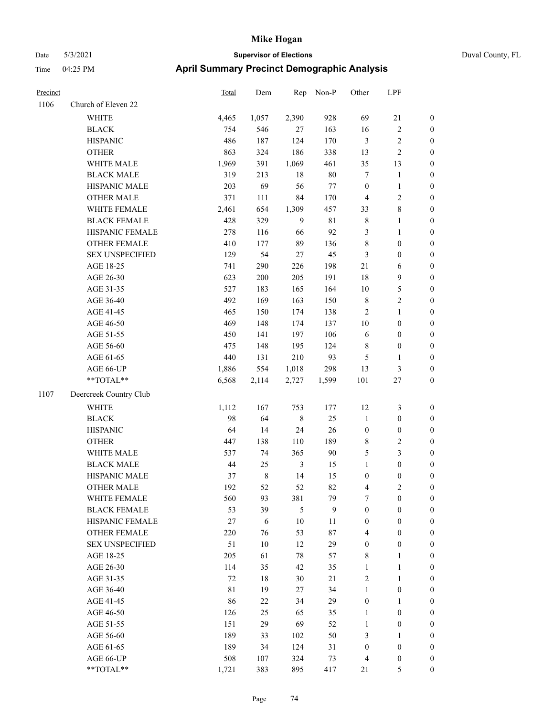### Date 5/3/2021 **Supervisor of Elections** Duval County, FL Time 04:25 PM **April Summary**

| <b>Time</b> | 04:25 PM               | <b>April Summary Precinct Demographic Analysis</b> |                        |               |         |              |                |              |  |  |
|-------------|------------------------|----------------------------------------------------|------------------------|---------------|---------|--------------|----------------|--------------|--|--|
| Precinct    |                        | Total                                              | Dem                    | Rep           | $Non-P$ | Other        | <b>LPF</b>     |              |  |  |
| 1106        | Church of Eleven 22    |                                                    |                        |               |         |              |                |              |  |  |
|             | WHITE                  | 4,465                                              | 1,057                  | 2,390         | 928     | 69           | 21             | $\mathbf{0}$ |  |  |
|             | <b>BLACK</b>           | 754                                                | 546                    | 27            | 163     | 16           | $\overline{c}$ | $\mathbf{0}$ |  |  |
|             | <b>HISPANIC</b>        | 486                                                | 187                    | 124           | 170     | 3            | 2              | $\theta$     |  |  |
|             | <b>OTHER</b>           | 863                                                | 324                    | 186           | 338     | 13           | 2              | $\mathbf{0}$ |  |  |
|             | <b>WHITE MALE</b>      | 1.969                                              | 391                    | 1,069         | 461     | 35           | 13             | $\mathbf{0}$ |  |  |
|             | <b>BLACK MALE</b>      | 319                                                | 213                    | 18            | 80      |              |                | $\mathbf{0}$ |  |  |
|             | <b>HISPANIC MALE</b>   | 203                                                | 69                     | 56            | 77      | $\mathbf{0}$ |                | $\mathbf{0}$ |  |  |
|             | <b>OTHER MALE</b>      | 371                                                | 111                    | 84            | 170     | 4            | 2              | $\mathbf{0}$ |  |  |
|             | <b>WHITE FEMALE</b>    | 2,461                                              | 654                    | 1,309         | 457     | 33           | 8              | $\mathbf{0}$ |  |  |
|             | <b>BLACK FEMALE</b>    | 428                                                | 329                    | 9             | 81      | 8            |                | $\mathbf{0}$ |  |  |
|             | <b>HISPANIC FEMALE</b> | 278                                                | 116                    | 66            | 92      | 3            |                | $\theta$     |  |  |
|             | <b>OTHER FEMALE</b>    | 410                                                | 177                    | 89            | 136     | 8            | $\Omega$       | $\Omega$     |  |  |
|             | <b>SEX UNSPECIFIED</b> | 129                                                | 54                     | 27            | 45      | 3            | $\theta$       | $\theta$     |  |  |
|             | $\sqrt{2}$ 10.05       | 7.41                                               | $\mathbf{a}\mathbf{a}$ | $\sim$ $\sim$ | 100     | $\sim$ 1     |                | $\sim$       |  |  |

|      | <b>BLACK MALE</b>                                          | 319         | 213         | 18             | 80             | $\tau$                  | $\mathbf{1}$     | $\boldsymbol{0}$ |
|------|------------------------------------------------------------|-------------|-------------|----------------|----------------|-------------------------|------------------|------------------|
|      | HISPANIC MALE                                              | 203         | 69          | 56             | 77             | $\boldsymbol{0}$        | $\mathbf{1}$     | $\boldsymbol{0}$ |
|      | <b>OTHER MALE</b>                                          | 371         | 111         | 84             | 170            | $\overline{4}$          | 2                | $\mathbf{0}$     |
|      | WHITE FEMALE                                               | 2,461       | 654         | 1,309          | 457            | 33                      | 8                | $\boldsymbol{0}$ |
|      | <b>BLACK FEMALE</b>                                        | 428         | 329         | 9              | $8\sqrt{1}$    | $\,8\,$                 | $\mathbf{1}$     | $\boldsymbol{0}$ |
|      | HISPANIC FEMALE                                            | 278         | 116         | 66             | 92             | 3                       | $\mathbf{1}$     | $\boldsymbol{0}$ |
|      | OTHER FEMALE                                               | 410         | 177         | 89             | 136            | 8                       | $\boldsymbol{0}$ | $\boldsymbol{0}$ |
|      | <b>SEX UNSPECIFIED</b>                                     | 129         | 54          | 27             | 45             | 3                       | $\boldsymbol{0}$ | $\boldsymbol{0}$ |
|      | AGE 18-25                                                  | 741         | 290         | 226            | 198            | $21\,$                  | 6                | $\boldsymbol{0}$ |
|      | AGE 26-30                                                  | 623         | 200         | 205            | 191            | 18                      | 9                | $\mathbf{0}$     |
|      | AGE 31-35                                                  | 527         | 183         | 165            | 164            | $10\,$                  | 5                | $\boldsymbol{0}$ |
|      | AGE 36-40                                                  | 492         | 169         | 163            | 150            | $\,$ 8 $\,$             | $\overline{2}$   | $\boldsymbol{0}$ |
|      | AGE 41-45                                                  | 465         | 150         | 174            | 138            | $\mathbf{2}$            | $\mathbf{1}$     | $\boldsymbol{0}$ |
|      | AGE 46-50                                                  | 469         | 148         | 174            | 137            | $10\,$                  | $\boldsymbol{0}$ | $\boldsymbol{0}$ |
|      | AGE 51-55                                                  | 450         | 141         | 197            | 106            | 6                       | $\boldsymbol{0}$ | $\boldsymbol{0}$ |
|      | AGE 56-60                                                  | 475         | 148         | 195            | 124            | $\,8\,$                 | $\boldsymbol{0}$ | $\boldsymbol{0}$ |
|      | AGE 61-65                                                  | 440         | 131         | 210            | 93             | 5                       | 1                | $\boldsymbol{0}$ |
|      | AGE 66-UP                                                  | 1,886       | 554         | 1,018          | 298            | 13                      | $\mathfrak{Z}$   | $\mathbf{0}$     |
|      | $**TOTAL**$                                                | 6,568       | 2,114       | 2,727          | 1,599          | 101                     | $27\,$           | $\mathbf{0}$     |
| 1107 | Deercreek Country Club                                     |             |             |                |                |                         |                  |                  |
|      | WHITE                                                      | 1,112       | 167         | 753            | 177            | 12                      | $\mathfrak{Z}$   | $\boldsymbol{0}$ |
|      | <b>BLACK</b>                                               | 98          | 64          | $\,$ 8 $\,$    | 25             | $\mathbf{1}$            | $\boldsymbol{0}$ | $\boldsymbol{0}$ |
|      | <b>HISPANIC</b>                                            | 64          | 14          | 24             | 26             | $\boldsymbol{0}$        | $\boldsymbol{0}$ | $\mathbf{0}$     |
|      | <b>OTHER</b>                                               | 447         | 138         | 110            | 189            | $8\,$                   | 2                | $\boldsymbol{0}$ |
|      | WHITE MALE                                                 | 537         | 74          | 365            | $90\,$         | $\mathfrak{S}$          | 3                | $\boldsymbol{0}$ |
|      | <b>BLACK MALE</b>                                          | $44\,$      | 25          | $\mathfrak{Z}$ | 15             | $\mathbf{1}$            | $\boldsymbol{0}$ | $\boldsymbol{0}$ |
|      | HISPANIC MALE                                              | 37          | $\,$ 8 $\,$ | 14             | 15             | $\boldsymbol{0}$        | $\boldsymbol{0}$ | $\boldsymbol{0}$ |
|      | <b>OTHER MALE</b>                                          | 192         | 52          | 52             | 82             | $\overline{\mathbf{4}}$ | 2                | $\boldsymbol{0}$ |
|      | WHITE FEMALE                                               | 560         | 93          | 381            | 79             | $\tau$                  | $\boldsymbol{0}$ | $\boldsymbol{0}$ |
|      | <b>BLACK FEMALE</b>                                        | 53          | 39          | $\sqrt{5}$     | $\overline{9}$ | $\boldsymbol{0}$        | $\boldsymbol{0}$ | $\boldsymbol{0}$ |
|      | HISPANIC FEMALE                                            | $27\,$      | $\sqrt{6}$  | $10\,$         | $11\,$         | $\boldsymbol{0}$        | $\boldsymbol{0}$ | $\boldsymbol{0}$ |
|      | <b>OTHER FEMALE</b>                                        | 220         | 76          | 53             | 87             | $\overline{4}$          | $\boldsymbol{0}$ | $\mathbf{0}$     |
|      | <b>SEX UNSPECIFIED</b>                                     | 51          | 10          | 12             | 29             | $\boldsymbol{0}$        | $\boldsymbol{0}$ | $\mathbf{0}$     |
|      | AGE 18-25                                                  | 205         | 61          | $78\,$         | 57             | $8\,$                   | 1                | $\boldsymbol{0}$ |
|      | AGE 26-30                                                  | 114         | 35          | 42             | 35             | $\mathbf{1}$            | $\mathbf{1}$     | $\boldsymbol{0}$ |
|      | AGE 31-35                                                  | 72          | 18          | 30             | 21             | $\boldsymbol{2}$        | 1                | $\boldsymbol{0}$ |
|      | AGE 36-40                                                  | $8\sqrt{1}$ | 19          | 27             | 34             | $\mathbf{1}$            | $\boldsymbol{0}$ | $\boldsymbol{0}$ |
|      | AGE 41-45                                                  | 86          | $22\,$      | 34             | 29             | $\boldsymbol{0}$        | $\mathbf{1}$     | $\boldsymbol{0}$ |
|      | AGE 46-50                                                  | 126         | 25          | 65             | 35             | $\mathbf{1}$            | $\boldsymbol{0}$ | $\boldsymbol{0}$ |
|      | AGE 51-55                                                  | 151         | 29          | 69             | 52             | $\mathbf{1}$            | $\boldsymbol{0}$ | $\boldsymbol{0}$ |
|      | AGE 56-60                                                  | 189         | 33          | 102            | 50             | $\mathfrak{Z}$          | $\mathbf{1}$     | $\boldsymbol{0}$ |
|      | AGE 61-65                                                  | 189         | 34          | 124            | 31             | $\boldsymbol{0}$        | $\boldsymbol{0}$ | $\boldsymbol{0}$ |
|      | AGE 66-UP                                                  | 508         | 107         | 324            | 73             | $\overline{\mathbf{4}}$ | $\boldsymbol{0}$ | $\boldsymbol{0}$ |
|      | $\mathrm{*}\mathrm{*} \mathrm{TOTAL} \mathrm{*}\mathrm{*}$ | 1,721       | 383         | 895            | 417            | $21\,$                  | 5                | $\boldsymbol{0}$ |

Page 74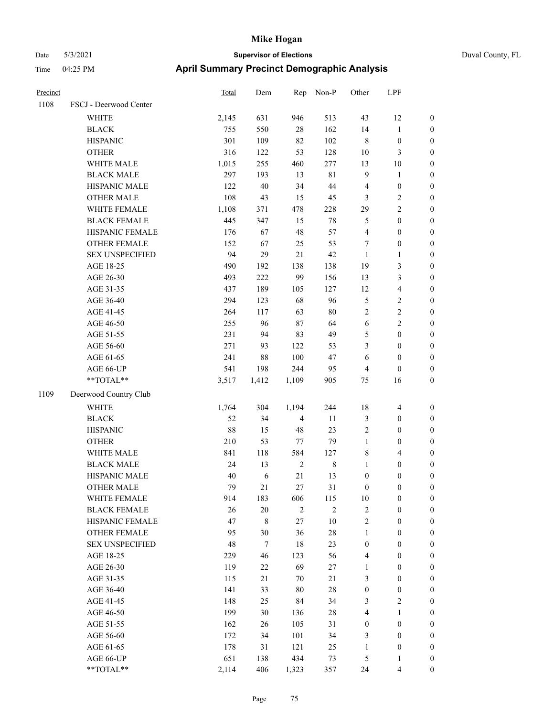| Precinct |                        | Total | Dem         | Rep            | Non-P       | Other            | LPF                     |                  |
|----------|------------------------|-------|-------------|----------------|-------------|------------------|-------------------------|------------------|
| 1108     | FSCJ - Deerwood Center |       |             |                |             |                  |                         |                  |
|          | WHITE                  | 2,145 | 631         | 946            | 513         | 43               | 12                      | $\boldsymbol{0}$ |
|          | <b>BLACK</b>           | 755   | 550         | 28             | 162         | 14               | $\mathbf{1}$            | $\boldsymbol{0}$ |
|          | <b>HISPANIC</b>        | 301   | 109         | 82             | 102         | $\,$ 8 $\,$      | $\boldsymbol{0}$        | 0                |
|          | <b>OTHER</b>           | 316   | 122         | 53             | 128         | 10               | 3                       | 0                |
|          | WHITE MALE             | 1,015 | 255         | 460            | 277         | 13               | $10\,$                  | $\boldsymbol{0}$ |
|          | <b>BLACK MALE</b>      | 297   | 193         | 13             | $8\sqrt{1}$ | 9                | $\mathbf{1}$            | $\boldsymbol{0}$ |
|          | HISPANIC MALE          | 122   | 40          | 34             | $44\,$      | $\overline{4}$   | $\boldsymbol{0}$        | $\boldsymbol{0}$ |
|          | <b>OTHER MALE</b>      | 108   | 43          | 15             | 45          | 3                | $\sqrt{2}$              | $\boldsymbol{0}$ |
|          | WHITE FEMALE           | 1,108 | 371         | 478            | 228         | 29               | $\sqrt{2}$              | $\boldsymbol{0}$ |
|          | <b>BLACK FEMALE</b>    | 445   | 347         | 15             | 78          | $\mathfrak{S}$   | $\boldsymbol{0}$        | $\boldsymbol{0}$ |
|          | HISPANIC FEMALE        | 176   | 67          | 48             | 57          | 4                | $\boldsymbol{0}$        | $\boldsymbol{0}$ |
|          | OTHER FEMALE           | 152   | 67          | 25             | 53          | 7                | $\boldsymbol{0}$        | $\boldsymbol{0}$ |
|          | <b>SEX UNSPECIFIED</b> | 94    | 29          | 21             | 42          | $\mathbf{1}$     | $\mathbf{1}$            | 0                |
|          | AGE 18-25              | 490   | 192         | 138            | 138         | 19               | $\mathfrak{Z}$          | 0                |
|          | AGE 26-30              | 493   | 222         | 99             | 156         | 13               | $\mathfrak{Z}$          | $\boldsymbol{0}$ |
|          | AGE 31-35              | 437   | 189         | 105            | 127         | 12               | $\overline{\mathbf{4}}$ | $\boldsymbol{0}$ |
|          | AGE 36-40              | 294   | 123         | 68             | 96          | 5                | $\sqrt{2}$              | $\boldsymbol{0}$ |
|          | AGE 41-45              | 264   | 117         | 63             | $80\,$      | 2                | $\sqrt{2}$              | $\boldsymbol{0}$ |
|          | AGE 46-50              | 255   | 96          | 87             | 64          | 6                | $\sqrt{2}$              | $\boldsymbol{0}$ |
|          | AGE 51-55              | 231   | 94          | 83             | 49          | 5                | $\boldsymbol{0}$        | $\boldsymbol{0}$ |
|          | AGE 56-60              | 271   | 93          | 122            | 53          | $\mathfrak{Z}$   | $\boldsymbol{0}$        | $\boldsymbol{0}$ |
|          | AGE 61-65              | 241   | $88\,$      | 100            | 47          | 6                | $\boldsymbol{0}$        | 0                |
|          | AGE 66-UP              | 541   | 198         | 244            | 95          | $\overline{4}$   | $\boldsymbol{0}$        | 0                |
|          | **TOTAL**              | 3,517 | 1,412       | 1,109          | 905         | 75               | 16                      | $\boldsymbol{0}$ |
| 1109     | Deerwood Country Club  |       |             |                |             |                  |                         |                  |
|          | <b>WHITE</b>           | 1,764 | 304         | 1,194          | 244         | 18               | 4                       | 0                |
|          | <b>BLACK</b>           | 52    | 34          | 4              | 11          | 3                | $\boldsymbol{0}$        | $\boldsymbol{0}$ |
|          | <b>HISPANIC</b>        | 88    | 15          | 48             | 23          | 2                | $\boldsymbol{0}$        | $\boldsymbol{0}$ |
|          | <b>OTHER</b>           | 210   | 53          | 77             | 79          | $\mathbf{1}$     | $\boldsymbol{0}$        | $\boldsymbol{0}$ |
|          | WHITE MALE             | 841   | 118         | 584            | 127         | 8                | $\overline{\mathbf{4}}$ | $\boldsymbol{0}$ |
|          | <b>BLACK MALE</b>      | 24    | 13          | $\overline{2}$ | $\,$ 8 $\,$ | $\mathbf{1}$     | $\boldsymbol{0}$        | $\boldsymbol{0}$ |
|          | HISPANIC MALE          | 40    | 6           | $21\,$         | 13          | $\boldsymbol{0}$ | $\boldsymbol{0}$        | $\boldsymbol{0}$ |
|          | <b>OTHER MALE</b>      | 79    | 21          | 27             | 31          | $\boldsymbol{0}$ | $\boldsymbol{0}$        | $\boldsymbol{0}$ |
|          | WHITE FEMALE           | 914   | 183         | 606            | 115         | 10               | $\boldsymbol{0}$        | 0                |
|          | <b>BLACK FEMALE</b>    | 26    | $20\,$      | $\sqrt{2}$     | $\sqrt{2}$  | 2                | $\boldsymbol{0}$        | 0                |
|          | HISPANIC FEMALE        | 47    | $\,$ 8 $\,$ | 27             | 10          | $\sqrt{2}$       | $\boldsymbol{0}$        | 0                |
|          | <b>OTHER FEMALE</b>    | 95    | 30          | 36             | $28\,$      | $\mathbf{1}$     | $\boldsymbol{0}$        | 0                |
|          | <b>SEX UNSPECIFIED</b> | 48    | $\tau$      | 18             | 23          | $\boldsymbol{0}$ | $\boldsymbol{0}$        | $\overline{0}$   |
|          | AGE 18-25              | 229   | 46          | 123            | 56          | 4                | $\boldsymbol{0}$        | $\overline{0}$   |
|          | AGE 26-30              | 119   | $22\,$      | 69             | 27          | $\mathbf{1}$     | $\boldsymbol{0}$        | 0                |
|          | AGE 31-35              | 115   | 21          | 70             | 21          | 3                | $\boldsymbol{0}$        | 0                |
|          | AGE 36-40              | 141   | 33          | 80             | $28\,$      | $\boldsymbol{0}$ | $\boldsymbol{0}$        | 0                |
|          | AGE 41-45              | 148   | 25          | 84             | 34          | 3                | $\overline{2}$          | 0                |
|          | AGE 46-50              | 199   | 30          | 136            | $28\,$      | 4                | $\mathbf{1}$            | 0                |
|          | AGE 51-55              | 162   | 26          | 105            | 31          | $\boldsymbol{0}$ | $\boldsymbol{0}$        | 0                |
|          | AGE 56-60              | 172   | 34          | 101            | 34          | 3                | $\boldsymbol{0}$        | 0                |
|          | AGE 61-65              | 178   | 31          | 121            | 25          | $\mathbf{1}$     | $\boldsymbol{0}$        | $\overline{0}$   |
|          | AGE 66-UP              | 651   | 138         | 434            | 73          | 5                | $\mathbf{1}$            | 0                |
|          | $**TOTAL**$            | 2,114 | 406         | 1,323          | 357         | 24               | $\overline{4}$          | $\boldsymbol{0}$ |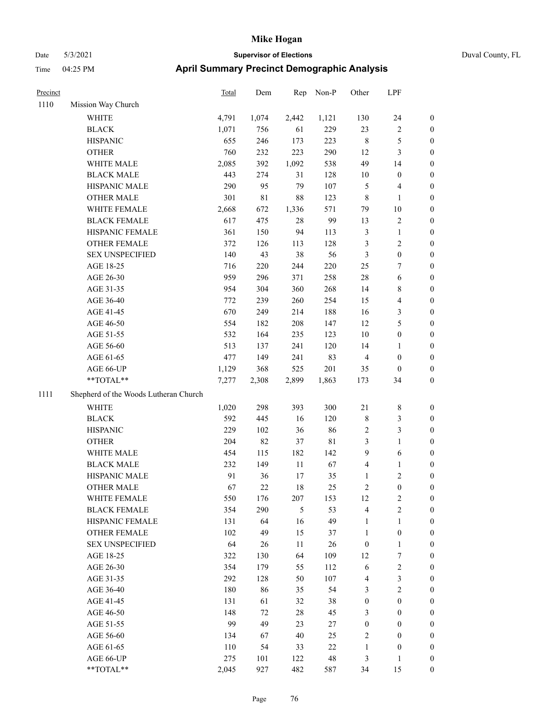### Date 5/3/2021 **Supervisor of Elections** Duval County, FL Time 04:25 PM **April Summary Precinct Demographic Analysis**

| Precinct |                                       | <b>Total</b> | Dem         | Rep   | Non-P       | Other                   | LPF                     |                  |
|----------|---------------------------------------|--------------|-------------|-------|-------------|-------------------------|-------------------------|------------------|
| 1110     | Mission Way Church                    |              |             |       |             |                         |                         |                  |
|          | WHITE                                 | 4,791        | 1,074       | 2,442 | 1,121       | 130                     | 24                      | $\boldsymbol{0}$ |
|          | <b>BLACK</b>                          | 1,071        | 756         | 61    | 229         | 23                      | $\overline{\mathbf{c}}$ | $\boldsymbol{0}$ |
|          | <b>HISPANIC</b>                       | 655          | 246         | 173   | 223         | $\,8\,$                 | 5                       | $\boldsymbol{0}$ |
|          | <b>OTHER</b>                          | 760          | 232         | 223   | 290         | 12                      | 3                       | $\boldsymbol{0}$ |
|          | WHITE MALE                            | 2,085        | 392         | 1,092 | 538         | 49                      | 14                      | $\boldsymbol{0}$ |
|          | <b>BLACK MALE</b>                     | 443          | 274         | 31    | 128         | 10                      | $\boldsymbol{0}$        | $\boldsymbol{0}$ |
|          | HISPANIC MALE                         | 290          | 95          | 79    | 107         | 5                       | $\overline{4}$          | $\boldsymbol{0}$ |
|          | <b>OTHER MALE</b>                     | 301          | $8\sqrt{1}$ | 88    | 123         | $\,8\,$                 | 1                       | $\boldsymbol{0}$ |
|          | WHITE FEMALE                          | 2,668        | 672         | 1,336 | 571         | 79                      | $10\,$                  | $\boldsymbol{0}$ |
|          | <b>BLACK FEMALE</b>                   | 617          | 475         | 28    | 99          | 13                      | $\mathbf{2}$            | $\boldsymbol{0}$ |
|          | HISPANIC FEMALE                       | 361          | 150         | 94    | 113         | $\mathfrak{Z}$          | 1                       | $\boldsymbol{0}$ |
|          | <b>OTHER FEMALE</b>                   | 372          | 126         | 113   | 128         | 3                       | 2                       | $\boldsymbol{0}$ |
|          | <b>SEX UNSPECIFIED</b>                | 140          | 43          | 38    | 56          | 3                       | $\boldsymbol{0}$        | $\boldsymbol{0}$ |
|          | AGE 18-25                             | 716          | 220         | 244   | 220         | 25                      | 7                       | $\boldsymbol{0}$ |
|          | AGE 26-30                             | 959          | 296         | 371   | 258         | 28                      | 6                       | $\boldsymbol{0}$ |
|          | AGE 31-35                             | 954          | 304         | 360   | 268         | 14                      | $\,$ 8 $\,$             | $\boldsymbol{0}$ |
|          | AGE 36-40                             | 772          | 239         | 260   | 254         | 15                      | $\overline{\mathbf{4}}$ | $\boldsymbol{0}$ |
|          | AGE 41-45                             | 670          | 249         | 214   | 188         | 16                      | $\mathfrak{Z}$          | $\boldsymbol{0}$ |
|          | AGE 46-50                             | 554          | 182         | 208   | 147         | 12                      | 5                       | $\boldsymbol{0}$ |
|          | AGE 51-55                             | 532          | 164         | 235   | 123         | 10                      | $\boldsymbol{0}$        | $\boldsymbol{0}$ |
|          | AGE 56-60                             | 513          | 137         | 241   | 120         | 14                      | $\mathbf{1}$            | $\boldsymbol{0}$ |
|          | AGE 61-65                             | 477          | 149         | 241   | 83          | $\overline{4}$          | $\boldsymbol{0}$        | $\boldsymbol{0}$ |
|          | AGE 66-UP                             | 1,129        | 368         | 525   | 201         | 35                      | $\boldsymbol{0}$        | $\boldsymbol{0}$ |
|          | **TOTAL**                             | 7,277        | 2,308       | 2,899 | 1,863       | 173                     | 34                      | $\boldsymbol{0}$ |
| 1111     | Shepherd of the Woods Lutheran Church |              |             |       |             |                         |                         |                  |
|          | WHITE                                 | 1,020        | 298         | 393   | 300         | $21\,$                  | $8\,$                   | $\boldsymbol{0}$ |
|          | <b>BLACK</b>                          | 592          | 445         | 16    | 120         | $\,$ 8 $\,$             | 3                       | $\boldsymbol{0}$ |
|          | <b>HISPANIC</b>                       | 229          | 102         | 36    | 86          | $\sqrt{2}$              | 3                       | $\boldsymbol{0}$ |
|          | <b>OTHER</b>                          | 204          | 82          | 37    | $8\sqrt{1}$ | 3                       | $\mathbf{1}$            | $\boldsymbol{0}$ |
|          | WHITE MALE                            | 454          | 115         | 182   | 142         | 9                       | 6                       | 0                |
|          | <b>BLACK MALE</b>                     | 232          | 149         | 11    | 67          | 4                       | 1                       | 0                |
|          | HISPANIC MALE                         | 91           | 36          | 17    | 35          | 1                       | $\mathbf{2}$            | $\boldsymbol{0}$ |
|          | <b>OTHER MALE</b>                     | 67           | 22          | 18    | 25          | $\overline{c}$          | $\Omega$                | $\Omega$         |
|          | WHITE FEMALE                          | 550          | 176         | 207   | 153         | 12                      | $\overline{\mathbf{c}}$ | $\boldsymbol{0}$ |
|          | <b>BLACK FEMALE</b>                   | 354          | 290         | 5     | 53          | $\overline{4}$          | $\overline{\mathbf{c}}$ | 0                |
|          | HISPANIC FEMALE                       | 131          | 64          | 16    | 49          | $\mathbf{1}$            | 1                       | 0                |
|          | <b>OTHER FEMALE</b>                   | 102          | 49          | 15    | 37          | 1                       | $\boldsymbol{0}$        | 0                |
|          | <b>SEX UNSPECIFIED</b>                | 64           | 26          | 11    | 26          | $\boldsymbol{0}$        | $\mathbf{1}$            | 0                |
|          | AGE 18-25                             | 322          | 130         | 64    | 109         | 12                      | 7                       | 0                |
|          | AGE 26-30                             | 354          | 179         | 55    | 112         | 6                       | $\overline{c}$          | 0                |
|          | AGE 31-35                             | 292          | 128         | 50    | 107         | 4                       | $\mathfrak{Z}$          | 0                |
|          | AGE 36-40                             | 180          | 86          | 35    | 54          | 3                       | $\mathbf{2}$            | 0                |
|          | AGE 41-45                             | 131          | 61          | 32    | $38\,$      | $\boldsymbol{0}$        | $\boldsymbol{0}$        | 0                |
|          | AGE 46-50                             | 148          | 72          | 28    | 45          | 3                       | $\boldsymbol{0}$        | 0                |
|          | AGE 51-55                             | 99           | 49          | 23    | 27          | $\boldsymbol{0}$        | $\boldsymbol{0}$        | 0                |
|          | AGE 56-60                             | 134          | 67          | 40    | 25          | $\overline{\mathbf{c}}$ | $\boldsymbol{0}$        | $\boldsymbol{0}$ |
|          | AGE 61-65                             | $110\,$      | 54          | 33    | $22\,$      | $\mathbf{1}$            | $\boldsymbol{0}$        | $\boldsymbol{0}$ |

AGE 66-UP 275 101 122 48 3 1 0 \*\*TOTAL\*\* 2,045 927 482 587 34 15 0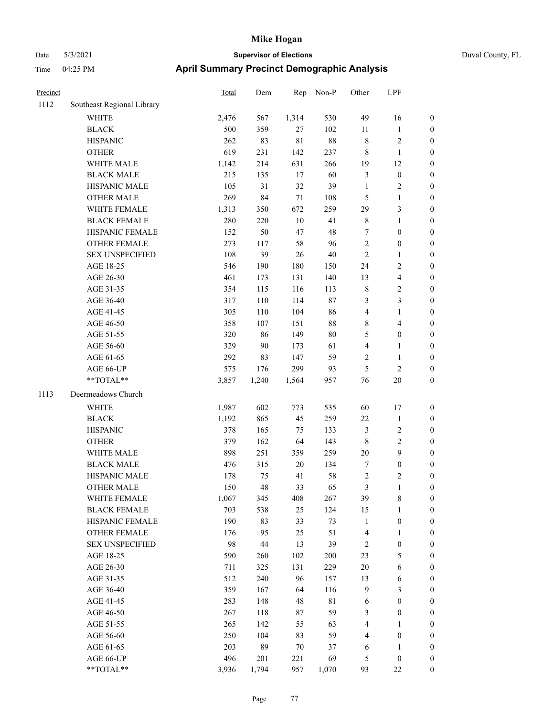| Precinct |                            | Total | Dem   | Rep         | Non-P  | Other          | LPF                     |                  |
|----------|----------------------------|-------|-------|-------------|--------|----------------|-------------------------|------------------|
| 1112     | Southeast Regional Library |       |       |             |        |                |                         |                  |
|          | <b>WHITE</b>               | 2,476 | 567   | 1,314       | 530    | 49             | 16                      | $\boldsymbol{0}$ |
|          | <b>BLACK</b>               | 500   | 359   | $27\,$      | 102    | $11\,$         | $\mathbf{1}$            | $\boldsymbol{0}$ |
|          | <b>HISPANIC</b>            | 262   | 83    | $8\sqrt{1}$ | 88     | $\,$ 8 $\,$    | $\overline{\mathbf{c}}$ | $\boldsymbol{0}$ |
|          | <b>OTHER</b>               | 619   | 231   | 142         | 237    | $\,$ 8 $\,$    | $\mathbf{1}$            | $\boldsymbol{0}$ |
|          | WHITE MALE                 | 1,142 | 214   | 631         | 266    | 19             | 12                      | $\boldsymbol{0}$ |
|          | <b>BLACK MALE</b>          | 215   | 135   | 17          | 60     | $\mathfrak{Z}$ | $\boldsymbol{0}$        | $\boldsymbol{0}$ |
|          | HISPANIC MALE              | 105   | 31    | 32          | 39     | $\mathbf{1}$   | 2                       | $\boldsymbol{0}$ |
|          | <b>OTHER MALE</b>          | 269   | 84    | $71\,$      | 108    | 5              | 1                       | $\boldsymbol{0}$ |
|          | WHITE FEMALE               | 1,313 | 350   | 672         | 259    | 29             | 3                       | $\boldsymbol{0}$ |
|          | <b>BLACK FEMALE</b>        | 280   | 220   | $10\,$      | 41     | $\,$ 8 $\,$    | 1                       | $\boldsymbol{0}$ |
|          | HISPANIC FEMALE            | 152   | 50    | 47          | 48     | $\tau$         | $\boldsymbol{0}$        | $\boldsymbol{0}$ |
|          | <b>OTHER FEMALE</b>        | 273   | 117   | 58          | 96     | $\sqrt{2}$     | $\boldsymbol{0}$        | $\boldsymbol{0}$ |
|          | <b>SEX UNSPECIFIED</b>     | 108   | 39    | $26\,$      | $40\,$ | $\overline{2}$ | 1                       | $\boldsymbol{0}$ |
|          | AGE 18-25                  | 546   | 190   | 180         | 150    | 24             | 2                       | $\boldsymbol{0}$ |
|          | AGE 26-30                  | 461   | 173   | 131         | 140    | 13             | 4                       | $\boldsymbol{0}$ |
|          | AGE 31-35                  | 354   | 115   | 116         | 113    | $\,$ 8 $\,$    | 2                       | $\boldsymbol{0}$ |
|          | AGE 36-40                  | 317   | 110   | 114         | $87\,$ | $\mathfrak{Z}$ | 3                       | $\boldsymbol{0}$ |
|          | AGE 41-45                  | 305   | 110   | 104         | 86     | $\overline{4}$ | 1                       | $\boldsymbol{0}$ |
|          | AGE 46-50                  | 358   | 107   | 151         | $88\,$ | $\,$ 8 $\,$    | 4                       | $\boldsymbol{0}$ |
|          | AGE 51-55                  | 320   | 86    | 149         | 80     | 5              | $\boldsymbol{0}$        | $\boldsymbol{0}$ |
|          | AGE 56-60                  | 329   | 90    | 173         | 61     | $\overline{4}$ | 1                       | $\boldsymbol{0}$ |
|          | AGE 61-65                  | 292   | 83    | 147         | 59     | $\sqrt{2}$     | $\mathbf{1}$            | $\boldsymbol{0}$ |
|          | AGE 66-UP                  | 575   | 176   | 299         | 93     | 5              | 2                       | $\boldsymbol{0}$ |
|          | **TOTAL**                  | 3,857 | 1,240 | 1,564       | 957    | 76             | 20                      | $\boldsymbol{0}$ |
| 1113     | Deermeadows Church         |       |       |             |        |                |                         |                  |
|          | WHITE                      | 1,987 | 602   | 773         | 535    | 60             | 17                      | $\boldsymbol{0}$ |
|          | <b>BLACK</b>               | 1,192 | 865   | 45          | 259    | $22\,$         | $\mathbf{1}$            | $\boldsymbol{0}$ |
|          | <b>HISPANIC</b>            | 378   | 165   | 75          | 133    | $\mathfrak{Z}$ | $\overline{\mathbf{c}}$ | $\boldsymbol{0}$ |
|          | <b>OTHER</b>               | 379   | 162   | 64          | 143    | $\,$ 8 $\,$    | 2                       | $\boldsymbol{0}$ |
|          | WHITE MALE                 | 898   | 251   | 359         | 259    | $20\,$         | 9                       | $\boldsymbol{0}$ |
|          | <b>BLACK MALE</b>          | 476   | 315   | 20          | 134    | $\tau$         | $\boldsymbol{0}$        | $\boldsymbol{0}$ |
|          | HISPANIC MALE              | 178   | 75    | 41          | 58     | $\sqrt{2}$     | 2                       | $\boldsymbol{0}$ |
|          | <b>OTHER MALE</b>          | 150   | 48    | 33          | 65     | $\mathfrak{Z}$ | 1                       | $\boldsymbol{0}$ |
|          | WHITE FEMALE               | 1,067 | 345   | 408         | 267    | 39             | $\,$ $\,$               | $\boldsymbol{0}$ |
|          | <b>BLACK FEMALE</b>        | 703   | 538   | 25          | 124    | 15             | 1                       | $\boldsymbol{0}$ |
|          | HISPANIC FEMALE            | 190   | 83    | 33          | 73     | $\mathbf{1}$   | $\boldsymbol{0}$        | $\boldsymbol{0}$ |
|          | <b>OTHER FEMALE</b>        | 176   | 95    | 25          | 51     | $\overline{4}$ | 1                       | $\boldsymbol{0}$ |
|          | <b>SEX UNSPECIFIED</b>     | 98    | 44    | 13          | 39     | $\overline{2}$ | $\boldsymbol{0}$        | $\boldsymbol{0}$ |
|          | AGE 18-25                  | 590   | 260   | 102         | 200    | 23             | 5                       | $\boldsymbol{0}$ |
|          | AGE 26-30                  | 711   | 325   | 131         | 229    | $20\,$         | 6                       | $\boldsymbol{0}$ |
|          | AGE 31-35                  | 512   | 240   | 96          | 157    | 13             | 6                       | $\boldsymbol{0}$ |
|          | AGE 36-40                  | 359   | 167   | 64          | 116    | $\mathbf{9}$   | 3                       | $\boldsymbol{0}$ |
|          | AGE 41-45                  | 283   | 148   | 48          | 81     | 6              | $\boldsymbol{0}$        | $\boldsymbol{0}$ |
|          | AGE 46-50                  | 267   | 118   | 87          | 59     | $\mathfrak{Z}$ | $\boldsymbol{0}$        | $\boldsymbol{0}$ |
|          | AGE 51-55                  | 265   | 142   | 55          | 63     | $\overline{4}$ | 1                       | $\boldsymbol{0}$ |
|          | AGE 56-60                  | 250   | 104   | 83          | 59     | $\overline{4}$ | $\boldsymbol{0}$        | $\boldsymbol{0}$ |
|          | AGE 61-65                  | 203   | 89    | $70\,$      | 37     | 6              | 1                       | $\boldsymbol{0}$ |
|          | AGE 66-UP                  | 496   | 201   | 221         | 69     | 5              | $\boldsymbol{0}$        | $\boldsymbol{0}$ |
|          | **TOTAL**                  | 3,936 | 1,794 | 957         | 1,070  | 93             | $22\,$                  | $\mathbf{0}$     |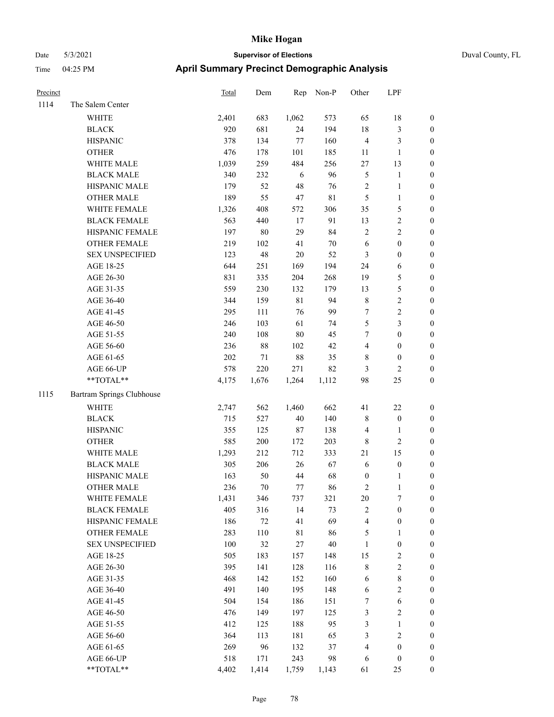| Precinct |                                                           | <b>Total</b> | Dem    | Rep         | Non-P  | Other            | LPF              |                  |
|----------|-----------------------------------------------------------|--------------|--------|-------------|--------|------------------|------------------|------------------|
| 1114     | The Salem Center                                          |              |        |             |        |                  |                  |                  |
|          | <b>WHITE</b>                                              | 2,401        | 683    | 1,062       | 573    | 65               | 18               | $\boldsymbol{0}$ |
|          | <b>BLACK</b>                                              | 920          | 681    | 24          | 194    | 18               | $\mathfrak{Z}$   | $\boldsymbol{0}$ |
|          | <b>HISPANIC</b>                                           | 378          | 134    | $77\,$      | 160    | $\overline{4}$   | $\mathfrak{Z}$   | 0                |
|          | <b>OTHER</b>                                              | 476          | 178    | 101         | 185    | 11               | $\mathbf{1}$     | $\boldsymbol{0}$ |
|          | WHITE MALE                                                | 1,039        | 259    | 484         | 256    | 27               | 13               | $\boldsymbol{0}$ |
|          | <b>BLACK MALE</b>                                         | 340          | 232    | 6           | 96     | 5                | $\mathbf{1}$     | $\boldsymbol{0}$ |
|          | HISPANIC MALE                                             | 179          | 52     | 48          | 76     | $\sqrt{2}$       | $\mathbf{1}$     | $\boldsymbol{0}$ |
|          | <b>OTHER MALE</b>                                         | 189          | 55     | $47\,$      | 81     | 5                | $\mathbf{1}$     | $\boldsymbol{0}$ |
|          | WHITE FEMALE                                              | 1,326        | 408    | 572         | 306    | 35               | $\mathfrak{S}$   | $\boldsymbol{0}$ |
|          | <b>BLACK FEMALE</b>                                       | 563          | 440    | 17          | 91     | 13               | $\sqrt{2}$       | $\boldsymbol{0}$ |
|          | HISPANIC FEMALE                                           | 197          | 80     | 29          | 84     | $\mathbf{2}$     | $\sqrt{2}$       | 0                |
|          | OTHER FEMALE                                              | 219          | 102    | 41          | 70     | 6                | $\boldsymbol{0}$ | 0                |
|          | <b>SEX UNSPECIFIED</b>                                    | 123          | 48     | 20          | 52     | 3                | $\boldsymbol{0}$ | $\boldsymbol{0}$ |
|          | AGE 18-25                                                 | 644          | 251    | 169         | 194    | 24               | 6                | $\boldsymbol{0}$ |
|          | AGE 26-30                                                 | 831          | 335    | 204         | 268    | 19               | $\mathfrak{S}$   | $\boldsymbol{0}$ |
|          | AGE 31-35                                                 | 559          | 230    | 132         | 179    | 13               | $\mathfrak{S}$   | $\boldsymbol{0}$ |
|          | AGE 36-40                                                 | 344          | 159    | $8\sqrt{1}$ | 94     | $\,$ 8 $\,$      | $\sqrt{2}$       | $\boldsymbol{0}$ |
|          | AGE 41-45                                                 | 295          | 111    | 76          | 99     | 7                | $\sqrt{2}$       | $\boldsymbol{0}$ |
|          | AGE 46-50                                                 | 246          | 103    | 61          | 74     | 5                | $\mathfrak{Z}$   | $\boldsymbol{0}$ |
|          | AGE 51-55                                                 | 240          | 108    | $80\,$      | 45     | 7                | $\boldsymbol{0}$ | $\boldsymbol{0}$ |
|          | AGE 56-60                                                 | 236          | 88     | 102         | 42     | 4                | $\boldsymbol{0}$ | 0                |
|          | AGE 61-65                                                 | 202          | 71     | $88\,$      | 35     | 8                | $\boldsymbol{0}$ | 0                |
|          | AGE 66-UP                                                 | 578          | 220    | 271         | 82     | 3                | $\overline{c}$   | 0                |
|          | **TOTAL**                                                 | 4,175        | 1,676  | 1,264       | 1,112  | 98               | 25               | $\boldsymbol{0}$ |
| 1115     | Bartram Springs Clubhouse                                 |              |        |             |        |                  |                  |                  |
|          | <b>WHITE</b>                                              | 2,747        | 562    | 1,460       | 662    | 41               | $22\,$           | $\boldsymbol{0}$ |
|          | <b>BLACK</b>                                              | 715          | 527    | 40          | 140    | 8                | $\boldsymbol{0}$ | $\boldsymbol{0}$ |
|          | <b>HISPANIC</b>                                           | 355          | 125    | 87          | 138    | 4                | $\mathbf{1}$     | $\boldsymbol{0}$ |
|          | <b>OTHER</b>                                              | 585          | 200    | 172         | 203    | $\,$ 8 $\,$      | $\sqrt{2}$       | $\boldsymbol{0}$ |
|          | WHITE MALE                                                | 1,293        | 212    | 712         | 333    | 21               | 15               | $\boldsymbol{0}$ |
|          | <b>BLACK MALE</b>                                         | 305          | 206    | 26          | 67     | 6                | $\boldsymbol{0}$ | $\boldsymbol{0}$ |
|          | HISPANIC MALE                                             | 163          | 50     | 44          | 68     | $\boldsymbol{0}$ | 1                | $\boldsymbol{0}$ |
|          | <b>OTHER MALE</b>                                         | 236          | $70\,$ | 77          | 86     | 2                | 1                | $\boldsymbol{0}$ |
|          | WHITE FEMALE                                              | 1,431        | 346    | 737         | 321    | 20               | $\boldsymbol{7}$ | 0                |
|          | <b>BLACK FEMALE</b>                                       | 405          | 316    | 14          | 73     | $\sqrt{2}$       | $\boldsymbol{0}$ | 0                |
|          | HISPANIC FEMALE                                           | 186          | 72     | 41          | 69     | 4                | $\boldsymbol{0}$ | 0                |
|          | <b>OTHER FEMALE</b>                                       | 283          | 110    | 81          | 86     | 5                | $\mathbf{1}$     | 0                |
|          | <b>SEX UNSPECIFIED</b>                                    | 100          | 32     | 27          | $40\,$ | $\mathbf{1}$     | $\boldsymbol{0}$ | 0                |
|          | AGE 18-25                                                 | 505          | 183    | 157         | 148    | 15               | $\sqrt{2}$       | 0                |
|          | AGE 26-30                                                 | 395          | 141    | 128         | 116    | $\,$ 8 $\,$      | $\sqrt{2}$       | 0                |
|          | AGE 31-35                                                 | 468          | 142    | 152         | 160    | 6                | $\,$ 8 $\,$      | 0                |
|          | AGE 36-40                                                 | 491          | 140    | 195         | 148    | 6                | $\sqrt{2}$       | 0                |
|          | AGE 41-45                                                 | 504          | 154    | 186         | 151    | 7                | $\sqrt{6}$       | 0                |
|          | AGE 46-50                                                 | 476          | 149    | 197         | 125    | 3                | $\sqrt{2}$       | 0                |
|          | AGE 51-55                                                 | 412          | 125    | 188         | 95     | 3                | $\mathbf{1}$     | 0                |
|          | AGE 56-60                                                 | 364          | 113    | 181         | 65     | 3                | $\sqrt{2}$       | 0                |
|          | AGE 61-65                                                 | 269          | 96     | 132         | 37     | 4                | $\boldsymbol{0}$ | $\boldsymbol{0}$ |
|          | AGE 66-UP                                                 | 518          | 171    | 243         | 98     | 6                | $\boldsymbol{0}$ | $\boldsymbol{0}$ |
|          | $\mathrm{*}\mathrm{*}\mathrm{TOTAL} \mathrm{*}\mathrm{*}$ | 4,402        | 1,414  | 1,759       | 1,143  | 61               | $25\,$           | $\overline{0}$   |
|          |                                                           |              |        |             |        |                  |                  |                  |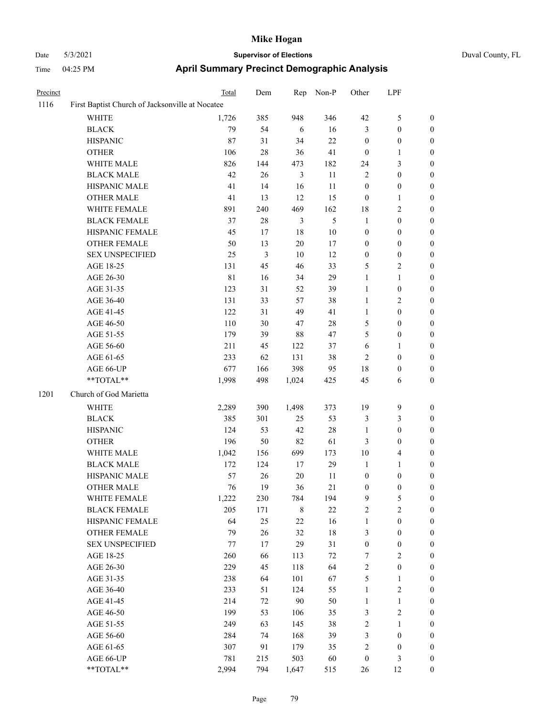| Precinct |                                                 | Total       | Dem    | Rep            | Non-P  | Other            | LPF                     |                  |
|----------|-------------------------------------------------|-------------|--------|----------------|--------|------------------|-------------------------|------------------|
| 1116     | First Baptist Church of Jacksonville at Nocatee |             |        |                |        |                  |                         |                  |
|          | <b>WHITE</b>                                    | 1,726       | 385    | 948            | 346    | 42               | 5                       | $\boldsymbol{0}$ |
|          | <b>BLACK</b>                                    | 79          | 54     | 6              | 16     | $\mathfrak{Z}$   | $\boldsymbol{0}$        | $\boldsymbol{0}$ |
|          | <b>HISPANIC</b>                                 | 87          | 31     | 34             | $22\,$ | $\boldsymbol{0}$ | $\boldsymbol{0}$        | $\boldsymbol{0}$ |
|          | <b>OTHER</b>                                    | 106         | 28     | 36             | 41     | $\mathbf{0}$     | 1                       | $\boldsymbol{0}$ |
|          | WHITE MALE                                      | 826         | 144    | 473            | 182    | 24               | 3                       | $\boldsymbol{0}$ |
|          | <b>BLACK MALE</b>                               | 42          | 26     | $\mathfrak{Z}$ | 11     | $\overline{2}$   | $\boldsymbol{0}$        | $\boldsymbol{0}$ |
|          | HISPANIC MALE                                   | 41          | 14     | 16             | 11     | $\boldsymbol{0}$ | $\boldsymbol{0}$        | $\boldsymbol{0}$ |
|          | <b>OTHER MALE</b>                               | 41          | 13     | 12             | 15     | $\mathbf{0}$     | 1                       | $\boldsymbol{0}$ |
|          | WHITE FEMALE                                    | 891         | 240    | 469            | 162    | 18               | 2                       | $\boldsymbol{0}$ |
|          | <b>BLACK FEMALE</b>                             | 37          | $28\,$ | 3              | 5      | $\mathbf{1}$     | $\boldsymbol{0}$        | $\boldsymbol{0}$ |
|          | HISPANIC FEMALE                                 | 45          | 17     | 18             | $10\,$ | $\boldsymbol{0}$ | $\boldsymbol{0}$        | $\boldsymbol{0}$ |
|          | <b>OTHER FEMALE</b>                             | 50          | 13     | $20\,$         | 17     | $\boldsymbol{0}$ | $\boldsymbol{0}$        | $\boldsymbol{0}$ |
|          | <b>SEX UNSPECIFIED</b>                          | 25          | 3      | 10             | 12     | $\boldsymbol{0}$ | $\boldsymbol{0}$        | $\boldsymbol{0}$ |
|          | AGE 18-25                                       | 131         | 45     | 46             | 33     | 5                | 2                       | $\boldsymbol{0}$ |
|          | AGE 26-30                                       | $8\sqrt{1}$ | 16     | 34             | 29     | $\mathbf{1}$     | $\mathbf{1}$            | $\boldsymbol{0}$ |
|          | AGE 31-35                                       | 123         | 31     | 52             | 39     | $\mathbf{1}$     | $\boldsymbol{0}$        | $\boldsymbol{0}$ |
|          | AGE 36-40                                       | 131         | 33     | 57             | 38     | $\mathbf{1}$     | 2                       | $\boldsymbol{0}$ |
|          | AGE 41-45                                       | 122         | 31     | 49             | 41     | $\mathbf{1}$     | $\boldsymbol{0}$        | $\boldsymbol{0}$ |
|          | AGE 46-50                                       | 110         | 30     | 47             | 28     | $\mathfrak{S}$   | $\boldsymbol{0}$        | $\boldsymbol{0}$ |
|          | AGE 51-55                                       | 179         | 39     | 88             | 47     | 5                | $\boldsymbol{0}$        | $\boldsymbol{0}$ |
|          | AGE 56-60                                       | 211         | 45     | 122            | 37     | 6                | 1                       | $\boldsymbol{0}$ |
|          | AGE 61-65                                       | 233         | 62     | 131            | 38     | $\sqrt{2}$       | $\boldsymbol{0}$        | $\boldsymbol{0}$ |
|          | AGE 66-UP                                       | 677         | 166    | 398            | 95     | 18               | 0                       | $\boldsymbol{0}$ |
|          | **TOTAL**                                       | 1,998       | 498    | 1,024          | 425    | 45               | 6                       | $\boldsymbol{0}$ |
| 1201     | Church of God Marietta                          |             |        |                |        |                  |                         |                  |
|          | WHITE                                           | 2,289       | 390    | 1,498          | 373    | 19               | 9                       | $\boldsymbol{0}$ |
|          | <b>BLACK</b>                                    | 385         | 301    | 25             | 53     | $\mathfrak{Z}$   | 3                       | $\boldsymbol{0}$ |
|          | <b>HISPANIC</b>                                 | 124         | 53     | 42             | 28     | $\mathbf{1}$     | $\boldsymbol{0}$        | $\boldsymbol{0}$ |
|          | <b>OTHER</b>                                    | 196         | 50     | 82             | 61     | $\mathfrak{Z}$   | $\boldsymbol{0}$        | $\boldsymbol{0}$ |
|          | WHITE MALE                                      | 1,042       | 156    | 699            | 173    | 10               | 4                       | $\boldsymbol{0}$ |
|          | <b>BLACK MALE</b>                               | 172         | 124    | 17             | 29     | 1                | 1                       | $\boldsymbol{0}$ |
|          | HISPANIC MALE                                   | 57          | 26     | 20             | 11     | $\boldsymbol{0}$ | $\boldsymbol{0}$        | $\boldsymbol{0}$ |
|          | <b>OTHER MALE</b>                               | 76          | 19     | 36             | 21     | $\boldsymbol{0}$ | $\boldsymbol{0}$        | $\boldsymbol{0}$ |
|          | WHITE FEMALE                                    | 1,222       | 230    | 784            | 194    | 9                | 5                       | $\boldsymbol{0}$ |
|          | <b>BLACK FEMALE</b>                             | 205         | 171    | $\,$ 8 $\,$    | $22\,$ | $\sqrt{2}$       | $\overline{\mathbf{c}}$ | $\boldsymbol{0}$ |
|          | HISPANIC FEMALE                                 | 64          | 25     | $22\,$         | 16     | $\mathbf{1}$     | $\boldsymbol{0}$        | $\boldsymbol{0}$ |
|          | <b>OTHER FEMALE</b>                             | 79          | $26\,$ | 32             | $18\,$ | 3                | $\boldsymbol{0}$        | $\boldsymbol{0}$ |
|          | <b>SEX UNSPECIFIED</b>                          | $77 \,$     | 17     | 29             | 31     | $\boldsymbol{0}$ | $\boldsymbol{0}$        | $\boldsymbol{0}$ |
|          | AGE 18-25                                       | 260         | 66     | 113            | $72\,$ | $\tau$           | $\sqrt{2}$              | $\boldsymbol{0}$ |
|          | AGE 26-30                                       | 229         | 45     | 118            | 64     | $\sqrt{2}$       | $\boldsymbol{0}$        | $\boldsymbol{0}$ |
|          | AGE 31-35                                       | 238         | 64     | 101            | 67     | $\sqrt{5}$       | $\mathbf{1}$            | $\boldsymbol{0}$ |
|          | AGE 36-40                                       | 233         | 51     | 124            | 55     | $\mathbf{1}$     | $\mathbf{2}$            | $\boldsymbol{0}$ |
|          | AGE 41-45                                       | 214         | 72     | $90\,$         | 50     | $\mathbf{1}$     | 1                       | $\boldsymbol{0}$ |
|          | AGE 46-50                                       | 199         | 53     | 106            | 35     | $\mathfrak{Z}$   | $\sqrt{2}$              | $\boldsymbol{0}$ |
|          | AGE 51-55                                       | 249         | 63     | 145            | 38     | $\sqrt{2}$       | 1                       | $\boldsymbol{0}$ |
|          | AGE 56-60                                       | 284         | 74     | 168            | 39     | $\mathfrak{Z}$   | $\boldsymbol{0}$        | $\boldsymbol{0}$ |
|          | AGE 61-65                                       | 307         | 91     | 179            | 35     | $\sqrt{2}$       | $\boldsymbol{0}$        | $\boldsymbol{0}$ |
|          | AGE 66-UP                                       | 781         | 215    | 503            | 60     | $\boldsymbol{0}$ | 3                       | $\mathbf{0}$     |
|          | **TOTAL**                                       | 2,994       | 794    | 1,647          | 515    | 26               | 12                      | $\boldsymbol{0}$ |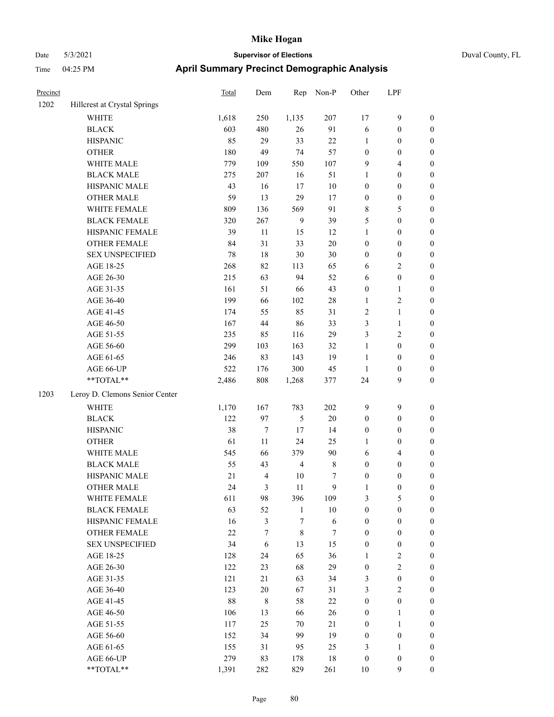| Precinct |                                | <b>Total</b> | Dem            | Rep            | Non-P            | Other            | LPF              |                  |
|----------|--------------------------------|--------------|----------------|----------------|------------------|------------------|------------------|------------------|
| 1202     | Hillcrest at Crystal Springs   |              |                |                |                  |                  |                  |                  |
|          | WHITE                          | 1,618        | 250            | 1,135          | 207              | 17               | $\mathbf{9}$     | $\boldsymbol{0}$ |
|          | <b>BLACK</b>                   | 603          | 480            | 26             | 91               | 6                | $\boldsymbol{0}$ | $\boldsymbol{0}$ |
|          | <b>HISPANIC</b>                | 85           | 29             | 33             | $22\,$           | $\mathbf{1}$     | $\boldsymbol{0}$ | $\boldsymbol{0}$ |
|          | <b>OTHER</b>                   | 180          | 49             | 74             | 57               | $\boldsymbol{0}$ | $\boldsymbol{0}$ | $\boldsymbol{0}$ |
|          | WHITE MALE                     | 779          | 109            | 550            | 107              | $\overline{9}$   | $\overline{4}$   | 0                |
|          | <b>BLACK MALE</b>              | 275          | 207            | 16             | 51               | 1                | $\boldsymbol{0}$ | 0                |
|          | HISPANIC MALE                  | 43           | 16             | 17             | $10\,$           | $\boldsymbol{0}$ | $\boldsymbol{0}$ | 0                |
|          | <b>OTHER MALE</b>              | 59           | 13             | 29             | 17               | $\boldsymbol{0}$ | $\boldsymbol{0}$ | $\boldsymbol{0}$ |
|          | WHITE FEMALE                   | 809          | 136            | 569            | 91               | 8                | $\mathfrak{S}$   | $\boldsymbol{0}$ |
|          | <b>BLACK FEMALE</b>            | 320          | 267            | 9              | 39               | 5                | $\boldsymbol{0}$ | $\boldsymbol{0}$ |
|          | HISPANIC FEMALE                | 39           | 11             | 15             | 12               | $\mathbf{1}$     | $\boldsymbol{0}$ | $\boldsymbol{0}$ |
|          | OTHER FEMALE                   | 84           | 31             | 33             | $20\,$           | $\boldsymbol{0}$ | $\boldsymbol{0}$ | $\boldsymbol{0}$ |
|          | <b>SEX UNSPECIFIED</b>         | 78           | 18             | $30\,$         | 30               | $\boldsymbol{0}$ | $\boldsymbol{0}$ | $\boldsymbol{0}$ |
|          | AGE 18-25                      | 268          | 82             | 113            | 65               | 6                | $\mathfrak{2}$   | $\boldsymbol{0}$ |
|          | AGE 26-30                      | 215          | 63             | 94             | 52               | 6                | $\boldsymbol{0}$ | $\boldsymbol{0}$ |
|          | AGE 31-35                      | 161          | 51             | 66             | 43               | $\boldsymbol{0}$ | $\mathbf{1}$     | 0                |
|          | AGE 36-40                      | 199          | 66             | 102            | $28\,$           | $\mathbf{1}$     | $\sqrt{2}$       | 0                |
|          | AGE 41-45                      | 174          | 55             | 85             | 31               | $\sqrt{2}$       | $\mathbf{1}$     | $\boldsymbol{0}$ |
|          | AGE 46-50                      | 167          | 44             | 86             | 33               | 3                | $\mathbf{1}$     | $\boldsymbol{0}$ |
|          | AGE 51-55                      | 235          | 85             | 116            | 29               | 3                | $\sqrt{2}$       | $\boldsymbol{0}$ |
|          | AGE 56-60                      | 299          | 103            | 163            | 32               | $\mathbf{1}$     | $\boldsymbol{0}$ | $\boldsymbol{0}$ |
|          | AGE 61-65                      | 246          | 83             | 143            | 19               | $\mathbf{1}$     | $\boldsymbol{0}$ | $\boldsymbol{0}$ |
|          | AGE 66-UP                      | 522          | 176            | 300            | 45               | $\mathbf{1}$     | $\boldsymbol{0}$ | $\boldsymbol{0}$ |
|          | **TOTAL**                      | 2,486        | $808\,$        | 1,268          | 377              | 24               | $\mathbf{9}$     | $\boldsymbol{0}$ |
| 1203     | Leroy D. Clemons Senior Center |              |                |                |                  |                  |                  |                  |
|          | <b>WHITE</b>                   | 1,170        | 167            | 783            | 202              | $\overline{9}$   | $\mathbf{9}$     | $\boldsymbol{0}$ |
|          | <b>BLACK</b>                   | 122          | 97             | 5              | $20\,$           | $\boldsymbol{0}$ | $\boldsymbol{0}$ | $\boldsymbol{0}$ |
|          | <b>HISPANIC</b>                | 38           | 7              | 17             | 14               | $\boldsymbol{0}$ | $\boldsymbol{0}$ | 0                |
|          | <b>OTHER</b>                   | 61           | 11             | 24             | 25               | 1                | $\boldsymbol{0}$ | 0                |
|          | WHITE MALE                     | 545          | 66             | 379            | 90               | 6                | $\overline{4}$   | $\boldsymbol{0}$ |
|          | <b>BLACK MALE</b>              | 55           | 43             | $\overline{4}$ | $\,$ 8 $\,$      | $\boldsymbol{0}$ | $\boldsymbol{0}$ | $\boldsymbol{0}$ |
|          | HISPANIC MALE                  | 21           | 4              | 10             | 7                | $\boldsymbol{0}$ | $\boldsymbol{0}$ | $\boldsymbol{0}$ |
|          | <b>OTHER MALE</b>              | 24           | 3              | 11             | 9                | 1                | $\boldsymbol{0}$ | $\boldsymbol{0}$ |
|          | WHITE FEMALE                   | 611          | 98             | 396            | 109              | 3                | $\mathfrak{S}$   | $\overline{0}$   |
|          | <b>BLACK FEMALE</b>            | 63           | 52             | $\mathbf{1}$   | $10\,$           | $\boldsymbol{0}$ | $\boldsymbol{0}$ | $\overline{0}$   |
|          | HISPANIC FEMALE                | 16           | $\mathfrak{Z}$ | 7              | $\sqrt{6}$       | $\boldsymbol{0}$ | $\boldsymbol{0}$ | 0                |
|          | <b>OTHER FEMALE</b>            | $22\,$       | 7              | $\,$ 8 $\,$    | $\boldsymbol{7}$ | $\boldsymbol{0}$ | $\boldsymbol{0}$ | 0                |
|          | <b>SEX UNSPECIFIED</b>         | 34           | 6              | 13             | 15               | $\boldsymbol{0}$ | $\boldsymbol{0}$ | 0                |
|          | AGE 18-25                      | 128          | 24             | 65             | 36               | $\mathbf{1}$     | $\sqrt{2}$       | 0                |
|          | AGE 26-30                      | 122          | 23             | 68             | 29               | $\boldsymbol{0}$ | $\sqrt{2}$       | $\overline{0}$   |
|          | AGE 31-35                      | 121          | 21             | 63             | 34               | 3                | $\boldsymbol{0}$ | $\boldsymbol{0}$ |
|          | AGE 36-40                      | 123          | $20\,$         | 67             | 31               | 3                | $\sqrt{2}$       | $\overline{0}$   |
|          | AGE 41-45                      | $88\,$       | 8              | 58             | $22\,$           | $\boldsymbol{0}$ | $\boldsymbol{0}$ | $\overline{0}$   |
|          | AGE 46-50                      | 106          | 13             | 66             | 26               | $\boldsymbol{0}$ | $\mathbf{1}$     | $\overline{0}$   |
|          | AGE 51-55                      | 117          | 25             | 70             | 21               | $\boldsymbol{0}$ | $\mathbf{1}$     | $\overline{0}$   |
|          | AGE 56-60                      | 152          | 34             | 99             | 19               | $\boldsymbol{0}$ | $\boldsymbol{0}$ | $\overline{0}$   |
|          | AGE 61-65                      | 155          | 31             | 95             | 25               | 3                | $\mathbf{1}$     | 0                |
|          | AGE 66-UP                      | 279          | 83             | 178            | 18               | $\boldsymbol{0}$ | $\boldsymbol{0}$ | 0                |
|          | $**TOTAL**$                    | 1,391        | 282            | 829            | 261              | $10\,$           | $\mathbf{9}$     | $\boldsymbol{0}$ |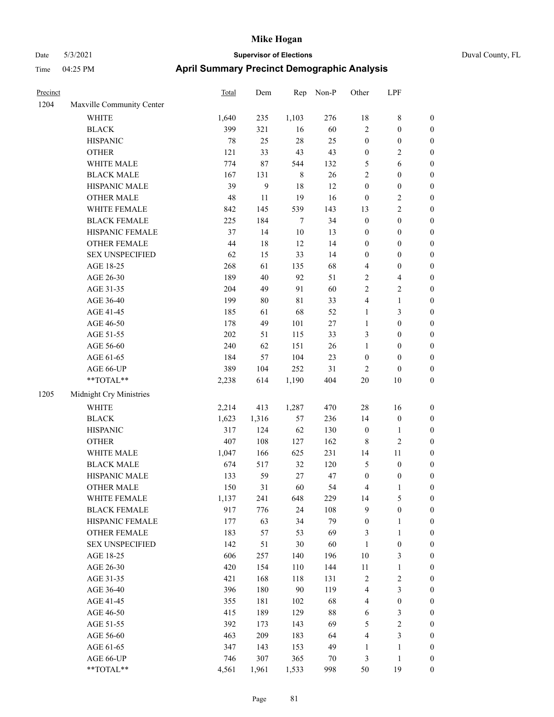| Precinct |                           | Total | Dem   | Rep         | Non-P  | Other            | LPF                     |                  |
|----------|---------------------------|-------|-------|-------------|--------|------------------|-------------------------|------------------|
| 1204     | Maxville Community Center |       |       |             |        |                  |                         |                  |
|          | WHITE                     | 1,640 | 235   | 1,103       | 276    | $18\,$           | $\,$ 8 $\,$             | $\boldsymbol{0}$ |
|          | <b>BLACK</b>              | 399   | 321   | 16          | 60     | $\sqrt{2}$       | $\mathbf{0}$            | $\mathbf{0}$     |
|          | <b>HISPANIC</b>           | 78    | 25    | 28          | 25     | $\boldsymbol{0}$ | $\boldsymbol{0}$        | $\boldsymbol{0}$ |
|          | <b>OTHER</b>              | 121   | 33    | 43          | 43     | $\boldsymbol{0}$ | $\overline{c}$          | $\boldsymbol{0}$ |
|          | WHITE MALE                | 774   | 87    | 544         | 132    | 5                | 6                       | $\boldsymbol{0}$ |
|          | <b>BLACK MALE</b>         | 167   | 131   | $\,$ 8 $\,$ | 26     | $\overline{c}$   | $\boldsymbol{0}$        | $\boldsymbol{0}$ |
|          | <b>HISPANIC MALE</b>      | 39    | 9     | 18          | 12     | $\mathbf{0}$     | $\mathbf{0}$            | $\mathbf{0}$     |
|          | <b>OTHER MALE</b>         | 48    | 11    | 19          | 16     | $\boldsymbol{0}$ | $\overline{c}$          | $\boldsymbol{0}$ |
|          | WHITE FEMALE              | 842   | 145   | 539         | 143    | 13               | $\overline{c}$          | $\boldsymbol{0}$ |
|          | <b>BLACK FEMALE</b>       | 225   | 184   | 7           | 34     | $\boldsymbol{0}$ | $\boldsymbol{0}$        | $\boldsymbol{0}$ |
|          | HISPANIC FEMALE           | 37    | 14    | $10\,$      | 13     | $\boldsymbol{0}$ | $\boldsymbol{0}$        | $\boldsymbol{0}$ |
|          | <b>OTHER FEMALE</b>       | 44    | 18    | 12          | 14     | $\boldsymbol{0}$ | $\mathbf{0}$            | $\boldsymbol{0}$ |
|          | <b>SEX UNSPECIFIED</b>    | 62    | 15    | 33          | 14     | $\boldsymbol{0}$ | $\boldsymbol{0}$        | $\boldsymbol{0}$ |
|          | AGE 18-25                 | 268   | 61    | 135         | 68     | 4                | $\boldsymbol{0}$        | $\boldsymbol{0}$ |
|          | AGE 26-30                 | 189   | 40    | 92          | 51     | $\overline{c}$   | $\overline{\mathbf{4}}$ | $\boldsymbol{0}$ |
|          | AGE 31-35                 | 204   | 49    | 91          | 60     | $\sqrt{2}$       | $\sqrt{2}$              | $\mathbf{0}$     |
|          | AGE 36-40                 | 199   | 80    | 81          | 33     | 4                | $\mathbf{1}$            | $\boldsymbol{0}$ |
|          | AGE 41-45                 | 185   | 61    | 68          | 52     | 1                | 3                       | $\boldsymbol{0}$ |
|          | AGE 46-50                 | 178   | 49    | 101         | 27     | $\mathbf{1}$     | $\boldsymbol{0}$        | $\boldsymbol{0}$ |
|          | AGE 51-55                 | 202   | 51    | 115         | 33     | 3                | $\boldsymbol{0}$        | $\boldsymbol{0}$ |
|          | AGE 56-60                 | 240   | 62    | 151         | 26     | 1                | $\mathbf{0}$            | $\boldsymbol{0}$ |
|          | AGE 61-65                 | 184   | 57    | 104         | 23     | $\boldsymbol{0}$ | $\mathbf{0}$            | $\mathbf{0}$     |
|          | AGE 66-UP                 | 389   | 104   | 252         | 31     | $\overline{c}$   | $\boldsymbol{0}$        | $\boldsymbol{0}$ |
|          | **TOTAL**                 | 2,238 | 614   | 1,190       | 404    | 20               | 10                      | $\boldsymbol{0}$ |
| 1205     | Midnight Cry Ministries   |       |       |             |        |                  |                         |                  |
|          | WHITE                     | 2,214 | 413   | 1,287       | 470    | 28               | 16                      | $\boldsymbol{0}$ |
|          | <b>BLACK</b>              | 1,623 | 1,316 | 57          | 236    | 14               | $\boldsymbol{0}$        | $\mathbf{0}$     |
|          | <b>HISPANIC</b>           | 317   | 124   | 62          | 130    | $\boldsymbol{0}$ | $\mathbf{1}$            | $\boldsymbol{0}$ |
|          | <b>OTHER</b>              | 407   | 108   | 127         | 162    | 8                | $\overline{c}$          | $\boldsymbol{0}$ |
|          | WHITE MALE                | 1,047 | 166   | 625         | 231    | 14               | 11                      | $\boldsymbol{0}$ |
|          | <b>BLACK MALE</b>         | 674   | 517   | 32          | 120    | $\sqrt{5}$       | $\boldsymbol{0}$        | $\boldsymbol{0}$ |
|          | <b>HISPANIC MALE</b>      | 133   | 59    | 27          | $47\,$ | $\boldsymbol{0}$ | $\boldsymbol{0}$        | $\boldsymbol{0}$ |
|          | <b>OTHER MALE</b>         | 150   | 31    | 60          | 54     | 4                | $\mathbf{1}$            | $\boldsymbol{0}$ |
|          | WHITE FEMALE              | 1,137 | 241   | 648         | 229    | 14               | 5                       | $\boldsymbol{0}$ |
|          | <b>BLACK FEMALE</b>       | 917   | 776   | 24          | 108    | 9                | $\boldsymbol{0}$        | $\boldsymbol{0}$ |
|          | HISPANIC FEMALE           | 177   | 63    | 34          | 79     | $\mathbf{0}$     | $\mathbf{1}$            | $\mathbf{0}$     |
|          | <b>OTHER FEMALE</b>       | 183   | 57    | 53          | 69     | 3                | 1                       | $\mathbf{0}$     |

| <b>OTHER</b>           | 407   | 108   | 127   | 162 | 8              | 2              | $\theta$       |
|------------------------|-------|-------|-------|-----|----------------|----------------|----------------|
| WHITE MALE             | 1,047 | 166   | 625   | 231 | 14             | 11             | $\overline{0}$ |
| <b>BLACK MALE</b>      | 674   | 517   | 32    | 120 | 5              | $\theta$       | $\overline{0}$ |
| <b>HISPANIC MALE</b>   | 133   | 59    | 27    | 47  | $\theta$       | $\theta$       | $\theta$       |
| <b>OTHER MALE</b>      | 150   | 31    | 60    | 54  | $\overline{4}$ | 1              | $\overline{0}$ |
| WHITE FEMALE           | 1,137 | 241   | 648   | 229 | 14             | 5              | $\overline{0}$ |
| <b>BLACK FEMALE</b>    | 917   | 776   | 24    | 108 | 9              | $\mathbf{0}$   | $\overline{0}$ |
| <b>HISPANIC FEMALE</b> | 177   | 63    | 34    | 79  | $\theta$       | 1              | $\overline{0}$ |
| <b>OTHER FEMALE</b>    | 183   | 57    | 53    | 69  | 3              | 1              | $\overline{0}$ |
| <b>SEX UNSPECIFIED</b> | 142   | 51    | 30    | 60  | 1              | $\theta$       | $\overline{0}$ |
| AGE 18-25              | 606   | 257   | 140   | 196 | 10             | 3              | $\overline{0}$ |
| AGE 26-30              | 420   | 154   | 110   | 144 | 11             | 1              | $\overline{0}$ |
| AGE 31-35              | 421   | 168   | 118   | 131 | $\overline{2}$ | $\overline{2}$ | $\overline{0}$ |
| AGE 36-40              | 396   | 180   | 90    | 119 | $\overline{4}$ | 3              | $\overline{0}$ |
| AGE 41-45              | 355   | 181   | 102   | 68  | $\overline{4}$ | $\mathbf{0}$   | $\overline{0}$ |
| AGE 46-50              | 415   | 189   | 129   | 88  | 6              | 3              | $\theta$       |
| AGE 51-55              | 392   | 173   | 143   | 69  | 5              | $\overline{2}$ | $\overline{0}$ |
| AGE 56-60              | 463   | 209   | 183   | 64  | $\overline{4}$ | 3              | $\overline{0}$ |
| AGE 61-65              | 347   | 143   | 153   | 49  | 1              | 1              | $\theta$       |
| AGE 66-UP              | 746   | 307   | 365   | 70  | 3              | 1              | $\overline{0}$ |
| $*$ $TOTAL**$          | 4,561 | 1,961 | 1,533 | 998 | 50             | 19             | $\overline{0}$ |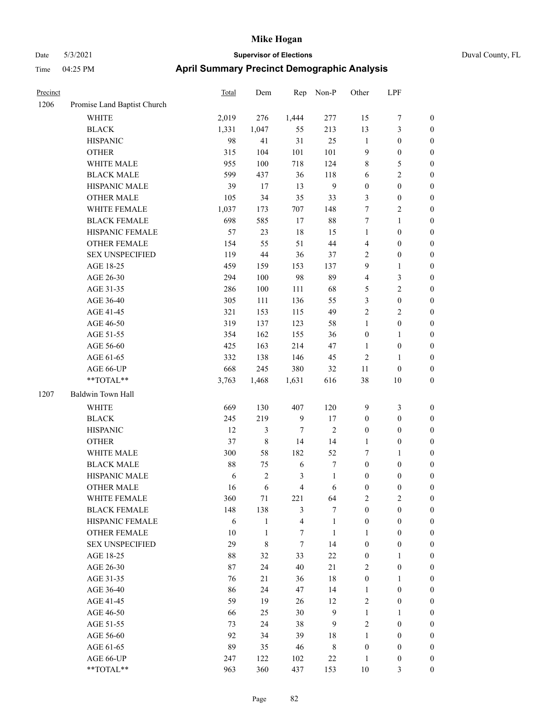| Duval Co |  |
|----------|--|
|          |  |

| Precinct |                             | Total | Dem            | Rep                     | Non-P        | Other            | LPF              |                  |
|----------|-----------------------------|-------|----------------|-------------------------|--------------|------------------|------------------|------------------|
| 1206     | Promise Land Baptist Church |       |                |                         |              |                  |                  |                  |
|          | <b>WHITE</b>                | 2,019 | 276            | 1,444                   | 277          | 15               | $\boldsymbol{7}$ | $\boldsymbol{0}$ |
|          | <b>BLACK</b>                | 1,331 | 1,047          | 55                      | 213          | 13               | $\mathfrak{Z}$   | $\boldsymbol{0}$ |
|          | <b>HISPANIC</b>             | 98    | 41             | 31                      | 25           | $\mathbf{1}$     | $\boldsymbol{0}$ | $\boldsymbol{0}$ |
|          | <b>OTHER</b>                | 315   | 104            | 101                     | 101          | 9                | $\boldsymbol{0}$ | $\boldsymbol{0}$ |
|          | WHITE MALE                  | 955   | 100            | 718                     | 124          | 8                | $\mathfrak{S}$   | $\boldsymbol{0}$ |
|          | <b>BLACK MALE</b>           | 599   | 437            | 36                      | 118          | 6                | $\overline{2}$   | $\boldsymbol{0}$ |
|          | HISPANIC MALE               | 39    | 17             | 13                      | $\mathbf{9}$ | $\boldsymbol{0}$ | $\boldsymbol{0}$ | $\boldsymbol{0}$ |
|          | <b>OTHER MALE</b>           | 105   | 34             | 35                      | 33           | 3                | $\boldsymbol{0}$ | 0                |
|          | WHITE FEMALE                | 1,037 | 173            | 707                     | 148          | $\tau$           | $\mathbf{2}$     | 0                |
|          | <b>BLACK FEMALE</b>         | 698   | 585            | $17\,$                  | $88\,$       | 7                | $\mathbf{1}$     | $\boldsymbol{0}$ |
|          | HISPANIC FEMALE             | 57    | 23             | 18                      | 15           | $\mathbf{1}$     | $\boldsymbol{0}$ | $\boldsymbol{0}$ |
|          | OTHER FEMALE                | 154   | 55             | 51                      | $44\,$       | 4                | $\boldsymbol{0}$ | $\boldsymbol{0}$ |
|          | <b>SEX UNSPECIFIED</b>      | 119   | 44             | 36                      | 37           | 2                | $\boldsymbol{0}$ | $\boldsymbol{0}$ |
|          | AGE 18-25                   | 459   | 159            | 153                     | 137          | 9                | $\mathbf{1}$     | $\boldsymbol{0}$ |
|          | AGE 26-30                   | 294   | 100            | 98                      | 89           | 4                | $\mathfrak{Z}$   | $\boldsymbol{0}$ |
|          | AGE 31-35                   | 286   | 100            | 111                     | 68           | 5                | $\overline{2}$   | $\boldsymbol{0}$ |
|          | AGE 36-40                   | 305   | 111            | 136                     | 55           | 3                | $\boldsymbol{0}$ | $\boldsymbol{0}$ |
|          | AGE 41-45                   | 321   | 153            | 115                     | 49           | $\sqrt{2}$       | $\sqrt{2}$       | $\boldsymbol{0}$ |
|          | AGE 46-50                   | 319   | 137            | 123                     | 58           | $\mathbf{1}$     | $\boldsymbol{0}$ | 0                |
|          | AGE 51-55                   | 354   | 162            | 155                     | 36           | $\boldsymbol{0}$ | $\mathbf{1}$     | $\boldsymbol{0}$ |
|          | AGE 56-60                   | 425   | 163            | 214                     | 47           | $\mathbf{1}$     | $\boldsymbol{0}$ | $\boldsymbol{0}$ |
|          | AGE 61-65                   | 332   | 138            | 146                     | 45           | $\overline{2}$   | 1                | $\boldsymbol{0}$ |
|          | AGE 66-UP                   | 668   | 245            | 380                     | 32           | 11               | $\boldsymbol{0}$ | $\boldsymbol{0}$ |
|          | $**TOTAL**$                 | 3,763 | 1,468          | 1,631                   | 616          | 38               | $10\,$           | $\boldsymbol{0}$ |
| 1207     | Baldwin Town Hall           |       |                |                         |              |                  |                  |                  |
|          | <b>WHITE</b>                | 669   | 130            | 407                     | 120          | $\overline{9}$   | $\mathfrak{Z}$   | $\boldsymbol{0}$ |
|          | <b>BLACK</b>                | 245   | 219            | $\mathbf{9}$            | 17           | $\boldsymbol{0}$ | $\boldsymbol{0}$ | $\boldsymbol{0}$ |
|          | <b>HISPANIC</b>             | 12    | 3              | 7                       | $\sqrt{2}$   | $\boldsymbol{0}$ | $\boldsymbol{0}$ | $\boldsymbol{0}$ |
|          | <b>OTHER</b>                | 37    | $\,8\,$        | 14                      | 14           | $\mathbf{1}$     | $\boldsymbol{0}$ | $\boldsymbol{0}$ |
|          | WHITE MALE                  | 300   | 58             | 182                     | 52           | 7                | $\mathbf{1}$     | $\boldsymbol{0}$ |
|          | <b>BLACK MALE</b>           | 88    | 75             | 6                       | 7            | $\boldsymbol{0}$ | $\boldsymbol{0}$ | 0                |
|          | HISPANIC MALE               | 6     | $\overline{c}$ | 3                       | $\mathbf{1}$ | $\boldsymbol{0}$ | $\boldsymbol{0}$ | 0                |
|          | <b>OTHER MALE</b>           | 16    | 6              | 4                       | 6            | $\boldsymbol{0}$ | $\boldsymbol{0}$ | $\boldsymbol{0}$ |
|          | WHITE FEMALE                | 360   | $71\,$         | 221                     | 64           | $\overline{c}$   | $\sqrt{2}$       | $\boldsymbol{0}$ |
|          | <b>BLACK FEMALE</b>         | 148   | 138            | $\mathfrak{Z}$          | 7            | $\boldsymbol{0}$ | $\boldsymbol{0}$ | $\overline{0}$   |
|          | HISPANIC FEMALE             | 6     | $\mathbf{1}$   | $\overline{\mathbf{4}}$ | $\mathbf{1}$ | $\boldsymbol{0}$ | $\boldsymbol{0}$ | $\overline{0}$   |
|          | <b>OTHER FEMALE</b>         | 10    | $\mathbf{1}$   | $\boldsymbol{7}$        | $\mathbf{1}$ | $\mathbf{1}$     | $\boldsymbol{0}$ | $\overline{0}$   |
|          | <b>SEX UNSPECIFIED</b>      | 29    | 8              | $\boldsymbol{7}$        | 14           | $\boldsymbol{0}$ | $\boldsymbol{0}$ | $\overline{0}$   |
|          | AGE 18-25                   | 88    | 32             | 33                      | $22\,$       | $\boldsymbol{0}$ | $\mathbf{1}$     | $\overline{0}$   |
|          | AGE 26-30                   | 87    | 24             | 40                      | 21           | 2                | $\boldsymbol{0}$ | 0                |
|          | AGE 31-35                   | 76    | 21             | 36                      | 18           | $\boldsymbol{0}$ | $\mathbf{1}$     | 0                |
|          | AGE 36-40                   | 86    | 24             | 47                      | 14           | $\mathbf{1}$     | $\boldsymbol{0}$ | 0                |
|          | AGE 41-45                   | 59    | 19             | 26                      | 12           | 2                | $\boldsymbol{0}$ | $\boldsymbol{0}$ |
|          | AGE 46-50                   | 66    | 25             | 30                      | $\mathbf{9}$ | $\mathbf{1}$     | $\mathbf{1}$     | $\boldsymbol{0}$ |
|          | AGE 51-55                   | 73    | 24             | 38                      | 9            | $\overline{c}$   | $\boldsymbol{0}$ | $\boldsymbol{0}$ |
|          | AGE 56-60                   | 92    | 34             | 39                      | 18           | $\mathbf{1}$     | $\boldsymbol{0}$ | $\boldsymbol{0}$ |
|          | AGE 61-65                   | 89    | 35             | 46                      | $\,$ 8 $\,$  | $\boldsymbol{0}$ | $\boldsymbol{0}$ | $\overline{0}$   |
|          | AGE 66-UP                   | 247   | 122            | 102                     | $22\,$       | $\mathbf{1}$     | $\boldsymbol{0}$ | $\boldsymbol{0}$ |
|          | **TOTAL**                   | 963   | 360            | 437                     | 153          | $10\,$           | 3                | $\overline{0}$   |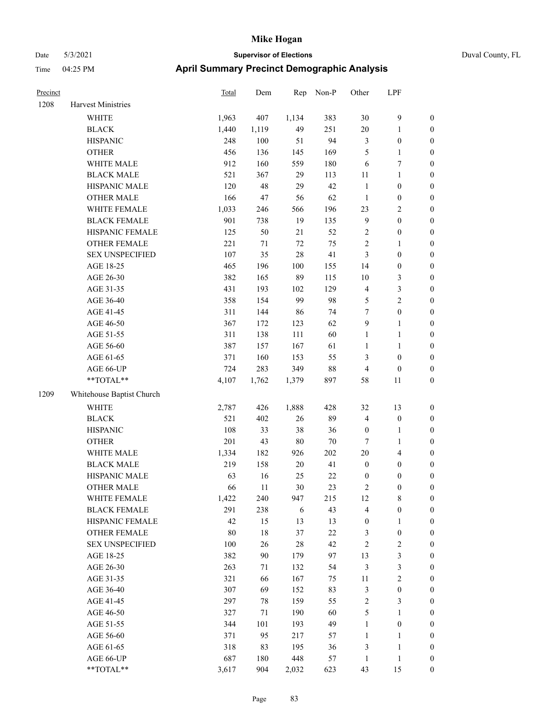| Precinct |                           | <b>Total</b> | Dem    | Rep    | Non-P  | Other            | LPF                     |                  |
|----------|---------------------------|--------------|--------|--------|--------|------------------|-------------------------|------------------|
| 1208     | <b>Harvest Ministries</b> |              |        |        |        |                  |                         |                  |
|          | WHITE                     | 1,963        | 407    | 1,134  | 383    | 30               | 9                       | $\boldsymbol{0}$ |
|          | <b>BLACK</b>              | 1,440        | 1,119  | 49     | 251    | 20               | 1                       | $\boldsymbol{0}$ |
|          | <b>HISPANIC</b>           | 248          | 100    | 51     | 94     | 3                | $\boldsymbol{0}$        | $\boldsymbol{0}$ |
|          | <b>OTHER</b>              | 456          | 136    | 145    | 169    | 5                | 1                       | $\boldsymbol{0}$ |
|          | WHITE MALE                | 912          | 160    | 559    | 180    | 6                | 7                       | $\boldsymbol{0}$ |
|          | <b>BLACK MALE</b>         | 521          | 367    | 29     | 113    | $11\,$           | 1                       | $\boldsymbol{0}$ |
|          | HISPANIC MALE             | 120          | 48     | 29     | 42     | $\mathbf{1}$     | $\boldsymbol{0}$        | $\boldsymbol{0}$ |
|          | <b>OTHER MALE</b>         | 166          | 47     | 56     | 62     | $\mathbf{1}$     | $\boldsymbol{0}$        | $\boldsymbol{0}$ |
|          | WHITE FEMALE              | 1,033        | 246    | 566    | 196    | 23               | 2                       | $\boldsymbol{0}$ |
|          | <b>BLACK FEMALE</b>       | 901          | 738    | 19     | 135    | 9                | $\boldsymbol{0}$        | $\boldsymbol{0}$ |
|          | HISPANIC FEMALE           | 125          | 50     | 21     | 52     | $\sqrt{2}$       | $\boldsymbol{0}$        | $\boldsymbol{0}$ |
|          | <b>OTHER FEMALE</b>       | 221          | 71     | 72     | 75     | $\sqrt{2}$       | 1                       | $\boldsymbol{0}$ |
|          | <b>SEX UNSPECIFIED</b>    | 107          | 35     | 28     | 41     | $\mathfrak{Z}$   | $\boldsymbol{0}$        | $\boldsymbol{0}$ |
|          | AGE 18-25                 | 465          | 196    | 100    | 155    | 14               | $\boldsymbol{0}$        | $\boldsymbol{0}$ |
|          | AGE 26-30                 | 382          | 165    | 89     | 115    | 10               | 3                       | $\boldsymbol{0}$ |
|          | AGE 31-35                 | 431          | 193    | 102    | 129    | $\overline{4}$   | 3                       | $\boldsymbol{0}$ |
|          | AGE 36-40                 | 358          | 154    | 99     | 98     | $\mathfrak{S}$   | 2                       | $\boldsymbol{0}$ |
|          | AGE 41-45                 | 311          | 144    | 86     | 74     | 7                | $\boldsymbol{0}$        | $\boldsymbol{0}$ |
|          | AGE 46-50                 | 367          | 172    | 123    | 62     | $\overline{9}$   | 1                       | $\boldsymbol{0}$ |
|          | AGE 51-55                 | 311          | 138    | 111    | 60     | $\mathbf{1}$     | 1                       | $\boldsymbol{0}$ |
|          | AGE 56-60                 | 387          | 157    | 167    | 61     | $\mathbf{1}$     | 1                       | $\boldsymbol{0}$ |
|          | AGE 61-65                 | 371          | 160    | 153    | 55     | 3                | $\boldsymbol{0}$        | $\boldsymbol{0}$ |
|          | AGE 66-UP                 | 724          | 283    | 349    | 88     | $\overline{4}$   | $\boldsymbol{0}$        | $\boldsymbol{0}$ |
|          | **TOTAL**                 | 4,107        | 1,762  | 1,379  | 897    | 58               | 11                      | $\boldsymbol{0}$ |
| 1209     | Whitehouse Baptist Church |              |        |        |        |                  |                         |                  |
|          | <b>WHITE</b>              | 2,787        | 426    | 1,888  | 428    | 32               | 13                      | $\boldsymbol{0}$ |
|          | <b>BLACK</b>              | 521          | 402    | 26     | 89     | $\overline{4}$   | $\boldsymbol{0}$        | $\boldsymbol{0}$ |
|          | <b>HISPANIC</b>           | 108          | 33     | 38     | 36     | $\boldsymbol{0}$ | 1                       | $\boldsymbol{0}$ |
|          | <b>OTHER</b>              | 201          | 43     | 80     | $70\,$ | 7                | 1                       | $\boldsymbol{0}$ |
|          | WHITE MALE                | 1,334        | 182    | 926    | 202    | 20               | 4                       | $\boldsymbol{0}$ |
|          | <b>BLACK MALE</b>         | 219          | 158    | 20     | 41     | $\boldsymbol{0}$ | $\boldsymbol{0}$        | $\boldsymbol{0}$ |
|          | HISPANIC MALE             | 63           | 16     | 25     | $22\,$ | $\boldsymbol{0}$ | $\boldsymbol{0}$        | $\boldsymbol{0}$ |
|          | <b>OTHER MALE</b>         | 66           | 11     | 30     | 23     | $\overline{c}$   | $\boldsymbol{0}$        | $\boldsymbol{0}$ |
|          | WHITE FEMALE              | 1,422        | 240    | 947    | 215    | 12               | 8                       | $\mathbf{0}$     |
|          | <b>BLACK FEMALE</b>       | 291          | 238    | 6      | 43     | $\overline{4}$   | $\boldsymbol{0}$        | $\boldsymbol{0}$ |
|          | HISPANIC FEMALE           | 42           | 15     | 13     | 13     | $\boldsymbol{0}$ | 1                       | $\boldsymbol{0}$ |
|          | OTHER FEMALE              | 80           | $18\,$ | 37     | $22\,$ | $\mathfrak{Z}$   | $\boldsymbol{0}$        | $\boldsymbol{0}$ |
|          | <b>SEX UNSPECIFIED</b>    | $100\,$      | 26     | $28\,$ | 42     | $\sqrt{2}$       | $\mathbf{2}$            | $\boldsymbol{0}$ |
|          | AGE 18-25                 | 382          | 90     | 179    | 97     | 13               | 3                       | $\boldsymbol{0}$ |
|          | AGE 26-30                 | 263          | 71     | 132    | 54     | $\mathfrak{Z}$   | 3                       | $\boldsymbol{0}$ |
|          | AGE 31-35                 | 321          | 66     | 167    | 75     | 11               | $\overline{\mathbf{c}}$ | $\boldsymbol{0}$ |
|          | AGE 36-40                 | 307          | 69     | 152    | 83     | $\mathfrak{Z}$   | $\boldsymbol{0}$        | $\boldsymbol{0}$ |
|          | AGE 41-45                 | 297          | 78     | 159    | 55     | $\sqrt{2}$       | 3                       | $\boldsymbol{0}$ |
|          | AGE 46-50                 | 327          | 71     | 190    | 60     | $\mathfrak{S}$   | 1                       | $\boldsymbol{0}$ |
|          | AGE 51-55                 | 344          | 101    | 193    | 49     | $\mathbf{1}$     | $\boldsymbol{0}$        | $\boldsymbol{0}$ |
|          | AGE 56-60                 | 371          | 95     | 217    | 57     | $\mathbf{1}$     | 1                       | $\boldsymbol{0}$ |
|          | AGE 61-65                 | 318          | 83     | 195    | 36     | $\mathfrak{Z}$   | $\mathbf{1}$            | $\boldsymbol{0}$ |
|          | AGE 66-UP                 | 687          | 180    | 448    | 57     | $\mathbf{1}$     | 1                       | $\boldsymbol{0}$ |
|          | $**TOTAL**$               | 3,617        | 904    | 2,032  | 623    | 43               | 15                      | $\boldsymbol{0}$ |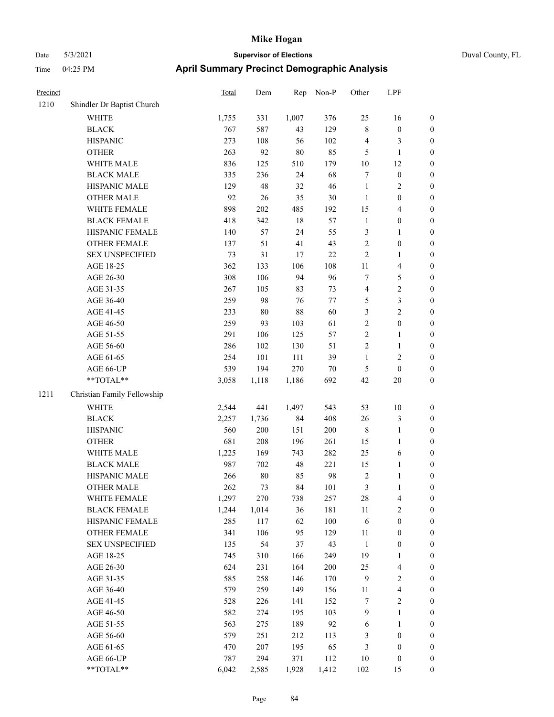| Precinct |                             | Total | Dem    | Rep    | Non-P  | Other            | LPF                     |                  |
|----------|-----------------------------|-------|--------|--------|--------|------------------|-------------------------|------------------|
| 1210     | Shindler Dr Baptist Church  |       |        |        |        |                  |                         |                  |
|          | <b>WHITE</b>                | 1,755 | 331    | 1,007  | 376    | 25               | 16                      | $\boldsymbol{0}$ |
|          | <b>BLACK</b>                | 767   | 587    | 43     | 129    | $\,$ 8 $\,$      | $\boldsymbol{0}$        | $\boldsymbol{0}$ |
|          | <b>HISPANIC</b>             | 273   | 108    | 56     | 102    | $\overline{4}$   | 3                       | $\boldsymbol{0}$ |
|          | <b>OTHER</b>                | 263   | 92     | $80\,$ | 85     | 5                | 1                       | $\boldsymbol{0}$ |
|          | WHITE MALE                  | 836   | 125    | 510    | 179    | 10               | 12                      | $\boldsymbol{0}$ |
|          | <b>BLACK MALE</b>           | 335   | 236    | 24     | 68     | $\tau$           | $\boldsymbol{0}$        | $\boldsymbol{0}$ |
|          | HISPANIC MALE               | 129   | 48     | 32     | 46     | $\mathbf{1}$     | 2                       | $\boldsymbol{0}$ |
|          | <b>OTHER MALE</b>           | 92    | 26     | 35     | $30\,$ | $\mathbf{1}$     | $\boldsymbol{0}$        | $\boldsymbol{0}$ |
|          | WHITE FEMALE                | 898   | 202    | 485    | 192    | 15               | 4                       | $\boldsymbol{0}$ |
|          | <b>BLACK FEMALE</b>         | 418   | 342    | 18     | 57     | $\mathbf{1}$     | $\boldsymbol{0}$        | $\boldsymbol{0}$ |
|          | HISPANIC FEMALE             | 140   | 57     | 24     | 55     | $\mathfrak{Z}$   | 1                       | $\boldsymbol{0}$ |
|          | <b>OTHER FEMALE</b>         | 137   | 51     | 41     | 43     | $\sqrt{2}$       | $\boldsymbol{0}$        | $\boldsymbol{0}$ |
|          | <b>SEX UNSPECIFIED</b>      | 73    | 31     | 17     | 22     | $\overline{2}$   | 1                       | $\boldsymbol{0}$ |
|          | AGE 18-25                   | 362   | 133    | 106    | 108    | 11               | 4                       | $\boldsymbol{0}$ |
|          | AGE 26-30                   | 308   | 106    | 94     | 96     | $\tau$           | 5                       | $\boldsymbol{0}$ |
|          | AGE 31-35                   | 267   | 105    | 83     | 73     | $\overline{4}$   | 2                       | $\boldsymbol{0}$ |
|          | AGE 36-40                   | 259   | 98     | 76     | 77     | 5                | 3                       | $\boldsymbol{0}$ |
|          | AGE 41-45                   | 233   | $80\,$ | 88     | 60     | 3                | 2                       | $\boldsymbol{0}$ |
|          | AGE 46-50                   | 259   | 93     | 103    | 61     | $\sqrt{2}$       | $\boldsymbol{0}$        | $\boldsymbol{0}$ |
|          | AGE 51-55                   | 291   | 106    | 125    | 57     | $\overline{2}$   | 1                       | $\boldsymbol{0}$ |
|          | AGE 56-60                   | 286   | 102    | 130    | 51     | $\sqrt{2}$       | 1                       | $\boldsymbol{0}$ |
|          | AGE 61-65                   | 254   | 101    | 111    | 39     | $\mathbf{1}$     | $\overline{\mathbf{c}}$ | $\boldsymbol{0}$ |
|          | AGE 66-UP                   | 539   | 194    | 270    | $70\,$ | 5                | $\boldsymbol{0}$        | $\boldsymbol{0}$ |
|          | **TOTAL**                   | 3,058 | 1,118  | 1,186  | 692    | 42               | 20                      | $\boldsymbol{0}$ |
| 1211     | Christian Family Fellowship |       |        |        |        |                  |                         |                  |
|          | WHITE                       | 2,544 | 441    | 1,497  | 543    | 53               | 10                      | $\boldsymbol{0}$ |
|          | <b>BLACK</b>                | 2,257 | 1,736  | 84     | 408    | 26               | 3                       | $\boldsymbol{0}$ |
|          | <b>HISPANIC</b>             | 560   | 200    | 151    | 200    | $\,$ 8 $\,$      | 1                       | $\boldsymbol{0}$ |
|          | <b>OTHER</b>                | 681   | 208    | 196    | 261    | 15               | 1                       | $\boldsymbol{0}$ |
|          | WHITE MALE                  | 1,225 | 169    | 743    | 282    | 25               | 6                       | $\boldsymbol{0}$ |
|          | <b>BLACK MALE</b>           | 987   | 702    | 48     | 221    | 15               | 1                       | $\boldsymbol{0}$ |
|          | HISPANIC MALE               | 266   | $80\,$ | 85     | 98     | $\sqrt{2}$       | 1                       | $\boldsymbol{0}$ |
|          | <b>OTHER MALE</b>           | 262   | 73     | 84     | 101    | $\mathfrak{Z}$   | 1                       | $\boldsymbol{0}$ |
|          | WHITE FEMALE                | 1,297 | 270    | 738    | 257    | 28               | 4                       | $\boldsymbol{0}$ |
|          | <b>BLACK FEMALE</b>         | 1,244 | 1,014  | 36     | 181    | $11\,$           | $\overline{\mathbf{c}}$ | $\boldsymbol{0}$ |
|          | HISPANIC FEMALE             | 285   | 117    | 62     | 100    | 6                | $\boldsymbol{0}$        | $\boldsymbol{0}$ |
|          | <b>OTHER FEMALE</b>         | 341   | 106    | 95     | 129    | $11\,$           | $\boldsymbol{0}$        | $\boldsymbol{0}$ |
|          | <b>SEX UNSPECIFIED</b>      | 135   | 54     | 37     | 43     | $\mathbf{1}$     | $\boldsymbol{0}$        | $\boldsymbol{0}$ |
|          | AGE 18-25                   | 745   | 310    | 166    | 249    | 19               | 1                       | $\boldsymbol{0}$ |
|          | AGE 26-30                   | 624   | 231    | 164    | 200    | 25               | $\overline{4}$          | $\boldsymbol{0}$ |
|          | AGE 31-35                   | 585   | 258    | 146    | 170    | $\mathbf{9}$     | $\sqrt{2}$              | $\boldsymbol{0}$ |
|          | AGE 36-40                   | 579   | 259    | 149    | 156    | 11               | 4                       | $\boldsymbol{0}$ |
|          | AGE 41-45                   | 528   | 226    | 141    | 152    | $\boldsymbol{7}$ | $\overline{\mathbf{c}}$ | $\boldsymbol{0}$ |
|          | AGE 46-50                   | 582   | 274    | 195    | 103    | $\overline{9}$   | 1                       | $\boldsymbol{0}$ |
|          | AGE 51-55                   | 563   | 275    | 189    | 92     | 6                | 1                       | $\boldsymbol{0}$ |
|          | AGE 56-60                   | 579   | 251    | 212    | 113    | $\mathfrak{Z}$   | $\boldsymbol{0}$        | $\boldsymbol{0}$ |
|          | AGE 61-65                   | 470   | 207    | 195    | 65     | $\mathfrak{Z}$   | $\boldsymbol{0}$        | $\boldsymbol{0}$ |
|          | AGE 66-UP                   | 787   | 294    | 371    | 112    | 10               | $\boldsymbol{0}$        | $\boldsymbol{0}$ |
|          | **TOTAL**                   | 6,042 | 2,585  | 1,928  | 1,412  | 102              | 15                      | $\boldsymbol{0}$ |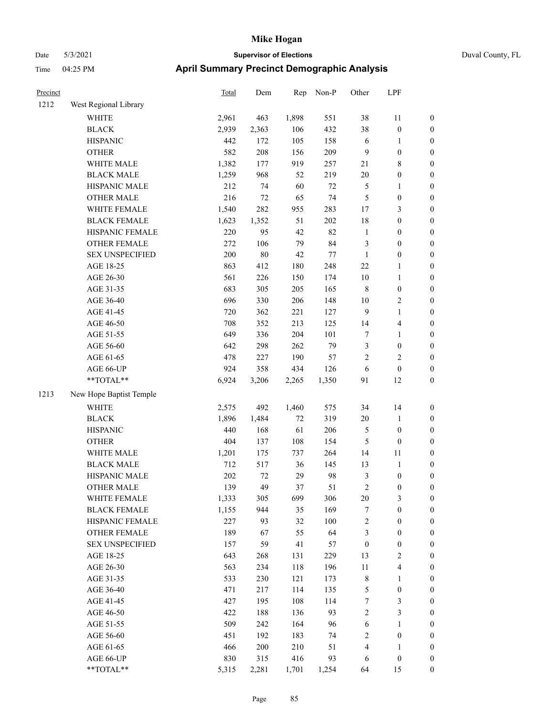| Precinct |                         | <b>Total</b> | Dem    | Rep   | Non-P  | Other            | LPF                     |                  |
|----------|-------------------------|--------------|--------|-------|--------|------------------|-------------------------|------------------|
| 1212     | West Regional Library   |              |        |       |        |                  |                         |                  |
|          | WHITE                   | 2,961        | 463    | 1,898 | 551    | 38               | 11                      | $\boldsymbol{0}$ |
|          | <b>BLACK</b>            | 2,939        | 2,363  | 106   | 432    | 38               | $\boldsymbol{0}$        | $\boldsymbol{0}$ |
|          | <b>HISPANIC</b>         | 442          | 172    | 105   | 158    | 6                | 1                       | $\boldsymbol{0}$ |
|          | <b>OTHER</b>            | 582          | 208    | 156   | 209    | 9                | $\boldsymbol{0}$        | $\boldsymbol{0}$ |
|          | WHITE MALE              | 1,382        | 177    | 919   | 257    | 21               | 8                       | $\boldsymbol{0}$ |
|          | <b>BLACK MALE</b>       | 1,259        | 968    | 52    | 219    | 20               | $\boldsymbol{0}$        | $\boldsymbol{0}$ |
|          | HISPANIC MALE           | 212          | 74     | 60    | $72\,$ | $\mathfrak{S}$   | 1                       | $\boldsymbol{0}$ |
|          | <b>OTHER MALE</b>       | 216          | $72\,$ | 65    | 74     | $\mathfrak{S}$   | $\boldsymbol{0}$        | $\boldsymbol{0}$ |
|          | WHITE FEMALE            | 1,540        | 282    | 955   | 283    | 17               | 3                       | $\boldsymbol{0}$ |
|          | <b>BLACK FEMALE</b>     | 1,623        | 1,352  | 51    | 202    | 18               | $\boldsymbol{0}$        | $\boldsymbol{0}$ |
|          | HISPANIC FEMALE         | 220          | 95     | 42    | 82     | $\mathbf{1}$     | $\boldsymbol{0}$        | $\boldsymbol{0}$ |
|          | <b>OTHER FEMALE</b>     | 272          | 106    | 79    | 84     | $\mathfrak{Z}$   | $\boldsymbol{0}$        | $\boldsymbol{0}$ |
|          | <b>SEX UNSPECIFIED</b>  | 200          | $80\,$ | 42    | 77     | 1                | $\boldsymbol{0}$        | $\boldsymbol{0}$ |
|          | AGE 18-25               | 863          | 412    | 180   | 248    | 22               | 1                       | $\boldsymbol{0}$ |
|          | AGE 26-30               | 561          | 226    | 150   | 174    | 10               | 1                       | $\boldsymbol{0}$ |
|          | AGE 31-35               | 683          | 305    | 205   | 165    | $\,8\,$          | $\boldsymbol{0}$        | $\boldsymbol{0}$ |
|          | AGE 36-40               | 696          | 330    | 206   | 148    | 10               | $\overline{\mathbf{c}}$ | $\boldsymbol{0}$ |
|          | AGE 41-45               | 720          | 362    | 221   | 127    | 9                | 1                       | $\boldsymbol{0}$ |
|          | AGE 46-50               | 708          | 352    | 213   | 125    | 14               | 4                       | $\boldsymbol{0}$ |
|          | AGE 51-55               | 649          | 336    | 204   | 101    | $\tau$           | 1                       | $\boldsymbol{0}$ |
|          | AGE 56-60               | 642          | 298    | 262   | 79     | $\mathfrak{Z}$   | $\boldsymbol{0}$        | $\boldsymbol{0}$ |
|          | AGE 61-65               | 478          | 227    | 190   | 57     | $\overline{2}$   | 2                       | $\boldsymbol{0}$ |
|          | AGE 66-UP               | 924          | 358    | 434   | 126    | 6                | $\boldsymbol{0}$        | $\boldsymbol{0}$ |
|          | **TOTAL**               | 6,924        | 3,206  | 2,265 | 1,350  | 91               | 12                      | $\boldsymbol{0}$ |
| 1213     | New Hope Baptist Temple |              |        |       |        |                  |                         |                  |
|          | <b>WHITE</b>            | 2,575        | 492    | 1,460 | 575    | 34               | 14                      | $\boldsymbol{0}$ |
|          | <b>BLACK</b>            | 1,896        | 1,484  | 72    | 319    | 20               | 1                       | $\boldsymbol{0}$ |
|          | <b>HISPANIC</b>         | 440          | 168    | 61    | 206    | 5                | $\boldsymbol{0}$        | $\boldsymbol{0}$ |
|          | <b>OTHER</b>            | 404          | 137    | 108   | 154    | 5                | $\boldsymbol{0}$        | $\boldsymbol{0}$ |
|          | WHITE MALE              | 1,201        | 175    | 737   | 264    | 14               | 11                      | $\boldsymbol{0}$ |
|          | <b>BLACK MALE</b>       | 712          | 517    | 36    | 145    | 13               | $\mathbf{1}$            | $\boldsymbol{0}$ |
|          | HISPANIC MALE           | 202          | 72     | 29    | 98     | $\mathfrak{Z}$   | $\boldsymbol{0}$        | $\boldsymbol{0}$ |
|          | <b>OTHER MALE</b>       | 139          | 49     | 37    | 51     | $\overline{2}$   | 0                       | $\boldsymbol{0}$ |
|          | WHITE FEMALE            | 1,333        | 305    | 699   | 306    | 20               | 3                       | $\boldsymbol{0}$ |
|          | <b>BLACK FEMALE</b>     | 1,155        | 944    | 35    | 169    | $\tau$           | $\boldsymbol{0}$        | $\boldsymbol{0}$ |
|          | HISPANIC FEMALE         | 227          | 93     | 32    | 100    | $\sqrt{2}$       | $\boldsymbol{0}$        | $\boldsymbol{0}$ |
|          | <b>OTHER FEMALE</b>     | 189          | 67     | 55    | 64     | 3                | $\boldsymbol{0}$        | $\boldsymbol{0}$ |
|          | <b>SEX UNSPECIFIED</b>  | 157          | 59     | 41    | 57     | $\boldsymbol{0}$ | $\boldsymbol{0}$        | $\boldsymbol{0}$ |
|          | AGE 18-25               | 643          | 268    | 131   | 229    | 13               | $\overline{\mathbf{c}}$ | $\boldsymbol{0}$ |
|          | AGE 26-30               | 563          | 234    | 118   | 196    | 11               | 4                       | $\boldsymbol{0}$ |
|          | AGE 31-35               | 533          | 230    | 121   | 173    | $\,$ 8 $\,$      | 1                       | $\boldsymbol{0}$ |
|          | AGE 36-40               | 471          | 217    | 114   | 135    | $\sqrt{5}$       | $\boldsymbol{0}$        | $\boldsymbol{0}$ |
|          | AGE 41-45               | 427          | 195    | 108   | 114    | $\tau$           | 3                       | $\boldsymbol{0}$ |
|          | AGE 46-50               | 422          | 188    | 136   | 93     | $\sqrt{2}$       | 3                       | $\boldsymbol{0}$ |
|          | AGE 51-55               | 509          | 242    | 164   | 96     | 6                | 1                       | $\boldsymbol{0}$ |
|          | AGE 56-60               | 451          | 192    | 183   | 74     | $\sqrt{2}$       | $\boldsymbol{0}$        | $\boldsymbol{0}$ |
|          | AGE 61-65               | 466          | 200    | 210   | 51     | $\overline{4}$   | 1                       | $\boldsymbol{0}$ |
|          | AGE 66-UP               | 830          | 315    | 416   | 93     | 6                | $\boldsymbol{0}$        | $\boldsymbol{0}$ |
|          | $**TOTAL**$             | 5,315        | 2,281  | 1,701 | 1,254  | 64               | 15                      | $\boldsymbol{0}$ |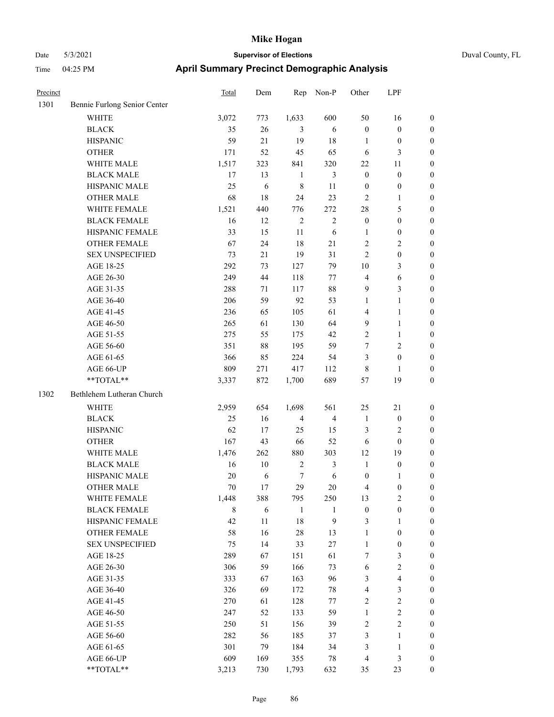| Precinct |                              | Total       | Dem        | Rep            | Non-P          | Other            | LPF              |                  |
|----------|------------------------------|-------------|------------|----------------|----------------|------------------|------------------|------------------|
| 1301     | Bennie Furlong Senior Center |             |            |                |                |                  |                  |                  |
|          | <b>WHITE</b>                 | 3,072       | 773        | 1,633          | 600            | 50               | 16               | $\boldsymbol{0}$ |
|          | <b>BLACK</b>                 | 35          | $26\,$     | 3              | 6              | $\boldsymbol{0}$ | $\boldsymbol{0}$ | $\boldsymbol{0}$ |
|          | <b>HISPANIC</b>              | 59          | 21         | 19             | 18             | $\mathbf{1}$     | $\boldsymbol{0}$ | $\boldsymbol{0}$ |
|          | <b>OTHER</b>                 | 171         | 52         | 45             | 65             | 6                | 3                | $\boldsymbol{0}$ |
|          | WHITE MALE                   | 1,517       | 323        | 841            | 320            | 22               | 11               | $\boldsymbol{0}$ |
|          | <b>BLACK MALE</b>            | 17          | 13         | 1              | 3              | $\boldsymbol{0}$ | $\boldsymbol{0}$ | $\boldsymbol{0}$ |
|          | HISPANIC MALE                | 25          | 6          | $\,8\,$        | 11             | $\boldsymbol{0}$ | $\boldsymbol{0}$ | $\boldsymbol{0}$ |
|          | <b>OTHER MALE</b>            | 68          | 18         | 24             | 23             | $\overline{2}$   | $\mathbf{1}$     | $\boldsymbol{0}$ |
|          | WHITE FEMALE                 | 1,521       | 440        | 776            | 272            | $28\,$           | 5                | $\boldsymbol{0}$ |
|          | <b>BLACK FEMALE</b>          | 16          | 12         | $\overline{2}$ | $\mathbf{2}$   | $\boldsymbol{0}$ | $\boldsymbol{0}$ | $\boldsymbol{0}$ |
|          | HISPANIC FEMALE              | 33          | 15         | 11             | 6              | $\mathbf{1}$     | $\boldsymbol{0}$ | $\boldsymbol{0}$ |
|          | <b>OTHER FEMALE</b>          | 67          | 24         | 18             | 21             | $\sqrt{2}$       | 2                | $\boldsymbol{0}$ |
|          | <b>SEX UNSPECIFIED</b>       | 73          | 21         | 19             | 31             | $\overline{2}$   | $\boldsymbol{0}$ | $\boldsymbol{0}$ |
|          | AGE 18-25                    | 292         | 73         | 127            | 79             | 10               | 3                | $\boldsymbol{0}$ |
|          | AGE 26-30                    | 249         | 44         | 118            | 77             | $\overline{4}$   | 6                | $\boldsymbol{0}$ |
|          | AGE 31-35                    | 288         | 71         | 117            | $88\,$         | 9                | 3                | $\boldsymbol{0}$ |
|          | AGE 36-40                    | 206         | 59         | 92             | 53             | $\mathbf{1}$     | 1                | $\boldsymbol{0}$ |
|          | AGE 41-45                    | 236         | 65         | 105            | 61             | $\overline{4}$   | $\mathbf{1}$     | $\boldsymbol{0}$ |
|          | AGE 46-50                    | 265         | 61         | 130            | 64             | 9                | 1                | $\boldsymbol{0}$ |
|          | AGE 51-55                    | 275         | 55         | 175            | 42             | $\sqrt{2}$       | 1                | $\boldsymbol{0}$ |
|          | AGE 56-60                    | 351         | $88\,$     | 195            | 59             | $\tau$           | 2                | $\boldsymbol{0}$ |
|          | AGE 61-65                    | 366         | 85         | 224            | 54             | 3                | $\boldsymbol{0}$ | $\boldsymbol{0}$ |
|          | AGE 66-UP                    | 809         | 271        | 417            | 112            | $\,8\,$          | 1                | $\boldsymbol{0}$ |
|          | **TOTAL**                    | 3,337       | 872        | 1,700          | 689            | 57               | 19               | $\boldsymbol{0}$ |
| 1302     | Bethlehem Lutheran Church    |             |            |                |                |                  |                  |                  |
|          | WHITE                        | 2,959       | 654        | 1,698          | 561            | 25               | 21               | $\boldsymbol{0}$ |
|          | <b>BLACK</b>                 | 25          | 16         | $\overline{4}$ | $\overline{4}$ | $\mathbf{1}$     | $\boldsymbol{0}$ | $\boldsymbol{0}$ |
|          | <b>HISPANIC</b>              | 62          | 17         | 25             | 15             | 3                | 2                | $\boldsymbol{0}$ |
|          | <b>OTHER</b>                 | 167         | 43         | 66             | 52             | 6                | $\mathbf{0}$     | $\boldsymbol{0}$ |
|          | WHITE MALE                   | 1,476       | 262        | 880            | 303            | 12               | 19               | $\boldsymbol{0}$ |
|          | <b>BLACK MALE</b>            | 16          | 10         | $\overline{2}$ | 3              | $\mathbf{1}$     | $\boldsymbol{0}$ | $\boldsymbol{0}$ |
|          | HISPANIC MALE                | 20          | 6          | 7              | 6              | $\boldsymbol{0}$ | 1                | $\boldsymbol{0}$ |
|          | <b>OTHER MALE</b>            | 70          | 17         | 29             | 20             | 4                | $\boldsymbol{0}$ | $\boldsymbol{0}$ |
|          | WHITE FEMALE                 | 1,448       | 388        | 795            | 250            | 13               | $\mathbf{2}$     | $\mathbf{0}$     |
|          | <b>BLACK FEMALE</b>          | $\,$ 8 $\,$ | $\sqrt{6}$ | $\mathbf{1}$   | $\mathbf{1}$   | $\boldsymbol{0}$ | $\boldsymbol{0}$ | $\boldsymbol{0}$ |
|          | HISPANIC FEMALE              | 42          | $11\,$     | 18             | 9              | $\mathfrak{Z}$   | 1                | $\boldsymbol{0}$ |
|          | <b>OTHER FEMALE</b>          | 58          | 16         | $28\,$         | 13             | $\mathbf{1}$     | $\boldsymbol{0}$ | $\boldsymbol{0}$ |
|          | <b>SEX UNSPECIFIED</b>       | 75          | 14         | 33             | $27\,$         | $\mathbf{1}$     | $\boldsymbol{0}$ | $\boldsymbol{0}$ |
|          | AGE 18-25                    | 289         | 67         | 151            | 61             | $\tau$           | 3                | $\boldsymbol{0}$ |
|          | AGE 26-30                    | 306         | 59         | 166            | 73             | $\sqrt{6}$       | $\mathbf{2}$     | $\boldsymbol{0}$ |
|          | AGE 31-35                    | 333         | 67         | 163            | 96             | $\mathfrak{Z}$   | 4                | $\boldsymbol{0}$ |
|          | AGE 36-40                    | 326         | 69         | 172            | $78\,$         | $\overline{4}$   | 3                | $\boldsymbol{0}$ |
|          | AGE 41-45                    | 270         | 61         | 128            | 77             | $\sqrt{2}$       | $\mathbf{2}$     | $\boldsymbol{0}$ |
|          | AGE 46-50                    | 247         | 52         | 133            | 59             | $\mathbf{1}$     | $\overline{c}$   | $\boldsymbol{0}$ |
|          | AGE 51-55                    | 250         | 51         | 156            | 39             | $\sqrt{2}$       | 2                | $\boldsymbol{0}$ |
|          | AGE 56-60                    | 282         | 56         | 185            | 37             | $\mathfrak{Z}$   | 1                | $\boldsymbol{0}$ |
|          | AGE 61-65                    | 301         | 79         | 184            | 34             | $\mathfrak{Z}$   | $\mathbf{1}$     | $\boldsymbol{0}$ |
|          | AGE 66-UP                    | 609         | 169        | 355            | 78             | $\overline{4}$   | 3                | $\boldsymbol{0}$ |
|          | **TOTAL**                    | 3,213       | 730        | 1,793          | 632            | 35               | 23               | $\mathbf{0}$     |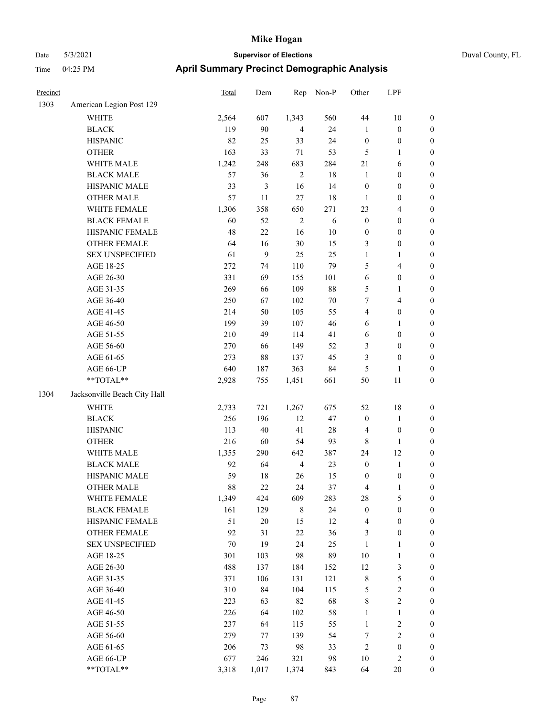|  | Duval County, FL |
|--|------------------|
|--|------------------|

| Precinct |                              | <b>Total</b> | Dem    | Rep            | Non-P      | Other            | LPF                     |                  |
|----------|------------------------------|--------------|--------|----------------|------------|------------------|-------------------------|------------------|
| 1303     | American Legion Post 129     |              |        |                |            |                  |                         |                  |
|          | <b>WHITE</b>                 | 2,564        | 607    | 1,343          | 560        | 44               | $10\,$                  | $\boldsymbol{0}$ |
|          | <b>BLACK</b>                 | 119          | 90     | $\overline{4}$ | 24         | $\mathbf{1}$     | $\boldsymbol{0}$        | $\boldsymbol{0}$ |
|          | <b>HISPANIC</b>              | 82           | 25     | 33             | 24         | $\boldsymbol{0}$ | $\boldsymbol{0}$        | $\boldsymbol{0}$ |
|          | <b>OTHER</b>                 | 163          | 33     | 71             | 53         | 5                | $\mathbf{1}$            | $\boldsymbol{0}$ |
|          | WHITE MALE                   | 1,242        | 248    | 683            | 284        | $21\,$           | 6                       | $\boldsymbol{0}$ |
|          | <b>BLACK MALE</b>            | 57           | 36     | $\sqrt{2}$     | $18\,$     | $\mathbf{1}$     | $\boldsymbol{0}$        | $\boldsymbol{0}$ |
|          | HISPANIC MALE                | 33           | 3      | 16             | 14         | $\boldsymbol{0}$ | $\boldsymbol{0}$        | $\boldsymbol{0}$ |
|          | <b>OTHER MALE</b>            | 57           | $11\,$ | $27\,$         | 18         | $\mathbf{1}$     | $\boldsymbol{0}$        | $\boldsymbol{0}$ |
|          | WHITE FEMALE                 | 1,306        | 358    | 650            | 271        | 23               | $\overline{4}$          | $\boldsymbol{0}$ |
|          | <b>BLACK FEMALE</b>          | 60           | 52     | $\mathbf{2}$   | $\sqrt{6}$ | $\mathbf{0}$     | $\boldsymbol{0}$        | 0                |
|          | HISPANIC FEMALE              | 48           | 22     | 16             | 10         | $\boldsymbol{0}$ | $\boldsymbol{0}$        | $\boldsymbol{0}$ |
|          | OTHER FEMALE                 | 64           | 16     | $30\,$         | 15         | 3                | $\boldsymbol{0}$        | $\boldsymbol{0}$ |
|          | <b>SEX UNSPECIFIED</b>       | 61           | 9      | 25             | 25         | 1                | $\mathbf{1}$            | $\boldsymbol{0}$ |
|          | AGE 18-25                    | 272          | 74     | 110            | 79         | 5                | $\overline{\mathbf{4}}$ | $\boldsymbol{0}$ |
|          | AGE 26-30                    | 331          | 69     | 155            | 101        | 6                | $\boldsymbol{0}$        | $\boldsymbol{0}$ |
|          | AGE 31-35                    | 269          | 66     | 109            | $88\,$     | 5                | $\mathbf{1}$            | $\boldsymbol{0}$ |
|          | AGE 36-40                    | 250          | 67     | 102            | $70\,$     | 7                | $\overline{4}$          | $\boldsymbol{0}$ |
|          | AGE 41-45                    | 214          | 50     | 105            | 55         | 4                | $\boldsymbol{0}$        | $\boldsymbol{0}$ |
|          | AGE 46-50                    | 199          | 39     | 107            | 46         | 6                | $\mathbf{1}$            | $\boldsymbol{0}$ |
|          | AGE 51-55                    | 210          | 49     | 114            | 41         | 6                | $\boldsymbol{0}$        | 0                |
|          | AGE 56-60                    | 270          | 66     | 149            | 52         | 3                | $\boldsymbol{0}$        | 0                |
|          | AGE 61-65                    | 273          | 88     | 137            | 45         | 3                | $\boldsymbol{0}$        | $\boldsymbol{0}$ |
|          | AGE 66-UP                    | 640          | 187    | 363            | 84         | 5                | 1                       | $\boldsymbol{0}$ |
|          | **TOTAL**                    | 2,928        | 755    | 1,451          | 661        | 50               | 11                      | $\boldsymbol{0}$ |
| 1304     | Jacksonville Beach City Hall |              |        |                |            |                  |                         |                  |
|          | <b>WHITE</b>                 | 2,733        | 721    | 1,267          | 675        | 52               | 18                      | $\boldsymbol{0}$ |
|          | <b>BLACK</b>                 | 256          | 196    | 12             | 47         | $\boldsymbol{0}$ | $\mathbf{1}$            | $\boldsymbol{0}$ |
|          | <b>HISPANIC</b>              | 113          | 40     | 41             | 28         | 4                | $\boldsymbol{0}$        | $\boldsymbol{0}$ |
|          | <b>OTHER</b>                 | 216          | 60     | 54             | 93         | 8                | $\mathbf{1}$            | $\boldsymbol{0}$ |
|          | WHITE MALE                   | 1,355        | 290    | 642            | 387        | 24               | 12                      | $\boldsymbol{0}$ |
|          | <b>BLACK MALE</b>            | 92           | 64     | $\overline{4}$ | 23         | $\boldsymbol{0}$ | $\mathbf{1}$            | $\boldsymbol{0}$ |
|          | HISPANIC MALE                | 59           | 18     | 26             | 15         | $\boldsymbol{0}$ | $\boldsymbol{0}$        | 0                |
|          | <b>OTHER MALE</b>            | 88           | 22     | 24             | 37         | 4                | 1                       | $\overline{0}$   |
|          | WHITE FEMALE                 | 1,349        | 424    | 609            | 283        | 28               | 5                       | $\boldsymbol{0}$ |
|          | <b>BLACK FEMALE</b>          | 161          | 129    | $\,$ 8 $\,$    | 24         | $\boldsymbol{0}$ | $\boldsymbol{0}$        | $\boldsymbol{0}$ |
|          | HISPANIC FEMALE              | 51           | $20\,$ | 15             | 12         | $\overline{4}$   | $\boldsymbol{0}$        | $\boldsymbol{0}$ |
|          | <b>OTHER FEMALE</b>          | 92           | 31     | $22\,$         | 36         | 3                | $\boldsymbol{0}$        | 0                |
|          | <b>SEX UNSPECIFIED</b>       | 70           | 19     | 24             | 25         | $\mathbf{1}$     | $\mathbf{1}$            | 0                |
|          | AGE 18-25                    | 301          | 103    | 98             | 89         | $10\,$           | $\mathbf{1}$            | 0                |
|          | AGE 26-30                    | 488          | 137    | 184            | 152        | 12               | $\mathfrak{Z}$          | 0                |
|          | AGE 31-35                    | 371          | 106    | 131            | 121        | $\,$ 8 $\,$      | 5                       | 0                |
|          | AGE 36-40                    | 310          | 84     | 104            | 115        | $\mathfrak{S}$   | $\sqrt{2}$              | 0                |
|          | AGE 41-45                    | 223          | 63     | 82             | 68         | $\,$ $\,$        | $\boldsymbol{2}$        | 0                |
|          | AGE 46-50                    | 226          | 64     | 102            | 58         | $\mathbf{1}$     | $\,1\,$                 | $\boldsymbol{0}$ |
|          | AGE 51-55                    | 237          | 64     | 115            | 55         | $\mathbf{1}$     | $\sqrt{2}$              | $\boldsymbol{0}$ |
|          | AGE 56-60                    | 279          | 77     | 139            | 54         | 7                | $\sqrt{2}$              | $\boldsymbol{0}$ |
|          | AGE 61-65                    | 206          | 73     | 98             | 33         | $\overline{c}$   | $\boldsymbol{0}$        | $\boldsymbol{0}$ |
|          | AGE 66-UP                    | 677          | 246    | 321            | 98         | $10\,$           | $\sqrt{2}$              | $\boldsymbol{0}$ |
|          | $**TOTAL**$                  | 3,318        | 1,017  | 1,374          | 843        | 64               | $20\,$                  | $\overline{0}$   |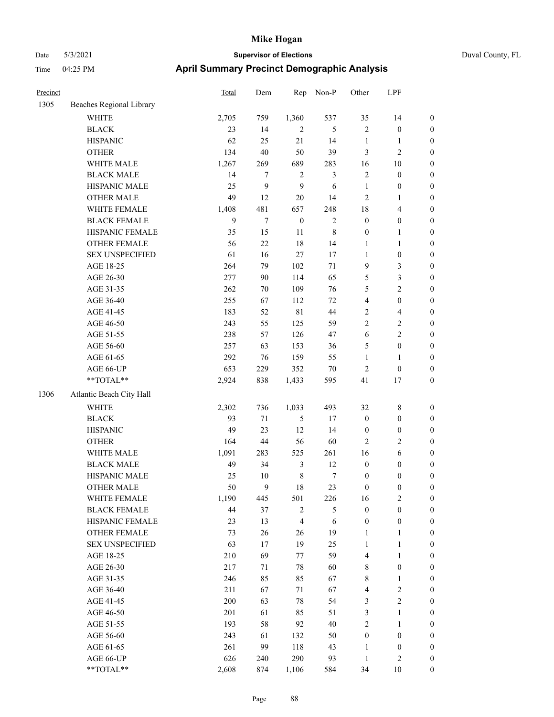|  | Duval County, FL |  |
|--|------------------|--|
|--|------------------|--|

| Precinct |                          | <b>Total</b> | Dem    | Rep              | Non-P       | Other            | LPF                     |                  |
|----------|--------------------------|--------------|--------|------------------|-------------|------------------|-------------------------|------------------|
| 1305     | Beaches Regional Library |              |        |                  |             |                  |                         |                  |
|          | <b>WHITE</b>             | 2,705        | 759    | 1,360            | 537         | 35               | 14                      | $\boldsymbol{0}$ |
|          | <b>BLACK</b>             | 23           | 14     | $\overline{2}$   | 5           | $\overline{c}$   | $\boldsymbol{0}$        | $\boldsymbol{0}$ |
|          | <b>HISPANIC</b>          | 62           | 25     | $21\,$           | 14          | $\mathbf{1}$     | $\mathbf{1}$            | $\boldsymbol{0}$ |
|          | <b>OTHER</b>             | 134          | 40     | 50               | 39          | 3                | $\sqrt{2}$              | $\boldsymbol{0}$ |
|          | WHITE MALE               | 1,267        | 269    | 689              | 283         | 16               | $10\,$                  | $\boldsymbol{0}$ |
|          | <b>BLACK MALE</b>        | 14           | 7      | $\sqrt{2}$       | 3           | $\sqrt{2}$       | $\boldsymbol{0}$        | $\boldsymbol{0}$ |
|          | HISPANIC MALE            | 25           | 9      | 9                | 6           | $\mathbf{1}$     | $\boldsymbol{0}$        | $\boldsymbol{0}$ |
|          | <b>OTHER MALE</b>        | 49           | 12     | $20\,$           | 14          | $\overline{c}$   | $\mathbf{1}$            | $\boldsymbol{0}$ |
|          | WHITE FEMALE             | 1,408        | 481    | 657              | 248         | 18               | $\overline{4}$          | $\boldsymbol{0}$ |
|          | <b>BLACK FEMALE</b>      | 9            | 7      | $\boldsymbol{0}$ | $\sqrt{2}$  | $\boldsymbol{0}$ | $\boldsymbol{0}$        | 0                |
|          | HISPANIC FEMALE          | 35           | 15     | 11               | $\,$ 8 $\,$ | $\boldsymbol{0}$ | $\mathbf{1}$            | 0                |
|          | OTHER FEMALE             | 56           | 22     | 18               | 14          | 1                | $\mathbf{1}$            | 0                |
|          | <b>SEX UNSPECIFIED</b>   | 61           | 16     | $27\,$           | 17          | 1                | $\boldsymbol{0}$        | $\boldsymbol{0}$ |
|          | AGE 18-25                | 264          | 79     | 102              | 71          | 9                | $\mathfrak{Z}$          | $\boldsymbol{0}$ |
|          | AGE 26-30                | 277          | 90     | 114              | 65          | 5                | $\mathfrak{Z}$          | $\boldsymbol{0}$ |
|          | AGE 31-35                | 262          | 70     | 109              | 76          | 5                | $\sqrt{2}$              | $\boldsymbol{0}$ |
|          | AGE 36-40                | 255          | 67     | 112              | $72\,$      | 4                | $\boldsymbol{0}$        | $\boldsymbol{0}$ |
|          | AGE 41-45                | 183          | 52     | $8\sqrt{1}$      | $44\,$      | $\mathbf{2}$     | $\overline{\mathbf{4}}$ | $\boldsymbol{0}$ |
|          | AGE 46-50                | 243          | 55     | 125              | 59          | $\overline{c}$   | $\sqrt{2}$              | $\boldsymbol{0}$ |
|          | AGE 51-55                | 238          | 57     | 126              | 47          | 6                | $\mathbf{2}$            | 0                |
|          | AGE 56-60                | 257          | 63     | 153              | 36          | 5                | $\boldsymbol{0}$        | 0                |
|          | AGE 61-65                | 292          | 76     | 159              | 55          | $\mathbf{1}$     | $\mathbf{1}$            | 0                |
|          | AGE 66-UP                | 653          | 229    | 352              | $70\,$      | $\sqrt{2}$       | $\boldsymbol{0}$        | $\boldsymbol{0}$ |
|          | **TOTAL**                | 2,924        | 838    | 1,433            | 595         | 41               | 17                      | $\boldsymbol{0}$ |
| 1306     | Atlantic Beach City Hall |              |        |                  |             |                  |                         |                  |
|          | <b>WHITE</b>             | 2,302        | 736    | 1,033            | 493         | 32               | $\,8\,$                 | $\boldsymbol{0}$ |
|          | <b>BLACK</b>             | 93           | 71     | 5                | 17          | $\boldsymbol{0}$ | $\boldsymbol{0}$        | $\boldsymbol{0}$ |
|          | <b>HISPANIC</b>          | 49           | 23     | 12               | 14          | $\boldsymbol{0}$ | $\boldsymbol{0}$        | $\boldsymbol{0}$ |
|          | <b>OTHER</b>             | 164          | 44     | 56               | 60          | $\overline{c}$   | $\sqrt{2}$              | $\boldsymbol{0}$ |
|          | WHITE MALE               | 1,091        | 283    | 525              | 261         | 16               | $\sqrt{6}$              | $\boldsymbol{0}$ |
|          | <b>BLACK MALE</b>        | 49           | 34     | $\mathfrak{Z}$   | 12          | $\boldsymbol{0}$ | $\boldsymbol{0}$        | $\boldsymbol{0}$ |
|          | HISPANIC MALE            | 25           | $10\,$ | $\,$ 8 $\,$      | $\tau$      | $\boldsymbol{0}$ | 0                       | 0                |
|          | <b>OTHER MALE</b>        | 50           | 9      | 18               | 23          | $\boldsymbol{0}$ | $\boldsymbol{0}$        | $\overline{0}$   |
|          | WHITE FEMALE             | 1,190        | 445    | 501              | 226         | 16               | $\overline{c}$          | $\boldsymbol{0}$ |
|          | <b>BLACK FEMALE</b>      | 44           | 37     | $\sqrt{2}$       | 5           | $\boldsymbol{0}$ | $\boldsymbol{0}$        | $\boldsymbol{0}$ |
|          | HISPANIC FEMALE          | 23           | 13     | $\overline{4}$   | 6           | $\boldsymbol{0}$ | $\boldsymbol{0}$        | $\boldsymbol{0}$ |
|          | <b>OTHER FEMALE</b>      | 73           | 26     | 26               | 19          | $\mathbf{1}$     | $\mathbf{1}$            | 0                |
|          | <b>SEX UNSPECIFIED</b>   | 63           | 17     | 19               | 25          | $\mathbf{1}$     | $\mathbf{1}$            | 0                |
|          | AGE 18-25                | 210          | 69     | 77               | 59          | 4                | $\mathbf{1}$            | 0                |
|          | AGE 26-30                | 217          | 71     | $78\,$           | 60          | $\,$ 8 $\,$      | $\boldsymbol{0}$        | 0                |
|          | AGE 31-35                | 246          | 85     | 85               | 67          | $\,$ 8 $\,$      | $\mathbf{1}$            | 0                |
|          | AGE 36-40                | 211          | 67     | 71               | 67          | $\overline{4}$   | $\sqrt{2}$              | 0                |
|          | AGE 41-45                | 200          | 63     | $78\,$           | 54          | 3                | $\boldsymbol{2}$        | 0                |
|          | AGE 46-50                | 201          | 61     | 85               | 51          | 3                | $\mathbf{1}$            | $\boldsymbol{0}$ |
|          | AGE 51-55                | 193          | 58     | 92               | 40          | $\sqrt{2}$       | $\mathbf{1}$            | $\boldsymbol{0}$ |
|          | AGE 56-60                | 243          | 61     | 132              | 50          | $\boldsymbol{0}$ | $\boldsymbol{0}$        | $\boldsymbol{0}$ |
|          | AGE 61-65                | 261          | 99     | 118              | 43          | $\mathbf{1}$     | $\boldsymbol{0}$        | 0                |
|          | AGE 66-UP                | 626          | 240    | 290              | 93          | $\mathbf{1}$     | $\sqrt{2}$              | $\boldsymbol{0}$ |
|          | $**TOTAL**$              | 2,608        | 874    | 1,106            | 584         | 34               | $10\,$                  | $\overline{0}$   |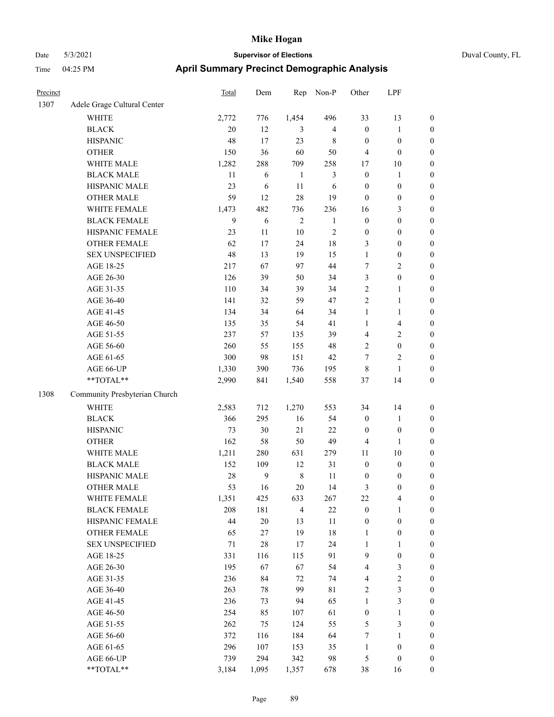|  | Duval County, FL |
|--|------------------|
|--|------------------|

| Precinct |                               | <b>Total</b>     | Dem    | Rep            | Non-P          | Other            | LPF                     |                  |
|----------|-------------------------------|------------------|--------|----------------|----------------|------------------|-------------------------|------------------|
| 1307     | Adele Grage Cultural Center   |                  |        |                |                |                  |                         |                  |
|          | WHITE                         | 2,772            | 776    | 1,454          | 496            | 33               | 13                      | $\boldsymbol{0}$ |
|          | <b>BLACK</b>                  | 20               | 12     | 3              | $\overline{4}$ | $\boldsymbol{0}$ | $\mathbf{1}$            | $\boldsymbol{0}$ |
|          | <b>HISPANIC</b>               | 48               | 17     | 23             | $\,$ 8 $\,$    | $\boldsymbol{0}$ | $\boldsymbol{0}$        | 0                |
|          | <b>OTHER</b>                  | 150              | 36     | 60             | 50             | 4                | $\boldsymbol{0}$        | 0                |
|          | WHITE MALE                    | 1,282            | 288    | 709            | 258            | 17               | 10                      | $\boldsymbol{0}$ |
|          | <b>BLACK MALE</b>             | 11               | 6      | $\mathbf{1}$   | 3              | $\boldsymbol{0}$ | $\mathbf{1}$            | $\boldsymbol{0}$ |
|          | HISPANIC MALE                 | 23               | 6      | $11\,$         | 6              | $\boldsymbol{0}$ | $\boldsymbol{0}$        | $\boldsymbol{0}$ |
|          | <b>OTHER MALE</b>             | 59               | 12     | 28             | 19             | $\boldsymbol{0}$ | $\boldsymbol{0}$        | $\boldsymbol{0}$ |
|          | WHITE FEMALE                  | 1,473            | 482    | 736            | 236            | 16               | $\mathfrak{Z}$          | $\boldsymbol{0}$ |
|          | <b>BLACK FEMALE</b>           | $\boldsymbol{9}$ | 6      | $\mathbf{2}$   | $\mathbf{1}$   | $\boldsymbol{0}$ | $\boldsymbol{0}$        | $\boldsymbol{0}$ |
|          | HISPANIC FEMALE               | 23               | 11     | $10\,$         | $\sqrt{2}$     | $\boldsymbol{0}$ | $\boldsymbol{0}$        | $\boldsymbol{0}$ |
|          | <b>OTHER FEMALE</b>           | 62               | 17     | 24             | 18             | 3                | $\boldsymbol{0}$        | $\boldsymbol{0}$ |
|          | <b>SEX UNSPECIFIED</b>        | 48               | 13     | 19             | 15             | $\mathbf{1}$     | $\boldsymbol{0}$        | 0                |
|          | AGE 18-25                     | 217              | 67     | 97             | 44             | 7                | $\overline{c}$          | 0                |
|          | AGE 26-30                     | 126              | 39     | 50             | 34             | 3                | $\boldsymbol{0}$        | $\boldsymbol{0}$ |
|          | AGE 31-35                     | 110              | 34     | 39             | 34             | 2                | 1                       | $\boldsymbol{0}$ |
|          | AGE 36-40                     | 141              | 32     | 59             | 47             | 2                | $\mathbf{1}$            | $\boldsymbol{0}$ |
|          | AGE 41-45                     | 134              | 34     | 64             | 34             | $\mathbf{1}$     | $\mathbf{1}$            | $\boldsymbol{0}$ |
|          | AGE 46-50                     | 135              | 35     | 54             | 41             | $\mathbf{1}$     | $\overline{\mathbf{4}}$ | $\boldsymbol{0}$ |
|          | AGE 51-55                     | 237              | 57     | 135            | 39             | 4                | $\overline{2}$          | $\boldsymbol{0}$ |
|          | AGE 56-60                     | 260              | 55     | 155            | 48             | $\overline{c}$   | $\boldsymbol{0}$        | $\boldsymbol{0}$ |
|          | AGE 61-65                     | 300              | 98     | 151            | 42             | 7                | $\sqrt{2}$              | 0                |
|          | AGE 66-UP                     | 1,330            | 390    | 736            | 195            | $\,$ 8 $\,$      | $\mathbf{1}$            | 0                |
|          | **TOTAL**                     | 2,990            | 841    | 1,540          | 558            | 37               | 14                      | $\boldsymbol{0}$ |
| 1308     | Community Presbyterian Church |                  |        |                |                |                  |                         |                  |
|          | <b>WHITE</b>                  | 2,583            | 712    | 1,270          | 553            | 34               | 14                      | 0                |
|          | <b>BLACK</b>                  | 366              | 295    | 16             | 54             | $\boldsymbol{0}$ | $\mathbf{1}$            | $\boldsymbol{0}$ |
|          | <b>HISPANIC</b>               | 73               | 30     | 21             | $22\,$         | $\boldsymbol{0}$ | $\boldsymbol{0}$        | 0                |
|          | <b>OTHER</b>                  | 162              | 58     | 50             | 49             | 4                | $\mathbf{1}$            | $\boldsymbol{0}$ |
|          | WHITE MALE                    | 1,211            | 280    | 631            | 279            | 11               | $10\,$                  | $\boldsymbol{0}$ |
|          | <b>BLACK MALE</b>             | 152              | 109    | 12             | 31             | $\boldsymbol{0}$ | $\boldsymbol{0}$        | $\boldsymbol{0}$ |
|          | HISPANIC MALE                 | 28               | 9      | $\,$ 8 $\,$    | 11             | $\boldsymbol{0}$ | $\boldsymbol{0}$        | 0                |
|          | <b>OTHER MALE</b>             | 53               | 16     | 20             | 14             | 3                | $\boldsymbol{0}$        | $\boldsymbol{0}$ |
|          | WHITE FEMALE                  | 1,351            | 425    | 633            | 267            | 22               | $\overline{\mathbf{4}}$ | 0                |
|          | <b>BLACK FEMALE</b>           | 208              | 181    | $\overline{4}$ | $22\,$         | $\boldsymbol{0}$ | $\mathbf{1}$            | 0                |
|          | HISPANIC FEMALE               | 44               | $20\,$ | 13             | 11             | $\boldsymbol{0}$ | $\boldsymbol{0}$        | 0                |
|          | OTHER FEMALE                  | 65               | 27     | 19             | $18\,$         | $\mathbf{1}$     | $\boldsymbol{0}$        | 0                |
|          | <b>SEX UNSPECIFIED</b>        | 71               | 28     | 17             | 24             | $\mathbf{1}$     | $\mathbf{1}$            | 0                |
|          | AGE 18-25                     | 331              | 116    | 115            | 91             | $\mathbf{9}$     | $\boldsymbol{0}$        | 0                |
|          | AGE 26-30                     | 195              | 67     | 67             | 54             | 4                | $\mathfrak{Z}$          | 0                |
|          | AGE 31-35                     | 236              | 84     | 72             | 74             | 4                | $\sqrt{2}$              | 0                |
|          | AGE 36-40                     | 263              | 78     | 99             | 81             | $\sqrt{2}$       | $\mathfrak{Z}$          | 0                |
|          | AGE 41-45                     | 236              | 73     | 94             | 65             | $\mathbf{1}$     | $\mathfrak{Z}$          | 0                |
|          | AGE 46-50                     | 254              | 85     | 107            | 61             | $\boldsymbol{0}$ | $\mathbf{1}$            | 0                |
|          | AGE 51-55                     | 262              | 75     | 124            | 55             | 5                | $\mathfrak{Z}$          | 0                |
|          | AGE 56-60                     | 372              | 116    | 184            | 64             | 7                | $\mathbf{1}$            | 0                |
|          | AGE 61-65                     | 296              | 107    | 153            | 35             | $\mathbf{1}$     | $\boldsymbol{0}$        | 0                |
|          | AGE 66-UP                     | 739              | 294    | 342            | 98             | 5                | $\boldsymbol{0}$        | 0                |
|          | $**TOTAL**$                   | 3,184            | 1,095  | 1,357          | 678            | $38\,$           | 16                      | $\boldsymbol{0}$ |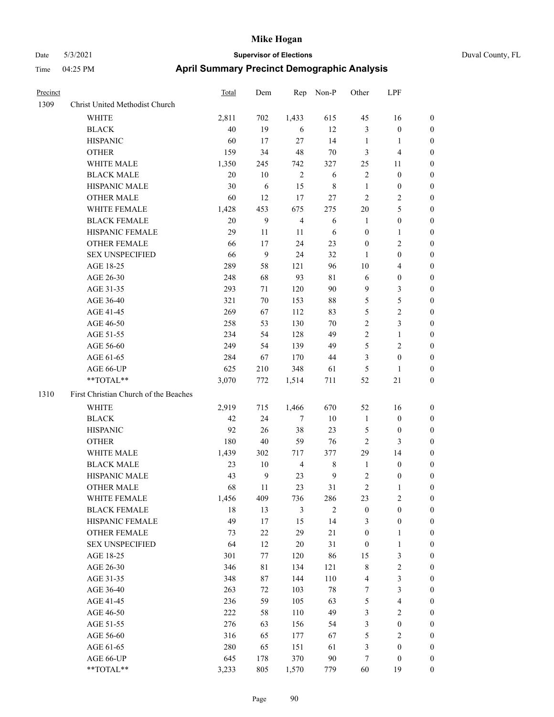| Precinct |                                       | <b>Total</b> | Dem | Rep            | Non-P  | Other            | LPF                     |                  |
|----------|---------------------------------------|--------------|-----|----------------|--------|------------------|-------------------------|------------------|
| 1309     | Christ United Methodist Church        |              |     |                |        |                  |                         |                  |
|          | WHITE                                 | 2,811        | 702 | 1,433          | 615    | 45               | 16                      | $\mathbf{0}$     |
|          | <b>BLACK</b>                          | 40           | 19  | 6              | 12     | $\mathfrak{Z}$   | $\boldsymbol{0}$        | $\boldsymbol{0}$ |
|          | <b>HISPANIC</b>                       | 60           | 17  | 27             | 14     | 1                | 1                       | $\boldsymbol{0}$ |
|          | <b>OTHER</b>                          | 159          | 34  | 48             | 70     | 3                | 4                       | $\boldsymbol{0}$ |
|          | WHITE MALE                            | 1,350        | 245 | 742            | 327    | 25               | 11                      | $\boldsymbol{0}$ |
|          | <b>BLACK MALE</b>                     | 20           | 10  | $\overline{2}$ | 6      | $\sqrt{2}$       | $\boldsymbol{0}$        | $\boldsymbol{0}$ |
|          | HISPANIC MALE                         | 30           | 6   | 15             | 8      | $\mathbf{1}$     | $\boldsymbol{0}$        | $\boldsymbol{0}$ |
|          | <b>OTHER MALE</b>                     | 60           | 12  | 17             | 27     | $\overline{2}$   | 2                       | $\boldsymbol{0}$ |
|          | WHITE FEMALE                          | 1,428        | 453 | 675            | 275    | 20               | 5                       | $\boldsymbol{0}$ |
|          | <b>BLACK FEMALE</b>                   | 20           | 9   | $\overline{4}$ | 6      | $\mathbf{1}$     | $\boldsymbol{0}$        | $\boldsymbol{0}$ |
|          | HISPANIC FEMALE                       | 29           | 11  | 11             | 6      | $\boldsymbol{0}$ | 1                       | $\boldsymbol{0}$ |
|          | <b>OTHER FEMALE</b>                   | 66           | 17  | 24             | 23     | $\boldsymbol{0}$ | 2                       | $\boldsymbol{0}$ |
|          | <b>SEX UNSPECIFIED</b>                | 66           | 9   | 24             | 32     | 1                | $\boldsymbol{0}$        | $\boldsymbol{0}$ |
|          | AGE 18-25                             | 289          | 58  | 121            | 96     | 10               | 4                       | $\boldsymbol{0}$ |
|          | AGE 26-30                             | 248          | 68  | 93             | 81     | 6                | $\boldsymbol{0}$        | $\boldsymbol{0}$ |
|          | AGE 31-35                             | 293          | 71  | 120            | 90     | 9                | 3                       | $\boldsymbol{0}$ |
|          | AGE 36-40                             | 321          | 70  | 153            | $88\,$ | 5                | 5                       | $\boldsymbol{0}$ |
|          | AGE 41-45                             | 269          | 67  | 112            | 83     | 5                | $\overline{\mathbf{c}}$ | $\boldsymbol{0}$ |
|          | AGE 46-50                             | 258          | 53  | 130            | 70     | $\overline{2}$   | 3                       | $\boldsymbol{0}$ |
|          | AGE 51-55                             | 234          | 54  | 128            | 49     | $\overline{2}$   | $\mathbf{1}$            | $\boldsymbol{0}$ |
|          | AGE 56-60                             | 249          | 54  | 139            | 49     | 5                | 2                       | $\boldsymbol{0}$ |
|          | AGE 61-65                             | 284          | 67  | 170            | 44     | 3                | $\boldsymbol{0}$        | $\boldsymbol{0}$ |
|          | AGE 66-UP                             | 625          | 210 | 348            | 61     | 5                | 1                       | $\boldsymbol{0}$ |
|          | **TOTAL**                             | 3,070        | 772 | 1,514          | 711    | 52               | 21                      | $\boldsymbol{0}$ |
| 1310     | First Christian Church of the Beaches |              |     |                |        |                  |                         |                  |
|          | <b>WHITE</b>                          | 2,919        | 715 | 1,466          | 670    | 52               | 16                      | $\boldsymbol{0}$ |
|          | <b>BLACK</b>                          | 42           | 24  | 7              | 10     | 1                | $\boldsymbol{0}$        | $\boldsymbol{0}$ |
|          | <b>HISPANIC</b>                       | 92           | 26  | 38             | 23     | 5                | $\boldsymbol{0}$        | $\boldsymbol{0}$ |
|          | <b>OTHER</b>                          | 180          | 40  | 59             | 76     | $\overline{2}$   | 3                       | $\boldsymbol{0}$ |
|          | WHITE MALE                            | 1,439        | 302 | 717            | 377    | 29               | 14                      | $\boldsymbol{0}$ |
|          | <b>BLACK MALE</b>                     | 23           | 10  | 4              | 8      | $\mathbf{1}$     | $\boldsymbol{0}$        | $\boldsymbol{0}$ |
|          | HISPANIC MALE                         | 43           | 9   | 23             | 9      | $\sqrt{2}$       | $\boldsymbol{0}$        | $\boldsymbol{0}$ |
|          | <b>OTHER MALE</b>                     | 68           | 11  | 23             | 31     | $\overline{2}$   | 1                       | $\boldsymbol{0}$ |
|          | WHITE FEMALE                          | 1,456        | 409 | 736            | 286    | 23               | 2                       | $\boldsymbol{0}$ |
|          | <b>BLACK FEMALE</b>                   | 18           | 13  | $\mathfrak{Z}$ | 2      | $\boldsymbol{0}$ | $\boldsymbol{0}$        | $\boldsymbol{0}$ |
|          | HISPANIC FEMALE                       | 49           | 17  | 15             | 14     | 3                | $\boldsymbol{0}$        | $\boldsymbol{0}$ |
|          | OTHER FEMALE                          | 73           | 22  | 29             | $21\,$ | $\boldsymbol{0}$ | 1                       | $\boldsymbol{0}$ |
|          | <b>SEX UNSPECIFIED</b>                | 64           | 12  | 20             | 31     | $\boldsymbol{0}$ | 1                       | $\boldsymbol{0}$ |
|          | AGE 18-25                             | 301          | 77  | 120            | 86     | 15               | 3                       | $\boldsymbol{0}$ |
|          | AGE 26-30                             | 346          | 81  | 134            | 121    | $\,$ $\,$        | $\overline{\mathbf{c}}$ | $\boldsymbol{0}$ |
|          | AGE 31-35                             | 348          | 87  | 144            | 110    | $\overline{4}$   | 3                       | $\boldsymbol{0}$ |
|          | AGE 36-40                             | 263          | 72  | 103            | $78\,$ | $\boldsymbol{7}$ | 3                       | $\boldsymbol{0}$ |
|          | AGE 41-45                             | 236          | 59  | 105            | 63     | $\mathfrak{S}$   | 4                       | $\boldsymbol{0}$ |
|          | AGE 46-50                             | 222          | 58  | 110            | 49     | $\mathfrak{Z}$   | $\mathbf{2}$            | $\boldsymbol{0}$ |
|          | AGE 51-55                             | 276          | 63  | 156            | 54     | $\mathfrak{Z}$   | $\boldsymbol{0}$        | $\boldsymbol{0}$ |
|          | AGE 56-60                             | 316          | 65  | 177            | 67     | $\mathfrak{S}$   | 2                       | $\boldsymbol{0}$ |
|          | AGE 61-65                             | 280          | 65  | 151            | 61     | 3                | $\boldsymbol{0}$        | $\boldsymbol{0}$ |
|          | AGE 66-UP                             | 645          | 178 | 370            | $90\,$ | 7                | $\boldsymbol{0}$        | $\bf{0}$         |
|          | **TOTAL**                             | 3,233        | 805 | 1,570          | 779    | 60               | 19                      | $\boldsymbol{0}$ |
|          |                                       |              |     |                |        |                  |                         |                  |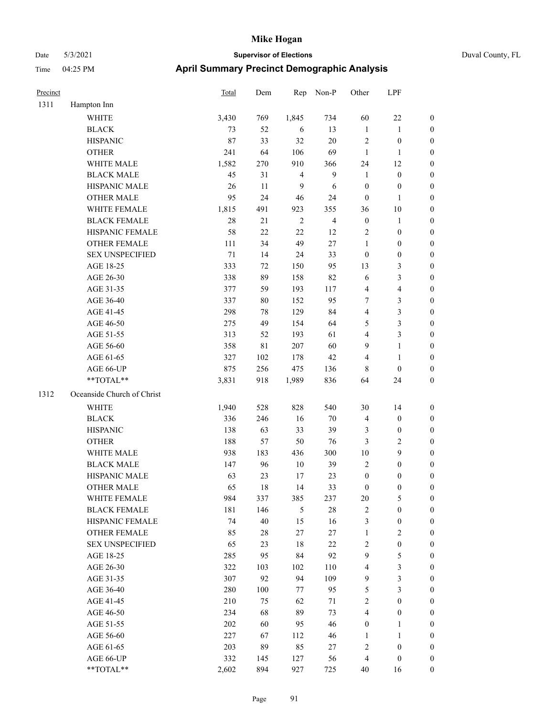| Precinct |                            | Total  | Dem         | Rep            | Non-P          | Other            | LPF              |                  |
|----------|----------------------------|--------|-------------|----------------|----------------|------------------|------------------|------------------|
| 1311     | Hampton Inn                |        |             |                |                |                  |                  |                  |
|          | <b>WHITE</b>               | 3,430  | 769         | 1,845          | 734            | 60               | 22               | $\boldsymbol{0}$ |
|          | <b>BLACK</b>               | 73     | 52          | 6              | 13             | $\mathbf{1}$     | 1                | $\boldsymbol{0}$ |
|          | <b>HISPANIC</b>            | 87     | 33          | 32             | $20\,$         | $\sqrt{2}$       | $\boldsymbol{0}$ | $\boldsymbol{0}$ |
|          | <b>OTHER</b>               | 241    | 64          | 106            | 69             | $\mathbf{1}$     | 1                | $\boldsymbol{0}$ |
|          | WHITE MALE                 | 1,582  | 270         | 910            | 366            | 24               | 12               | $\boldsymbol{0}$ |
|          | <b>BLACK MALE</b>          | 45     | 31          | $\overline{4}$ | 9              | $\mathbf{1}$     | $\boldsymbol{0}$ | $\boldsymbol{0}$ |
|          | HISPANIC MALE              | 26     | $11\,$      | 9              | 6              | $\boldsymbol{0}$ | $\boldsymbol{0}$ | $\boldsymbol{0}$ |
|          | <b>OTHER MALE</b>          | 95     | 24          | 46             | 24             | $\boldsymbol{0}$ | $\mathbf{1}$     | $\boldsymbol{0}$ |
|          | WHITE FEMALE               | 1,815  | 491         | 923            | 355            | 36               | 10               | $\boldsymbol{0}$ |
|          | <b>BLACK FEMALE</b>        | 28     | 21          | $\sqrt{2}$     | $\overline{4}$ | $\boldsymbol{0}$ | 1                | $\boldsymbol{0}$ |
|          | HISPANIC FEMALE            | 58     | $22\,$      | $22\,$         | 12             | $\sqrt{2}$       | $\boldsymbol{0}$ | $\boldsymbol{0}$ |
|          | <b>OTHER FEMALE</b>        | 111    | 34          | 49             | $27\,$         | $\mathbf{1}$     | $\boldsymbol{0}$ | $\boldsymbol{0}$ |
|          | <b>SEX UNSPECIFIED</b>     | $71\,$ | 14          | 24             | 33             | $\boldsymbol{0}$ | $\boldsymbol{0}$ | $\boldsymbol{0}$ |
|          | AGE 18-25                  | 333    | 72          | 150            | 95             | 13               | 3                | $\boldsymbol{0}$ |
|          | AGE 26-30                  | 338    | 89          | 158            | 82             | 6                | 3                | $\boldsymbol{0}$ |
|          | AGE 31-35                  | 377    | 59          | 193            | 117            | $\overline{4}$   | 4                | $\boldsymbol{0}$ |
|          | AGE 36-40                  | 337    | 80          | 152            | 95             | $\tau$           | 3                | $\boldsymbol{0}$ |
|          | AGE 41-45                  | 298    | 78          | 129            | 84             | $\overline{4}$   | 3                | $\boldsymbol{0}$ |
|          | AGE 46-50                  | 275    | 49          | 154            | 64             | 5                | 3                | $\boldsymbol{0}$ |
|          | AGE 51-55                  | 313    | 52          | 193            | 61             | $\overline{4}$   | 3                | $\boldsymbol{0}$ |
|          | AGE 56-60                  | 358    | $8\sqrt{1}$ | 207            | 60             | 9                | 1                | $\boldsymbol{0}$ |
|          | AGE 61-65                  | 327    | 102         | 178            | 42             | $\overline{4}$   | $\mathbf{1}$     | $\boldsymbol{0}$ |
|          | AGE 66-UP                  | 875    | 256         | 475            | 136            | $\,8\,$          | $\boldsymbol{0}$ | $\boldsymbol{0}$ |
|          | **TOTAL**                  | 3,831  | 918         | 1,989          | 836            | 64               | 24               | $\boldsymbol{0}$ |
| 1312     | Oceanside Church of Christ |        |             |                |                |                  |                  |                  |
|          | WHITE                      | 1,940  | 528         | 828            | 540            | 30               | 14               | $\boldsymbol{0}$ |
|          | <b>BLACK</b>               | 336    | 246         | 16             | 70             | $\overline{4}$   | $\boldsymbol{0}$ | $\boldsymbol{0}$ |
|          | <b>HISPANIC</b>            | 138    | 63          | 33             | 39             | 3                | $\boldsymbol{0}$ | $\boldsymbol{0}$ |
|          | <b>OTHER</b>               | 188    | 57          | 50             | 76             | 3                | 2                | $\boldsymbol{0}$ |
|          | WHITE MALE                 | 938    | 183         | 436            | 300            | 10               | 9                | $\boldsymbol{0}$ |
|          | <b>BLACK MALE</b>          | 147    | 96          | $10\,$         | 39             | $\sqrt{2}$       | $\boldsymbol{0}$ | $\boldsymbol{0}$ |
|          | HISPANIC MALE              | 63     | 23          | 17             | 23             | $\boldsymbol{0}$ | 0                | $\boldsymbol{0}$ |
|          | <b>OTHER MALE</b>          | 65     | 18          | 14             | 33             | $\boldsymbol{0}$ | $\boldsymbol{0}$ | $\boldsymbol{0}$ |
|          | WHITE FEMALE               | 984    | 337         | 385            | 237            | $20\,$           | 5                | $\boldsymbol{0}$ |
|          | <b>BLACK FEMALE</b>        | 181    | 146         | $\mathfrak{H}$ | $28\,$         | $\sqrt{2}$       | $\boldsymbol{0}$ | $\boldsymbol{0}$ |
|          | HISPANIC FEMALE            | 74     | 40          | 15             | 16             | $\mathfrak{Z}$   | $\boldsymbol{0}$ | $\boldsymbol{0}$ |
|          | OTHER FEMALE               | 85     | $28\,$      | $27\,$         | $27\,$         | $\mathbf{1}$     | $\sqrt{2}$       | $\boldsymbol{0}$ |
|          | <b>SEX UNSPECIFIED</b>     | 65     | 23          | 18             | $22\,$         | $\sqrt{2}$       | $\boldsymbol{0}$ | $\boldsymbol{0}$ |
|          | AGE 18-25                  | 285    | 95          | 84             | 92             | 9                | 5                | $\boldsymbol{0}$ |
|          | AGE 26-30                  | 322    | 103         | 102            | 110            | $\overline{4}$   | 3                | $\boldsymbol{0}$ |
|          | AGE 31-35                  | 307    | 92          | 94             | 109            | 9                | 3                | $\boldsymbol{0}$ |
|          | AGE 36-40                  | 280    | 100         | 77             | 95             | $\sqrt{5}$       | 3                | $\boldsymbol{0}$ |
|          | AGE 41-45                  | 210    | 75          | 62             | 71             | $\sqrt{2}$       | $\boldsymbol{0}$ | $\boldsymbol{0}$ |
|          | AGE 46-50                  | 234    | 68          | 89             | 73             | $\overline{4}$   | $\boldsymbol{0}$ | $\boldsymbol{0}$ |
|          | AGE 51-55                  | 202    | 60          | 95             | 46             | $\boldsymbol{0}$ | 1                | $\boldsymbol{0}$ |
|          | AGE 56-60                  | 227    | 67          | 112            | 46             | $\mathbf{1}$     | 1                | $\boldsymbol{0}$ |
|          | AGE 61-65                  | 203    | 89          | 85             | $27\,$         | $\sqrt{2}$       | $\boldsymbol{0}$ | $\boldsymbol{0}$ |
|          | AGE 66-UP                  | 332    | 145         | 127            | 56             | $\overline{4}$   | $\boldsymbol{0}$ | $\boldsymbol{0}$ |
|          | **TOTAL**                  | 2,602  | 894         | 927            | 725            | $40\,$           | 16               | $\boldsymbol{0}$ |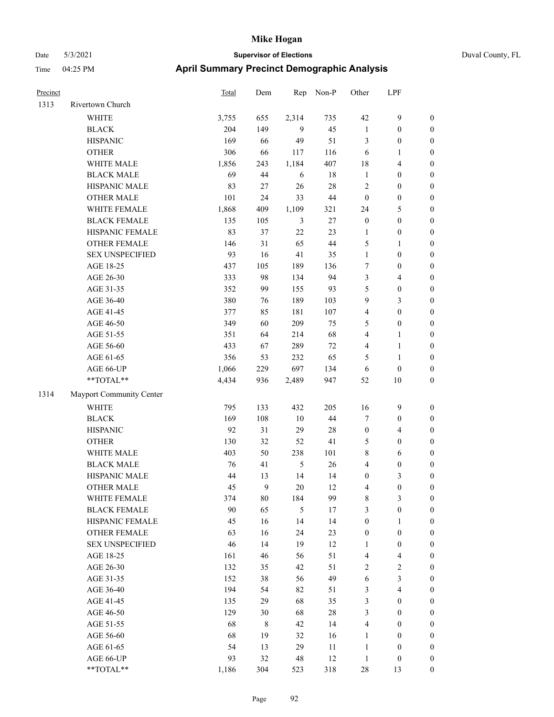| Precinct |                          | Total | Dem          | Rep            | Non-P  | Other            | LPF              |                  |
|----------|--------------------------|-------|--------------|----------------|--------|------------------|------------------|------------------|
| 1313     | Rivertown Church         |       |              |                |        |                  |                  |                  |
|          | <b>WHITE</b>             | 3,755 | 655          | 2,314          | 735    | 42               | 9                | $\boldsymbol{0}$ |
|          | <b>BLACK</b>             | 204   | 149          | 9              | 45     | $\mathbf{1}$     | $\boldsymbol{0}$ | $\boldsymbol{0}$ |
|          | <b>HISPANIC</b>          | 169   | 66           | 49             | 51     | $\mathfrak{Z}$   | $\boldsymbol{0}$ | $\boldsymbol{0}$ |
|          | <b>OTHER</b>             | 306   | 66           | 117            | 116    | 6                | 1                | $\boldsymbol{0}$ |
|          | WHITE MALE               | 1,856 | 243          | 1,184          | 407    | 18               | 4                | $\boldsymbol{0}$ |
|          | <b>BLACK MALE</b>        | 69    | 44           | 6              | 18     | $\mathbf{1}$     | $\boldsymbol{0}$ | $\boldsymbol{0}$ |
|          | HISPANIC MALE            | 83    | $27\,$       | 26             | 28     | $\sqrt{2}$       | $\boldsymbol{0}$ | $\boldsymbol{0}$ |
|          | <b>OTHER MALE</b>        | 101   | 24           | 33             | 44     | $\boldsymbol{0}$ | $\boldsymbol{0}$ | $\boldsymbol{0}$ |
|          | WHITE FEMALE             | 1,868 | 409          | 1,109          | 321    | 24               | 5                | $\boldsymbol{0}$ |
|          | <b>BLACK FEMALE</b>      | 135   | 105          | 3              | $27\,$ | $\boldsymbol{0}$ | $\boldsymbol{0}$ | $\boldsymbol{0}$ |
|          | HISPANIC FEMALE          | 83    | 37           | 22             | 23     | $\mathbf{1}$     | $\boldsymbol{0}$ | $\boldsymbol{0}$ |
|          | <b>OTHER FEMALE</b>      | 146   | 31           | 65             | $44\,$ | 5                | 1                | $\boldsymbol{0}$ |
|          | <b>SEX UNSPECIFIED</b>   | 93    | 16           | 41             | 35     | $\mathbf{1}$     | $\boldsymbol{0}$ | $\boldsymbol{0}$ |
|          | AGE 18-25                | 437   | 105          | 189            | 136    | 7                | $\boldsymbol{0}$ | $\boldsymbol{0}$ |
|          | AGE 26-30                | 333   | 98           | 134            | 94     | 3                | 4                | $\boldsymbol{0}$ |
|          | AGE 31-35                | 352   | 99           | 155            | 93     | 5                | $\boldsymbol{0}$ | $\boldsymbol{0}$ |
|          | AGE 36-40                | 380   | 76           | 189            | 103    | 9                | 3                | $\boldsymbol{0}$ |
|          | AGE 41-45                | 377   | 85           | 181            | 107    | $\overline{4}$   | $\boldsymbol{0}$ | $\boldsymbol{0}$ |
|          | AGE 46-50                | 349   | 60           | 209            | 75     | 5                | $\boldsymbol{0}$ | $\boldsymbol{0}$ |
|          | AGE 51-55                | 351   | 64           | 214            | 68     | $\overline{4}$   | 1                | $\boldsymbol{0}$ |
|          | AGE 56-60                | 433   | 67           | 289            | 72     | $\overline{4}$   | 1                | $\boldsymbol{0}$ |
|          | AGE 61-65                | 356   | 53           | 232            | 65     | 5                | 1                | $\boldsymbol{0}$ |
|          | AGE 66-UP                | 1,066 | 229          | 697            | 134    | 6                | $\boldsymbol{0}$ | $\boldsymbol{0}$ |
|          | **TOTAL**                | 4,434 | 936          | 2,489          | 947    | 52               | 10               | $\boldsymbol{0}$ |
| 1314     | Mayport Community Center |       |              |                |        |                  |                  |                  |
|          | WHITE                    | 795   | 133          | 432            | 205    | 16               | $\mathbf{9}$     | $\boldsymbol{0}$ |
|          | <b>BLACK</b>             | 169   | 108          | $10\,$         | 44     | $\tau$           | $\boldsymbol{0}$ | $\boldsymbol{0}$ |
|          | <b>HISPANIC</b>          | 92    | 31           | 29             | 28     | $\boldsymbol{0}$ | 4                | $\boldsymbol{0}$ |
|          | <b>OTHER</b>             | 130   | 32           | 52             | 41     | 5                | $\boldsymbol{0}$ | $\boldsymbol{0}$ |
|          | WHITE MALE               | 403   | 50           | 238            | 101    | $\,$ 8 $\,$      | 6                | $\boldsymbol{0}$ |
|          | <b>BLACK MALE</b>        | 76    | 41           | $\mathfrak{H}$ | 26     | $\overline{4}$   | $\boldsymbol{0}$ | $\boldsymbol{0}$ |
|          | HISPANIC MALE            | 44    | 13           | 14             | 14     | $\boldsymbol{0}$ | 3                | $\boldsymbol{0}$ |
|          | <b>OTHER MALE</b>        | 45    | $\mathbf{9}$ | 20             | 12     | $\overline{4}$   | $\boldsymbol{0}$ | $\boldsymbol{0}$ |
|          | WHITE FEMALE             | 374   | $80\,$       | 184            | 99     | $\,$ 8 $\,$      | 3                | $\boldsymbol{0}$ |
|          | <b>BLACK FEMALE</b>      | 90    | 65           | $\sqrt{5}$     | 17     | $\mathfrak{Z}$   | $\boldsymbol{0}$ | $\boldsymbol{0}$ |
|          | HISPANIC FEMALE          | 45    | 16           | 14             | 14     | $\boldsymbol{0}$ | 1                | $\boldsymbol{0}$ |
|          | OTHER FEMALE             | 63    | 16           | 24             | 23     | $\boldsymbol{0}$ | $\boldsymbol{0}$ | $\boldsymbol{0}$ |
|          | <b>SEX UNSPECIFIED</b>   | 46    | 14           | 19             | 12     | 1                | $\boldsymbol{0}$ | $\boldsymbol{0}$ |
|          | AGE 18-25                | 161   | 46           | 56             | 51     | $\overline{4}$   | 4                | $\boldsymbol{0}$ |
|          | AGE 26-30                | 132   | 35           | 42             | 51     | $\sqrt{2}$       | $\sqrt{2}$       | $\boldsymbol{0}$ |
|          | AGE 31-35                | 152   | 38           | 56             | 49     | 6                | 3                | $\boldsymbol{0}$ |
|          | AGE 36-40                | 194   | 54           | 82             | 51     | $\mathfrak{Z}$   | 4                | $\boldsymbol{0}$ |
|          | AGE 41-45                | 135   | 29           | 68             | 35     | $\mathfrak{Z}$   | $\boldsymbol{0}$ | $\boldsymbol{0}$ |
|          | AGE 46-50                | 129   | 30           | 68             | $28\,$ | $\mathfrak{Z}$   | $\boldsymbol{0}$ | $\boldsymbol{0}$ |
|          | AGE 51-55                | 68    | $8\,$        | 42             | 14     | $\overline{4}$   | $\boldsymbol{0}$ | $\boldsymbol{0}$ |
|          | AGE 56-60                | 68    | 19           | 32             | 16     | $\mathbf{1}$     | $\boldsymbol{0}$ | $\boldsymbol{0}$ |
|          | AGE 61-65                | 54    | 13           | 29             | 11     | $\mathbf{1}$     | $\boldsymbol{0}$ | $\boldsymbol{0}$ |
|          | AGE 66-UP                | 93    | 32           | $48\,$         | 12     | $\mathbf{1}$     | $\boldsymbol{0}$ | $\mathbf{0}$     |
|          | **TOTAL**                | 1,186 | 304          | 523            | 318    | $28\,$           | 13               | $\boldsymbol{0}$ |
|          |                          |       |              |                |        |                  |                  |                  |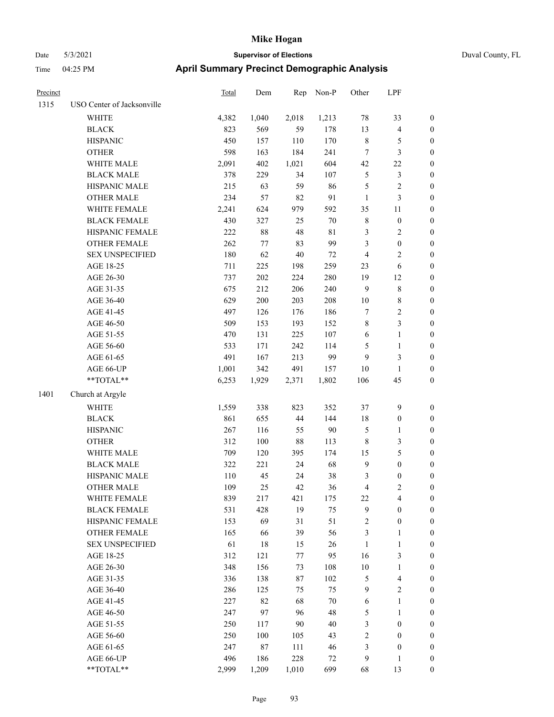# Date 5/3/2021 **Supervisor of Elections** Duval County, FL Time 04:25 PM **April Summary Precinct Demographic Analysis**

| Precinct |                            | Total | Dem     | Rep    | Non-P       | Other          | LPF                     |                  |
|----------|----------------------------|-------|---------|--------|-------------|----------------|-------------------------|------------------|
| 1315     | USO Center of Jacksonville |       |         |        |             |                |                         |                  |
|          | <b>WHITE</b>               | 4,382 | 1,040   | 2,018  | 1,213       | 78             | 33                      | $\boldsymbol{0}$ |
|          | <b>BLACK</b>               | 823   | 569     | 59     | 178         | 13             | $\overline{4}$          | $\boldsymbol{0}$ |
|          | <b>HISPANIC</b>            | 450   | 157     | 110    | 170         | $\,$ 8 $\,$    | 5                       | $\boldsymbol{0}$ |
|          | <b>OTHER</b>               | 598   | 163     | 184    | 241         | $\tau$         | 3                       | $\boldsymbol{0}$ |
|          | WHITE MALE                 | 2,091 | 402     | 1,021  | 604         | 42             | 22                      | $\boldsymbol{0}$ |
|          | <b>BLACK MALE</b>          | 378   | 229     | 34     | 107         | $\mathfrak{S}$ | 3                       | $\boldsymbol{0}$ |
|          | HISPANIC MALE              | 215   | 63      | 59     | 86          | $\mathfrak{S}$ | $\overline{\mathbf{c}}$ | $\boldsymbol{0}$ |
|          | <b>OTHER MALE</b>          | 234   | 57      | 82     | 91          | $\mathbf{1}$   | 3                       | $\boldsymbol{0}$ |
|          | WHITE FEMALE               | 2,241 | 624     | 979    | 592         | 35             | 11                      | $\boldsymbol{0}$ |
|          | <b>BLACK FEMALE</b>        | 430   | 327     | 25     | 70          | $\,$ 8 $\,$    | $\boldsymbol{0}$        | $\boldsymbol{0}$ |
|          | HISPANIC FEMALE            | 222   | $88\,$  | $48\,$ | $8\sqrt{1}$ | $\mathfrak{Z}$ | 2                       | $\boldsymbol{0}$ |
|          | <b>OTHER FEMALE</b>        | 262   | $77\,$  | 83     | 99          | 3              | $\boldsymbol{0}$        | $\boldsymbol{0}$ |
|          | <b>SEX UNSPECIFIED</b>     | 180   | 62      | 40     | $72\,$      | $\overline{4}$ | 2                       | $\boldsymbol{0}$ |
|          | AGE 18-25                  | 711   | 225     | 198    | 259         | 23             | 6                       | $\boldsymbol{0}$ |
|          | AGE 26-30                  | 737   | 202     | 224    | 280         | 19             | 12                      | $\boldsymbol{0}$ |
|          | AGE 31-35                  | 675   | 212     | 206    | 240         | 9              | $\,$ $\,$               | $\boldsymbol{0}$ |
|          | AGE 36-40                  | 629   | 200     | 203    | 208         | 10             | 8                       | $\boldsymbol{0}$ |
|          | AGE 41-45                  | 497   | 126     | 176    | 186         | $\tau$         | $\overline{c}$          | $\boldsymbol{0}$ |
|          | AGE 46-50                  | 509   | 153     | 193    | 152         | $\,$ 8 $\,$    | 3                       | $\boldsymbol{0}$ |
|          | AGE 51-55                  | 470   | 131     | 225    | 107         | 6              | $\mathbf{1}$            | $\boldsymbol{0}$ |
|          | AGE 56-60                  | 533   | 171     | 242    | 114         | 5              | $\mathbf{1}$            | $\boldsymbol{0}$ |
|          | AGE 61-65                  | 491   | 167     | 213    | 99          | 9              | 3                       | $\boldsymbol{0}$ |
|          | AGE 66-UP                  | 1,001 | 342     | 491    | 157         | 10             | 1                       | $\boldsymbol{0}$ |
|          | **TOTAL**                  | 6,253 | 1,929   | 2,371  | 1,802       | 106            | 45                      | $\boldsymbol{0}$ |
| 1401     | Church at Argyle           |       |         |        |             |                |                         |                  |
|          |                            |       |         |        |             |                |                         |                  |
|          | <b>WHITE</b>               | 1,559 | 338     | 823    | 352         | 37             | $\mathbf{9}$            | $\boldsymbol{0}$ |
|          | <b>BLACK</b>               | 861   | 655     | 44     | 144         | 18             | $\boldsymbol{0}$        | $\boldsymbol{0}$ |
|          | <b>HISPANIC</b>            | 267   | 116     | 55     | 90          | $\mathfrak{S}$ | 1                       | $\boldsymbol{0}$ |
|          | <b>OTHER</b>               | 312   | $100\,$ | $88\,$ | 113         | $\,$ 8 $\,$    | 3                       | $\boldsymbol{0}$ |
|          | WHITE MALE                 | 709   | 120     | 395    | 174         | 15             | 5                       | $\boldsymbol{0}$ |
|          | <b>BLACK MALE</b>          | 322   | 221     | 24     | 68          | 9              | $\boldsymbol{0}$        | $\boldsymbol{0}$ |
|          | HISPANIC MALE              | 110   | 45      | 24     | 38          | 3              | $\boldsymbol{0}$        | $\boldsymbol{0}$ |
|          | <b>OTHER MALE</b>          | 109   | 25      | 42     | 36          | $\overline{4}$ | 2                       | $\boldsymbol{0}$ |
|          | WHITE FEMALE               | 839   | 217     | 421    | 175         | 22             | 4                       | $\boldsymbol{0}$ |
|          | <b>BLACK FEMALE</b>        | 531   | 428     | 19     | 75          | 9              | $\boldsymbol{0}$        | $\boldsymbol{0}$ |
|          | HISPANIC FEMALE            | 153   | 69      | 31     | 51          | $\sqrt{2}$     | $\boldsymbol{0}$        | $\boldsymbol{0}$ |
|          | OTHER FEMALE               | 165   | 66      | 39     | 56          | $\mathfrak{Z}$ | $\mathbf{1}$            | $\boldsymbol{0}$ |
|          | <b>SEX UNSPECIFIED</b>     | 61    | 18      | 15     | 26          | $\mathbf{1}$   | $\mathbf{1}$            | $\boldsymbol{0}$ |
|          | AGE 18-25                  | 312   | 121     | 77     | 95          | 16             | 3                       | $\boldsymbol{0}$ |
|          | AGE 26-30                  | 348   | 156     | 73     | 108         | $10\,$         | 1                       | $\boldsymbol{0}$ |
|          | AGE 31-35                  | 336   | 138     | 87     | 102         | 5              | 4                       | $\boldsymbol{0}$ |
|          | AGE 36-40                  | 286   | 125     | 75     | 75          | 9              | $\overline{c}$          | $\boldsymbol{0}$ |
|          | AGE 41-45                  | 227   | 82      | 68     | 70          | 6              | $\mathbf{1}$            | $\boldsymbol{0}$ |
|          | AGE 46-50                  | 247   | 97      | 96     | 48          | 5              | 1                       | $\boldsymbol{0}$ |
|          | AGE 51-55                  | 250   | 117     | 90     | 40          | 3              | $\boldsymbol{0}$        | $\boldsymbol{0}$ |
|          | AGE 56-60                  | 250   | 100     | 105    | 43          | $\sqrt{2}$     | $\boldsymbol{0}$        | $\boldsymbol{0}$ |
|          | AGE 61-65                  | 247   | 87      | 111    | 46          | $\mathfrak{Z}$ | $\boldsymbol{0}$        | $\boldsymbol{0}$ |
|          | AGE 66-UP                  | 496   | 186     | 228    | 72          | $\mathbf{9}$   | 1                       | $\boldsymbol{0}$ |

\*\*TOTAL\*\* 2,999 1,209 1,010 699 68 13 0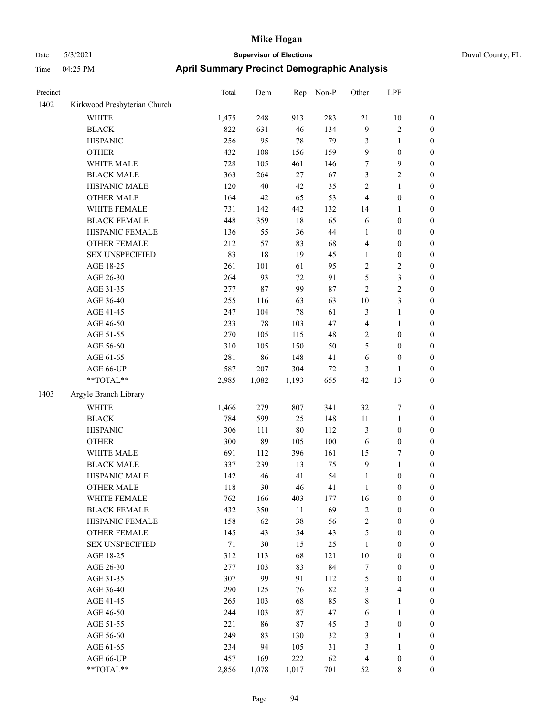| Precinct |                              | <b>Total</b> | Dem    | Rep    | Non-P | Other            | LPF              |                  |
|----------|------------------------------|--------------|--------|--------|-------|------------------|------------------|------------------|
| 1402     | Kirkwood Presbyterian Church |              |        |        |       |                  |                  |                  |
|          | WHITE                        | 1,475        | 248    | 913    | 283   | 21               | 10               | $\boldsymbol{0}$ |
|          | <b>BLACK</b>                 | 822          | 631    | 46     | 134   | 9                | 2                | $\boldsymbol{0}$ |
|          | <b>HISPANIC</b>              | 256          | 95     | 78     | 79    | $\mathfrak{Z}$   | 1                | $\boldsymbol{0}$ |
|          | <b>OTHER</b>                 | 432          | 108    | 156    | 159   | 9                | $\boldsymbol{0}$ | $\boldsymbol{0}$ |
|          | WHITE MALE                   | 728          | 105    | 461    | 146   | 7                | 9                | $\boldsymbol{0}$ |
|          | <b>BLACK MALE</b>            | 363          | 264    | 27     | 67    | 3                | 2                | $\boldsymbol{0}$ |
|          | HISPANIC MALE                | 120          | 40     | 42     | 35    | $\sqrt{2}$       | 1                | $\boldsymbol{0}$ |
|          | <b>OTHER MALE</b>            | 164          | 42     | 65     | 53    | $\overline{4}$   | $\boldsymbol{0}$ | $\boldsymbol{0}$ |
|          | WHITE FEMALE                 | 731          | 142    | 442    | 132   | 14               | 1                | $\boldsymbol{0}$ |
|          | <b>BLACK FEMALE</b>          | 448          | 359    | $18\,$ | 65    | 6                | $\boldsymbol{0}$ | $\boldsymbol{0}$ |
|          | HISPANIC FEMALE              | 136          | 55     | 36     | 44    | 1                | $\boldsymbol{0}$ | $\boldsymbol{0}$ |
|          | <b>OTHER FEMALE</b>          | 212          | 57     | 83     | 68    | $\overline{4}$   | $\boldsymbol{0}$ | $\boldsymbol{0}$ |
|          | <b>SEX UNSPECIFIED</b>       | 83           | 18     | 19     | 45    | 1                | $\boldsymbol{0}$ | $\boldsymbol{0}$ |
|          | AGE 18-25                    | 261          | 101    | 61     | 95    | $\sqrt{2}$       | 2                | $\boldsymbol{0}$ |
|          | AGE 26-30                    | 264          | 93     | 72     | 91    | 5                | 3                | $\boldsymbol{0}$ |
|          | AGE 31-35                    | 277          | $87\,$ | 99     | 87    | $\overline{2}$   | 2                | $\boldsymbol{0}$ |
|          | AGE 36-40                    | 255          | 116    | 63     | 63    | 10               | 3                | $\boldsymbol{0}$ |
|          | AGE 41-45                    | 247          | 104    | $78\,$ | 61    | $\mathfrak{Z}$   | 1                | $\boldsymbol{0}$ |
|          | AGE 46-50                    | 233          | 78     | 103    | 47    | $\overline{4}$   | 1                | $\boldsymbol{0}$ |
|          | AGE 51-55                    | 270          | 105    | 115    | 48    | $\sqrt{2}$       | $\boldsymbol{0}$ | $\boldsymbol{0}$ |
|          | AGE 56-60                    | 310          | 105    | 150    | 50    | 5                | $\boldsymbol{0}$ | $\boldsymbol{0}$ |
|          | AGE 61-65                    | 281          | 86     | 148    | 41    | 6                | $\boldsymbol{0}$ | $\boldsymbol{0}$ |
|          | AGE 66-UP                    | 587          | 207    | 304    | 72    | 3                | 1                | $\boldsymbol{0}$ |
|          | **TOTAL**                    | 2,985        | 1,082  | 1,193  | 655   | 42               | 13               | $\boldsymbol{0}$ |
| 1403     | Argyle Branch Library        |              |        |        |       |                  |                  |                  |
|          | <b>WHITE</b>                 | 1,466        | 279    | 807    | 341   | 32               | 7                | $\boldsymbol{0}$ |
|          | <b>BLACK</b>                 | 784          | 599    | 25     | 148   | $11\,$           | 1                | $\boldsymbol{0}$ |
|          | <b>HISPANIC</b>              | 306          | 111    | 80     | 112   | $\mathfrak{Z}$   | $\boldsymbol{0}$ | $\boldsymbol{0}$ |
|          | <b>OTHER</b>                 | 300          | 89     | 105    | 100   | 6                | $\boldsymbol{0}$ | $\boldsymbol{0}$ |
|          | WHITE MALE                   | 691          | 112    | 396    | 161   | 15               | 7                | $\boldsymbol{0}$ |
|          | <b>BLACK MALE</b>            | 337          | 239    | 13     | 75    | 9                | 1                | $\boldsymbol{0}$ |
|          | HISPANIC MALE                | 142          | 46     | 41     | 54    | $\mathbf{1}$     | $\boldsymbol{0}$ | $\boldsymbol{0}$ |
|          | <b>OTHER MALE</b>            | 118          | 30     | 46     | 41    | 1                | $\boldsymbol{0}$ | $\boldsymbol{0}$ |
|          | WHITE FEMALE                 | 762          | 166    | 403    | 177   | 16               | $\boldsymbol{0}$ | $\boldsymbol{0}$ |
|          | <b>BLACK FEMALE</b>          | 432          | 350    | 11     | 69    | $\sqrt{2}$       | $\boldsymbol{0}$ | $\boldsymbol{0}$ |
|          | HISPANIC FEMALE              | 158          | 62     | 38     | 56    | $\sqrt{2}$       | $\boldsymbol{0}$ | $\boldsymbol{0}$ |
|          | OTHER FEMALE                 | 145          | 43     | 54     | 43    | $\sqrt{5}$       | $\boldsymbol{0}$ | $\boldsymbol{0}$ |
|          | <b>SEX UNSPECIFIED</b>       | $71\,$       | 30     | 15     | 25    | 1                | $\boldsymbol{0}$ | $\boldsymbol{0}$ |
|          | AGE 18-25                    | 312          | 113    | 68     | 121   | 10               | $\boldsymbol{0}$ | $\boldsymbol{0}$ |
|          | AGE 26-30                    | 277          | 103    | 83     | 84    | $\boldsymbol{7}$ | 0                | $\boldsymbol{0}$ |
|          | AGE 31-35                    | 307          | 99     | 91     | 112   | $\mathfrak s$    | $\boldsymbol{0}$ | $\boldsymbol{0}$ |
|          | AGE 36-40                    | 290          | 125    | 76     | 82    | 3                | 4                | $\boldsymbol{0}$ |
|          | AGE 41-45                    | 265          | 103    | 68     | 85    | $\,$ $\,$        | 1                | $\boldsymbol{0}$ |
|          | AGE 46-50                    | 244          | 103    | 87     | 47    | 6                | 1                | $\boldsymbol{0}$ |
|          | AGE 51-55                    | 221          | 86     | $87\,$ | 45    | $\mathfrak{Z}$   | $\boldsymbol{0}$ | $\boldsymbol{0}$ |
|          | AGE 56-60                    | 249          | 83     | 130    | 32    | $\mathfrak{Z}$   | 1                | $\boldsymbol{0}$ |
|          | AGE 61-65                    | 234          | 94     | 105    | 31    | 3                | 1                | $\boldsymbol{0}$ |
|          | AGE 66-UP                    | 457          | 169    | 222    | 62    | $\overline{4}$   | $\boldsymbol{0}$ | $\bf{0}$         |
|          | $**TOTAL**$                  | 2,856        | 1,078  | 1,017  | 701   | 52               | 8                | $\overline{0}$   |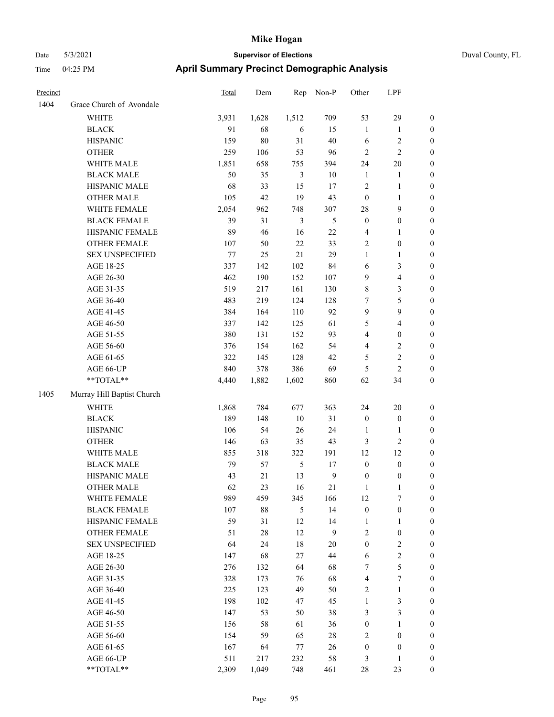| Precinct |                            | Total | Dem    | Rep            | Non-P          | Other            | LPF                     |                  |
|----------|----------------------------|-------|--------|----------------|----------------|------------------|-------------------------|------------------|
| 1404     | Grace Church of Avondale   |       |        |                |                |                  |                         |                  |
|          | <b>WHITE</b>               | 3,931 | 1,628  | 1,512          | 709            | 53               | 29                      | $\boldsymbol{0}$ |
|          | <b>BLACK</b>               | 91    | 68     | 6              | 15             | $\mathbf{1}$     | 1                       | $\bf{0}$         |
|          | <b>HISPANIC</b>            | 159   | $80\,$ | 31             | $40\,$         | 6                | $\overline{\mathbf{c}}$ | $\boldsymbol{0}$ |
|          | <b>OTHER</b>               | 259   | 106    | 53             | 96             | $\sqrt{2}$       | 2                       | $\boldsymbol{0}$ |
|          | WHITE MALE                 | 1,851 | 658    | 755            | 394            | 24               | 20                      | $\boldsymbol{0}$ |
|          | <b>BLACK MALE</b>          | 50    | 35     | $\mathfrak{Z}$ | $10\,$         | 1                | 1                       | $\boldsymbol{0}$ |
|          | HISPANIC MALE              | 68    | 33     | 15             | 17             | $\overline{2}$   | $\mathbf{1}$            | $\boldsymbol{0}$ |
|          | <b>OTHER MALE</b>          | 105   | 42     | 19             | 43             | $\boldsymbol{0}$ | $\mathbf{1}$            | $\boldsymbol{0}$ |
|          | WHITE FEMALE               | 2,054 | 962    | 748            | 307            | 28               | 9                       | $\boldsymbol{0}$ |
|          | <b>BLACK FEMALE</b>        | 39    | 31     | $\mathfrak{Z}$ | 5              | $\boldsymbol{0}$ | $\boldsymbol{0}$        | $\boldsymbol{0}$ |
|          | HISPANIC FEMALE            | 89    | 46     | 16             | $22\,$         | $\overline{4}$   | 1                       | $\boldsymbol{0}$ |
|          | <b>OTHER FEMALE</b>        | 107   | 50     | 22             | 33             | $\overline{2}$   | $\boldsymbol{0}$        | $\boldsymbol{0}$ |
|          | <b>SEX UNSPECIFIED</b>     | 77    | 25     | 21             | 29             | $\mathbf{1}$     | $\mathbf{1}$            | $\boldsymbol{0}$ |
|          | AGE 18-25                  | 337   | 142    | 102            | 84             | 6                | 3                       | $\boldsymbol{0}$ |
|          | AGE 26-30                  | 462   | 190    | 152            | 107            | 9                | 4                       | $\boldsymbol{0}$ |
|          | AGE 31-35                  | 519   | 217    | 161            | 130            | $\,$ 8 $\,$      | 3                       | $\boldsymbol{0}$ |
|          | AGE 36-40                  | 483   | 219    | 124            | 128            | 7                | 5                       | $\boldsymbol{0}$ |
|          | AGE 41-45                  | 384   | 164    | 110            | 92             | 9                | 9                       | $\boldsymbol{0}$ |
|          | AGE 46-50                  | 337   | 142    | 125            | 61             | 5                | 4                       | $\boldsymbol{0}$ |
|          | AGE 51-55                  | 380   | 131    | 152            | 93             | $\overline{4}$   | $\boldsymbol{0}$        | $\boldsymbol{0}$ |
|          | AGE 56-60                  | 376   | 154    | 162            | 54             | $\overline{4}$   | 2                       | $\boldsymbol{0}$ |
|          | AGE 61-65                  | 322   | 145    | 128            | 42             | 5                | 2                       | $\boldsymbol{0}$ |
|          | AGE 66-UP                  | 840   | 378    | 386            | 69             | 5                | $\overline{c}$          | $\boldsymbol{0}$ |
|          | **TOTAL**                  | 4,440 | 1,882  | 1,602          | 860            | 62               | 34                      | $\boldsymbol{0}$ |
| 1405     | Murray Hill Baptist Church |       |        |                |                |                  |                         |                  |
|          | <b>WHITE</b>               | 1,868 | 784    | 677            | 363            | 24               | 20                      | $\boldsymbol{0}$ |
|          | <b>BLACK</b>               | 189   | 148    | $10\,$         | 31             | $\boldsymbol{0}$ | $\boldsymbol{0}$        | $\boldsymbol{0}$ |
|          | <b>HISPANIC</b>            | 106   | 54     | 26             | 24             | 1                | 1                       | $\mathbf{0}$     |
|          | <b>OTHER</b>               | 146   | 63     | 35             | 43             | $\mathfrak{Z}$   | 2                       | $\boldsymbol{0}$ |
|          | WHITE MALE                 | 855   | 318    | 322            | 191            | 12               | 12                      | $\boldsymbol{0}$ |
|          | <b>BLACK MALE</b>          | 79    | 57     | 5              | 17             | $\boldsymbol{0}$ | $\boldsymbol{0}$        | $\boldsymbol{0}$ |
|          | HISPANIC MALE              | 43    | $21\,$ | 13             | $\overline{9}$ | $\boldsymbol{0}$ | $\boldsymbol{0}$        | $\boldsymbol{0}$ |
|          | <b>OTHER MALE</b>          | 62    | 23     | 16             | 21             | $\mathbf{1}$     | 1                       | $\boldsymbol{0}$ |
|          | WHITE FEMALE               | 989   | 459    | 345            | 166            | 12               | 7                       | $\boldsymbol{0}$ |
|          | <b>BLACK FEMALE</b>        | 107   | $88\,$ | 5              | 14             | $\boldsymbol{0}$ | $\boldsymbol{0}$        | $\boldsymbol{0}$ |
|          | HISPANIC FEMALE            | 59    | 31     | 12             | 14             | $\mathbf{1}$     | 1                       | $\boldsymbol{0}$ |
|          | <b>OTHER FEMALE</b>        | 51    | $28\,$ | 12             | 9              | $\sqrt{2}$       | $\boldsymbol{0}$        | $\boldsymbol{0}$ |
|          | <b>SEX UNSPECIFIED</b>     | 64    | 24     | 18             | $20\,$         | $\boldsymbol{0}$ | $\sqrt{2}$              | $\boldsymbol{0}$ |
|          | AGE 18-25                  | 147   | 68     | 27             | 44             | 6                | $\mathbf{2}$            | $\boldsymbol{0}$ |
|          | AGE 26-30                  | 276   | 132    | 64             | 68             | $\tau$           | 5                       | $\boldsymbol{0}$ |
|          | AGE 31-35                  | 328   | 173    | 76             | 68             | $\overline{4}$   | 7                       | $\boldsymbol{0}$ |
|          | AGE 36-40                  | 225   | 123    | 49             | 50             | $\overline{c}$   | $\mathbf{1}$            | $\boldsymbol{0}$ |
|          | AGE 41-45                  | 198   | 102    | 47             | 45             | $\mathbf{1}$     | 3                       | $\boldsymbol{0}$ |
|          | AGE 46-50                  | 147   | 53     | 50             | 38             | 3                | 3                       | $\boldsymbol{0}$ |
|          | AGE 51-55                  | 156   | 58     | 61             | 36             | $\boldsymbol{0}$ | 1                       | $\boldsymbol{0}$ |
|          | AGE 56-60                  | 154   | 59     | 65             | 28             | $\overline{c}$   | $\boldsymbol{0}$        | $\boldsymbol{0}$ |
|          | AGE 61-65                  | 167   | 64     | 77             | 26             | $\boldsymbol{0}$ | $\boldsymbol{0}$        | $\mathbf{0}$     |
|          | AGE 66-UP                  | 511   | 217    | 232            | 58             | 3                | 1                       | $\mathbf{0}$     |
|          | **TOTAL**                  | 2,309 | 1,049  | 748            | 461            | $28\,$           | 23                      | $\boldsymbol{0}$ |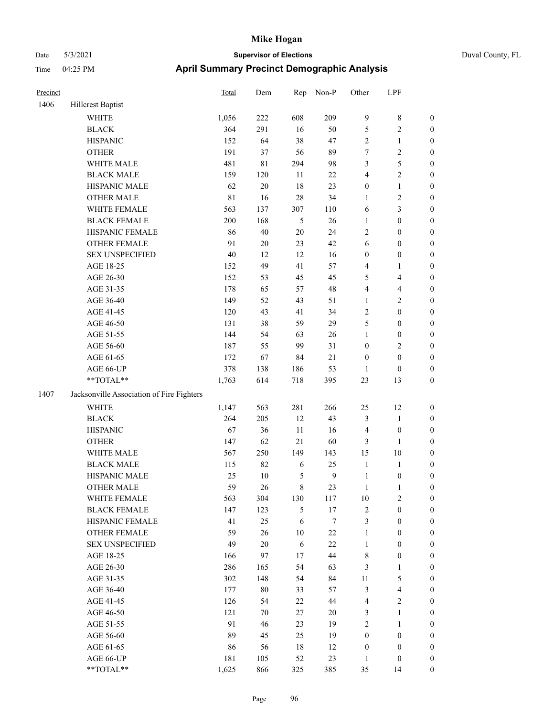|  | Duval County. |
|--|---------------|

| Precinct |                                                           | Total       | Dem         | Rep        | Non-P            | Other            | LPF                     |                  |
|----------|-----------------------------------------------------------|-------------|-------------|------------|------------------|------------------|-------------------------|------------------|
| 1406     | <b>Hillcrest Baptist</b>                                  |             |             |            |                  |                  |                         |                  |
|          | <b>WHITE</b>                                              | 1,056       | 222         | 608        | 209              | $\overline{9}$   | $\,$ 8 $\,$             | $\boldsymbol{0}$ |
|          | <b>BLACK</b>                                              | 364         | 291         | 16         | 50               | 5                | $\sqrt{2}$              | $\boldsymbol{0}$ |
|          | <b>HISPANIC</b>                                           | 152         | 64          | 38         | 47               | $\overline{c}$   | $\mathbf{1}$            | $\boldsymbol{0}$ |
|          | <b>OTHER</b>                                              | 191         | 37          | 56         | 89               | 7                | $\sqrt{2}$              | $\boldsymbol{0}$ |
|          | WHITE MALE                                                | 481         | $8\sqrt{1}$ | 294        | 98               | 3                | $\mathfrak s$           | $\boldsymbol{0}$ |
|          | <b>BLACK MALE</b>                                         | 159         | 120         | 11         | $22\,$           | 4                | $\sqrt{2}$              | $\boldsymbol{0}$ |
|          | HISPANIC MALE                                             | 62          | $20\,$      | 18         | 23               | $\boldsymbol{0}$ | $\mathbf{1}$            | 0                |
|          | <b>OTHER MALE</b>                                         | $8\sqrt{1}$ | 16          | $28\,$     | 34               | $\mathbf{1}$     | $\sqrt{2}$              | 0                |
|          | WHITE FEMALE                                              | 563         | 137         | 307        | 110              | 6                | $\mathfrak{Z}$          | $\boldsymbol{0}$ |
|          | <b>BLACK FEMALE</b>                                       | 200         | 168         | 5          | 26               | $\mathbf{1}$     | $\boldsymbol{0}$        | $\boldsymbol{0}$ |
|          | HISPANIC FEMALE                                           | 86          | 40          | $20\,$     | 24               | $\overline{c}$   | $\boldsymbol{0}$        | $\boldsymbol{0}$ |
|          | OTHER FEMALE                                              | 91          | $20\,$      | 23         | 42               | 6                | $\boldsymbol{0}$        | $\boldsymbol{0}$ |
|          | <b>SEX UNSPECIFIED</b>                                    | 40          | 12          | 12         | 16               | $\boldsymbol{0}$ | $\boldsymbol{0}$        | $\boldsymbol{0}$ |
|          | AGE 18-25                                                 | 152         | 49          | 41         | 57               | 4                | $\mathbf{1}$            | $\boldsymbol{0}$ |
|          | AGE 26-30                                                 | 152         | 53          | 45         | 45               | 5                | $\overline{\mathbf{4}}$ | $\boldsymbol{0}$ |
|          | AGE 31-35                                                 | 178         | 65          | 57         | 48               | 4                | $\overline{\mathbf{4}}$ | $\boldsymbol{0}$ |
|          | AGE 36-40                                                 | 149         | 52          | 43         | 51               | $\mathbf{1}$     | $\overline{2}$          | 0                |
|          | AGE 41-45                                                 | 120         | 43          | 41         | 34               | $\sqrt{2}$       | $\boldsymbol{0}$        | 0                |
|          | AGE 46-50                                                 | 131         | 38          | 59         | 29               | 5                | $\boldsymbol{0}$        | $\boldsymbol{0}$ |
|          | AGE 51-55                                                 | 144         | 54          | 63         | 26               | 1                | $\boldsymbol{0}$        | $\boldsymbol{0}$ |
|          | AGE 56-60                                                 | 187         | 55          | 99         | 31               | $\boldsymbol{0}$ | $\sqrt{2}$              | $\boldsymbol{0}$ |
|          | AGE 61-65                                                 | 172         | 67          | 84         | 21               | $\boldsymbol{0}$ | $\boldsymbol{0}$        | $\boldsymbol{0}$ |
|          | AGE 66-UP                                                 | 378         | 138         | 186        | 53               | $\mathbf{1}$     | $\boldsymbol{0}$        | $\boldsymbol{0}$ |
|          | $\mathrm{*}\mathrm{*}\mathrm{TOTAL} \mathrm{*}\mathrm{*}$ | 1,763       | 614         | 718        | 395              | 23               | 13                      | $\boldsymbol{0}$ |
| 1407     | Jacksonville Association of Fire Fighters                 |             |             |            |                  |                  |                         |                  |
|          | <b>WHITE</b>                                              | 1,147       | 563         | 281        | 266              | 25               | 12                      | $\boldsymbol{0}$ |
|          | <b>BLACK</b>                                              | 264         | 205         | 12         | 43               | 3                | $\mathbf{1}$            | $\boldsymbol{0}$ |
|          | <b>HISPANIC</b>                                           | 67          | 36          | 11         | 16               | $\overline{4}$   | $\boldsymbol{0}$        | $\boldsymbol{0}$ |
|          | <b>OTHER</b>                                              | 147         | 62          | 21         | 60               | 3                | $\mathbf{1}$            | 0                |
|          | WHITE MALE                                                | 567         | 250         | 149        | 143              | 15               | $10\,$                  | 0                |
|          | <b>BLACK MALE</b>                                         | 115         | 82          | 6          | 25               | $\mathbf{1}$     | $\mathbf{1}$            | 0                |
|          | HISPANIC MALE                                             | 25          | $10\,$      | 5          | $\mathbf{9}$     | $\mathbf{1}$     | $\boldsymbol{0}$        | $\boldsymbol{0}$ |
|          | <b>OTHER MALE</b>                                         | 59          | 26          | 8          | 23               | $\mathbf{1}$     | $\mathbf{1}$            | $\boldsymbol{0}$ |
|          | WHITE FEMALE                                              | 563         | 304         | 130        | 117              | $10\,$           | $\mathbf{2}$            | $\boldsymbol{0}$ |
|          | <b>BLACK FEMALE</b>                                       | 147         | 123         | 5          | 17               | $\sqrt{2}$       | $\boldsymbol{0}$        | $\theta$         |
|          | HISPANIC FEMALE                                           | 41          | 25          | $\sqrt{6}$ | $\boldsymbol{7}$ | 3                | $\boldsymbol{0}$        | $\theta$         |
|          | <b>OTHER FEMALE</b>                                       | 59          | 26          | $10\,$     | $22\,$           | $\mathbf{1}$     | $\boldsymbol{0}$        | $\overline{0}$   |
|          | <b>SEX UNSPECIFIED</b>                                    | 49          | $20\,$      | 6          | $22\,$           | $\mathbf{1}$     | $\boldsymbol{0}$        | 0                |
|          | AGE 18-25                                                 | 166         | 97          | 17         | 44               | 8                | $\boldsymbol{0}$        | 0                |
|          | AGE 26-30                                                 | 286         | 165         | 54         | 63               | 3                | $\mathbf{1}$            | 0                |
|          | AGE 31-35                                                 | 302         | 148         | 54         | 84               | 11               | $\mathfrak{S}$          | 0                |
|          | AGE 36-40                                                 | 177         | $80\,$      | 33         | 57               | 3                | $\overline{\mathbf{4}}$ | $\overline{0}$   |
|          | AGE 41-45                                                 | 126         | 54          | 22         | 44               | $\overline{4}$   | $\sqrt{2}$              | $\boldsymbol{0}$ |
|          | AGE 46-50                                                 | 121         | 70          | 27         | 20               | 3                | $\mathbf{1}$            | $\overline{0}$   |
|          | AGE 51-55                                                 | 91          | 46          | 23         | 19               | 2                | $\mathbf{1}$            | $\overline{0}$   |
|          | AGE 56-60                                                 | 89          | 45          | 25         | 19               | $\boldsymbol{0}$ | $\boldsymbol{0}$        | $\overline{0}$   |
|          | AGE 61-65                                                 | 86          | 56          | 18         | 12               | $\boldsymbol{0}$ | $\boldsymbol{0}$        | $\overline{0}$   |
|          | AGE 66-UP                                                 | 181         | 105         | 52         | 23               | $\mathbf{1}$     | $\boldsymbol{0}$        | $\boldsymbol{0}$ |
|          | **TOTAL**                                                 | 1,625       | 866         | 325        | 385              | 35               | 14                      | $\boldsymbol{0}$ |
|          |                                                           |             |             |            |                  |                  |                         |                  |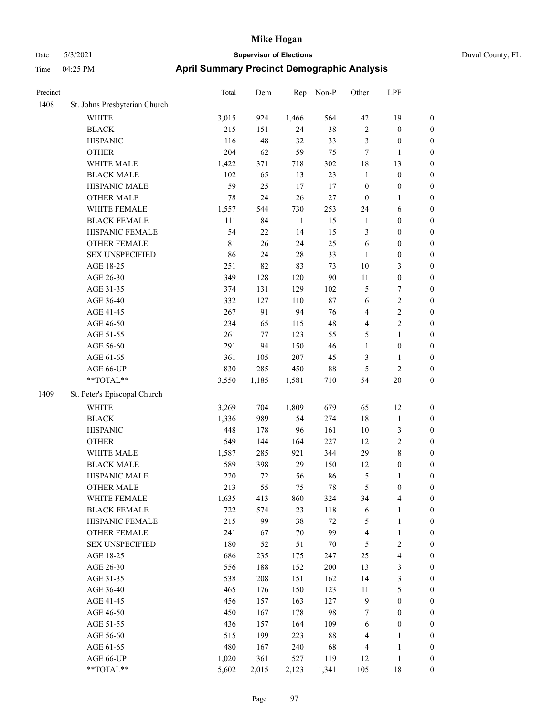|  | Duval County, FL |
|--|------------------|
|--|------------------|

| Precinct |                               | <b>Total</b> | Dem    | Rep    | Non-P  | Other            | LPF                     |                  |
|----------|-------------------------------|--------------|--------|--------|--------|------------------|-------------------------|------------------|
| 1408     | St. Johns Presbyterian Church |              |        |        |        |                  |                         |                  |
|          | <b>WHITE</b>                  | 3,015        | 924    | 1,466  | 564    | 42               | 19                      | $\boldsymbol{0}$ |
|          | <b>BLACK</b>                  | 215          | 151    | 24     | 38     | $\sqrt{2}$       | $\boldsymbol{0}$        | 0                |
|          | <b>HISPANIC</b>               | 116          | 48     | 32     | 33     | 3                | $\boldsymbol{0}$        | $\boldsymbol{0}$ |
|          | <b>OTHER</b>                  | 204          | 62     | 59     | 75     | 7                | 1                       | $\boldsymbol{0}$ |
|          | WHITE MALE                    | 1,422        | 371    | 718    | 302    | 18               | 13                      | $\boldsymbol{0}$ |
|          | <b>BLACK MALE</b>             | 102          | 65     | 13     | 23     | $\mathbf{1}$     | $\boldsymbol{0}$        | $\boldsymbol{0}$ |
|          | HISPANIC MALE                 | 59           | 25     | 17     | 17     | $\boldsymbol{0}$ | $\boldsymbol{0}$        | $\boldsymbol{0}$ |
|          | <b>OTHER MALE</b>             | 78           | 24     | 26     | $27\,$ | $\boldsymbol{0}$ | $\mathbf{1}$            | $\boldsymbol{0}$ |
|          | WHITE FEMALE                  | 1,557        | 544    | 730    | 253    | 24               | 6                       | $\boldsymbol{0}$ |
|          | <b>BLACK FEMALE</b>           | 111          | 84     | 11     | 15     | 1                | $\boldsymbol{0}$        | $\boldsymbol{0}$ |
|          | HISPANIC FEMALE               | 54           | 22     | 14     | 15     | 3                | $\boldsymbol{0}$        | 0                |
|          | OTHER FEMALE                  | 81           | 26     | 24     | 25     | 6                | $\boldsymbol{0}$        | 0                |
|          | <b>SEX UNSPECIFIED</b>        | 86           | 24     | $28\,$ | 33     | $\mathbf{1}$     | $\boldsymbol{0}$        | $\boldsymbol{0}$ |
|          | AGE 18-25                     | 251          | 82     | 83     | 73     | 10               | 3                       | $\boldsymbol{0}$ |
|          | AGE 26-30                     | 349          | 128    | 120    | 90     | 11               | $\boldsymbol{0}$        | $\boldsymbol{0}$ |
|          | AGE 31-35                     | 374          | 131    | 129    | 102    | 5                | $\boldsymbol{7}$        | $\boldsymbol{0}$ |
|          | AGE 36-40                     | 332          | 127    | 110    | 87     | 6                | $\sqrt{2}$              | $\boldsymbol{0}$ |
|          | AGE 41-45                     | 267          | 91     | 94     | 76     | 4                | $\overline{2}$          | $\boldsymbol{0}$ |
|          | AGE 46-50                     | 234          | 65     | 115    | 48     | 4                | $\overline{2}$          | $\boldsymbol{0}$ |
|          | AGE 51-55                     | 261          | 77     | 123    | 55     | 5                | $\mathbf{1}$            | 0                |
|          | AGE 56-60                     | 291          | 94     | 150    | 46     | $\mathbf{1}$     | $\boldsymbol{0}$        | 0                |
|          | AGE 61-65                     | 361          | 105    | 207    | 45     | 3                | $\mathbf{1}$            | 0                |
|          | AGE 66-UP                     | 830          | 285    | 450    | $88\,$ | $\mathfrak{S}$   | $\sqrt{2}$              | 0                |
|          | **TOTAL**                     | 3,550        | 1,185  | 1,581  | 710    | 54               | $20\,$                  | $\boldsymbol{0}$ |
| 1409     | St. Peter's Episcopal Church  |              |        |        |        |                  |                         |                  |
|          | <b>WHITE</b>                  | 3,269        | 704    | 1,809  | 679    | 65               | 12                      | $\boldsymbol{0}$ |
|          | <b>BLACK</b>                  | 1,336        | 989    | 54     | 274    | 18               | $\mathbf{1}$            | $\boldsymbol{0}$ |
|          | <b>HISPANIC</b>               | 448          | 178    | 96     | 161    | 10               | $\mathfrak{Z}$          | $\boldsymbol{0}$ |
|          | <b>OTHER</b>                  | 549          | 144    | 164    | 227    | 12               | $\sqrt{2}$              | $\boldsymbol{0}$ |
|          | WHITE MALE                    | 1,587        | 285    | 921    | 344    | 29               | $\,$ 8 $\,$             | $\boldsymbol{0}$ |
|          | <b>BLACK MALE</b>             | 589          | 398    | 29     | 150    | 12               | $\boldsymbol{0}$        | $\boldsymbol{0}$ |
|          | HISPANIC MALE                 | 220          | $72\,$ | 56     | 86     | 5                | 1                       | $\boldsymbol{0}$ |
|          | <b>OTHER MALE</b>             | 213          | 55     | 75     | 78     | 5                | $\boldsymbol{0}$        | $\boldsymbol{0}$ |
|          | WHITE FEMALE                  | 1,635        | 413    | 860    | 324    | 34               | $\overline{4}$          | 0                |
|          | <b>BLACK FEMALE</b>           | 722          | 574    | 23     | 118    | 6                | $\mathbf{1}$            | 0                |
|          | HISPANIC FEMALE               | 215          | 99     | 38     | $72\,$ | 5                | $\mathbf{1}$            | $\boldsymbol{0}$ |
|          | <b>OTHER FEMALE</b>           | 241          | 67     | $70\,$ | 99     | $\overline{4}$   | $\mathbf{1}$            | 0                |
|          | <b>SEX UNSPECIFIED</b>        | 180          | 52     | 51     | 70     | 5                | $\sqrt{2}$              | 0                |
|          | AGE 18-25                     | 686          | 235    | 175    | 247    | 25               | $\overline{\mathbf{4}}$ | 0                |
|          | AGE 26-30                     | 556          | 188    | 152    | 200    | 13               | $\mathfrak{Z}$          | 0                |
|          | AGE 31-35                     | 538          | 208    | 151    | 162    | 14               | $\mathfrak{Z}$          | 0                |
|          | AGE 36-40                     | 465          | 176    | 150    | 123    | 11               | $\mathfrak{S}$          | 0                |
|          | AGE 41-45                     | 456          | 157    | 163    | 127    | $\overline{9}$   | $\boldsymbol{0}$        | 0                |
|          | AGE 46-50                     | 450          | 167    | 178    | 98     | 7                | $\boldsymbol{0}$        | 0                |
|          | AGE 51-55                     | 436          | 157    | 164    | 109    | 6                | $\boldsymbol{0}$        | $\boldsymbol{0}$ |
|          | AGE 56-60                     | 515          | 199    | 223    | $88\,$ | 4                | $\mathbf{1}$            | $\boldsymbol{0}$ |
|          | AGE 61-65                     | 480          | 167    | 240    | 68     | 4                | $\mathbf{1}$            | $\boldsymbol{0}$ |
|          | AGE 66-UP                     | 1,020        | 361    | 527    | 119    | 12               | $\mathbf{1}$            | $\boldsymbol{0}$ |
|          | **TOTAL**                     | 5,602        | 2,015  | 2,123  | 1,341  | 105              | 18                      | $\boldsymbol{0}$ |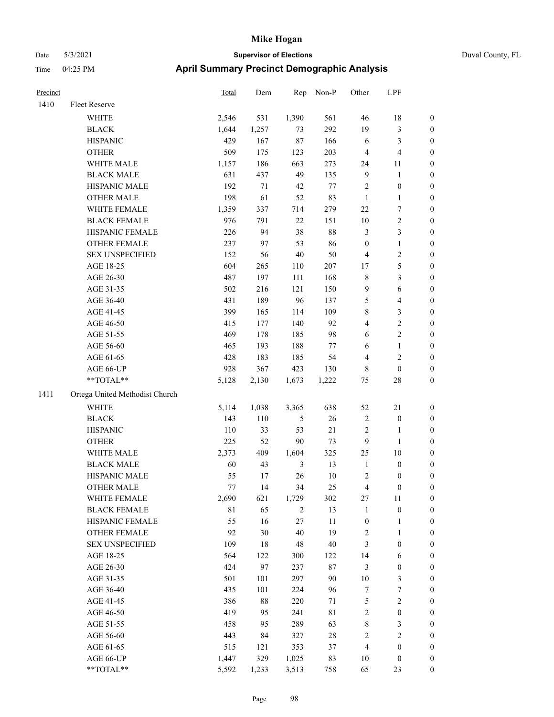| Precinct |                                | Total       | Dem    | Rep        | Non-P       | Other            | LPF                     |                  |
|----------|--------------------------------|-------------|--------|------------|-------------|------------------|-------------------------|------------------|
| 1410     | Fleet Reserve                  |             |        |            |             |                  |                         |                  |
|          | <b>WHITE</b>                   | 2,546       | 531    | 1,390      | 561         | 46               | 18                      | $\boldsymbol{0}$ |
|          | <b>BLACK</b>                   | 1,644       | 1,257  | 73         | 292         | 19               | 3                       | $\boldsymbol{0}$ |
|          | <b>HISPANIC</b>                | 429         | 167    | 87         | 166         | 6                | 3                       | $\boldsymbol{0}$ |
|          | <b>OTHER</b>                   | 509         | 175    | 123        | 203         | $\overline{4}$   | 4                       | $\boldsymbol{0}$ |
|          | WHITE MALE                     | 1,157       | 186    | 663        | 273         | 24               | 11                      | $\boldsymbol{0}$ |
|          | <b>BLACK MALE</b>              | 631         | 437    | 49         | 135         | 9                | $\mathbf{1}$            | $\boldsymbol{0}$ |
|          | HISPANIC MALE                  | 192         | $71\,$ | $42\,$     | $77\,$      | $\overline{2}$   | $\boldsymbol{0}$        | $\boldsymbol{0}$ |
|          | <b>OTHER MALE</b>              | 198         | 61     | 52         | 83          | $\mathbf{1}$     | 1                       | $\boldsymbol{0}$ |
|          | WHITE FEMALE                   | 1,359       | 337    | 714        | 279         | $22\,$           | 7                       | $\boldsymbol{0}$ |
|          | <b>BLACK FEMALE</b>            | 976         | 791    | $22\,$     | 151         | 10               | $\overline{c}$          | $\boldsymbol{0}$ |
|          | HISPANIC FEMALE                | 226         | 94     | 38         | $88\,$      | $\mathfrak{Z}$   | 3                       | $\boldsymbol{0}$ |
|          | <b>OTHER FEMALE</b>            | 237         | 97     | 53         | 86          | $\boldsymbol{0}$ | $\mathbf{1}$            | $\boldsymbol{0}$ |
|          | <b>SEX UNSPECIFIED</b>         | 152         | 56     | 40         | 50          | $\overline{4}$   | 2                       | $\boldsymbol{0}$ |
|          | AGE 18-25                      | 604         | 265    | 110        | 207         | 17               | 5                       | $\boldsymbol{0}$ |
|          | AGE 26-30                      | 487         | 197    | 111        | 168         | $\,$ 8 $\,$      | 3                       | $\boldsymbol{0}$ |
|          | AGE 31-35                      | 502         | 216    | 121        | 150         | 9                | 6                       | $\boldsymbol{0}$ |
|          | AGE 36-40                      | 431         | 189    | 96         | 137         | 5                | $\overline{4}$          | $\boldsymbol{0}$ |
|          | AGE 41-45                      | 399         | 165    | 114        | 109         | $\,$ 8 $\,$      | 3                       | $\boldsymbol{0}$ |
|          | AGE 46-50                      | 415         | 177    | 140        | 92          | 4                | 2                       | $\boldsymbol{0}$ |
|          | AGE 51-55                      | 469         | 178    | 185        | 98          | 6                | $\overline{c}$          | $\boldsymbol{0}$ |
|          | AGE 56-60                      | 465         | 193    | 188        | 77          | 6                | 1                       | $\boldsymbol{0}$ |
|          | AGE 61-65                      | 428         | 183    | 185        | 54          | $\overline{4}$   | 2                       | $\boldsymbol{0}$ |
|          | AGE 66-UP                      | 928         | 367    | 423        | 130         | $\,$ 8 $\,$      | $\boldsymbol{0}$        | $\boldsymbol{0}$ |
|          | **TOTAL**                      | 5,128       | 2,130  | 1,673      | 1,222       | 75               | 28                      | $\boldsymbol{0}$ |
| 1411     | Ortega United Methodist Church |             |        |            |             |                  |                         |                  |
|          | WHITE                          | 5,114       | 1,038  | 3,365      | 638         | 52               | 21                      | $\boldsymbol{0}$ |
|          | <b>BLACK</b>                   | 143         | 110    | 5          | $26\,$      | $\sqrt{2}$       | $\boldsymbol{0}$        | $\boldsymbol{0}$ |
|          | <b>HISPANIC</b>                | 110         | 33     | 53         | $21\,$      | $\overline{2}$   | 1                       | $\boldsymbol{0}$ |
|          | <b>OTHER</b>                   | 225         | 52     | 90         | 73          | 9                | 1                       | $\boldsymbol{0}$ |
|          | WHITE MALE                     | 2,373       | 409    | 1,604      | 325         | 25               | 10                      | $\boldsymbol{0}$ |
|          | <b>BLACK MALE</b>              | 60          | 43     | 3          | 13          | $\mathbf{1}$     | $\boldsymbol{0}$        | $\boldsymbol{0}$ |
|          | HISPANIC MALE                  | 55          | 17     | 26         | 10          | $\sqrt{2}$       | 0                       | $\boldsymbol{0}$ |
|          | <b>OTHER MALE</b>              | 77          | 14     | 34         | 25          | $\overline{4}$   | $\boldsymbol{0}$        | $\boldsymbol{0}$ |
|          | WHITE FEMALE                   | 2,690       | 621    | 1,729      | 302         | 27               | $11\,$                  | $\boldsymbol{0}$ |
|          | <b>BLACK FEMALE</b>            | $8\sqrt{1}$ | 65     | $\sqrt{2}$ | 13          | $\mathbf{1}$     | $\boldsymbol{0}$        | $\boldsymbol{0}$ |
|          | HISPANIC FEMALE                | 55          | 16     | $27\,$     | 11          | $\boldsymbol{0}$ | 1                       | $\boldsymbol{0}$ |
|          | OTHER FEMALE                   | 92          | 30     | 40         | 19          | $\sqrt{2}$       | $\mathbf{1}$            | $\boldsymbol{0}$ |
|          | <b>SEX UNSPECIFIED</b>         | 109         | 18     | $48\,$     | $40\,$      | $\mathfrak{Z}$   | $\boldsymbol{0}$        | $\boldsymbol{0}$ |
|          | AGE 18-25                      | 564         | 122    | 300        | 122         | 14               | 6                       | $\boldsymbol{0}$ |
|          | AGE 26-30                      | 424         | 97     | 237        | $87\,$      | $\mathfrak{Z}$   | $\boldsymbol{0}$        | $\boldsymbol{0}$ |
|          | AGE 31-35                      | 501         | 101    | 297        | 90          | 10               | 3                       | $\boldsymbol{0}$ |
|          | AGE 36-40                      | 435         | 101    | 224        | 96          | $\boldsymbol{7}$ | 7                       | $\boldsymbol{0}$ |
|          | AGE 41-45                      | 386         | $88\,$ | 220        | 71          | $\mathfrak s$    | $\overline{\mathbf{c}}$ | $\boldsymbol{0}$ |
|          | AGE 46-50                      | 419         | 95     | 241        | $8\sqrt{1}$ | $\sqrt{2}$       | $\boldsymbol{0}$        | $\boldsymbol{0}$ |
|          | AGE 51-55                      | 458         | 95     | 289        | 63          | $\,$ $\,$        | 3                       | $\boldsymbol{0}$ |
|          | AGE 56-60                      | 443         | 84     | 327        | $28\,$      | $\sqrt{2}$       | $\overline{c}$          | $\boldsymbol{0}$ |
|          | AGE 61-65                      | 515         | 121    | 353        | 37          | $\overline{4}$   | $\boldsymbol{0}$        | $\boldsymbol{0}$ |
|          | AGE 66-UP                      | 1,447       | 329    | 1,025      | 83          | 10               | $\boldsymbol{0}$        | $\mathbf{0}$     |
|          | **TOTAL**                      | 5,592       | 1,233  | 3,513      | 758         | 65               | 23                      | $\boldsymbol{0}$ |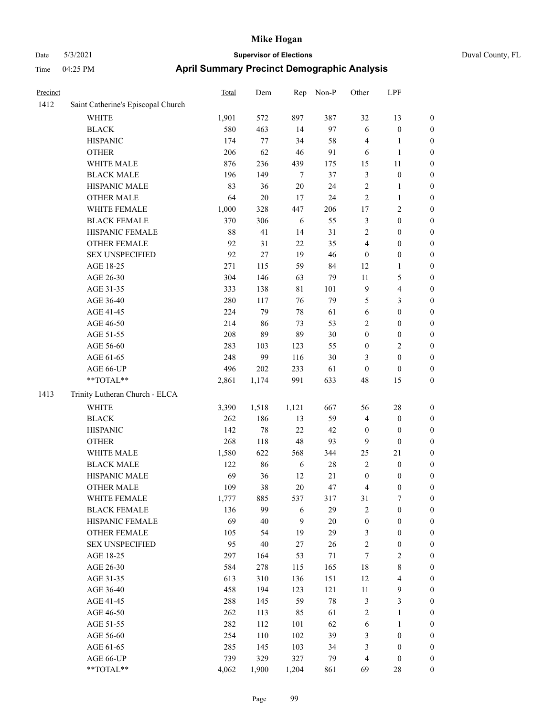| Duval Co |  |
|----------|--|
|          |  |

| Precinct |                                    | Total | Dem    | Rep    | Non-P  | Other            | LPF                     |                  |
|----------|------------------------------------|-------|--------|--------|--------|------------------|-------------------------|------------------|
| 1412     | Saint Catherine's Episcopal Church |       |        |        |        |                  |                         |                  |
|          | <b>WHITE</b>                       | 1,901 | 572    | 897    | 387    | 32               | 13                      | $\boldsymbol{0}$ |
|          | <b>BLACK</b>                       | 580   | 463    | 14     | 97     | $\sqrt{6}$       | $\boldsymbol{0}$        | $\boldsymbol{0}$ |
|          | <b>HISPANIC</b>                    | 174   | 77     | 34     | 58     | $\overline{4}$   | 1                       | $\boldsymbol{0}$ |
|          | <b>OTHER</b>                       | 206   | 62     | 46     | 91     | 6                | 1                       | $\boldsymbol{0}$ |
|          | WHITE MALE                         | 876   | 236    | 439    | 175    | 15               | 11                      | $\boldsymbol{0}$ |
|          | <b>BLACK MALE</b>                  | 196   | 149    | $\tau$ | 37     | $\mathfrak{Z}$   | $\boldsymbol{0}$        | $\boldsymbol{0}$ |
|          | HISPANIC MALE                      | 83    | 36     | 20     | 24     | $\mathbf{2}$     | $\mathbf{1}$            | $\boldsymbol{0}$ |
|          | <b>OTHER MALE</b>                  | 64    | $20\,$ | 17     | 24     | $\overline{c}$   | $\mathbf{1}$            | $\boldsymbol{0}$ |
|          | WHITE FEMALE                       | 1,000 | 328    | 447    | 206    | 17               | $\sqrt{2}$              | $\boldsymbol{0}$ |
|          | <b>BLACK FEMALE</b>                | 370   | 306    | 6      | 55     | $\mathfrak{Z}$   | $\boldsymbol{0}$        | $\boldsymbol{0}$ |
|          | HISPANIC FEMALE                    | 88    | 41     | 14     | 31     | $\sqrt{2}$       | $\boldsymbol{0}$        | $\boldsymbol{0}$ |
|          | OTHER FEMALE                       | 92    | 31     | 22     | 35     | $\overline{4}$   | $\boldsymbol{0}$        | $\boldsymbol{0}$ |
|          | <b>SEX UNSPECIFIED</b>             | 92    | 27     | 19     | 46     | $\mathbf{0}$     | $\boldsymbol{0}$        | $\boldsymbol{0}$ |
|          | AGE 18-25                          | 271   | 115    | 59     | 84     | 12               | 1                       | $\boldsymbol{0}$ |
|          | AGE 26-30                          | 304   | 146    | 63     | 79     | 11               | 5                       | $\boldsymbol{0}$ |
|          | AGE 31-35                          | 333   | 138    | 81     | 101    | 9                | 4                       | $\boldsymbol{0}$ |
|          | AGE 36-40                          | 280   | 117    | 76     | 79     | 5                | 3                       | $\boldsymbol{0}$ |
|          | AGE 41-45                          | 224   | 79     | 78     | 61     | 6                | $\boldsymbol{0}$        | $\boldsymbol{0}$ |
|          | AGE 46-50                          | 214   | 86     | 73     | 53     | $\sqrt{2}$       | $\boldsymbol{0}$        | $\boldsymbol{0}$ |
|          | AGE 51-55                          | 208   | 89     | 89     | 30     | $\boldsymbol{0}$ | $\boldsymbol{0}$        | $\boldsymbol{0}$ |
|          | AGE 56-60                          | 283   | 103    | 123    | 55     | $\boldsymbol{0}$ | 2                       | $\boldsymbol{0}$ |
|          | AGE 61-65                          | 248   | 99     | 116    | $30\,$ | 3                | $\boldsymbol{0}$        | $\boldsymbol{0}$ |
|          | AGE 66-UP                          | 496   | 202    | 233    | 61     | $\mathbf{0}$     | $\mathbf{0}$            | $\boldsymbol{0}$ |
|          | **TOTAL**                          | 2,861 | 1,174  | 991    | 633    | 48               | 15                      | $\boldsymbol{0}$ |
| 1413     | Trinity Lutheran Church - ELCA     |       |        |        |        |                  |                         |                  |
|          | <b>WHITE</b>                       | 3,390 | 1,518  | 1,121  | 667    | 56               | 28                      | $\boldsymbol{0}$ |
|          | <b>BLACK</b>                       | 262   | 186    | 13     | 59     | $\overline{4}$   | $\boldsymbol{0}$        | $\boldsymbol{0}$ |
|          | <b>HISPANIC</b>                    | 142   | $78\,$ | 22     | 42     | $\boldsymbol{0}$ | $\boldsymbol{0}$        | $\boldsymbol{0}$ |
|          | <b>OTHER</b>                       | 268   | 118    | 48     | 93     | 9                | $\boldsymbol{0}$        | $\boldsymbol{0}$ |
|          | WHITE MALE                         | 1,580 | 622    | 568    | 344    | 25               | 21                      | $\boldsymbol{0}$ |
|          | <b>BLACK MALE</b>                  | 122   | 86     | 6      | 28     | $\overline{2}$   | $\boldsymbol{0}$        | $\boldsymbol{0}$ |
|          | HISPANIC MALE                      | 69    | 36     | 12     | 21     | $\boldsymbol{0}$ | $\boldsymbol{0}$        | $\boldsymbol{0}$ |
|          | <b>OTHER MALE</b>                  | 109   | 38     | 20     | 47     | $\overline{4}$   | $\boldsymbol{0}$        | $\boldsymbol{0}$ |
|          | WHITE FEMALE                       | 1,777 | 885    | 537    | 317    | 31               | 7                       | $\boldsymbol{0}$ |
|          | <b>BLACK FEMALE</b>                | 136   | 99     | 6      | 29     | $\sqrt{2}$       | $\boldsymbol{0}$        | $\boldsymbol{0}$ |
|          | HISPANIC FEMALE                    | 69    | $40\,$ | 9      | $20\,$ | $\boldsymbol{0}$ | $\boldsymbol{0}$        | $\boldsymbol{0}$ |
|          | <b>OTHER FEMALE</b>                | 105   | 54     | 19     | 29     | $\mathfrak{Z}$   | $\boldsymbol{0}$        | $\boldsymbol{0}$ |
|          | <b>SEX UNSPECIFIED</b>             | 95    | $40\,$ | 27     | 26     | $\sqrt{2}$       | $\boldsymbol{0}$        | $\boldsymbol{0}$ |
|          | AGE 18-25                          | 297   | 164    | 53     | $71\,$ | 7                | 2                       | $\boldsymbol{0}$ |
|          | AGE 26-30                          | 584   | 278    | 115    | 165    | $18\,$           | $\,$ $\,$               | $\boldsymbol{0}$ |
|          | AGE 31-35                          | 613   | 310    | 136    | 151    | 12               | $\overline{\mathbf{4}}$ | $\boldsymbol{0}$ |
|          | AGE 36-40                          | 458   | 194    | 123    | 121    | $11\,$           | 9                       | $\boldsymbol{0}$ |
|          | AGE 41-45                          | 288   | 145    | 59     | $78\,$ | $\mathfrak{Z}$   | 3                       | $\boldsymbol{0}$ |
|          | AGE 46-50                          | 262   | 113    | 85     | 61     | $\sqrt{2}$       | $\mathbf{1}$            | $\boldsymbol{0}$ |
|          | AGE 51-55                          | 282   | 112    | 101    | 62     | 6                | $\mathbf{1}$            | $\boldsymbol{0}$ |
|          | AGE 56-60                          | 254   | 110    | 102    | 39     | $\mathfrak{Z}$   | $\boldsymbol{0}$        | $\boldsymbol{0}$ |
|          | AGE 61-65                          | 285   | 145    | 103    | 34     | $\mathfrak{Z}$   | $\boldsymbol{0}$        | $\boldsymbol{0}$ |
|          | AGE 66-UP                          | 739   | 329    | 327    | 79     | $\overline{4}$   | $\boldsymbol{0}$        | $\boldsymbol{0}$ |
|          | **TOTAL**                          | 4,062 | 1,900  | 1,204  | 861    | 69               | $28\,$                  | $\boldsymbol{0}$ |